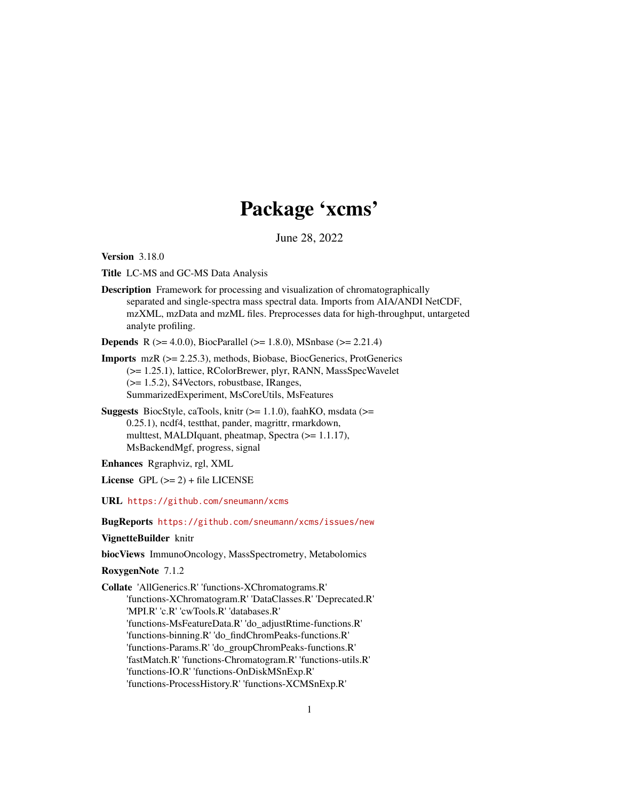# Package 'xcms'

June 28, 2022

<span id="page-0-0"></span>Version 3.18.0

Title LC-MS and GC-MS Data Analysis

Description Framework for processing and visualization of chromatographically separated and single-spectra mass spectral data. Imports from AIA/ANDI NetCDF, mzXML, mzData and mzML files. Preprocesses data for high-throughput, untargeted analyte profiling.

**Depends** R ( $>= 4.0.0$ ), BiocParallel ( $>= 1.8.0$ ), MSnbase ( $>= 2.21.4$ )

- Imports mzR (>= 2.25.3), methods, Biobase, BiocGenerics, ProtGenerics (>= 1.25.1), lattice, RColorBrewer, plyr, RANN, MassSpecWavelet (>= 1.5.2), S4Vectors, robustbase, IRanges, SummarizedExperiment, MsCoreUtils, MsFeatures
- Suggests BiocStyle, caTools, knitr (>= 1.1.0), faahKO, msdata (>= 0.25.1), ncdf4, testthat, pander, magrittr, rmarkdown, multtest, MALDIquant, pheatmap, Spectra (>= 1.1.17), MsBackendMgf, progress, signal
- Enhances Rgraphviz, rgl, XML License  $GPL$  ( $>= 2$ ) + file LICENSE
- URL <https://github.com/sneumann/xcms>

BugReports <https://github.com/sneumann/xcms/issues/new>

VignetteBuilder knitr

biocViews ImmunoOncology, MassSpectrometry, Metabolomics

RoxygenNote 7.1.2

Collate 'AllGenerics.R' 'functions-XChromatograms.R' 'functions-XChromatogram.R' 'DataClasses.R' 'Deprecated.R' 'MPI.R' 'c.R' 'cwTools.R' 'databases.R' 'functions-MsFeatureData.R' 'do\_adjustRtime-functions.R' 'functions-binning.R' 'do\_findChromPeaks-functions.R' 'functions-Params.R' 'do\_groupChromPeaks-functions.R' 'fastMatch.R' 'functions-Chromatogram.R' 'functions-utils.R' 'functions-IO.R' 'functions-OnDiskMSnExp.R' 'functions-ProcessHistory.R' 'functions-XCMSnExp.R'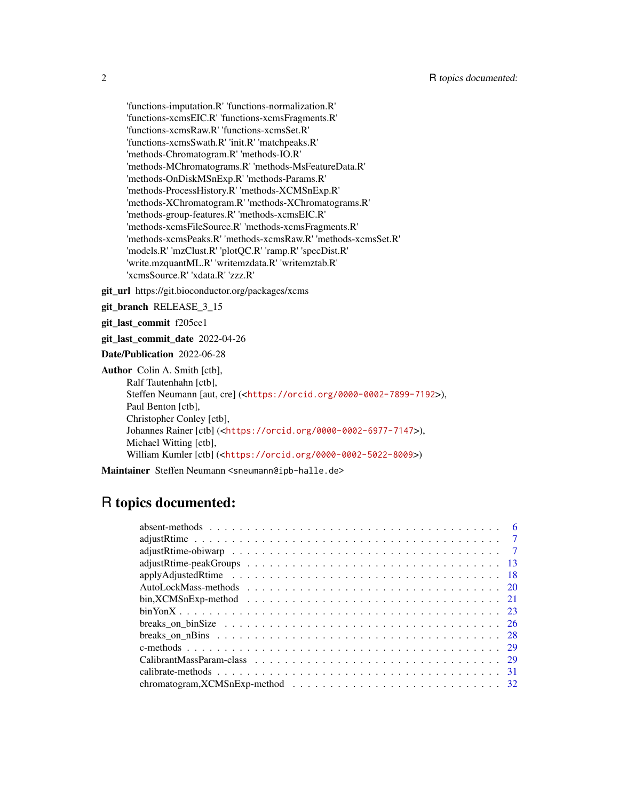'functions-imputation.R' 'functions-normalization.R' 'functions-xcmsEIC.R' 'functions-xcmsFragments.R' 'functions-xcmsRaw.R' 'functions-xcmsSet.R' 'functions-xcmsSwath.R' 'init.R' 'matchpeaks.R' 'methods-Chromatogram.R' 'methods-IO.R' 'methods-MChromatograms.R' 'methods-MsFeatureData.R' 'methods-OnDiskMSnExp.R' 'methods-Params.R' 'methods-ProcessHistory.R' 'methods-XCMSnExp.R' 'methods-XChromatogram.R' 'methods-XChromatograms.R' 'methods-group-features.R' 'methods-xcmsEIC.R' 'methods-xcmsFileSource.R' 'methods-xcmsFragments.R' 'methods-xcmsPeaks.R' 'methods-xcmsRaw.R' 'methods-xcmsSet.R' 'models.R' 'mzClust.R' 'plotQC.R' 'ramp.R' 'specDist.R' 'write.mzquantML.R' 'writemzdata.R' 'writemztab.R' 'xcmsSource.R' 'xdata.R' 'zzz.R'

git\_url https://git.bioconductor.org/packages/xcms

git branch RELEASE 3 15

git\_last\_commit f205ce1

git\_last\_commit\_date 2022-04-26

Date/Publication 2022-06-28

Author Colin A. Smith [ctb], Ralf Tautenhahn [ctb], Steffen Neumann [aut, cre] (<<https://orcid.org/0000-0002-7899-7192>>), Paul Benton [ctb], Christopher Conley [ctb], Johannes Rainer [ctb] (<<https://orcid.org/0000-0002-6977-7147>>), Michael Witting [ctb], William Kumler [ctb] (<<https://orcid.org/0000-0002-5022-8009>>)

Maintainer Steffen Neumann <sneumann@ipb-halle.de>

## R topics documented: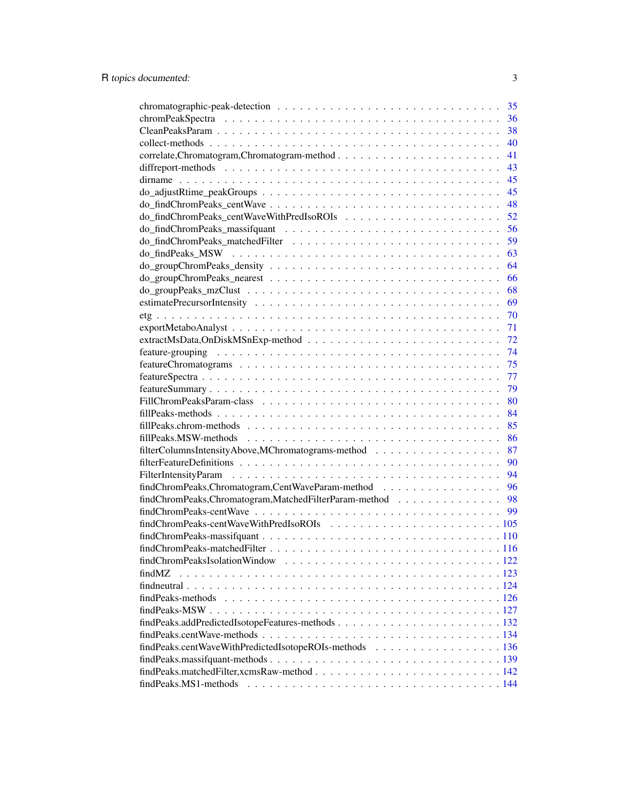|                                                        | 35 |
|--------------------------------------------------------|----|
|                                                        | 36 |
|                                                        | 38 |
|                                                        | 40 |
| correlate, Chromatogram, Chromatogram-method           | 41 |
|                                                        | 43 |
|                                                        | 45 |
|                                                        | 45 |
|                                                        | 48 |
|                                                        | 52 |
|                                                        | 56 |
|                                                        | 59 |
|                                                        | 63 |
|                                                        | 64 |
|                                                        | 66 |
|                                                        | 68 |
|                                                        | 69 |
|                                                        | 70 |
|                                                        | 71 |
|                                                        | 72 |
|                                                        | 74 |
|                                                        | 75 |
|                                                        | 77 |
|                                                        | 79 |
|                                                        | 80 |
|                                                        | 84 |
|                                                        | 85 |
|                                                        | 86 |
|                                                        | 87 |
|                                                        | 90 |
|                                                        | 94 |
|                                                        | 96 |
| findChromPeaks,Chromatogram,CentWaveParam-method       | 98 |
| findChromPeaks,Chromatogram,MatchedFilterParam-method  | 99 |
|                                                        |    |
|                                                        |    |
|                                                        |    |
|                                                        |    |
|                                                        |    |
| findMZ                                                 |    |
|                                                        |    |
|                                                        |    |
|                                                        |    |
|                                                        |    |
|                                                        |    |
| findPeaks.centWaveWithPredictedIsotopeROIs-methods 136 |    |
|                                                        |    |
|                                                        |    |
|                                                        |    |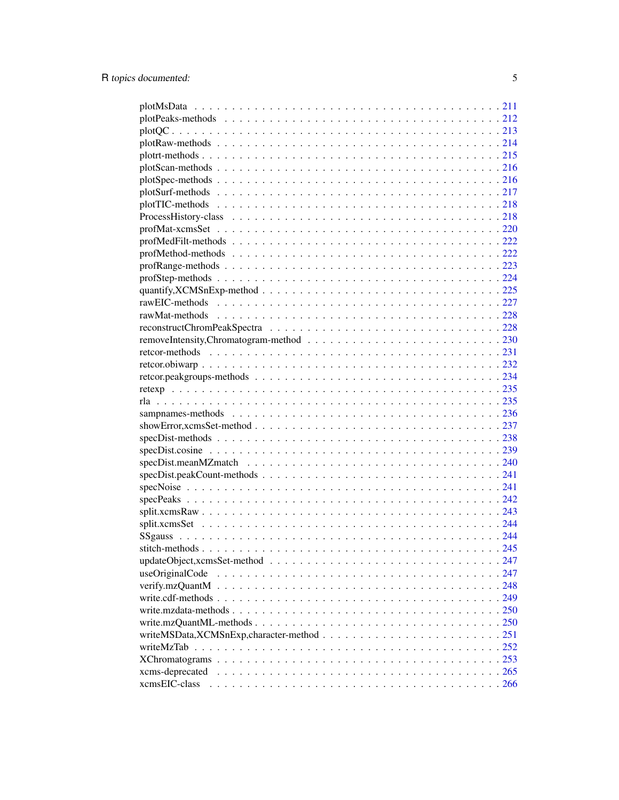| useOriginalCode |  |
|-----------------|--|
|                 |  |
|                 |  |
|                 |  |
|                 |  |
|                 |  |
|                 |  |
|                 |  |
| xcms-deprecated |  |
| xcmsEIC-class   |  |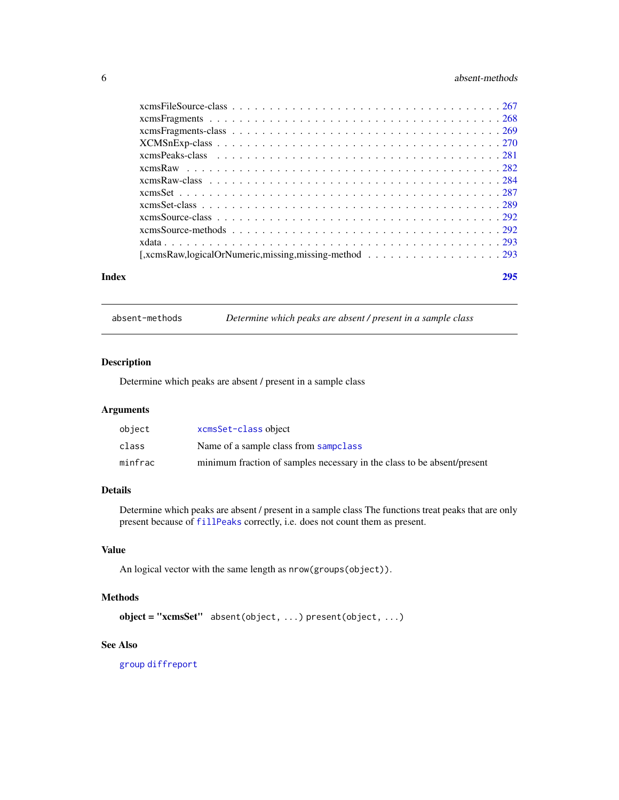#### <span id="page-5-0"></span>6 absent-methods

| Index | 295 |
|-------|-----|
|       |     |
|       |     |
|       |     |
|       |     |
|       |     |
|       |     |
|       |     |
|       |     |
|       |     |
|       |     |
|       |     |
|       |     |
|       |     |

absent-methods *Determine which peaks are absent / present in a sample class*

#### Description

Determine which peaks are absent / present in a sample class

#### Arguments

| object  | xcmsSet-class object                                                    |
|---------|-------------------------------------------------------------------------|
| class   | Name of a sample class from sampclass                                   |
| minfrac | minimum fraction of samples necessary in the class to be absent/present |

#### Details

Determine which peaks are absent / present in a sample class The functions treat peaks that are only present because of [fillPeaks](#page-83-1) correctly, i.e. does not count them as present.

#### Value

An logical vector with the same length as nrow(groups(object)).

#### Methods

object = "xcmsSet" absent(object, ...) present(object, ...)

### See Also

[group](#page-150-1) [diffreport](#page-42-1)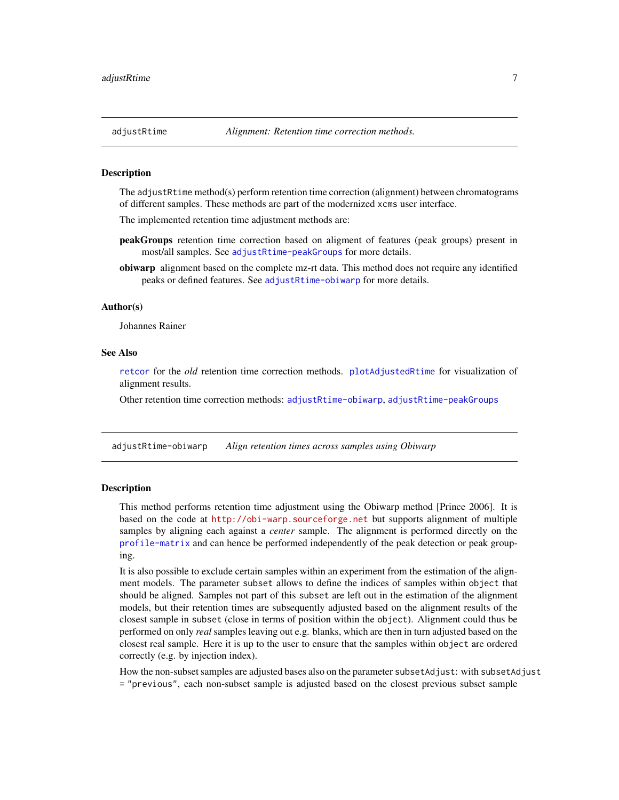<span id="page-6-2"></span><span id="page-6-0"></span>

#### **Description**

The adjustRtime method(s) perform retention time correction (alignment) between chromatograms of different samples. These methods are part of the modernized xcms user interface.

The implemented retention time adjustment methods are:

- peakGroups retention time correction based on aligment of features (peak groups) present in most/all samples. See [adjustRtime-peakGroups](#page-12-1) for more details.
- obiwarp alignment based on the complete mz-rt data. This method does not require any identified peaks or defined features. See [adjustRtime-obiwarp](#page-6-1) for more details.

#### Author(s)

Johannes Rainer

#### See Also

[retcor](#page-230-1) for the *old* retention time correction methods. [plotAdjustedRtime](#page-198-1) for visualization of alignment results.

Other retention time correction methods: [adjustRtime-obiwarp](#page-6-1), [adjustRtime-peakGroups](#page-12-1)

<span id="page-6-1"></span>adjustRtime-obiwarp *Align retention times across samples using Obiwarp*

#### Description

This method performs retention time adjustment using the Obiwarp method [Prince 2006]. It is based on the code at <http://obi-warp.sourceforge.net> but supports alignment of multiple samples by aligning each against a *center* sample. The alignment is performed directly on the [profile-matrix](#page-219-1) and can hence be performed independently of the peak detection or peak grouping.

It is also possible to exclude certain samples within an experiment from the estimation of the alignment models. The parameter subset allows to define the indices of samples within object that should be aligned. Samples not part of this subset are left out in the estimation of the alignment models, but their retention times are subsequently adjusted based on the alignment results of the closest sample in subset (close in terms of position within the object). Alignment could thus be performed on only *real* samples leaving out e.g. blanks, which are then in turn adjusted based on the closest real sample. Here it is up to the user to ensure that the samples within object are ordered correctly (e.g. by injection index).

How the non-subset samples are adjusted bases also on the parameter subsetAdjust: with subsetAdjust = "previous", each non-subset sample is adjusted based on the closest previous subset sample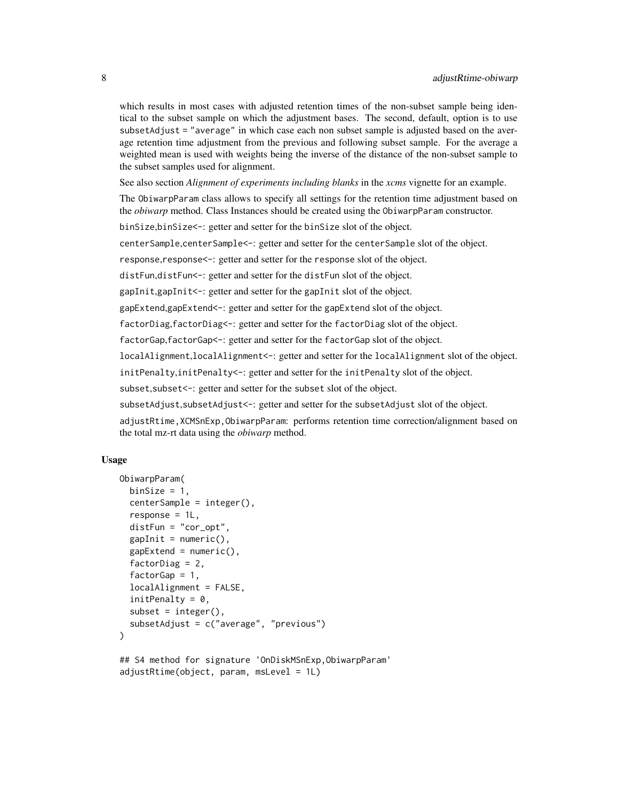which results in most cases with adjusted retention times of the non-subset sample being identical to the subset sample on which the adjustment bases. The second, default, option is to use subsetAdjust = "average" in which case each non subset sample is adjusted based on the average retention time adjustment from the previous and following subset sample. For the average a weighted mean is used with weights being the inverse of the distance of the non-subset sample to the subset samples used for alignment.

See also section *Alignment of experiments including blanks* in the *xcms* vignette for an example.

The ObiwarpParam class allows to specify all settings for the retention time adjustment based on the *obiwarp* method. Class Instances should be created using the ObiwarpParam constructor.

binSize,binSize<-: getter and setter for the binSize slot of the object.

centerSample,centerSample<-: getter and setter for the centerSample slot of the object.

response,response<-: getter and setter for the response slot of the object.

distFun,distFun<-: getter and setter for the distFun slot of the object.

gapInit,gapInit<-: getter and setter for the gapInit slot of the object.

gapExtend,gapExtend<-: getter and setter for the gapExtend slot of the object.

factorDiag,factorDiag<-: getter and setter for the factorDiag slot of the object.

factorGap, factorGap <-: getter and setter for the factorGap slot of the object.

localAlignment,localAlignment<-: getter and setter for the localAlignment slot of the object.

initPenalty,initPenalty<-: getter and setter for the initPenalty slot of the object.

subset, subset<-: getter and setter for the subset slot of the object.

subsetAdjust, subsetAdjust <-: getter and setter for the subsetAdjust slot of the object.

adjustRtime,XCMSnExp,ObiwarpParam: performs retention time correction/alignment based on the total mz-rt data using the *obiwarp* method.

#### Usage

```
ObiwarpParam(
  binSize = 1,
  centerSample = integer(),
  response = 1L,
  distFun = "cor_opt",
  gapInit = numeric(),
  gapExtend = numeric(),
  factorDiag = 2,
  factorGap = 1,
  localAlignment = FALSE,
  initPenalty = 0,
  subset = integer(),
  subsetAdjust = c("average", "previous")
)
## S4 method for signature 'OnDiskMSnExp,ObiwarpParam'
```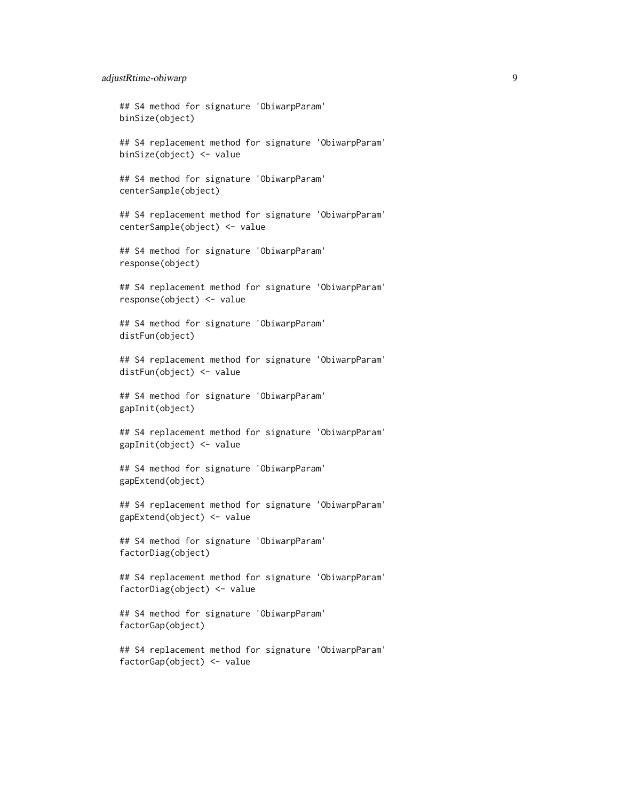#### adjustRtime-obiwarp 9

```
## S4 method for signature 'ObiwarpParam'
binSize(object)
## S4 replacement method for signature 'ObiwarpParam'
binSize(object) <- value
## S4 method for signature 'ObiwarpParam'
centerSample(object)
## S4 replacement method for signature 'ObiwarpParam'
centerSample(object) <- value
## S4 method for signature 'ObiwarpParam'
response(object)
## S4 replacement method for signature 'ObiwarpParam'
response(object) <- value
## S4 method for signature 'ObiwarpParam'
distFun(object)
## S4 replacement method for signature 'ObiwarpParam'
distFun(object) <- value
## S4 method for signature 'ObiwarpParam'
gapInit(object)
## S4 replacement method for signature 'ObiwarpParam'
gapInit(object) <- value
## S4 method for signature 'ObiwarpParam'
gapExtend(object)
## S4 replacement method for signature 'ObiwarpParam'
gapExtend(object) <- value
## S4 method for signature 'ObiwarpParam'
factorDiag(object)
## S4 replacement method for signature 'ObiwarpParam'
factorDiag(object) <- value
## S4 method for signature 'ObiwarpParam'
factorGap(object)
## S4 replacement method for signature 'ObiwarpParam'
factorGap(object) <- value
```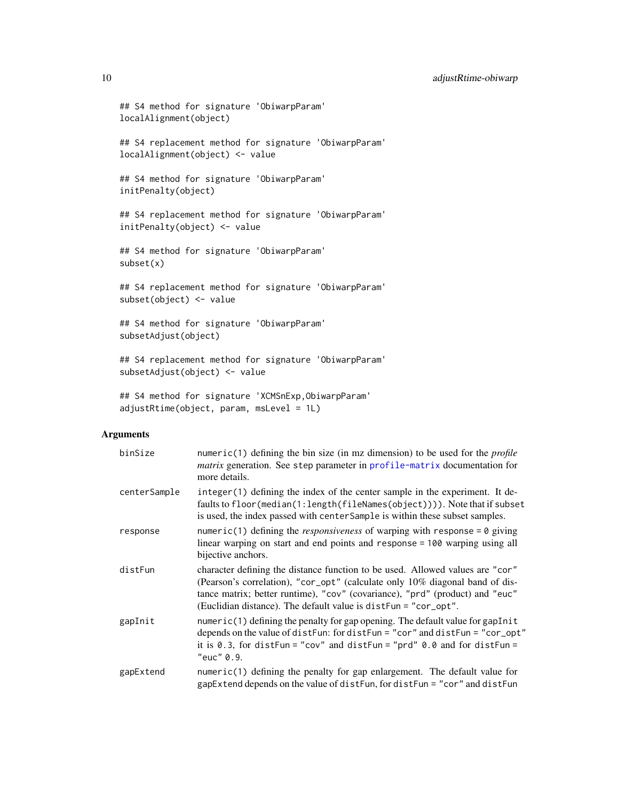```
## S4 method for signature 'ObiwarpParam'
localAlignment(object)
## S4 replacement method for signature 'ObiwarpParam'
localAlignment(object) <- value
## S4 method for signature 'ObiwarpParam'
initPenalty(object)
## S4 replacement method for signature 'ObiwarpParam'
initPenalty(object) <- value
## S4 method for signature 'ObiwarpParam'
subset(x)
## S4 replacement method for signature 'ObiwarpParam'
subset(object) <- value
## S4 method for signature 'ObiwarpParam'
subsetAdjust(object)
## S4 replacement method for signature 'ObiwarpParam'
subsetAdjust(object) <- value
## S4 method for signature 'XCMSnExp,ObiwarpParam'
adjustRtime(object, param, msLevel = 1L)
```
#### Arguments

| binSize      | numeric(1) defining the bin size (in mz dimension) to be used for the <i>profile</i><br><i>matrix</i> generation. See step parameter in profile-matrix documentation for<br>more details.                                                                                                                        |
|--------------|------------------------------------------------------------------------------------------------------------------------------------------------------------------------------------------------------------------------------------------------------------------------------------------------------------------|
| centerSample | integer $(1)$ defining the index of the center sample in the experiment. It de-<br>faults to floor (median(1:length(fileNames(object)))). Note that if subset<br>is used, the index passed with center Sample is within these subset samples.                                                                    |
| response     | numeric(1) defining the <i>responsiveness</i> of warping with response = $\theta$ giving<br>linear warping on start and end points and response = 100 warping using all<br>bijective anchors.                                                                                                                    |
| distFun      | character defining the distance function to be used. Allowed values are "cor"<br>(Pearson's correlation), "cor_opt" (calculate only 10% diagonal band of dis-<br>tance matrix; better runtime), "cov" (covariance), "prd" (product) and "euc"<br>(Euclidian distance). The default value is distFun = "cor_opt". |
| gapInit      | numeric(1) defining the penalty for gap opening. The default value for gapInit<br>depends on the value of distFun: for distFun = "cor" and distFun = "cor_opt"<br>it is 0.3, for distFun = "cov" and distFun = "prd" $0.0$ and for distFun =<br>"euc" 0.9.                                                       |
| gapExtend    | $numeric(1)$ defining the penalty for gap enlargement. The default value for<br>gapExtend depends on the value of distFun, for distFun = "cor" and distFun                                                                                                                                                       |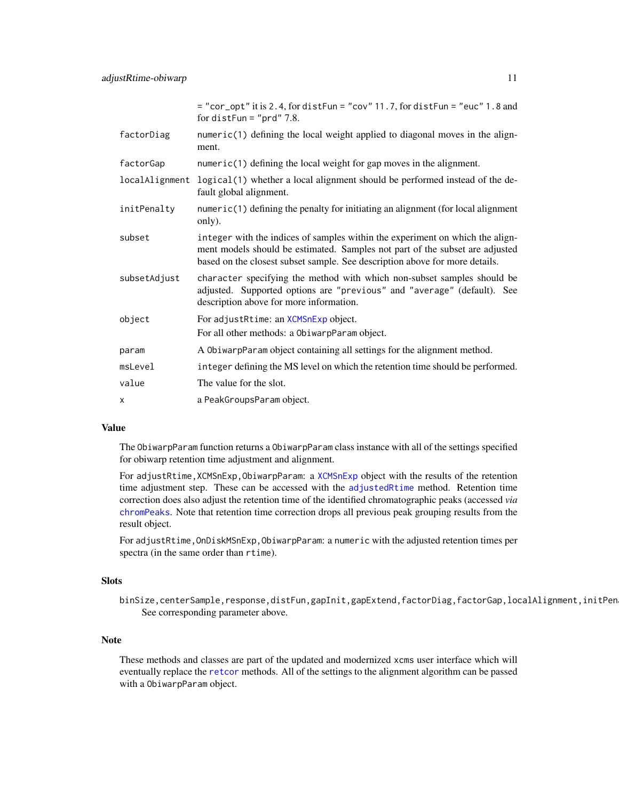|                | $=$ "cor_opt" it is 2.4, for distFun = "cov" 11.7, for distFun = "euc" 1.8 and<br>for distFun = " $prd$ " 7.8.                                                                                                                               |
|----------------|----------------------------------------------------------------------------------------------------------------------------------------------------------------------------------------------------------------------------------------------|
| factorDiag     | numeric(1) defining the local weight applied to diagonal moves in the align-<br>ment.                                                                                                                                                        |
| factorGap      | $numeric(1)$ defining the local weight for gap moves in the alignment.                                                                                                                                                                       |
| localAlignment | logical (1) whether a local alignment should be performed instead of the de-<br>fault global alignment.                                                                                                                                      |
| initPenalty    | $numeric(1)$ defining the penalty for initiating an alignment (for local alignment<br>only).                                                                                                                                                 |
| subset         | integer with the indices of samples within the experiment on which the align-<br>ment models should be estimated. Samples not part of the subset are adjusted<br>based on the closest subset sample. See description above for more details. |
| subsetAdjust   | character specifying the method with which non-subset samples should be<br>adjusted. Supported options are "previous" and "average" (default). See<br>description above for more information.                                                |
| object         | For adjustRtime: an XCMSnExp object.<br>For all other methods: a ObiwarpParam object.                                                                                                                                                        |
| param          | A ObiwarpParam object containing all settings for the alignment method.                                                                                                                                                                      |
| msLevel        | integer defining the MS level on which the retention time should be performed.                                                                                                                                                               |
| value          | The value for the slot.                                                                                                                                                                                                                      |
| х              | a PeakGroupsParam object.                                                                                                                                                                                                                    |

#### Value

The ObiwarpParam function returns a ObiwarpParam class instance with all of the settings specified for obiwarp retention time adjustment and alignment.

For adjustRtime,XCMSnExp,ObiwarpParam: a [XCMSnExp](#page-269-1) object with the results of the retention time adjustment step. These can be accessed with the [adjustedRtime](#page-269-1) method. Retention time correction does also adjust the retention time of the identified chromatographic peaks (accessed *via* [chromPeaks](#page-269-1). Note that retention time correction drops all previous peak grouping results from the result object.

For adjustRtime,OnDiskMSnExp,ObiwarpParam: a numeric with the adjusted retention times per spectra (in the same order than rtime).

#### **Slots**

binSize,centerSample,response,distFun,gapInit,gapExtend,factorDiag,factorGap,localAlignment,initPen See corresponding parameter above.

#### Note

These methods and classes are part of the updated and modernized xcms user interface which will eventually replace the [retcor](#page-230-1) methods. All of the settings to the alignment algorithm can be passed with a ObiwarpParam object.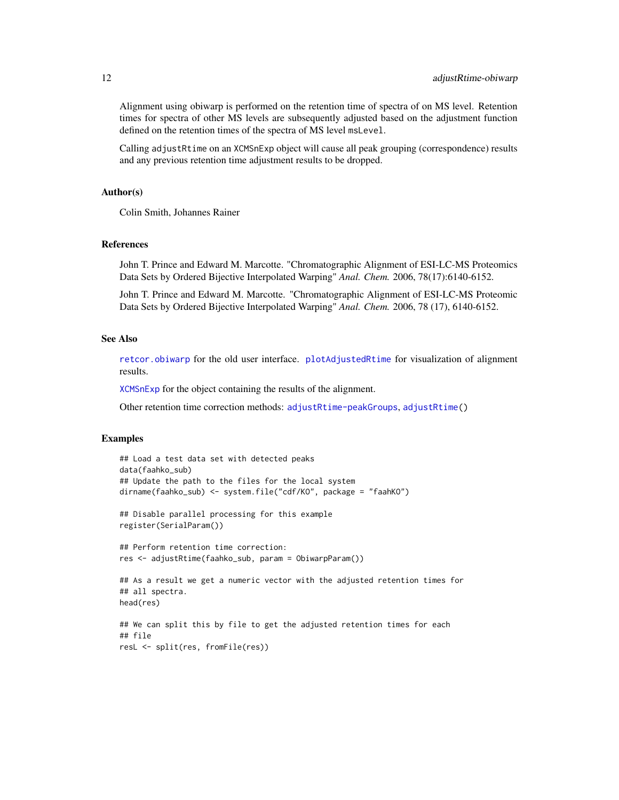Alignment using obiwarp is performed on the retention time of spectra of on MS level. Retention times for spectra of other MS levels are subsequently adjusted based on the adjustment function defined on the retention times of the spectra of MS level msLevel.

Calling adjustRtime on an XCMSnExp object will cause all peak grouping (correspondence) results and any previous retention time adjustment results to be dropped.

#### Author(s)

Colin Smith, Johannes Rainer

#### References

John T. Prince and Edward M. Marcotte. "Chromatographic Alignment of ESI-LC-MS Proteomics Data Sets by Ordered Bijective Interpolated Warping" *Anal. Chem.* 2006, 78(17):6140-6152.

John T. Prince and Edward M. Marcotte. "Chromatographic Alignment of ESI-LC-MS Proteomic Data Sets by Ordered Bijective Interpolated Warping" *Anal. Chem.* 2006, 78 (17), 6140-6152.

#### See Also

[retcor.obiwarp](#page-231-1) for the old user interface. [plotAdjustedRtime](#page-198-1) for visualization of alignment results.

[XCMSnExp](#page-269-1) for the object containing the results of the alignment.

Other retention time correction methods: [adjustRtime-peakGroups](#page-12-1), [adjustRtime\(](#page-6-2))

#### Examples

```
## Load a test data set with detected peaks
data(faahko_sub)
## Update the path to the files for the local system
dirname(faahko_sub) <- system.file("cdf/KO", package = "faahKO")
## Disable parallel processing for this example
register(SerialParam())
## Perform retention time correction:
res <- adjustRtime(faahko_sub, param = ObiwarpParam())
## As a result we get a numeric vector with the adjusted retention times for
## all spectra.
head(res)
## We can split this by file to get the adjusted retention times for each
## file
resL <- split(res, fromFile(res))
```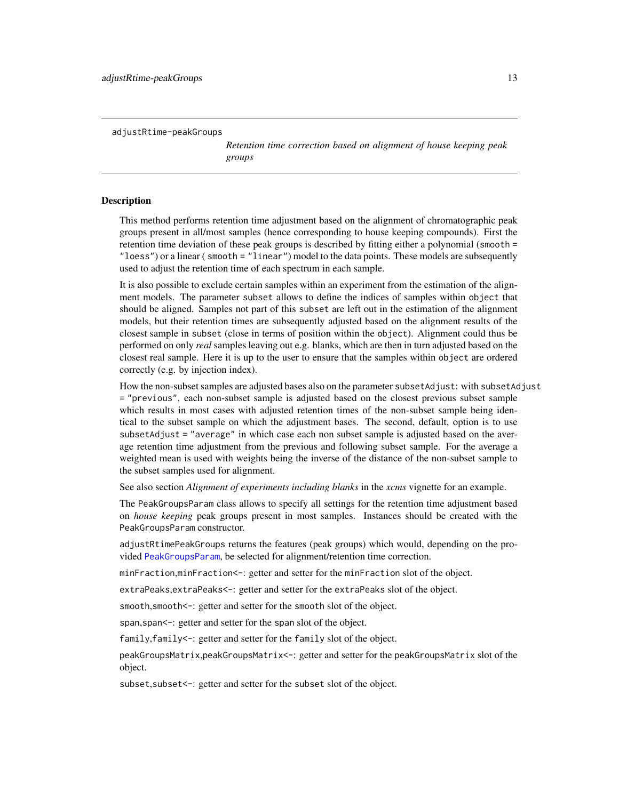<span id="page-12-1"></span><span id="page-12-0"></span>adjustRtime-peakGroups

*Retention time correction based on alignment of house keeping peak groups*

#### <span id="page-12-2"></span>Description

This method performs retention time adjustment based on the alignment of chromatographic peak groups present in all/most samples (hence corresponding to house keeping compounds). First the retention time deviation of these peak groups is described by fitting either a polynomial (smooth = "loess") or a linear ( smooth = "linear") model to the data points. These models are subsequently used to adjust the retention time of each spectrum in each sample.

It is also possible to exclude certain samples within an experiment from the estimation of the alignment models. The parameter subset allows to define the indices of samples within object that should be aligned. Samples not part of this subset are left out in the estimation of the alignment models, but their retention times are subsequently adjusted based on the alignment results of the closest sample in subset (close in terms of position within the object). Alignment could thus be performed on only *real* samples leaving out e.g. blanks, which are then in turn adjusted based on the closest real sample. Here it is up to the user to ensure that the samples within object are ordered correctly (e.g. by injection index).

How the non-subset samples are adjusted bases also on the parameter subsetAdjust: with subsetAdjust = "previous", each non-subset sample is adjusted based on the closest previous subset sample which results in most cases with adjusted retention times of the non-subset sample being identical to the subset sample on which the adjustment bases. The second, default, option is to use subsetAdjust = "average" in which case each non subset sample is adjusted based on the average retention time adjustment from the previous and following subset sample. For the average a weighted mean is used with weights being the inverse of the distance of the non-subset sample to the subset samples used for alignment.

See also section *Alignment of experiments including blanks* in the *xcms* vignette for an example.

The PeakGroupsParam class allows to specify all settings for the retention time adjustment based on *house keeping* peak groups present in most samples. Instances should be created with the PeakGroupsParam constructor.

adjustRtimePeakGroups returns the features (peak groups) which would, depending on the provided [PeakGroupsParam](#page-12-2), be selected for alignment/retention time correction.

minFraction,minFraction<-: getter and setter for the minFraction slot of the object.

extraPeaks,extraPeaks<-: getter and setter for the extraPeaks slot of the object.

smooth, smooth<-: getter and setter for the smooth slot of the object.

span, span<-: getter and setter for the span slot of the object.

family, family<-: getter and setter for the family slot of the object.

peakGroupsMatrix,peakGroupsMatrix<-: getter and setter for the peakGroupsMatrix slot of the object.

subset, subset <-: getter and setter for the subset slot of the object.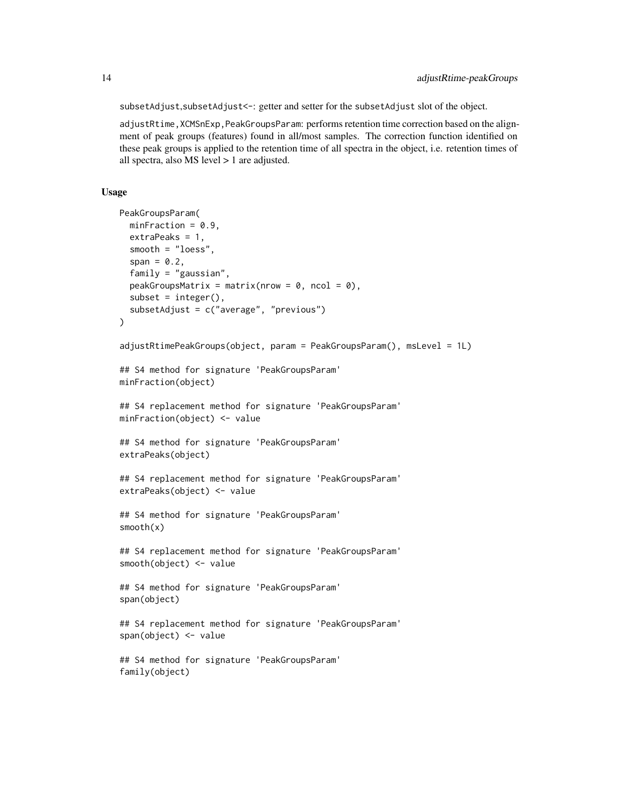subsetAdjust, subsetAdjust <-: getter and setter for the subsetAdjust slot of the object.

adjustRtime,XCMSnExp,PeakGroupsParam: performs retention time correction based on the alignment of peak groups (features) found in all/most samples. The correction function identified on these peak groups is applied to the retention time of all spectra in the object, i.e. retention times of all spectra, also MS level > 1 are adjusted.

#### Usage

```
PeakGroupsParam(
 minFraction = 0.9,
  ext{raPeaks} = 1,
  smooth = "loess",
  span = 0.2,
  family = "gaussian",
  peakGroupsMatrix = matrix(nrow = 0, ncol = 0),
  subset = integer(),
  subsetAdjust = c("average", "previous")
)
adjustRtimePeakGroups(object, param = PeakGroupsParam(), msLevel = 1L)
## S4 method for signature 'PeakGroupsParam'
minFraction(object)
## S4 replacement method for signature 'PeakGroupsParam'
minFraction(object) <- value
## S4 method for signature 'PeakGroupsParam'
extraPeaks(object)
## S4 replacement method for signature 'PeakGroupsParam'
extraPeaks(object) <- value
## S4 method for signature 'PeakGroupsParam'
smooth(x)
## S4 replacement method for signature 'PeakGroupsParam'
smooth(object) <- value
## S4 method for signature 'PeakGroupsParam'
span(object)
## S4 replacement method for signature 'PeakGroupsParam'
span(object) <- value
## S4 method for signature 'PeakGroupsParam'
family(object)
```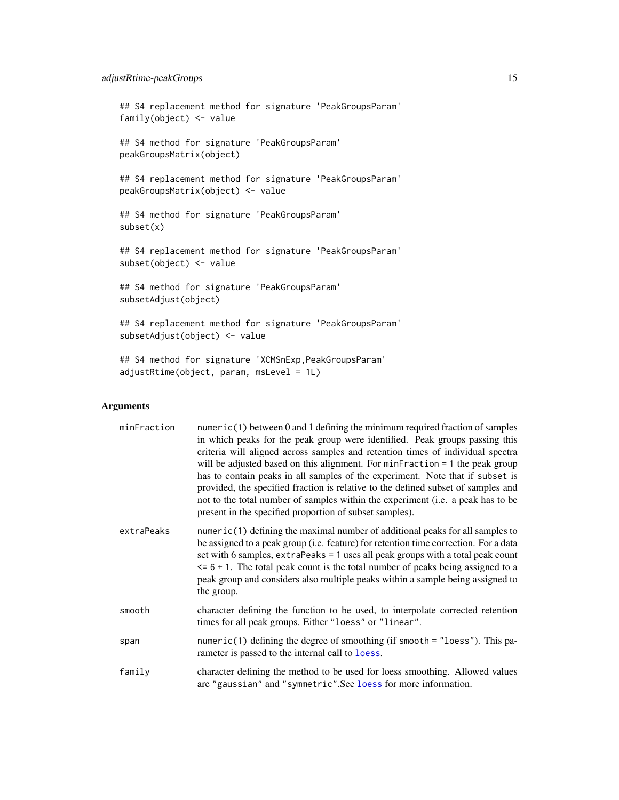```
## S4 replacement method for signature 'PeakGroupsParam'
family(object) <- value
## S4 method for signature 'PeakGroupsParam'
peakGroupsMatrix(object)
## S4 replacement method for signature 'PeakGroupsParam'
peakGroupsMatrix(object) <- value
## S4 method for signature 'PeakGroupsParam'
subset(x)
## S4 replacement method for signature 'PeakGroupsParam'
subset(object) <- value
## S4 method for signature 'PeakGroupsParam'
subsetAdjust(object)
## S4 replacement method for signature 'PeakGroupsParam'
subsetAdjust(object) <- value
## S4 method for signature 'XCMSnExp,PeakGroupsParam'
adjustRtime(object, param, msLevel = 1L)
```
#### Arguments

| minFraction | $numeric(1)$ between 0 and 1 defining the minimum required fraction of samples<br>in which peaks for the peak group were identified. Peak groups passing this<br>criteria will aligned across samples and retention times of individual spectra<br>will be adjusted based on this alignment. For $minFraction = 1$ the peak group<br>has to contain peaks in all samples of the experiment. Note that if subset is<br>provided, the specified fraction is relative to the defined subset of samples and<br>not to the total number of samples within the experiment (i.e. a peak has to be<br>present in the specified proportion of subset samples). |
|-------------|-------------------------------------------------------------------------------------------------------------------------------------------------------------------------------------------------------------------------------------------------------------------------------------------------------------------------------------------------------------------------------------------------------------------------------------------------------------------------------------------------------------------------------------------------------------------------------------------------------------------------------------------------------|
| extraPeaks  | numeric(1) defining the maximal number of additional peaks for all samples to<br>be assigned to a peak group (i.e. feature) for retention time correction. For a data<br>set with 6 samples, extraPeaks = 1 uses all peak groups with a total peak count<br>$\leq$ 6 + 1. The total peak count is the total number of peaks being assigned to a<br>peak group and considers also multiple peaks within a sample being assigned to<br>the group.                                                                                                                                                                                                       |
| smooth      | character defining the function to be used, to interpolate corrected retention<br>times for all peak groups. Either "loess" or "linear".                                                                                                                                                                                                                                                                                                                                                                                                                                                                                                              |
| span        | numeric(1) defining the degree of smoothing (if smooth = "loess"). This pa-<br>rameter is passed to the internal call to loess.                                                                                                                                                                                                                                                                                                                                                                                                                                                                                                                       |
| family      | character defining the method to be used for loess smoothing. Allowed values<br>are "gaussian" and "symmetric". See loess for more information.                                                                                                                                                                                                                                                                                                                                                                                                                                                                                                       |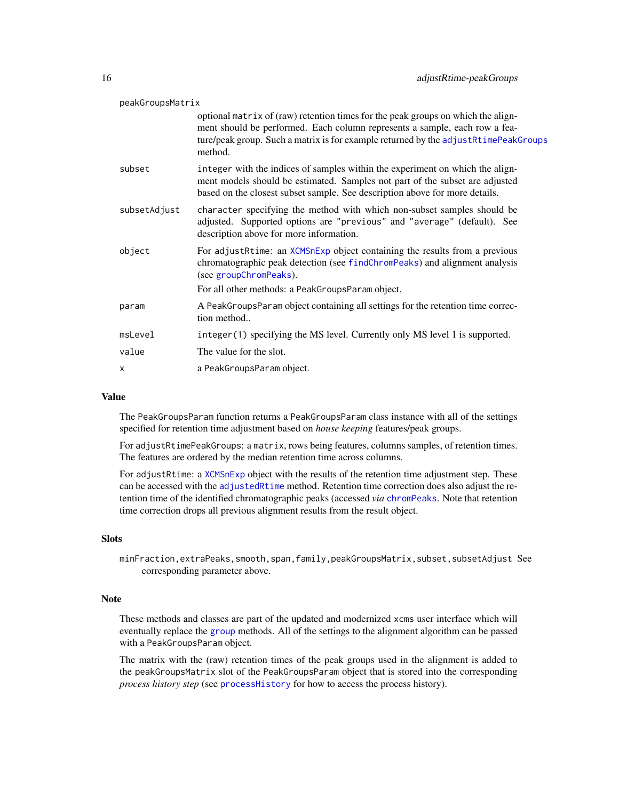| peakGroupsMatrix |                                                                                                                                                                                                                                                                  |
|------------------|------------------------------------------------------------------------------------------------------------------------------------------------------------------------------------------------------------------------------------------------------------------|
|                  | optional matrix of (raw) retention times for the peak groups on which the align-<br>ment should be performed. Each column represents a sample, each row a fea-<br>ture/peak group. Such a matrix is for example returned by the adjustRtimePeakGroups<br>method. |
| subset           | integer with the indices of samples within the experiment on which the align-<br>ment models should be estimated. Samples not part of the subset are adjusted<br>based on the closest subset sample. See description above for more details.                     |
| subsetAdjust     | character specifying the method with which non-subset samples should be<br>adjusted. Supported options are "previous" and "average" (default). See<br>description above for more information.                                                                    |
| object           | For adjustRtime: an XCMSnExp object containing the results from a previous<br>chromatographic peak detection (see findChromPeaks) and alignment analysis<br>(see groupChromPeaks).                                                                               |
|                  | For all other methods: a PeakGroupsParam object.                                                                                                                                                                                                                 |
| param            | A PeakGroupsParam object containing all settings for the retention time correc-<br>tion method                                                                                                                                                                   |
| msLevel          | integer (1) specifying the MS level. Currently only MS level 1 is supported.                                                                                                                                                                                     |
| value            | The value for the slot.                                                                                                                                                                                                                                          |
| X                | a PeakGroupsParam object.                                                                                                                                                                                                                                        |

#### Value

The PeakGroupsParam function returns a PeakGroupsParam class instance with all of the settings specified for retention time adjustment based on *house keeping* features/peak groups.

For adjustRtimePeakGroups: a matrix, rows being features, columns samples, of retention times. The features are ordered by the median retention time across columns.

For adjustRtime: a [XCMSnExp](#page-269-1) object with the results of the retention time adjustment step. These can be accessed with the [adjustedRtime](#page-269-1) method. Retention time correction does also adjust the retention time of the identified chromatographic peaks (accessed *via* [chromPeaks](#page-269-1). Note that retention time correction drops all previous alignment results from the result object.

#### **Slots**

minFraction,extraPeaks,smooth,span,family,peakGroupsMatrix,subset,subsetAdjust See corresponding parameter above.

#### Note

These methods and classes are part of the updated and modernized xcms user interface which will eventually replace the [group](#page-150-1) methods. All of the settings to the alignment algorithm can be passed with a PeakGroupsParam object.

The matrix with the (raw) retention times of the peak groups used in the alignment is added to the peakGroupsMatrix slot of the PeakGroupsParam object that is stored into the corresponding *process history step* (see [processHistory](#page-269-1) for how to access the process history).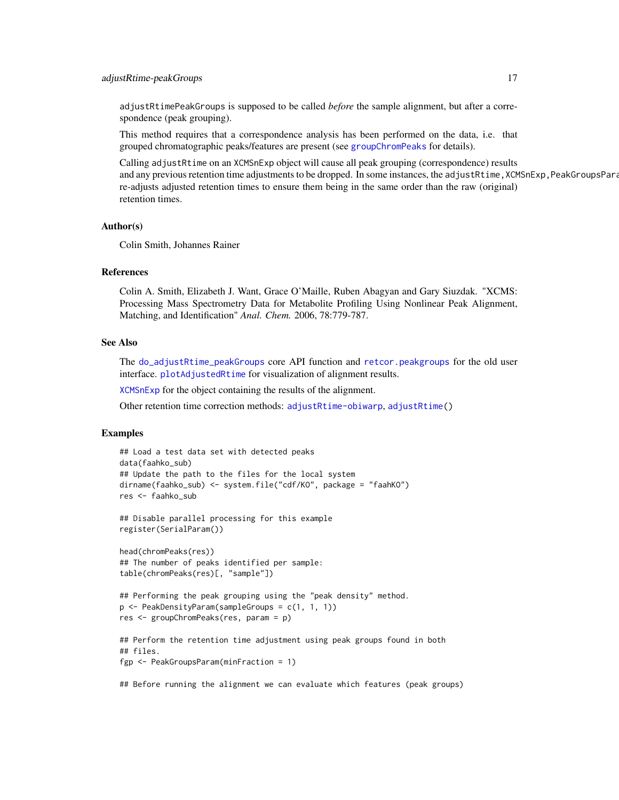#### adjustRtime-peakGroups 17

adjustRtimePeakGroups is supposed to be called *before* the sample alignment, but after a correspondence (peak grouping).

This method requires that a correspondence analysis has been performed on the data, i.e. that grouped chromatographic peaks/features are present (see [groupChromPeaks](#page-154-1) for details).

Calling adjustRtime on an XCMSnExp object will cause all peak grouping (correspondence) results and any previous retention time adjustments to be dropped. In some instances, the adjustRtime, XCMSnExp, PeakGroupsPara re-adjusts adjusted retention times to ensure them being in the same order than the raw (original) retention times.

#### Author(s)

Colin Smith, Johannes Rainer

#### References

Colin A. Smith, Elizabeth J. Want, Grace O'Maille, Ruben Abagyan and Gary Siuzdak. "XCMS: Processing Mass Spectrometry Data for Metabolite Profiling Using Nonlinear Peak Alignment, Matching, and Identification" *Anal. Chem.* 2006, 78:779-787.

#### See Also

The [do\\_adjustRtime\\_peakGroups](#page-44-1) core API function and [retcor.peakgroups](#page-233-1) for the old user interface. [plotAdjustedRtime](#page-198-1) for visualization of alignment results.

[XCMSnExp](#page-269-1) for the object containing the results of the alignment.

Other retention time correction methods: [adjustRtime-obiwarp](#page-6-1), [adjustRtime\(](#page-6-2))

#### Examples

```
## Load a test data set with detected peaks
data(faahko_sub)
## Update the path to the files for the local system
dirname(faahko_sub) <- system.file("cdf/KO", package = "faahKO")
res <- faahko_sub
## Disable parallel processing for this example
register(SerialParam())
head(chromPeaks(res))
## The number of peaks identified per sample:
table(chromPeaks(res)[, "sample"])
## Performing the peak grouping using the "peak density" method.
p <- PeakDensityParam(sampleGroups = c(1, 1, 1))
res <- groupChromPeaks(res, param = p)
## Perform the retention time adjustment using peak groups found in both
## files.
fgp <- PeakGroupsParam(minFraction = 1)
```
## Before running the alignment we can evaluate which features (peak groups)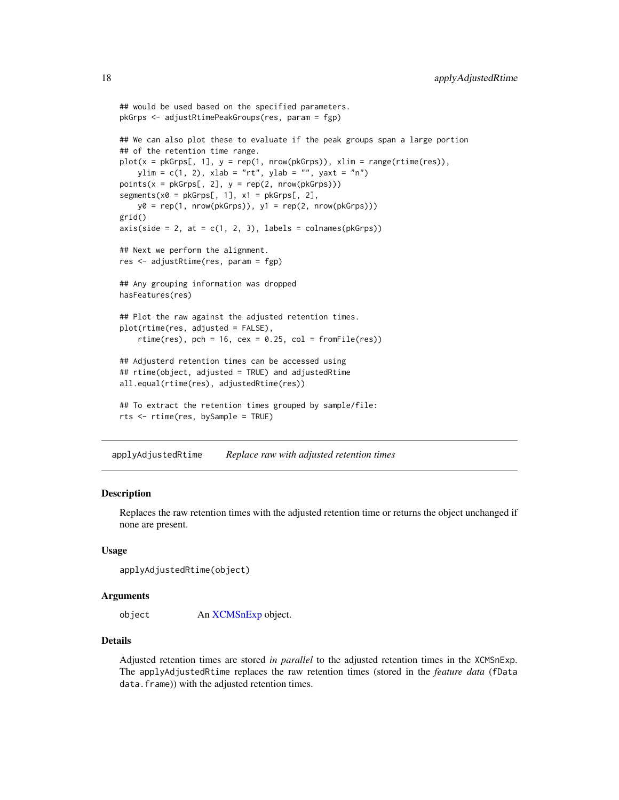```
## would be used based on the specified parameters.
pkGrps <- adjustRtimePeakGroups(res, param = fgp)
## We can also plot these to evaluate if the peak groups span a large portion
## of the retention time range.
plot(x = pkGrps[, 1], y = rep(1, nrow(pkGrps)), xlim = range(rtime(res)),ylim = c(1, 2), xlab = "rt", ylab = "", yaxt = "n")points(x = pkGrps[, 2], y = rep(2, nrow(pkGrps)))segments(x0 = pkGrps[, 1], x1 = pkGrps[, 2],y0 = rep(1, nrow(pkGrps)), y1 = rep(2, nrow(pkGrps)))grid()
axis(side = 2, at = c(1, 2, 3), labels = colnames(pkGrps))## Next we perform the alignment.
res <- adjustRtime(res, param = fgp)
## Any grouping information was dropped
hasFeatures(res)
## Plot the raw against the adjusted retention times.
plot(rtime(res, adjusted = FALSE),
    rtime(res), pch = 16, cex = 0.25, col = fromFile(res))
## Adjusterd retention times can be accessed using
## rtime(object, adjusted = TRUE) and adjustedRtime
all.equal(rtime(res), adjustedRtime(res))
## To extract the retention times grouped by sample/file:
rts <- rtime(res, bySample = TRUE)
```
applyAdjustedRtime *Replace raw with adjusted retention times*

#### **Description**

Replaces the raw retention times with the adjusted retention time or returns the object unchanged if none are present.

#### Usage

```
applyAdjustedRtime(object)
```
#### Arguments

object An [XCMSnExp](#page-269-1) object.

#### Details

Adjusted retention times are stored *in parallel* to the adjusted retention times in the XCMSnExp. The applyAdjustedRtime replaces the raw retention times (stored in the *feature data* (fData data.frame)) with the adjusted retention times.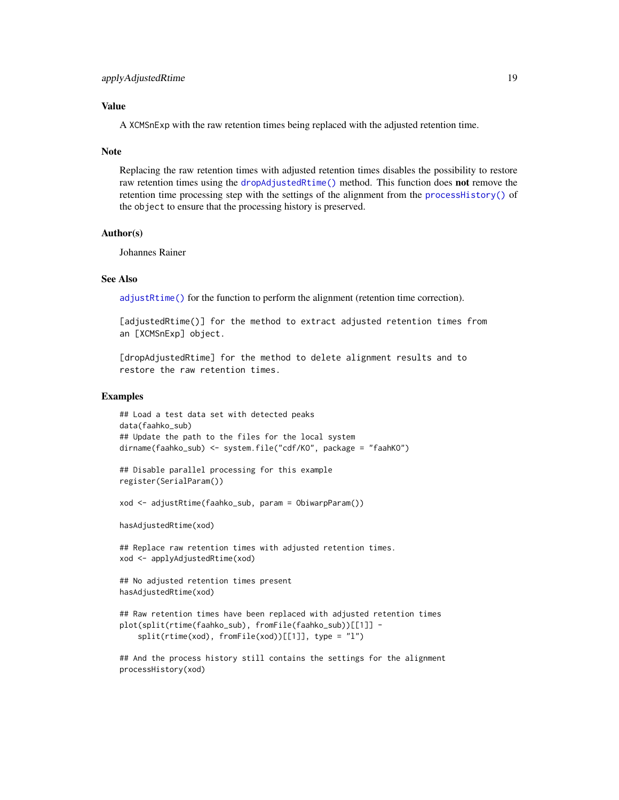#### Value

A XCMSnExp with the raw retention times being replaced with the adjusted retention time.

#### Note

Replacing the raw retention times with adjusted retention times disables the possibility to restore raw retention times using the [dropAdjustedRtime\(\)](#page-269-1) method. This function does not remove the retention time processing step with the settings of the alignment from the [processHistory\(\)](#page-269-1) of the object to ensure that the processing history is preserved.

#### Author(s)

Johannes Rainer

#### See Also

[adjustRtime\(\)](#page-6-2) for the function to perform the alignment (retention time correction).

[adjustedRtime()] for the method to extract adjusted retention times from an [XCMSnExp] object.

[dropAdjustedRtime] for the method to delete alignment results and to restore the raw retention times.

#### Examples

```
## Load a test data set with detected peaks
data(faahko_sub)
## Update the path to the files for the local system
dirname(faahko_sub) <- system.file("cdf/KO", package = "faahKO")
## Disable parallel processing for this example
register(SerialParam())
xod <- adjustRtime(faahko_sub, param = ObiwarpParam())
hasAdjustedRtime(xod)
## Replace raw retention times with adjusted retention times.
xod <- applyAdjustedRtime(xod)
## No adjusted retention times present
hasAdjustedRtime(xod)
## Raw retention times have been replaced with adjusted retention times
plot(split(rtime(faahko_sub), fromFile(faahko_sub))[[1]] -
    split(rtime(xod), fromFile(xod))[[1]], type = "l")
```
## And the process history still contains the settings for the alignment processHistory(xod)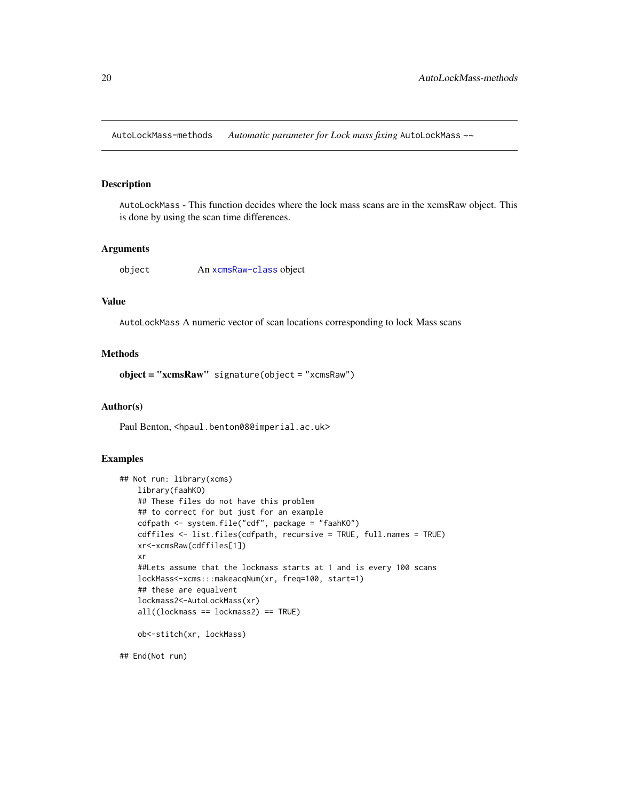<span id="page-19-0"></span>AutoLockMass-methods *Automatic parameter for Lock mass fixing* AutoLockMass *~~*

#### Description

AutoLockMass - This function decides where the lock mass scans are in the xcmsRaw object. This is done by using the scan time differences.

#### Arguments

object An [xcmsRaw-class](#page-283-1) object

#### Value

AutoLockMass A numeric vector of scan locations corresponding to lock Mass scans

#### Methods

object = "xcmsRaw" signature(object = "xcmsRaw")

#### Author(s)

Paul Benton, <hpaul.benton08@imperial.ac.uk>

#### Examples

```
## Not run: library(xcms)
   library(faahKO)
   ## These files do not have this problem
   ## to correct for but just for an example
   cdfpath <- system.file("cdf", package = "faahKO")
   cdffiles <- list.files(cdfpath, recursive = TRUE, full.names = TRUE)
   xr<-xcmsRaw(cdffiles[1])
   xr
   ##Lets assume that the lockmass starts at 1 and is every 100 scans
   lockMass<-xcms:::makeacqNum(xr, freq=100, start=1)
   ## these are equalvent
   lockmass2<-AutoLockMass(xr)
   all((lockmass == lockmass2) == TRUE)
   ob<-stitch(xr, lockMass)
```
## End(Not run)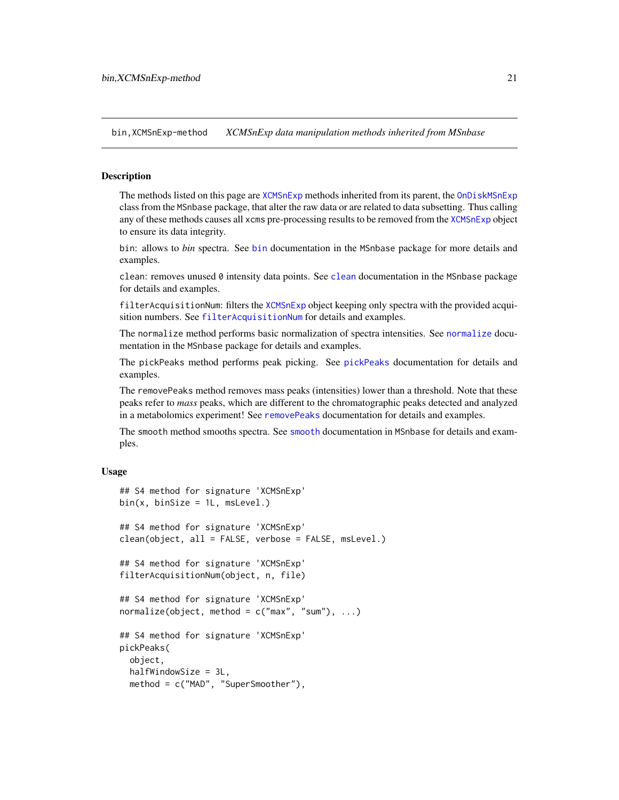<span id="page-20-0"></span>bin,XCMSnExp-method *XCMSnExp data manipulation methods inherited from MSnbase*

#### Description

The methods listed on this page are [XCMSnExp](#page-269-1) methods inherited from its parent, the [OnDiskMSnExp](#page-0-0) class from the MSnbase package, that alter the raw data or are related to data subsetting. Thus calling any of these methods causes all xcms pre-processing results to be removed from the [XCMSnExp](#page-269-1) object to ensure its data integrity.

bin: allows to *bin* spectra. See [bin](#page-0-0) documentation in the MSnbase package for more details and examples.

clean: removes unused 0 intensity data points. See [clean](#page-0-0) documentation in the MSnbase package for details and examples.

filterAcquisitionNum: filters the [XCMSnExp](#page-269-1) object keeping only spectra with the provided acquisition numbers. See [filterAcquisitionNum](#page-0-0) for details and examples.

The normalize method performs basic normalization of spectra intensities. See [normalize](#page-0-0) documentation in the MSnbase package for details and examples.

The pickPeaks method performs peak picking. See [pickPeaks](#page-0-0) documentation for details and examples.

The removePeaks method removes mass peaks (intensities) lower than a threshold. Note that these peaks refer to *mass* peaks, which are different to the chromatographic peaks detected and analyzed in a metabolomics experiment! See [removePeaks](#page-0-0) documentation for details and examples.

The smooth method smooths spectra. See [smooth](#page-12-2) documentation in MSnbase for details and examples.

#### Usage

```
## S4 method for signature 'XCMSnExp'
bin(x, binSize = 1L, msleepel.)## S4 method for signature 'XCMSnExp'
clean(object, all = FALSE, verbose = FALSE, msLevel.)
## S4 method for signature 'XCMSnExp'
filterAcquisitionNum(object, n, file)
## S4 method for signature 'XCMSnExp'
normalize(object, method = c("max", "sum"), ...)## S4 method for signature 'XCMSnExp'
pickPeaks(
  object,
  halfWindowSize = 3L,
  method = c("MAD", "SuperSmoother"),
```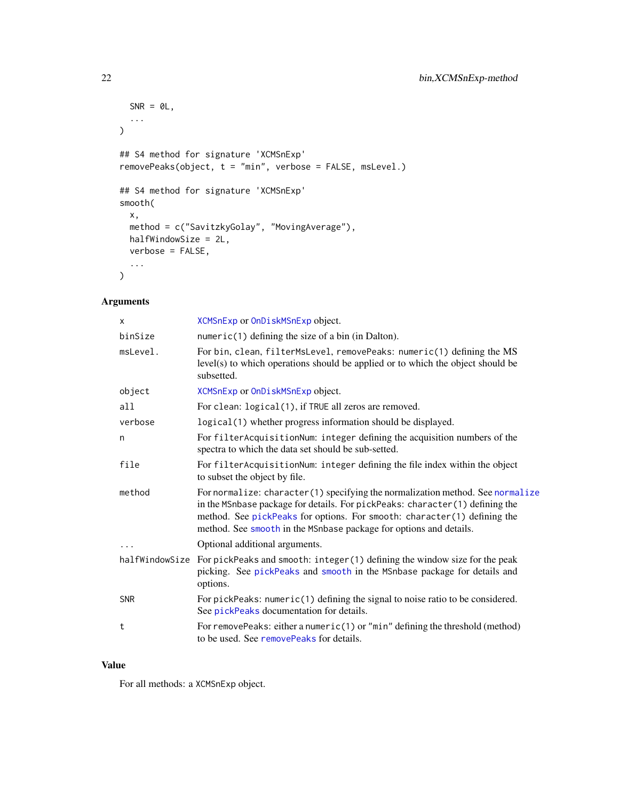```
SNR = 0L,...
\mathcal{L}## S4 method for signature 'XCMSnExp'
removePeaks(object, t = "min", verbose = FALSE, msLevel.)
## S4 method for signature 'XCMSnExp'
smooth(
 x,
 method = c("SavitzkyGolay", "MovingAverage"),
 halfWindowSize = 2L,
 verbose = FALSE,
  ...
\mathcal{L}
```
#### Arguments

| X          | XCMSnExp or OnDiskMSnExp object.                                                                                                                                                                                                                                                                                 |
|------------|------------------------------------------------------------------------------------------------------------------------------------------------------------------------------------------------------------------------------------------------------------------------------------------------------------------|
| binSize    | $numeric(1) defining the size of a bin (in Dalton).$                                                                                                                                                                                                                                                             |
| msLevel.   | For bin, clean, filterMsLevel, removePeaks: numeric(1) defining the MS<br>level(s) to which operations should be applied or to which the object should be<br>subsetted.                                                                                                                                          |
| object     | XCMSnExp or OnDiskMSnExp object.                                                                                                                                                                                                                                                                                 |
| all        | For clean: logical(1), if TRUE all zeros are removed.                                                                                                                                                                                                                                                            |
| verbose    | logical(1) whether progress information should be displayed.                                                                                                                                                                                                                                                     |
| n          | For filterAcquisitionNum: integer defining the acquisition numbers of the<br>spectra to which the data set should be sub-setted.                                                                                                                                                                                 |
| file       | For filterAcquisitionNum: integer defining the file index within the object<br>to subset the object by file.                                                                                                                                                                                                     |
| method     | For normalize: character(1) specifying the normalization method. See normalize<br>in the MSnbase package for details. For pickPeaks: character(1) defining the<br>method. See pickPeaks for options. For smooth: character(1) defining the<br>method. See smooth in the MSnbase package for options and details. |
|            | Optional additional arguments.                                                                                                                                                                                                                                                                                   |
|            | halfWindowSize For pickPeaks and smooth: integer(1) defining the window size for the peak<br>picking. See pickPeaks and smooth in the MSnbase package for details and<br>options.                                                                                                                                |
| <b>SNR</b> | For pickPeaks: $numeric(1)$ defining the signal to noise ratio to be considered.<br>See pickPeaks documentation for details.                                                                                                                                                                                     |
| t          | For removePeaks: either a numeric(1) or "min" defining the threshold (method)<br>to be used. See remove Peaks for details.                                                                                                                                                                                       |

#### Value

For all methods: a XCMSnExp object.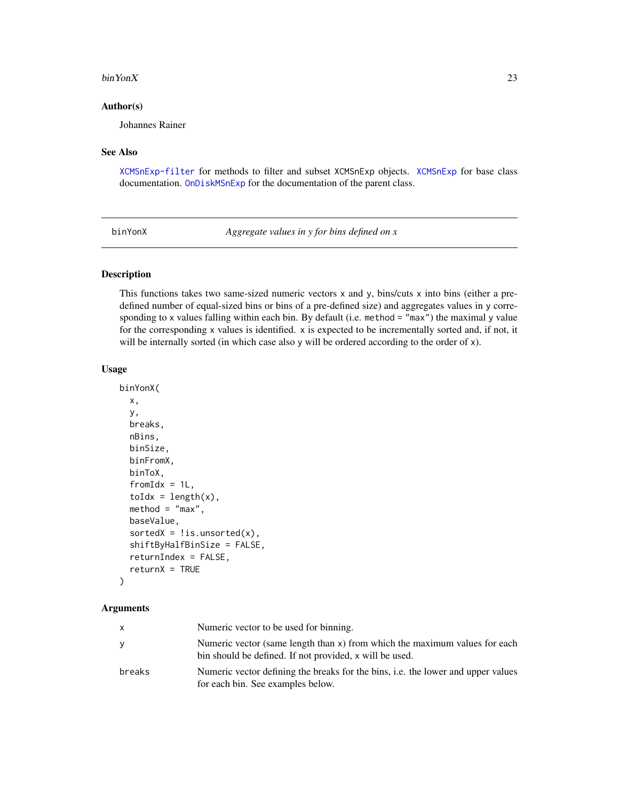#### <span id="page-22-0"></span> $\binom{1}{1}$  binYonX 23

#### Author(s)

Johannes Rainer

#### See Also

[XCMSnExp-filter](#page-89-1) for methods to filter and subset XCMSnExp objects. [XCMSnExp](#page-269-1) for base class documentation. [OnDiskMSnExp](#page-0-0) for the documentation of the parent class.

<span id="page-22-1"></span>binYonX *Aggregate values in y for bins defined on x*

#### Description

This functions takes two same-sized numeric vectors  $x$  and  $y$ , bins/cuts  $x$  into bins (either a predefined number of equal-sized bins or bins of a pre-defined size) and aggregates values in y corresponding to x values falling within each bin. By default (i.e. method = "max") the maximal y value for the corresponding x values is identified. x is expected to be incrementally sorted and, if not, it will be internally sorted (in which case also y will be ordered according to the order of x).

#### Usage

```
binYonX(
  x,
 y,
 breaks,
 nBins,
 binSize,
 binFromX,
 binToX,
  fromIdx = 1L,
  tolx = length(x),
  method = "max",baseValue,
  sortedX = !is.unsorted(x),shiftByHalfBinSize = FALSE,
  returnIndex = FALSE,
  returnX = TRUE
)
```
#### **Arguments**

| X      | Numeric vector to be used for binning.                                                                                                |
|--------|---------------------------------------------------------------------------------------------------------------------------------------|
| У      | Numeric vector (same length than x) from which the maximum values for each<br>bin should be defined. If not provided, x will be used. |
| breaks | Numeric vector defining the breaks for the bins, <i>i.e.</i> the lower and upper values<br>for each bin. See examples below.          |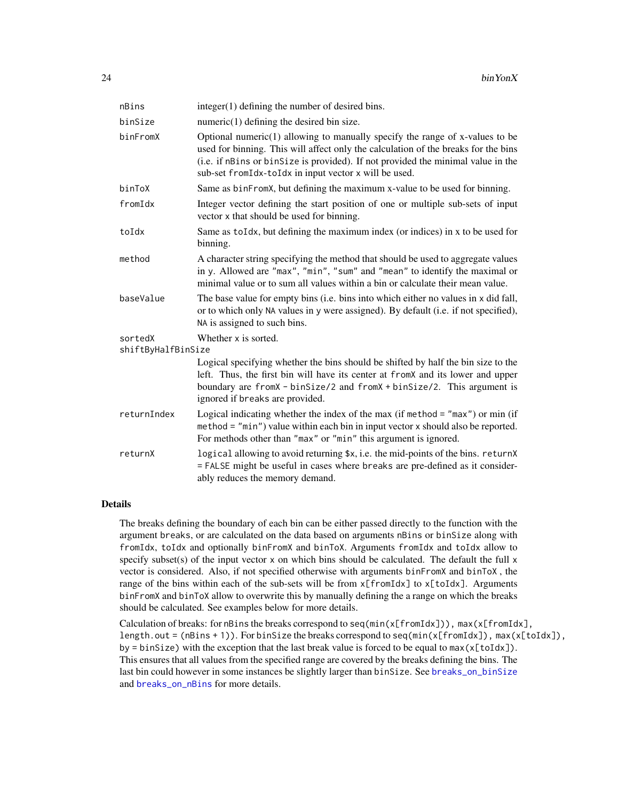| nBins              | $integer(1)$ defining the number of desired bins.                                                                                                                                                                                                                                                                    |
|--------------------|----------------------------------------------------------------------------------------------------------------------------------------------------------------------------------------------------------------------------------------------------------------------------------------------------------------------|
| binSize            | $numeric(1) defining the desired bin size.$                                                                                                                                                                                                                                                                          |
| binFromX           | Optional numeric $(1)$ allowing to manually specify the range of x-values to be<br>used for binning. This will affect only the calculation of the breaks for the bins<br>(i.e. if nBins or binSize is provided). If not provided the minimal value in the<br>sub-set from Idx-to Idx in input vector x will be used. |
| binToX             | Same as binFromX, but defining the maximum x-value to be used for binning.                                                                                                                                                                                                                                           |
| fromIdx            | Integer vector defining the start position of one or multiple sub-sets of input<br>vector x that should be used for binning.                                                                                                                                                                                         |
| toIdx              | Same as to Idx, but defining the maximum index (or indices) in x to be used for<br>binning.                                                                                                                                                                                                                          |
| method             | A character string specifying the method that should be used to aggregate values<br>in y. Allowed are "max", "min", "sum" and "mean" to identify the maximal or<br>minimal value or to sum all values within a bin or calculate their mean value.                                                                    |
| baseValue          | The base value for empty bins (i.e. bins into which either no values in x did fall,<br>or to which only NA values in y were assigned). By default (i.e. if not specified),<br>NA is assigned to such bins.                                                                                                           |
| sortedX            | Whether x is sorted.                                                                                                                                                                                                                                                                                                 |
| shiftByHalfBinSize |                                                                                                                                                                                                                                                                                                                      |
|                    | Logical specifying whether the bins should be shifted by half the bin size to the<br>left. Thus, the first bin will have its center at fromX and its lower and upper<br>boundary are fromX - binSize/2 and fromX + binSize/2. This argument is<br>ignored if breaks are provided.                                    |
| returnIndex        | Logical indicating whether the index of the max (if method $=$ "max") or min (if<br>method = "min") value within each bin in input vector x should also be reported.<br>For methods other than "max" or "min" this argument is ignored.                                                                              |
| returnX            | logical allowing to avoid returning \$x, i.e. the mid-points of the bins. returnX<br>= FALSE might be useful in cases where breaks are pre-defined as it consider-<br>ably reduces the memory demand.                                                                                                                |

#### Details

The breaks defining the boundary of each bin can be either passed directly to the function with the argument breaks, or are calculated on the data based on arguments nBins or binSize along with fromIdx, toIdx and optionally binFromX and binToX. Arguments fromIdx and toIdx allow to specify subset(s) of the input vector  $x$  on which bins should be calculated. The default the full  $x$ vector is considered. Also, if not specified otherwise with arguments binFromX and binToX , the range of the bins within each of the sub-sets will be from x[fromIdx] to x[toIdx]. Arguments binFromX and binToX allow to overwrite this by manually defining the a range on which the breaks should be calculated. See examples below for more details.

Calculation of breaks: for nBins the breaks correspond to seq(min(x[fromIdx])), max(x[fromIdx], length.out = (nBins + 1)). For binSize the breaks correspond to seq(min(x[fromIdx]), max(x[toIdx]), by = binSize) with the exception that the last break value is forced to be equal to  $max(x[tot x])$ . This ensures that all values from the specified range are covered by the breaks defining the bins. The last bin could however in some instances be slightly larger than binSize. See [breaks\\_on\\_binSize](#page-25-1) and [breaks\\_on\\_nBins](#page-27-1) for more details.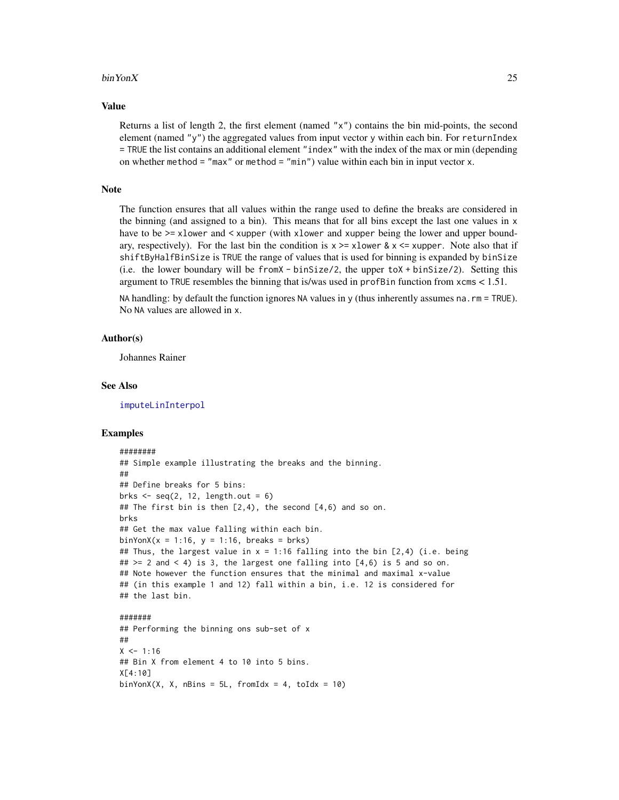#### $\binom{1}{1}$  binYonX 25

#### Value

Returns a list of length 2, the first element (named "x") contains the bin mid-points, the second element (named "y") the aggregated values from input vector y within each bin. For returnIndex = TRUE the list contains an additional element "index" with the index of the max or min (depending on whether method = "max" or method = "min") value within each bin in input vector x.

#### **Note**

The function ensures that all values within the range used to define the breaks are considered in the binning (and assigned to a bin). This means that for all bins except the last one values in  $x$ have to be  $\ge$  = xlower and < xupper (with xlower and xupper being the lower and upper boundary, respectively). For the last bin the condition is  $x \ge x$  lower  $x \le x$  x  $\le x$  xupper. Note also that if shiftByHalfBinSize is TRUE the range of values that is used for binning is expanded by binSize (i.e. the lower boundary will be from  $X - binSize/2$ , the upper to  $X + binSize/2$ ). Setting this argument to TRUE resembles the binning that is/was used in profBin function from xcms < 1.51.

NA handling: by default the function ignores NA values in y (thus inherently assumes na.  $rm = TRUE$ ). No NA values are allowed in x.

#### Author(s)

Johannes Rainer

#### See Also

[imputeLinInterpol](#page-177-1)

#### Examples

```
########
## Simple example illustrating the breaks and the binning.
##
## Define breaks for 5 bins:
brks \leq seq(2, 12, length.out = 6)
## The first bin is then [2,4), the second [4,6) and so on.
brks
## Get the max value falling within each bin.
binYonX(x = 1:16, y = 1:16, breaks = brks)
## Thus, the largest value in x = 1:16 falling into the bin [2,4) (i.e. being
## >= 2 and < 4) is 3, the largest one falling into [4,6) is 5 and so on.
## Note however the function ensures that the minimal and maximal x-value
## (in this example 1 and 12) fall within a bin, i.e. 12 is considered for
## the last bin.
#######
## Performing the binning ons sub-set of x
##
X < -1:16## Bin X from element 4 to 10 into 5 bins.
X[4:10]
binYonX(X, X, nBins = 5L, fromIdx = 4, toIdx = 10)
```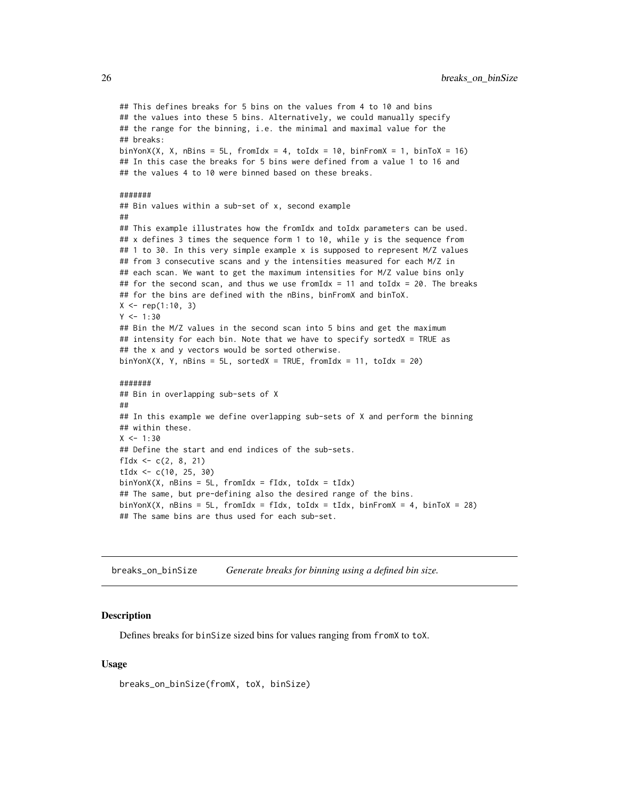```
## This defines breaks for 5 bins on the values from 4 to 10 and bins
## the values into these 5 bins. Alternatively, we could manually specify
## the range for the binning, i.e. the minimal and maximal value for the
## breaks:
binYonX(X, X, nBins = 5L, fromIdx = 4, toIdx = 10, binFromX = 1, binToX = 16)
## In this case the breaks for 5 bins were defined from a value 1 to 16 and
## the values 4 to 10 were binned based on these breaks.
#######
## Bin values within a sub-set of x, second example
##
## This example illustrates how the fromIdx and toIdx parameters can be used.
## x defines 3 times the sequence form 1 to 10, while y is the sequence from
## 1 to 30. In this very simple example x is supposed to represent M/Z values
## from 3 consecutive scans and y the intensities measured for each M/Z in
## each scan. We want to get the maximum intensities for M/Z value bins only
## for the second scan, and thus we use fromIdx = 11 and toIdx = 20. The breaks
## for the bins are defined with the nBins, binFromX and binToX.
X \leq - rep(1:10, 3)
Y < -1:30## Bin the M/Z values in the second scan into 5 bins and get the maximum
## intensity for each bin. Note that we have to specify sortedX = TRUE as
## the x and y vectors would be sorted otherwise.
binYonX(X, Y, nBins = 5L, sortedX = TRUE, fromIdx = 11, toIdx = 20)
#######
## Bin in overlapping sub-sets of X
##
## In this example we define overlapping sub-sets of X and perform the binning
## within these.
X < -1:30## Define the start and end indices of the sub-sets.
fIdx <-c(2, 8, 21)tIdx <-c(10, 25, 30)binYonX(X, nBins = 5L, fromIdx = fIdx, toIdx = tIdx)## The same, but pre-defining also the desired range of the bins.
binYonX(X, nBins = 5L, fromIdx = fIdx, toIdx = tIdx, binFromX = 4, binToX = 28)
## The same bins are thus used for each sub-set.
```
<span id="page-25-1"></span>breaks\_on\_binSize *Generate breaks for binning using a defined bin size.*

#### **Description**

Defines breaks for binSize sized bins for values ranging from fromX to toX.

#### Usage

breaks\_on\_binSize(fromX, toX, binSize)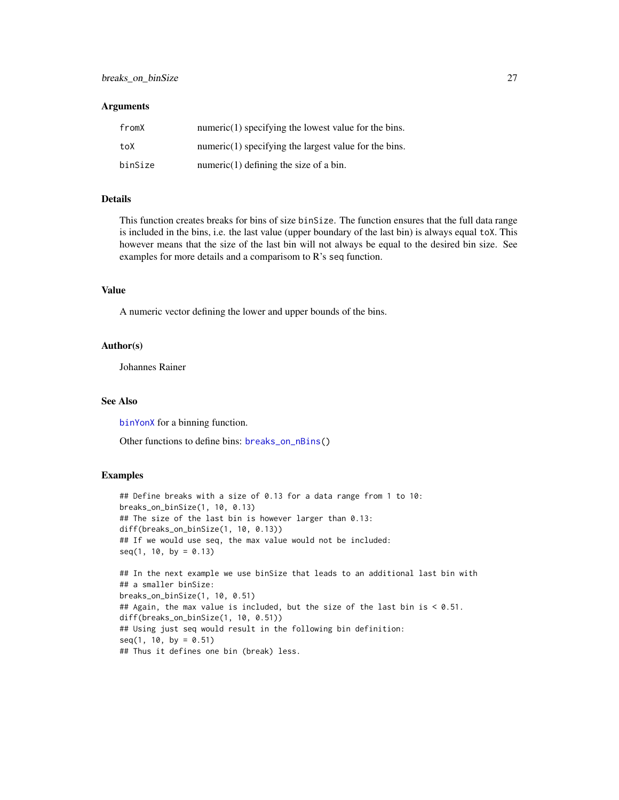#### **Arguments**

| fromX   | $numeric(1) specifying the lowest value for the bins.$  |
|---------|---------------------------------------------------------|
| toX     | $numeric(1) specifying the largest value for the bins.$ |
| binSize | numeric $(1)$ defining the size of a bin.               |

#### Details

This function creates breaks for bins of size binSize. The function ensures that the full data range is included in the bins, i.e. the last value (upper boundary of the last bin) is always equal toX. This however means that the size of the last bin will not always be equal to the desired bin size. See examples for more details and a comparisom to R's seq function.

#### Value

A numeric vector defining the lower and upper bounds of the bins.

#### Author(s)

Johannes Rainer

#### See Also

[binYonX](#page-22-1) for a binning function.

Other functions to define bins: [breaks\\_on\\_nBins\(](#page-27-1))

#### Examples

```
## Define breaks with a size of 0.13 for a data range from 1 to 10:
breaks_on_binSize(1, 10, 0.13)
## The size of the last bin is however larger than 0.13:
diff(breaks_on_binSize(1, 10, 0.13))
## If we would use seq, the max value would not be included:
seq(1, 10, by = 0.13)## In the next example we use binSize that leads to an additional last bin with
## a smaller binSize:
breaks_on_binSize(1, 10, 0.51)
## Again, the max value is included, but the size of the last bin is < 0.51.
diff(breaks_on_binSize(1, 10, 0.51))
## Using just seq would result in the following bin definition:
seq(1, 10, by = 0.51)## Thus it defines one bin (break) less.
```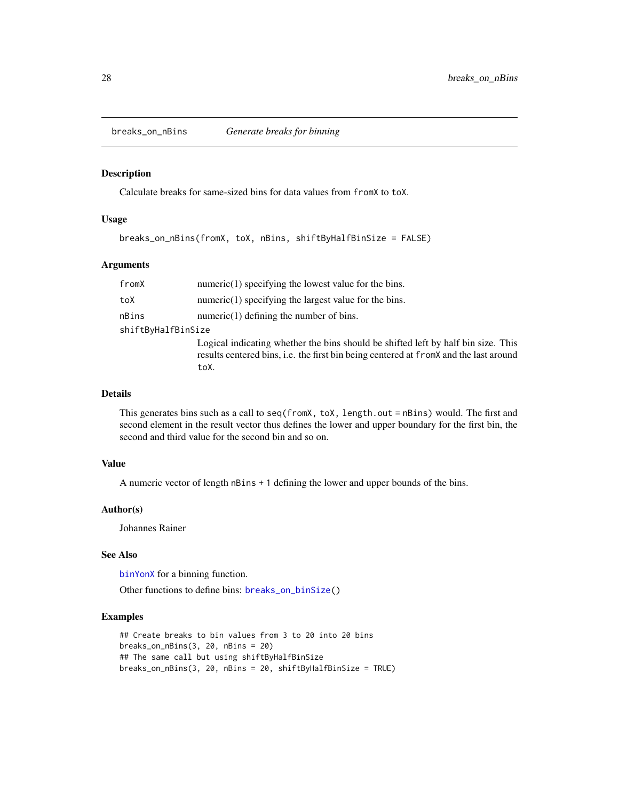<span id="page-27-1"></span><span id="page-27-0"></span>

#### Description

Calculate breaks for same-sized bins for data values from fromX to toX.

#### Usage

```
breaks_on_nBins(fromX, toX, nBins, shiftByHalfBinSize = FALSE)
```
#### Arguments

| fromX              | $numeric(1) specifying the lowest value for the bins.$                                                                                                                              |
|--------------------|-------------------------------------------------------------------------------------------------------------------------------------------------------------------------------------|
| toX                | $numeric(1) specifying the largest value for the bins.$                                                                                                                             |
| nBins              | numeric $(1)$ defining the number of bins.                                                                                                                                          |
| shiftByHalfBinSize |                                                                                                                                                                                     |
|                    | Logical indicating whether the bins should be shifted left by half bin size. This<br>results centered bins, i.e. the first bin being centered at from X and the last around<br>toX. |

#### Details

This generates bins such as a call to seq(fromX, toX, length.out = nBins) would. The first and second element in the result vector thus defines the lower and upper boundary for the first bin, the second and third value for the second bin and so on.

#### Value

A numeric vector of length nBins + 1 defining the lower and upper bounds of the bins.

#### Author(s)

Johannes Rainer

#### See Also

[binYonX](#page-22-1) for a binning function.

Other functions to define bins: [breaks\\_on\\_binSize\(](#page-25-1))

#### Examples

```
## Create breaks to bin values from 3 to 20 into 20 bins
breaks_on_nBins(3, 20, nBins = 20)
## The same call but using shiftByHalfBinSize
breaks_on_nBins(3, 20, nBins = 20, shiftByHalfBinSize = TRUE)
```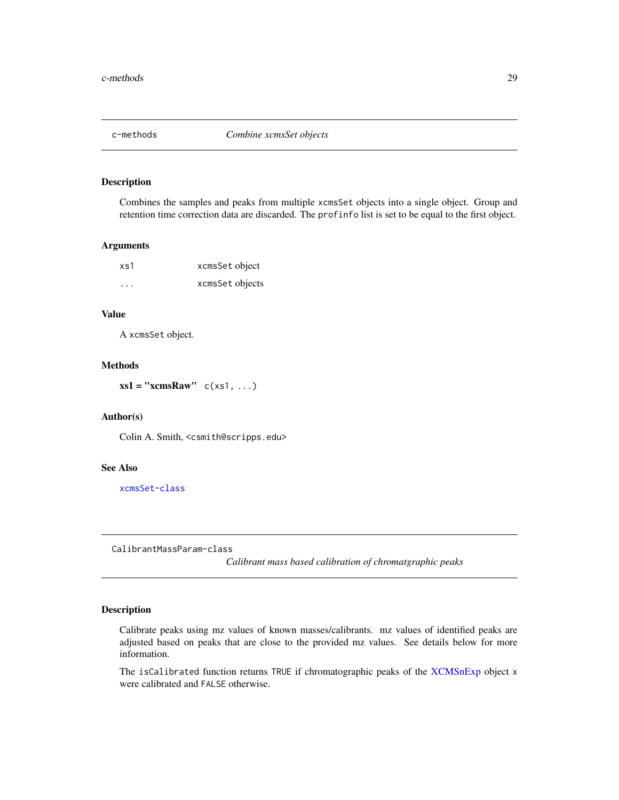<span id="page-28-0"></span>

#### Description

Combines the samples and peaks from multiple xcmsSet objects into a single object. Group and retention time correction data are discarded. The profinfo list is set to be equal to the first object.

#### Arguments

| xs1      | xcmsSet object  |
|----------|-----------------|
| $\cdots$ | xcmsSet objects |

#### Value

A xcmsSet object.

#### Methods

 $xs1 = "xcmsRaw"$   $c(xs1, ...)$ 

#### Author(s)

Colin A. Smith, <csmith@scripps.edu>

#### See Also

[xcmsSet-class](#page-288-1)

CalibrantMassParam-class

*Calibrant mass based calibration of chromatgraphic peaks*

#### Description

Calibrate peaks using mz values of known masses/calibrants. mz values of identified peaks are adjusted based on peaks that are close to the provided mz values. See details below for more information.

The isCalibrated function returns TRUE if chromatographic peaks of the [XCMSnExp](#page-269-1) object x were calibrated and FALSE otherwise.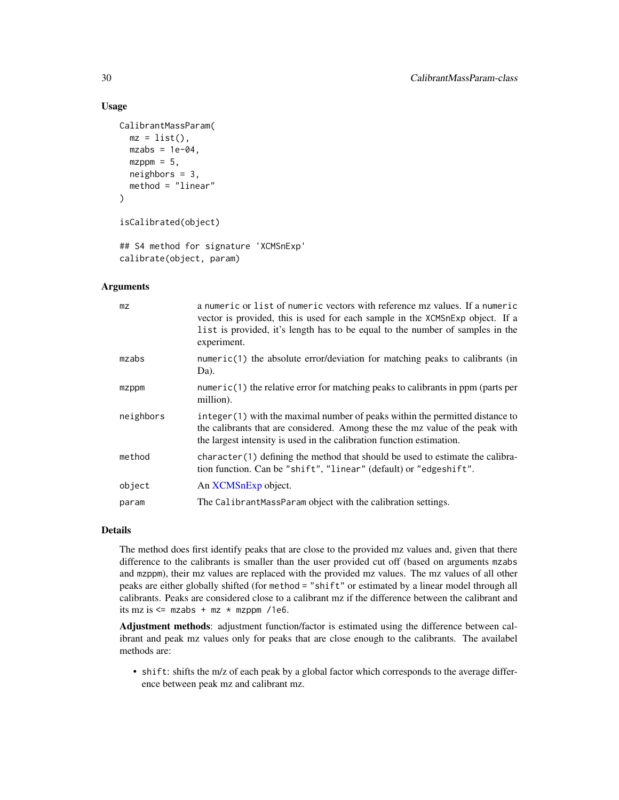#### Usage

```
CalibrantMassParam(
  mz = list(),
  mzabs = 1e-04,
  mzppm = 5,
  neighbours = 3,method = "linear"
)
isCalibrated(object)
## S4 method for signature 'XCMSnExp'
```

```
calibrate(object, param)
```
#### **Arguments**

| mz        | a numeric or list of numeric vectors with reference mz values. If a numeric<br>vector is provided, this is used for each sample in the XCMSnExp object. If a<br>list is provided, it's length has to be equal to the number of samples in the<br>experiment. |
|-----------|--------------------------------------------------------------------------------------------------------------------------------------------------------------------------------------------------------------------------------------------------------------|
| mzabs     | numeric(1) the absolute error/deviation for matching peaks to calibrants (in<br>Da).                                                                                                                                                                         |
| mzppm     | numeric(1) the relative error for matching peaks to calibrants in ppm (parts per<br>million).                                                                                                                                                                |
| neighbors | integer (1) with the maximal number of peaks within the permitted distance to<br>the calibrants that are considered. Among these the mz value of the peak with<br>the largest intensity is used in the calibration function estimation.                      |
| method    | $character(1)$ defining the method that should be used to estimate the calibra-<br>tion function. Can be "shift", "linear" (default) or "edgeshift".                                                                                                         |
| object    | An XCMSnExp object.                                                                                                                                                                                                                                          |
| param     | The CalibrantMassParam object with the calibration settings.                                                                                                                                                                                                 |

#### Details

The method does first identify peaks that are close to the provided mz values and, given that there difference to the calibrants is smaller than the user provided cut off (based on arguments mzabs and mzppm), their mz values are replaced with the provided mz values. The mz values of all other peaks are either globally shifted (for method = "shift" or estimated by a linear model through all calibrants. Peaks are considered close to a calibrant mz if the difference between the calibrant and its mz is  $\le$  mzabs + mz  $\star$  mzppm /1e6.

Adjustment methods: adjustment function/factor is estimated using the difference between calibrant and peak mz values only for peaks that are close enough to the calibrants. The availabel methods are:

• shift: shifts the m/z of each peak by a global factor which corresponds to the average difference between peak mz and calibrant mz.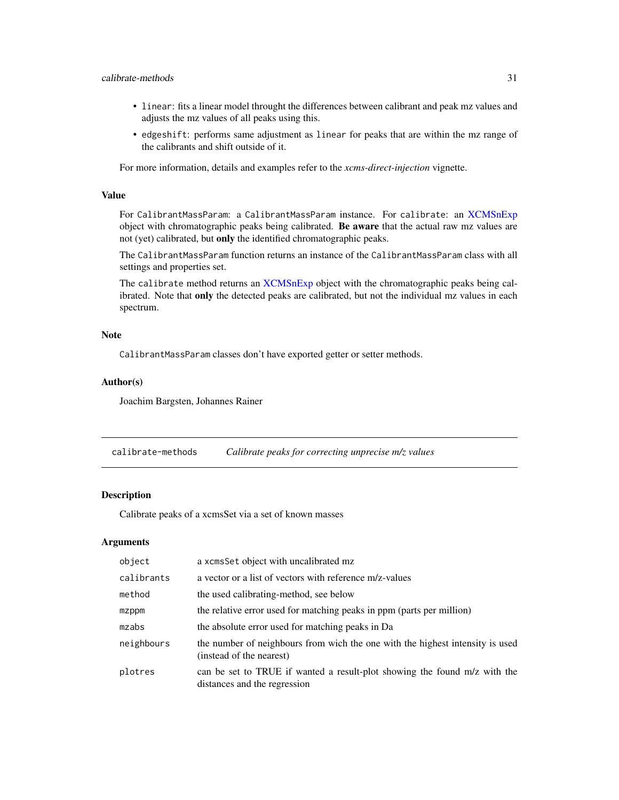#### <span id="page-30-0"></span>calibrate-methods 31

- linear: fits a linear model throught the differences between calibrant and peak mz values and adjusts the mz values of all peaks using this.
- edgeshift: performs same adjustment as linear for peaks that are within the mz range of the calibrants and shift outside of it.

For more information, details and examples refer to the *xcms-direct-injection* vignette.

#### Value

For CalibrantMassParam: a CalibrantMassParam instance. For calibrate: an [XCMSnExp](#page-269-1) object with chromatographic peaks being calibrated. Be aware that the actual raw mz values are not (yet) calibrated, but only the identified chromatographic peaks.

The CalibrantMassParam function returns an instance of the CalibrantMassParam class with all settings and properties set.

The calibrate method returns an [XCMSnExp](#page-269-1) object with the chromatographic peaks being calibrated. Note that only the detected peaks are calibrated, but not the individual mz values in each spectrum.

#### Note

CalibrantMassParam classes don't have exported getter or setter methods.

#### Author(s)

Joachim Bargsten, Johannes Rainer

calibrate-methods *Calibrate peaks for correcting unprecise m/z values*

#### **Description**

Calibrate peaks of a xcmsSet via a set of known masses

#### Arguments

| object     | a xcmsSet object with uncalibrated mz                                                                     |
|------------|-----------------------------------------------------------------------------------------------------------|
| calibrants | a vector or a list of vectors with reference m/z-values                                                   |
| method     | the used calibrating-method, see below                                                                    |
| mzppm      | the relative error used for matching peaks in ppm (parts per million)                                     |
| mzabs      | the absolute error used for matching peaks in Da                                                          |
| neighbours | the number of neighbours from wich the one with the highest intensity is used<br>(instead of the nearest) |
| plotres    | can be set to TRUE if wanted a result-plot showing the found m/z with the<br>distances and the regression |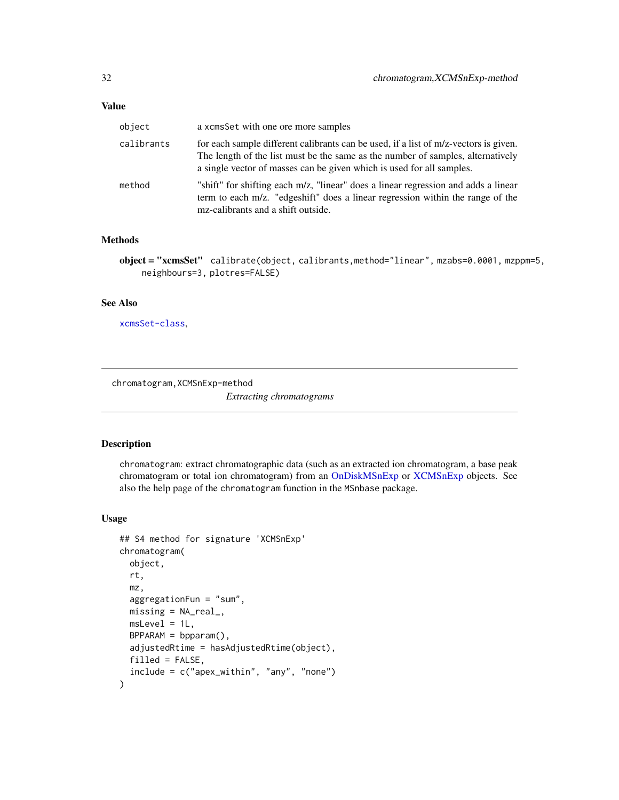<span id="page-31-0"></span>

| object     | a xcmsSet with one ore more samples                                                                                                                                                                                                              |
|------------|--------------------------------------------------------------------------------------------------------------------------------------------------------------------------------------------------------------------------------------------------|
| calibrants | for each sample different calibrants can be used, if a list of m/z-vectors is given.<br>The length of the list must be the same as the number of samples, alternatively<br>a single vector of masses can be given which is used for all samples. |
| method     | "shift" for shifting each m/z, "linear" does a linear regression and adds a linear<br>term to each m/z. "edgeshift" does a linear regression within the range of the<br>mz-calibrants and a shift outside.                                       |

#### Methods

object = "xcmsSet" calibrate(object, calibrants,method="linear", mzabs=0.0001, mzppm=5, neighbours=3, plotres=FALSE)

#### See Also

[xcmsSet-class](#page-288-1),

chromatogram,XCMSnExp-method

*Extracting chromatograms*

#### Description

chromatogram: extract chromatographic data (such as an extracted ion chromatogram, a base peak chromatogram or total ion chromatogram) from an [OnDiskMSnExp](#page-0-0) or [XCMSnExp](#page-269-1) objects. See also the help page of the chromatogram function in the MSnbase package.

#### Usage

```
## S4 method for signature 'XCMSnExp'
chromatogram(
  object,
  rt,
  mz,
  aggregationFun = "sum",
 missing = NA_real_,
 msLevel = 1L,
 BPPARAM = bpparam(),
  adjustedRtime = hasAdjustedRtime(object),
  filled = FALSE,include = c("apex_within", "any", "none")
)
```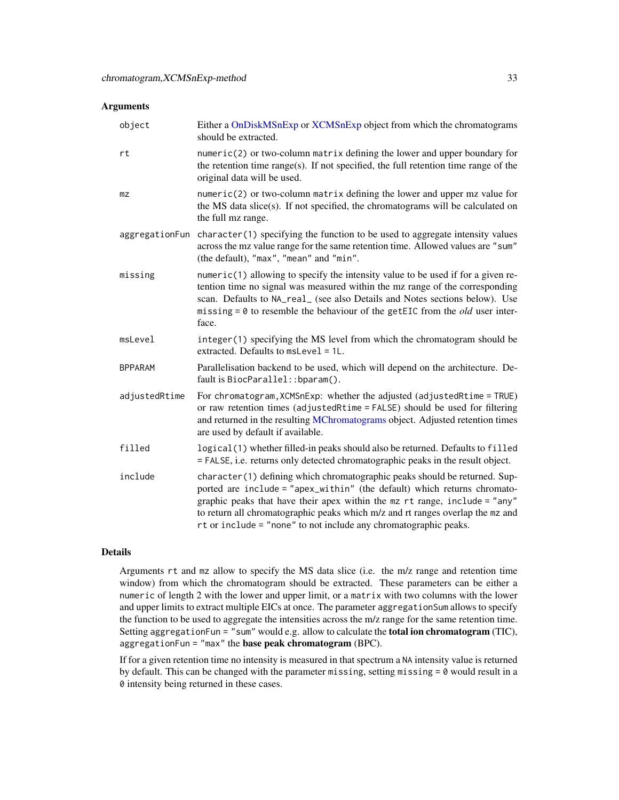#### Arguments

| Either a OnDiskMSnExp or XCMSnExp object from which the chromatograms<br>should be extracted.                                                                                                                                                                                                                                                                                              |
|--------------------------------------------------------------------------------------------------------------------------------------------------------------------------------------------------------------------------------------------------------------------------------------------------------------------------------------------------------------------------------------------|
| numeric(2) or two-column matrix defining the lower and upper boundary for<br>the retention time $range(s)$ . If not specified, the full retention time range of the<br>original data will be used.                                                                                                                                                                                         |
| numeric(2) or two-column matrix defining the lower and upper mz value for<br>the MS data slice(s). If not specified, the chromatograms will be calculated on<br>the full mz range.                                                                                                                                                                                                         |
| character(1) specifying the function to be used to aggregate intensity values<br>across the mz value range for the same retention time. Allowed values are "sum"<br>(the default), "max", "mean" and "min".                                                                                                                                                                                |
| numeric(1) allowing to specify the intensity value to be used if for a given re-<br>tention time no signal was measured within the mz range of the corresponding<br>scan. Defaults to NA_real_ (see also Details and Notes sections below). Use<br>missing = $\theta$ to resemble the behaviour of the getEIC from the <i>old</i> user inter-<br>face.                                     |
| integer (1) specifying the MS level from which the chromatogram should be<br>extracted. Defaults to $msLevel = 1L$ .                                                                                                                                                                                                                                                                       |
| Parallelisation backend to be used, which will depend on the architecture. De-<br>fault is BiocParallel::bparam().                                                                                                                                                                                                                                                                         |
| For chromatogram, XCMSnExp: whether the adjusted (adjustedRtime = TRUE)<br>or raw retention times (adjustedRtime = FALSE) should be used for filtering<br>and returned in the resulting MChromatograms object. Adjusted retention times<br>are used by default if available.                                                                                                               |
| logical(1) whether filled-in peaks should also be returned. Defaults to filled<br>= FALSE, i.e. returns only detected chromatographic peaks in the result object.                                                                                                                                                                                                                          |
| character(1) defining which chromatographic peaks should be returned. Sup-<br>ported are include = "apex_within" (the default) which returns chromato-<br>graphic peaks that have their apex within the mz rt range, include = "any"<br>to return all chromatographic peaks which m/z and rt ranges overlap the mz and<br>rt or include = "none" to not include any chromatographic peaks. |
|                                                                                                                                                                                                                                                                                                                                                                                            |

#### Details

Arguments rt and mz allow to specify the MS data slice (i.e. the m/z range and retention time window) from which the chromatogram should be extracted. These parameters can be either a numeric of length 2 with the lower and upper limit, or a matrix with two columns with the lower and upper limits to extract multiple EICs at once. The parameter aggregationSum allows to specify the function to be used to aggregate the intensities across the m/z range for the same retention time. Setting aggregationFun = "sum" would e.g. allow to calculate the **total ion chromatogram** (TIC), aggregationFun = "max" the base peak chromatogram (BPC).

If for a given retention time no intensity is measured in that spectrum a NA intensity value is returned by default. This can be changed with the parameter missing, setting missing  $= 0$  would result in a 0 intensity being returned in these cases.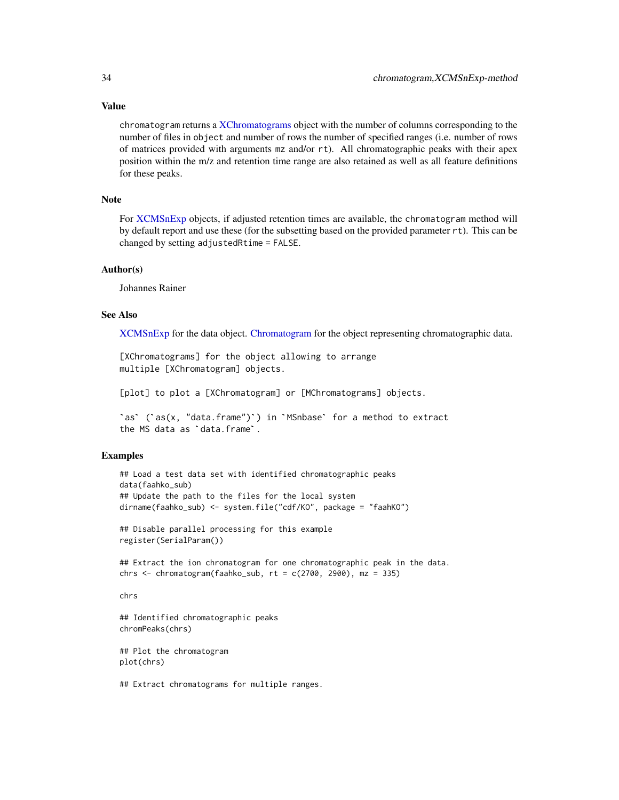#### Value

chromatogram returns a [XChromatograms](#page-252-1) object with the number of columns corresponding to the number of files in object and number of rows the number of specified ranges (i.e. number of rows of matrices provided with arguments mz and/or rt). All chromatographic peaks with their apex position within the m/z and retention time range are also retained as well as all feature definitions for these peaks.

#### Note

For [XCMSnExp](#page-269-1) objects, if adjusted retention times are available, the chromatogram method will by default report and use these (for the subsetting based on the provided parameter rt). This can be changed by setting adjustedRtime = FALSE.

#### Author(s)

Johannes Rainer

#### See Also

[XCMSnExp](#page-269-1) for the data object. [Chromatogram](#page-0-0) for the object representing chromatographic data.

[XChromatograms] for the object allowing to arrange multiple [XChromatogram] objects.

[plot] to plot a [XChromatogram] or [MChromatograms] objects.

```
plot] to plot a [XChromatogram] or [MChromatograms] objects.<br>as` (`as(x, "data.frame")`) in `MSnbase` for a method to extract
[plot] to plot a [XChromatog<br>`as` (`as(x, "data.frame")`)<br>the MS data as `data.frame`.
```
#### Examples

```
## Load a test data set with identified chromatographic peaks
data(faahko_sub)
## Update the path to the files for the local system
dirname(faahko_sub) <- system.file("cdf/KO", package = "faahKO")
```

```
## Disable parallel processing for this example
register(SerialParam())
```

```
## Extract the ion chromatogram for one chromatographic peak in the data.
chrs \leq chromatogram(faahko_sub, rt = c(2700, 2900), mz = 335)
```
chrs

```
## Identified chromatographic peaks
chromPeaks(chrs)
```
## Plot the chromatogram plot(chrs)

## Extract chromatograms for multiple ranges.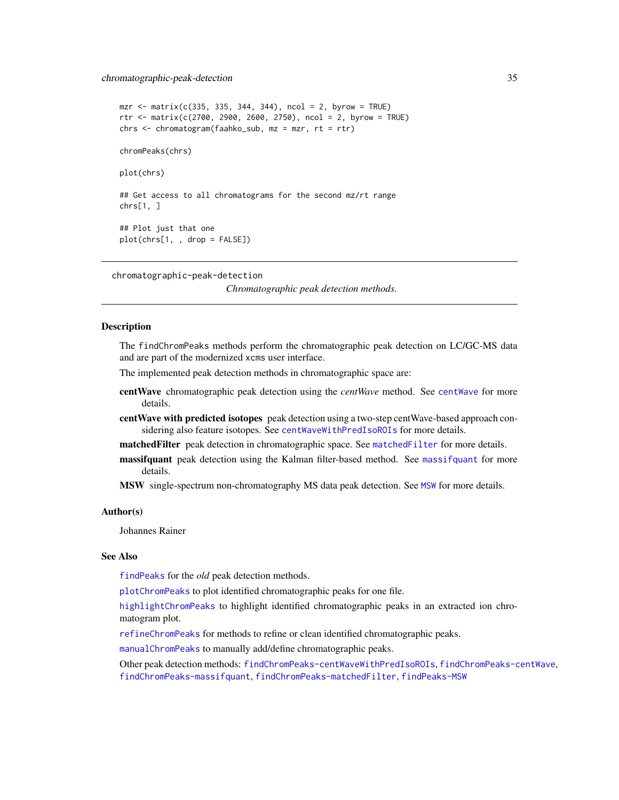```
mzr <- matrix(c(335, 335, 344, 344), ncol = 2, byrow = TRUE)rtr <- matrix(c(2700, 2900, 2600, 2750), ncol = 2, byrow = TRUE)
chrs <- chromatogram(faahko_sub, mz = mzr, rt = rtr)
chromPeaks(chrs)
plot(chrs)
## Get access to all chromatograms for the second mz/rt range
chrs[1, ]
## Plot just that one
plot(chrs[1, , drop = FALSE])
```

```
chromatographic-peak-detection
```
*Chromatographic peak detection methods.*

#### <span id="page-34-1"></span>Description

The findChromPeaks methods perform the chromatographic peak detection on LC/GC-MS data and are part of the modernized xcms user interface.

The implemented peak detection methods in chromatographic space are:

- centWave chromatographic peak detection using the *centWave* method. See [centWave](#page-98-1) for more details.
- centWave with predicted isotopes peak detection using a two-step centWave-based approach considering also feature isotopes. See [centWaveWithPredIsoROIs](#page-104-1) for more details.
- [matchedFilter](#page-115-1) peak detection in chromatographic space. See matchedFilter for more details.
- massifquant peak detection using the Kalman filter-based method. See [massifquant](#page-109-1) for more details.
- [MSW](#page-126-1) single-spectrum non-chromatography MS data peak detection. See MSW for more details.

#### Author(s)

Johannes Rainer

#### See Also

[findPeaks](#page-125-1) for the *old* peak detection methods.

[plotChromPeaks](#page-206-1) to plot identified chromatographic peaks for one file.

[highlightChromPeaks](#page-174-1) to highlight identified chromatographic peaks in an extracted ion chromatogram plot.

[refineChromPeaks](#page-37-1) for methods to refine or clean identified chromatographic peaks.

[manualChromPeaks](#page-184-1) to manually add/define chromatographic peaks.

Other peak detection methods: [findChromPeaks-centWaveWithPredIsoROIs](#page-104-2), [findChromPeaks-centWave](#page-98-2), [findChromPeaks-massifquant](#page-109-2), [findChromPeaks-matchedFilter](#page-115-2), [findPeaks-MSW](#page-126-2)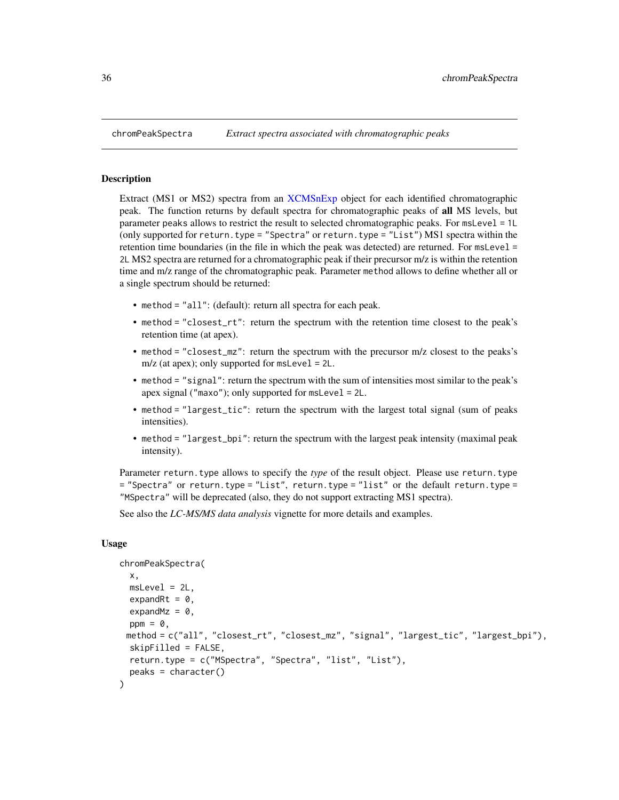<span id="page-35-0"></span>

#### Description

Extract (MS1 or MS2) spectra from an [XCMSnExp](#page-269-1) object for each identified chromatographic peak. The function returns by default spectra for chromatographic peaks of all MS levels, but parameter peaks allows to restrict the result to selected chromatographic peaks. For msLevel = 1L (only supported for return.type = "Spectra" or return.type = "List") MS1 spectra within the retention time boundaries (in the file in which the peak was detected) are returned. For msLevel = 2L MS2 spectra are returned for a chromatographic peak if their precursor m/z is within the retention time and m/z range of the chromatographic peak. Parameter method allows to define whether all or a single spectrum should be returned:

- method = "all": (default): return all spectra for each peak.
- method = "closest\_rt": return the spectrum with the retention time closest to the peak's retention time (at apex).
- method = "closest\_mz": return the spectrum with the precursor m/z closest to the peaks's m/z (at apex); only supported for msLevel = 2L.
- method = "signal": return the spectrum with the sum of intensities most similar to the peak's apex signal ("maxo"); only supported for msLevel = 2L.
- method = "largest\_tic": return the spectrum with the largest total signal (sum of peaks intensities).
- method = "largest\_bpi": return the spectrum with the largest peak intensity (maximal peak intensity).

Parameter return.type allows to specify the *type* of the result object. Please use return.type = "Spectra" or return.type = "List", return.type = "list" or the default return.type = "MSpectra" will be deprecated (also, they do not support extracting MS1 spectra).

See also the *LC-MS/MS data analysis* vignette for more details and examples.

#### Usage

```
chromPeakSpectra(
  x,
  msLevel = 2L,expandRt = 0,
  expandMz = 0,
  ppm = 0,
 method = c("all", "closest_rt", "closest_mz", "signal", "largest_tic", "largest_bpi"),
  skipFilled = FALSE,
  return.type = c("MSpectra", "Spectra", "list", "List"),
  peaks = character()
)
```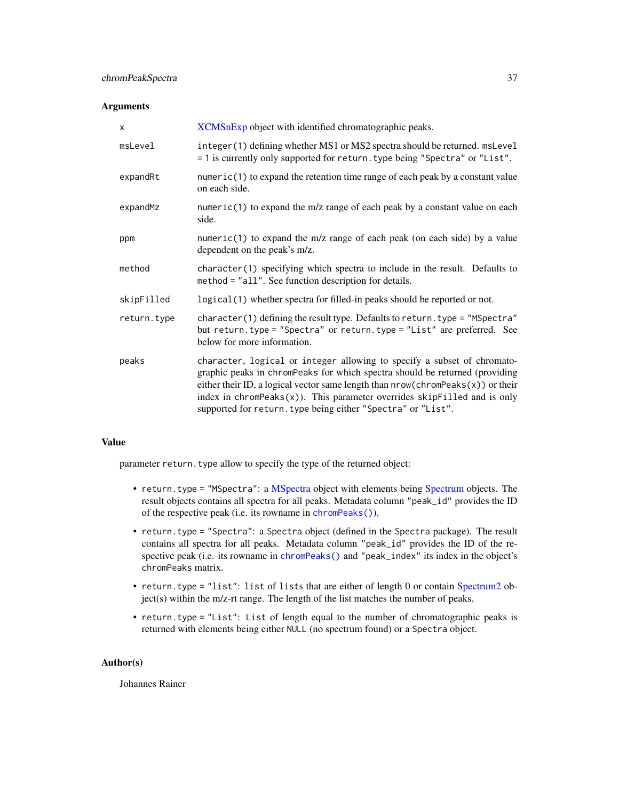#### **Arguments**

| X           | XCMSnExp object with identified chromatographic peaks.                                                                                                                                                                                                                                                                                                                                      |
|-------------|---------------------------------------------------------------------------------------------------------------------------------------------------------------------------------------------------------------------------------------------------------------------------------------------------------------------------------------------------------------------------------------------|
| msLevel     | integer(1) defining whether MS1 or MS2 spectra should be returned. msLevel<br>= 1 is currently only supported for return. type being "Spectra" or "List".                                                                                                                                                                                                                                   |
| expandRt    | $numeric(1)$ to expand the retention time range of each peak by a constant value<br>on each side.                                                                                                                                                                                                                                                                                           |
| expandMz    | $numeric(1)$ to expand the m/z range of each peak by a constant value on each<br>side.                                                                                                                                                                                                                                                                                                      |
| ppm         | numeric(1) to expand the $m/z$ range of each peak (on each side) by a value<br>dependent on the peak's m/z.                                                                                                                                                                                                                                                                                 |
| method      | character(1) specifying which spectra to include in the result. Defaults to<br>method = "all". See function description for details.                                                                                                                                                                                                                                                        |
| skipFilled  | logical (1) whether spectra for filled-in peaks should be reported or not.                                                                                                                                                                                                                                                                                                                  |
| return.type | character(1) defining the result type. Defaults to return. type = "MSpectra"<br>but return.type = "Spectra" or return.type = "List" are preferred. See<br>below for more information.                                                                                                                                                                                                       |
| peaks       | character, logical or integer allowing to specify a subset of chromato-<br>graphic peaks in chromPeaks for which spectra should be returned (providing<br>either their ID, a logical vector same length than $nrow(chromPeaks(x))$ or their<br>index in $chromPeaks(x)$ ). This parameter overrides $skipFiled$ and is only<br>supported for return. type being either "Spectra" or "List". |

#### Value

parameter return.type allow to specify the type of the returned object:

- return.type = "MSpectra": a [MSpectra](#page-0-0) object with elements being [Spectrum](#page-0-0) objects. The result objects contains all spectra for all peaks. Metadata column "peak\_id" provides the ID of the respective peak (i.e. its rowname in [chromPeaks\(\)](#page-269-0)).
- return.type = "Spectra": a Spectra object (defined in the Spectra package). The result contains all spectra for all peaks. Metadata column "peak\_id" provides the ID of the respective peak (i.e. its rowname in [chromPeaks\(\)](#page-269-0) and "peak\_index" its index in the object's chromPeaks matrix.
- return.type = "list": list of lists that are either of length 0 or contain [Spectrum2](#page-0-0) object(s) within the m/z-rt range. The length of the list matches the number of peaks.
- return.type = "List": List of length equal to the number of chromatographic peaks is returned with elements being either NULL (no spectrum found) or a Spectra object.

## Author(s)

Johannes Rainer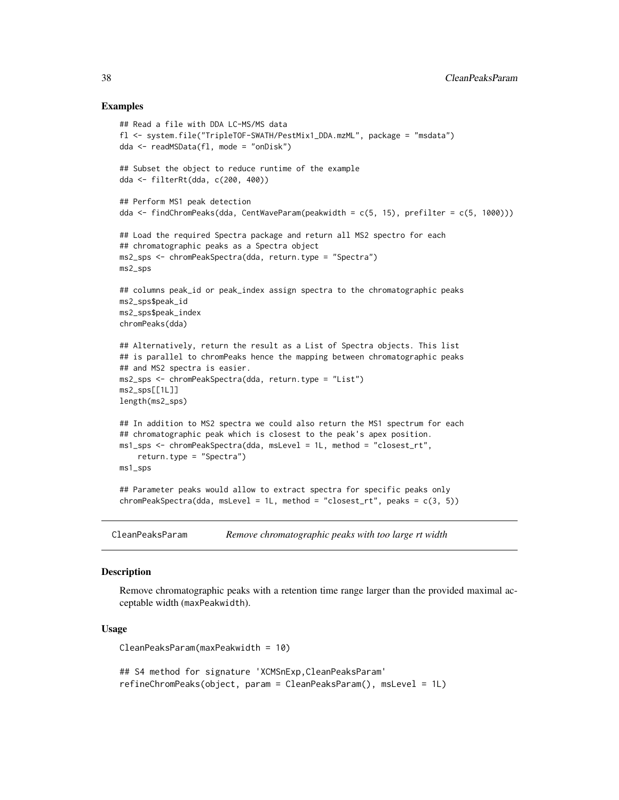#### Examples

```
## Read a file with DDA LC-MS/MS data
fl <- system.file("TripleTOF-SWATH/PestMix1_DDA.mzML", package = "msdata")
dda <- readMSData(fl, mode = "onDisk")
## Subset the object to reduce runtime of the example
dda <- filterRt(dda, c(200, 400))
## Perform MS1 peak detection
dda <- findChromPeaks(dda, CentWaveParam(peakwidth = c(5, 15), prefilter = c(5, 1000)))
## Load the required Spectra package and return all MS2 spectro for each
## chromatographic peaks as a Spectra object
ms2_sps <- chromPeakSpectra(dda, return.type = "Spectra")
ms2_sps
## columns peak_id or peak_index assign spectra to the chromatographic peaks
ms2_sps$peak_id
ms2_sps$peak_index
chromPeaks(dda)
## Alternatively, return the result as a List of Spectra objects. This list
## is parallel to chromPeaks hence the mapping between chromatographic peaks
## and MS2 spectra is easier.
ms2_sps <- chromPeakSpectra(dda, return.type = "List")
ms2_sps[[1L]]
length(ms2_sps)
## In addition to MS2 spectra we could also return the MS1 spectrum for each
## chromatographic peak which is closest to the peak's apex position.
ms1_sps <- chromPeakSpectra(dda, msLevel = 1L, method = "closest_rt",
    return.type = "Spectra")
ms1_sps
## Parameter peaks would allow to extract spectra for specific peaks only
chromPeakSpectra(dda, msLevel = 1L, method = "closest_rt", peaks = c(3, 5))
```
CleanPeaksParam *Remove chromatographic peaks with too large rt width*

## Description

Remove chromatographic peaks with a retention time range larger than the provided maximal acceptable width (maxPeakwidth).

#### Usage

```
CleanPeaksParam(maxPeakwidth = 10)
```
## S4 method for signature 'XCMSnExp,CleanPeaksParam' refineChromPeaks(object, param = CleanPeaksParam(), msLevel = 1L)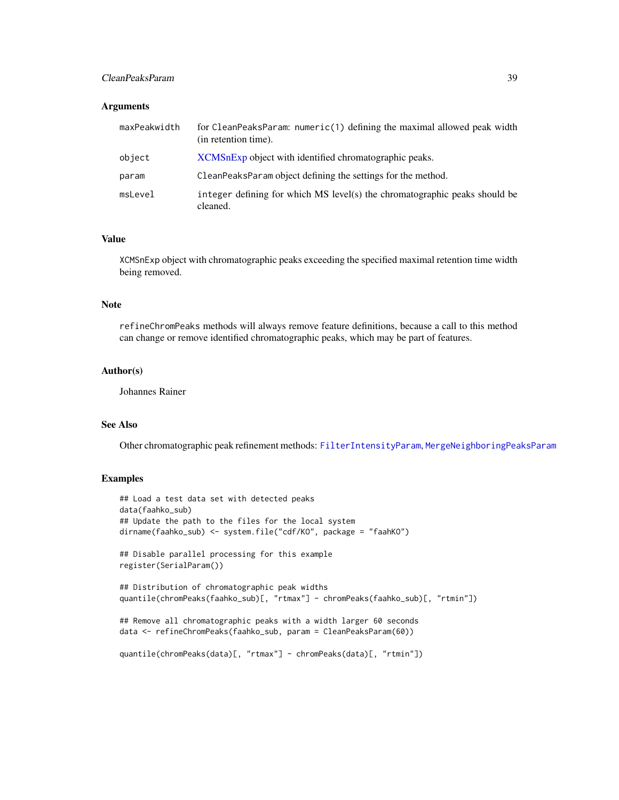## CleanPeaksParam 39

#### **Arguments**

| maxPeakwidth | for CleanPeaksParam: numeric(1) defining the maximal allowed peak width<br>(in retention time).     |
|--------------|-----------------------------------------------------------------------------------------------------|
| object       | XCMSnExp object with identified chromatographic peaks.                                              |
| param        | CleanPeaksParam object defining the settings for the method.                                        |
| msLevel      | integer defining for which $\overline{MS}$ level(s) the chromatographic peaks should be<br>cleaned. |

## Value

XCMSnExp object with chromatographic peaks exceeding the specified maximal retention time width being removed.

## Note

refineChromPeaks methods will always remove feature definitions, because a call to this method can change or remove identified chromatographic peaks, which may be part of features.

#### Author(s)

Johannes Rainer

# See Also

Other chromatographic peak refinement methods: [FilterIntensityParam](#page-93-0), [MergeNeighboringPeaksParam](#page-186-0)

## Examples

```
## Load a test data set with detected peaks
data(faahko_sub)
## Update the path to the files for the local system
dirname(faahko_sub) <- system.file("cdf/KO", package = "faahKO")
## Disable parallel processing for this example
register(SerialParam())
## Distribution of chromatographic peak widths
quantile(chromPeaks(faahko_sub)[, "rtmax"] - chromPeaks(faahko_sub)[, "rtmin"])
## Remove all chromatographic peaks with a width larger 60 seconds
data <- refineChromPeaks(faahko_sub, param = CleanPeaksParam(60))
quantile(chromPeaks(data)[, "rtmax"] - chromPeaks(data)[, "rtmin"])
```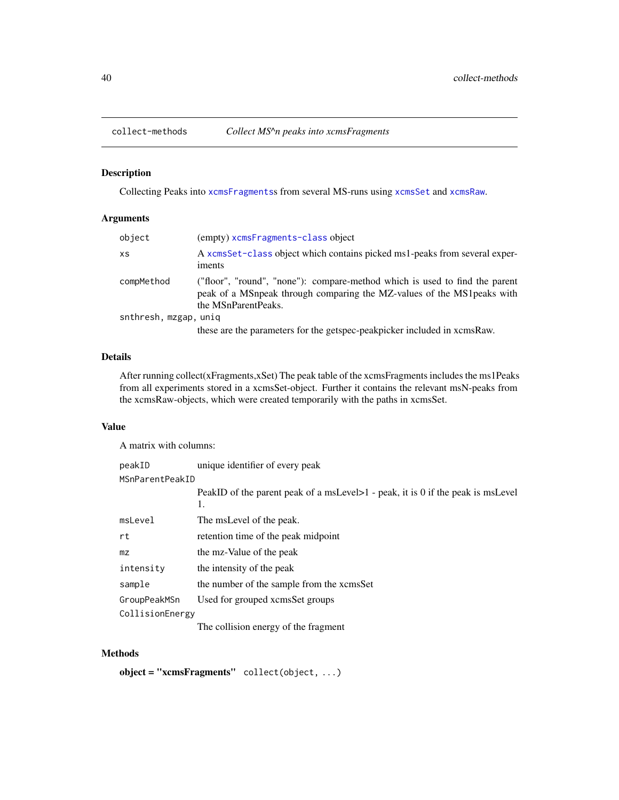# Description

Collecting Peaks into [xcmsFragments](#page-268-0)s from several MS-runs using [xcmsSet](#page-288-0) and [xcmsRaw](#page-283-0).

## Arguments

| object                | (empty) xcmsFragments-class object                                                                                                                                            |
|-----------------------|-------------------------------------------------------------------------------------------------------------------------------------------------------------------------------|
| XS                    | A xcmsSet-class object which contains picked ms1-peaks from several exper-<br>iments                                                                                          |
| compMethod            | ("floor", "round", "none"): compare-method which is used to find the parent<br>peak of a MSnpeak through comparing the MZ-values of the MS1 peaks with<br>the MSnParentPeaks. |
| snthresh, mzgap, uniq |                                                                                                                                                                               |
|                       | these are the parameters for the getspec-peakpicker included in xcmsRaw.                                                                                                      |

# Details

After running collect(xFragments,xSet) The peak table of the xcmsFragments includes the ms1Peaks from all experiments stored in a xcmsSet-object. Further it contains the relevant msN-peaks from the xcmsRaw-objects, which were created temporarily with the paths in xcmsSet.

#### Value

A matrix with columns:

| peakID          | unique identifier of every peak                                                 |
|-----------------|---------------------------------------------------------------------------------|
| MSnParentPeakID |                                                                                 |
|                 | PeakID of the parent peak of a msLevel>1 - peak, it is 0 if the peak is msLevel |
|                 | 1.                                                                              |
| msLevel         | The msLevel of the peak.                                                        |
| rt              | retention time of the peak midpoint                                             |
| mz              | the mz-Value of the peak                                                        |
| intensity       | the intensity of the peak                                                       |
| sample          | the number of the sample from the xcmsSet                                       |
| GroupPeakMSn    | Used for grouped xcmsSet groups                                                 |
| CollisionEnergy |                                                                                 |
|                 | The collision energy of the fragment                                            |

#### Methods

object = "xcmsFragments" collect(object, ...)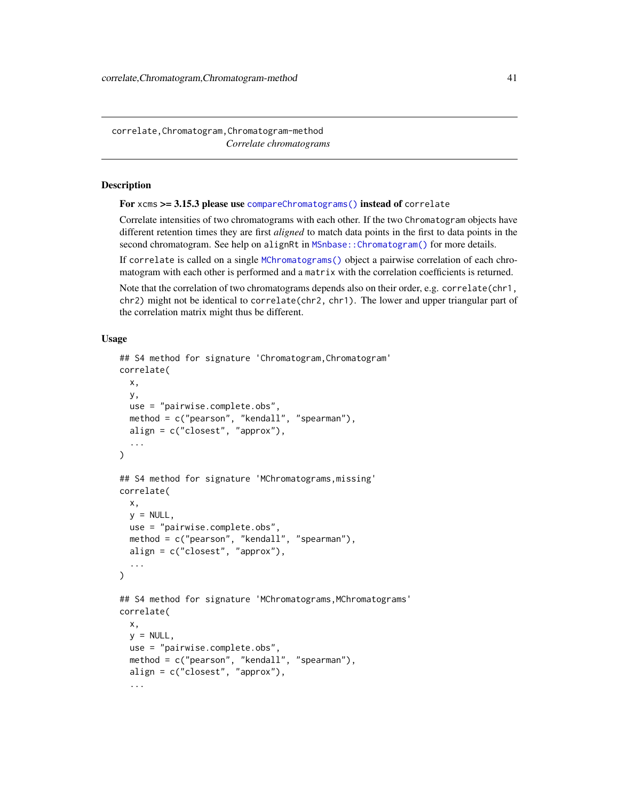correlate,Chromatogram,Chromatogram-method *Correlate chromatograms*

## Description

For xcms >= 3.15.3 please use [compareChromatograms\(\)](#page-0-0) instead of correlate

Correlate intensities of two chromatograms with each other. If the two Chromatogram objects have different retention times they are first *aligned* to match data points in the first to data points in the second chromatogram. See help on alignRt in [MSnbase::Chromatogram\(\)](#page-0-0) for more details.

If correlate is called on a single [MChromatograms\(\)](#page-0-0) object a pairwise correlation of each chromatogram with each other is performed and a matrix with the correlation coefficients is returned.

Note that the correlation of two chromatograms depends also on their order, e.g. correlate(chr1, chr2) might not be identical to correlate(chr2, chr1). The lower and upper triangular part of the correlation matrix might thus be different.

## Usage

```
## S4 method for signature 'Chromatogram,Chromatogram'
correlate(
 x,
 y,
 use = "pairwise.complete.obs",
 method = c("pearson", "kendall", "spearman"),
  align = c("closest", "approx"),
  ...
)
## S4 method for signature 'MChromatograms,missing'
correlate(
 x,
 y = NULL,
 use = "pairwise.complete.obs",
 method = c("pearson", "kendall", "spearman"),
  align = c("closest", "approx"),
  ...
)
## S4 method for signature 'MChromatograms,MChromatograms'
correlate(
  x,
 y = NULL,
 use = "pairwise.complete.obs",
 method = c("pearson", "kendall", "spearman"),
  align = c("closest", "approx"),
  ...
```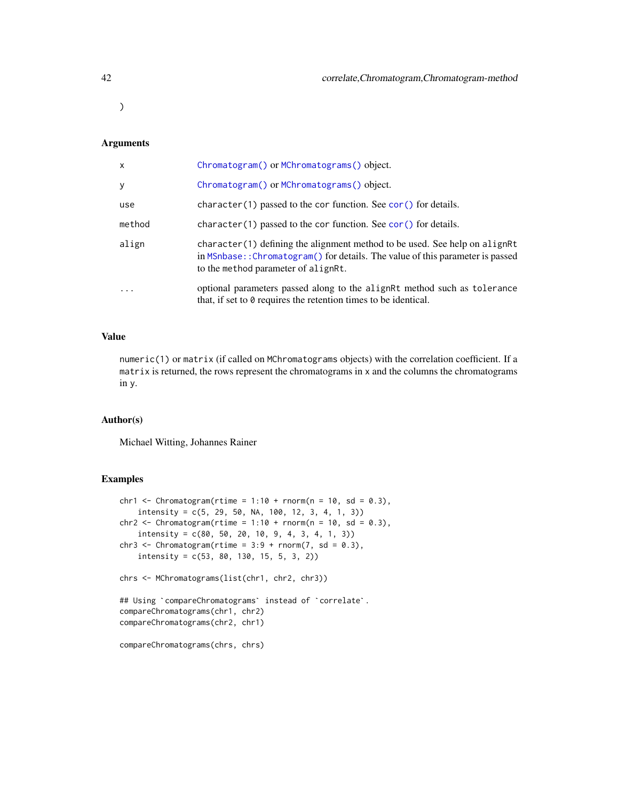$\mathcal{L}$ 

## Arguments

| X         | Chromatogram() or MChromatograms() object.                                                                                                                                                             |
|-----------|--------------------------------------------------------------------------------------------------------------------------------------------------------------------------------------------------------|
| У         | Chromatogram () or MChromatograms () object.                                                                                                                                                           |
| use       | character (1) passed to the cor function. See cor () for details.                                                                                                                                      |
| method    | character (1) passed to the cor function. See cor () for details.                                                                                                                                      |
| align     | $character(1)$ defining the alignment method to be used. See help on align Rt<br>in MSnbase:: Chromatogram() for details. The value of this parameter is passed<br>to the method parameter of alignRt. |
| $\ddotsc$ | optional parameters passed along to the alignRt method such as tolerance<br>that, if set to 0 requires the retention times to be identical.                                                            |

# Value

numeric(1) or matrix (if called on MChromatograms objects) with the correlation coefficient. If a matrix is returned, the rows represent the chromatograms in x and the columns the chromatograms in y.

#### Author(s)

Michael Witting, Johannes Rainer

## Examples

```
chr1 <- Chromatogram(rtime = 1:10 + \text{rnorm}(n = 10, \text{ sd} = 0.3),
    intensity = c(5, 29, 50, NA, 100, 12, 3, 4, 1, 3)chr2 \leq Chromatogram(rtime = 1:10 + rnorm(n = 10, sd = 0.3),intensity = c(80, 50, 20, 10, 9, 4, 3, 4, 1, 3))
chr3 <- Chromatogram(rtime = 3:9 + rnorm(7, sd = 0.3),
    intensity = c(53, 80, 130, 15, 5, 3, 2))chrs <- MChromatograms(list(chr1, chr2, chr3))
## Using `compareChromatograms` instead of `correlate`.
compareChromatograms(chr1, chr2)
compareChromatograms(chr2, chr1)
compareChromatograms(chrs, chrs)
```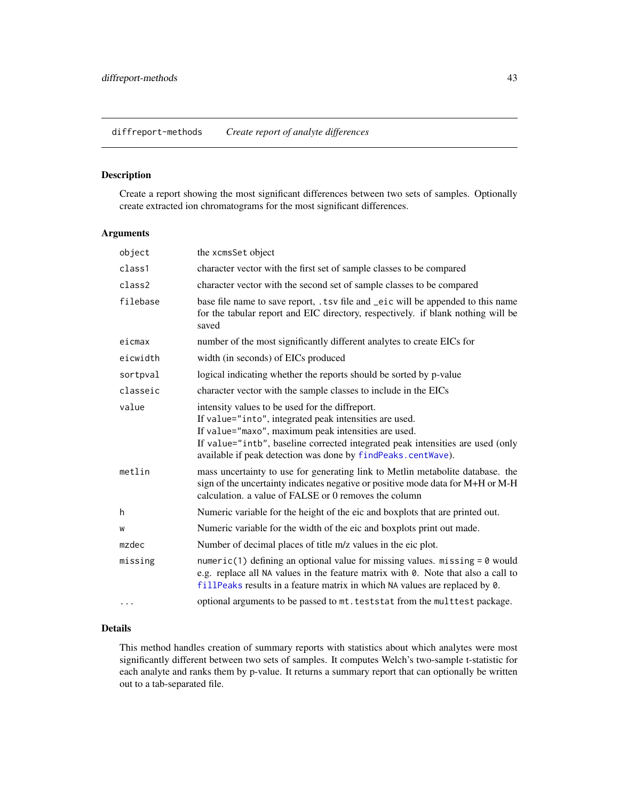diffreport-methods *Create report of analyte differences*

# Description

Create a report showing the most significant differences between two sets of samples. Optionally create extracted ion chromatograms for the most significant differences.

# Arguments

| object   | the xcmsSet object                                                                                                                                                                                                                                                                                                 |
|----------|--------------------------------------------------------------------------------------------------------------------------------------------------------------------------------------------------------------------------------------------------------------------------------------------------------------------|
| class1   | character vector with the first set of sample classes to be compared                                                                                                                                                                                                                                               |
| class2   | character vector with the second set of sample classes to be compared                                                                                                                                                                                                                                              |
| filebase | base file name to save report, . tsv file and _eic will be appended to this name<br>for the tabular report and EIC directory, respectively. if blank nothing will be<br>saved                                                                                                                                      |
| eicmax   | number of the most significantly different analytes to create EICs for                                                                                                                                                                                                                                             |
| eicwidth | width (in seconds) of EICs produced                                                                                                                                                                                                                                                                                |
| sortpval | logical indicating whether the reports should be sorted by p-value                                                                                                                                                                                                                                                 |
| classeic | character vector with the sample classes to include in the EICs                                                                                                                                                                                                                                                    |
| value    | intensity values to be used for the diffreport.<br>If value="into", integrated peak intensities are used.<br>If value="maxo", maximum peak intensities are used.<br>If value="intb", baseline corrected integrated peak intensities are used (only<br>available if peak detection was done by findPeaks.centWave). |
| metlin   | mass uncertainty to use for generating link to Metlin metabolite database. the<br>sign of the uncertainty indicates negative or positive mode data for M+H or M-H<br>calculation, a value of FALSE or 0 removes the column                                                                                         |
| h        | Numeric variable for the height of the eic and boxplots that are printed out.                                                                                                                                                                                                                                      |
| W        | Numeric variable for the width of the eic and boxplots print out made.                                                                                                                                                                                                                                             |
| mzdec    | Number of decimal places of title m/z values in the eic plot.                                                                                                                                                                                                                                                      |
| missing  | numeric(1) defining an optional value for missing values. missing $= 0$ would<br>e.g. replace all NA values in the feature matrix with 0. Note that also a call to<br>fillPeaks results in a feature matrix in which NA values are replaced by 0.                                                                  |
| $\cdots$ | optional arguments to be passed to mt. teststat from the multtest package.                                                                                                                                                                                                                                         |

# Details

This method handles creation of summary reports with statistics about which analytes were most significantly different between two sets of samples. It computes Welch's two-sample t-statistic for each analyte and ranks them by p-value. It returns a summary report that can optionally be written out to a tab-separated file.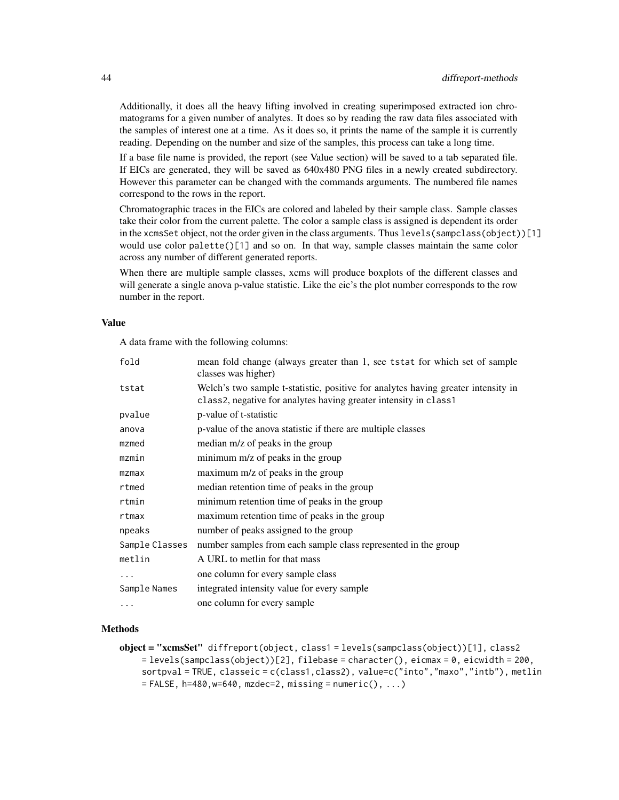Additionally, it does all the heavy lifting involved in creating superimposed extracted ion chromatograms for a given number of analytes. It does so by reading the raw data files associated with the samples of interest one at a time. As it does so, it prints the name of the sample it is currently reading. Depending on the number and size of the samples, this process can take a long time.

If a base file name is provided, the report (see Value section) will be saved to a tab separated file. If EICs are generated, they will be saved as 640x480 PNG files in a newly created subdirectory. However this parameter can be changed with the commands arguments. The numbered file names correspond to the rows in the report.

Chromatographic traces in the EICs are colored and labeled by their sample class. Sample classes take their color from the current palette. The color a sample class is assigned is dependent its order in the xcmsSet object, not the order given in the class arguments. Thus levels(sampclass(object))[1] would use color palette()[1] and so on. In that way, sample classes maintain the same color across any number of different generated reports.

When there are multiple sample classes, xcms will produce boxplots of the different classes and will generate a single anova p-value statistic. Like the eic's the plot number corresponds to the row number in the report.

## Value

A data frame with the following columns:

| fold           | mean fold change (always greater than 1, see tstat for which set of sample<br>classes was higher)                                                     |
|----------------|-------------------------------------------------------------------------------------------------------------------------------------------------------|
| tstat          | Welch's two sample t-statistic, positive for analytes having greater intensity in<br>class2, negative for analytes having greater intensity in class1 |
| pvalue         | p-value of t-statistic                                                                                                                                |
| anova          | p-value of the anova statistic if there are multiple classes                                                                                          |
| mzmed          | median m/z of peaks in the group                                                                                                                      |
| mzmin          | minimum m/z of peaks in the group                                                                                                                     |
| mzmax          | maximum m/z of peaks in the group                                                                                                                     |
| rtmed          | median retention time of peaks in the group                                                                                                           |
| rtmin          | minimum retention time of peaks in the group                                                                                                          |
| rtmax          | maximum retention time of peaks in the group                                                                                                          |
| npeaks         | number of peaks assigned to the group                                                                                                                 |
| Sample Classes | number samples from each sample class represented in the group                                                                                        |
| metlin         | A URL to metlin for that mass                                                                                                                         |
| .              | one column for every sample class                                                                                                                     |
| Sample Names   | integrated intensity value for every sample.                                                                                                          |
| $\cdots$       | one column for every sample                                                                                                                           |

#### Methods

object = "xcmsSet" diffreport(object, class1 = levels(sampclass(object))[1], class2 = levels(sampclass(object))[2], filebase = character(), eicmax = 0, eicwidth = 200, sortpval = TRUE, classeic = c(class1,class2), value=c("into","maxo","intb"), metlin  $=$  FALSE, h=480,w=640, mzdec=2, missing = numeric(), ...)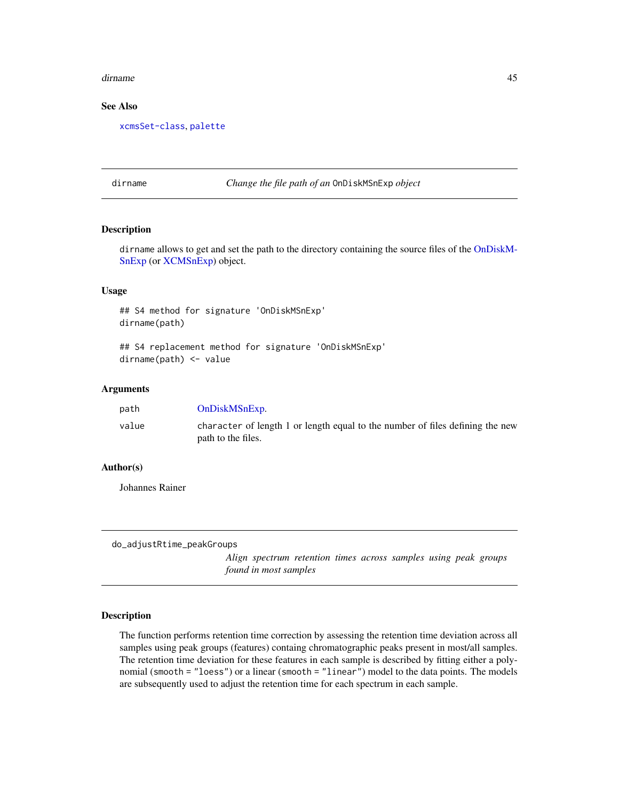#### dirname 45

## See Also

[xcmsSet-class](#page-288-0), [palette](#page-0-0)

dirname *Change the file path of an* OnDiskMSnExp *object*

### Description

dirname allows to get and set the path to the directory containing the source files of the [OnDiskM-](#page-0-0)[SnExp](#page-0-0) (or [XCMSnExp\)](#page-269-1) object.

## Usage

## S4 method for signature 'OnDiskMSnExp' dirname(path)

## S4 replacement method for signature 'OnDiskMSnExp' dirname(path) <- value

#### Arguments

| path  | OnDiskMSnExp.                                                                                       |
|-------|-----------------------------------------------------------------------------------------------------|
| value | character of length 1 or length equal to the number of files defining the new<br>path to the files. |

## Author(s)

Johannes Rainer

do\_adjustRtime\_peakGroups

*Align spectrum retention times across samples using peak groups found in most samples*

## Description

The function performs retention time correction by assessing the retention time deviation across all samples using peak groups (features) containg chromatographic peaks present in most/all samples. The retention time deviation for these features in each sample is described by fitting either a polynomial (smooth = "loess") or a linear (smooth = "linear") model to the data points. The models are subsequently used to adjust the retention time for each spectrum in each sample.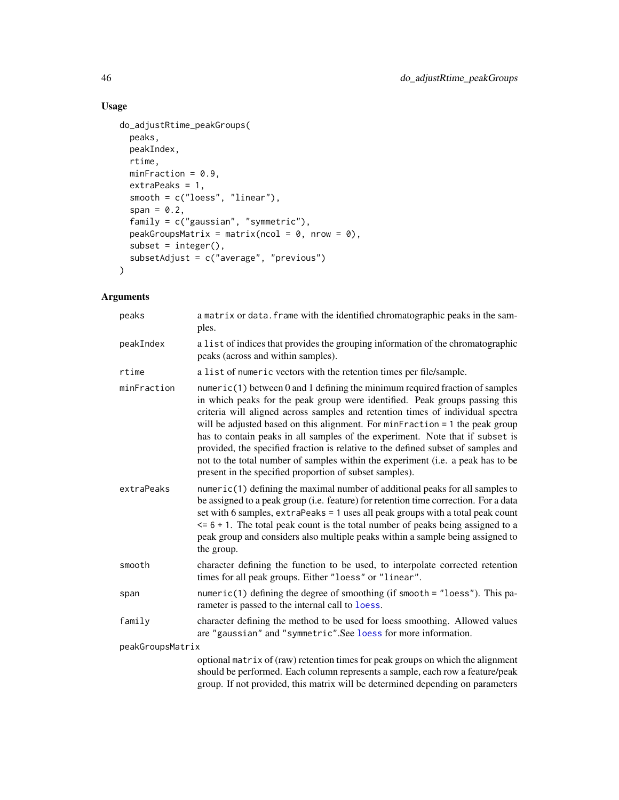# Usage

```
do_adjustRtime_peakGroups(
 peaks,
 peakIndex,
 rtime,
 minFraction = 0.9,
 ext{raPeaks} = 1,
 smooth = c("loess", "linear"),
  span = 0.2,
  family = c("gaussian", "symmetric"),
 peakGroupsMatrix = matrix(ncol = 0, nrow = 0),
  subset = integer(),
  subsetAdjust = c("average", "previous")
\mathcal{L}
```

| peaks            | a matrix or data. frame with the identified chromatographic peaks in the sam-<br>ples.                                                                                                                                                                                                                                                                                                                                                                                                                                                                                                                                                              |
|------------------|-----------------------------------------------------------------------------------------------------------------------------------------------------------------------------------------------------------------------------------------------------------------------------------------------------------------------------------------------------------------------------------------------------------------------------------------------------------------------------------------------------------------------------------------------------------------------------------------------------------------------------------------------------|
| peakIndex        | a list of indices that provides the grouping information of the chromatographic<br>peaks (across and within samples).                                                                                                                                                                                                                                                                                                                                                                                                                                                                                                                               |
| rtime            | a list of numeric vectors with the retention times per file/sample.                                                                                                                                                                                                                                                                                                                                                                                                                                                                                                                                                                                 |
| minFraction      | $numeric(1)$ between 0 and 1 defining the minimum required fraction of samples<br>in which peaks for the peak group were identified. Peak groups passing this<br>criteria will aligned across samples and retention times of individual spectra<br>will be adjusted based on this alignment. For minFraction = 1 the peak group<br>has to contain peaks in all samples of the experiment. Note that if subset is<br>provided, the specified fraction is relative to the defined subset of samples and<br>not to the total number of samples within the experiment (i.e. a peak has to be<br>present in the specified proportion of subset samples). |
| extraPeaks       | numeric(1) defining the maximal number of additional peaks for all samples to<br>be assigned to a peak group (i.e. feature) for retention time correction. For a data<br>set with 6 samples, extraPeaks = 1 uses all peak groups with a total peak count<br>$\le$ = 6 + 1. The total peak count is the total number of peaks being assigned to a<br>peak group and considers also multiple peaks within a sample being assigned to<br>the group.                                                                                                                                                                                                    |
| smooth           | character defining the function to be used, to interpolate corrected retention<br>times for all peak groups. Either "loess" or "linear".                                                                                                                                                                                                                                                                                                                                                                                                                                                                                                            |
| span             | numeric(1) defining the degree of smoothing (if smooth = "loess"). This pa-<br>rameter is passed to the internal call to loess.                                                                                                                                                                                                                                                                                                                                                                                                                                                                                                                     |
| family           | character defining the method to be used for loess smoothing. Allowed values<br>are "gaussian" and "symmetric". See loess for more information.                                                                                                                                                                                                                                                                                                                                                                                                                                                                                                     |
| peakGroupsMatrix |                                                                                                                                                                                                                                                                                                                                                                                                                                                                                                                                                                                                                                                     |
|                  | optional matrix of (raw) retention times for peak groups on which the alignment<br>should be performed. Each column represents a sample, each row a feature/peak<br>group. If not provided, this matrix will be determined depending on parameters                                                                                                                                                                                                                                                                                                                                                                                                  |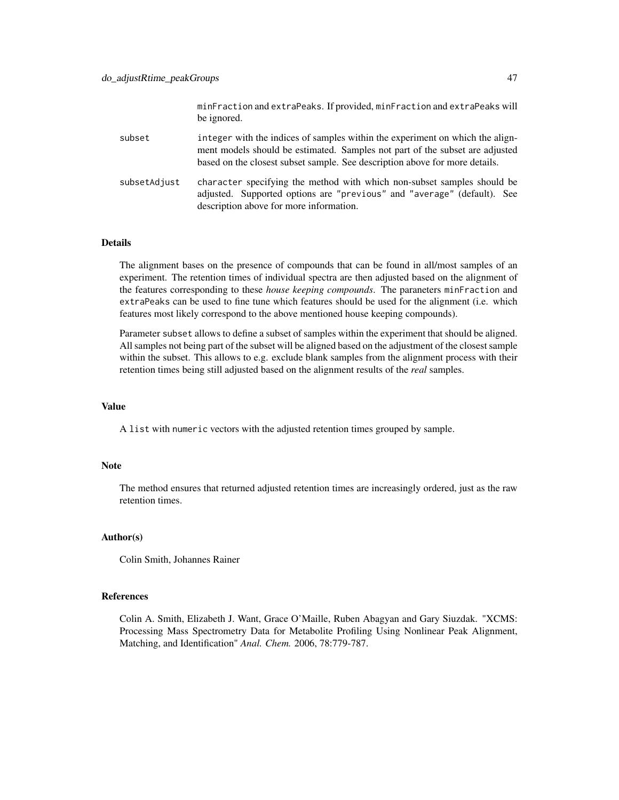|              | minFraction and extraPeaks. If provided, minFraction and extraPeaks will<br>be ignored.                                                                                                                                                      |
|--------------|----------------------------------------------------------------------------------------------------------------------------------------------------------------------------------------------------------------------------------------------|
| subset       | integer with the indices of samples within the experiment on which the align-<br>ment models should be estimated. Samples not part of the subset are adjusted<br>based on the closest subset sample. See description above for more details. |
| subsetAdjust | character specifying the method with which non-subset samples should be<br>adjusted. Supported options are "previous" and "average" (default). See<br>description above for more information.                                                |

### Details

The alignment bases on the presence of compounds that can be found in all/most samples of an experiment. The retention times of individual spectra are then adjusted based on the alignment of the features corresponding to these *house keeping compounds*. The paraneters minFraction and extraPeaks can be used to fine tune which features should be used for the alignment (i.e. which features most likely correspond to the above mentioned house keeping compounds).

Parameter subset allows to define a subset of samples within the experiment that should be aligned. All samples not being part of the subset will be aligned based on the adjustment of the closest sample within the subset. This allows to e.g. exclude blank samples from the alignment process with their retention times being still adjusted based on the alignment results of the *real* samples.

# Value

A list with numeric vectors with the adjusted retention times grouped by sample.

## Note

The method ensures that returned adjusted retention times are increasingly ordered, just as the raw retention times.

## Author(s)

Colin Smith, Johannes Rainer

#### References

Colin A. Smith, Elizabeth J. Want, Grace O'Maille, Ruben Abagyan and Gary Siuzdak. "XCMS: Processing Mass Spectrometry Data for Metabolite Profiling Using Nonlinear Peak Alignment, Matching, and Identification" *Anal. Chem.* 2006, 78:779-787.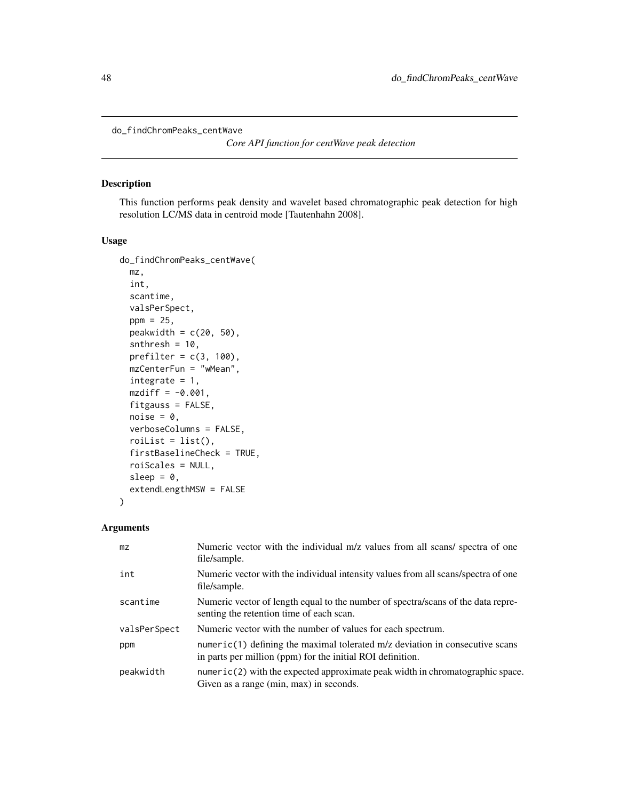<span id="page-47-0"></span>do\_findChromPeaks\_centWave

*Core API function for centWave peak detection*

## Description

This function performs peak density and wavelet based chromatographic peak detection for high resolution LC/MS data in centroid mode [Tautenhahn 2008].

## Usage

```
do_findChromPeaks_centWave(
  mz,
  int,
  scantime,
 valsPerSpect,
 ppm = 25,
 peakwidth = c(20, 50),
  snthresh = 10,
 prefilter = c(3, 100),
 mzCenterFun = "wMean",
  integrate = 1,
 mzdiff = -0.001,fitgauss = FALSE,
 noise = \theta,
 verboseColumns = FALSE,
  r oilist = list(),firstBaselineCheck = TRUE,
  roiScales = NULL,
  sleep = \theta,
  extendLengthMSW = FALSE
\lambda
```

| mz           | Numeric vector with the individual m/z values from all scans/ spectra of one<br>file/sample.                                                 |
|--------------|----------------------------------------------------------------------------------------------------------------------------------------------|
| int          | Numeric vector with the individual intensity values from all scans/spectra of one<br>file/sample.                                            |
| scantime     | Numeric vector of length equal to the number of spectra/scans of the data repre-<br>senting the retention time of each scan.                 |
| valsPerSpect | Numeric vector with the number of values for each spectrum.                                                                                  |
| ppm          | numeric(1) defining the maximal tolerated $m/z$ deviation in consecutive scans<br>in parts per million (ppm) for the initial ROI definition. |
| peakwidth    | $numeric(2)$ with the expected approximate peak width in chromatographic space.<br>Given as a range (min, max) in seconds.                   |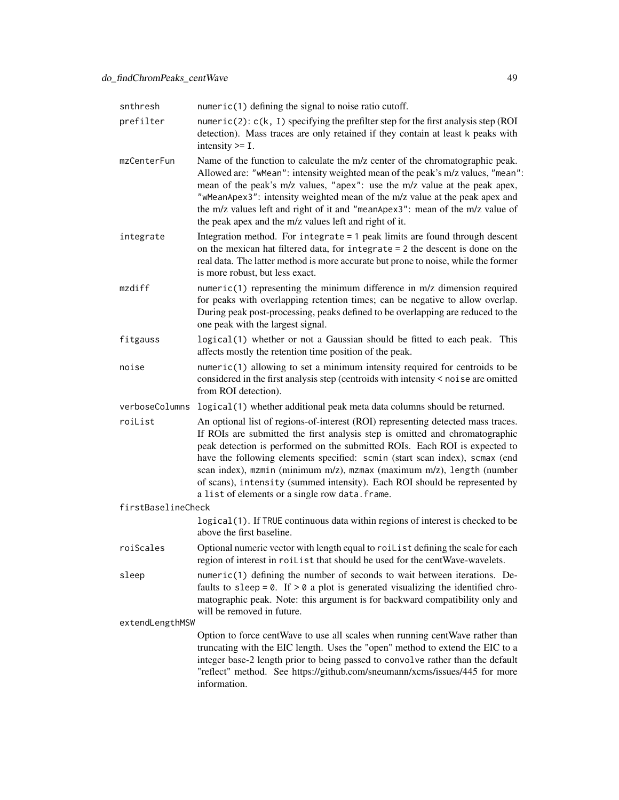| snthresh           | $numeric(1)$ defining the signal to noise ratio cutoff.                                                                                                                                                                                                                                                                                                                                                                                                                                                                                 |
|--------------------|-----------------------------------------------------------------------------------------------------------------------------------------------------------------------------------------------------------------------------------------------------------------------------------------------------------------------------------------------------------------------------------------------------------------------------------------------------------------------------------------------------------------------------------------|
| prefilter          | numeric(2): $c(k, I)$ specifying the prefilter step for the first analysis step (ROI<br>detection). Mass traces are only retained if they contain at least k peaks with<br>intensity $>=$ I.                                                                                                                                                                                                                                                                                                                                            |
| mzCenterFun        | Name of the function to calculate the m/z center of the chromatographic peak.<br>Allowed are: "wMean": intensity weighted mean of the peak's m/z values, "mean":<br>mean of the peak's m/z values, "apex": use the m/z value at the peak apex,<br>"wMeanApex3": intensity weighted mean of the m/z value at the peak apex and<br>the m/z values left and right of it and "meanApex3": mean of the m/z value of<br>the peak apex and the m/z values left and right of it.                                                                |
| integrate          | Integration method. For integrate = 1 peak limits are found through descent<br>on the mexican hat filtered data, for integrate = 2 the descent is done on the<br>real data. The latter method is more accurate but prone to noise, while the former<br>is more robust, but less exact.                                                                                                                                                                                                                                                  |
| mzdiff             | $numeric(1)$ representing the minimum difference in $m/z$ dimension required<br>for peaks with overlapping retention times; can be negative to allow overlap.<br>During peak post-processing, peaks defined to be overlapping are reduced to the<br>one peak with the largest signal.                                                                                                                                                                                                                                                   |
| fitgauss           | logical(1) whether or not a Gaussian should be fitted to each peak. This<br>affects mostly the retention time position of the peak.                                                                                                                                                                                                                                                                                                                                                                                                     |
| noise              | numeric(1) allowing to set a minimum intensity required for centroids to be<br>considered in the first analysis step (centroids with intensity < noise are omitted<br>from ROI detection).                                                                                                                                                                                                                                                                                                                                              |
| verboseColumns     | logical (1) whether additional peak meta data columns should be returned.                                                                                                                                                                                                                                                                                                                                                                                                                                                               |
| roiList            | An optional list of regions-of-interest (ROI) representing detected mass traces.<br>If ROIs are submitted the first analysis step is omitted and chromatographic<br>peak detection is performed on the submitted ROIs. Each ROI is expected to<br>have the following elements specified: scmin (start scan index), scmax (end<br>scan index), mzmin (minimum m/z), mzmax (maximum m/z), length (number<br>of scans), intensity (summed intensity). Each ROI should be represented by<br>a list of elements or a single row data. frame. |
| firstBaselineCheck |                                                                                                                                                                                                                                                                                                                                                                                                                                                                                                                                         |
|                    | logical(1). If TRUE continuous data within regions of interest is checked to be<br>above the first baseline.                                                                                                                                                                                                                                                                                                                                                                                                                            |
| roiScales          | Optional numeric vector with length equal to roil ist defining the scale for each<br>region of interest in roilist that should be used for the centWave-wavelets.                                                                                                                                                                                                                                                                                                                                                                       |
| sleep              | numeric(1) defining the number of seconds to wait between iterations. De-<br>faults to sleep = $\theta$ . If > $\theta$ a plot is generated visualizing the identified chro-<br>matographic peak. Note: this argument is for backward compatibility only and<br>will be removed in future.                                                                                                                                                                                                                                              |
| extendLengthMSW    |                                                                                                                                                                                                                                                                                                                                                                                                                                                                                                                                         |
|                    | Option to force centWave to use all scales when running centWave rather than<br>truncating with the EIC length. Uses the "open" method to extend the EIC to a<br>integer base-2 length prior to being passed to convolve rather than the default<br>"reflect" method. See https://github.com/sneumann/xcms/issues/445 for more<br>information.                                                                                                                                                                                          |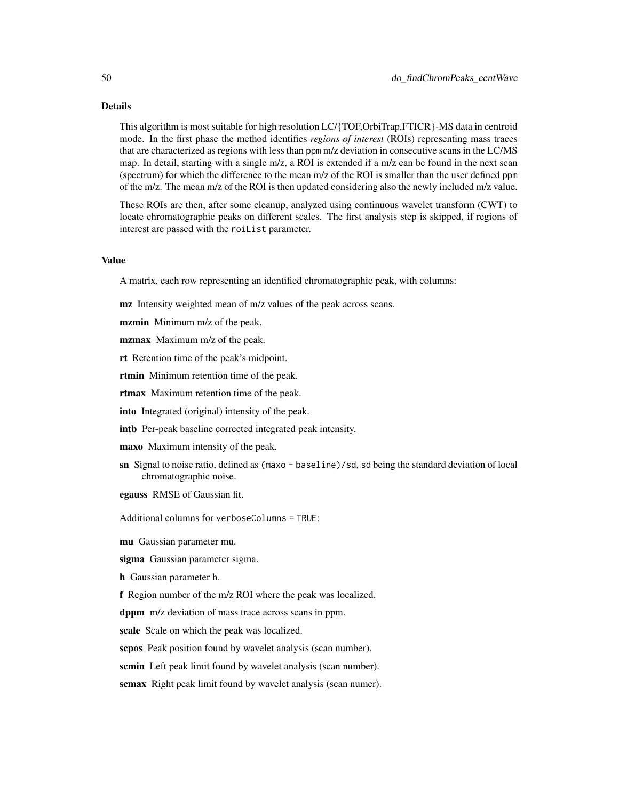#### Details

This algorithm is most suitable for high resolution LC/{TOF,OrbiTrap,FTICR}-MS data in centroid mode. In the first phase the method identifies *regions of interest* (ROIs) representing mass traces that are characterized as regions with less than ppm m/z deviation in consecutive scans in the LC/MS map. In detail, starting with a single m/z, a ROI is extended if a m/z can be found in the next scan (spectrum) for which the difference to the mean m/z of the ROI is smaller than the user defined ppm of the m/z. The mean m/z of the ROI is then updated considering also the newly included m/z value.

These ROIs are then, after some cleanup, analyzed using continuous wavelet transform (CWT) to locate chromatographic peaks on different scales. The first analysis step is skipped, if regions of interest are passed with the roiList parameter.

#### Value

A matrix, each row representing an identified chromatographic peak, with columns:

mz Intensity weighted mean of m/z values of the peak across scans.

mzmin Minimum m/z of the peak.

mzmax Maximum m/z of the peak.

rt Retention time of the peak's midpoint.

rtmin Minimum retention time of the peak.

rtmax Maximum retention time of the peak.

into Integrated (original) intensity of the peak.

intb Per-peak baseline corrected integrated peak intensity.

maxo Maximum intensity of the peak.

- sn Signal to noise ratio, defined as (maxo baseline)/sd, sd being the standard deviation of local chromatographic noise.
- egauss RMSE of Gaussian fit.

Additional columns for verboseColumns = TRUE:

mu Gaussian parameter mu.

sigma Gaussian parameter sigma.

h Gaussian parameter h.

f Region number of the m/z ROI where the peak was localized.

dppm m/z deviation of mass trace across scans in ppm.

scale Scale on which the peak was localized.

scpos Peak position found by wavelet analysis (scan number).

scmin Left peak limit found by wavelet analysis (scan number).

scmax Right peak limit found by wavelet analysis (scan numer).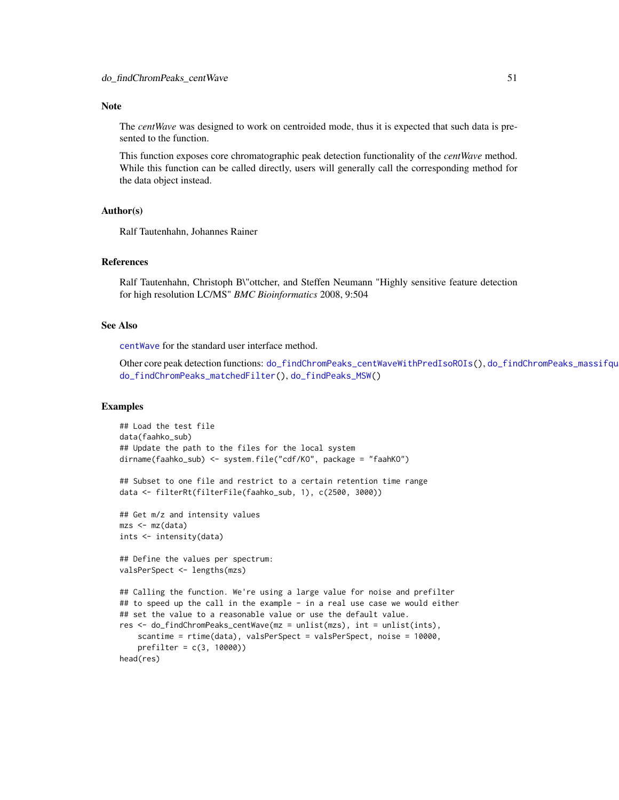## **Note**

The *centWave* was designed to work on centroided mode, thus it is expected that such data is presented to the function.

This function exposes core chromatographic peak detection functionality of the *centWave* method. While this function can be called directly, users will generally call the corresponding method for the data object instead.

## Author(s)

Ralf Tautenhahn, Johannes Rainer

## References

Ralf Tautenhahn, Christoph B\"ottcher, and Steffen Neumann "Highly sensitive feature detection for high resolution LC/MS" *BMC Bioinformatics* 2008, 9:504

## See Also

[centWave](#page-98-0) for the standard user interface method.

Other core peak detection functions: [do\\_findChromPeaks\\_centWaveWithPredIsoROIs\(](#page-51-0)), do\_findChromPeaks\_massifqu [do\\_findChromPeaks\\_matchedFilter\(](#page-58-0)), [do\\_findPeaks\\_MSW\(](#page-62-0))

## Examples

```
## Load the test file
data(faahko_sub)
## Update the path to the files for the local system
dirname(faahko_sub) <- system.file("cdf/KO", package = "faahKO")
## Subset to one file and restrict to a certain retention time range
data <- filterRt(filterFile(faahko_sub, 1), c(2500, 3000))
## Get m/z and intensity values
mzs <- mz(data)
ints <- intensity(data)
## Define the values per spectrum:
valsPerSpect <- lengths(mzs)
## Calling the function. We're using a large value for noise and prefilter
## to speed up the call in the example - in a real use case we would either
## set the value to a reasonable value or use the default value.
res <- do_findChromPeaks_centWave(mz = unlist(mzs), int = unlist(ints),
    scantime = rtime(data), valsPerSpect = valsPerSpect, noise = 10000,
    prefilter = c(3, 10000))
head(res)
```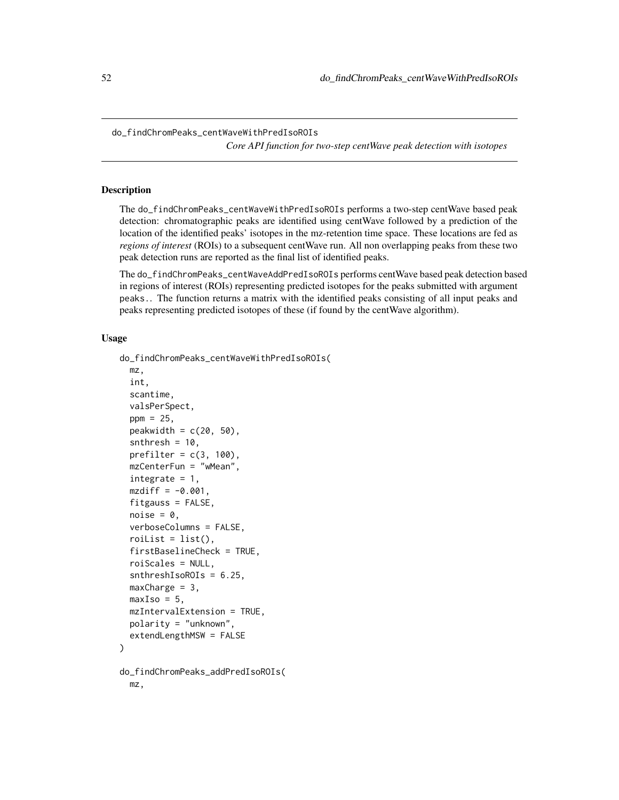<span id="page-51-0"></span>do\_findChromPeaks\_centWaveWithPredIsoROIs

*Core API function for two-step centWave peak detection with isotopes*

#### **Description**

The do\_findChromPeaks\_centWaveWithPredIsoROIs performs a two-step centWave based peak detection: chromatographic peaks are identified using centWave followed by a prediction of the location of the identified peaks' isotopes in the mz-retention time space. These locations are fed as *regions of interest* (ROIs) to a subsequent centWave run. All non overlapping peaks from these two peak detection runs are reported as the final list of identified peaks.

The do\_findChromPeaks\_centWaveAddPredIsoROIs performs centWave based peak detection based in regions of interest (ROIs) representing predicted isotopes for the peaks submitted with argument peaks.. The function returns a matrix with the identified peaks consisting of all input peaks and peaks representing predicted isotopes of these (if found by the centWave algorithm).

## Usage

```
do_findChromPeaks_centWaveWithPredIsoROIs(
  mz,
  int,
  scantime,
  valsPerSpect,
  ppm = 25,
 peakwidth = c(20, 50),
  snthresh = 10,
  prefilter = c(3, 100),
  mzCenterFun = "wMean",
  integrate = 1,
  mzdiff = -0.001,
  fitgauss = FALSE,
  noise = 0,
  verboseColumns = FALSE,
  r oilist = list(),firstBaselineCheck = TRUE,
  roiScales = NULL,
  snthreshIsoROIs = 6.25,
  maxChange = 3,
 maxIso = 5,
 mzIntervalExtension = TRUE,
 polarity = "unknown",
  extendLengthMSW = FALSE
)
do_findChromPeaks_addPredIsoROIs(
 mz,
```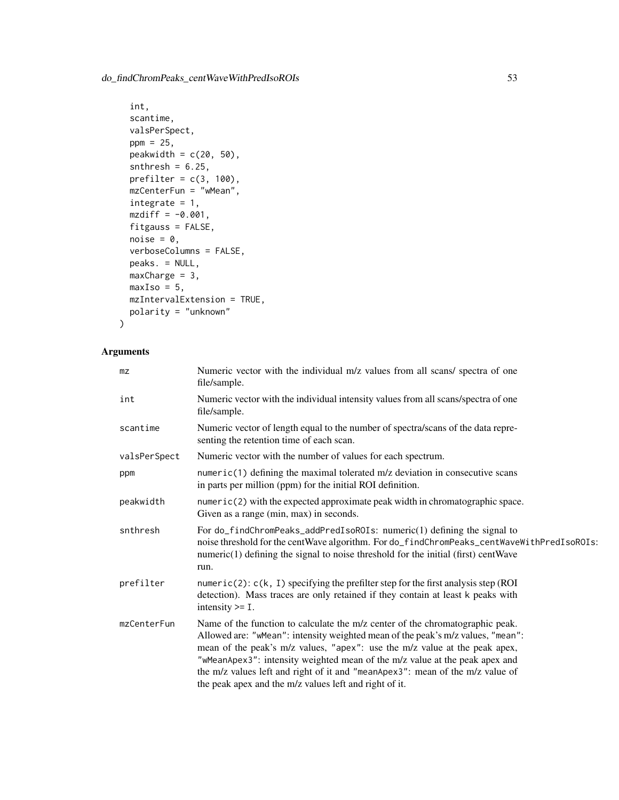do\_findChromPeaks\_centWaveWithPredIsoROIs 53

```
int,
  scantime,
 valsPerSpect,
 ppm = 25,
 peakwidth = c(20, 50),
  snthresh = 6.25,
 prefilter = c(3, 100),
 mzCenterFun = "wMean",
  integrate = 1,
 mzdiff = -0.001,fitgauss = FALSE,
  noise = 0,
 verboseColumns = FALSE,
 peaks. = NULL,
 maxCharge = 3,
 maxIso = 5,
 mzIntervalExtension = TRUE,
 polarity = "unknown"
\mathcal{L}
```

| mz           | Numeric vector with the individual m/z values from all scans/ spectra of one<br>file/sample.                                                                                                                                                                                                                                                                                                                                                                             |
|--------------|--------------------------------------------------------------------------------------------------------------------------------------------------------------------------------------------------------------------------------------------------------------------------------------------------------------------------------------------------------------------------------------------------------------------------------------------------------------------------|
| int          | Numeric vector with the individual intensity values from all scans/spectra of one<br>file/sample.                                                                                                                                                                                                                                                                                                                                                                        |
| scantime     | Numeric vector of length equal to the number of spectra/scans of the data repre-<br>senting the retention time of each scan.                                                                                                                                                                                                                                                                                                                                             |
| valsPerSpect | Numeric vector with the number of values for each spectrum.                                                                                                                                                                                                                                                                                                                                                                                                              |
| ppm          | $numeric(1)$ defining the maximal tolerated m/z deviation in consecutive scans<br>in parts per million (ppm) for the initial ROI definition.                                                                                                                                                                                                                                                                                                                             |
| peakwidth    | $numeric(2)$ with the expected approximate peak width in chromatographic space.<br>Given as a range (min, max) in seconds.                                                                                                                                                                                                                                                                                                                                               |
| snthresh     | For do_findChromPeaks_addPredIsoROIs: numeric(1) defining the signal to<br>noise threshold for the centWave algorithm. For do_findChromPeaks_centWaveWithPredIsoROIs:<br>$numeric(1)$ defining the signal to noise threshold for the initial (first) cent Wave<br>run.                                                                                                                                                                                                   |
| prefilter    | numeric(2): $c(k, I)$ specifying the prefilter step for the first analysis step (ROI<br>detection). Mass traces are only retained if they contain at least k peaks with<br>intensity $>=$ I.                                                                                                                                                                                                                                                                             |
| mzCenterFun  | Name of the function to calculate the m/z center of the chromatographic peak.<br>Allowed are: "wMean": intensity weighted mean of the peak's m/z values, "mean":<br>mean of the peak's m/z values, "apex": use the m/z value at the peak apex,<br>"wMeanApex3": intensity weighted mean of the m/z value at the peak apex and<br>the m/z values left and right of it and "meanApex3": mean of the m/z value of<br>the peak apex and the m/z values left and right of it. |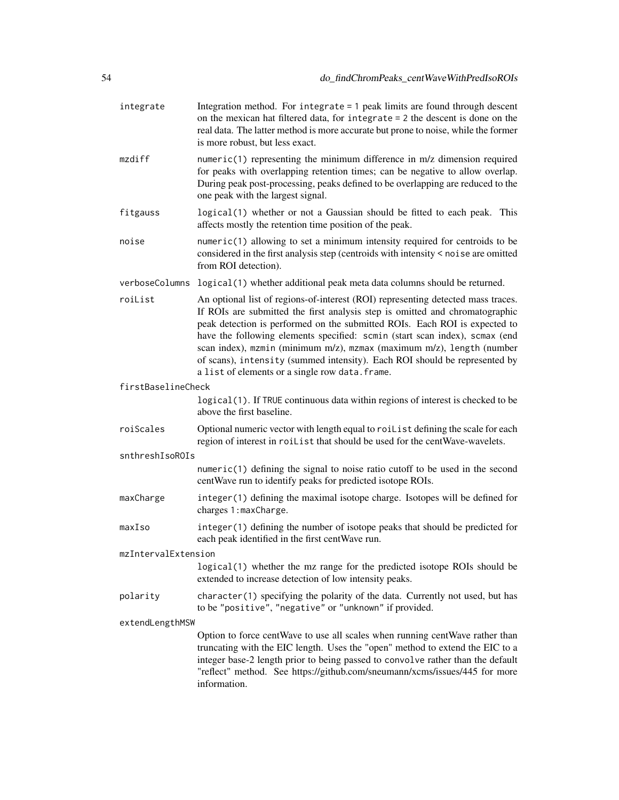| integrate           | Integration method. For integrate = 1 peak limits are found through descent<br>on the mexican hat filtered data, for integrate $= 2$ the descent is done on the<br>real data. The latter method is more accurate but prone to noise, while the former<br>is more robust, but less exact.                                                                                                                                                                                                                                                |
|---------------------|-----------------------------------------------------------------------------------------------------------------------------------------------------------------------------------------------------------------------------------------------------------------------------------------------------------------------------------------------------------------------------------------------------------------------------------------------------------------------------------------------------------------------------------------|
| mzdiff              | $numeric(1)$ representing the minimum difference in $m/z$ dimension required<br>for peaks with overlapping retention times; can be negative to allow overlap.<br>During peak post-processing, peaks defined to be overlapping are reduced to the<br>one peak with the largest signal.                                                                                                                                                                                                                                                   |
| fitgauss            | logical(1) whether or not a Gaussian should be fitted to each peak. This<br>affects mostly the retention time position of the peak.                                                                                                                                                                                                                                                                                                                                                                                                     |
| noise               | $numeric(1)$ allowing to set a minimum intensity required for centroids to be<br>considered in the first analysis step (centroids with intensity < noise are omitted<br>from ROI detection).                                                                                                                                                                                                                                                                                                                                            |
|                     | verboseColumns logical(1) whether additional peak meta data columns should be returned.                                                                                                                                                                                                                                                                                                                                                                                                                                                 |
| roiList             | An optional list of regions-of-interest (ROI) representing detected mass traces.<br>If ROIs are submitted the first analysis step is omitted and chromatographic<br>peak detection is performed on the submitted ROIs. Each ROI is expected to<br>have the following elements specified: scmin (start scan index), scmax (end<br>scan index), mzmin (minimum m/z), mzmax (maximum m/z), length (number<br>of scans), intensity (summed intensity). Each ROI should be represented by<br>a list of elements or a single row data. frame. |
| firstBaselineCheck  |                                                                                                                                                                                                                                                                                                                                                                                                                                                                                                                                         |
|                     | logical(1). If TRUE continuous data within regions of interest is checked to be<br>above the first baseline.                                                                                                                                                                                                                                                                                                                                                                                                                            |
| roiScales           | Optional numeric vector with length equal to roil ist defining the scale for each<br>region of interest in roilist that should be used for the centWave-wavelets.                                                                                                                                                                                                                                                                                                                                                                       |
| snthreshIsoROIs     |                                                                                                                                                                                                                                                                                                                                                                                                                                                                                                                                         |
|                     | numeric(1) defining the signal to noise ratio cutoff to be used in the second<br>centWave run to identify peaks for predicted isotope ROIs.                                                                                                                                                                                                                                                                                                                                                                                             |
| maxCharge           | integer(1) defining the maximal isotope charge. Isotopes will be defined for<br>charges 1:maxCharge.                                                                                                                                                                                                                                                                                                                                                                                                                                    |
| maxIso              | integer(1) defining the number of isotope peaks that should be predicted for<br>each peak identified in the first centWave run.                                                                                                                                                                                                                                                                                                                                                                                                         |
| mzIntervalExtension |                                                                                                                                                                                                                                                                                                                                                                                                                                                                                                                                         |
|                     | logical(1) whether the mz range for the predicted isotope ROIs should be<br>extended to increase detection of low intensity peaks.                                                                                                                                                                                                                                                                                                                                                                                                      |
| polarity            | character(1) specifying the polarity of the data. Currently not used, but has<br>to be "positive", "negative" or "unknown" if provided.                                                                                                                                                                                                                                                                                                                                                                                                 |
| extendLengthMSW     |                                                                                                                                                                                                                                                                                                                                                                                                                                                                                                                                         |
|                     | Option to force centWave to use all scales when running centWave rather than<br>truncating with the EIC length. Uses the "open" method to extend the EIC to a<br>integer base-2 length prior to being passed to convolve rather than the default<br>"reflect" method. See https://github.com/sneumann/xcms/issues/445 for more<br>information.                                                                                                                                                                                          |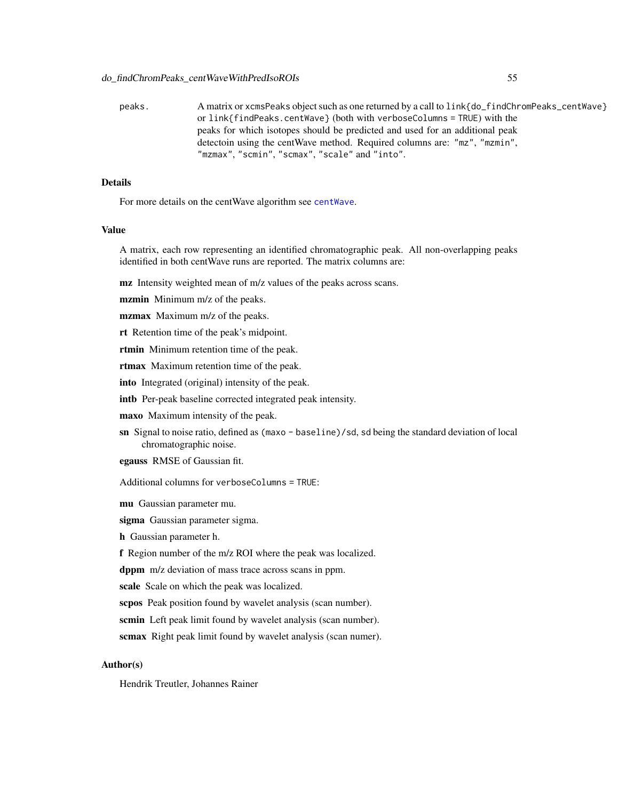#### do\_findChromPeaks\_centWaveWithPredIsoROIs 55

peaks. A matrix or xcmsPeaks object such as one returned by a call to link{do\_findChromPeaks\_centWave} or link{findPeaks.centWave} (both with verboseColumns = TRUE) with the peaks for which isotopes should be predicted and used for an additional peak detectoin using the centWave method. Required columns are: "mz", "mzmin", "mzmax", "scmin", "scmax", "scale" and "into".

## Details

For more details on the [centWave](#page-98-0) algorithm see centWave.

#### Value

A matrix, each row representing an identified chromatographic peak. All non-overlapping peaks identified in both centWave runs are reported. The matrix columns are:

mz Intensity weighted mean of m/z values of the peaks across scans.

mzmin Minimum m/z of the peaks.

mzmax Maximum m/z of the peaks.

rt Retention time of the peak's midpoint.

rtmin Minimum retention time of the peak.

rtmax Maximum retention time of the peak.

into Integrated (original) intensity of the peak.

intb Per-peak baseline corrected integrated peak intensity.

maxo Maximum intensity of the peak.

sn Signal to noise ratio, defined as (maxo - baseline)/sd, sd being the standard deviation of local chromatographic noise.

egauss RMSE of Gaussian fit.

Additional columns for verboseColumns = TRUE:

mu Gaussian parameter mu.

sigma Gaussian parameter sigma.

h Gaussian parameter h.

f Region number of the m/z ROI where the peak was localized.

dppm m/z deviation of mass trace across scans in ppm.

scale Scale on which the peak was localized.

scpos Peak position found by wavelet analysis (scan number).

scmin Left peak limit found by wavelet analysis (scan number).

scmax Right peak limit found by wavelet analysis (scan numer).

## Author(s)

Hendrik Treutler, Johannes Rainer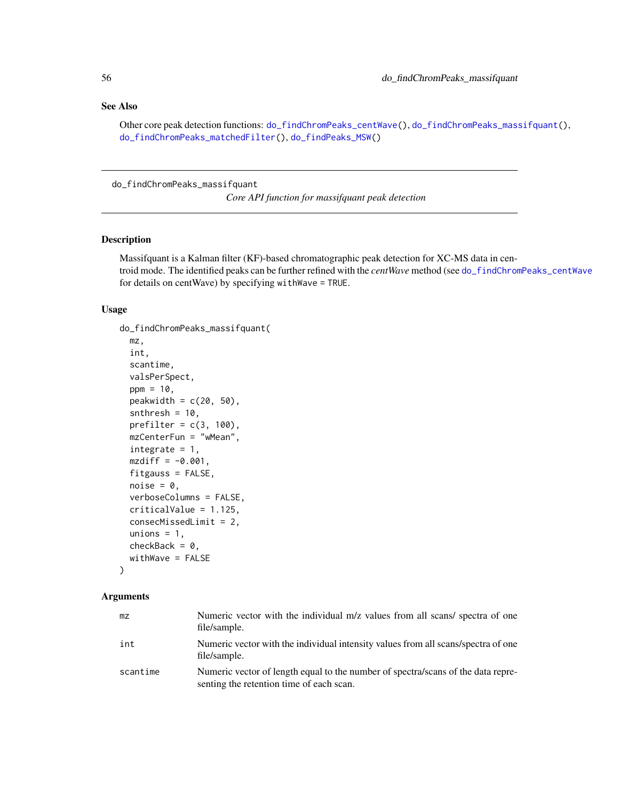# See Also

Other core peak detection functions: [do\\_findChromPeaks\\_centWave\(](#page-47-0)), [do\\_findChromPeaks\\_massifquant\(](#page-55-0)), [do\\_findChromPeaks\\_matchedFilter\(](#page-58-0)), [do\\_findPeaks\\_MSW\(](#page-62-0))

<span id="page-55-0"></span>do\_findChromPeaks\_massifquant

*Core API function for massifquant peak detection*

# Description

Massifquant is a Kalman filter (KF)-based chromatographic peak detection for XC-MS data in centroid mode. The identified peaks can be further refined with the *centWave* method (see [do\\_findChromPeaks\\_centWave](#page-47-0) for details on centWave) by specifying withWave = TRUE.

#### Usage

```
do_findChromPeaks_massifquant(
 mz,
  int,
  scantime,
  valsPerSpect,
  ppm = 10,
 peakwidth = c(20, 50),
  snthresh = 10,
 prefilter = c(3, 100),
 mzCenterFun = "wMean",
  integrate = 1,
 mzdiff = -0.001,fitgauss = FALSE,
  noise = 0,
  verboseColumns = FALSE,
  criticalValue = 1.125,
  consecMissedLimit = 2,
  unions = 1,
  checkBack = 0,
  withWave = FALSE
)
```

| mz       | Numeric vector with the individual m/z values from all scans/ spectra of one<br>file/sample.                                 |
|----------|------------------------------------------------------------------------------------------------------------------------------|
| int      | Numeric vector with the individual intensity values from all scans/spectra of one<br>file/sample.                            |
| scantime | Numeric vector of length equal to the number of spectra/scans of the data repre-<br>senting the retention time of each scan. |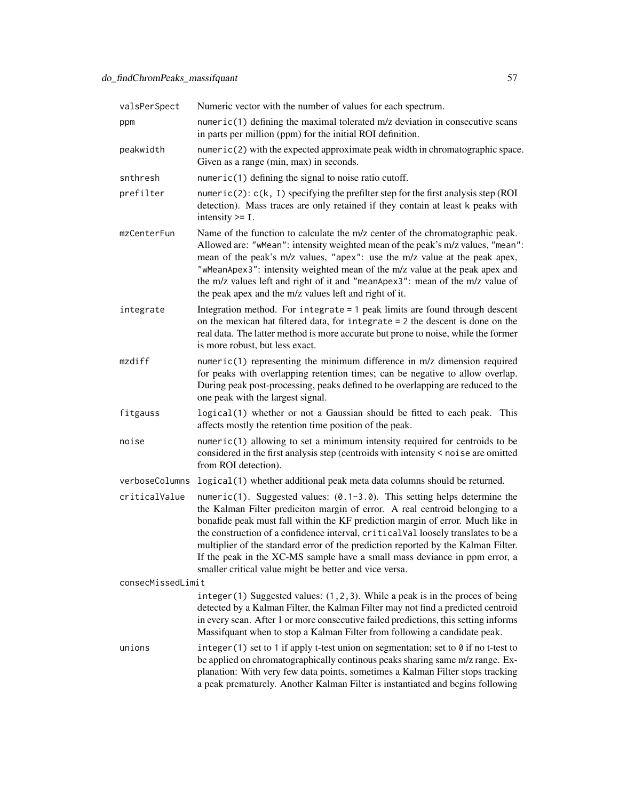| valsPerSpect      | Numeric vector with the number of values for each spectrum.                                                                                                                                                                                                                                                                                                                                                                                                                                                                                                      |
|-------------------|------------------------------------------------------------------------------------------------------------------------------------------------------------------------------------------------------------------------------------------------------------------------------------------------------------------------------------------------------------------------------------------------------------------------------------------------------------------------------------------------------------------------------------------------------------------|
| ppm               | numeric(1) defining the maximal tolerated m/z deviation in consecutive scans<br>in parts per million (ppm) for the initial ROI definition.                                                                                                                                                                                                                                                                                                                                                                                                                       |
| peakwidth         | numeric(2) with the expected approximate peak width in chromatographic space.<br>Given as a range (min, max) in seconds.                                                                                                                                                                                                                                                                                                                                                                                                                                         |
| snthresh          | numeric(1) defining the signal to noise ratio cutoff.                                                                                                                                                                                                                                                                                                                                                                                                                                                                                                            |
| prefilter         | numeric(2): $c(k, I)$ specifying the prefilter step for the first analysis step (ROI<br>detection). Mass traces are only retained if they contain at least k peaks with<br>intensity $>=$ I.                                                                                                                                                                                                                                                                                                                                                                     |
| mzCenterFun       | Name of the function to calculate the m/z center of the chromatographic peak.<br>Allowed are: "wMean": intensity weighted mean of the peak's m/z values, "mean":<br>mean of the peak's m/z values, "apex": use the m/z value at the peak apex,<br>"wMeanApex3": intensity weighted mean of the m/z value at the peak apex and<br>the m/z values left and right of it and "meanApex3": mean of the m/z value of<br>the peak apex and the m/z values left and right of it.                                                                                         |
| integrate         | Integration method. For integrate = 1 peak limits are found through descent<br>on the mexican hat filtered data, for integrate = 2 the descent is done on the<br>real data. The latter method is more accurate but prone to noise, while the former<br>is more robust, but less exact.                                                                                                                                                                                                                                                                           |
| mzdiff            | $numeric(1)$ representing the minimum difference in $m/z$ dimension required<br>for peaks with overlapping retention times; can be negative to allow overlap.<br>During peak post-processing, peaks defined to be overlapping are reduced to the<br>one peak with the largest signal.                                                                                                                                                                                                                                                                            |
| fitgauss          | logical(1) whether or not a Gaussian should be fitted to each peak. This<br>affects mostly the retention time position of the peak.                                                                                                                                                                                                                                                                                                                                                                                                                              |
| noise             | $numeric(1)$ allowing to set a minimum intensity required for centroids to be<br>considered in the first analysis step (centroids with intensity < noise are omitted<br>from ROI detection).                                                                                                                                                                                                                                                                                                                                                                     |
| verboseColumns    | logical(1) whether additional peak meta data columns should be returned.                                                                                                                                                                                                                                                                                                                                                                                                                                                                                         |
| criticalValue     | numeric(1). Suggested values: $(0.1-3.0)$ . This setting helps determine the<br>the Kalman Filter prediciton margin of error. A real centroid belonging to a<br>bonafide peak must fall within the KF prediction margin of error. Much like in<br>the construction of a confidence interval, criticalVal loosely translates to be a<br>multiplier of the standard error of the prediction reported by the Kalman Filter.<br>If the peak in the XC-MS sample have a small mass deviance in ppm error, a<br>smaller critical value might be better and vice versa. |
| consecMissedLimit |                                                                                                                                                                                                                                                                                                                                                                                                                                                                                                                                                                  |
|                   | $integer(1)$ Suggested values: $(1, 2, 3)$ . While a peak is in the proces of being<br>detected by a Kalman Filter, the Kalman Filter may not find a predicted centroid<br>in every scan. After 1 or more consecutive failed predictions, this setting informs<br>Massifquant when to stop a Kalman Filter from following a candidate peak.                                                                                                                                                                                                                      |
| unions            | integer (1) set to 1 if apply t-test union on segmentation; set to 0 if no t-test to<br>be applied on chromatographically continous peaks sharing same m/z range. Ex-<br>planation: With very few data points, sometimes a Kalman Filter stops tracking<br>a peak prematurely. Another Kalman Filter is instantiated and begins following                                                                                                                                                                                                                        |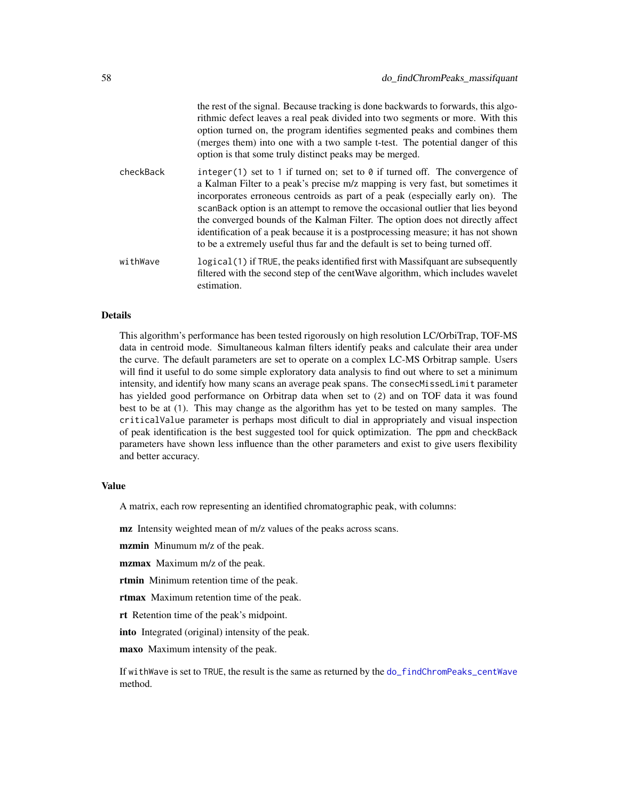|           | the rest of the signal. Because tracking is done backwards to forwards, this algo-<br>rithmic defect leaves a real peak divided into two segments or more. With this<br>option turned on, the program identifies segmented peaks and combines them<br>(merges them) into one with a two sample t-test. The potential danger of this<br>option is that some truly distinct peaks may be merged.                                                                                                                                                                                               |
|-----------|----------------------------------------------------------------------------------------------------------------------------------------------------------------------------------------------------------------------------------------------------------------------------------------------------------------------------------------------------------------------------------------------------------------------------------------------------------------------------------------------------------------------------------------------------------------------------------------------|
| checkBack | integer (1) set to 1 if turned on; set to 0 if turned off. The convergence of<br>a Kalman Filter to a peak's precise m/z mapping is very fast, but sometimes it<br>incorporates erroneous centroids as part of a peak (especially early on). The<br>scan Back option is an attempt to remove the occasional outlier that lies beyond<br>the converged bounds of the Kalman Filter. The option does not directly affect<br>identification of a peak because it is a postprocessing measure; it has not shown<br>to be a extremely useful thus far and the default is set to being turned off. |
| withWave  | logical (1) if TRUE, the peaks identified first with Massif quant are subsequently<br>filtered with the second step of the centWave algorithm, which includes wavelet<br>estimation.                                                                                                                                                                                                                                                                                                                                                                                                         |

## Details

This algorithm's performance has been tested rigorously on high resolution LC/OrbiTrap, TOF-MS data in centroid mode. Simultaneous kalman filters identify peaks and calculate their area under the curve. The default parameters are set to operate on a complex LC-MS Orbitrap sample. Users will find it useful to do some simple exploratory data analysis to find out where to set a minimum intensity, and identify how many scans an average peak spans. The consecMissedLimit parameter has yielded good performance on Orbitrap data when set to (2) and on TOF data it was found best to be at (1). This may change as the algorithm has yet to be tested on many samples. The criticalValue parameter is perhaps most dificult to dial in appropriately and visual inspection of peak identification is the best suggested tool for quick optimization. The ppm and checkBack parameters have shown less influence than the other parameters and exist to give users flexibility and better accuracy.

#### Value

A matrix, each row representing an identified chromatographic peak, with columns:

mz Intensity weighted mean of m/z values of the peaks across scans.

mzmin Minumum m/z of the peak.

mzmax Maximum m/z of the peak.

rtmin Minimum retention time of the peak.

rtmax Maximum retention time of the peak.

rt Retention time of the peak's midpoint.

into Integrated (original) intensity of the peak.

maxo Maximum intensity of the peak.

If withWave is set to TRUE, the result is the same as returned by the [do\\_findChromPeaks\\_centWave](#page-47-0) method.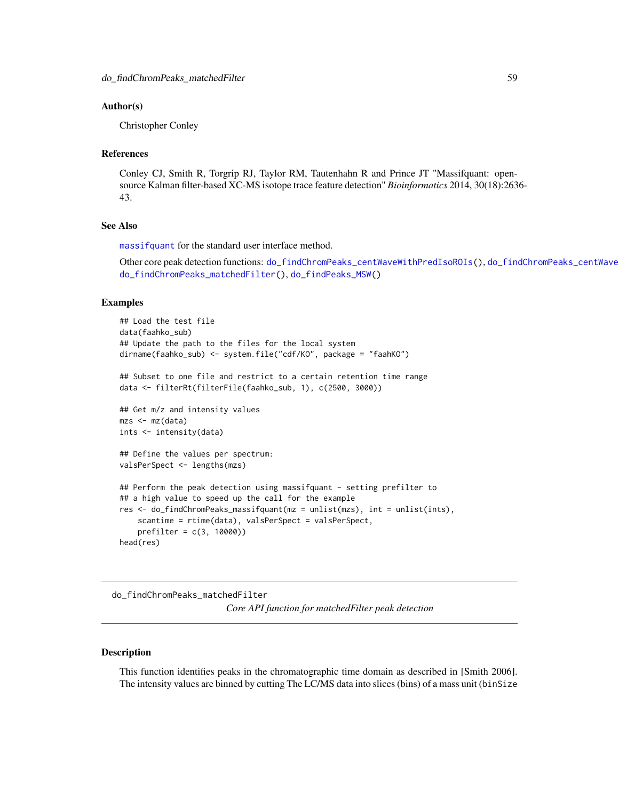## Author(s)

Christopher Conley

### References

Conley CJ, Smith R, Torgrip RJ, Taylor RM, Tautenhahn R and Prince JT "Massifquant: opensource Kalman filter-based XC-MS isotope trace feature detection" *Bioinformatics* 2014, 30(18):2636- 43.

#### See Also

[massifquant](#page-109-0) for the standard user interface method.

Other core peak detection functions: [do\\_findChromPeaks\\_centWaveWithPredIsoROIs\(](#page-51-0)), do\_findChromPeaks\_centWave [do\\_findChromPeaks\\_matchedFilter\(](#page-58-0)), [do\\_findPeaks\\_MSW\(](#page-62-0))

#### Examples

```
## Load the test file
data(faahko_sub)
## Update the path to the files for the local system
dirname(faahko_sub) <- system.file("cdf/KO", package = "faahKO")
## Subset to one file and restrict to a certain retention time range
data <- filterRt(filterFile(faahko_sub, 1), c(2500, 3000))
## Get m/z and intensity values
mzs <- mz(data)
ints <- intensity(data)
## Define the values per spectrum:
valsPerSpect <- lengths(mzs)
## Perform the peak detection using massifquant - setting prefilter to
## a high value to speed up the call for the example
res <- do_findChromPeaks_massifquant(mz = unlist(mzs), int = unlist(ints),
   scantime = rtime(data), valsPerSpect = valsPerSpect,
   prefilter = c(3, 10000))
head(res)
```
<span id="page-58-0"></span>do\_findChromPeaks\_matchedFilter *Core API function for matchedFilter peak detection*

#### Description

This function identifies peaks in the chromatographic time domain as described in [Smith 2006]. The intensity values are binned by cutting The LC/MS data into slices (bins) of a mass unit (binSize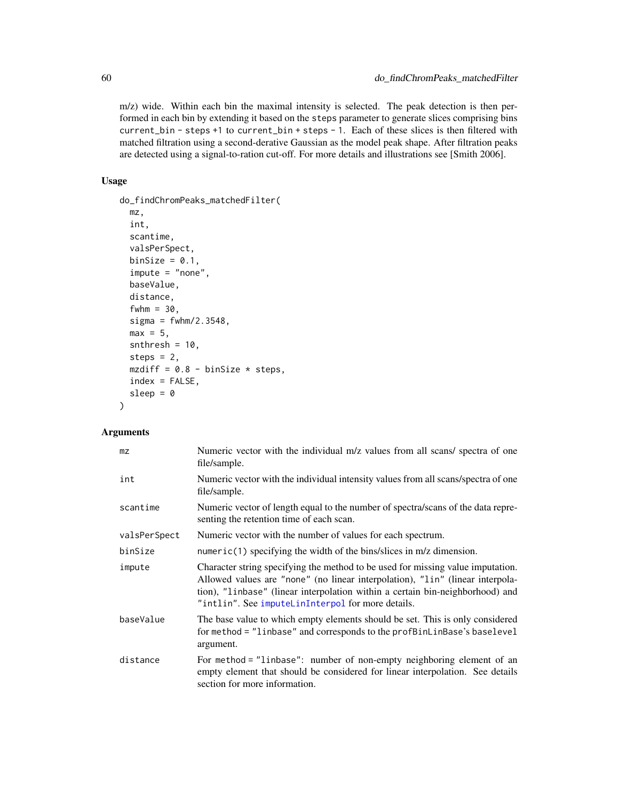m/z) wide. Within each bin the maximal intensity is selected. The peak detection is then performed in each bin by extending it based on the steps parameter to generate slices comprising bins current\_bin - steps +1 to current\_bin + steps - 1. Each of these slices is then filtered with matched filtration using a second-derative Gaussian as the model peak shape. After filtration peaks are detected using a signal-to-ration cut-off. For more details and illustrations see [Smith 2006].

#### Usage

```
do_findChromPeaks_matchedFilter(
  mz,
  int,
  scantime,
  valsPerSpect,
  binSize = 0.1,
  impute = "none",
  baseValue,
  distance,
  fwhm = 30,
  sigma = fwhm/2.3548,
  max = 5,
  snthresh = 10,
  steps = 2,
  mzdiff = 0.8 - binSize * steps,
  index = FALSE,sleep = \theta)
```

| m <sub>Z</sub> | Numeric vector with the individual m/z values from all scans/ spectra of one<br>file/sample.                                                                                                                                                                                                           |
|----------------|--------------------------------------------------------------------------------------------------------------------------------------------------------------------------------------------------------------------------------------------------------------------------------------------------------|
| int            | Numeric vector with the individual intensity values from all scans/spectra of one<br>file/sample.                                                                                                                                                                                                      |
| scantime       | Numeric vector of length equal to the number of spectra/scans of the data repre-<br>senting the retention time of each scan.                                                                                                                                                                           |
| valsPerSpect   | Numeric vector with the number of values for each spectrum.                                                                                                                                                                                                                                            |
| binSize        | $numeric(1) specifying the width of the bins/slices in m/z dimension.$                                                                                                                                                                                                                                 |
| impute         | Character string specifying the method to be used for missing value imputation.<br>Allowed values are "none" (no linear interpolation), "lin" (linear interpola-<br>tion), "linbase" (linear interpolation within a certain bin-neighborhood) and<br>"intlin". See imputeLinInterpol for more details. |
| baseValue      | The base value to which empty elements should be set. This is only considered<br>for method = "linbase" and corresponds to the profBinLinBase's baselevel<br>argument.                                                                                                                                 |
| distance       | For method = "linbase": number of non-empty neighboring element of an<br>empty element that should be considered for linear interpolation. See details<br>section for more information.                                                                                                                |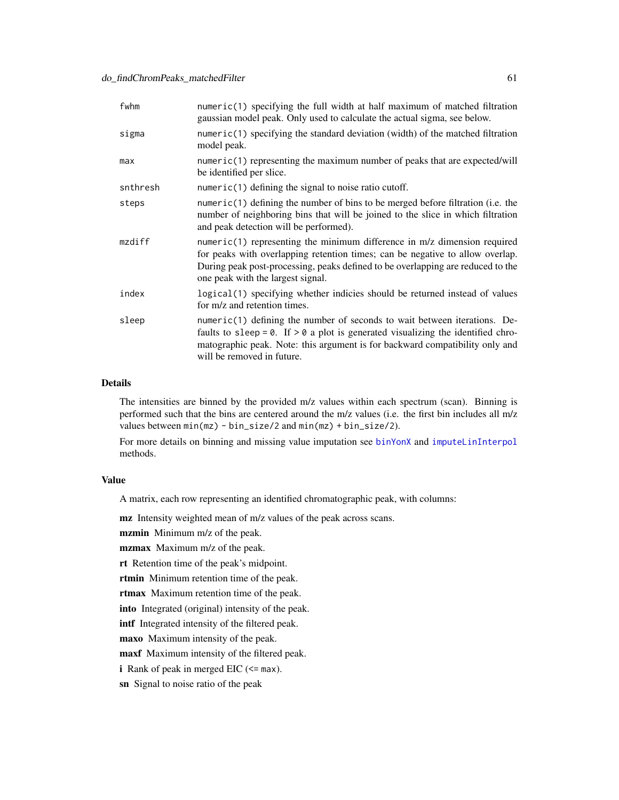| fwhm     | numeric(1) specifying the full width at half maximum of matched filtration<br>gaussian model peak. Only used to calculate the actual sigma, see below.                                                                                                                                        |
|----------|-----------------------------------------------------------------------------------------------------------------------------------------------------------------------------------------------------------------------------------------------------------------------------------------------|
| sigma    | $numeric(1)$ specifying the standard deviation (width) of the matched filtration<br>model peak.                                                                                                                                                                                               |
| max      | numeric(1) representing the maximum number of peaks that are expected/will<br>be identified per slice.                                                                                                                                                                                        |
| snthresh | $numeric(1)$ defining the signal to noise ratio cutoff.                                                                                                                                                                                                                                       |
| steps    | numeric(1) defining the number of bins to be merged before filtration (i.e. the<br>number of neighboring bins that will be joined to the slice in which filtration<br>and peak detection will be performed).                                                                                  |
| mzdiff   | numeric(1) representing the minimum difference in $m/z$ dimension required<br>for peaks with overlapping retention times; can be negative to allow overlap.<br>During peak post-processing, peaks defined to be overlapping are reduced to the<br>one peak with the largest signal.           |
| index    | logical (1) specifying whether indicies should be returned instead of values<br>for m/z and retention times.                                                                                                                                                                                  |
| sleep    | numeric $(1)$ defining the number of seconds to wait between iterations. De-<br>faults to sleep = $\theta$ . If > $\theta$ a plot is generated visualizing the identified chro-<br>matographic peak. Note: this argument is for backward compatibility only and<br>will be removed in future. |

## Details

The intensities are binned by the provided m/z values within each spectrum (scan). Binning is performed such that the bins are centered around the m/z values (i.e. the first bin includes all m/z values between min(mz) - bin\_size/2 and min(mz) + bin\_size/2).

For more details on binning and missing value imputation see [binYonX](#page-22-0) and [imputeLinInterpol](#page-177-0) methods.

#### Value

A matrix, each row representing an identified chromatographic peak, with columns:

mz Intensity weighted mean of m/z values of the peak across scans.

mzmin Minimum m/z of the peak.

mzmax Maximum m/z of the peak.

rt Retention time of the peak's midpoint.

rtmin Minimum retention time of the peak.

rtmax Maximum retention time of the peak.

into Integrated (original) intensity of the peak.

intf Integrated intensity of the filtered peak.

maxo Maximum intensity of the peak.

maxf Maximum intensity of the filtered peak.

i Rank of peak in merged EIC  $(\leq = \text{max})$ .

sn Signal to noise ratio of the peak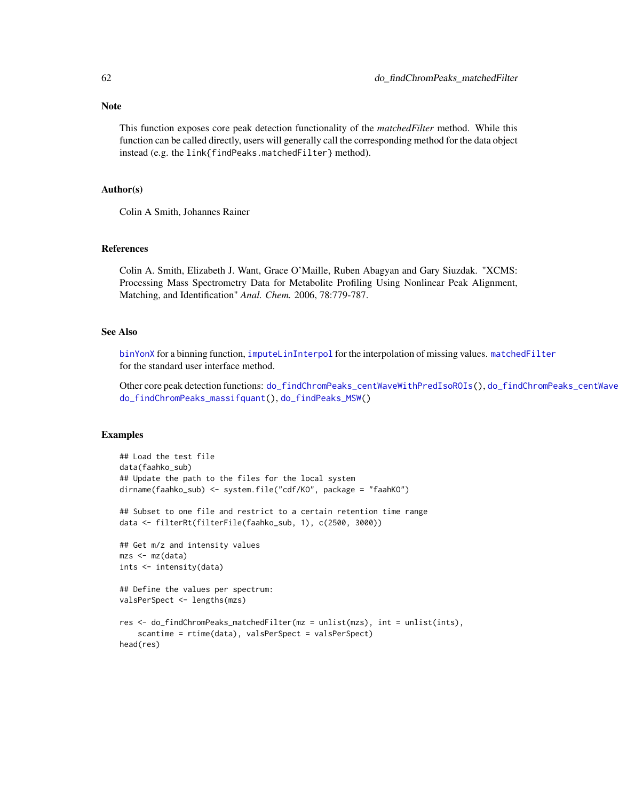This function exposes core peak detection functionality of the *matchedFilter* method. While this function can be called directly, users will generally call the corresponding method for the data object instead (e.g. the link{findPeaks.matchedFilter} method).

#### Author(s)

Colin A Smith, Johannes Rainer

### References

Colin A. Smith, Elizabeth J. Want, Grace O'Maille, Ruben Abagyan and Gary Siuzdak. "XCMS: Processing Mass Spectrometry Data for Metabolite Profiling Using Nonlinear Peak Alignment, Matching, and Identification" *Anal. Chem.* 2006, 78:779-787.

#### See Also

[binYonX](#page-22-0) for a binning function, [imputeLinInterpol](#page-177-0) for the interpolation of missing values. [matchedFilter](#page-115-0) for the standard user interface method.

Other core peak detection functions: [do\\_findChromPeaks\\_centWaveWithPredIsoROIs\(](#page-51-0)), do\_findChromPeaks\_centWave [do\\_findChromPeaks\\_massifquant\(](#page-55-0)), [do\\_findPeaks\\_MSW\(](#page-62-0))

#### Examples

```
## Load the test file
data(faahko_sub)
## Update the path to the files for the local system
dirname(faahko_sub) <- system.file("cdf/KO", package = "faahKO")
## Subset to one file and restrict to a certain retention time range
data <- filterRt(filterFile(faahko_sub, 1), c(2500, 3000))
## Get m/z and intensity values
mzs <- mz(data)
ints <- intensity(data)
## Define the values per spectrum:
valsPerSpect <- lengths(mzs)
res <- do_findChromPeaks_matchedFilter(mz = unlist(mzs), int = unlist(ints),
    scantime = rtime(data), valsPerSpect = valsPerSpect)
head(res)
```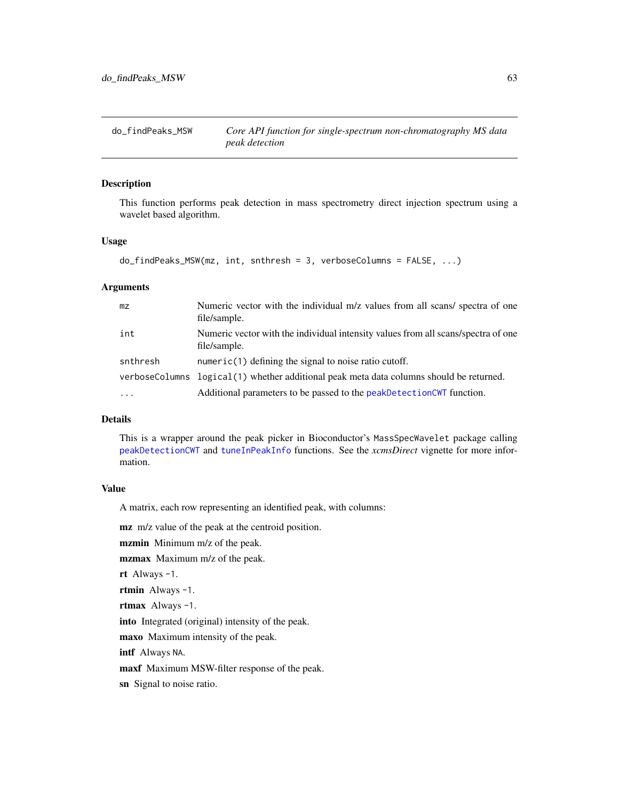<span id="page-62-0"></span>

# Description

This function performs peak detection in mass spectrometry direct injection spectrum using a wavelet based algorithm.

#### Usage

```
do_findPeaks_MSW(mz, int, snthresh = 3, verboseColumns = FALSE, ...)
```
#### Arguments

| mz        | Numeric vector with the individual m/z values from all scans/ spectra of one<br>file/sample.      |
|-----------|---------------------------------------------------------------------------------------------------|
| int       | Numeric vector with the individual intensity values from all scans/spectra of one<br>file/sample. |
| snthresh  | $numeric(1)$ defining the signal to noise ratio cutoff.                                           |
|           | verboseColumns logical(1) whether additional peak meta data columns should be returned.           |
| $\ddotsc$ | Additional parameters to be passed to the peakDetectionCWT function.                              |

## Details

This is a wrapper around the peak picker in Bioconductor's MassSpecWavelet package calling [peakDetectionCWT](#page-0-0) and [tuneInPeakInfo](#page-0-0) functions. See the *xcmsDirect* vignette for more information.

## Value

A matrix, each row representing an identified peak, with columns:

mz m/z value of the peak at the centroid position.

mzmin Minimum m/z of the peak.

mzmax Maximum m/z of the peak.

rt Always -1.

rtmin Always -1.

rtmax Always -1.

into Integrated (original) intensity of the peak.

maxo Maximum intensity of the peak.

intf Always NA.

maxf Maximum MSW-filter response of the peak.

sn Signal to noise ratio.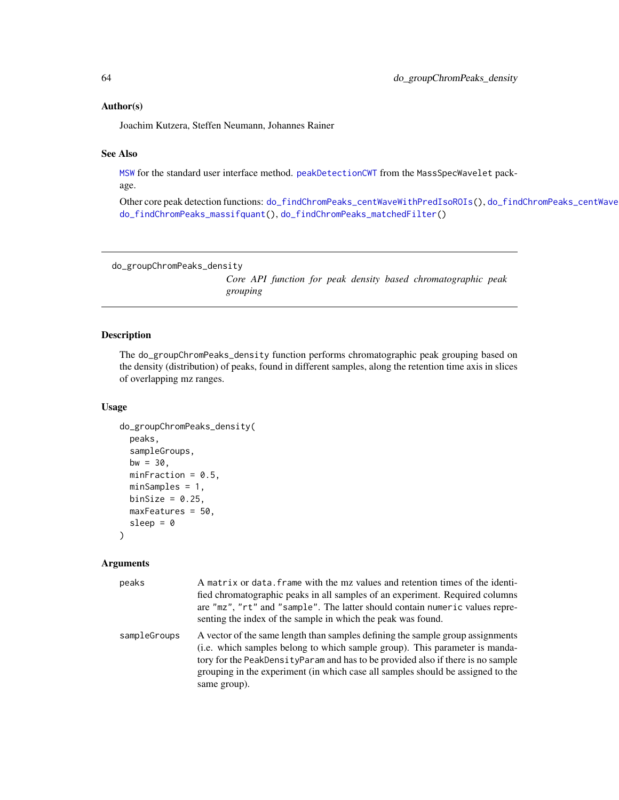#### Author(s)

Joachim Kutzera, Steffen Neumann, Johannes Rainer

## See Also

[MSW](#page-126-0) for the standard user interface method. [peakDetectionCWT](#page-0-0) from the MassSpecWavelet package.

Other core peak detection functions: [do\\_findChromPeaks\\_centWaveWithPredIsoROIs\(](#page-51-0)), [do\\_findChromPeaks\\_centWave\(](#page-47-0)), [do\\_findChromPeaks\\_massifquant\(](#page-55-0)), [do\\_findChromPeaks\\_matchedFilter\(](#page-58-0))

```
do_groupChromPeaks_density
```
*Core API function for peak density based chromatographic peak grouping*

### Description

The do\_groupChromPeaks\_density function performs chromatographic peak grouping based on the density (distribution) of peaks, found in different samples, along the retention time axis in slices of overlapping mz ranges.

#### Usage

```
do_groupChromPeaks_density(
 peaks,
  sampleGroups,
 bw = 30,minFraction = 0.5,
 minSamples = 1,
 binSize = 0.25,
 maxFeatures = 50,
  sleep = \theta)
```

| peaks        | A matrix or data. Frame with the mz values and retention times of the identi-<br>fied chromatographic peaks in all samples of an experiment. Required columns<br>are "mz", "rt" and "sample". The latter should contain numeric values repre-<br>senting the index of the sample in which the peak was found.                                       |
|--------------|-----------------------------------------------------------------------------------------------------------------------------------------------------------------------------------------------------------------------------------------------------------------------------------------------------------------------------------------------------|
| sampleGroups | A vector of the same length than samples defining the sample group assignments<br>(i.e. which samples belong to which sample group). This parameter is manda-<br>tory for the PeakDensityParam and has to be provided also if there is no sample<br>grouping in the experiment (in which case all samples should be assigned to the<br>same group). |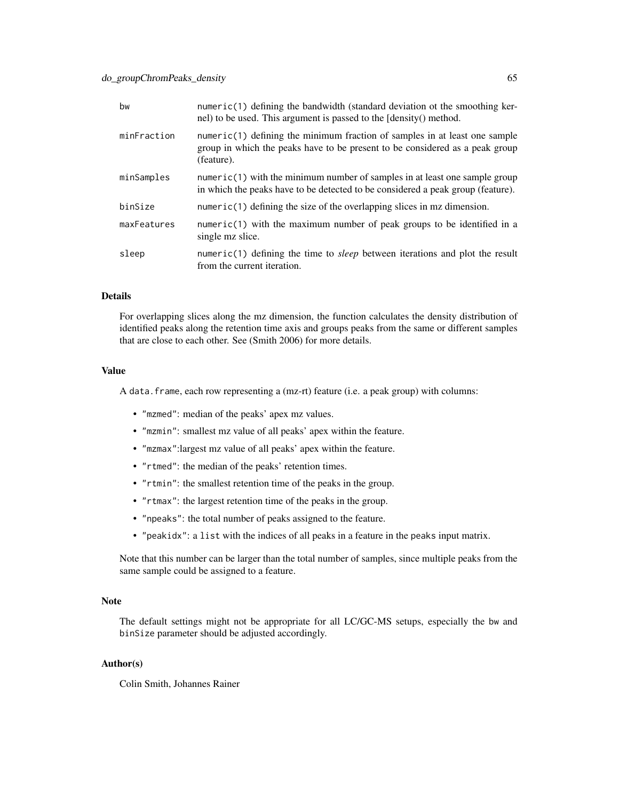## do\_groupChromPeaks\_density 65

| bw          | $numeric(1)$ defining the bandwidth (standard deviation ot the smoothing ker-<br>nel) to be used. This argument is passed to the [density() method.                      |
|-------------|--------------------------------------------------------------------------------------------------------------------------------------------------------------------------|
| minFraction | numeric(1) defining the minimum fraction of samples in at least one sample<br>group in which the peaks have to be present to be considered as a peak group<br>(feature). |
| minSamples  | $numeric(1)$ with the minimum number of samples in at least one sample group<br>in which the peaks have to be detected to be considered a peak group (feature).          |
| binSize     | numeric(1) defining the size of the overlapping slices in $mz$ dimension.                                                                                                |
| maxFeatures | numeric(1) with the maximum number of peak groups to be identified in a<br>single mz slice.                                                                              |
| sleep       | numeric(1) defining the time to <i>sleep</i> between iterations and plot the result<br>from the current iteration.                                                       |

## Details

For overlapping slices along the mz dimension, the function calculates the density distribution of identified peaks along the retention time axis and groups peaks from the same or different samples that are close to each other. See (Smith 2006) for more details.

#### Value

A data.frame, each row representing a (mz-rt) feature (i.e. a peak group) with columns:

- "mzmed": median of the peaks' apex mz values.
- "mzmin": smallest mz value of all peaks' apex within the feature.
- "mzmax":largest mz value of all peaks' apex within the feature.
- "rtmed": the median of the peaks' retention times.
- "rtmin": the smallest retention time of the peaks in the group.
- "rtmax": the largest retention time of the peaks in the group.
- "npeaks": the total number of peaks assigned to the feature.
- "peakidx": a list with the indices of all peaks in a feature in the peaks input matrix.

Note that this number can be larger than the total number of samples, since multiple peaks from the same sample could be assigned to a feature.

## Note

The default settings might not be appropriate for all LC/GC-MS setups, especially the bw and binSize parameter should be adjusted accordingly.

#### Author(s)

Colin Smith, Johannes Rainer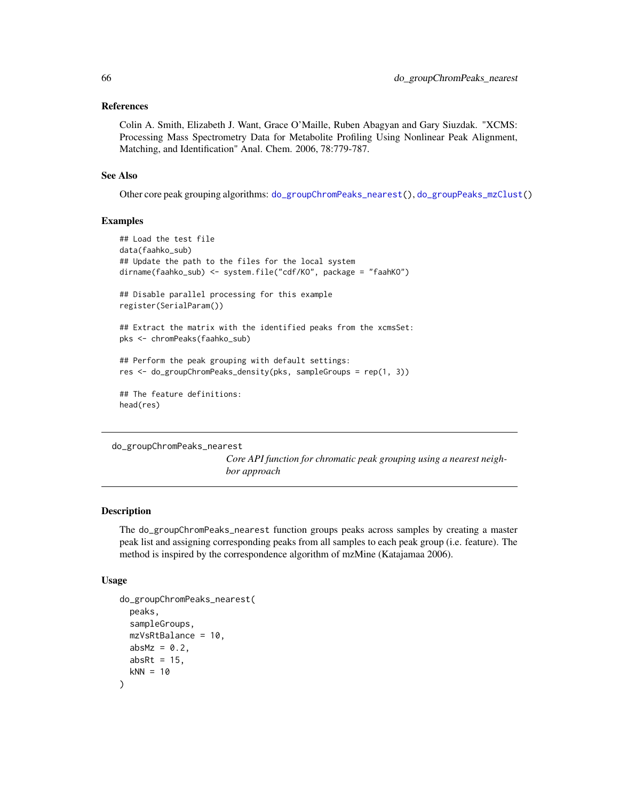#### References

Colin A. Smith, Elizabeth J. Want, Grace O'Maille, Ruben Abagyan and Gary Siuzdak. "XCMS: Processing Mass Spectrometry Data for Metabolite Profiling Using Nonlinear Peak Alignment, Matching, and Identification" Anal. Chem. 2006, 78:779-787.

#### See Also

Other core peak grouping algorithms: [do\\_groupChromPeaks\\_nearest\(](#page-65-0)), [do\\_groupPeaks\\_mzClust\(](#page-67-0))

#### Examples

```
## Load the test file
data(faahko_sub)
## Update the path to the files for the local system
dirname(faahko_sub) <- system.file("cdf/KO", package = "faahKO")
## Disable parallel processing for this example
register(SerialParam())
## Extract the matrix with the identified peaks from the xcmsSet:
pks <- chromPeaks(faahko_sub)
## Perform the peak grouping with default settings:
res <- do_groupChromPeaks_density(pks, sampleGroups = rep(1, 3))
## The feature definitions:
head(res)
```
<span id="page-65-0"></span>do\_groupChromPeaks\_nearest

*Core API function for chromatic peak grouping using a nearest neighbor approach*

#### Description

The do\_groupChromPeaks\_nearest function groups peaks across samples by creating a master peak list and assigning corresponding peaks from all samples to each peak group (i.e. feature). The method is inspired by the correspondence algorithm of mzMine (Katajamaa 2006).

#### Usage

```
do_groupChromPeaks_nearest(
  peaks,
  sampleGroups,
 mzVsRtBalance = 10,
 absMz = 0.2,
  absRt = 15,
  kNN = 10)
```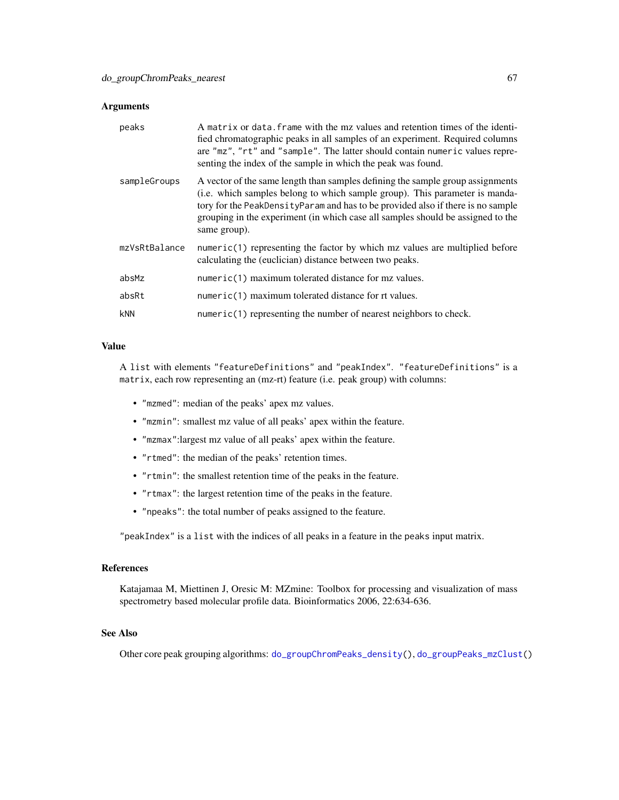## Arguments

| peaks         | A matrix or data. frame with the mz values and retention times of the identi-<br>fied chromatographic peaks in all samples of an experiment. Required columns<br>are "mz", "rt" and "sample". The latter should contain numeric values repre-<br>senting the index of the sample in which the peak was found.                                       |
|---------------|-----------------------------------------------------------------------------------------------------------------------------------------------------------------------------------------------------------------------------------------------------------------------------------------------------------------------------------------------------|
| sampleGroups  | A vector of the same length than samples defining the sample group assignments<br>(i.e. which samples belong to which sample group). This parameter is manda-<br>tory for the PeakDensityParam and has to be provided also if there is no sample<br>grouping in the experiment (in which case all samples should be assigned to the<br>same group). |
| mzVsRtBalance | $numeric(1)$ representing the factor by which mz values are multiplied before<br>calculating the (euclician) distance between two peaks.                                                                                                                                                                                                            |
| absMz         | numeric(1) maximum tolerated distance for mz values.                                                                                                                                                                                                                                                                                                |
| absRt         | numeric(1) maximum tolerated distance for rt values.                                                                                                                                                                                                                                                                                                |
| <b>kNN</b>    | $numeric(1)$ representing the number of nearest neighbors to check.                                                                                                                                                                                                                                                                                 |

## Value

A list with elements "featureDefinitions" and "peakIndex". "featureDefinitions" is a matrix, each row representing an (mz-rt) feature (i.e. peak group) with columns:

- "mzmed": median of the peaks' apex mz values.
- "mzmin": smallest mz value of all peaks' apex within the feature.
- "mzmax":largest mz value of all peaks' apex within the feature.
- "rtmed": the median of the peaks' retention times.
- "rtmin": the smallest retention time of the peaks in the feature.
- "rtmax": the largest retention time of the peaks in the feature.
- "npeaks": the total number of peaks assigned to the feature.

"peakIndex" is a list with the indices of all peaks in a feature in the peaks input matrix.

#### References

Katajamaa M, Miettinen J, Oresic M: MZmine: Toolbox for processing and visualization of mass spectrometry based molecular profile data. Bioinformatics 2006, 22:634-636.

## See Also

Other core peak grouping algorithms: [do\\_groupChromPeaks\\_density\(](#page-63-0)), [do\\_groupPeaks\\_mzClust\(](#page-67-0))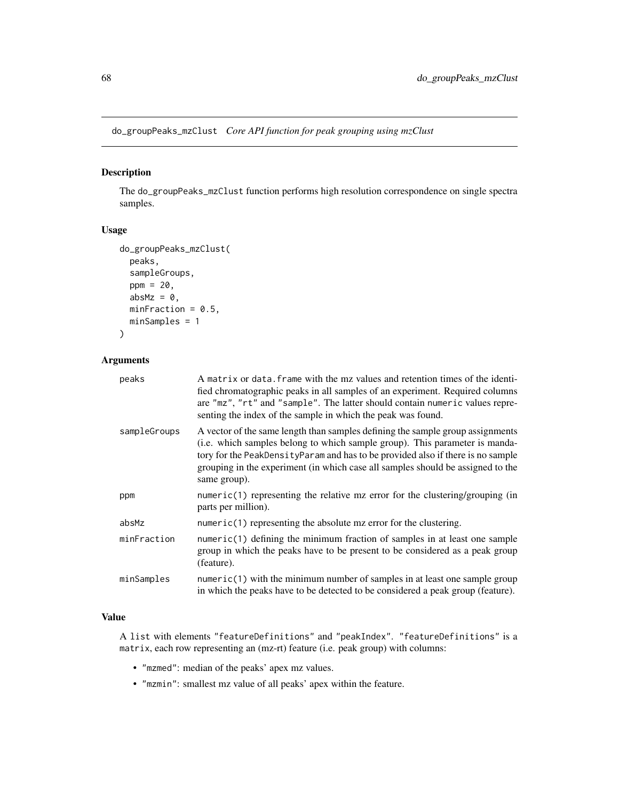<span id="page-67-0"></span>do\_groupPeaks\_mzClust *Core API function for peak grouping using mzClust*

## Description

The do\_groupPeaks\_mzClust function performs high resolution correspondence on single spectra samples.

## Usage

```
do_groupPeaks_mzClust(
  peaks,
  sampleGroups,
 ppm = 20,
  absMz = \theta,
 minFraction = 0.5,
 minSamples = 1
)
```
# Arguments

| peaks        | A matrix or data. frame with the mz values and retention times of the identi-<br>fied chromatographic peaks in all samples of an experiment. Required columns<br>are "mz", "rt" and "sample". The latter should contain numeric values repre-<br>senting the index of the sample in which the peak was found.                                       |
|--------------|-----------------------------------------------------------------------------------------------------------------------------------------------------------------------------------------------------------------------------------------------------------------------------------------------------------------------------------------------------|
| sampleGroups | A vector of the same length than samples defining the sample group assignments<br>(i.e. which samples belong to which sample group). This parameter is manda-<br>tory for the PeakDensityParam and has to be provided also if there is no sample<br>grouping in the experiment (in which case all samples should be assigned to the<br>same group). |
| ppm          | numeric(1) representing the relative mz error for the clustering/grouping (in<br>parts per million).                                                                                                                                                                                                                                                |
| absMz        | $numeric(1)$ representing the absolute mz error for the clustering.                                                                                                                                                                                                                                                                                 |
| minFraction  | $numeric(1)$ defining the minimum fraction of samples in at least one sample<br>group in which the peaks have to be present to be considered as a peak group<br>(feature).                                                                                                                                                                          |
| minSamples   | $numeric(1)$ with the minimum number of samples in at least one sample group<br>in which the peaks have to be detected to be considered a peak group (feature).                                                                                                                                                                                     |

# Value

A list with elements "featureDefinitions" and "peakIndex". "featureDefinitions" is a matrix, each row representing an (mz-rt) feature (i.e. peak group) with columns:

- "mzmed": median of the peaks' apex mz values.
- "mzmin": smallest mz value of all peaks' apex within the feature.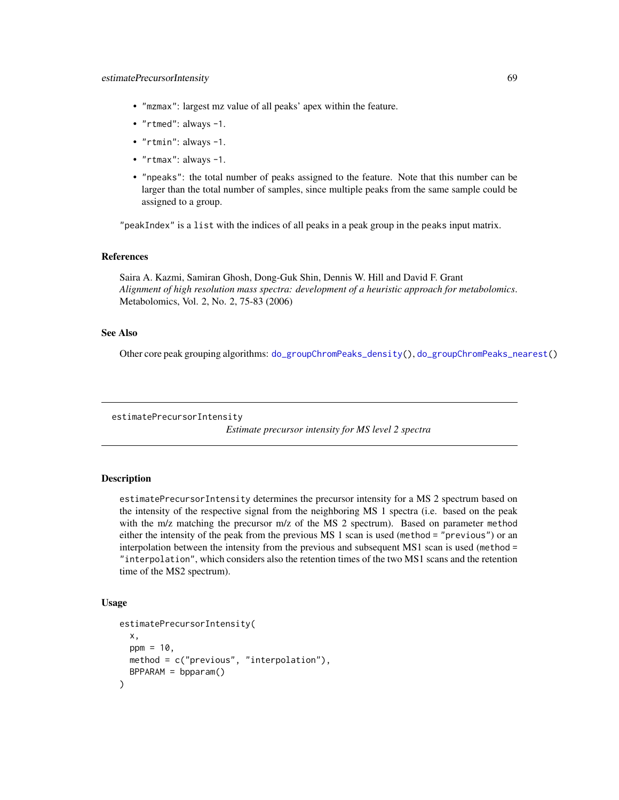- "mzmax": largest mz value of all peaks' apex within the feature.
- "rtmed": always -1.
- "rtmin": always -1.
- "rtmax": always -1.
- "npeaks": the total number of peaks assigned to the feature. Note that this number can be larger than the total number of samples, since multiple peaks from the same sample could be assigned to a group.

"peakIndex" is a list with the indices of all peaks in a peak group in the peaks input matrix.

## References

Saira A. Kazmi, Samiran Ghosh, Dong-Guk Shin, Dennis W. Hill and David F. Grant *Alignment of high resolution mass spectra: development of a heuristic approach for metabolomics*. Metabolomics, Vol. 2, No. 2, 75-83 (2006)

#### See Also

Other core peak grouping algorithms: [do\\_groupChromPeaks\\_density\(](#page-63-0)), [do\\_groupChromPeaks\\_nearest\(](#page-65-0))

estimatePrecursorIntensity

*Estimate precursor intensity for MS level 2 spectra*

# Description

estimatePrecursorIntensity determines the precursor intensity for a MS 2 spectrum based on the intensity of the respective signal from the neighboring MS 1 spectra (i.e. based on the peak with the m/z matching the precursor m/z of the MS 2 spectrum). Based on parameter method either the intensity of the peak from the previous MS 1 scan is used (method = "previous") or an interpolation between the intensity from the previous and subsequent MS1 scan is used (method = "interpolation", which considers also the retention times of the two MS1 scans and the retention time of the MS2 spectrum).

## Usage

```
estimatePrecursorIntensity(
  x,
 ppm = 10,
 method = c("previous", "interpolation"),
 BPPARAM = bpparam()
)
```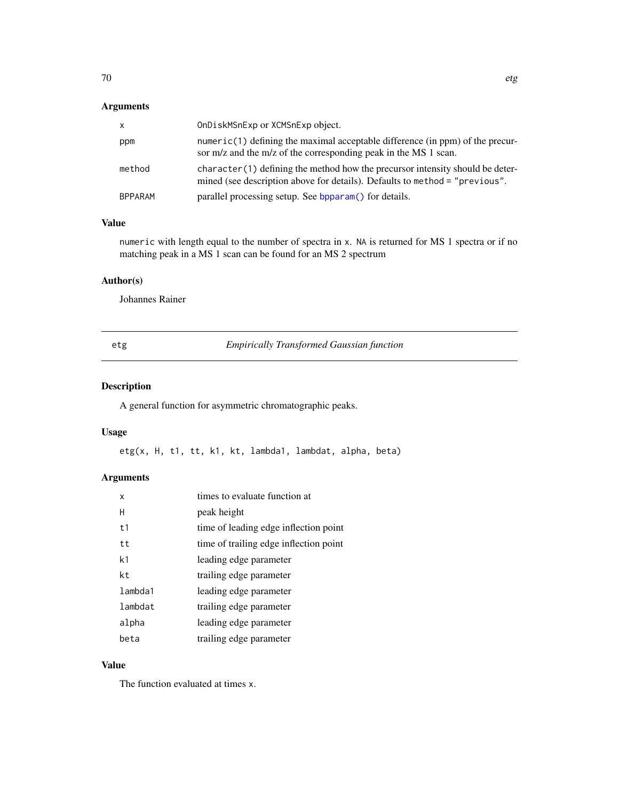# Arguments

| X              | OnDiskMSnExp or XCMSnExp object.                                                                                                                               |
|----------------|----------------------------------------------------------------------------------------------------------------------------------------------------------------|
| ppm            | $numeric(1)$ defining the maximal acceptable difference (in ppm) of the precur-<br>sor m/z and the m/z of the corresponding peak in the MS 1 scan.             |
| method         | $character(1)$ defining the method how the precursor intensity should be deter-<br>mined (see description above for details). Defaults to method = "previous". |
| <b>BPPARAM</b> | parallel processing setup. See bpparam() for details.                                                                                                          |

# Value

numeric with length equal to the number of spectra in x. NA is returned for MS 1 spectra or if no matching peak in a MS 1 scan can be found for an MS 2 spectrum

# Author(s)

Johannes Rainer

etg *Empirically Transformed Gaussian function*

# Description

A general function for asymmetric chromatographic peaks.

#### Usage

etg(x, H, t1, tt, k1, kt, lambda1, lambdat, alpha, beta)

# Arguments

| x              | times to evaluate function at          |
|----------------|----------------------------------------|
| н              | peak height                            |
| t1             | time of leading edge inflection point  |
| tt             | time of trailing edge inflection point |
| k <sub>1</sub> | leading edge parameter                 |
| kt             | trailing edge parameter                |
| lambda1        | leading edge parameter                 |
| lambdat        | trailing edge parameter                |
| alpha          | leading edge parameter                 |
| beta           | trailing edge parameter                |

## Value

The function evaluated at times x.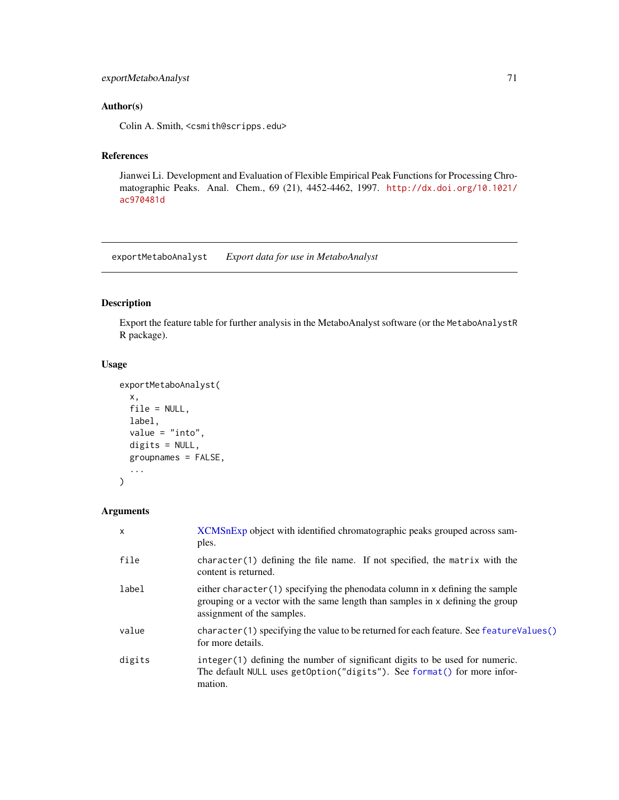# exportMetaboAnalyst 71

# Author(s)

Colin A. Smith, <csmith@scripps.edu>

# References

Jianwei Li. Development and Evaluation of Flexible Empirical Peak Functions for Processing Chromatographic Peaks. Anal. Chem., 69 (21), 4452-4462, 1997. [http://dx.doi.org/10.1021/](http://dx.doi.org/10.1021/ac970481d) [ac970481d](http://dx.doi.org/10.1021/ac970481d)

exportMetaboAnalyst *Export data for use in MetaboAnalyst*

## Description

Export the feature table for further analysis in the MetaboAnalyst software (or the MetaboAnalystR R package).

#### Usage

```
exportMetaboAnalyst(
  x,
 file = NULL,
  label,
  value = "into",
  digits = NULL,
  groupnames = FALSE,
  ...
)
```

| x      | XCMSnExp object with identified chromatographic peaks grouped across sam-<br>ples.                                                                                                              |
|--------|-------------------------------------------------------------------------------------------------------------------------------------------------------------------------------------------------|
| file   | $character(1)$ defining the file name. If not specified, the matrix with the<br>content is returned.                                                                                            |
| label  | either character $(1)$ specifying the phenodata column in x defining the sample<br>grouping or a vector with the same length than samples in x defining the group<br>assignment of the samples. |
| value  | character (1) specifying the value to be returned for each feature. See feature Values ()<br>for more details.                                                                                  |
| digits | integer (1) defining the number of significant digits to be used for numeric.<br>The default NULL uses getOption ("digits"). See format () for more infor-<br>mation.                           |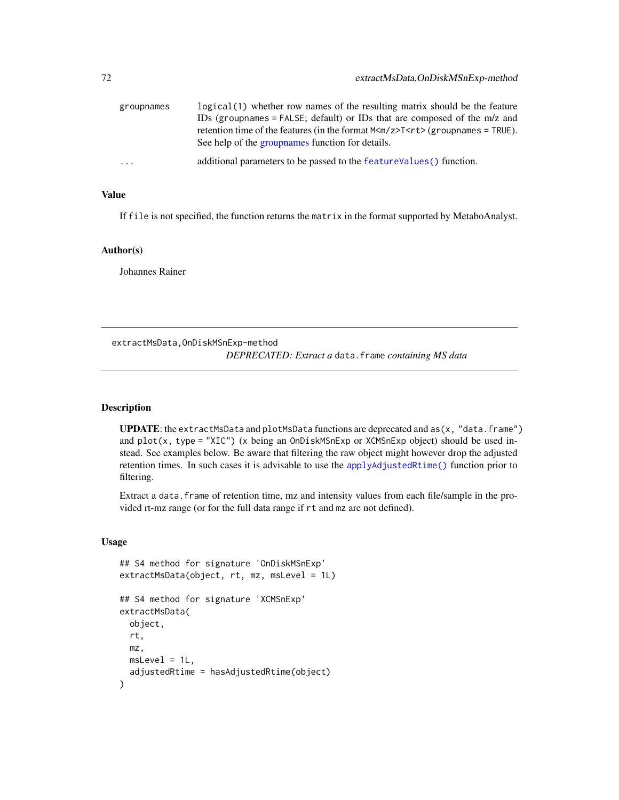| groupnames | logical(1) whether row names of the resulting matrix should be the feature  |
|------------|-----------------------------------------------------------------------------|
|            | IDs (groupnames = FALSE; default) or IDs that are composed of the $m/z$ and |
|            | retention time of the features (in the format $M\leq m/z > T \leq r$ ).     |
|            | See help of the groupnames function for details.                            |
| $\cdot$    | additional parameters to be passed to the feature Values () function.       |

# Value

If file is not specified, the function returns the matrix in the format supported by MetaboAnalyst.

## Author(s)

Johannes Rainer

extractMsData,OnDiskMSnExp-method *DEPRECATED: Extract a* data.frame *containing MS data*

#### Description

UPDATE: the extractMsData and plotMsData functions are deprecated and  $as(x, "data frame")$ and  $plot(x, type = "XIC")$  (x being an OnDiskMSnExp or XCMSnExp object) should be used instead. See examples below. Be aware that filtering the raw object might however drop the adjusted retention times. In such cases it is advisable to use the [applyAdjustedRtime\(\)](#page-17-0) function prior to filtering.

Extract a data. frame of retention time, mz and intensity values from each file/sample in the provided rt-mz range (or for the full data range if rt and mz are not defined).

#### Usage

```
## S4 method for signature 'OnDiskMSnExp'
extractMsData(object, rt, mz, msLevel = 1L)
## S4 method for signature 'XCMSnExp'
extractMsData(
  object,
 rt,
 mz,
 msLevel = 1L,adjustedRtime = hasAdjustedRtime(object)
)
```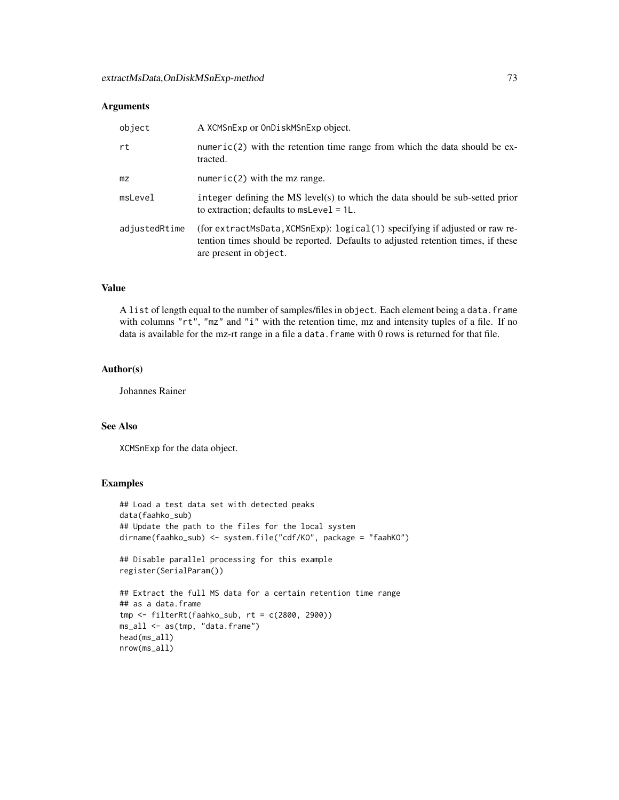# Arguments

| object        | A XCMSnExp or OnDiskMSnExp object.                                                                                                                                                        |
|---------------|-------------------------------------------------------------------------------------------------------------------------------------------------------------------------------------------|
| rt            | $numeric(2)$ with the retention time range from which the data should be ex-<br>tracted.                                                                                                  |
| mZ            | numeric(2) with the mz range.                                                                                                                                                             |
| msLevel       | integer defining the MS level(s) to which the data should be sub-setted prior<br>to extraction; defaults to $msLevel = 1L$ .                                                              |
| adjustedRtime | (for extractMsData, XCMSnExp): logical(1) specifying if adjusted or raw re-<br>tention times should be reported. Defaults to adjusted retention times, if these<br>are present in object. |

# Value

A list of length equal to the number of samples/files in object. Each element being a data.frame with columns "rt", "mz" and "i" with the retention time, mz and intensity tuples of a file. If no data is available for the mz-rt range in a file a data. frame with 0 rows is returned for that file.

# Author(s)

Johannes Rainer

## See Also

XCMSnExp for the data object.

# Examples

```
## Load a test data set with detected peaks
data(faahko_sub)
## Update the path to the files for the local system
dirname(faahko_sub) <- system.file("cdf/KO", package = "faahKO")
## Disable parallel processing for this example
register(SerialParam())
## Extract the full MS data for a certain retention time range
## as a data.frame
tmp <- filterRt(faahko_sub, rt = c(2800, 2900))
ms_all <- as(tmp, "data.frame")
head(ms_all)
nrow(ms_all)
```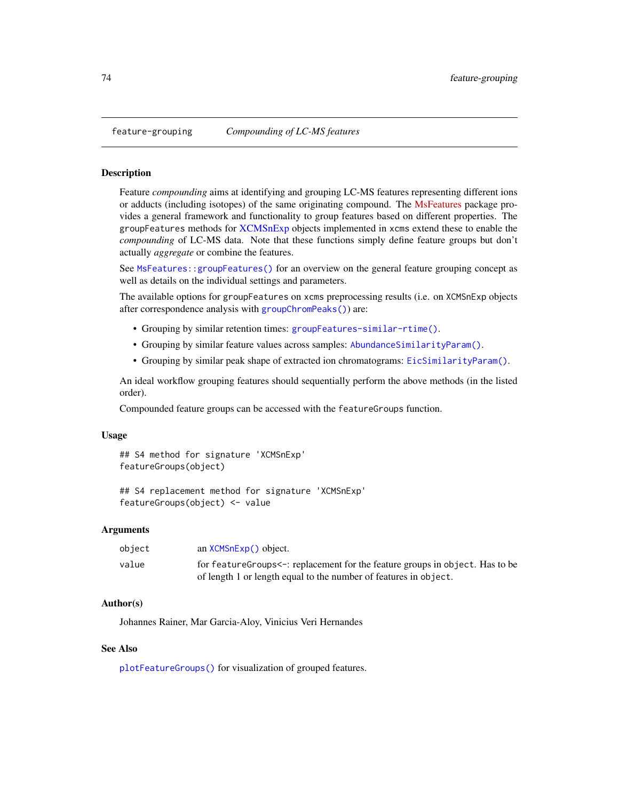## **Description**

Feature *compounding* aims at identifying and grouping LC-MS features representing different ions or adducts (including isotopes) of the same originating compound. The [MsFeatures](https://bioconductor.org/packages/MsFeatures) package provides a general framework and functionality to group features based on different properties. The groupFeatures methods for [XCMSnExp](#page-269-0) objects implemented in xcms extend these to enable the *compounding* of LC-MS data. Note that these functions simply define feature groups but don't actually *aggregate* or combine the features.

See [MsFeatures::groupFeatures\(\)](#page-0-0) for an overview on the general feature grouping concept as well as details on the individual settings and parameters.

The available options for groupFeatures on xcms preprocessing results (i.e. on XCMSnExp objects after correspondence analysis with [groupChromPeaks\(\)](#page-154-0)) are:

- Grouping by similar retention times: [groupFeatures-similar-rtime\(\)](#page-170-0).
- Grouping by similar feature values across samples: [AbundanceSimilarityParam\(\)](#page-0-0).
- Grouping by similar peak shape of extracted ion chromatograms: [EicSimilarityParam\(\)](#page-167-0).

An ideal workflow grouping features should sequentially perform the above methods (in the listed order).

Compounded feature groups can be accessed with the featureGroups function.

#### Usage

```
## S4 method for signature 'XCMSnExp'
featureGroups(object)
```

```
## S4 replacement method for signature 'XCMSnExp'
featureGroups(object) <- value
```
## Arguments

| object | an XCMSnExp() object.                                                               |
|--------|-------------------------------------------------------------------------------------|
| value  | for feature Groups $\leq$ : replacement for the feature groups in object. Has to be |
|        | of length 1 or length equal to the number of features in object.                    |

## Author(s)

Johannes Rainer, Mar Garcia-Aloy, Vinicius Veri Hernandes

# See Also

[plotFeatureGroups\(\)](#page-209-0) for visualization of grouped features.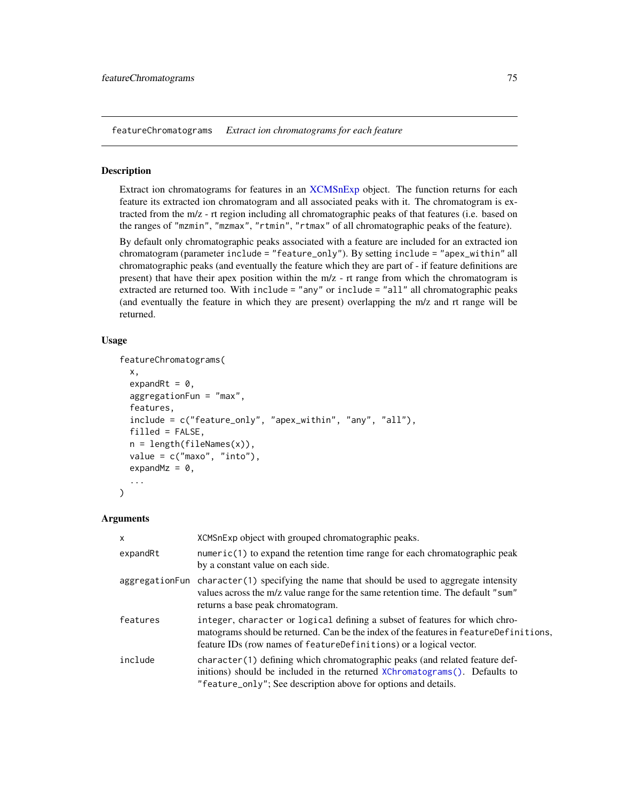featureChromatograms *Extract ion chromatograms for each feature*

## Description

Extract ion chromatograms for features in an [XCMSnExp](#page-269-0) object. The function returns for each feature its extracted ion chromatogram and all associated peaks with it. The chromatogram is extracted from the m/z - rt region including all chromatographic peaks of that features (i.e. based on the ranges of "mzmin", "mzmax", "rtmin", "rtmax" of all chromatographic peaks of the feature).

By default only chromatographic peaks associated with a feature are included for an extracted ion chromatogram (parameter include = "feature\_only"). By setting include = "apex\_within" all chromatographic peaks (and eventually the feature which they are part of - if feature definitions are present) that have their apex position within the m/z - rt range from which the chromatogram is extracted are returned too. With include = "any" or include = "all" all chromatographic peaks (and eventually the feature in which they are present) overlapping the m/z and rt range will be returned.

## Usage

```
featureChromatograms(
  x,
  expandRt = 0,
  aggregationFun = "max",
  features,
  include = c("feature_only", "apex_within", "any", "all"),
  filed = FALSE,
  n = length(fileNames(x)),
  value = c("maxo", "into"),
  expandMz = 0,
  ...
)
```

| $\mathsf{x}$ | XCMSnExp object with grouped chromatographic peaks.                                                                                                                                                                                          |
|--------------|----------------------------------------------------------------------------------------------------------------------------------------------------------------------------------------------------------------------------------------------|
| expandRt     | $numeric(1)$ to expand the retention time range for each chromatographic peak<br>by a constant value on each side.                                                                                                                           |
|              | aggregationFun character(1) specifying the name that should be used to aggregate intensity<br>values across the m/z value range for the same retention time. The default "sum"<br>returns a base peak chromatogram.                          |
| features     | integer, character or logical defining a subset of features for which chro-<br>matograms should be returned. Can be the index of the features in feature Definitions,<br>feature IDs (row names of feature Definitions) or a logical vector. |
| include      | character(1) defining which chromatographic peaks (and related feature def-<br>initions) should be included in the returned XChromatograms(). Defaults to<br>"feature_only"; See description above for options and details.                  |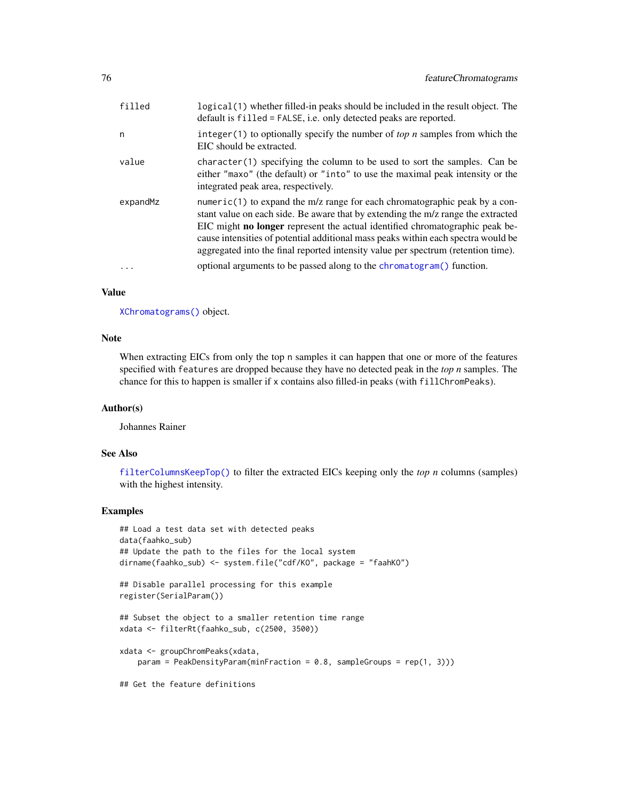| filled   | logical (1) whether filled-in peaks should be included in the result object. The<br>default is filled = FALSE, i.e. only detected peaks are reported.                                                                                                                                                                                                                                                                             |
|----------|-----------------------------------------------------------------------------------------------------------------------------------------------------------------------------------------------------------------------------------------------------------------------------------------------------------------------------------------------------------------------------------------------------------------------------------|
| n        | integer (1) to optionally specify the number of <i>top n</i> samples from which the<br>EIC should be extracted.                                                                                                                                                                                                                                                                                                                   |
| value    | $character(1)$ specifying the column to be used to sort the samples. Can be<br>either "maxo" (the default) or "into" to use the maximal peak intensity or the<br>integrated peak area, respectively.                                                                                                                                                                                                                              |
| expandMz | numeric(1) to expand the $m/z$ range for each chromatographic peak by a con-<br>stant value on each side. Be aware that by extending the m/z range the extracted<br>EIC might <b>no longer</b> represent the actual identified chromatographic peak be-<br>cause intensities of potential additional mass peaks within each spectra would be<br>aggregated into the final reported intensity value per spectrum (retention time). |
| .        | optional arguments to be passed along to the chromatogram() function.                                                                                                                                                                                                                                                                                                                                                             |

## Value

[XChromatograms\(\)](#page-252-0) object.

# Note

When extracting EICs from only the top n samples it can happen that one or more of the features specified with features are dropped because they have no detected peak in the *top n* samples. The chance for this to happen is smaller if x contains also filled-in peaks (with fillChromPeaks).

## Author(s)

Johannes Rainer

## See Also

[filterColumnsKeepTop\(\)](#page-86-0) to filter the extracted EICs keeping only the *top n* columns (samples) with the highest intensity.

## Examples

```
## Load a test data set with detected peaks
data(faahko_sub)
## Update the path to the files for the local system
dirname(faahko_sub) <- system.file("cdf/KO", package = "faahKO")
## Disable parallel processing for this example
register(SerialParam())
## Subset the object to a smaller retention time range
xdata <- filterRt(faahko_sub, c(2500, 3500))
xdata <- groupChromPeaks(xdata,
   param = PeakDensityParam(minFraction = 0.8, sampleGroups = rep(1, 3)))
## Get the feature definitions
```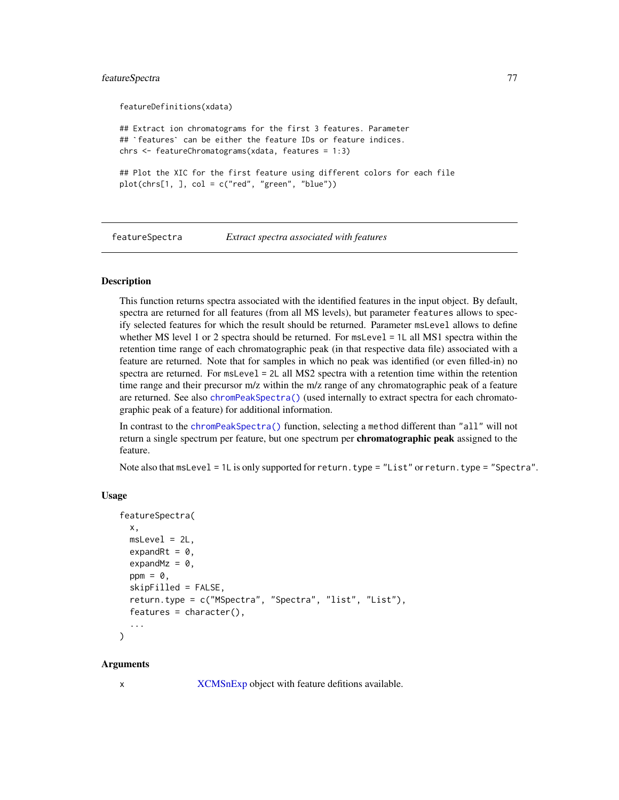# featureSpectra 77

featureDefinitions(xdata)

## Extract ion chromatograms for the first 3 features. Parameter ## `features` can be either the feature IDs or feature indices. chrs <- featureChromatograms(xdata, features = 1:3) ## Plot the XIC for the first feature using different colors for each file

plot(chrs[1, ], col = c("red", "green", "blue"))

featureSpectra *Extract spectra associated with features*

## Description

This function returns spectra associated with the identified features in the input object. By default, spectra are returned for all features (from all MS levels), but parameter features allows to specify selected features for which the result should be returned. Parameter msLevel allows to define whether MS level 1 or 2 spectra should be returned. For msLevel = 1L all MS1 spectra within the retention time range of each chromatographic peak (in that respective data file) associated with a feature are returned. Note that for samples in which no peak was identified (or even filled-in) no spectra are returned. For msLevel = 2L all MS2 spectra with a retention time within the retention time range and their precursor m/z within the m/z range of any chromatographic peak of a feature are returned. See also [chromPeakSpectra\(\)](#page-35-0) (used internally to extract spectra for each chromatographic peak of a feature) for additional information.

In contrast to the [chromPeakSpectra\(\)](#page-35-0) function, selecting a method different than "all" will not return a single spectrum per feature, but one spectrum per **chromatographic peak** assigned to the feature.

Note also that msLevel = 1L is only supported for return.type = "List" or return.type = "Spectra".

## Usage

```
featureSpectra(
  x,
 msLevel = 2L,
 expandRt = 0,
 expandMz = 0,
 ppm = 0,
  skipFilled = FALSE,
  return.type = c("MSpectra", "Spectra", "list", "List"),
  features = character(),
  ...
```
# )

#### Arguments

x [XCMSnExp](#page-269-1) object with feature defitions available.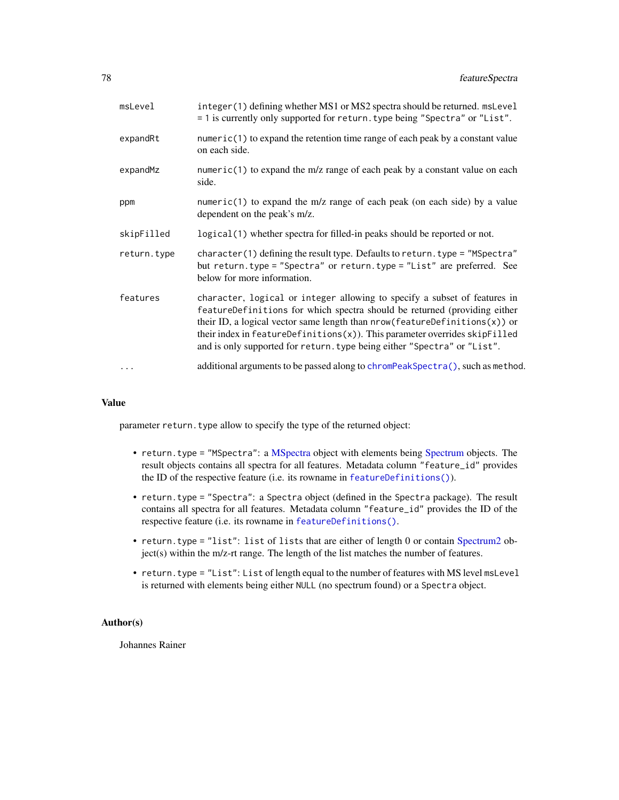# 78 featureSpectra

| msLevel     | integer (1) defining whether MS1 or MS2 spectra should be returned. msLevel<br>= 1 is currently only supported for return. type being "Spectra" or "List".                                                                                                                                                                                                                                           |
|-------------|------------------------------------------------------------------------------------------------------------------------------------------------------------------------------------------------------------------------------------------------------------------------------------------------------------------------------------------------------------------------------------------------------|
| expandRt    | $numeric(1)$ to expand the retention time range of each peak by a constant value<br>on each side.                                                                                                                                                                                                                                                                                                    |
| expandMz    | numeric(1) to expand the $m/z$ range of each peak by a constant value on each<br>side.                                                                                                                                                                                                                                                                                                               |
| ppm         | numeric(1) to expand the $m/z$ range of each peak (on each side) by a value<br>dependent on the peak's m/z.                                                                                                                                                                                                                                                                                          |
| skipFilled  | logical (1) whether spectra for filled-in peaks should be reported or not.                                                                                                                                                                                                                                                                                                                           |
| return.type | character(1) defining the result type. Defaults to return. type = "MSpectra"<br>but return.type = "Spectra" or return.type = "List" are preferred. See<br>below for more information.                                                                                                                                                                                                                |
| features    | character, logical or integer allowing to specify a subset of features in<br>featureDefinitions for which spectra should be returned (providing either<br>their ID, a logical vector same length than $nrow(featureDefinitions(x))$ or<br>their index in featureDefinitions $(x)$ ). This parameter overrides skipFilled<br>and is only supported for return. type being either "Spectra" or "List". |
| $\ddots$ .  | additional arguments to be passed along to chromPeakSpectra(), such as method.                                                                                                                                                                                                                                                                                                                       |

#### Value

parameter return.type allow to specify the type of the returned object:

- return.type = "[MSpectra](#page-0-0)": a MSpectra object with elements being [Spectrum](#page-0-0) objects. The result objects contains all spectra for all features. Metadata column "feature\_id" provides the ID of the respective feature (i.e. its rowname in [featureDefinitions\(\)](#page-269-1)).
- return.type = "Spectra": a Spectra object (defined in the Spectra package). The result contains all spectra for all features. Metadata column "feature\_id" provides the ID of the respective feature (i.e. its rowname in [featureDefinitions\(\)](#page-269-1).
- return.type = "list": list of lists that are either of length 0 or contain [Spectrum2](#page-0-0) object(s) within the m/z-rt range. The length of the list matches the number of features.
- return.type = "List": List of length equal to the number of features with MS level msLevel is returned with elements being either NULL (no spectrum found) or a Spectra object.

# Author(s)

Johannes Rainer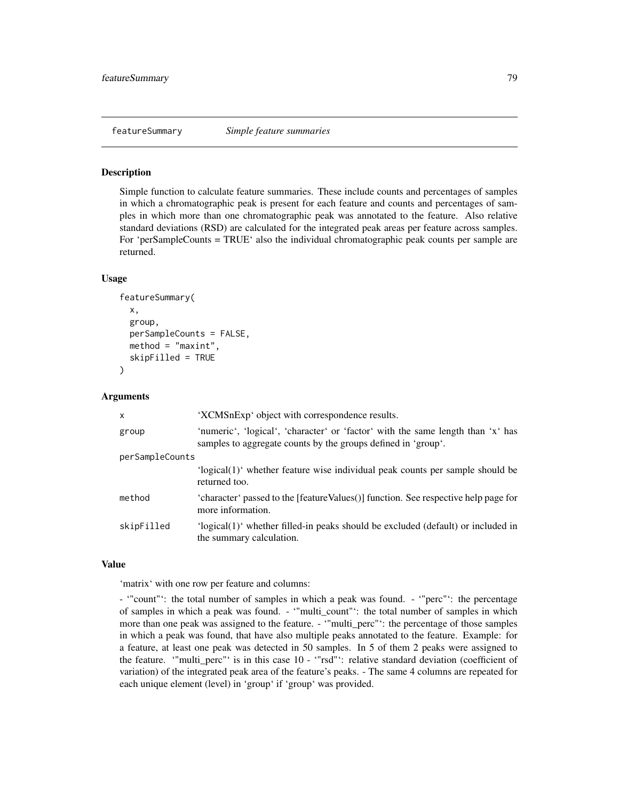## Description

Simple function to calculate feature summaries. These include counts and percentages of samples in which a chromatographic peak is present for each feature and counts and percentages of samples in which more than one chromatographic peak was annotated to the feature. Also relative standard deviations (RSD) are calculated for the integrated peak areas per feature across samples. For 'perSampleCounts = TRUE' also the individual chromatographic peak counts per sample are returned.

## Usage

```
featureSummary(
  x,
  group,
 perSampleCounts = FALSE,
 method = "maxint",
  skipFilled = TRUE
)
```
## Arguments

| $\mathsf{x}$    | 'XCMSnExp' object with correspondence results.                                                                                                   |
|-----------------|--------------------------------------------------------------------------------------------------------------------------------------------------|
| group           | 'numeric', 'logical', 'character' or 'factor' with the same length than 'x' has<br>samples to aggregate counts by the groups defined in 'group'. |
| perSampleCounts |                                                                                                                                                  |
|                 | 'logical(1)' whether feature wise individual peak counts per sample should be<br>returned too.                                                   |
| method          | 'character' passed to the [feature Values()] function. See respective help page for<br>more information.                                         |
| skipFilled      | 'logical(1)' whether filled-in peaks should be excluded (default) or included in<br>the summary calculation.                                     |

#### Value

'matrix' with one row per feature and columns:

- '"count"': the total number of samples in which a peak was found. - '"perc"': the percentage of samples in which a peak was found. - '"multi\_count"': the total number of samples in which more than one peak was assigned to the feature. - "multi perc"': the percentage of those samples in which a peak was found, that have also multiple peaks annotated to the feature. Example: for a feature, at least one peak was detected in 50 samples. In 5 of them 2 peaks were assigned to the feature. '"multi\_perc"' is in this case 10 - '"rsd"': relative standard deviation (coefficient of variation) of the integrated peak area of the feature's peaks. - The same 4 columns are repeated for each unique element (level) in 'group' if 'group' was provided.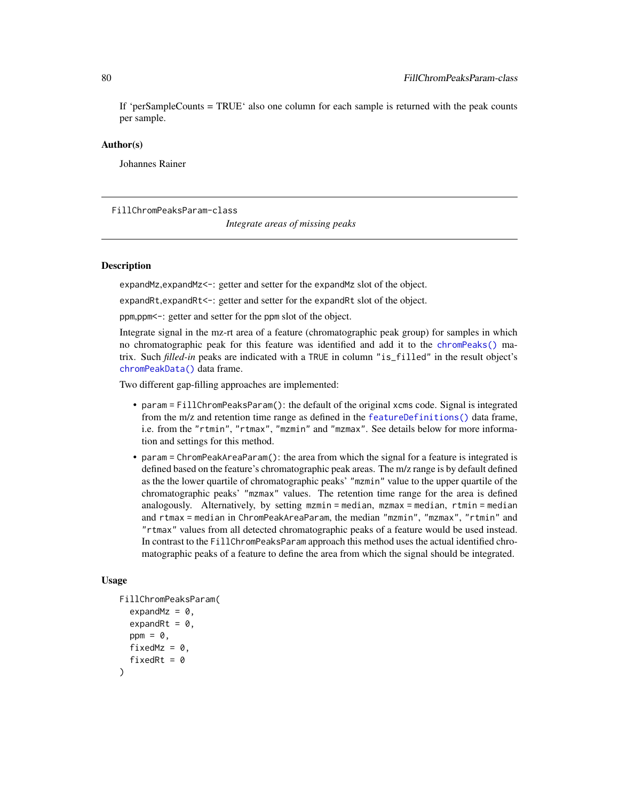If 'perSampleCounts = TRUE' also one column for each sample is returned with the peak counts per sample.

## Author(s)

Johannes Rainer

FillChromPeaksParam-class

*Integrate areas of missing peaks*

# Description

expandMz, expandMz<-: getter and setter for the expandMz slot of the object.

expandRt, expandRt <-: getter and setter for the expandRt slot of the object.

ppm,ppm<-: getter and setter for the ppm slot of the object.

Integrate signal in the mz-rt area of a feature (chromatographic peak group) for samples in which no chromatographic peak for this feature was identified and add it to the [chromPeaks\(\)](#page-269-1) matrix. Such *filled-in* peaks are indicated with a TRUE in column "is\_filled" in the result object's [chromPeakData\(\)](#page-269-1) data frame.

Two different gap-filling approaches are implemented:

- param = FillChromPeaksParam(): the default of the original xcms code. Signal is integrated from the m/z and retention time range as defined in the [featureDefinitions\(\)](#page-269-1) data frame, i.e. from the "rtmin", "rtmax", "mzmin" and "mzmax". See details below for more information and settings for this method.
- param = ChromPeakAreaParam(): the area from which the signal for a feature is integrated is defined based on the feature's chromatographic peak areas. The m/z range is by default defined as the the lower quartile of chromatographic peaks' "mzmin" value to the upper quartile of the chromatographic peaks' "mzmax" values. The retention time range for the area is defined analogously. Alternatively, by setting mzmin = median, mzmax = median, rtmin = median and rtmax = median in ChromPeakAreaParam, the median "mzmin", "mzmax", "rtmin" and "rtmax" values from all detected chromatographic peaks of a feature would be used instead. In contrast to the FillChromPeaksParam approach this method uses the actual identified chromatographic peaks of a feature to define the area from which the signal should be integrated.

#### Usage

```
FillChromPeaksParam(
  expandMz = 0,
  expandRt = 0,
  ppm = \theta,
  fixedMz = 0,
  fixedRt = \theta)
```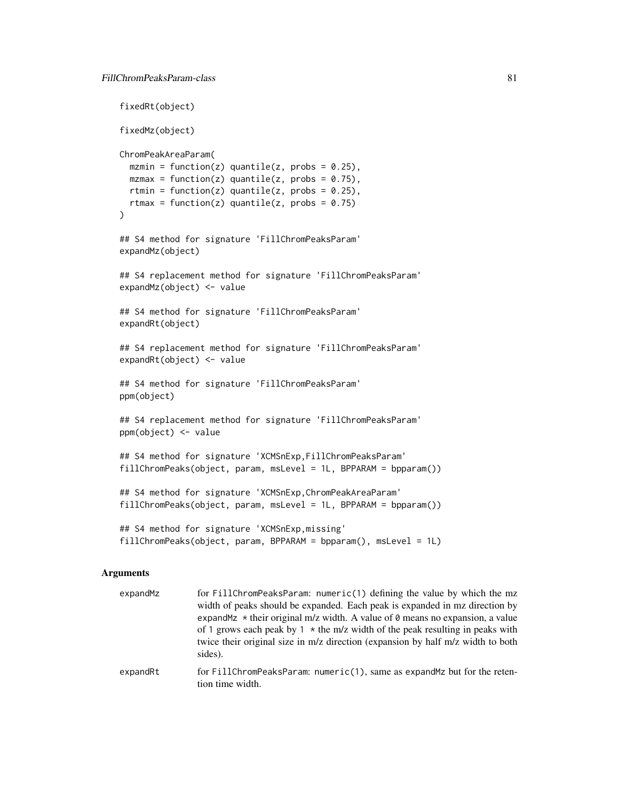```
fixedRt(object)
fixedMz(object)
ChromPeakAreaParam(
 mzmin = function(z) quantile(z, probs = 0.25),
 mzmax = function(z) quantile(z, probs = 0.75),
 rtmin = function(z) quantile(z, probs = 0.25),
 rtmax = function(z) quantile(z, probs = 0.75)
)
## S4 method for signature 'FillChromPeaksParam'
expandMz(object)
## S4 replacement method for signature 'FillChromPeaksParam'
expandMz(object) <- value
## S4 method for signature 'FillChromPeaksParam'
expandRt(object)
## S4 replacement method for signature 'FillChromPeaksParam'
expandRt(object) <- value
## S4 method for signature 'FillChromPeaksParam'
ppm(object)
## S4 replacement method for signature 'FillChromPeaksParam'
ppm(object) <- value
## S4 method for signature 'XCMSnExp,FillChromPeaksParam'
fillChromPeaks(object, param, msLevel = 1L, BPPARAM = bpparam())
## S4 method for signature 'XCMSnExp,ChromPeakAreaParam'
fillChromPeaks(object, param, msLevel = 1L, BPPARAM = bpparam())
## S4 method for signature 'XCMSnExp,missing'
fillChromPeaks(object, param, BPPARAM = bpparam(), msLevel = 1L)
```

| expandMz | for FillChromPeaksParam: numeric(1) defining the value by which the mz<br>width of peaks should be expanded. Each peak is expanded in mz direction by<br>expand Mz $\star$ their original m/z width. A value of 0 means no expansion, a value<br>of 1 grows each peak by 1 $*$ the m/z width of the peak resulting in peaks with<br>twice their original size in m/z direction (expansion by half m/z width to both<br>sides). |
|----------|--------------------------------------------------------------------------------------------------------------------------------------------------------------------------------------------------------------------------------------------------------------------------------------------------------------------------------------------------------------------------------------------------------------------------------|
| expandRt | for FillChromPeaksParam: numeric(1), same as expandMz but for the reten-<br>tion time width.                                                                                                                                                                                                                                                                                                                                   |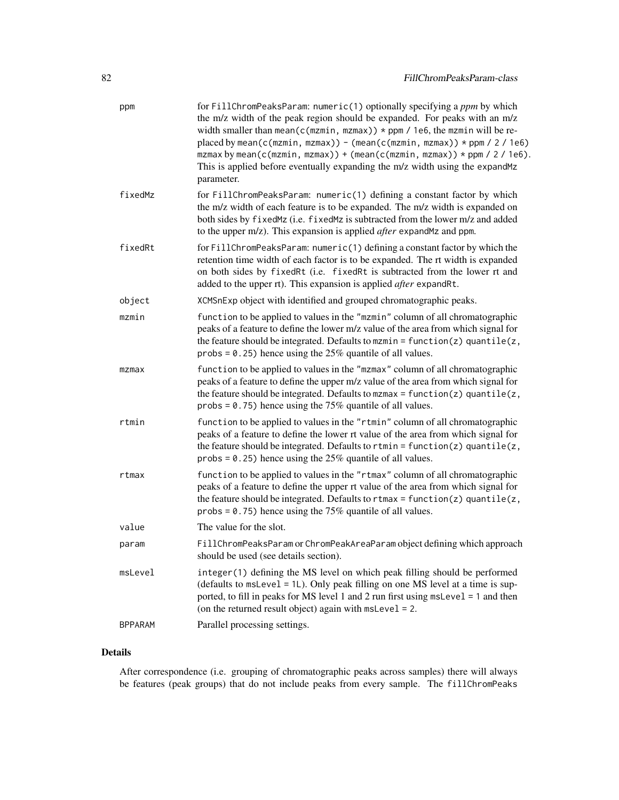| ppm            | for FillChromPeaksParam: numeric(1) optionally specifying a ppm by which<br>the m/z width of the peak region should be expanded. For peaks with an m/z<br>width smaller than mean( $c$ (mzmin, mzmax)) $*$ ppm / 1e6, the mzmin will be re-<br>placed by mean(c(mzmin, mzmax)) - (mean(c(mzmin, mzmax)) * ppm / 2 / 1e6)<br>$mz$ max by mean(c(mzmin, mzmax)) + (mean(c(mzmin, mzmax)) * ppm / 2 / 1e6).<br>This is applied before eventually expanding the m/z width using the expandMz<br>parameter. |
|----------------|--------------------------------------------------------------------------------------------------------------------------------------------------------------------------------------------------------------------------------------------------------------------------------------------------------------------------------------------------------------------------------------------------------------------------------------------------------------------------------------------------------|
| fixedMz        | for FillChromPeaksParam: numeric(1) defining a constant factor by which<br>the m/z width of each feature is to be expanded. The m/z width is expanded on<br>both sides by fixedMz (i.e. fixedMz is subtracted from the lower m/z and added<br>to the upper m/z). This expansion is applied <i>after</i> expandMz and ppm.                                                                                                                                                                              |
| fixedRt        | for FillChromPeaksParam: numeric(1) defining a constant factor by which the<br>retention time width of each factor is to be expanded. The rt width is expanded<br>on both sides by fixedRt (i.e. fixedRt is subtracted from the lower rt and<br>added to the upper rt). This expansion is applied after expandRt.                                                                                                                                                                                      |
| object         | XCMSnExp object with identified and grouped chromatographic peaks.                                                                                                                                                                                                                                                                                                                                                                                                                                     |
| mzmin          | function to be applied to values in the "mzmin" column of all chromatographic<br>peaks of a feature to define the lower m/z value of the area from which signal for<br>the feature should be integrated. Defaults to mzmin = $function(z)$ quantile $(z,$<br>probs = $0.25$ ) hence using the 25% quantile of all values.                                                                                                                                                                              |
| mzmax          | function to be applied to values in the "mzmax" column of all chromatographic<br>peaks of a feature to define the upper m/z value of the area from which signal for<br>the feature should be integrated. Defaults to mzmax = $function(z)$ quantile $(z,$<br>probs = $0.75$ ) hence using the 75% quantile of all values.                                                                                                                                                                              |
| rtmin          | function to be applied to values in the "rtmin" column of all chromatographic<br>peaks of a feature to define the lower rt value of the area from which signal for<br>the feature should be integrated. Defaults to $rtmin = function(z)$ quantile $(z,$<br>probs = $0.25$ ) hence using the 25% quantile of all values.                                                                                                                                                                               |
| rtmax          | function to be applied to values in the "rtmax" column of all chromatographic<br>peaks of a feature to define the upper rt value of the area from which signal for<br>the feature should be integrated. Defaults to $rtmax = function(z)$ quantile(z,<br>probs = $0.75$ ) hence using the 75% quantile of all values.                                                                                                                                                                                  |
| value          | The value for the slot.                                                                                                                                                                                                                                                                                                                                                                                                                                                                                |
| param          | FillChromPeaksParam or ChromPeakAreaParam object defining which approach<br>should be used (see details section).                                                                                                                                                                                                                                                                                                                                                                                      |
| msLevel        | integer(1) defining the MS level on which peak filling should be performed<br>(defaults to $msLevel = 1L$ ). Only peak filling on one MS level at a time is sup-<br>ported, to fill in peaks for MS level 1 and 2 run first using $msLevel = 1$ and then<br>(on the returned result object) again with $msLevel = 2$ .                                                                                                                                                                                 |
| <b>BPPARAM</b> | Parallel processing settings.                                                                                                                                                                                                                                                                                                                                                                                                                                                                          |

# Details

After correspondence (i.e. grouping of chromatographic peaks across samples) there will always be features (peak groups) that do not include peaks from every sample. The fillChromPeaks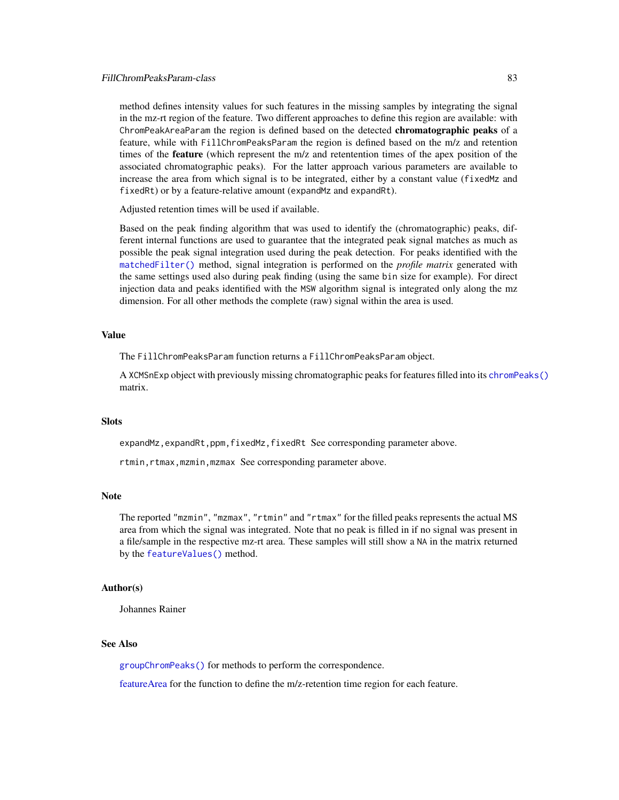method defines intensity values for such features in the missing samples by integrating the signal in the mz-rt region of the feature. Two different approaches to define this region are available: with ChromPeakAreaParam the region is defined based on the detected **chromatographic peaks** of a feature, while with FillChromPeaksParam the region is defined based on the m/z and retention times of the feature (which represent the m/z and retentention times of the apex position of the associated chromatographic peaks). For the latter approach various parameters are available to increase the area from which signal is to be integrated, either by a constant value (fixedMz and fixedRt) or by a feature-relative amount (expandMz and expandRt).

Adjusted retention times will be used if available.

Based on the peak finding algorithm that was used to identify the (chromatographic) peaks, different internal functions are used to guarantee that the integrated peak signal matches as much as possible the peak signal integration used during the peak detection. For peaks identified with the [matchedFilter\(\)](#page-115-0) method, signal integration is performed on the *profile matrix* generated with the same settings used also during peak finding (using the same bin size for example). For direct injection data and peaks identified with the MSW algorithm signal is integrated only along the mz dimension. For all other methods the complete (raw) signal within the area is used.

## Value

The FillChromPeaksParam function returns a FillChromPeaksParam object.

A XCMSnExp object with previously missing chromatographic peaks for features filled into its [chromPeaks\(\)](#page-269-1) matrix.

# **Slots**

expandMz, expandRt, ppm, fixedMz, fixedRt See corresponding parameter above.

rtmin,rtmax,mzmin,mzmax See corresponding parameter above.

## **Note**

The reported "mzmin", "mzmax", "rtmin" and "rtmax" for the filled peaks represents the actual MS area from which the signal was integrated. Note that no peak is filled in if no signal was present in a file/sample in the respective mz-rt area. These samples will still show a NA in the matrix returned by the [featureValues\(\)](#page-224-0) method.

## Author(s)

Johannes Rainer

# See Also

[groupChromPeaks\(\)](#page-154-0) for methods to perform the correspondence.

[featureArea](#page-269-1) for the function to define the m/z-retention time region for each feature.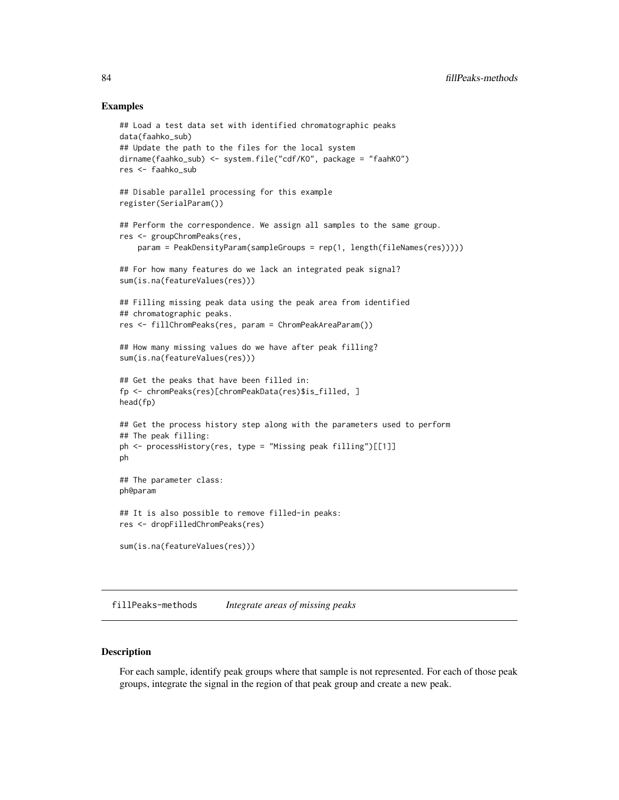## Examples

```
## Load a test data set with identified chromatographic peaks
data(faahko_sub)
## Update the path to the files for the local system
dirname(faahko_sub) <- system.file("cdf/KO", package = "faahKO")
res <- faahko_sub
## Disable parallel processing for this example
register(SerialParam())
## Perform the correspondence. We assign all samples to the same group.
res <- groupChromPeaks(res,
    param = PeakDensityParam(sampleGroups = rep(1, length(fileNames(res)))))
## For how many features do we lack an integrated peak signal?
sum(is.na(featureValues(res)))
## Filling missing peak data using the peak area from identified
## chromatographic peaks.
res <- fillChromPeaks(res, param = ChromPeakAreaParam())
## How many missing values do we have after peak filling?
sum(is.na(featureValues(res)))
## Get the peaks that have been filled in:
fp <- chromPeaks(res)[chromPeakData(res)$is_filled, ]
head(fp)
## Get the process history step along with the parameters used to perform
## The peak filling:
ph <- processHistory(res, type = "Missing peak filling")[[1]]
ph
## The parameter class:
ph@param
## It is also possible to remove filled-in peaks:
res <- dropFilledChromPeaks(res)
sum(is.na(featureValues(res)))
```
fillPeaks-methods *Integrate areas of missing peaks*

# <span id="page-83-0"></span>Description

For each sample, identify peak groups where that sample is not represented. For each of those peak groups, integrate the signal in the region of that peak group and create a new peak.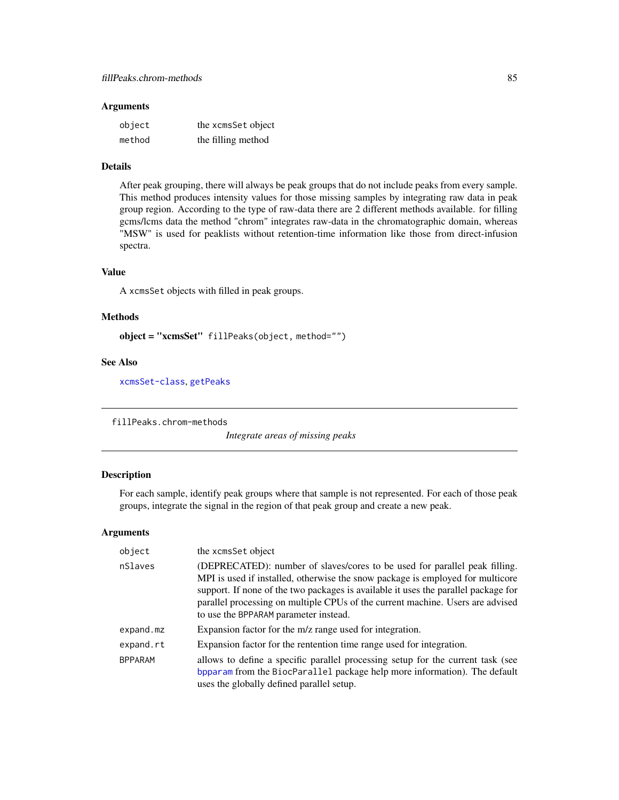## Arguments

| object | the xcmsSet object |
|--------|--------------------|
| method | the filling method |

# Details

After peak grouping, there will always be peak groups that do not include peaks from every sample. This method produces intensity values for those missing samples by integrating raw data in peak group region. According to the type of raw-data there are 2 different methods available. for filling gcms/lcms data the method "chrom" integrates raw-data in the chromatographic domain, whereas "MSW" is used for peaklists without retention-time information like those from direct-infusion spectra.

# Value

A xcmsSet objects with filled in peak groups.

# Methods

object = "xcmsSet" fillPeaks(object, method="")

## See Also

[xcmsSet-class](#page-288-0), [getPeaks](#page-147-0)

fillPeaks.chrom-methods

*Integrate areas of missing peaks*

## <span id="page-84-0"></span>Description

For each sample, identify peak groups where that sample is not represented. For each of those peak groups, integrate the signal in the region of that peak group and create a new peak.

| object         | the xcmsSet object                                                                                                                                                                                                                                                                                                                                                            |
|----------------|-------------------------------------------------------------------------------------------------------------------------------------------------------------------------------------------------------------------------------------------------------------------------------------------------------------------------------------------------------------------------------|
| nSlaves        | (DEPRECATED): number of slaves/cores to be used for parallel peak filling.<br>MPI is used if installed, otherwise the snow package is employed for multicore<br>support. If none of the two packages is available it uses the parallel package for<br>parallel processing on multiple CPUs of the current machine. Users are advised<br>to use the BPPARAM parameter instead. |
| expand.mz      | Expansion factor for the m/z range used for integration.                                                                                                                                                                                                                                                                                                                      |
| expand.rt      | Expansion factor for the rentention time range used for integration.                                                                                                                                                                                                                                                                                                          |
| <b>BPPARAM</b> | allows to define a specific parallel processing setup for the current task (see<br>bpparam from the BiocParallel package help more information). The default<br>uses the globally defined parallel setup.                                                                                                                                                                     |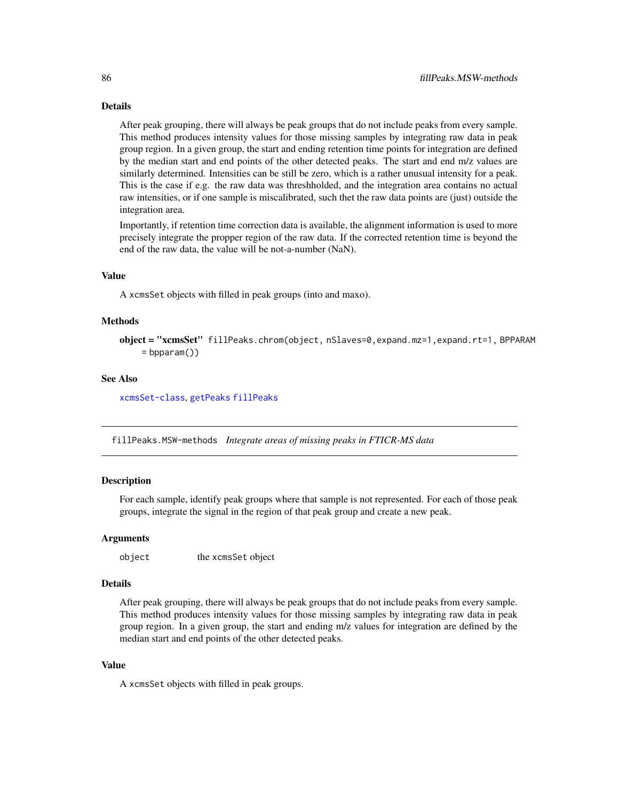## Details

After peak grouping, there will always be peak groups that do not include peaks from every sample. This method produces intensity values for those missing samples by integrating raw data in peak group region. In a given group, the start and ending retention time points for integration are defined by the median start and end points of the other detected peaks. The start and end m/z values are similarly determined. Intensities can be still be zero, which is a rather unusual intensity for a peak. This is the case if e.g. the raw data was threshholded, and the integration area contains no actual raw intensities, or if one sample is miscalibrated, such thet the raw data points are (just) outside the integration area.

Importantly, if retention time correction data is available, the alignment information is used to more precisely integrate the propper region of the raw data. If the corrected retention time is beyond the end of the raw data, the value will be not-a-number (NaN).

## Value

A xcmsSet objects with filled in peak groups (into and maxo).

## **Methods**

```
object = "xcmsSet" fillPeaks.chrom(object, nSlaves=0,expand.mz=1,expand.rt=1, BPPARAM
    = bpparam()
```
## See Also

[xcmsSet-class](#page-288-0), [getPeaks](#page-147-0) [fillPeaks](#page-83-0)

fillPeaks.MSW-methods *Integrate areas of missing peaks in FTICR-MS data*

## **Description**

For each sample, identify peak groups where that sample is not represented. For each of those peak groups, integrate the signal in the region of that peak group and create a new peak.

#### Arguments

```
object the xcmsSet object
```
# Details

After peak grouping, there will always be peak groups that do not include peaks from every sample. This method produces intensity values for those missing samples by integrating raw data in peak group region. In a given group, the start and ending m/z values for integration are defined by the median start and end points of the other detected peaks.

## Value

A xcmsSet objects with filled in peak groups.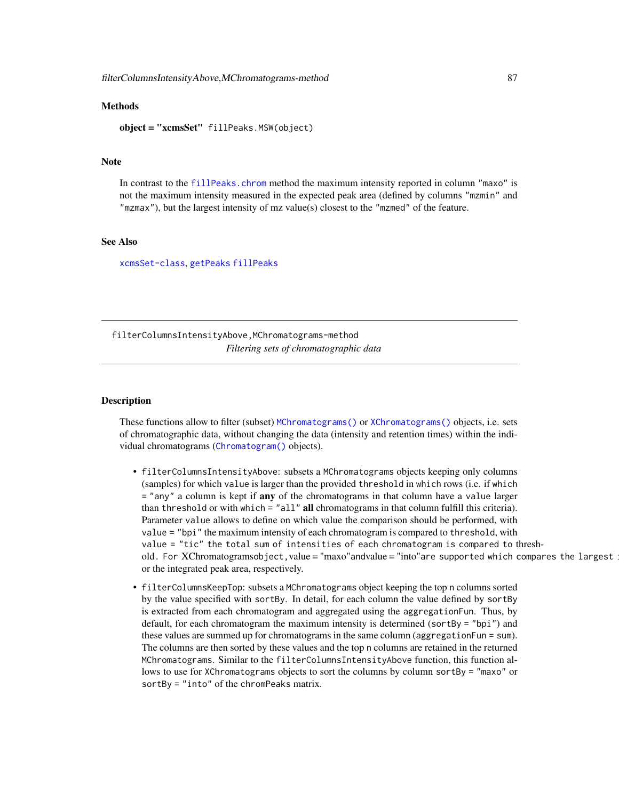## **Methods**

object = "xcmsSet" fillPeaks.MSW(object)

## Note

In contrast to the [fillPeaks.chrom](#page-84-0) method the maximum intensity reported in column "maxo" is not the maximum intensity measured in the expected peak area (defined by columns "mzmin" and "mzmax"), but the largest intensity of mz value(s) closest to the "mzmed" of the feature.

# See Also

[xcmsSet-class](#page-288-0), [getPeaks](#page-147-0) [fillPeaks](#page-83-0)

filterColumnsIntensityAbove,MChromatograms-method *Filtering sets of chromatographic data*

## <span id="page-86-0"></span>Description

These functions allow to filter (subset) [MChromatograms\(\)](#page-0-0) or [XChromatograms\(\)](#page-252-0) objects, i.e. sets of chromatographic data, without changing the data (intensity and retention times) within the individual chromatograms ([Chromatogram\(\)](#page-0-0) objects).

- filterColumnsIntensityAbove: subsets a MChromatograms objects keeping only columns (samples) for which value is larger than the provided threshold in which rows (i.e. if which  $=$  "any" a column is kept if **any** of the chromatograms in that column have a value larger than threshold or with which = "all" **all** chromatograms in that column fulfill this criteria). Parameter value allows to define on which value the comparison should be performed, with value = "bpi" the maximum intensity of each chromatogram is compared to threshold, with value = "tic" the total sum of intensities of each chromatogram is compared to threshold. For XChromatogramsobject,value = "maxo"andvalue = "into"are supported which compares the largest or the integrated peak area, respectively.
- filterColumnsKeepTop: subsets a MChromatograms object keeping the top n columns sorted by the value specified with sortBy. In detail, for each column the value defined by sortBy is extracted from each chromatogram and aggregated using the aggregationFun. Thus, by default, for each chromatogram the maximum intensity is determined (sortBy = "bpi") and these values are summed up for chromatograms in the same column (aggregationFun = sum). The columns are then sorted by these values and the top n columns are retained in the returned MChromatograms. Similar to the filterColumnsIntensityAbove function, this function allows to use for XChromatograms objects to sort the columns by column sortBy = "maxo" or sortBy = "into" of the chromPeaks matrix.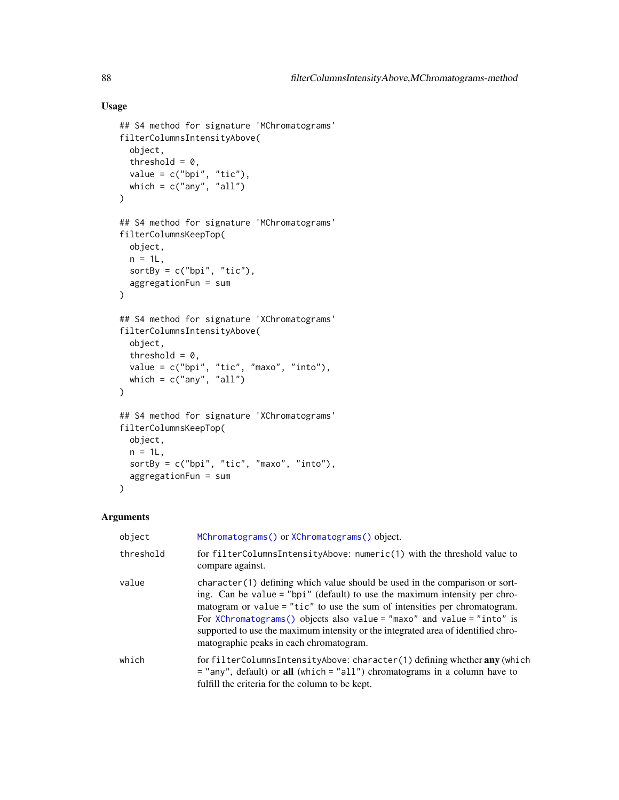# Usage

```
## S4 method for signature 'MChromatograms'
filterColumnsIntensityAbove(
  object,
  threshold = 0,
 value = c("bpi", "tic"),which = c("any", "all"))
## S4 method for signature 'MChromatograms'
filterColumnsKeepTop(
 object,
 n = 1L,
  sortBy = c("bpi", "tic"),aggregationFun = sum
\mathcal{L}## S4 method for signature 'XChromatograms'
filterColumnsIntensityAbove(
 object,
  threshold = 0,
 value = c("bpi", "tic", "maxo", "into"),
 which = c("any", "all"))
## S4 method for signature 'XChromatograms'
filterColumnsKeepTop(
 object,
 n = 1L,
  sortBy = c("bpi", "tic", "maxo", "into"),
 aggregationFun = sum
)
```

| object    | MChromatograms() or XChromatograms() object.                                                                                                                                                                                                                                                                                                                                                                                                           |
|-----------|--------------------------------------------------------------------------------------------------------------------------------------------------------------------------------------------------------------------------------------------------------------------------------------------------------------------------------------------------------------------------------------------------------------------------------------------------------|
| threshold | for filterColumnsIntensityAbove: numeric(1) with the threshold value to<br>compare against.                                                                                                                                                                                                                                                                                                                                                            |
| value     | $character(1)$ defining which value should be used in the comparison or sort-<br>ing. Can be value = "bpi" (default) to use the maximum intensity per chro-<br>matogram or value = " $tic$ " to use the sum of intensities per chromatogram.<br>For XChromatograms() objects also value = "maxo" and value = "into" is<br>supported to use the maximum intensity or the integrated area of identified chro-<br>matographic peaks in each chromatogram. |
| which     | for filterColumnsIntensityAbove: character(1) defining whether any (which<br>$=$ "any", default) or all (which $=$ "all") chromatograms in a column have to<br>fulfill the criteria for the column to be kept.                                                                                                                                                                                                                                         |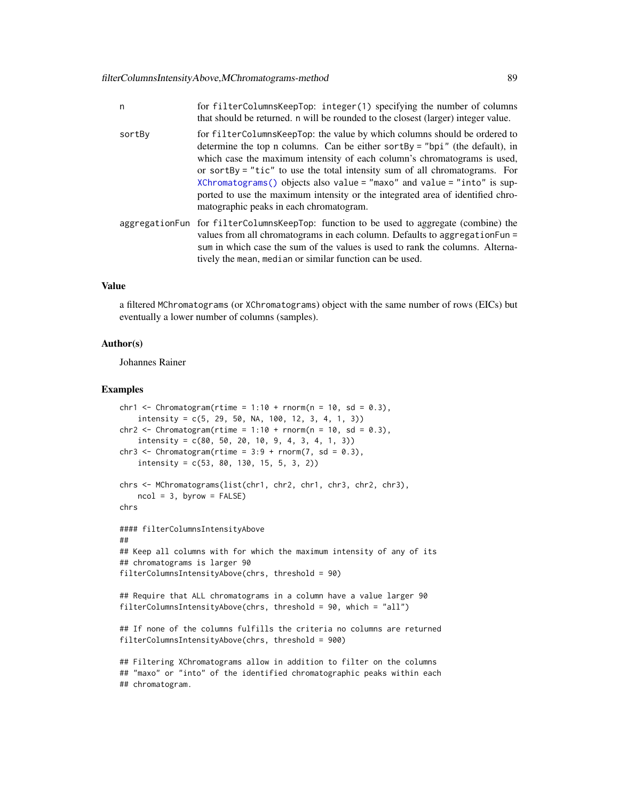| n      | for filterColumnsKeepTop: integer(1) specifying the number of columns<br>that should be returned. n will be rounded to the closest (larger) integer value.                                                                                                                                                                                                                                                                                                                                                                 |
|--------|----------------------------------------------------------------------------------------------------------------------------------------------------------------------------------------------------------------------------------------------------------------------------------------------------------------------------------------------------------------------------------------------------------------------------------------------------------------------------------------------------------------------------|
| sortBy | for filterColumnsKeepTop: the value by which columns should be ordered to<br>determine the top n columns. Can be either sortBy = "bpi" (the default), in<br>which case the maximum intensity of each column's chromatograms is used,<br>or sortBy = "tic" to use the total intensity sum of all chromatograms. For<br>XChromatograms() objects also value = "maxo" and value = "into" is sup-<br>ported to use the maximum intensity or the integrated area of identified chro-<br>matographic peaks in each chromatogram. |
|        | aggregationFun for filterColumnsKeepTop: function to be used to aggregate (combine) the<br>values from all chromatograms in each column. Defaults to aggregation Fun =<br>sum in which case the sum of the values is used to rank the columns. Alterna-<br>tively the mean, median or similar function can be used.                                                                                                                                                                                                        |

# Value

a filtered MChromatograms (or XChromatograms) object with the same number of rows (EICs) but eventually a lower number of columns (samples).

## Author(s)

Johannes Rainer

## Examples

```
chr1 \leq Chromatogram(rtime = 1:10 + rnorm(n = 10, sd = 0.3),
    intensity = c(5, 29, 50, NA, 100, 12, 3, 4, 1, 3))chr2 <- Chromatogram(rtime = 1:10 + \text{rnorm}(n = 10, \text{ sd} = 0.3),
    intensity = c(80, 50, 20, 10, 9, 4, 3, 4, 1, 3))
chr3 <- Chromatogram(rtime = 3:9 + rnorm(7, sd = 0.3),
    intensity = c(53, 80, 130, 15, 5, 3, 2))
chrs <- MChromatograms(list(chr1, chr2, chr1, chr3, chr2, chr3),
   ncol = 3, byrow = FALSE)
chrs
#### filterColumnsIntensityAbove
##
## Keep all columns with for which the maximum intensity of any of its
## chromatograms is larger 90
filterColumnsIntensityAbove(chrs, threshold = 90)
## Require that ALL chromatograms in a column have a value larger 90
filterColumnsIntensityAbove(chrs, threshold = 90, which = "all")
## If none of the columns fulfills the criteria no columns are returned
filterColumnsIntensityAbove(chrs, threshold = 900)
## Filtering XChromatograms allow in addition to filter on the columns
## "maxo" or "into" of the identified chromatographic peaks within each
## chromatogram.
```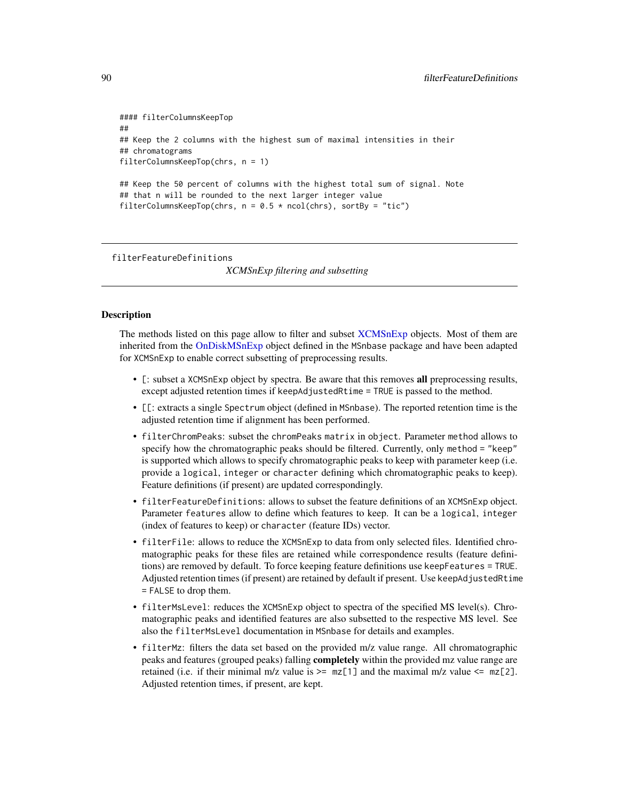```
#### filterColumnsKeepTop
##
## Keep the 2 columns with the highest sum of maximal intensities in their
## chromatograms
filterColumnsKeepTop(chrs, n = 1)
## Keep the 50 percent of columns with the highest total sum of signal. Note
## that n will be rounded to the next larger integer value
filterColumnsKeepTop(chrs, n = 0.5 * ncol(chrs), sortBy = "tic")
```
filterFeatureDefinitions

*XCMSnExp filtering and subsetting*

## Description

The methods listed on this page allow to filter and subset [XCMSnExp](#page-269-1) objects. Most of them are inherited from the [OnDiskMSnExp](#page-0-0) object defined in the MSnbase package and have been adapted for XCMSnExp to enable correct subsetting of preprocessing results.

- [: subset a XCMSnExp object by spectra. Be aware that this removes all preprocessing results, except adjusted retention times if keepAdjustedRtime = TRUE is passed to the method.
- [[: extracts a single Spectrum object (defined in MSnbase). The reported retention time is the adjusted retention time if alignment has been performed.
- filterChromPeaks: subset the chromPeaks matrix in object. Parameter method allows to specify how the chromatographic peaks should be filtered. Currently, only method = "keep" is supported which allows to specify chromatographic peaks to keep with parameter keep (i.e. provide a logical, integer or character defining which chromatographic peaks to keep). Feature definitions (if present) are updated correspondingly.
- filterFeatureDefinitions: allows to subset the feature definitions of an XCMSnExp object. Parameter features allow to define which features to keep. It can be a logical, integer (index of features to keep) or character (feature IDs) vector.
- filterFile: allows to reduce the XCMSnExp to data from only selected files. Identified chromatographic peaks for these files are retained while correspondence results (feature definitions) are removed by default. To force keeping feature definitions use keepFeatures = TRUE. Adjusted retention times (if present) are retained by default if present. Use keepAdjustedRtime = FALSE to drop them.
- filterMsLevel: reduces the XCMSnExp object to spectra of the specified MS level(s). Chromatographic peaks and identified features are also subsetted to the respective MS level. See also the filterMsLevel documentation in MSnbase for details and examples.
- filterMz: filters the data set based on the provided m/z value range. All chromatographic peaks and features (grouped peaks) falling completely within the provided mz value range are retained (i.e. if their minimal m/z value is  $\ge$  =  $mz[1]$  and the maximal m/z value  $\le$  =  $mz[2]$ . Adjusted retention times, if present, are kept.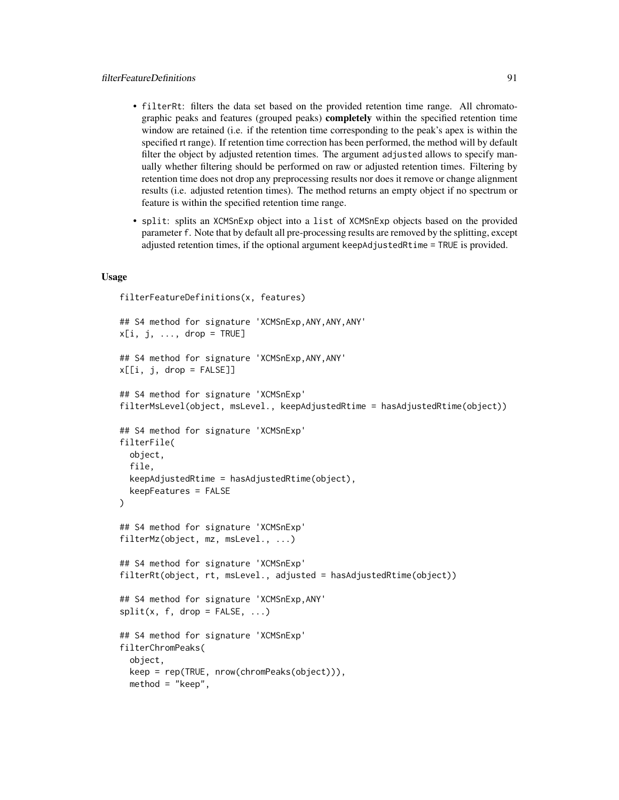- filterRt: filters the data set based on the provided retention time range. All chromatographic peaks and features (grouped peaks) completely within the specified retention time window are retained (i.e. if the retention time corresponding to the peak's apex is within the specified rt range). If retention time correction has been performed, the method will by default filter the object by adjusted retention times. The argument adjusted allows to specify manually whether filtering should be performed on raw or adjusted retention times. Filtering by retention time does not drop any preprocessing results nor does it remove or change alignment results (i.e. adjusted retention times). The method returns an empty object if no spectrum or feature is within the specified retention time range.
- split: splits an XCMSnExp object into a list of XCMSnExp objects based on the provided parameter f. Note that by default all pre-processing results are removed by the splitting, except adjusted retention times, if the optional argument keepAdjustedRtime = TRUE is provided.

#### Usage

```
filterFeatureDefinitions(x, features)
## S4 method for signature 'XCMSnExp,ANY,ANY,ANY'
x[i, j, \ldots, drop = TRUE]## S4 method for signature 'XCMSnExp,ANY,ANY'
x[[i, j, drop = FALSE]]## S4 method for signature 'XCMSnExp'
filterMsLevel(object, msLevel., keepAdjustedRtime = hasAdjustedRtime(object))
## S4 method for signature 'XCMSnExp'
filterFile(
  object,
  file,
  keepAdjustedRtime = hasAdjustedRtime(object),
  keepFeatures = FALSE
)
## S4 method for signature 'XCMSnExp'
filterMz(object, mz, msLevel., ...)
## S4 method for signature 'XCMSnExp'
filterRt(object, rt, msLevel., adjusted = hasAdjustedRtime(object))
## S4 method for signature 'XCMSnExp,ANY'
split(x, f, drop = FALSE, ...)## S4 method for signature 'XCMSnExp'
filterChromPeaks(
  object,
  keep = rep(TRUE, nrow(chromPeaks(object))),
  method = "keep",
```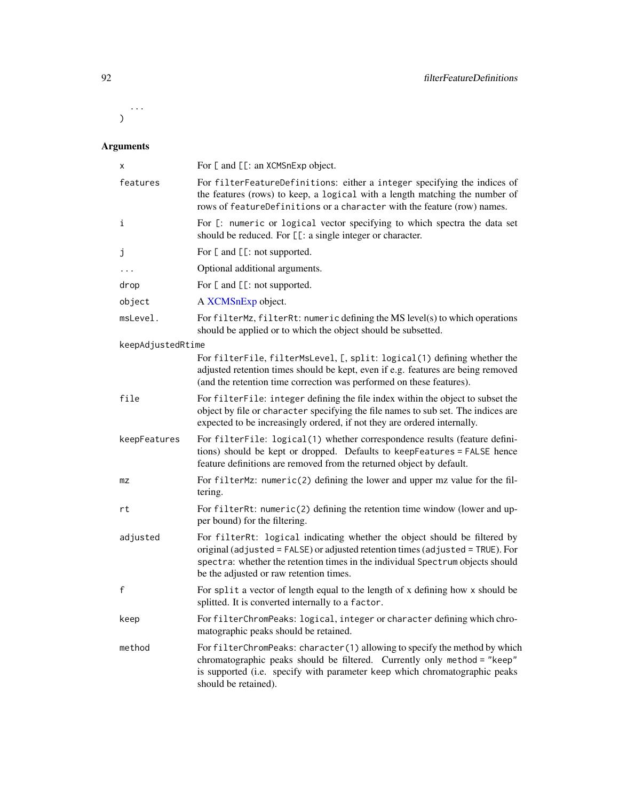...  $\mathcal{L}$ 

| х                 | For [ and [[: an XCMSnExp object.                                                                                                                                                                                                                                                        |
|-------------------|------------------------------------------------------------------------------------------------------------------------------------------------------------------------------------------------------------------------------------------------------------------------------------------|
| features          | For filterFeatureDefinitions: either a integer specifying the indices of<br>the features (rows) to keep, a logical with a length matching the number of<br>rows of featureDefinitions or a character with the feature (row) names.                                                       |
| i                 | For [: numeric or logical vector specifying to which spectra the data set<br>should be reduced. For [[: a single integer or character.                                                                                                                                                   |
| j                 | For [ and [[: not supported.                                                                                                                                                                                                                                                             |
|                   | Optional additional arguments.                                                                                                                                                                                                                                                           |
| drop              | For [ and [[: not supported.                                                                                                                                                                                                                                                             |
| object            | A XCMSnExp object.                                                                                                                                                                                                                                                                       |
| msLevel.          | For filterMz, filterRt: numeric defining the MS level(s) to which operations<br>should be applied or to which the object should be subsetted.                                                                                                                                            |
| keepAdjustedRtime |                                                                                                                                                                                                                                                                                          |
|                   | For filterFile, filterMsLevel, [, split: logical(1) defining whether the<br>adjusted retention times should be kept, even if e.g. features are being removed<br>(and the retention time correction was performed on these features).                                                     |
| file              | For filterFile: integer defining the file index within the object to subset the<br>object by file or character specifying the file names to sub set. The indices are<br>expected to be increasingly ordered, if not they are ordered internally.                                         |
| keepFeatures      | For filterFile: logical(1) whether correspondence results (feature defini-<br>tions) should be kept or dropped. Defaults to keepFeatures = FALSE hence<br>feature definitions are removed from the returned object by default.                                                           |
| mz                | For filterMz: numeric(2) defining the lower and upper mz value for the fil-<br>tering.                                                                                                                                                                                                   |
| rt                | For filterRt: numeric(2) defining the retention time window (lower and up-<br>per bound) for the filtering.                                                                                                                                                                              |
| adjusted          | For filterRt: logical indicating whether the object should be filtered by<br>original (adjusted = FALSE) or adjusted retention times (adjusted = TRUE). For<br>spectra: whether the retention times in the individual Spectrum objects should<br>be the adjusted or raw retention times. |
| $\mathsf{f}$      | For split a vector of length equal to the length of x defining how x should be<br>splitted. It is converted internally to a factor.                                                                                                                                                      |
| keep              | For filterChromPeaks: logical, integer or character defining which chro-<br>matographic peaks should be retained.                                                                                                                                                                        |
| method            | For filterChromPeaks: character(1) allowing to specify the method by which<br>chromatographic peaks should be filtered. Currently only method = "keep"<br>is supported (i.e. specify with parameter keep which chromatographic peaks<br>should be retained).                             |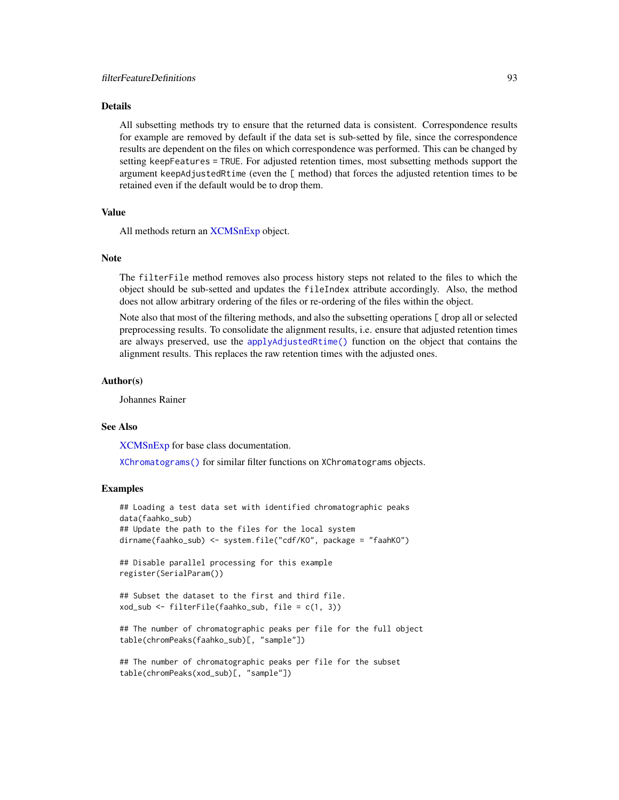# Details

All subsetting methods try to ensure that the returned data is consistent. Correspondence results for example are removed by default if the data set is sub-setted by file, since the correspondence results are dependent on the files on which correspondence was performed. This can be changed by setting keepFeatures = TRUE. For adjusted retention times, most subsetting methods support the argument keepAdjustedRtime (even the [ method) that forces the adjusted retention times to be retained even if the default would be to drop them.

#### Value

All methods return an [XCMSnExp](#page-269-1) object.

#### Note

The filterFile method removes also process history steps not related to the files to which the object should be sub-setted and updates the fileIndex attribute accordingly. Also, the method does not allow arbitrary ordering of the files or re-ordering of the files within the object.

Note also that most of the filtering methods, and also the subsetting operations [ drop all or selected preprocessing results. To consolidate the alignment results, i.e. ensure that adjusted retention times are always preserved, use the [applyAdjustedRtime\(\)](#page-17-0) function on the object that contains the alignment results. This replaces the raw retention times with the adjusted ones.

#### Author(s)

Johannes Rainer

#### See Also

[XCMSnExp](#page-269-1) for base class documentation.

[XChromatograms\(\)](#page-252-0) for similar filter functions on XChromatograms objects.

## Examples

```
## Loading a test data set with identified chromatographic peaks
data(faahko_sub)
## Update the path to the files for the local system
dirname(faahko_sub) <- system.file("cdf/KO", package = "faahKO")
## Disable parallel processing for this example
register(SerialParam())
## Subset the dataset to the first and third file.
xod_sub <- filterFile(faahko_sub, file = c(1, 3))
## The number of chromatographic peaks per file for the full object
table(chromPeaks(faahko_sub)[, "sample"])
## The number of chromatographic peaks per file for the subset
```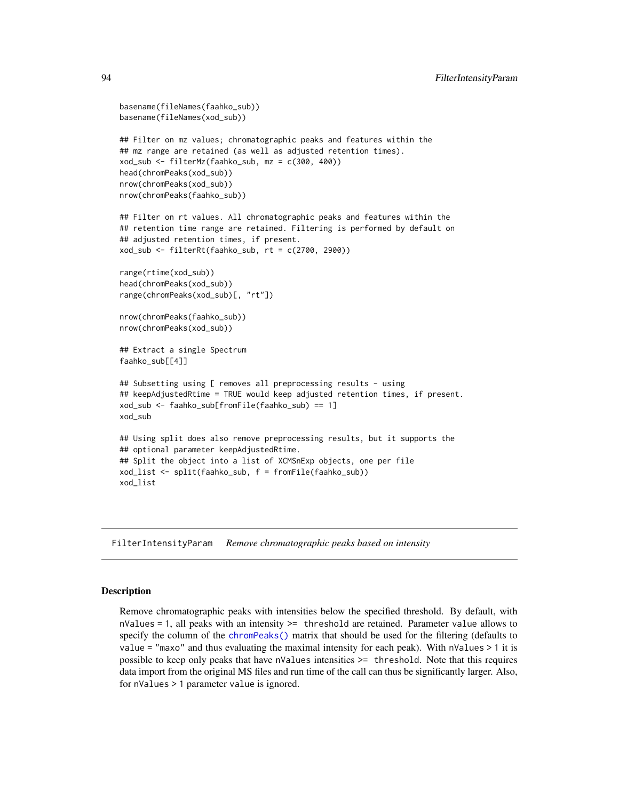```
basename(fileNames(faahko_sub))
basename(fileNames(xod_sub))
## Filter on mz values; chromatographic peaks and features within the
## mz range are retained (as well as adjusted retention times).
xod_sub <- filterMz(faahko_sub, mz = c(300, 400))
head(chromPeaks(xod_sub))
nrow(chromPeaks(xod_sub))
nrow(chromPeaks(faahko_sub))
## Filter on rt values. All chromatographic peaks and features within the
## retention time range are retained. Filtering is performed by default on
## adjusted retention times, if present.
xod_sub <- filterRt(faahko_sub, rt = c(2700, 2900))
range(rtime(xod_sub))
head(chromPeaks(xod_sub))
range(chromPeaks(xod_sub)[, "rt"])
nrow(chromPeaks(faahko_sub))
nrow(chromPeaks(xod_sub))
## Extract a single Spectrum
faahko_sub[[4]]
## Subsetting using [ removes all preprocessing results - using
## keepAdjustedRtime = TRUE would keep adjusted retention times, if present.
xod_sub <- faahko_sub[fromFile(faahko_sub) == 1]
xod_sub
## Using split does also remove preprocessing results, but it supports the
## optional parameter keepAdjustedRtime.
## Split the object into a list of XCMSnExp objects, one per file
xod_list <- split(faahko_sub, f = fromFile(faahko_sub))
xod_list
```
FilterIntensityParam *Remove chromatographic peaks based on intensity*

## Description

Remove chromatographic peaks with intensities below the specified threshold. By default, with  $nValues = 1$ , all peaks with an intensity  $>=$  threshold are retained. Parameter value allows to specify the column of the [chromPeaks\(\)](#page-269-1) matrix that should be used for the filtering (defaults to value = "maxo" and thus evaluating the maximal intensity for each peak). With nValues > 1 it is possible to keep only peaks that have nValues intensities >= threshold. Note that this requires data import from the original MS files and run time of the call can thus be significantly larger. Also, for nValues > 1 parameter value is ignored.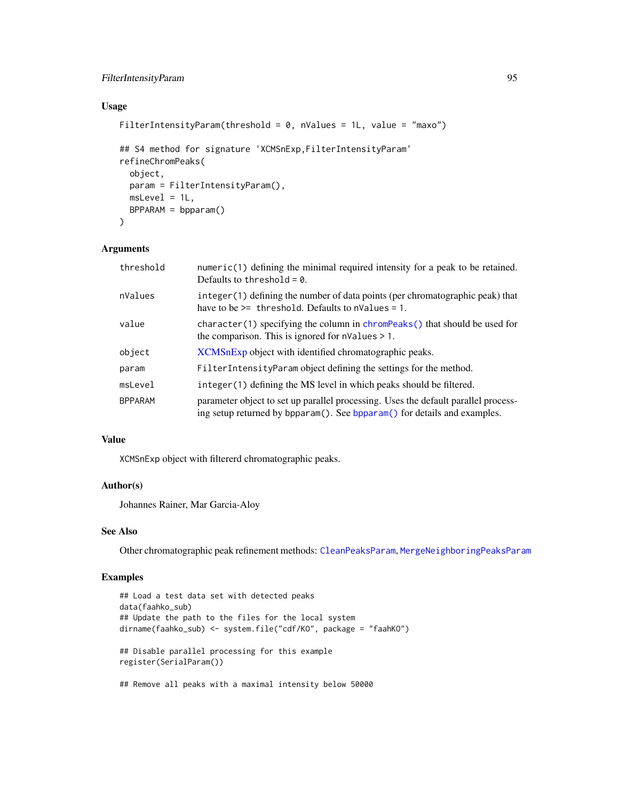# FilterIntensityParam 95

# Usage

```
FilterIntensityParam(threshold = 0, nValues = 1L, value = "maxo")
```

```
## S4 method for signature 'XCMSnExp,FilterIntensityParam'
refineChromPeaks(
 object,
 param = FilterIntensityParam(),
 msLevel = 1L,BPPARAM = bpparam()
)
```
# Arguments

| threshold      | $numeric(1)$ defining the minimal required intensity for a peak to be retained.<br>Defaults to threshold = $0$ .                                               |
|----------------|----------------------------------------------------------------------------------------------------------------------------------------------------------------|
| nValues        | integer (1) defining the number of data points (per chromatographic peak) that<br>have to be $>=$ threshold. Defaults to nValues = 1.                          |
| value          | character $(1)$ specifying the column in chrom Peaks $()$ that should be used for<br>the comparison. This is ignored for $nValues > 1$ .                       |
| object         | XCMSnExp object with identified chromatographic peaks.                                                                                                         |
| param          | FilterIntensityParam object defining the settings for the method.                                                                                              |
| msLevel        | integer (1) defining the MS level in which peaks should be filtered.                                                                                           |
| <b>BPPARAM</b> | parameter object to set up parallel processing. Uses the default parallel process-<br>ing setup returned by bpparam(). See bpparam() for details and examples. |

# Value

XCMSnExp object with filtererd chromatographic peaks.

## Author(s)

Johannes Rainer, Mar Garcia-Aloy

# See Also

Other chromatographic peak refinement methods: [CleanPeaksParam](#page-37-0), [MergeNeighboringPeaksParam](#page-186-0)

# Examples

```
## Load a test data set with detected peaks
data(faahko_sub)
## Update the path to the files for the local system
dirname(faahko_sub) <- system.file("cdf/KO", package = "faahKO")
## Disable parallel processing for this example
register(SerialParam())
```
## Remove all peaks with a maximal intensity below 50000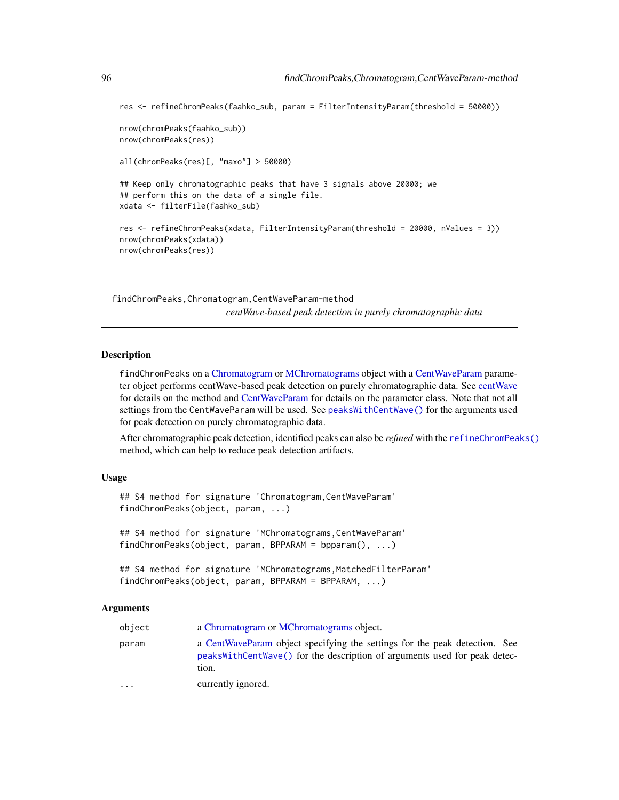```
res <- refineChromPeaks(faahko_sub, param = FilterIntensityParam(threshold = 50000))
nrow(chromPeaks(faahko_sub))
nrow(chromPeaks(res))
all(chromPeaks(res)[, "maxo"] > 50000)
## Keep only chromatographic peaks that have 3 signals above 20000; we
## perform this on the data of a single file.
xdata <- filterFile(faahko_sub)
res <- refineChromPeaks(xdata, FilterIntensityParam(threshold = 20000, nValues = 3))
nrow(chromPeaks(xdata))
nrow(chromPeaks(res))
```
findChromPeaks,Chromatogram,CentWaveParam-method *centWave-based peak detection in purely chromatographic data*

# Description

findChromPeaks on a [Chromatogram](#page-0-0) or [MChromatograms](#page-0-0) object with a [CentWaveParam](#page-98-0) parameter object performs centWave-based peak detection on purely chromatographic data. See [centWave](#page-98-0) for details on the method and [CentWaveParam](#page-98-0) for details on the parameter class. Note that not all settings from the CentWaveParam will be used. See [peaksWithCentWave\(\)](#page-191-0) for the arguments used for peak detection on purely chromatographic data.

After chromatographic peak detection, identified peaks can also be *refined* with the [refineChromPeaks\(\)](#page-37-1) method, which can help to reduce peak detection artifacts.

# Usage

## S4 method for signature 'Chromatogram,CentWaveParam' findChromPeaks(object, param, ...)

## S4 method for signature 'MChromatograms,CentWaveParam' findChromPeaks(object, param, BPPARAM = bpparam(), ...)

## S4 method for signature 'MChromatograms, MatchedFilterParam' findChromPeaks(object, param, BPPARAM = BPPARAM, ...)

| object    | a Chromatogram or MChromatograms object.                                                                                                                         |
|-----------|------------------------------------------------------------------------------------------------------------------------------------------------------------------|
| param     | a CentWaveParam object specifying the settings for the peak detection. See<br>peaksWithCentWave() for the description of arguments used for peak detec-<br>tion. |
| $\ddotsc$ | currently ignored.                                                                                                                                               |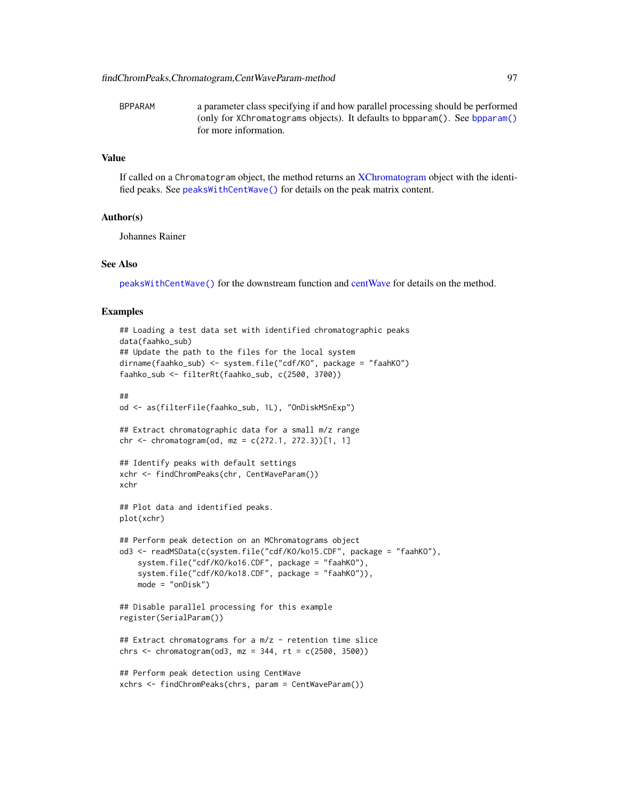BPPARAM a parameter class specifying if and how parallel processing should be performed (only for XChromatograms objects). It defaults to bpparam(). See [bpparam\(\)](#page-0-0) for more information.

# Value

If called on a Chromatogram object, the method returns an [XChromatogram](#page-252-1) object with the identified peaks. See [peaksWithCentWave\(\)](#page-191-0) for details on the peak matrix content.

## Author(s)

Johannes Rainer

## See Also

[peaksWithCentWave\(\)](#page-191-0) for the downstream function and [centWave](#page-98-0) for details on the method.

## Examples

```
## Loading a test data set with identified chromatographic peaks
data(faahko_sub)
## Update the path to the files for the local system
dirname(faahko_sub) <- system.file("cdf/KO", package = "faahKO")
faahko_sub <- filterRt(faahko_sub, c(2500, 3700))
##
od <- as(filterFile(faahko_sub, 1L), "OnDiskMSnExp")
## Extract chromatographic data for a small m/z range
chr <- chromatogram(od, mz = c(272.1, 272.3))[1, 1]
## Identify peaks with default settings
xchr <- findChromPeaks(chr, CentWaveParam())
xchr
## Plot data and identified peaks.
plot(xchr)
## Perform peak detection on an MChromatograms object
od3 <- readMSData(c(system.file("cdf/KO/ko15.CDF", package = "faahKO"),
    system.file("cdf/KO/ko16.CDF", package = "faahKO"),
    system.file("cdf/KO/ko18.CDF", package = "faahKO")),
   mode = "onDisk")
## Disable parallel processing for this example
register(SerialParam())
## Extract chromatograms for a m/z - retention time slice
chrs \le - chromatogram(od3, mz = 344, rt = c(2500, 3500))
## Perform peak detection using CentWave
xchrs <- findChromPeaks(chrs, param = CentWaveParam())
```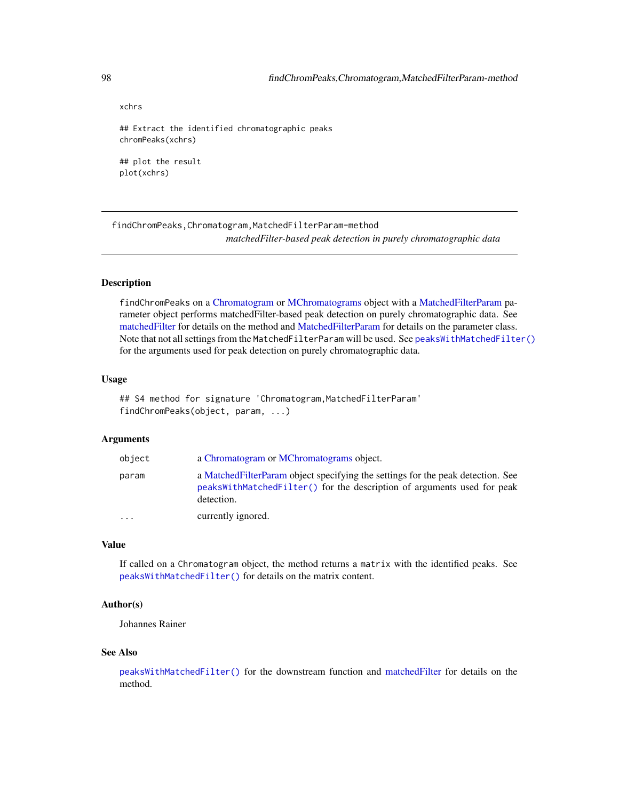```
## Extract the identified chromatographic peaks
chromPeaks(xchrs)
## plot the result
plot(xchrs)
```
findChromPeaks,Chromatogram,MatchedFilterParam-method *matchedFilter-based peak detection in purely chromatographic data*

# Description

findChromPeaks on a [Chromatogram](#page-0-0) or [MChromatograms](#page-0-0) object with a [MatchedFilterParam](#page-115-0) parameter object performs matchedFilter-based peak detection on purely chromatographic data. See [matchedFilter](#page-115-0) for details on the method and [MatchedFilterParam](#page-115-0) for details on the parameter class. Note that not all settings from the MatchedFilterParam will be used. See [peaksWithMatchedFilter\(\)](#page-194-0) for the arguments used for peak detection on purely chromatographic data.

## Usage

## S4 method for signature 'Chromatogram, MatchedFilterParam' findChromPeaks(object, param, ...)

## Arguments

| object    | a Chromatogram or MChromatograms object.                                                                                                                                   |
|-----------|----------------------------------------------------------------------------------------------------------------------------------------------------------------------------|
| param     | a Matched Filter Param object specifying the settings for the peak detection. See<br>peaksWithMatchedFilter() for the description of arguments used for peak<br>detection. |
| $\ddotsc$ | currently ignored.                                                                                                                                                         |

# Value

If called on a Chromatogram object, the method returns a matrix with the identified peaks. See [peaksWithMatchedFilter\(\)](#page-194-0) for details on the matrix content.

# Author(s)

Johannes Rainer

#### See Also

[peaksWithMatchedFilter\(\)](#page-194-0) for the downstream function and [matchedFilter](#page-115-0) for details on the method.

xchrs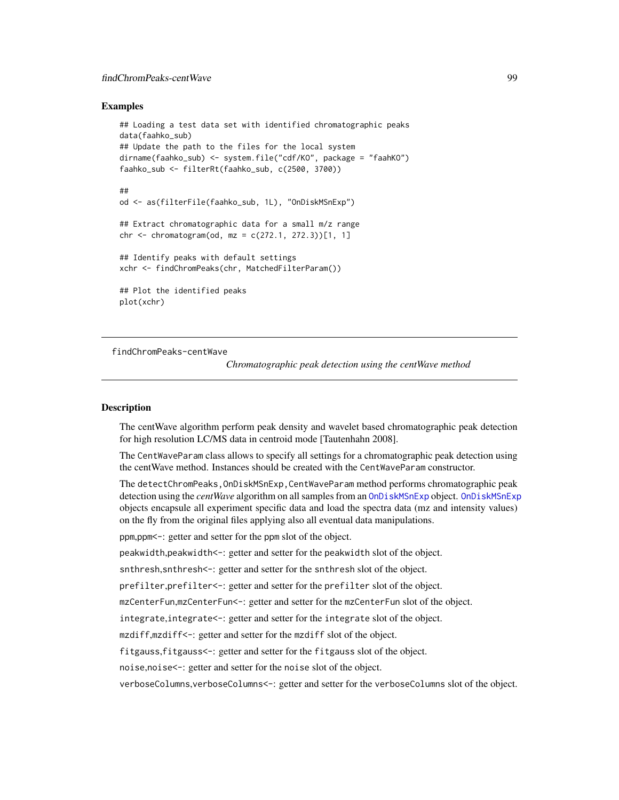# findChromPeaks-centWave 99

## Examples

```
## Loading a test data set with identified chromatographic peaks
data(faahko_sub)
## Update the path to the files for the local system
dirname(faahko_sub) <- system.file("cdf/KO", package = "faahKO")
faahko_sub <- filterRt(faahko_sub, c(2500, 3700))
##
od <- as(filterFile(faahko_sub, 1L), "OnDiskMSnExp")
## Extract chromatographic data for a small m/z range
chr <- chromatogram(od, mz = c(272.1, 272.3)][1, 1]
## Identify peaks with default settings
xchr <- findChromPeaks(chr, MatchedFilterParam())
## Plot the identified peaks
plot(xchr)
```
findChromPeaks-centWave

*Chromatographic peak detection using the centWave method*

## <span id="page-98-0"></span>Description

The centWave algorithm perform peak density and wavelet based chromatographic peak detection for high resolution LC/MS data in centroid mode [Tautenhahn 2008].

The CentWaveParam class allows to specify all settings for a chromatographic peak detection using the centWave method. Instances should be created with the CentWaveParam constructor.

The detectChromPeaks,OnDiskMSnExp,CentWaveParam method performs chromatographic peak detection using the *centWave* algorithm on all samples from an [OnDiskMSnExp](#page-0-0) object. [OnDiskMSnExp](#page-0-0) objects encapsule all experiment specific data and load the spectra data (mz and intensity values) on the fly from the original files applying also all eventual data manipulations.

ppm,ppm<-: getter and setter for the ppm slot of the object.

peakwidth, peakwidth<-: getter and setter for the peakwidth slot of the object.

snthresh, snthresh<-: getter and setter for the snthresh slot of the object.

prefilter,prefilter<-: getter and setter for the prefilter slot of the object.

mzCenterFun, mzCenterFun<-: getter and setter for the mzCenterFun slot of the object.

integrate,integrate<-: getter and setter for the integrate slot of the object.

mzdiff,mzdiff<-: getter and setter for the mzdiff slot of the object.

fitgauss,fitgauss<-: getter and setter for the fitgauss slot of the object.

noise,noise<-: getter and setter for the noise slot of the object.

verboseColumns,verboseColumns<-: getter and setter for the verboseColumns slot of the object.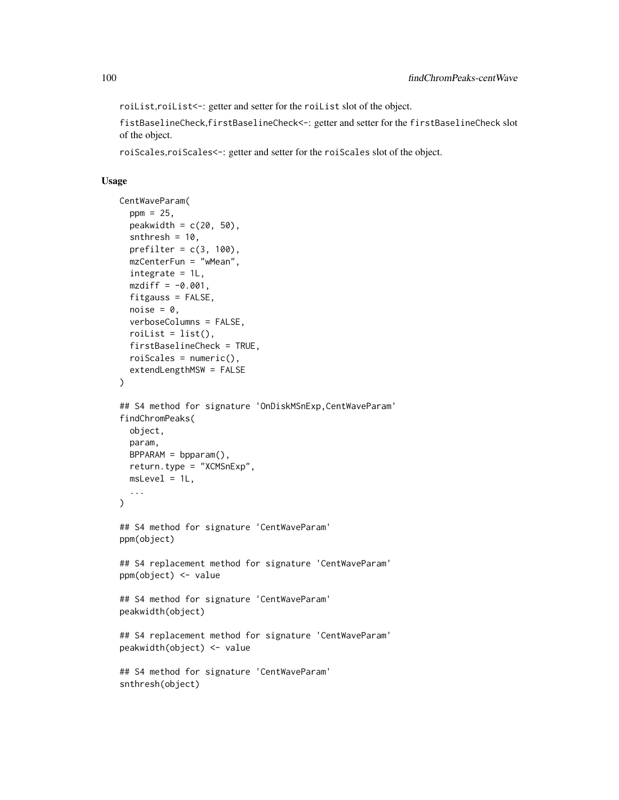roiList,roiList<-: getter and setter for the roiList slot of the object.

fistBaselineCheck,firstBaselineCheck<-: getter and setter for the firstBaselineCheck slot of the object.

roiScales,roiScales<-: getter and setter for the roiScales slot of the object.

# Usage

```
CentWaveParam(
  ppm = 25,
  peakwidth = c(20, 50),
  snthresh = 10,
  prefilter = c(3, 100),
  mzCenterFun = "wMean",
  integrate = 1L,
 mzdiff = -0.001,
  fitgauss = FALSE,
  noise = 0,
  verboseColumns = FALSE,
  roiList = list(),firstBaselineCheck = TRUE,
  roiScales = numeric(),
  extendLengthMSW = FALSE
)
## S4 method for signature 'OnDiskMSnExp,CentWaveParam'
findChromPeaks(
 object,
  param,
 BPPARAM = bpparam(),
  return.type = "XCMSnExp",
  msLevel = 1L,
  ...
)
## S4 method for signature 'CentWaveParam'
ppm(object)
## S4 replacement method for signature 'CentWaveParam'
ppm(object) <- value
## S4 method for signature 'CentWaveParam'
peakwidth(object)
## S4 replacement method for signature 'CentWaveParam'
peakwidth(object) <- value
## S4 method for signature 'CentWaveParam'
snthresh(object)
```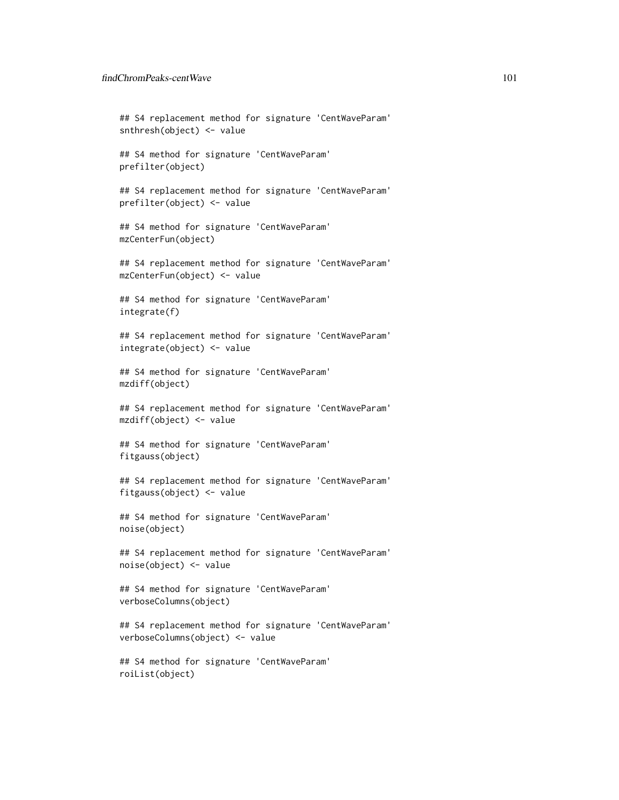## S4 replacement method for signature 'CentWaveParam' snthresh(object) <- value ## S4 method for signature 'CentWaveParam' prefilter(object) ## S4 replacement method for signature 'CentWaveParam' prefilter(object) <- value ## S4 method for signature 'CentWaveParam' mzCenterFun(object) ## S4 replacement method for signature 'CentWaveParam' mzCenterFun(object) <- value ## S4 method for signature 'CentWaveParam' integrate(f) ## S4 replacement method for signature 'CentWaveParam' integrate(object) <- value ## S4 method for signature 'CentWaveParam' mzdiff(object) ## S4 replacement method for signature 'CentWaveParam' mzdiff(object) <- value ## S4 method for signature 'CentWaveParam' fitgauss(object) ## S4 replacement method for signature 'CentWaveParam' fitgauss(object) <- value ## S4 method for signature 'CentWaveParam' noise(object) ## S4 replacement method for signature 'CentWaveParam' noise(object) <- value ## S4 method for signature 'CentWaveParam' verboseColumns(object) ## S4 replacement method for signature 'CentWaveParam' verboseColumns(object) <- value ## S4 method for signature 'CentWaveParam' roiList(object)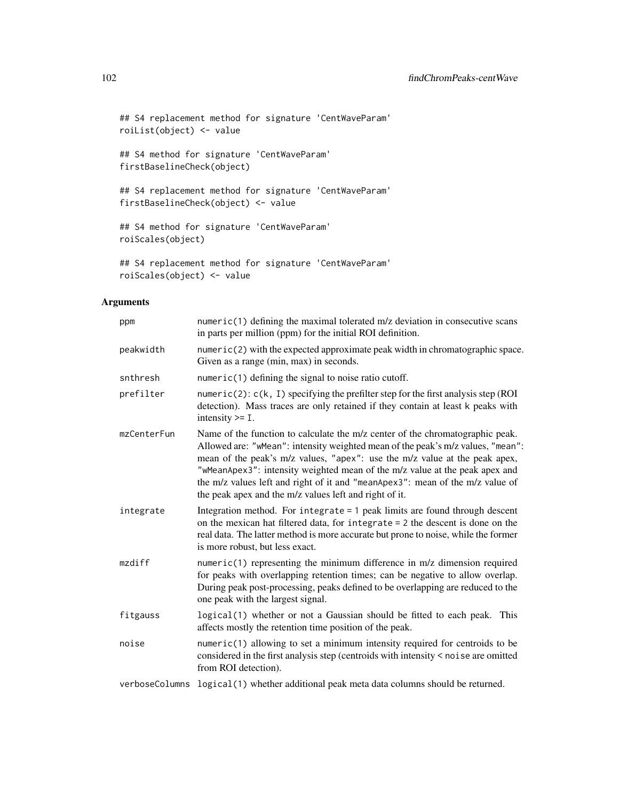```
## S4 replacement method for signature 'CentWaveParam'
roiList(object) <- value
## S4 method for signature 'CentWaveParam'
firstBaselineCheck(object)
## S4 replacement method for signature 'CentWaveParam'
firstBaselineCheck(object) <- value
## S4 method for signature 'CentWaveParam'
roiScales(object)
```

```
## S4 replacement method for signature 'CentWaveParam'
roiScales(object) <- value
```

| ppm            | numeric(1) defining the maximal tolerated m/z deviation in consecutive scans<br>in parts per million (ppm) for the initial ROI definition.                                                                                                                                                                                                                                                                                                                               |
|----------------|--------------------------------------------------------------------------------------------------------------------------------------------------------------------------------------------------------------------------------------------------------------------------------------------------------------------------------------------------------------------------------------------------------------------------------------------------------------------------|
| peakwidth      | $numeric(2)$ with the expected approximate peak width in chromatographic space.<br>Given as a range (min, max) in seconds.                                                                                                                                                                                                                                                                                                                                               |
| snthresh       | numeric(1) defining the signal to noise ratio cutoff.                                                                                                                                                                                                                                                                                                                                                                                                                    |
| prefilter      | numeric(2): $c(k, I)$ specifying the prefilter step for the first analysis step (ROI<br>detection). Mass traces are only retained if they contain at least k peaks with<br>intensity $>=$ I.                                                                                                                                                                                                                                                                             |
| mzCenterFun    | Name of the function to calculate the m/z center of the chromatographic peak.<br>Allowed are: "wMean": intensity weighted mean of the peak's m/z values, "mean":<br>mean of the peak's m/z values, "apex": use the m/z value at the peak apex,<br>"wMeanApex3": intensity weighted mean of the m/z value at the peak apex and<br>the m/z values left and right of it and "meanApex3": mean of the m/z value of<br>the peak apex and the m/z values left and right of it. |
| integrate      | Integration method. For integrate $= 1$ peak limits are found through descent<br>on the mexican hat filtered data, for integrate = 2 the descent is done on the<br>real data. The latter method is more accurate but prone to noise, while the former<br>is more robust, but less exact.                                                                                                                                                                                 |
| mzdiff         | numeric(1) representing the minimum difference in m/z dimension required<br>for peaks with overlapping retention times; can be negative to allow overlap.<br>During peak post-processing, peaks defined to be overlapping are reduced to the<br>one peak with the largest signal.                                                                                                                                                                                        |
| fitgauss       | logical(1) whether or not a Gaussian should be fitted to each peak. This<br>affects mostly the retention time position of the peak.                                                                                                                                                                                                                                                                                                                                      |
| noise          | numeric(1) allowing to set a minimum intensity required for centroids to be<br>considered in the first analysis step (centroids with intensity < noise are omitted<br>from ROI detection).                                                                                                                                                                                                                                                                               |
| verboseColumns | logical(1) whether additional peak meta data columns should be returned.                                                                                                                                                                                                                                                                                                                                                                                                 |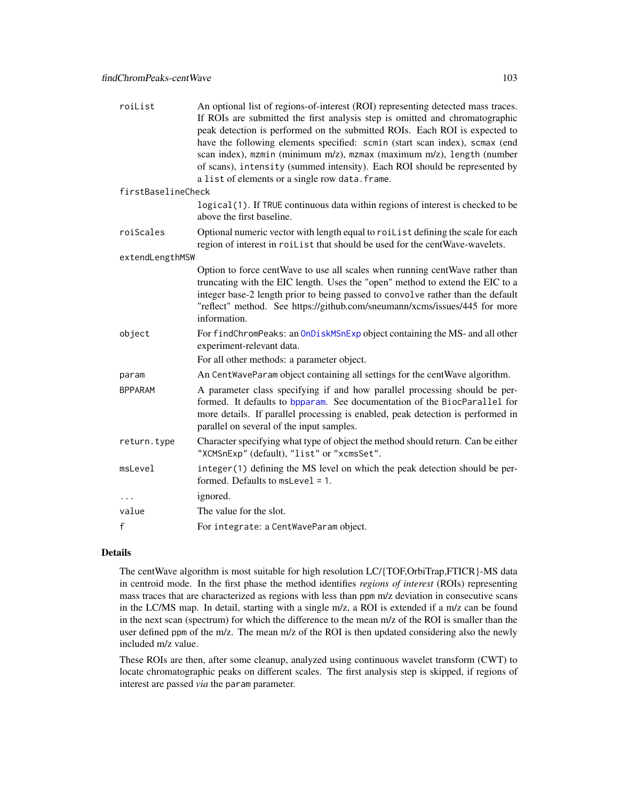| roiList            | An optional list of regions-of-interest (ROI) representing detected mass traces.<br>If ROIs are submitted the first analysis step is omitted and chromatographic<br>peak detection is performed on the submitted ROIs. Each ROI is expected to<br>have the following elements specified: scmin (start scan index), scmax (end<br>scan index), mzmin (minimum m/z), mzmax (maximum m/z), length (number<br>of scans), intensity (summed intensity). Each ROI should be represented by<br>a list of elements or a single row data. frame. |
|--------------------|-----------------------------------------------------------------------------------------------------------------------------------------------------------------------------------------------------------------------------------------------------------------------------------------------------------------------------------------------------------------------------------------------------------------------------------------------------------------------------------------------------------------------------------------|
| firstBaselineCheck |                                                                                                                                                                                                                                                                                                                                                                                                                                                                                                                                         |
|                    | logical(1). If TRUE continuous data within regions of interest is checked to be<br>above the first baseline.                                                                                                                                                                                                                                                                                                                                                                                                                            |
| roiScales          | Optional numeric vector with length equal to roil ist defining the scale for each<br>region of interest in roilist that should be used for the centWave-wavelets.                                                                                                                                                                                                                                                                                                                                                                       |
| extendLengthMSW    |                                                                                                                                                                                                                                                                                                                                                                                                                                                                                                                                         |
|                    | Option to force centWave to use all scales when running centWave rather than<br>truncating with the EIC length. Uses the "open" method to extend the EIC to a<br>integer base-2 length prior to being passed to convolve rather than the default<br>"reflect" method. See https://github.com/sneumann/xcms/issues/445 for more<br>information.                                                                                                                                                                                          |
| object             | For findChromPeaks: an OnDiskMSnExp object containing the MS- and all other<br>experiment-relevant data.                                                                                                                                                                                                                                                                                                                                                                                                                                |
|                    | For all other methods: a parameter object.                                                                                                                                                                                                                                                                                                                                                                                                                                                                                              |
| param              | An CentWaveParam object containing all settings for the centWave algorithm.                                                                                                                                                                                                                                                                                                                                                                                                                                                             |
| <b>BPPARAM</b>     | A parameter class specifying if and how parallel processing should be per-<br>formed. It defaults to bpparam. See documentation of the BiocParallel for<br>more details. If parallel processing is enabled, peak detection is performed in<br>parallel on several of the input samples.                                                                                                                                                                                                                                                 |
| return.type        | Character specifying what type of object the method should return. Can be either<br>"XCMSnExp" (default), "list" or "xcmsSet".                                                                                                                                                                                                                                                                                                                                                                                                          |
| msLevel            | integer(1) defining the MS level on which the peak detection should be per-<br>formed. Defaults to $msLevel = 1$ .                                                                                                                                                                                                                                                                                                                                                                                                                      |
| .                  | ignored.                                                                                                                                                                                                                                                                                                                                                                                                                                                                                                                                |
| value              | The value for the slot.                                                                                                                                                                                                                                                                                                                                                                                                                                                                                                                 |
| $\mathsf f$        | For integrate: a CentWaveParam object.                                                                                                                                                                                                                                                                                                                                                                                                                                                                                                  |

# Details

The centWave algorithm is most suitable for high resolution LC/{TOF,OrbiTrap,FTICR}-MS data in centroid mode. In the first phase the method identifies *regions of interest* (ROIs) representing mass traces that are characterized as regions with less than ppm m/z deviation in consecutive scans in the LC/MS map. In detail, starting with a single m/z, a ROI is extended if a m/z can be found in the next scan (spectrum) for which the difference to the mean m/z of the ROI is smaller than the user defined ppm of the m/z. The mean m/z of the ROI is then updated considering also the newly included m/z value.

These ROIs are then, after some cleanup, analyzed using continuous wavelet transform (CWT) to locate chromatographic peaks on different scales. The first analysis step is skipped, if regions of interest are passed *via* the param parameter.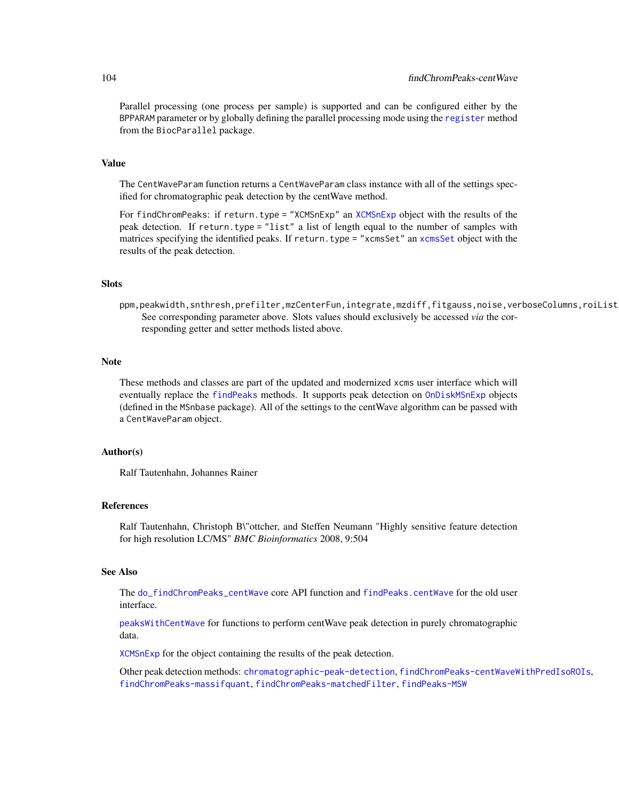Parallel processing (one process per sample) is supported and can be configured either by the BPPARAM parameter or by globally defining the parallel processing mode using the [register](#page-0-0) method from the BiocParallel package.

## Value

The CentWaveParam function returns a CentWaveParam class instance with all of the settings specified for chromatographic peak detection by the centWave method.

For findChromPeaks: if return.type = "XCMSnExp" an [XCMSnExp](#page-269-1) object with the results of the peak detection. If return.type = "list" a list of length equal to the number of samples with matrices specifying the identified peaks. If return.type = "xcmsSet" an [xcmsSet](#page-288-0) object with the results of the peak detection.

# **Slots**

ppm,peakwidth,snthresh,prefilter,mzCenterFun,integrate,mzdiff,fitgauss,noise,verboseColumns,roiList See corresponding parameter above. Slots values should exclusively be accessed *via* the corresponding getter and setter methods listed above.

## Note

These methods and classes are part of the updated and modernized xcms user interface which will eventually replace the [findPeaks](#page-125-0) methods. It supports peak detection on [OnDiskMSnExp](#page-0-0) objects (defined in the MSnbase package). All of the settings to the centWave algorithm can be passed with a CentWaveParam object.

#### Author(s)

Ralf Tautenhahn, Johannes Rainer

## References

Ralf Tautenhahn, Christoph B\"ottcher, and Steffen Neumann "Highly sensitive feature detection for high resolution LC/MS" *BMC Bioinformatics* 2008, 9:504

# See Also

The [do\\_findChromPeaks\\_centWave](#page-47-0) core API function and [findPeaks.centWave](#page-133-0) for the old user interface.

[peaksWithCentWave](#page-191-0) for functions to perform centWave peak detection in purely chromatographic data.

[XCMSnExp](#page-269-1) for the object containing the results of the peak detection.

Other peak detection methods: [chromatographic-peak-detection](#page-34-0), [findChromPeaks-centWaveWithPredIsoROIs](#page-104-0), [findChromPeaks-massifquant](#page-109-0), [findChromPeaks-matchedFilter](#page-115-1), [findPeaks-MSW](#page-126-0)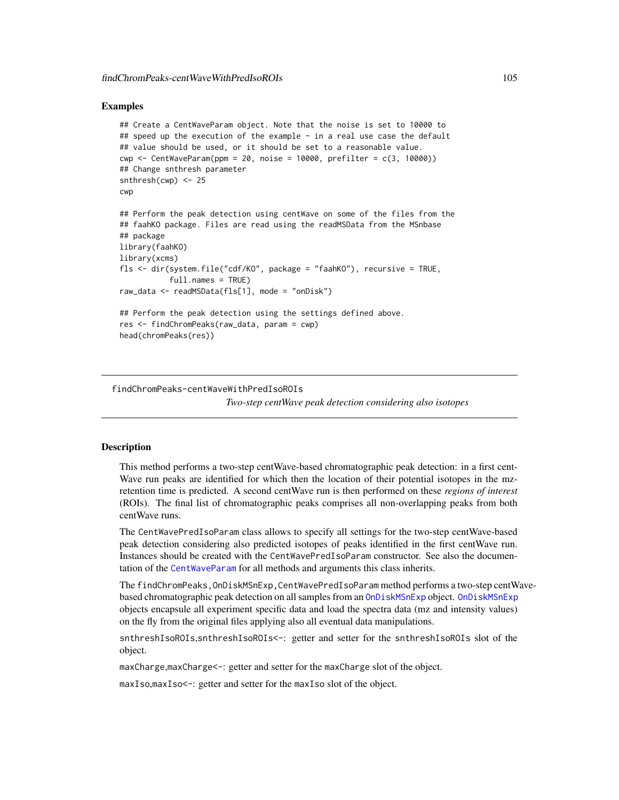## Examples

```
## Create a CentWaveParam object. Note that the noise is set to 10000 to
## speed up the execution of the example - in a real use case the default
## value should be used, or it should be set to a reasonable value.
cwp <- CentWaveParam(ppm = 20, noise = 10000, prefilter = c(3, 10000))
## Change snthresh parameter
snthresh(cwp) <- 25
cwp
## Perform the peak detection using centWave on some of the files from the
## faahKO package. Files are read using the readMSData from the MSnbase
## package
library(faahKO)
library(xcms)
fls <- dir(system.file("cdf/KO", package = "faahKO"), recursive = TRUE,
           full.names = TRUE)
raw_data <- readMSData(fls[1], mode = "onDisk")
## Perform the peak detection using the settings defined above.
res <- findChromPeaks(raw_data, param = cwp)
head(chromPeaks(res))
```
<span id="page-104-0"></span>findChromPeaks-centWaveWithPredIsoROIs *Two-step centWave peak detection considering also isotopes*

#### **Description**

This method performs a two-step centWave-based chromatographic peak detection: in a first cent-Wave run peaks are identified for which then the location of their potential isotopes in the mzretention time is predicted. A second centWave run is then performed on these *regions of interest* (ROIs). The final list of chromatographic peaks comprises all non-overlapping peaks from both centWave runs.

The CentWavePredIsoParam class allows to specify all settings for the two-step centWave-based peak detection considering also predicted isotopes of peaks identified in the first centWave run. Instances should be created with the CentWavePredIsoParam constructor. See also the documentation of the [CentWaveParam](#page-98-0) for all methods and arguments this class inherits.

The findChromPeaks,OnDiskMSnExp,CentWavePredIsoParam method performs a two-step centWavebased chromatographic peak detection on all samples from an [OnDiskMSnExp](#page-0-0) object. [OnDiskMSnExp](#page-0-0) objects encapsule all experiment specific data and load the spectra data (mz and intensity values) on the fly from the original files applying also all eventual data manipulations.

snthreshIsoROIs,snthreshIsoROIs<-: getter and setter for the snthreshIsoROIs slot of the object.

maxCharge,maxCharge<-: getter and setter for the maxCharge slot of the object.

maxIso,maxIso<-: getter and setter for the maxIso slot of the object.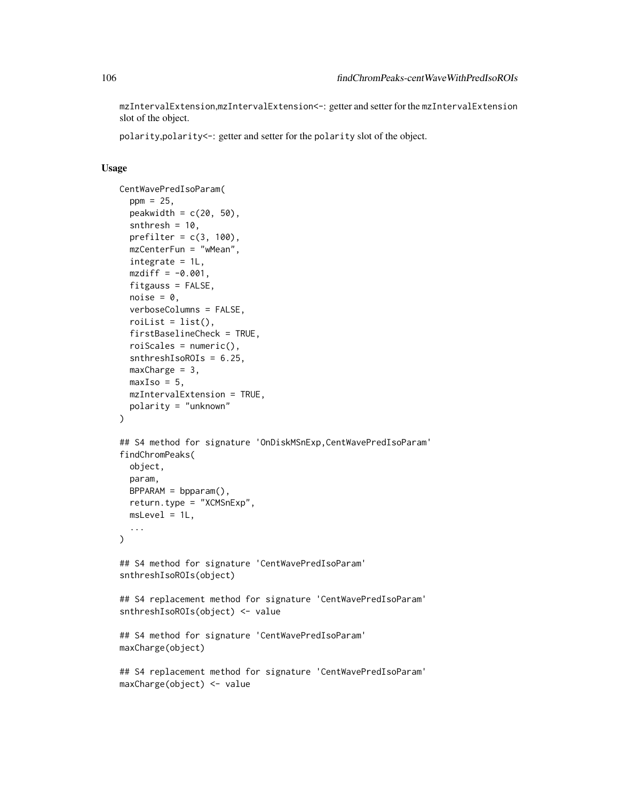mzIntervalExtension,mzIntervalExtension<-: getter and setter for the mzIntervalExtension slot of the object.

polarity,polarity<-: getter and setter for the polarity slot of the object.

# Usage

```
CentWavePredIsoParam(
  ppm = 25,
  peakwidth = c(20, 50),
  snthresh = 10,
  prefilter = c(3, 100),
  mzCenterFun = "wMean",
  integrate = 1L,mzdiff = -0.001,fitgauss = FALSE,
  noise = 0,
  verboseColumns = FALSE,
  roiList = list(),
  firstBaselineCheck = TRUE,
  roiscales = numeric(),
  snthreshIsoROIs = 6.25,
  maxChange = 3,
 maxIso = 5,
  mzIntervalExtension = TRUE,
  polarity = "unknown"
)
## S4 method for signature 'OnDiskMSnExp,CentWavePredIsoParam'
findChromPeaks(
  object,
  param,
  BPPARAM = bpparam(),
  return.type = "XCMSnExp",
 msLevel = 1L,
  ...
)
## S4 method for signature 'CentWavePredIsoParam'
snthreshIsoROIs(object)
## S4 replacement method for signature 'CentWavePredIsoParam'
snthreshIsoROIs(object) <- value
## S4 method for signature 'CentWavePredIsoParam'
maxCharge(object)
## S4 replacement method for signature 'CentWavePredIsoParam'
```
maxCharge(object) <- value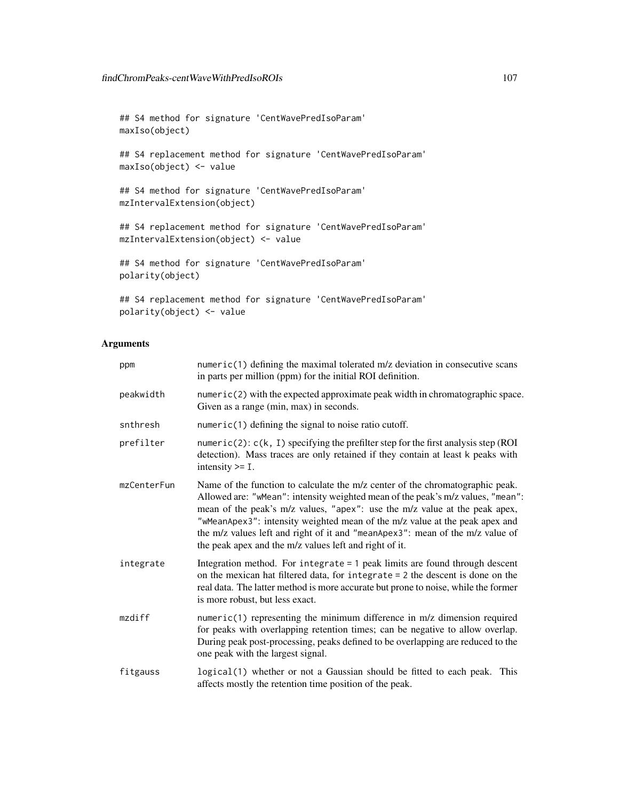```
## S4 method for signature 'CentWavePredIsoParam'
maxIso(object)
## S4 replacement method for signature 'CentWavePredIsoParam'
maxIso(object) <- value
## S4 method for signature 'CentWavePredIsoParam'
mzIntervalExtension(object)
## S4 replacement method for signature 'CentWavePredIsoParam'
mzIntervalExtension(object) <- value
## S4 method for signature 'CentWavePredIsoParam'
polarity(object)
## S4 replacement method for signature 'CentWavePredIsoParam'
```
# polarity(object) <- value

| ppm         | $numeric(1)$ defining the maximal tolerated $m/z$ deviation in consecutive scans<br>in parts per million (ppm) for the initial ROI definition.                                                                                                                                                                                                                                                                                                                           |
|-------------|--------------------------------------------------------------------------------------------------------------------------------------------------------------------------------------------------------------------------------------------------------------------------------------------------------------------------------------------------------------------------------------------------------------------------------------------------------------------------|
| peakwidth   | numeric(2) with the expected approximate peak width in chromatographic space.<br>Given as a range (min, max) in seconds.                                                                                                                                                                                                                                                                                                                                                 |
| snthresh    | $numeric(1)$ defining the signal to noise ratio cutoff.                                                                                                                                                                                                                                                                                                                                                                                                                  |
| prefilter   | numeric(2): $c(k, 1)$ specifying the prefilter step for the first analysis step (ROI<br>detection). Mass traces are only retained if they contain at least k peaks with<br>intensity $>=$ I.                                                                                                                                                                                                                                                                             |
| mzCenterFun | Name of the function to calculate the m/z center of the chromatographic peak.<br>Allowed are: "wMean": intensity weighted mean of the peak's m/z values, "mean":<br>mean of the peak's m/z values, "apex": use the m/z value at the peak apex,<br>"wMeanApex3": intensity weighted mean of the m/z value at the peak apex and<br>the m/z values left and right of it and "meanApex3": mean of the m/z value of<br>the peak apex and the m/z values left and right of it. |
| integrate   | Integration method. For integrate = 1 peak limits are found through descent<br>on the mexican hat filtered data, for integrate = 2 the descent is done on the<br>real data. The latter method is more accurate but prone to noise, while the former<br>is more robust, but less exact.                                                                                                                                                                                   |
| mzdiff      | $numeric(1)$ representing the minimum difference in $m/z$ dimension required<br>for peaks with overlapping retention times; can be negative to allow overlap.<br>During peak post-processing, peaks defined to be overlapping are reduced to the<br>one peak with the largest signal.                                                                                                                                                                                    |
| fitgauss    | logical(1) whether or not a Gaussian should be fitted to each peak. This<br>affects mostly the retention time position of the peak.                                                                                                                                                                                                                                                                                                                                      |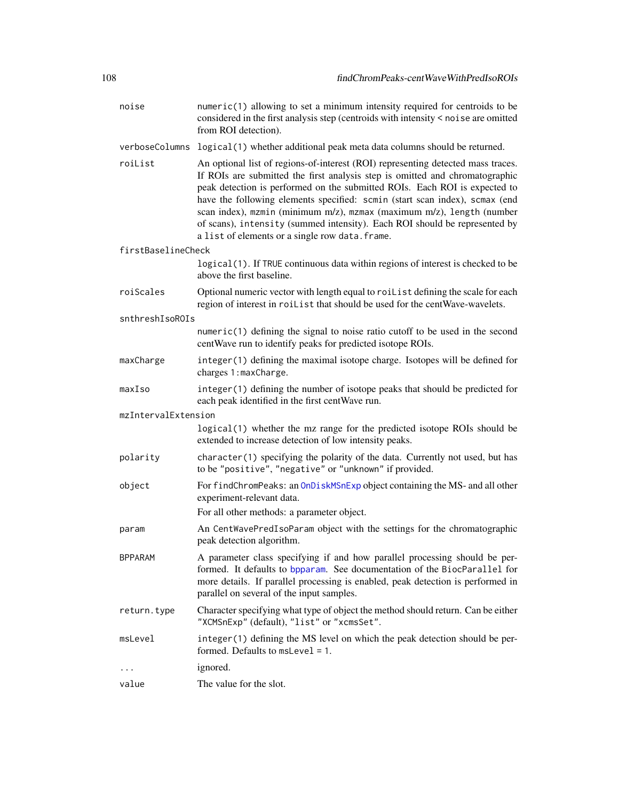noise numeric(1) allowing to set a minimum intensity required for centroids to be considered in the first analysis step (centroids with intensity < noise are omitted from ROI detection). verboseColumns logical(1) whether additional peak meta data columns should be returned. roiList An optional list of regions-of-interest (ROI) representing detected mass traces. If ROIs are submitted the first analysis step is omitted and chromatographic peak detection is performed on the submitted ROIs. Each ROI is expected to have the following elements specified: scmin (start scan index), scmax (end scan index), mzmin (minimum m/z), mzmax (maximum m/z), length (number of scans), intensity (summed intensity). Each ROI should be represented by a list of elements or a single row data.frame. firstBaselineCheck logical(1). If TRUE continuous data within regions of interest is checked to be above the first baseline. roiScales Optional numeric vector with length equal to roiList defining the scale for each region of interest in roiList that should be used for the centWave-wavelets. snthreshIsoROIs numeric(1) defining the signal to noise ratio cutoff to be used in the second centWave run to identify peaks for predicted isotope ROIs. maxCharge integer(1) defining the maximal isotope charge. Isotopes will be defined for charges 1:maxCharge. maxIso integer(1) defining the number of isotope peaks that should be predicted for each peak identified in the first centWave run. mzIntervalExtension logical(1) whether the mz range for the predicted isotope ROIs should be extended to increase detection of low intensity peaks. polarity character(1) specifying the polarity of the data. Currently not used, but has to be "positive", "negative" or "unknown" if provided. object For findChromPeaks: an [OnDiskMSnExp](#page-0-0) object containing the MS- and all other experiment-relevant data. For all other methods: a parameter object. param An CentWavePredIsoParam object with the settings for the chromatographic peak detection algorithm. BPPARAM A parameter class specifying if and how parallel processing should be performed. It defaults to [bpparam](#page-0-0). See documentation of the BiocParallel for more details. If parallel processing is enabled, peak detection is performed in parallel on several of the input samples. return.type Character specifying what type of object the method should return. Can be either "XCMSnExp" (default), "list" or "xcmsSet". msLevel integer(1) defining the MS level on which the peak detection should be performed. Defaults to msLevel = 1. ... ignored. value The value for the slot.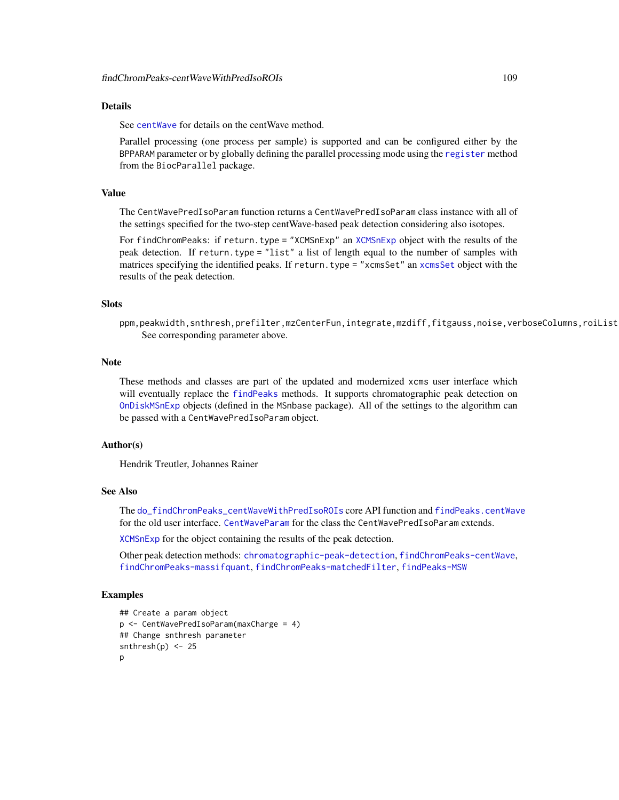See [centWave](#page-98-0) for details on the centWave method.

Parallel processing (one process per sample) is supported and can be configured either by the BPPARAM parameter or by globally defining the parallel processing mode using the [register](#page-0-0) method from the BiocParallel package.

## Value

The CentWavePredIsoParam function returns a CentWavePredIsoParam class instance with all of the settings specified for the two-step centWave-based peak detection considering also isotopes.

For findChromPeaks: if return.type = "XCMSnExp" an [XCMSnExp](#page-269-0) object with the results of the peak detection. If return.type = "list" a list of length equal to the number of samples with matrices specifying the identified peaks. If return.type = "[xcmsSet](#page-288-0)" an xcmsSet object with the results of the peak detection.

## **Slots**

ppm,peakwidth,snthresh,prefilter,mzCenterFun,integrate,mzdiff,fitgauss,noise,verboseColumns,roiList See corresponding parameter above.

#### Note

These methods and classes are part of the updated and modernized xcms user interface which will eventually replace the [findPeaks](#page-125-0) methods. It supports chromatographic peak detection on [OnDiskMSnExp](#page-0-0) objects (defined in the MSnbase package). All of the settings to the algorithm can be passed with a CentWavePredIsoParam object.

## Author(s)

Hendrik Treutler, Johannes Rainer

## See Also

The [do\\_findChromPeaks\\_centWaveWithPredIsoROIs](#page-51-0) core API function and [findPeaks.centWave](#page-133-0) for the old user interface. [CentWaveParam](#page-98-0) for the class the CentWavePredIsoParam extends.

[XCMSnExp](#page-269-0) for the object containing the results of the peak detection.

Other peak detection methods: [chromatographic-peak-detection](#page-34-0), [findChromPeaks-centWave](#page-98-1), [findChromPeaks-massifquant](#page-109-0), [findChromPeaks-matchedFilter](#page-115-0), [findPeaks-MSW](#page-126-0)

# Examples

```
## Create a param object
p <- CentWavePredIsoParam(maxCharge = 4)
## Change snthresh parameter
snthresh(p) <-25p
```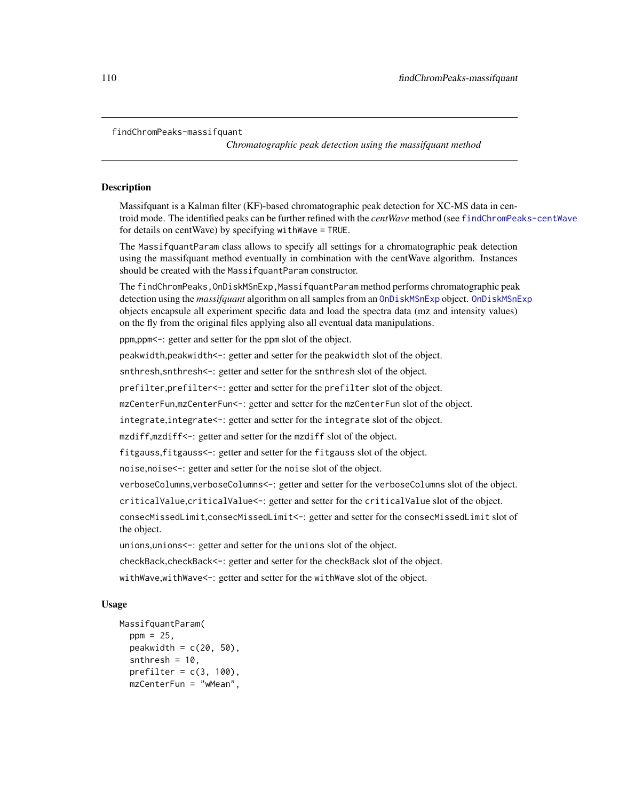```
findChromPeaks-massifquant
```
*Chromatographic peak detection using the massifquant method*

## **Description**

Massifquant is a Kalman filter (KF)-based chromatographic peak detection for XC-MS data in centroid mode. The identified peaks can be further refined with the *centWave* method (see [findChromPeaks-centWave](#page-98-1) for details on centWave) by specifying withWave = TRUE.

The MassifquantParam class allows to specify all settings for a chromatographic peak detection using the massifquant method eventually in combination with the centWave algorithm. Instances should be created with the MassifquantParam constructor.

The findChromPeaks,OnDiskMSnExp,MassifquantParam method performs chromatographic peak detection using the *massifquant* algorithm on all samples from an [OnDiskMSnExp](#page-0-0) object. [OnDiskMSnExp](#page-0-0) objects encapsule all experiment specific data and load the spectra data (mz and intensity values) on the fly from the original files applying also all eventual data manipulations.

ppm,ppm<-: getter and setter for the ppm slot of the object.

peakwidth,peakwidth<-: getter and setter for the peakwidth slot of the object.

snthresh, snthresh<-: getter and setter for the snthresh slot of the object.

prefilter,prefilter<-: getter and setter for the prefilter slot of the object.

mzCenterFun,mzCenterFun<-: getter and setter for the mzCenterFun slot of the object.

integrate,integrate<-: getter and setter for the integrate slot of the object.

mzdiff,mzdiff<-: getter and setter for the mzdiff slot of the object.

fitgauss,fitgauss<-: getter and setter for the fitgauss slot of the object.

noise,noise<-: getter and setter for the noise slot of the object.

verboseColumns,verboseColumns<-: getter and setter for the verboseColumns slot of the object.

criticalValue,criticalValue<-: getter and setter for the criticalValue slot of the object.

consecMissedLimit,consecMissedLimit<-: getter and setter for the consecMissedLimit slot of the object.

unions,unions<-: getter and setter for the unions slot of the object.

checkBack,checkBack<-: getter and setter for the checkBack slot of the object.

withWave,withWave<-: getter and setter for the withWave slot of the object.

# Usage

```
MassifquantParam(
  ppm = 25,
  peakwidth = c(20, 50),
  snthresh = 10,
  prefilter = c(3, 100),
  mzCenterFun = "wMean",
```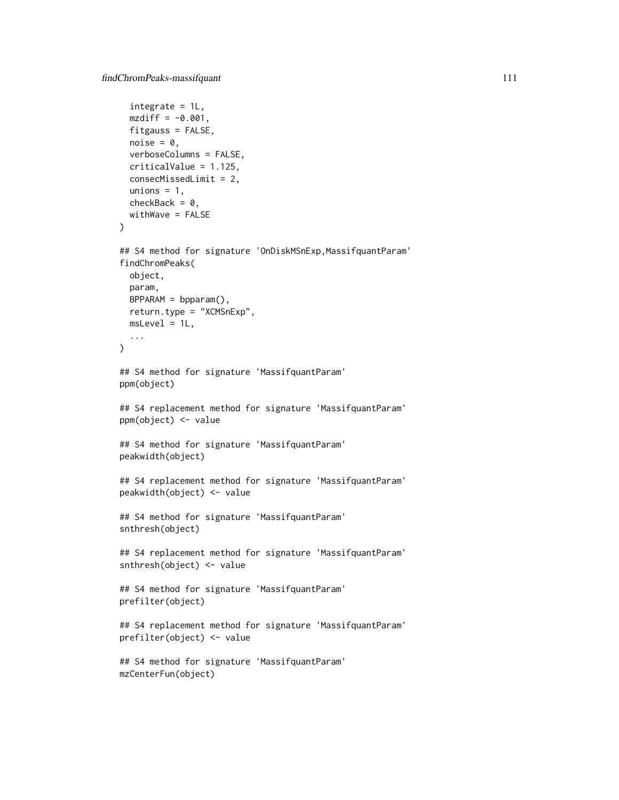```
integrate = 1L,
  mzdiff = -0.001,fitgauss = FALSE,
  noise = 0,
  verboseColumns = FALSE,
  criticalValue = 1.125,
  consecMissedLimit = 2,
  unions = 1,
  checkBack = 0,
 withWave = FALSE
\mathcal{L}## S4 method for signature 'OnDiskMSnExp,MassifquantParam'
findChromPeaks(
 object,
  param,
  BPPARAM = bpparam(),
  return.type = "XCMSnExp",
 msLevel = 1L,
  ...
\lambda## S4 method for signature 'MassifquantParam'
ppm(object)
## S4 replacement method for signature 'MassifquantParam'
ppm(object) <- value
## S4 method for signature 'MassifquantParam'
peakwidth(object)
## S4 replacement method for signature 'MassifquantParam'
peakwidth(object) <- value
## S4 method for signature 'MassifquantParam'
snthresh(object)
## S4 replacement method for signature 'MassifquantParam'
snthresh(object) <- value
## S4 method for signature 'MassifquantParam'
prefilter(object)
## S4 replacement method for signature 'MassifquantParam'
prefilter(object) <- value
## S4 method for signature 'MassifquantParam'
mzCenterFun(object)
```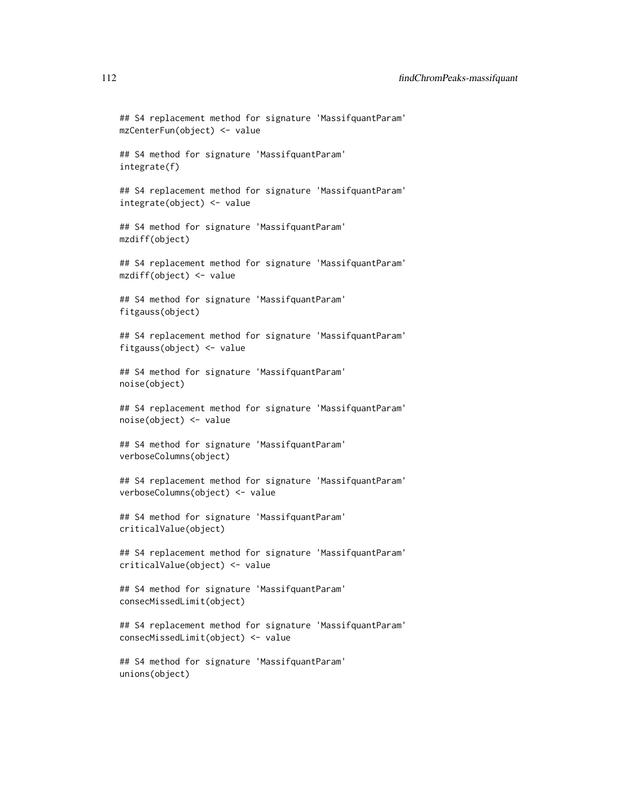```
## S4 replacement method for signature 'MassifquantParam'
mzCenterFun(object) <- value
## S4 method for signature 'MassifquantParam'
integrate(f)
## S4 replacement method for signature 'MassifquantParam'
integrate(object) <- value
## S4 method for signature 'MassifquantParam'
mzdiff(object)
## S4 replacement method for signature 'MassifquantParam'
mzdiff(object) <- value
## S4 method for signature 'MassifquantParam'
fitgauss(object)
## S4 replacement method for signature 'MassifquantParam'
fitgauss(object) <- value
## S4 method for signature 'MassifquantParam'
noise(object)
## S4 replacement method for signature 'MassifquantParam'
noise(object) <- value
## S4 method for signature 'MassifquantParam'
verboseColumns(object)
## S4 replacement method for signature 'MassifquantParam'
verboseColumns(object) <- value
## S4 method for signature 'MassifquantParam'
criticalValue(object)
## S4 replacement method for signature 'MassifquantParam'
criticalValue(object) <- value
## S4 method for signature 'MassifquantParam'
consecMissedLimit(object)
## S4 replacement method for signature 'MassifquantParam'
consecMissedLimit(object) <- value
## S4 method for signature 'MassifquantParam'
unions(object)
```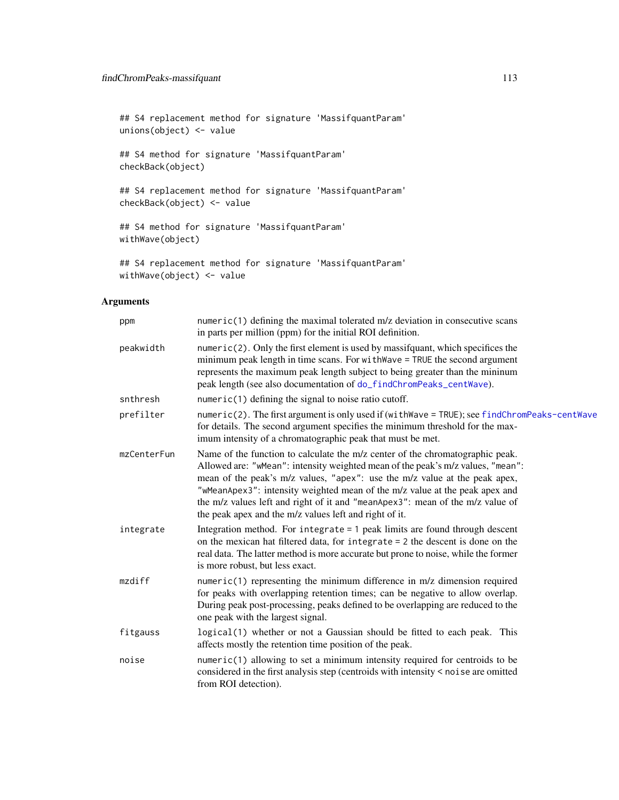## S4 replacement method for signature 'MassifquantParam' unions(object) <- value

## S4 method for signature 'MassifquantParam' checkBack(object)

## S4 replacement method for signature 'MassifquantParam' checkBack(object) <- value

## S4 method for signature 'MassifquantParam' withWave(object)

```
## S4 replacement method for signature 'MassifquantParam'
withWave(object) <- value
```

| ppm         | numeric(1) defining the maximal tolerated m/z deviation in consecutive scans<br>in parts per million (ppm) for the initial ROI definition.                                                                                                                                                                                                                                                                                                                               |
|-------------|--------------------------------------------------------------------------------------------------------------------------------------------------------------------------------------------------------------------------------------------------------------------------------------------------------------------------------------------------------------------------------------------------------------------------------------------------------------------------|
| peakwidth   | $numeric(2)$ . Only the first element is used by massif quant, which specifices the<br>minimum peak length in time scans. For with Wave $=$ TRUE the second argument<br>represents the maximum peak length subject to being greater than the mininum<br>peak length (see also documentation of do_findChromPeaks_centWave).                                                                                                                                              |
| snthresh    | $numeric(1)$ defining the signal to noise ratio cutoff.                                                                                                                                                                                                                                                                                                                                                                                                                  |
| prefilter   | numeric(2). The first argument is only used if (withWave = TRUE); see findChromPeaks-centWave<br>for details. The second argument specifies the minimum threshold for the max-<br>imum intensity of a chromatographic peak that must be met.                                                                                                                                                                                                                             |
| mzCenterFun | Name of the function to calculate the m/z center of the chromatographic peak.<br>Allowed are: "wMean": intensity weighted mean of the peak's m/z values, "mean":<br>mean of the peak's m/z values, "apex": use the m/z value at the peak apex,<br>"wMeanApex3": intensity weighted mean of the m/z value at the peak apex and<br>the m/z values left and right of it and "meanApex3": mean of the m/z value of<br>the peak apex and the m/z values left and right of it. |
| integrate   | Integration method. For integrate $= 1$ peak limits are found through descent<br>on the mexican hat filtered data, for integrate $= 2$ the descent is done on the<br>real data. The latter method is more accurate but prone to noise, while the former<br>is more robust, but less exact.                                                                                                                                                                               |
| mzdiff      | numeric(1) representing the minimum difference in m/z dimension required<br>for peaks with overlapping retention times; can be negative to allow overlap.<br>During peak post-processing, peaks defined to be overlapping are reduced to the<br>one peak with the largest signal.                                                                                                                                                                                        |
| fitgauss    | logical(1) whether or not a Gaussian should be fitted to each peak. This<br>affects mostly the retention time position of the peak.                                                                                                                                                                                                                                                                                                                                      |
| noise       | numeric(1) allowing to set a minimum intensity required for centroids to be<br>considered in the first analysis step (centroids with intensity < noise are omitted<br>from ROI detection).                                                                                                                                                                                                                                                                               |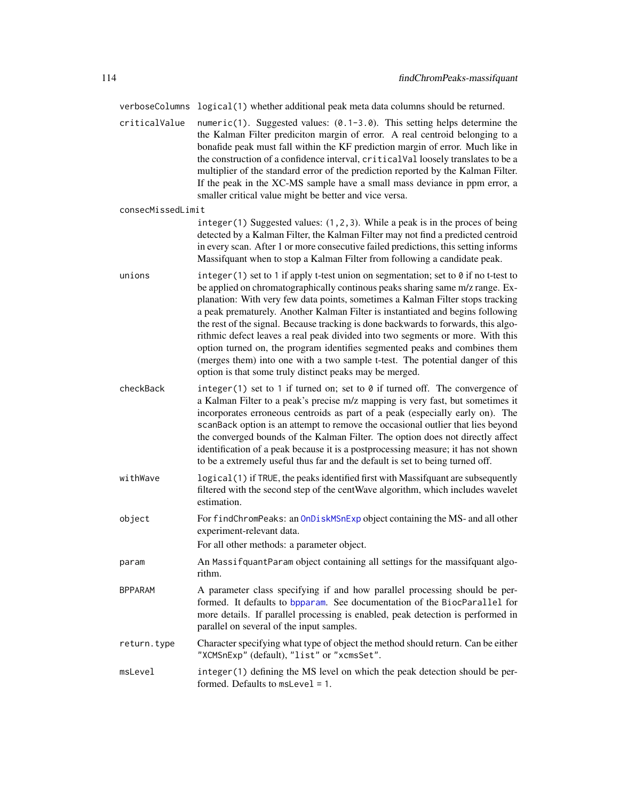verboseColumns logical(1) whether additional peak meta data columns should be returned.

criticalValue numeric(1). Suggested values:  $(0.1-3.0)$ . This setting helps determine the the Kalman Filter prediciton margin of error. A real centroid belonging to a bonafide peak must fall within the KF prediction margin of error. Much like in the construction of a confidence interval, criticalVal loosely translates to be a multiplier of the standard error of the prediction reported by the Kalman Filter. If the peak in the XC-MS sample have a small mass deviance in ppm error, a smaller critical value might be better and vice versa.

```
consecMissedLimit
```
- integer(1) Suggested values: (1,2,3). While a peak is in the proces of being detected by a Kalman Filter, the Kalman Filter may not find a predicted centroid in every scan. After 1 or more consecutive failed predictions, this setting informs Massifquant when to stop a Kalman Filter from following a candidate peak.
- unions integer(1) set to 1 if apply t-test union on segmentation; set to  $\theta$  if no t-test to be applied on chromatographically continous peaks sharing same m/z range. Explanation: With very few data points, sometimes a Kalman Filter stops tracking a peak prematurely. Another Kalman Filter is instantiated and begins following the rest of the signal. Because tracking is done backwards to forwards, this algorithmic defect leaves a real peak divided into two segments or more. With this option turned on, the program identifies segmented peaks and combines them (merges them) into one with a two sample t-test. The potential danger of this option is that some truly distinct peaks may be merged.
- checkBack integer(1) set to 1 if turned on; set to  $\theta$  if turned off. The convergence of a Kalman Filter to a peak's precise m/z mapping is very fast, but sometimes it incorporates erroneous centroids as part of a peak (especially early on). The scanBack option is an attempt to remove the occasional outlier that lies beyond the converged bounds of the Kalman Filter. The option does not directly affect identification of a peak because it is a postprocessing measure; it has not shown to be a extremely useful thus far and the default is set to being turned off.
- withWave logical(1) if TRUE, the peaks identified first with Massifquant are subsequently filtered with the second step of the centWave algorithm, which includes wavelet estimation.
- object For findChromPeaks: an [OnDiskMSnExp](#page-0-0) object containing the MS- and all other experiment-relevant data.

For all other methods: a parameter object.

- param An MassifquantParam object containing all settings for the massifquant algorithm.
- BPPARAM A parameter class specifying if and how parallel processing should be performed. It defaults to [bpparam](#page-0-0). See documentation of the BiocParallel for more details. If parallel processing is enabled, peak detection is performed in parallel on several of the input samples.
- return. type Character specifying what type of object the method should return. Can be either "XCMSnExp" (default), "list" or "xcmsSet".
- msLevel integer(1) defining the MS level on which the peak detection should be performed. Defaults to msLevel = 1.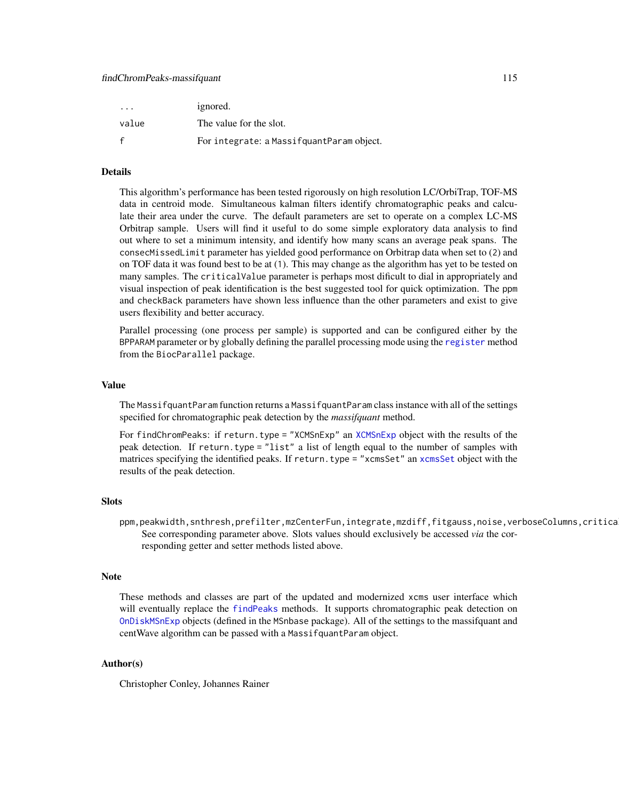#### findChromPeaks-massifquant 115

| $\cdot$ $\cdot$ $\cdot$ | ignored.                                   |
|-------------------------|--------------------------------------------|
| value                   | The value for the slot.                    |
|                         | For integrate: a Massifguant Param object. |

# Details

This algorithm's performance has been tested rigorously on high resolution LC/OrbiTrap, TOF-MS data in centroid mode. Simultaneous kalman filters identify chromatographic peaks and calculate their area under the curve. The default parameters are set to operate on a complex LC-MS Orbitrap sample. Users will find it useful to do some simple exploratory data analysis to find out where to set a minimum intensity, and identify how many scans an average peak spans. The consecMissedLimit parameter has yielded good performance on Orbitrap data when set to (2) and on TOF data it was found best to be at (1). This may change as the algorithm has yet to be tested on many samples. The criticalValue parameter is perhaps most dificult to dial in appropriately and visual inspection of peak identification is the best suggested tool for quick optimization. The ppm and checkBack parameters have shown less influence than the other parameters and exist to give users flexibility and better accuracy.

Parallel processing (one process per sample) is supported and can be configured either by the BPPARAM parameter or by globally defining the parallel processing mode using the [register](#page-0-0) method from the BiocParallel package.

# Value

The MassifquantParam function returns a MassifquantParam class instance with all of the settings specified for chromatographic peak detection by the *massifquant* method.

For findChromPeaks: if return.type = "XCMSnExp" an [XCMSnExp](#page-269-0) object with the results of the peak detection. If return.type = "list" a list of length equal to the number of samples with matrices specifying the identified peaks. If return.type = "xcmsSet" an [xcmsSet](#page-288-0) object with the results of the peak detection.

## **Slots**

ppm,peakwidth,snthresh,prefilter,mzCenterFun,integrate,mzdiff,fitgauss,noise,verboseColumns,critica See corresponding parameter above. Slots values should exclusively be accessed *via* the corresponding getter and setter methods listed above.

## **Note**

These methods and classes are part of the updated and modernized xcms user interface which will eventually replace the [findPeaks](#page-125-0) methods. It supports chromatographic peak detection on [OnDiskMSnExp](#page-0-0) objects (defined in the MSnbase package). All of the settings to the massifquant and centWave algorithm can be passed with a MassifquantParam object.

#### Author(s)

Christopher Conley, Johannes Rainer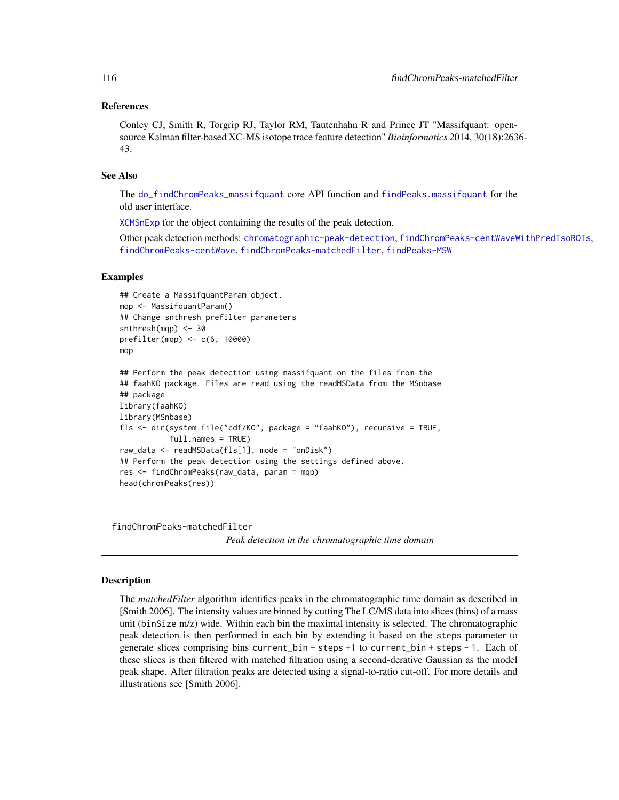## References

Conley CJ, Smith R, Torgrip RJ, Taylor RM, Tautenhahn R and Prince JT "Massifquant: opensource Kalman filter-based XC-MS isotope trace feature detection" *Bioinformatics* 2014, 30(18):2636- 43.

## See Also

The [do\\_findChromPeaks\\_massifquant](#page-55-0) core API function and [findPeaks.massifquant](#page-138-0) for the old user interface.

[XCMSnExp](#page-269-0) for the object containing the results of the peak detection.

Other peak detection methods: [chromatographic-peak-detection](#page-34-0), [findChromPeaks-centWaveWithPredIsoROIs](#page-104-0), [findChromPeaks-centWave](#page-98-1), [findChromPeaks-matchedFilter](#page-115-0), [findPeaks-MSW](#page-126-0)

## Examples

```
## Create a MassifquantParam object.
mqp <- MassifquantParam()
## Change snthresh prefilter parameters
snthresh(mqp) <- 30
prefilter(mqp) <- c(6, 10000)
mqp
## Perform the peak detection using massifquant on the files from the
## faahKO package. Files are read using the readMSData from the MSnbase
## package
library(faahKO)
library(MSnbase)
fls <- dir(system.file("cdf/KO", package = "faahKO"), recursive = TRUE,
           full.names = TRUE)
raw_data <- readMSData(fls[1], mode = "onDisk")
## Perform the peak detection using the settings defined above.
res <- findChromPeaks(raw_data, param = mqp)
head(chromPeaks(res))
```
<span id="page-115-0"></span>findChromPeaks-matchedFilter

*Peak detection in the chromatographic time domain*

## <span id="page-115-1"></span>Description

The *matchedFilter* algorithm identifies peaks in the chromatographic time domain as described in [Smith 2006]. The intensity values are binned by cutting The LC/MS data into slices (bins) of a mass unit (binSize m/z) wide. Within each bin the maximal intensity is selected. The chromatographic peak detection is then performed in each bin by extending it based on the steps parameter to generate slices comprising bins current\_bin - steps +1 to current\_bin + steps - 1. Each of these slices is then filtered with matched filtration using a second-derative Gaussian as the model peak shape. After filtration peaks are detected using a signal-to-ratio cut-off. For more details and illustrations see [Smith 2006].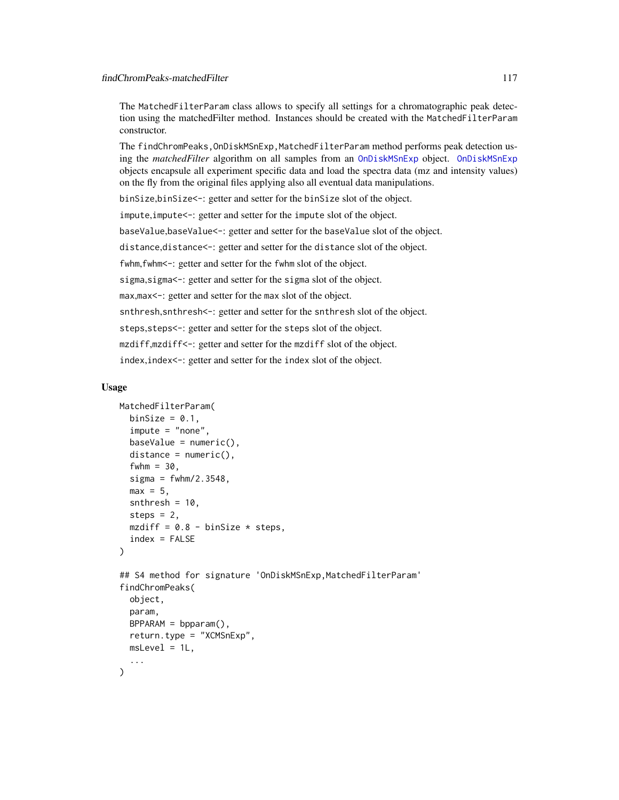The MatchedFilterParam class allows to specify all settings for a chromatographic peak detection using the matchedFilter method. Instances should be created with the MatchedFilterParam constructor.

The findChromPeaks, OnDiskMSnExp, MatchedFilterParam method performs peak detection using the *matchedFilter* algorithm on all samples from an [OnDiskMSnExp](#page-0-0) object. [OnDiskMSnExp](#page-0-0) objects encapsule all experiment specific data and load the spectra data (mz and intensity values) on the fly from the original files applying also all eventual data manipulations.

binSize,binSize<-: getter and setter for the binSize slot of the object.

impute,impute<-: getter and setter for the impute slot of the object.

baseValue,baseValue<-: getter and setter for the baseValue slot of the object.

distance,distance<-: getter and setter for the distance slot of the object.

fwhm, fwhm <-: getter and setter for the fwhm slot of the object.

sigma, sigma <-: getter and setter for the sigma slot of the object.

max,max<-: getter and setter for the max slot of the object.

snthresh, snthresh<-: getter and setter for the snthresh slot of the object.

steps,steps<-: getter and setter for the steps slot of the object.

mzdiff,mzdiff<-: getter and setter for the mzdiff slot of the object.

index, index<-: getter and setter for the index slot of the object.

# Usage

```
MatchedFilterParam(
  binSize = 0.1,
  impute = "none",
  baseValue = numeric(),
  distance = numeric(),fwhm = 30,
  signa = fwhm/2.3548,max = 5.
  snthresh = 10,
  steps = 2,
  mzdiff = 0.8 - \text{binsize} * \text{steps},
  index = FALSE
)
## S4 method for signature 'OnDiskMSnExp,MatchedFilterParam'
findChromPeaks(
  object,
  param,
  BPPARAM = bpparam(),
  return.type = "XCMSnExp",
  msLevel = 1L,
  ...
)
```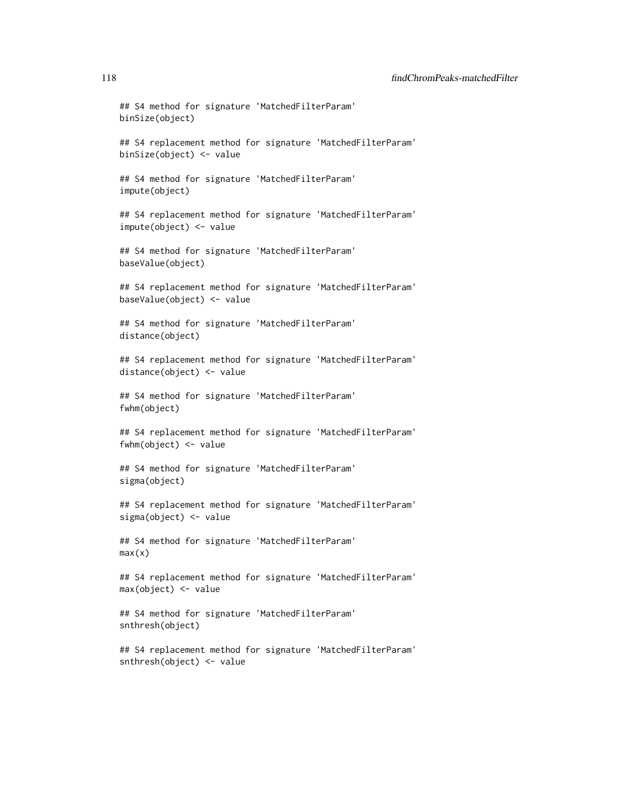## 118 findChromPeaks-matchedFilter

## S4 method for signature 'MatchedFilterParam' binSize(object) ## S4 replacement method for signature 'MatchedFilterParam' binSize(object) <- value ## S4 method for signature 'MatchedFilterParam' impute(object) ## S4 replacement method for signature 'MatchedFilterParam' impute(object) <- value ## S4 method for signature 'MatchedFilterParam' baseValue(object) ## S4 replacement method for signature 'MatchedFilterParam' baseValue(object) <- value ## S4 method for signature 'MatchedFilterParam' distance(object) ## S4 replacement method for signature 'MatchedFilterParam' distance(object) <- value ## S4 method for signature 'MatchedFilterParam' fwhm(object) ## S4 replacement method for signature 'MatchedFilterParam' fwhm(object) <- value ## S4 method for signature 'MatchedFilterParam' sigma(object) ## S4 replacement method for signature 'MatchedFilterParam' sigma(object) <- value ## S4 method for signature 'MatchedFilterParam'  $max(x)$ ## S4 replacement method for signature 'MatchedFilterParam' max(object) <- value ## S4 method for signature 'MatchedFilterParam' snthresh(object) ## S4 replacement method for signature 'MatchedFilterParam' snthresh(object) <- value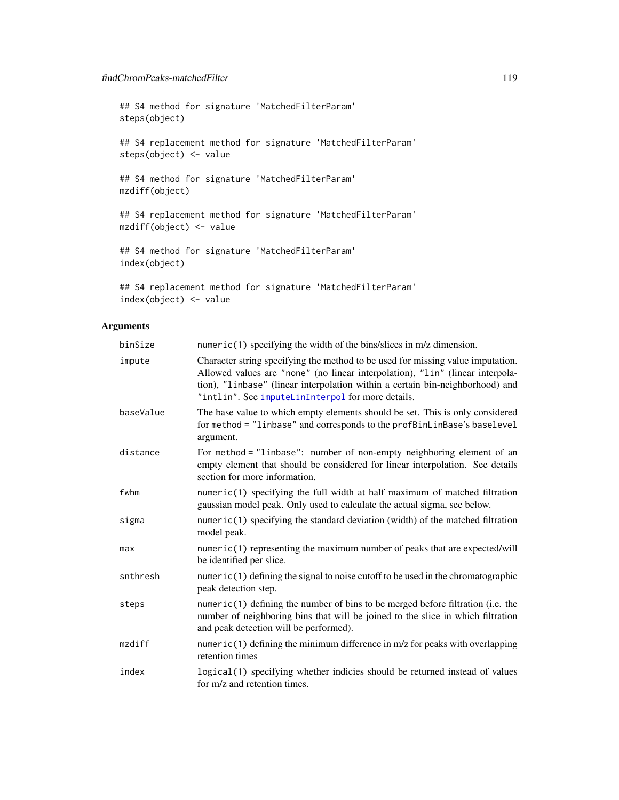```
## S4 method for signature 'MatchedFilterParam'
steps(object)
## S4 replacement method for signature 'MatchedFilterParam'
steps(object) <- value
## S4 method for signature 'MatchedFilterParam'
mzdiff(object)
## S4 replacement method for signature 'MatchedFilterParam'
mzdiff(object) <- value
## S4 method for signature 'MatchedFilterParam'
index(object)
```

```
## S4 replacement method for signature 'MatchedFilterParam'
index(object) <- value
```

| binSize   | $numeric(1)$ specifying the width of the bins/slices in $m/z$ dimension.                                                                                                                                                                                                                               |
|-----------|--------------------------------------------------------------------------------------------------------------------------------------------------------------------------------------------------------------------------------------------------------------------------------------------------------|
| impute    | Character string specifying the method to be used for missing value imputation.<br>Allowed values are "none" (no linear interpolation), "lin" (linear interpola-<br>tion), "linbase" (linear interpolation within a certain bin-neighborhood) and<br>"intlin". See imputeLinInterpol for more details. |
| baseValue | The base value to which empty elements should be set. This is only considered<br>for method = "linbase" and corresponds to the profBinLinBase's baselevel<br>argument.                                                                                                                                 |
| distance  | For method = "linbase": number of non-empty neighboring element of an<br>empty element that should be considered for linear interpolation. See details<br>section for more information.                                                                                                                |
| fwhm      | numeric(1) specifying the full width at half maximum of matched filtration<br>gaussian model peak. Only used to calculate the actual sigma, see below.                                                                                                                                                 |
| sigma     | numeric(1) specifying the standard deviation (width) of the matched filtration<br>model peak.                                                                                                                                                                                                          |
| max       | numeric(1) representing the maximum number of peaks that are expected/will<br>be identified per slice.                                                                                                                                                                                                 |
| snthresh  | numeric(1) defining the signal to noise cutoff to be used in the chromatographic<br>peak detection step.                                                                                                                                                                                               |
| steps     | numeric(1) defining the number of bins to be merged before filtration (i.e. the<br>number of neighboring bins that will be joined to the slice in which filtration<br>and peak detection will be performed).                                                                                           |
| mzdiff    | numeric(1) defining the minimum difference in m/z for peaks with overlapping<br>retention times                                                                                                                                                                                                        |
| index     | logical (1) specifying whether indicies should be returned instead of values<br>for m/z and retention times.                                                                                                                                                                                           |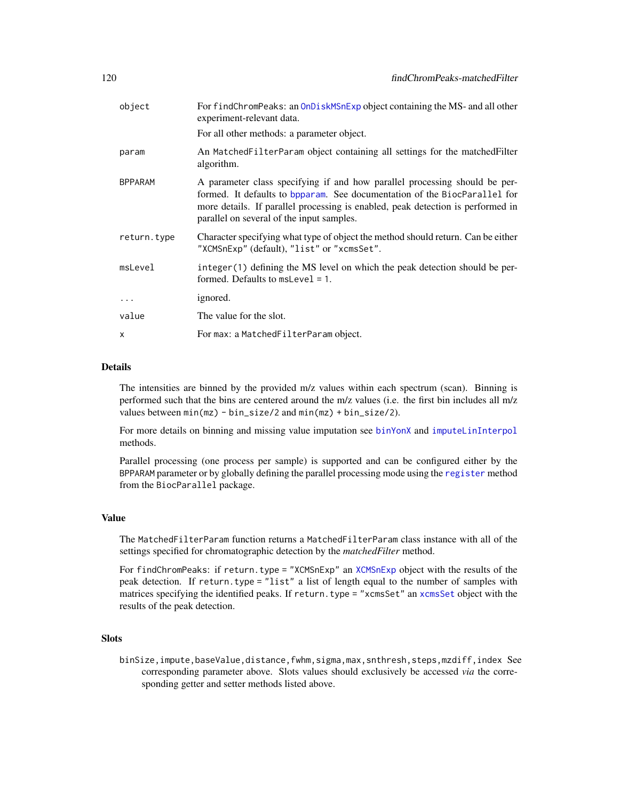| object         | For findChromPeaks: an OnDiskMSnExp object containing the MS- and all other<br>experiment-relevant data.                                                                                                                                                                                |
|----------------|-----------------------------------------------------------------------------------------------------------------------------------------------------------------------------------------------------------------------------------------------------------------------------------------|
|                | For all other methods: a parameter object.                                                                                                                                                                                                                                              |
| param          | An Matched Filter Param object containing all settings for the matched Filter<br>algorithm.                                                                                                                                                                                             |
| <b>BPPARAM</b> | A parameter class specifying if and how parallel processing should be per-<br>formed. It defaults to bpparam. See documentation of the BiocParallel for<br>more details. If parallel processing is enabled, peak detection is performed in<br>parallel on several of the input samples. |
| return.type    | Character specifying what type of object the method should return. Can be either<br>"XCMSnExp" (default), "list" or "xcmsSet".                                                                                                                                                          |
| msLevel        | integer (1) defining the MS level on which the peak detection should be per-<br>formed. Defaults to $msLevel = 1$ .                                                                                                                                                                     |
| $\cdots$       | ignored.                                                                                                                                                                                                                                                                                |
| value          | The value for the slot.                                                                                                                                                                                                                                                                 |
| x              | For max: a MatchedFilterParam object.                                                                                                                                                                                                                                                   |

The intensities are binned by the provided m/z values within each spectrum (scan). Binning is performed such that the bins are centered around the m/z values (i.e. the first bin includes all m/z values between min(mz) - bin\_size/2 and min(mz) + bin\_size/2).

For more details on binning and missing value imputation see [binYonX](#page-22-0) and [imputeLinInterpol](#page-177-0) methods.

Parallel processing (one process per sample) is supported and can be configured either by the BPPARAM parameter or by globally defining the parallel processing mode using the [register](#page-0-0) method from the BiocParallel package.

## Value

The MatchedFilterParam function returns a MatchedFilterParam class instance with all of the settings specified for chromatographic detection by the *matchedFilter* method.

For findChromPeaks: if return.type = "XCMSnExp" an [XCMSnExp](#page-269-0) object with the results of the peak detection. If return.type = "list" a list of length equal to the number of samples with matrices specifying the identified peaks. If return.type = "xcmsSet" an [xcmsSet](#page-288-0) object with the results of the peak detection.

# Slots

binSize,impute,baseValue,distance,fwhm,sigma,max,snthresh,steps,mzdiff,index See corresponding parameter above. Slots values should exclusively be accessed *via* the corresponding getter and setter methods listed above.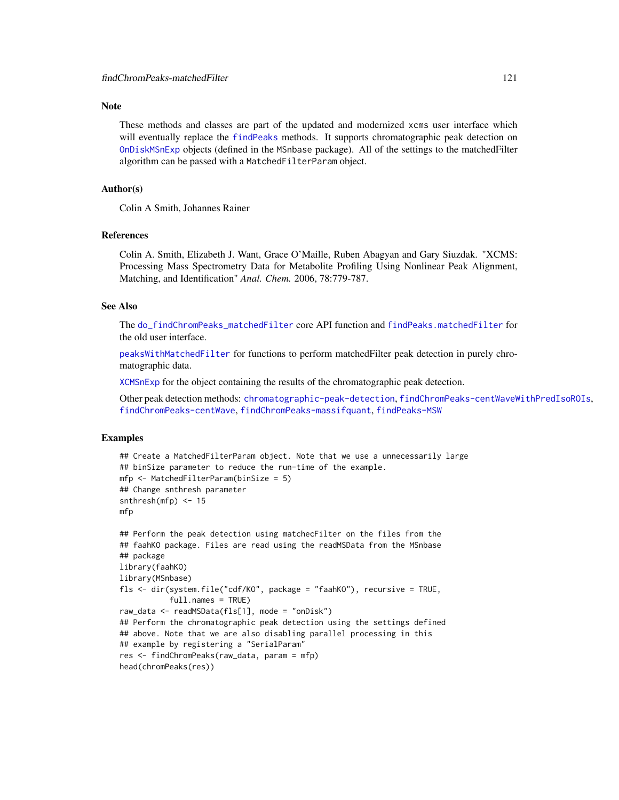# **Note**

These methods and classes are part of the updated and modernized xcms user interface which will eventually replace the [findPeaks](#page-125-0) methods. It supports chromatographic peak detection on [OnDiskMSnExp](#page-0-0) objects (defined in the MSnbase package). All of the settings to the matchedFilter algorithm can be passed with a MatchedFilterParam object.

## Author(s)

Colin A Smith, Johannes Rainer

#### References

Colin A. Smith, Elizabeth J. Want, Grace O'Maille, Ruben Abagyan and Gary Siuzdak. "XCMS: Processing Mass Spectrometry Data for Metabolite Profiling Using Nonlinear Peak Alignment, Matching, and Identification" *Anal. Chem.* 2006, 78:779-787.

# See Also

The [do\\_findChromPeaks\\_matchedFilter](#page-58-0) core API function and [findPeaks.matchedFilter](#page-141-0) for the old user interface.

[peaksWithMatchedFilter](#page-194-0) for functions to perform matchedFilter peak detection in purely chromatographic data.

[XCMSnExp](#page-269-0) for the object containing the results of the chromatographic peak detection.

Other peak detection methods: [chromatographic-peak-detection](#page-34-0), [findChromPeaks-centWaveWithPredIsoROIs](#page-104-0), [findChromPeaks-centWave](#page-98-1), [findChromPeaks-massifquant](#page-109-0), [findPeaks-MSW](#page-126-0)

## Examples

```
## Create a MatchedFilterParam object. Note that we use a unnecessarily large
## binSize parameter to reduce the run-time of the example.
mfp <- MatchedFilterParam(binSize = 5)
## Change snthresh parameter
snthresh(mfp) <- 15
mfp
## Perform the peak detection using matchecFilter on the files from the
## faahKO package. Files are read using the readMSData from the MSnbase
## package
library(faahKO)
library(MSnbase)
fls <- dir(system.file("cdf/KO", package = "faahKO"), recursive = TRUE,
           full.names = TRUE)
raw_data <- readMSData(fls[1], mode = "onDisk")
## Perform the chromatographic peak detection using the settings defined
## above. Note that we are also disabling parallel processing in this
## example by registering a "SerialParam"
res <- findChromPeaks(raw_data, param = mfp)
head(chromPeaks(res))
```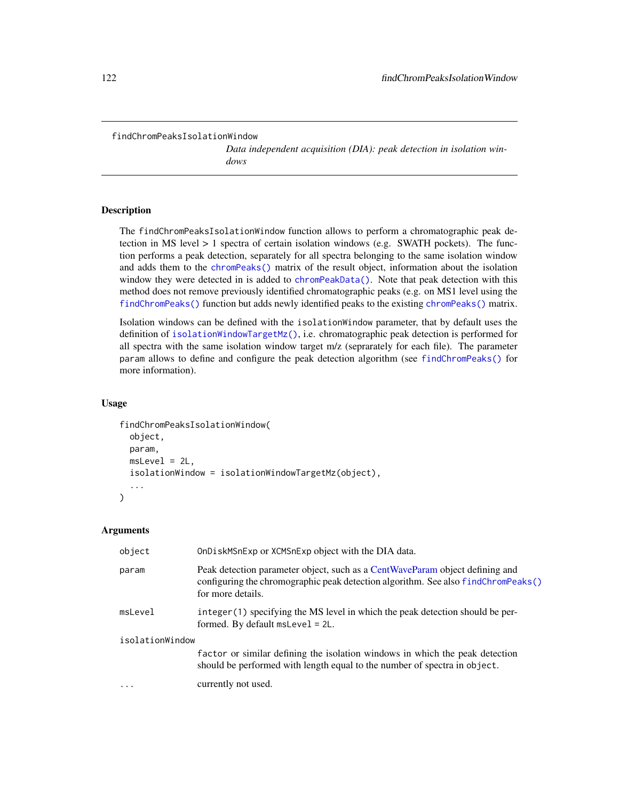findChromPeaksIsolationWindow

*Data independent acquisition (DIA): peak detection in isolation windows*

# **Description**

The findChromPeaksIsolationWindow function allows to perform a chromatographic peak detection in MS level > 1 spectra of certain isolation windows (e.g. SWATH pockets). The function performs a peak detection, separately for all spectra belonging to the same isolation window and adds them to the [chromPeaks\(\)](#page-269-0) matrix of the result object, information about the isolation window they were detected in is added to [chromPeakData\(\)](#page-269-0). Note that peak detection with this method does not remove previously identified chromatographic peaks (e.g. on MS1 level using the [findChromPeaks\(\)](#page-34-1) function but adds newly identified peaks to the existing [chromPeaks\(\)](#page-269-0) matrix.

Isolation windows can be defined with the isolationWindow parameter, that by default uses the definition of [isolationWindowTargetMz\(\)](#page-182-0), i.e. chromatographic peak detection is performed for all spectra with the same isolation window target m/z (seprarately for each file). The parameter param allows to define and configure the peak detection algorithm (see [findChromPeaks\(\)](#page-34-1) for more information).

# Usage

```
findChromPeaksIsolationWindow(
  object,
 param,
  msLevel = 2L,
  isolationWindow = isolationWindowTargetMz(object),
  ...
)
```

| object          | OnDiskMSnExp or XCMSnExp object with the DIA data.                                                                                                                                     |
|-----------------|----------------------------------------------------------------------------------------------------------------------------------------------------------------------------------------|
| param           | Peak detection parameter object, such as a CentWaveParam object defining and<br>configuring the chromographic peak detection algorithm. See also findChromPeaks()<br>for more details. |
| msLevel         | integer (1) specifying the MS level in which the peak detection should be per-<br>formed. By default $msLevel = 2L$ .                                                                  |
| isolationWindow |                                                                                                                                                                                        |
|                 | factor or similar defining the isolation windows in which the peak detection<br>should be performed with length equal to the number of spectra in object.                              |
| $\cdot$         | currently not used.                                                                                                                                                                    |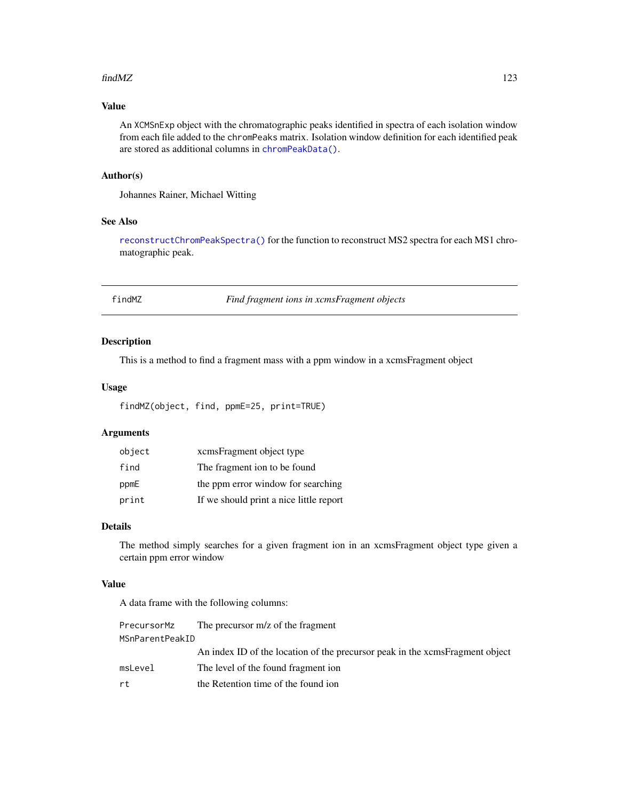## find MZ 23

# Value

An XCMSnExp object with the chromatographic peaks identified in spectra of each isolation window from each file added to the chromPeaks matrix. Isolation window definition for each identified peak are stored as additional columns in [chromPeakData\(\)](#page-269-0).

## Author(s)

Johannes Rainer, Michael Witting

# See Also

[reconstructChromPeakSpectra\(\)](#page-227-0) for the function to reconstruct MS2 spectra for each MS1 chromatographic peak.

<span id="page-122-0"></span>findMZ *Find fragment ions in xcmsFragment objects*

#### Description

This is a method to find a fragment mass with a ppm window in a xcmsFragment object

## Usage

```
findMZ(object, find, ppmE=25, print=TRUE)
```
# Arguments

| object | xcmsFragment object type                |
|--------|-----------------------------------------|
| find   | The fragment ion to be found            |
| ppmE   | the ppm error window for searching      |
| print  | If we should print a nice little report |

# Details

The method simply searches for a given fragment ion in an xcmsFragment object type given a certain ppm error window

# Value

A data frame with the following columns:

| PrecursorMz     | The precursor m/z of the fragment                                            |
|-----------------|------------------------------------------------------------------------------|
| MSnParentPeakID |                                                                              |
|                 | An index ID of the location of the precursor peak in the xcmsFragment object |
| msLevel         | The level of the found fragment ion                                          |
| rt.             | the Retention time of the found ion                                          |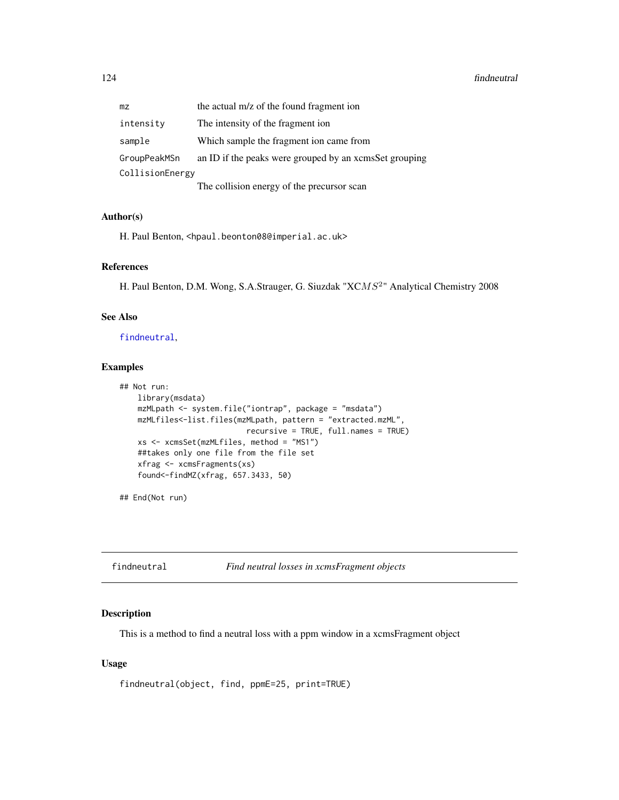| mz              | the actual m/z of the found fragment ion               |
|-----------------|--------------------------------------------------------|
| intensity       | The intensity of the fragment ion                      |
| sample          | Which sample the fragment ion came from                |
| GroupPeakMSn    | an ID if the peaks were grouped by an xcmsSet grouping |
| CollisionEnergy |                                                        |
|                 | The collision energy of the precursor scan             |

# Author(s)

H. Paul Benton, <hpaul.beonton08@imperial.ac.uk>

# References

H. Paul Benton, D.M. Wong, S.A.Strauger, G. Siuzdak "XC $MS<sup>2</sup>$ " Analytical Chemistry 2008

# See Also

[findneutral](#page-123-0),

# Examples

```
## Not run:
   library(msdata)
   mzMLpath <- system.file("iontrap", package = "msdata")
   mzMLfiles<-list.files(mzMLpath, pattern = "extracted.mzML",
                            recursive = TRUE, full.names = TRUE)
   xs <- xcmsSet(mzMLfiles, method = "MS1")
   ##takes only one file from the file set
   xfrag <- xcmsFragments(xs)
    found<-findMZ(xfrag, 657.3433, 50)
```
## End(Not run)

<span id="page-123-0"></span>findneutral *Find neutral losses in xcmsFragment objects*

## Description

This is a method to find a neutral loss with a ppm window in a xcmsFragment object

## Usage

findneutral(object, find, ppmE=25, print=TRUE)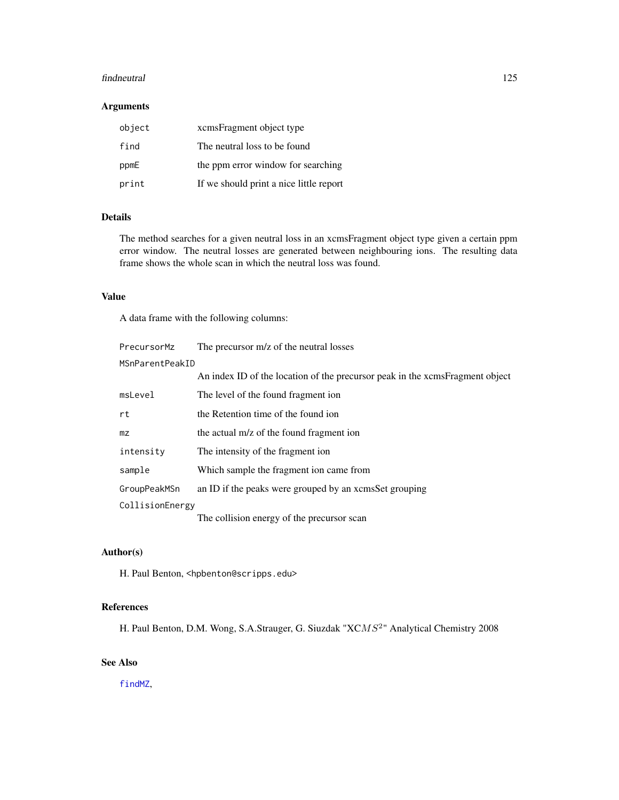#### findneutral 125

# Arguments

| object | xcmsFragment object type                |
|--------|-----------------------------------------|
| find   | The neutral loss to be found            |
| ppmE   | the ppm error window for searching      |
| print  | If we should print a nice little report |

# Details

The method searches for a given neutral loss in an xcmsFragment object type given a certain ppm error window. The neutral losses are generated between neighbouring ions. The resulting data frame shows the whole scan in which the neutral loss was found.

## Value

A data frame with the following columns:

| PrecursorMz     | The precursor m/z of the neutral losses                                      |
|-----------------|------------------------------------------------------------------------------|
| MSnParentPeakID |                                                                              |
|                 | An index ID of the location of the precursor peak in the xcmsFragment object |
| msLevel         | The level of the found fragment ion                                          |
| rt              | the Retention time of the found ion                                          |
| mz              | the actual m/z of the found fragment ion                                     |
| intensity       | The intensity of the fragment ion                                            |
| sample          | Which sample the fragment ion came from                                      |
| GroupPeakMSn    | an ID if the peaks were grouped by an xcmsSet grouping                       |
| CollisionEnergy |                                                                              |
|                 | The collision energy of the precursor scan                                   |

## Author(s)

H. Paul Benton, <hpbenton@scripps.edu>

# References

H. Paul Benton, D.M. Wong, S.A.Strauger, G. Siuzdak "XCMS<sup>2</sup>" Analytical Chemistry 2008

# See Also

[findMZ](#page-122-0),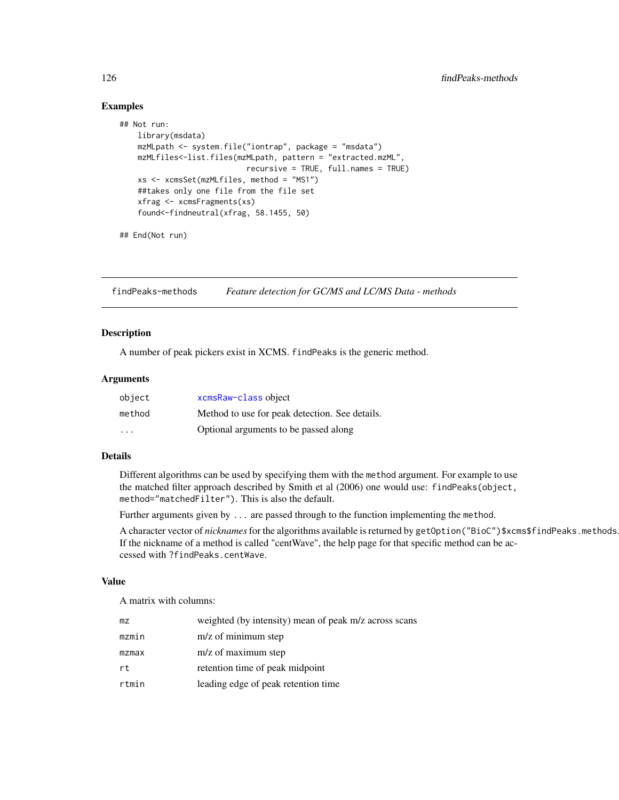# Examples

```
## Not run:
   library(msdata)
   mzMLpath \leq system.file("iontrap", package = "msdata")
   mzMLfiles<-list.files(mzMLpath, pattern = "extracted.mzML",
                            recursive = TRUE, full.names = TRUE)
   xs <- xcmsSet(mzMLfiles, method = "MS1")
   ##takes only one file from the file set
   xfrag <- xcmsFragments(xs)
    found<-findneutral(xfrag, 58.1455, 50)
```
## End(Not run)

<span id="page-125-1"></span>findPeaks-methods *Feature detection for GC/MS and LC/MS Data - methods*

## <span id="page-125-0"></span>**Description**

A number of peak pickers exist in XCMS. findPeaks is the generic method.

#### **Arguments**

| object | xcmsRaw-class object                           |
|--------|------------------------------------------------|
| method | Method to use for peak detection. See details. |
| .      | Optional arguments to be passed along          |

# Details

Different algorithms can be used by specifying them with the method argument. For example to use the matched filter approach described by Smith et al (2006) one would use: findPeaks(object, method="matchedFilter"). This is also the default.

Further arguments given by ... are passed through to the function implementing the method.

A character vector of *nicknames* for the algorithms available is returned by getOption("BioC")\$xcms\$findPeaks.methods If the nickname of a method is called "centWave", the help page for that specific method can be accessed with ?findPeaks.centWave.

## Value

A matrix with columns:

| mz    | weighted (by intensity) mean of peak m/z across scans |
|-------|-------------------------------------------------------|
| mzmin | m/z of minimum step                                   |
| mzmax | m/z of maximum step                                   |
| rt    | retention time of peak midpoint                       |
| rtmin | leading edge of peak retention time                   |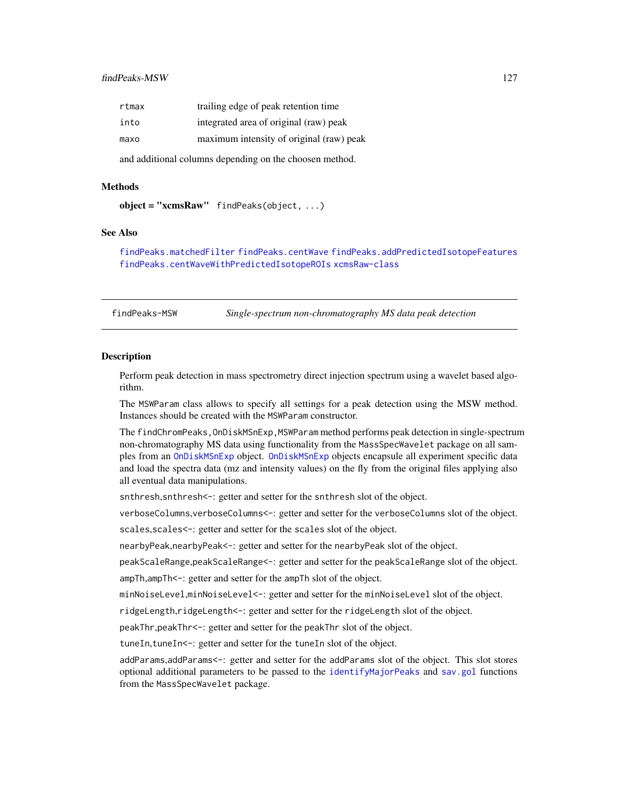## findPeaks-MSW 127

| rtmax | trailing edge of peak retention time     |
|-------|------------------------------------------|
| into  | integrated area of original (raw) peak   |
| maxo  | maximum intensity of original (raw) peak |

and additional columns depending on the choosen method.

## Methods

 $object = "xcmsRaw" findPeaks(object, ...)$ 

# See Also

[findPeaks.matchedFilter](#page-141-0) [findPeaks.centWave](#page-133-0) [findPeaks.addPredictedIsotopeFeatures](#page-131-0) [findPeaks.centWaveWithPredictedIsotopeROIs](#page-135-0) [xcmsRaw-class](#page-283-0)

<span id="page-126-0"></span>findPeaks-MSW *Single-spectrum non-chromatography MS data peak detection*

#### Description

Perform peak detection in mass spectrometry direct injection spectrum using a wavelet based algorithm.

The MSWParam class allows to specify all settings for a peak detection using the MSW method. Instances should be created with the MSWParam constructor.

The findChromPeaks,OnDiskMSnExp,MSWParam method performs peak detection in single-spectrum non-chromatography MS data using functionality from the MassSpecWavelet package on all samples from an [OnDiskMSnExp](#page-0-0) object. [OnDiskMSnExp](#page-0-0) objects encapsule all experiment specific data and load the spectra data (mz and intensity values) on the fly from the original files applying also all eventual data manipulations.

snthresh, snthresh<-: getter and setter for the snthresh slot of the object.

verboseColumns,verboseColumns<-: getter and setter for the verboseColumns slot of the object.

scales, scales<-: getter and setter for the scales slot of the object.

nearbyPeak,nearbyPeak<-: getter and setter for the nearbyPeak slot of the object.

peakScaleRange,peakScaleRange<-: getter and setter for the peakScaleRange slot of the object.

ampTh,ampTh<-: getter and setter for the ampTh slot of the object.

minNoiseLevel,minNoiseLevel<-: getter and setter for the minNoiseLevel slot of the object.

ridgeLength,ridgeLength<-: getter and setter for the ridgeLength slot of the object.

peakThr,peakThr<-: getter and setter for the peakThr slot of the object.

tuneIn, tuneIn<-: getter and setter for the tuneIn slot of the object.

addParams,addParams<-: getter and setter for the addParams slot of the object. This slot stores optional additional parameters to be passed to the [identifyMajorPeaks](#page-0-0) and [sav.gol](#page-0-0) functions from the MassSpecWavelet package.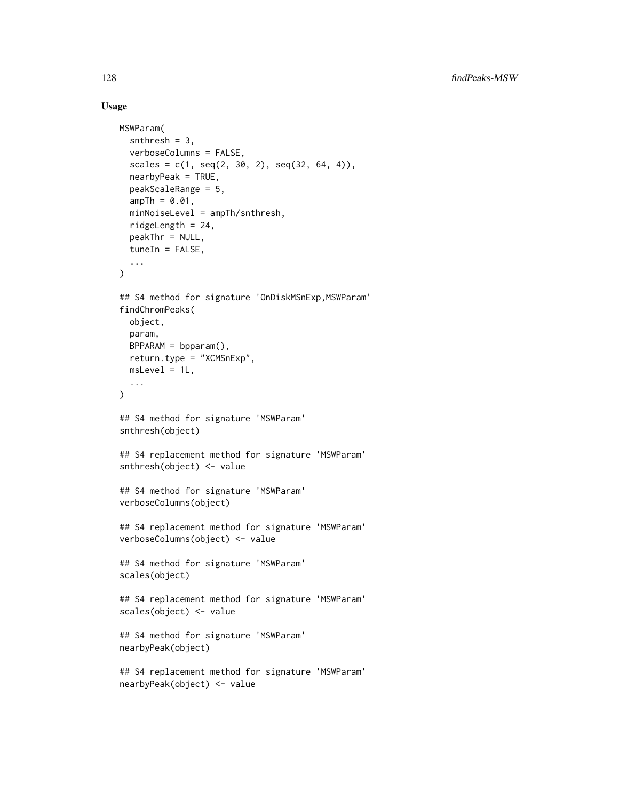# Usage

```
MSWParam(
  snthresh = 3,
  verboseColumns = FALSE,
  scales = c(1, seq(2, 30, 2), seq(32, 64, 4)),
  nearbyPeak = TRUE,
  peakScaleRange = 5,
  ampTh = 0.01,
  minNoiseLevel = ampTh/snthresh,
  ridgeLength = 24,
  peakThr = NULL,
  tuneIn = FALSE,
  ...
)
## S4 method for signature 'OnDiskMSnExp,MSWParam'
findChromPeaks(
 object,
 param,
 BPPARAM = bpparam(),
  return.type = "XCMSnExp",
  msLevel = 1L,...
)
## S4 method for signature 'MSWParam'
snthresh(object)
## S4 replacement method for signature 'MSWParam'
snthresh(object) <- value
## S4 method for signature 'MSWParam'
verboseColumns(object)
## S4 replacement method for signature 'MSWParam'
verboseColumns(object) <- value
## S4 method for signature 'MSWParam'
scales(object)
## S4 replacement method for signature 'MSWParam'
scales(object) <- value
## S4 method for signature 'MSWParam'
nearbyPeak(object)
## S4 replacement method for signature 'MSWParam'
nearbyPeak(object) <- value
```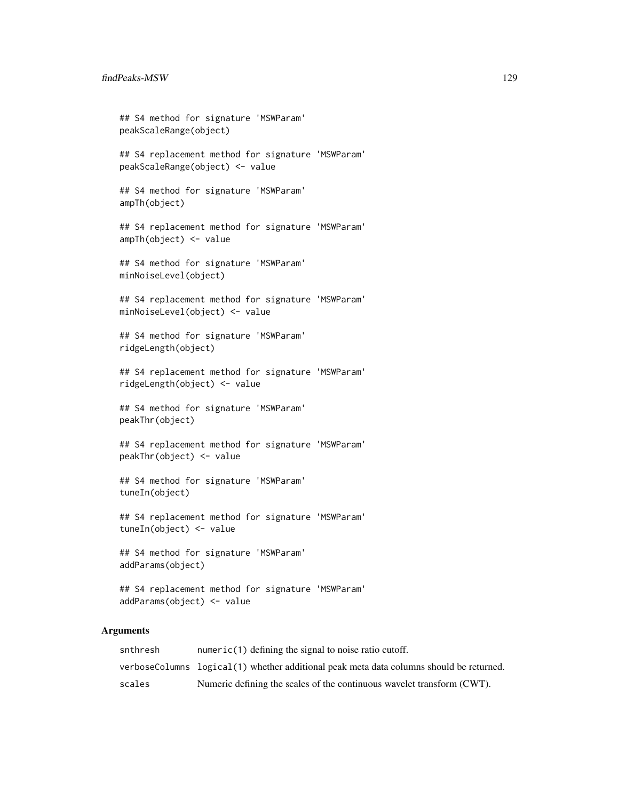```
## S4 method for signature 'MSWParam'
peakScaleRange(object)
## S4 replacement method for signature 'MSWParam'
peakScaleRange(object) <- value
## S4 method for signature 'MSWParam'
ampTh(object)
## S4 replacement method for signature 'MSWParam'
ampTh(object) <- value
## S4 method for signature 'MSWParam'
```
minNoiseLevel(object)

## S4 replacement method for signature 'MSWParam' minNoiseLevel(object) <- value

## S4 method for signature 'MSWParam' ridgeLength(object)

## S4 replacement method for signature 'MSWParam' ridgeLength(object) <- value

## S4 method for signature 'MSWParam' peakThr(object)

## S4 replacement method for signature 'MSWParam' peakThr(object) <- value

## S4 method for signature 'MSWParam' tuneIn(object)

## S4 replacement method for signature 'MSWParam' tuneIn(object) <- value

## S4 method for signature 'MSWParam' addParams(object)

## S4 replacement method for signature 'MSWParam' addParams(object) <- value

| snthresh | $numeric(1) defining the signal to noise ratio cutoff.$                                 |
|----------|-----------------------------------------------------------------------------------------|
|          | verboseColumns logical(1) whether additional peak meta data columns should be returned. |
| scales   | Numeric defining the scales of the continuous wavelet transform (CWT).                  |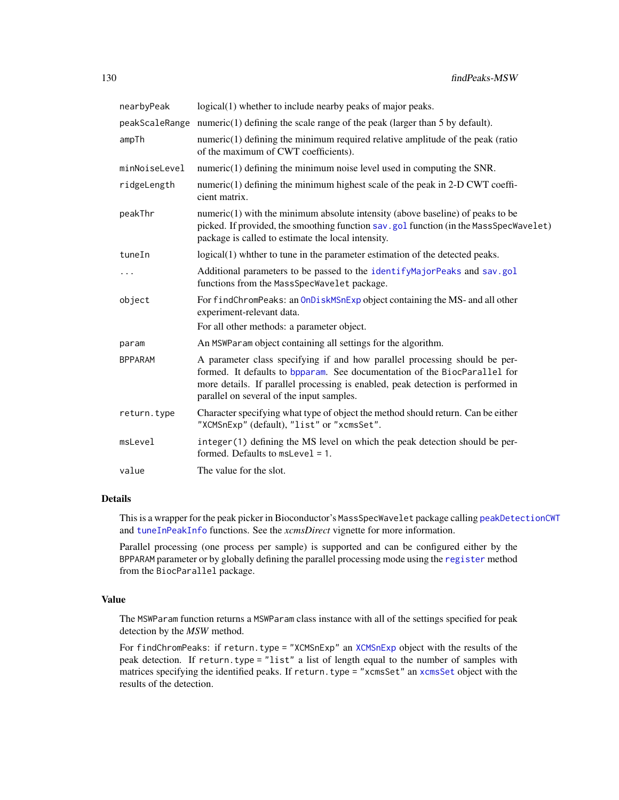| nearbyPeak     | logical(1) whether to include nearby peaks of major peaks.                                                                                                                                                                                                                              |
|----------------|-----------------------------------------------------------------------------------------------------------------------------------------------------------------------------------------------------------------------------------------------------------------------------------------|
|                | peakScaleRange numeric(1) defining the scale range of the peak (larger than 5 by default).                                                                                                                                                                                              |
| ampTh          | $numeric(1)$ defining the minimum required relative amplitude of the peak (ratio<br>of the maximum of CWT coefficients).                                                                                                                                                                |
| minNoiseLevel  | $numeric(1)$ defining the minimum noise level used in computing the SNR.                                                                                                                                                                                                                |
| ridgeLength    | numeric $(1)$ defining the minimum highest scale of the peak in 2-D CWT coeffi-<br>cient matrix.                                                                                                                                                                                        |
| peakThr        | $numeric(1)$ with the minimum absolute intensity (above baseline) of peaks to be<br>picked. If provided, the smoothing function sav.gol function (in the MassSpecWavelet)<br>package is called to estimate the local intensity.                                                         |
| tuneIn         | logical(1) whither to tune in the parameter estimation of the detected peaks.                                                                                                                                                                                                           |
| $\cdots$       | Additional parameters to be passed to the identifyMajorPeaks and sav.gol<br>functions from the MassSpecWavelet package.                                                                                                                                                                 |
| object         | For findChromPeaks: an OnDiskMSnExp object containing the MS- and all other<br>experiment-relevant data.<br>For all other methods: a parameter object.                                                                                                                                  |
| param          | An MSWP aram object containing all settings for the algorithm.                                                                                                                                                                                                                          |
| <b>BPPARAM</b> | A parameter class specifying if and how parallel processing should be per-<br>formed. It defaults to bpparam. See documentation of the BiocParallel for<br>more details. If parallel processing is enabled, peak detection is performed in<br>parallel on several of the input samples. |
| return.type    | Character specifying what type of object the method should return. Can be either<br>"XCMSnExp" (default), "list" or "xcmsSet".                                                                                                                                                          |
| msLevel        | integer (1) defining the MS level on which the peak detection should be per-<br>formed. Defaults to msLevel = 1.                                                                                                                                                                        |
| value          | The value for the slot.                                                                                                                                                                                                                                                                 |

This is a wrapper for the peak picker in Bioconductor's MassSpecWavelet package calling [peakDetectionCWT](#page-0-0) and [tuneInPeakInfo](#page-0-0) functions. See the *xcmsDirect* vignette for more information.

Parallel processing (one process per sample) is supported and can be configured either by the BPPARAM parameter or by globally defining the parallel processing mode using the [register](#page-0-0) method from the BiocParallel package.

# Value

The MSWParam function returns a MSWParam class instance with all of the settings specified for peak detection by the *MSW* method.

For findChromPeaks: if return.type = "XCMSnExp" an [XCMSnExp](#page-269-0) object with the results of the peak detection. If return.type = "list" a list of length equal to the number of samples with matrices specifying the identified peaks. If return.type = "[xcmsSet](#page-288-0)" an xcmsSet object with the results of the detection.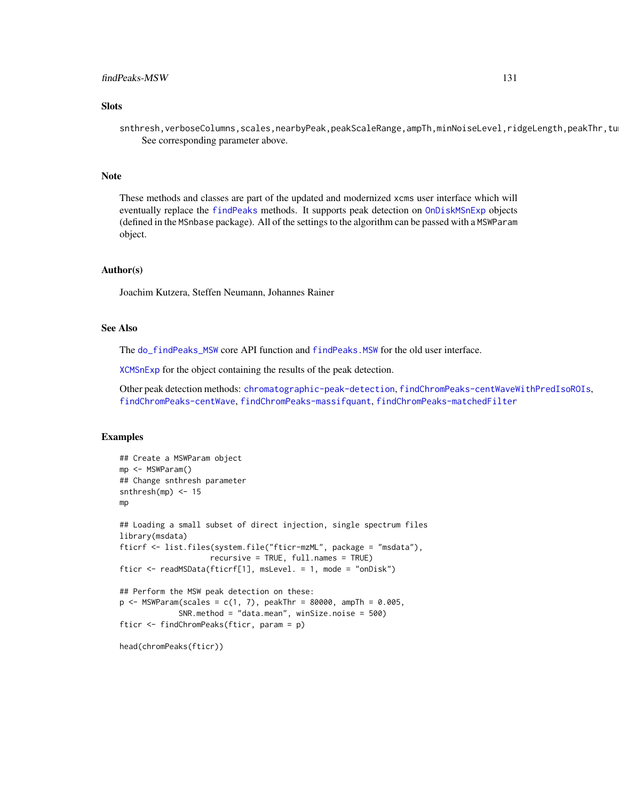## findPeaks-MSW 131

## **Slots**

snthresh,verboseColumns,scales,nearbyPeak,peakScaleRange,ampTh,minNoiseLevel,ridgeLength,peakThr,tu See corresponding parameter above.

## Note

These methods and classes are part of the updated and modernized xcms user interface which will eventually replace the [findPeaks](#page-125-0) methods. It supports peak detection on [OnDiskMSnExp](#page-0-0) objects (defined in the MSnbase package). All of the settings to the algorithm can be passed with a MSWParam object.

## Author(s)

Joachim Kutzera, Steffen Neumann, Johannes Rainer

# See Also

The [do\\_findPeaks\\_MSW](#page-62-0) core API function and [findPeaks.MSW](#page-144-0) for the old user interface.

[XCMSnExp](#page-269-0) for the object containing the results of the peak detection.

Other peak detection methods: [chromatographic-peak-detection](#page-34-0), [findChromPeaks-centWaveWithPredIsoROIs](#page-104-0), [findChromPeaks-centWave](#page-98-1), [findChromPeaks-massifquant](#page-109-0), [findChromPeaks-matchedFilter](#page-115-0)

#### Examples

```
## Create a MSWParam object
mp <- MSWParam()
## Change snthresh parameter
snthresh(mp) <- 15
mp
## Loading a small subset of direct injection, single spectrum files
library(msdata)
fticrf <- list.files(system.file("fticr-mzML", package = "msdata"),
                    recursive = TRUE, full.names = TRUE)
fticr <- readMSData(fticrf[1], msLevel. = 1, mode = "onDisk")
## Perform the MSW peak detection on these:
p <- MSWParam(scales = c(1, 7), peakThr = 80000, ampTh = 0.005,
             SNR.method = "data.mean", winSize.noise = 500)
fticr <- findChromPeaks(fticr, param = p)
head(chromPeaks(fticr))
```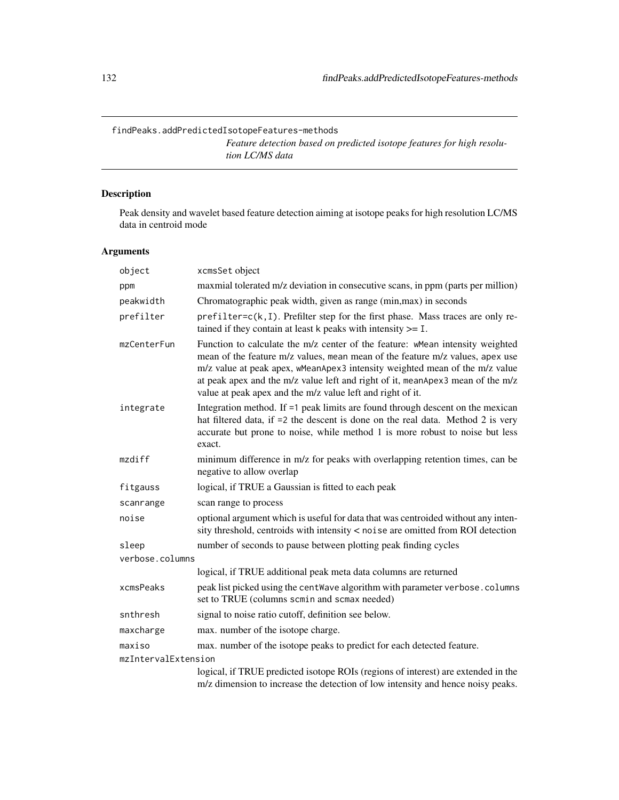findPeaks.addPredictedIsotopeFeatures-methods

*Feature detection based on predicted isotope features for high resolution LC/MS data*

# <span id="page-131-0"></span>Description

Peak density and wavelet based feature detection aiming at isotope peaks for high resolution LC/MS data in centroid mode

| object              | xcmsSet object                                                                                                                                                                                                                                                                                                                                                                                |
|---------------------|-----------------------------------------------------------------------------------------------------------------------------------------------------------------------------------------------------------------------------------------------------------------------------------------------------------------------------------------------------------------------------------------------|
| ppm                 | maxmial tolerated m/z deviation in consecutive scans, in ppm (parts per million)                                                                                                                                                                                                                                                                                                              |
| peakwidth           | Chromatographic peak width, given as range (min, max) in seconds                                                                                                                                                                                                                                                                                                                              |
| prefilter           | $prefilter=c(k,I)$ . Prefilter step for the first phase. Mass traces are only re-<br>tained if they contain at least $k$ peaks with intensity $\geq 1$ .                                                                                                                                                                                                                                      |
| mzCenterFun         | Function to calculate the m/z center of the feature: wMean intensity weighted<br>mean of the feature m/z values, mean mean of the feature m/z values, apex use<br>m/z value at peak apex, wMeanApex3 intensity weighted mean of the m/z value<br>at peak apex and the m/z value left and right of it, meanApex3 mean of the m/z<br>value at peak apex and the m/z value left and right of it. |
| integrate           | Integration method. If $=1$ peak limits are found through descent on the mexican<br>hat filtered data, if =2 the descent is done on the real data. Method 2 is very<br>accurate but prone to noise, while method 1 is more robust to noise but less<br>exact.                                                                                                                                 |
| mzdiff              | minimum difference in m/z for peaks with overlapping retention times, can be<br>negative to allow overlap                                                                                                                                                                                                                                                                                     |
| fitgauss            | logical, if TRUE a Gaussian is fitted to each peak                                                                                                                                                                                                                                                                                                                                            |
| scanrange           | scan range to process                                                                                                                                                                                                                                                                                                                                                                         |
| noise               | optional argument which is useful for data that was centroided without any inten-<br>sity threshold, centroids with intensity < noise are omitted from ROI detection                                                                                                                                                                                                                          |
| sleep               | number of seconds to pause between plotting peak finding cycles                                                                                                                                                                                                                                                                                                                               |
| verbose.columns     |                                                                                                                                                                                                                                                                                                                                                                                               |
|                     | logical, if TRUE additional peak meta data columns are returned                                                                                                                                                                                                                                                                                                                               |
| xcmsPeaks           | peak list picked using the centWave algorithm with parameter verbose.columns<br>set to TRUE (columns scmin and scmax needed)                                                                                                                                                                                                                                                                  |
| snthresh            | signal to noise ratio cutoff, definition see below.                                                                                                                                                                                                                                                                                                                                           |
| maxcharge           | max. number of the isotope charge.                                                                                                                                                                                                                                                                                                                                                            |
| maxiso              | max. number of the isotope peaks to predict for each detected feature.                                                                                                                                                                                                                                                                                                                        |
| mzIntervalExtension |                                                                                                                                                                                                                                                                                                                                                                                               |
|                     | logical, if TRUE predicted isotope ROIs (regions of interest) are extended in the<br>m/z dimension to increase the detection of low intensity and hence noisy peaks.                                                                                                                                                                                                                          |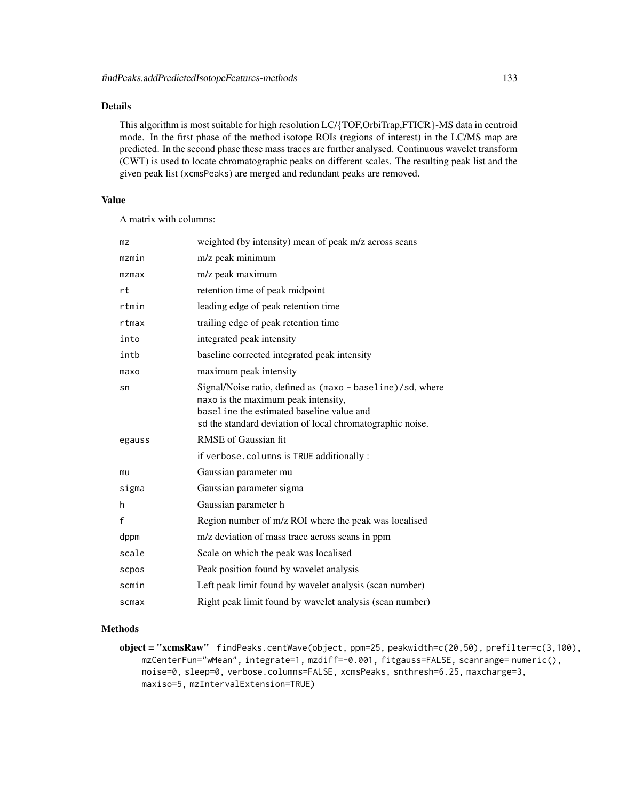This algorithm is most suitable for high resolution LC/{TOF,OrbiTrap,FTICR}-MS data in centroid mode. In the first phase of the method isotope ROIs (regions of interest) in the LC/MS map are predicted. In the second phase these mass traces are further analysed. Continuous wavelet transform (CWT) is used to locate chromatographic peaks on different scales. The resulting peak list and the given peak list (xcmsPeaks) are merged and redundant peaks are removed.

# Value

A matrix with columns:

| mz     | weighted (by intensity) mean of peak m/z across scans                                                                                                                                                       |
|--------|-------------------------------------------------------------------------------------------------------------------------------------------------------------------------------------------------------------|
| mzmin  | m/z peak minimum                                                                                                                                                                                            |
| mzmax  | m/z peak maximum                                                                                                                                                                                            |
| rt     | retention time of peak midpoint                                                                                                                                                                             |
| rtmin  | leading edge of peak retention time                                                                                                                                                                         |
| rtmax  | trailing edge of peak retention time                                                                                                                                                                        |
| into   | integrated peak intensity                                                                                                                                                                                   |
| intb   | baseline corrected integrated peak intensity                                                                                                                                                                |
| maxo   | maximum peak intensity                                                                                                                                                                                      |
| sn     | Signal/Noise ratio, defined as (maxo - baseline)/sd, where<br>maxo is the maximum peak intensity,<br>baseline the estimated baseline value and<br>sd the standard deviation of local chromatographic noise. |
| egauss | <b>RMSE</b> of Gaussian fit                                                                                                                                                                                 |
|        | if verbose.columns is TRUE additionally :                                                                                                                                                                   |
| mu     | Gaussian parameter mu                                                                                                                                                                                       |
| sigma  | Gaussian parameter sigma                                                                                                                                                                                    |
| h      | Gaussian parameter h                                                                                                                                                                                        |
| f      | Region number of m/z ROI where the peak was localised                                                                                                                                                       |
| dppm   | m/z deviation of mass trace across scans in ppm                                                                                                                                                             |
| scale  | Scale on which the peak was localised                                                                                                                                                                       |
| scpos  | Peak position found by wavelet analysis                                                                                                                                                                     |
| scmin  | Left peak limit found by wavelet analysis (scan number)                                                                                                                                                     |
| scmax  | Right peak limit found by wavelet analysis (scan number)                                                                                                                                                    |

## Methods

object = "xcmsRaw" findPeaks.centWave(object, ppm=25, peakwidth=c(20,50), prefilter=c(3,100), mzCenterFun="wMean", integrate=1, mzdiff=-0.001, fitgauss=FALSE, scanrange= numeric(), noise=0, sleep=0, verbose.columns=FALSE, xcmsPeaks, snthresh=6.25, maxcharge=3, maxiso=5, mzIntervalExtension=TRUE)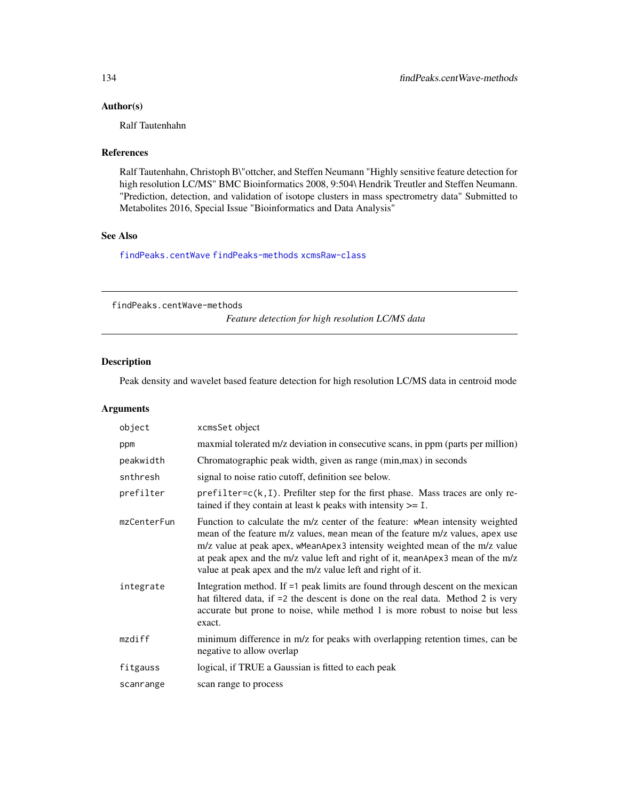# Author(s)

Ralf Tautenhahn

# References

Ralf Tautenhahn, Christoph B\"ottcher, and Steffen Neumann "Highly sensitive feature detection for high resolution LC/MS" BMC Bioinformatics 2008, 9:504\ Hendrik Treutler and Steffen Neumann. "Prediction, detection, and validation of isotope clusters in mass spectrometry data" Submitted to Metabolites 2016, Special Issue "Bioinformatics and Data Analysis"

# See Also

[findPeaks.centWave](#page-133-0) [findPeaks-methods](#page-125-1) [xcmsRaw-class](#page-283-0)

findPeaks.centWave-methods

*Feature detection for high resolution LC/MS data*

## <span id="page-133-0"></span>Description

Peak density and wavelet based feature detection for high resolution LC/MS data in centroid mode

| object      | xcmsSet object                                                                                                                                                                                                                                                                                                                                                                                |
|-------------|-----------------------------------------------------------------------------------------------------------------------------------------------------------------------------------------------------------------------------------------------------------------------------------------------------------------------------------------------------------------------------------------------|
| ppm         | maxmial tolerated m/z deviation in consecutive scans, in ppm (parts per million)                                                                                                                                                                                                                                                                                                              |
| peakwidth   | Chromatographic peak width, given as range (min, max) in seconds                                                                                                                                                                                                                                                                                                                              |
| snthresh    | signal to noise ratio cutoff, definition see below.                                                                                                                                                                                                                                                                                                                                           |
| prefilter   | $prefilter=c(k,I)$ . Prefilter step for the first phase. Mass traces are only re-<br>tained if they contain at least $k$ peaks with intensity $\geq 1$ .                                                                                                                                                                                                                                      |
| mzCenterFun | Function to calculate the m/z center of the feature: wMean intensity weighted<br>mean of the feature m/z values, mean mean of the feature m/z values, apex use<br>m/z value at peak apex, wMeanApex3 intensity weighted mean of the m/z value<br>at peak apex and the m/z value left and right of it, meanApex3 mean of the m/z<br>value at peak apex and the m/z value left and right of it. |
| integrate   | Integration method. If $=1$ peak limits are found through descent on the mexican<br>hat filtered data, if =2 the descent is done on the real data. Method 2 is very<br>accurate but prone to noise, while method 1 is more robust to noise but less<br>exact.                                                                                                                                 |
| mzdiff      | minimum difference in m/z for peaks with overlapping retention times, can be<br>negative to allow overlap                                                                                                                                                                                                                                                                                     |
| fitgauss    | logical, if TRUE a Gaussian is fitted to each peak                                                                                                                                                                                                                                                                                                                                            |
| scanrange   | scan range to process                                                                                                                                                                                                                                                                                                                                                                         |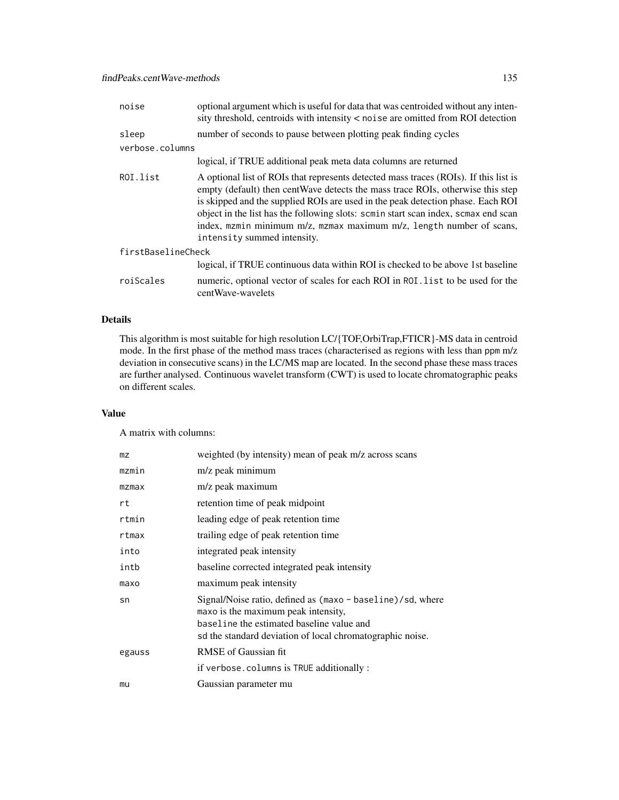| noise              | optional argument which is useful for data that was centroided without any inten-<br>sity threshold, centroids with intensity < noise are omitted from ROI detection                                                                                                                                                                                                                                                                                    |  |
|--------------------|---------------------------------------------------------------------------------------------------------------------------------------------------------------------------------------------------------------------------------------------------------------------------------------------------------------------------------------------------------------------------------------------------------------------------------------------------------|--|
| sleep              | number of seconds to pause between plotting peak finding cycles                                                                                                                                                                                                                                                                                                                                                                                         |  |
| verbose.columns    |                                                                                                                                                                                                                                                                                                                                                                                                                                                         |  |
|                    | logical, if TRUE additional peak meta data columns are returned                                                                                                                                                                                                                                                                                                                                                                                         |  |
| ROI.list           | A optional list of ROIs that represents detected mass traces (ROIs). If this list is<br>empty (default) then cent Wave detects the mass trace ROIs, otherwise this step<br>is skipped and the supplied ROIs are used in the peak detection phase. Each ROI<br>object in the list has the following slots: scmin start scan index, scmax end scan<br>index, mzmin minimum m/z, mzmax maximum m/z, length number of scans,<br>intensity summed intensity. |  |
| firstBaselineCheck |                                                                                                                                                                                                                                                                                                                                                                                                                                                         |  |
|                    | logical, if TRUE continuous data within ROI is checked to be above 1st baseline                                                                                                                                                                                                                                                                                                                                                                         |  |
| roiScales          | numeric, optional vector of scales for each ROI in ROI. list to be used for the<br>centWaye-wayelets                                                                                                                                                                                                                                                                                                                                                    |  |

This algorithm is most suitable for high resolution LC/{TOF,OrbiTrap,FTICR}-MS data in centroid mode. In the first phase of the method mass traces (characterised as regions with less than ppm m/z deviation in consecutive scans) in the LC/MS map are located. In the second phase these mass traces are further analysed. Continuous wavelet transform (CWT) is used to locate chromatographic peaks on different scales.

# Value

A matrix with columns:

| mz     | weighted (by intensity) mean of peak m/z across scans                                                                                                                                                       |
|--------|-------------------------------------------------------------------------------------------------------------------------------------------------------------------------------------------------------------|
| mzmin  | m/z peak minimum                                                                                                                                                                                            |
| mzmax  | m/z peak maximum                                                                                                                                                                                            |
| rt     | retention time of peak midpoint                                                                                                                                                                             |
| rtmin  | leading edge of peak retention time                                                                                                                                                                         |
| rtmax  | trailing edge of peak retention time                                                                                                                                                                        |
| into   | integrated peak intensity                                                                                                                                                                                   |
| intb   | baseline corrected integrated peak intensity                                                                                                                                                                |
| maxo   | maximum peak intensity                                                                                                                                                                                      |
| sn     | Signal/Noise ratio, defined as (maxo - baseline)/sd, where<br>maxo is the maximum peak intensity,<br>baseline the estimated baseline value and<br>sd the standard deviation of local chromatographic noise. |
| egauss | RMSE of Gaussian fit                                                                                                                                                                                        |
|        | if verbose.columns is TRUE additionally :                                                                                                                                                                   |
| mu     | Gaussian parameter mu                                                                                                                                                                                       |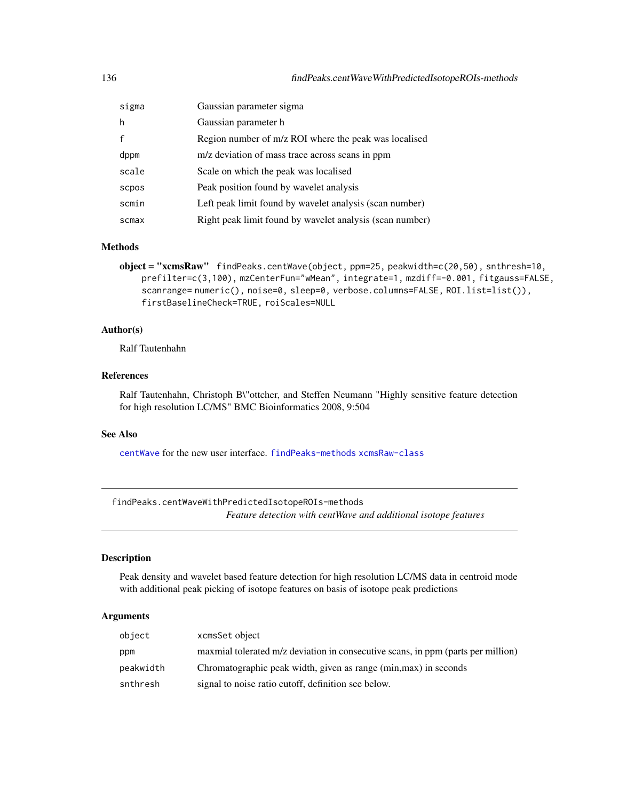| sigma | Gaussian parameter sigma                                 |
|-------|----------------------------------------------------------|
| h     | Gaussian parameter h                                     |
|       | Region number of m/z ROI where the peak was localised    |
| dppm  | m/z deviation of mass trace across scans in ppm          |
| scale | Scale on which the peak was localised                    |
| scpos | Peak position found by wavelet analysis                  |
| scmin | Left peak limit found by wavelet analysis (scan number)  |
| scmax | Right peak limit found by wavelet analysis (scan number) |

## Methods

object = "xcmsRaw" findPeaks.centWave(object, ppm=25, peakwidth=c(20,50), snthresh=10, prefilter=c(3,100), mzCenterFun="wMean", integrate=1, mzdiff=-0.001, fitgauss=FALSE, scanrange= numeric(), noise=0, sleep=0, verbose.columns=FALSE, ROI.list=list()), firstBaselineCheck=TRUE, roiScales=NULL

# Author(s)

Ralf Tautenhahn

## References

Ralf Tautenhahn, Christoph B\"ottcher, and Steffen Neumann "Highly sensitive feature detection for high resolution LC/MS" BMC Bioinformatics 2008, 9:504

# See Also

[centWave](#page-98-0) for the new user interface. [findPeaks-methods](#page-125-1) [xcmsRaw-class](#page-283-0)

findPeaks.centWaveWithPredictedIsotopeROIs-methods *Feature detection with centWave and additional isotope features*

# <span id="page-135-0"></span>Description

Peak density and wavelet based feature detection for high resolution LC/MS data in centroid mode with additional peak picking of isotope features on basis of isotope peak predictions

| object    | xcmsSet object                                                                   |
|-----------|----------------------------------------------------------------------------------|
| ppm       | maxmial tolerated m/z deviation in consecutive scans, in ppm (parts per million) |
| peakwidth | Chromatographic peak width, given as range (min, max) in seconds                 |
| snthresh  | signal to noise ratio cutoff, definition see below.                              |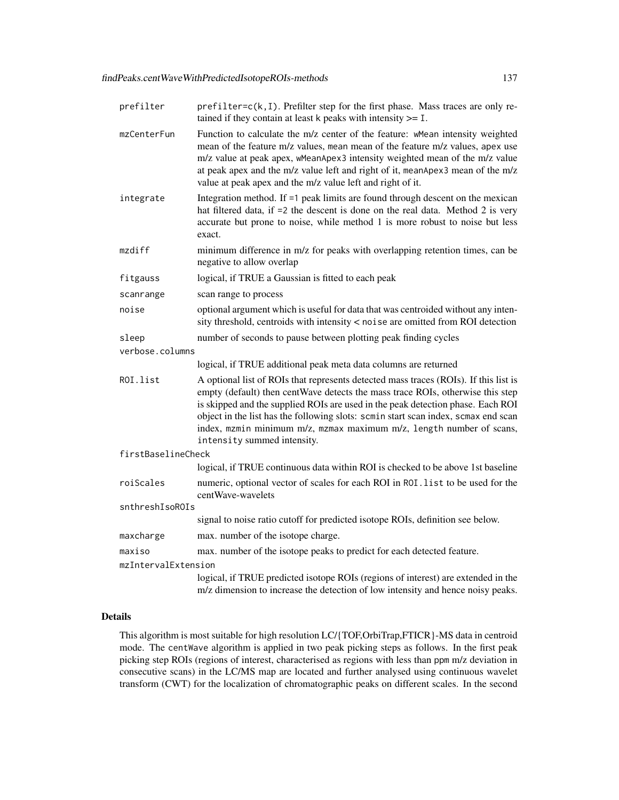| prefilter           | $prefilter=c(k,I)$ . Prefilter step for the first phase. Mass traces are only re-<br>tained if they contain at least k peaks with intensity $>=$ I.                                                                                                                                                                                                                                                                                                    |  |
|---------------------|--------------------------------------------------------------------------------------------------------------------------------------------------------------------------------------------------------------------------------------------------------------------------------------------------------------------------------------------------------------------------------------------------------------------------------------------------------|--|
| mzCenterFun         | Function to calculate the m/z center of the feature: wMean intensity weighted<br>mean of the feature m/z values, mean mean of the feature m/z values, apex use<br>m/z value at peak apex, wMeanApex3 intensity weighted mean of the m/z value<br>at peak apex and the m/z value left and right of it, meanApex3 mean of the m/z<br>value at peak apex and the m/z value left and right of it.                                                          |  |
| integrate           | Integration method. If =1 peak limits are found through descent on the mexican<br>hat filtered data, if =2 the descent is done on the real data. Method 2 is very<br>accurate but prone to noise, while method 1 is more robust to noise but less<br>exact.                                                                                                                                                                                            |  |
| mzdiff              | minimum difference in m/z for peaks with overlapping retention times, can be<br>negative to allow overlap                                                                                                                                                                                                                                                                                                                                              |  |
| fitgauss            | logical, if TRUE a Gaussian is fitted to each peak                                                                                                                                                                                                                                                                                                                                                                                                     |  |
| scanrange           | scan range to process                                                                                                                                                                                                                                                                                                                                                                                                                                  |  |
| noise               | optional argument which is useful for data that was centroided without any inten-<br>sity threshold, centroids with intensity < noise are omitted from ROI detection                                                                                                                                                                                                                                                                                   |  |
| sleep               | number of seconds to pause between plotting peak finding cycles                                                                                                                                                                                                                                                                                                                                                                                        |  |
| verbose.columns     |                                                                                                                                                                                                                                                                                                                                                                                                                                                        |  |
|                     | logical, if TRUE additional peak meta data columns are returned                                                                                                                                                                                                                                                                                                                                                                                        |  |
| ROI.list            | A optional list of ROIs that represents detected mass traces (ROIs). If this list is<br>empty (default) then centWave detects the mass trace ROIs, otherwise this step<br>is skipped and the supplied ROIs are used in the peak detection phase. Each ROI<br>object in the list has the following slots: scmin start scan index, scmax end scan<br>index, mzmin minimum m/z, mzmax maximum m/z, length number of scans,<br>intensity summed intensity. |  |
| firstBaselineCheck  |                                                                                                                                                                                                                                                                                                                                                                                                                                                        |  |
|                     | logical, if TRUE continuous data within ROI is checked to be above 1st baseline                                                                                                                                                                                                                                                                                                                                                                        |  |
| roiScales           | numeric, optional vector of scales for each ROI in ROI. list to be used for the<br>centWaye-wayelets                                                                                                                                                                                                                                                                                                                                                   |  |
| snthreshIsoROIs     |                                                                                                                                                                                                                                                                                                                                                                                                                                                        |  |
|                     | signal to noise ratio cutoff for predicted isotope ROIs, definition see below.                                                                                                                                                                                                                                                                                                                                                                         |  |
| maxcharge           | max. number of the isotope charge.                                                                                                                                                                                                                                                                                                                                                                                                                     |  |
| maxiso              | max. number of the isotope peaks to predict for each detected feature.                                                                                                                                                                                                                                                                                                                                                                                 |  |
| mzIntervalExtension |                                                                                                                                                                                                                                                                                                                                                                                                                                                        |  |
|                     | logical, if TRUE predicted isotope ROIs (regions of interest) are extended in the<br>m/z dimension to increase the detection of low intensity and hence noisy peaks.                                                                                                                                                                                                                                                                                   |  |

This algorithm is most suitable for high resolution LC/{TOF,OrbiTrap,FTICR}-MS data in centroid mode. The centWave algorithm is applied in two peak picking steps as follows. In the first peak picking step ROIs (regions of interest, characterised as regions with less than ppm m/z deviation in consecutive scans) in the LC/MS map are located and further analysed using continuous wavelet transform (CWT) for the localization of chromatographic peaks on different scales. In the second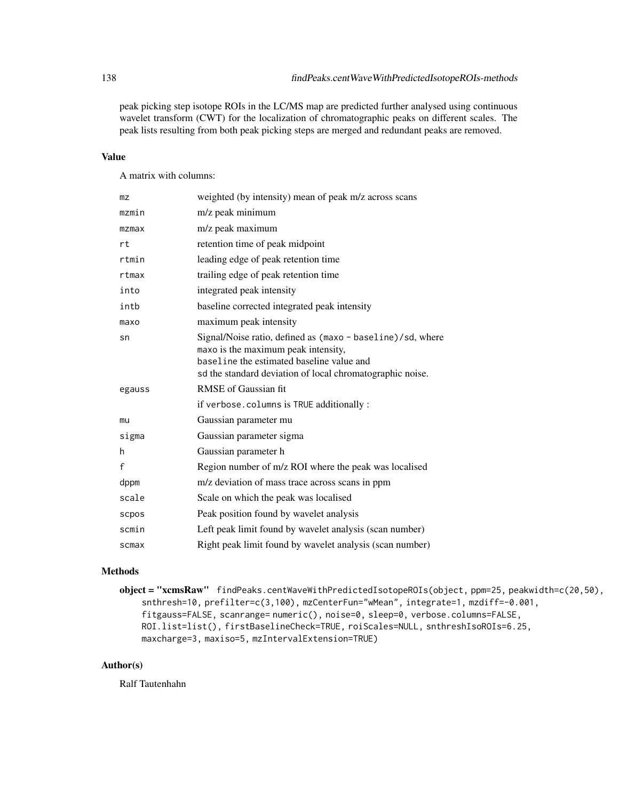peak picking step isotope ROIs in the LC/MS map are predicted further analysed using continuous wavelet transform (CWT) for the localization of chromatographic peaks on different scales. The peak lists resulting from both peak picking steps are merged and redundant peaks are removed.

# Value

A matrix with columns:

| mz     | weighted (by intensity) mean of peak m/z across scans                                                                                                                                                       |
|--------|-------------------------------------------------------------------------------------------------------------------------------------------------------------------------------------------------------------|
| mzmin  | m/z peak minimum                                                                                                                                                                                            |
| mzmax  | m/z peak maximum                                                                                                                                                                                            |
| rt     | retention time of peak midpoint                                                                                                                                                                             |
| rtmin  | leading edge of peak retention time                                                                                                                                                                         |
| rtmax  | trailing edge of peak retention time                                                                                                                                                                        |
| into   | integrated peak intensity                                                                                                                                                                                   |
| intb   | baseline corrected integrated peak intensity                                                                                                                                                                |
| maxo   | maximum peak intensity                                                                                                                                                                                      |
| sn     | Signal/Noise ratio, defined as (maxo - baseline)/sd, where<br>maxo is the maximum peak intensity,<br>baseline the estimated baseline value and<br>sd the standard deviation of local chromatographic noise. |
| egauss | <b>RMSE</b> of Gaussian fit                                                                                                                                                                                 |
|        | if verbose.columns is TRUE additionally :                                                                                                                                                                   |
| mu     | Gaussian parameter mu                                                                                                                                                                                       |
| sigma  | Gaussian parameter sigma                                                                                                                                                                                    |
| h      | Gaussian parameter h                                                                                                                                                                                        |
| f      | Region number of m/z ROI where the peak was localised                                                                                                                                                       |
| dppm   | m/z deviation of mass trace across scans in ppm                                                                                                                                                             |
| scale  | Scale on which the peak was localised                                                                                                                                                                       |
| scpos  | Peak position found by wavelet analysis                                                                                                                                                                     |
| scmin  | Left peak limit found by wavelet analysis (scan number)                                                                                                                                                     |
| scmax  | Right peak limit found by wavelet analysis (scan number)                                                                                                                                                    |

#### **Methods**

object = "xcmsRaw" findPeaks.centWaveWithPredictedIsotopeROIs(object, ppm=25, peakwidth=c(20,50), snthresh=10, prefilter=c(3,100), mzCenterFun="wMean", integrate=1, mzdiff=-0.001, fitgauss=FALSE, scanrange= numeric(), noise=0, sleep=0, verbose.columns=FALSE, ROI.list=list(), firstBaselineCheck=TRUE, roiScales=NULL, snthreshIsoROIs=6.25, maxcharge=3, maxiso=5, mzIntervalExtension=TRUE)

# Author(s)

Ralf Tautenhahn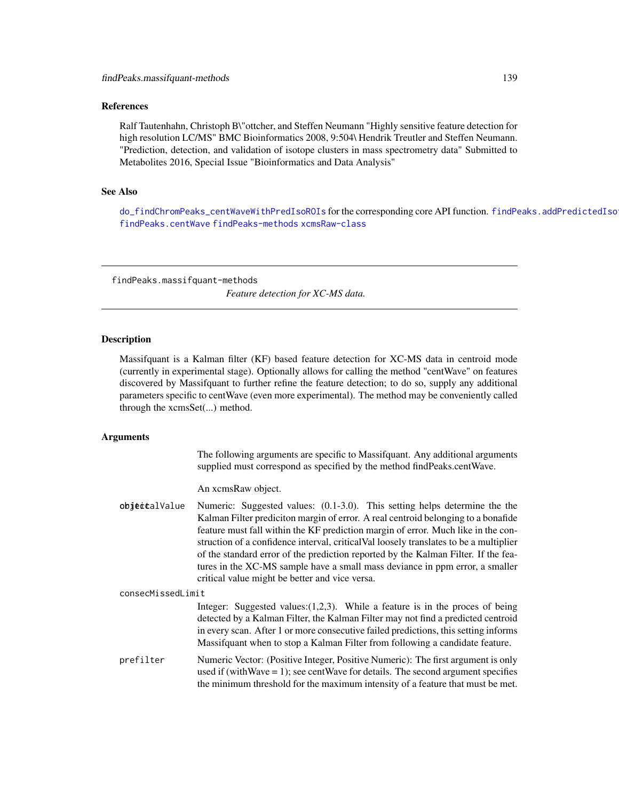## References

Ralf Tautenhahn, Christoph B\"ottcher, and Steffen Neumann "Highly sensitive feature detection for high resolution LC/MS" BMC Bioinformatics 2008, 9:504\ Hendrik Treutler and Steffen Neumann. "Prediction, detection, and validation of isotope clusters in mass spectrometry data" Submitted to Metabolites 2016, Special Issue "Bioinformatics and Data Analysis"

#### See Also

[do\\_findChromPeaks\\_centWaveWithPredIsoROIs](#page-51-0) for the corresponding core API function. findPeaks.addPredictedIso [findPeaks.centWave](#page-133-0) [findPeaks-methods](#page-125-1) [xcmsRaw-class](#page-283-0)

findPeaks.massifquant-methods *Feature detection for XC-MS data.*

## <span id="page-138-0"></span>**Description**

Massifquant is a Kalman filter (KF) based feature detection for XC-MS data in centroid mode (currently in experimental stage). Optionally allows for calling the method "centWave" on features discovered by Massifquant to further refine the feature detection; to do so, supply any additional parameters specific to centWave (even more experimental). The method may be conveniently called through the xcmsSet(...) method.

#### Arguments

The following arguments are specific to Massifquant. Any additional arguments supplied must correspond as specified by the method findPeaks.centWave.

An xcmsRaw object.

 $obj$ e $\text{etcalValue}$  Numeric: Suggested values: (0.1-3.0). This setting helps determine the the Kalman Filter prediciton margin of error. A real centroid belonging to a bonafide feature must fall within the KF prediction margin of error. Much like in the construction of a confidence interval, criticalVal loosely translates to be a multiplier of the standard error of the prediction reported by the Kalman Filter. If the features in the XC-MS sample have a small mass deviance in ppm error, a smaller critical value might be better and vice versa.

#### consecMissedLimit

Integer: Suggested values: $(1,2,3)$ . While a feature is in the proces of being detected by a Kalman Filter, the Kalman Filter may not find a predicted centroid in every scan. After 1 or more consecutive failed predictions, this setting informs Massifquant when to stop a Kalman Filter from following a candidate feature.

prefilter Numeric Vector: (Positive Integer, Positive Numeric): The first argument is only used if (with Wave  $= 1$ ); see cent Wave for details. The second argument specifies the minimum threshold for the maximum intensity of a feature that must be met.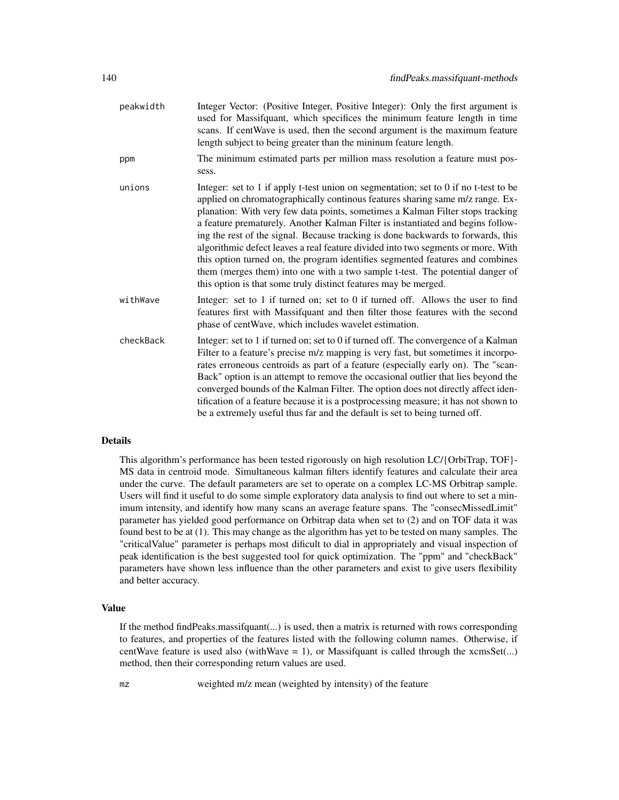| peakwidth | Integer Vector: (Positive Integer, Positive Integer): Only the first argument is<br>used for Massifquant, which specifices the minimum feature length in time<br>scans. If centWave is used, then the second argument is the maximum feature<br>length subject to being greater than the mininum feature length.                                                                                                                                                                                                                                                                                                                                                                                                                                        |
|-----------|---------------------------------------------------------------------------------------------------------------------------------------------------------------------------------------------------------------------------------------------------------------------------------------------------------------------------------------------------------------------------------------------------------------------------------------------------------------------------------------------------------------------------------------------------------------------------------------------------------------------------------------------------------------------------------------------------------------------------------------------------------|
| ppm       | The minimum estimated parts per million mass resolution a feature must pos-<br>sess.                                                                                                                                                                                                                                                                                                                                                                                                                                                                                                                                                                                                                                                                    |
| unions    | Integer: set to 1 if apply t-test union on segmentation; set to 0 if no t-test to be<br>applied on chromatographically continous features sharing same m/z range. Ex-<br>planation: With very few data points, sometimes a Kalman Filter stops tracking<br>a feature prematurely. Another Kalman Filter is instantiated and begins follow-<br>ing the rest of the signal. Because tracking is done backwards to forwards, this<br>algorithmic defect leaves a real feature divided into two segments or more. With<br>this option turned on, the program identifies segmented features and combines<br>them (merges them) into one with a two sample t-test. The potential danger of<br>this option is that some truly distinct features may be merged. |
| withWave  | Integer: set to 1 if turned on; set to 0 if turned off. Allows the user to find<br>features first with Massifquant and then filter those features with the second<br>phase of centWave, which includes wavelet estimation.                                                                                                                                                                                                                                                                                                                                                                                                                                                                                                                              |
| checkBack | Integer: set to 1 if turned on; set to 0 if turned off. The convergence of a Kalman<br>Filter to a feature's precise m/z mapping is very fast, but sometimes it incorpo-<br>rates erroneous centroids as part of a feature (especially early on). The "scan-<br>Back" option is an attempt to remove the occasional outlier that lies beyond the<br>converged bounds of the Kalman Filter. The option does not directly affect iden-<br>tification of a feature because it is a postprocessing measure; it has not shown to<br>be a extremely useful thus far and the default is set to being turned off.                                                                                                                                               |

This algorithm's performance has been tested rigorously on high resolution LC/{OrbiTrap, TOF}- MS data in centroid mode. Simultaneous kalman filters identify features and calculate their area under the curve. The default parameters are set to operate on a complex LC-MS Orbitrap sample. Users will find it useful to do some simple exploratory data analysis to find out where to set a minimum intensity, and identify how many scans an average feature spans. The "consecMissedLimit" parameter has yielded good performance on Orbitrap data when set to (2) and on TOF data it was found best to be at (1). This may change as the algorithm has yet to be tested on many samples. The "criticalValue" parameter is perhaps most dificult to dial in appropriately and visual inspection of peak identification is the best suggested tool for quick optimization. The "ppm" and "checkBack" parameters have shown less influence than the other parameters and exist to give users flexibility and better accuracy.

#### Value

If the method findPeaks.massifquant(...) is used, then a matrix is returned with rows corresponding to features, and properties of the features listed with the following column names. Otherwise, if centWave feature is used also (withWave  $= 1$ ), or Massifquant is called through the xcmsSet(...) method, then their corresponding return values are used.

mz weighted m/z mean (weighted by intensity) of the feature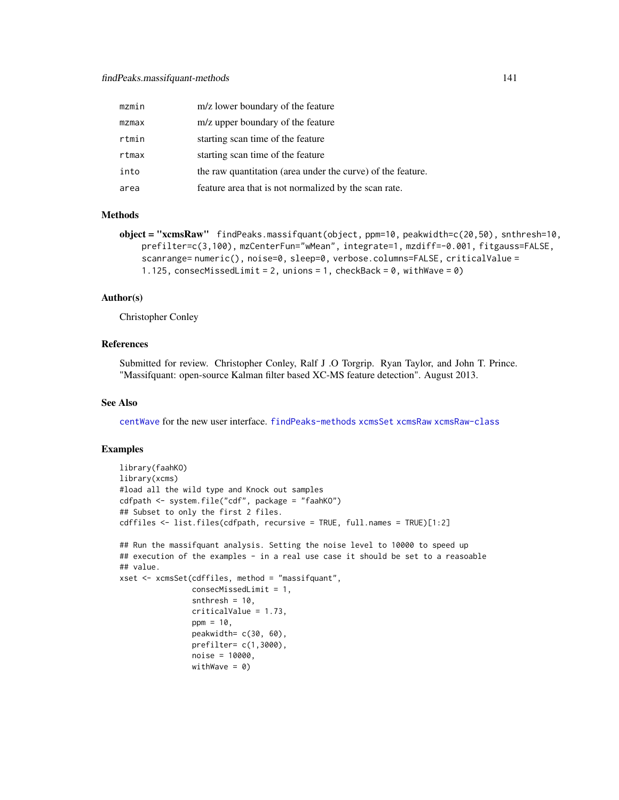| mzmin | m/z lower boundary of the feature                           |
|-------|-------------------------------------------------------------|
| mzmax | m/z upper boundary of the feature                           |
| rtmin | starting scan time of the feature                           |
| rtmax | starting scan time of the feature                           |
| into  | the raw quantitation (area under the curve) of the feature. |
| area  | feature area that is not normalized by the scan rate.       |

#### Methods

```
object = "xcmsRaw" findPeaks.massifquant(object, ppm=10, peakwidth=c(20,50), snthresh=10,
    prefilter=c(3,100), mzCenterFun="wMean", integrate=1, mzdiff=-0.001, fitgauss=FALSE,
    scanrange= numeric(), noise=0, sleep=0, verbose.columns=FALSE, criticalValue =
    1.125, consecMissedLimit = 2, unions = 1, checkBack = 0, withWave = 0)
```
#### Author(s)

Christopher Conley

# References

Submitted for review. Christopher Conley, Ralf J .O Torgrip. Ryan Taylor, and John T. Prince. "Massifquant: open-source Kalman filter based XC-MS feature detection". August 2013.

#### See Also

[centWave](#page-98-0) for the new user interface. [findPeaks-methods](#page-125-1) [xcmsSet](#page-286-0) [xcmsRaw](#page-281-0) [xcmsRaw-class](#page-283-0)

# Examples

```
library(faahKO)
library(xcms)
#load all the wild type and Knock out samples
cdfpath <- system.file("cdf", package = "faahKO")
## Subset to only the first 2 files.
cdffiles <- list.files(cdfpath, recursive = TRUE, full.names = TRUE)[1:2]
## Run the massifquant analysis. Setting the noise level to 10000 to speed up
## execution of the examples - in a real use case it should be set to a reasoable
## value.
xset <- xcmsSet(cdffiles, method = "massifquant",
                consecMissedLimit = 1,
                snthresh = 10,
                criticalValue = 1.73,
                ppm = 10,
                peakwidth= c(30, 60),
                prefilter= c(1,3000),
                noise = 10000,
                withWave = 0)
```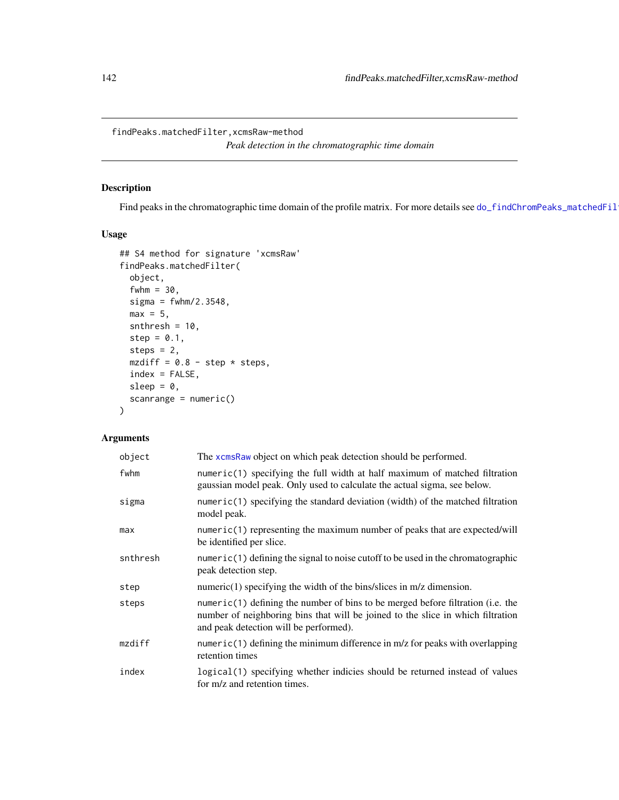findPeaks.matchedFilter,xcmsRaw-method

*Peak detection in the chromatographic time domain*

# <span id="page-141-0"></span>Description

Find peaks in the chromatographic time domain of the profile matrix. For more details see do\_findChromPeaks\_matchedFil

# Usage

```
## S4 method for signature 'xcmsRaw'
findPeaks.matchedFilter(
 object,
  fwhm = 30,
  signa = fwhm/2.3548,max = 5,
  snthresh = 10,
  step = 0.1,
  steps = 2,
 mzdiff = 0.8 - step * steps,
  index = FALSE,
  sleep = 0,
  scanrange = numeric()
)
```

| object   | The xcmsRaw object on which peak detection should be performed.                                                                                                                                              |
|----------|--------------------------------------------------------------------------------------------------------------------------------------------------------------------------------------------------------------|
| fwhm     | numeric(1) specifying the full width at half maximum of matched filtration<br>gaussian model peak. Only used to calculate the actual sigma, see below.                                                       |
| sigma    | numeric(1) specifying the standard deviation (width) of the matched filtration<br>model peak.                                                                                                                |
| max      | $numeric(1)$ representing the maximum number of peaks that are expected/will<br>be identified per slice.                                                                                                     |
| snthresh | $numeric(1)$ defining the signal to noise cutoff to be used in the chromatographic<br>peak detection step.                                                                                                   |
| step     | $numeric(1) specifying the width of the bins/slices in m/z dimension.$                                                                                                                                       |
| steps    | numeric(1) defining the number of bins to be merged before filtration (i.e. the<br>number of neighboring bins that will be joined to the slice in which filtration<br>and peak detection will be performed). |
| mzdiff   | numeric(1) defining the minimum difference in $m/z$ for peaks with overlapping<br>retention times                                                                                                            |
| index    | logical (1) specifying whether indicies should be returned instead of values<br>for m/z and retention times.                                                                                                 |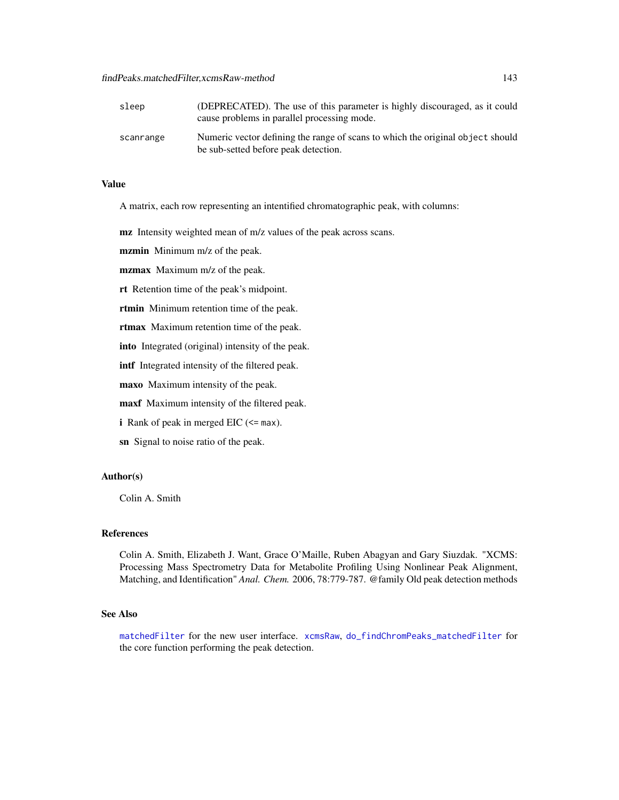| sleep     | (DEPRECATED). The use of this parameter is highly discouraged, as it could<br>cause problems in parallel processing mode. |
|-----------|---------------------------------------------------------------------------------------------------------------------------|
| scanrange | Numeric vector defining the range of scans to which the original object should<br>be sub-setted before peak detection.    |

# Value

A matrix, each row representing an intentified chromatographic peak, with columns:

mz Intensity weighted mean of m/z values of the peak across scans.

mzmin Minimum m/z of the peak.

mzmax Maximum m/z of the peak.

rt Retention time of the peak's midpoint.

rtmin Minimum retention time of the peak.

rtmax Maximum retention time of the peak.

into Integrated (original) intensity of the peak.

intf Integrated intensity of the filtered peak.

maxo Maximum intensity of the peak.

maxf Maximum intensity of the filtered peak.

i Rank of peak in merged EIC  $(\leq = \text{max})$ .

sn Signal to noise ratio of the peak.

## Author(s)

Colin A. Smith

# References

Colin A. Smith, Elizabeth J. Want, Grace O'Maille, Ruben Abagyan and Gary Siuzdak. "XCMS: Processing Mass Spectrometry Data for Metabolite Profiling Using Nonlinear Peak Alignment, Matching, and Identification" *Anal. Chem.* 2006, 78:779-787. @family Old peak detection methods

# See Also

[matchedFilter](#page-115-1) for the new user interface. [xcmsRaw](#page-283-0), [do\\_findChromPeaks\\_matchedFilter](#page-58-0) for the core function performing the peak detection.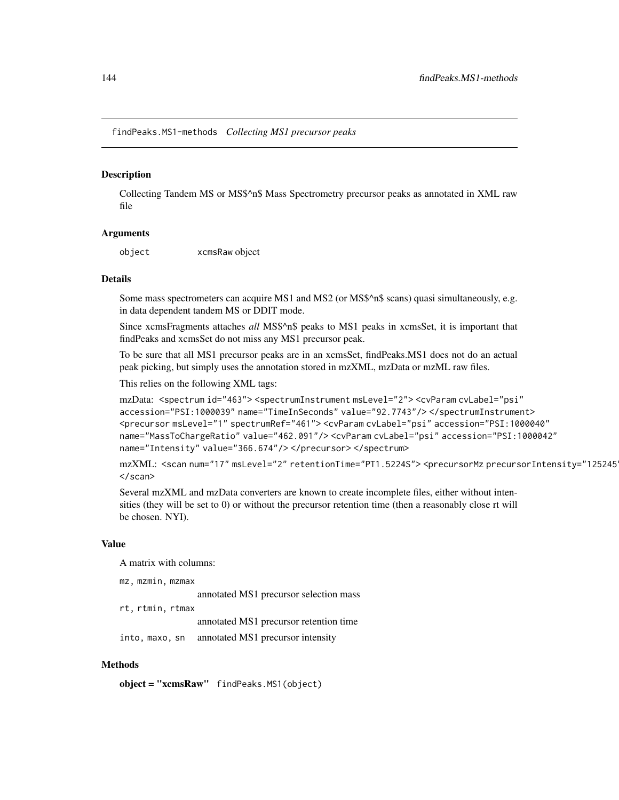findPeaks.MS1-methods *Collecting MS1 precursor peaks*

#### Description

Collecting Tandem MS or MS\$^n\$ Mass Spectrometry precursor peaks as annotated in XML raw file

#### Arguments

object xcmsRaw object

#### Details

Some mass spectrometers can acquire MS1 and MS2 (or MS\$^n\$ scans) quasi simultaneously, e.g. in data dependent tandem MS or DDIT mode.

Since xcmsFragments attaches *all* MS\$^n\$ peaks to MS1 peaks in xcmsSet, it is important that findPeaks and xcmsSet do not miss any MS1 precursor peak.

To be sure that all MS1 precursor peaks are in an xcmsSet, findPeaks.MS1 does not do an actual peak picking, but simply uses the annotation stored in mzXML, mzData or mzML raw files.

This relies on the following XML tags:

mzData: <spectrum id="463"> <spectrumInstrument msLevel="2"> <cvParam cvLabel="psi" accession="PSI:1000039" name="TimeInSeconds" value="92.7743"/> </spectrumInstrument> <precursor msLevel="1" spectrumRef="461"> <cvParam cvLabel="psi" accession="PSI:1000040" name="MassToChargeRatio" value="462.091"/> <cvParam cvLabel="psi" accession="PSI:1000042" name="Intensity" value="366.674"/> </precursor> </spectrum>

mzXML: <scan num="17" msLevel="2" retentionTime="PT1.5224S"> <precursorMz precursorIntensity="125245">220.1828003</precursorMz> </scan>

Several mzXML and mzData converters are known to create incomplete files, either without intensities (they will be set to 0) or without the precursor retention time (then a reasonably close rt will be chosen. NYI).

#### Value

A matrix with columns:

mz, mzmin, mzmax

annotated MS1 precursor selection mass

```
rt, rtmin, rtmax
```
annotated MS1 precursor retention time

into, maxo, sn annotated MS1 precursor intensity

## **Methods**

object = "xcmsRaw" findPeaks.MS1(object)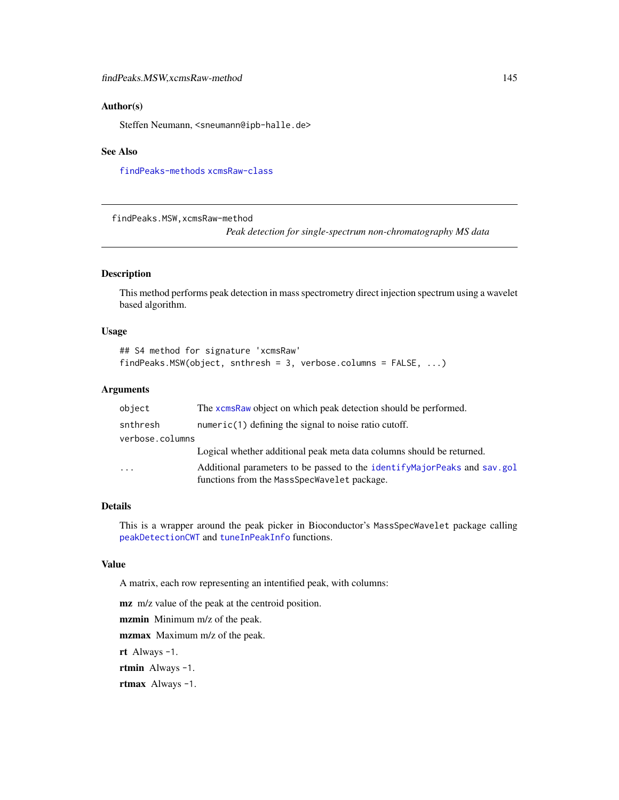## Author(s)

Steffen Neumann, <sneumann@ipb-halle.de>

#### See Also

[findPeaks-methods](#page-125-0) [xcmsRaw-class](#page-283-0)

findPeaks.MSW,xcmsRaw-method

*Peak detection for single-spectrum non-chromatography MS data*

# Description

This method performs peak detection in mass spectrometry direct injection spectrum using a wavelet based algorithm.

#### Usage

```
## S4 method for signature 'xcmsRaw'
findPeaks.MSW(object, snthresh = 3, verbose.columns = FALSE, ...)
```
## Arguments

| The xcmsRaw object on which peak detection should be performed.                                                            |
|----------------------------------------------------------------------------------------------------------------------------|
| $numeric(1) defining the signal to noise ratio cutoff.$                                                                    |
| verbose.columns                                                                                                            |
| Logical whether additional peak meta data columns should be returned.                                                      |
| Additional parameters to be passed to the identify Major Peaks and say, gol<br>functions from the MassSpecWavelet package. |
|                                                                                                                            |

## Details

This is a wrapper around the peak picker in Bioconductor's MassSpecWavelet package calling [peakDetectionCWT](#page-0-0) and [tuneInPeakInfo](#page-0-0) functions.

## Value

A matrix, each row representing an intentified peak, with columns:

mz m/z value of the peak at the centroid position.

mzmin Minimum m/z of the peak.

mzmax Maximum m/z of the peak.

rt Always -1.

rtmin Always -1.

rtmax Always -1.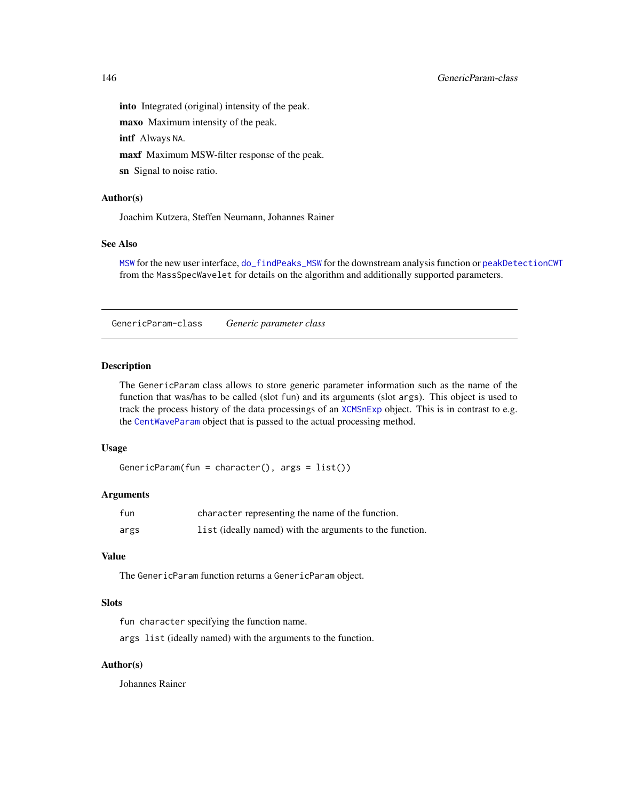into Integrated (original) intensity of the peak.

maxo Maximum intensity of the peak.

intf Always NA.

maxf Maximum MSW-filter response of the peak.

sn Signal to noise ratio.

# Author(s)

Joachim Kutzera, Steffen Neumann, Johannes Rainer

# See Also

[MSW](#page-126-0) for the new user interface, [do\\_findPeaks\\_MSW](#page-62-0) for the downstream analysis function or [peakDetectionCWT](#page-0-0) from the MassSpecWavelet for details on the algorithm and additionally supported parameters.

GenericParam-class *Generic parameter class*

# Description

The GenericParam class allows to store generic parameter information such as the name of the function that was/has to be called (slot fun) and its arguments (slot args). This object is used to track the process history of the data processings of an [XCMSnExp](#page-269-0) object. This is in contrast to e.g. the [CentWaveParam](#page-98-0) object that is passed to the actual processing method.

## Usage

```
GenericParam(fun = character(), args = list())
```
# Arguments

| fun  | character representing the name of the function.         |
|------|----------------------------------------------------------|
| args | list (ideally named) with the arguments to the function. |

## Value

The GenericParam function returns a GenericParam object.

### **Slots**

fun character specifying the function name.

args list (ideally named) with the arguments to the function.

#### Author(s)

Johannes Rainer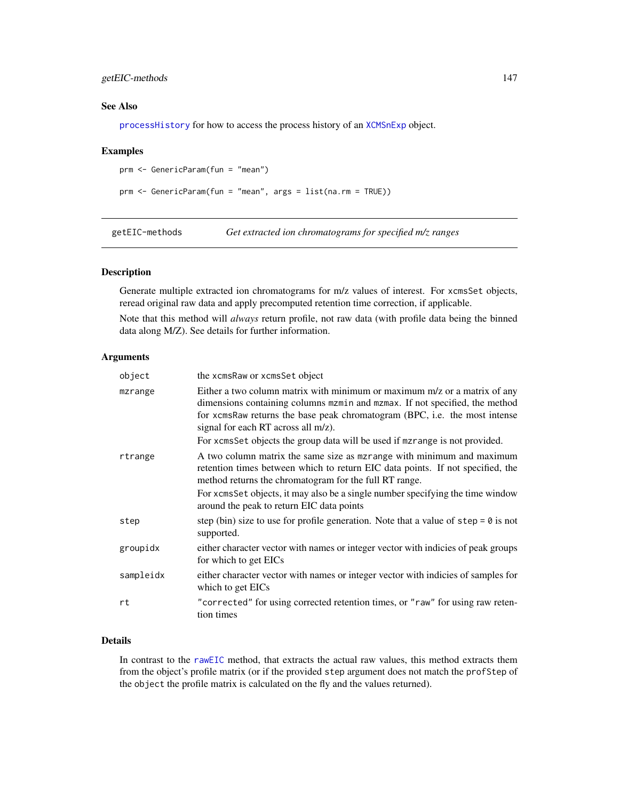# getEIC-methods 147

# See Also

[processHistory](#page-269-0) for how to access the process history of an [XCMSnExp](#page-269-0) object.

## Examples

```
prm <- GenericParam(fun = "mean")
prm <- GenericParam(fun = "mean", args = list(na.rm = TRUE))
```
getEIC-methods *Get extracted ion chromatograms for specified m/z ranges*

# Description

Generate multiple extracted ion chromatograms for m/z values of interest. For xcmsSet objects, reread original raw data and apply precomputed retention time correction, if applicable.

Note that this method will *always* return profile, not raw data (with profile data being the binned data along M/Z). See details for further information.

## Arguments

| object    | the xcmsRaw or xcmsSet object                                                                                                                                                                                                                                                                                                                                |
|-----------|--------------------------------------------------------------------------------------------------------------------------------------------------------------------------------------------------------------------------------------------------------------------------------------------------------------------------------------------------------------|
| mzrange   | Either a two column matrix with minimum or maximum m/z or a matrix of any<br>dimensions containing columns mamin and mamax. If not specified, the method<br>for xcmsRaw returns the base peak chromatogram (BPC, i.e. the most intense<br>signal for each RT across all m/z).<br>For xcmsSet objects the group data will be used if mzrange is not provided. |
| rtrange   | A two column matrix the same size as marrange with minimum and maximum<br>retention times between which to return EIC data points. If not specified, the<br>method returns the chromatogram for the full RT range.                                                                                                                                           |
|           | For xcmsSet objects, it may also be a single number specifying the time window<br>around the peak to return EIC data points                                                                                                                                                                                                                                  |
| step      | step (bin) size to use for profile generation. Note that a value of $step = 0$ is not<br>supported.                                                                                                                                                                                                                                                          |
| groupidx  | either character vector with names or integer vector with indicies of peak groups<br>for which to get EICs                                                                                                                                                                                                                                                   |
| sampleidx | either character vector with names or integer vector with indicies of samples for<br>which to get EICs                                                                                                                                                                                                                                                       |
| rt        | "corrected" for using corrected retention times, or "raw" for using raw reten-<br>tion times                                                                                                                                                                                                                                                                 |

# Details

In contrast to the [rawEIC](#page-226-0) method, that extracts the actual raw values, this method extracts them from the object's profile matrix (or if the provided step argument does not match the profStep of the object the profile matrix is calculated on the fly and the values returned).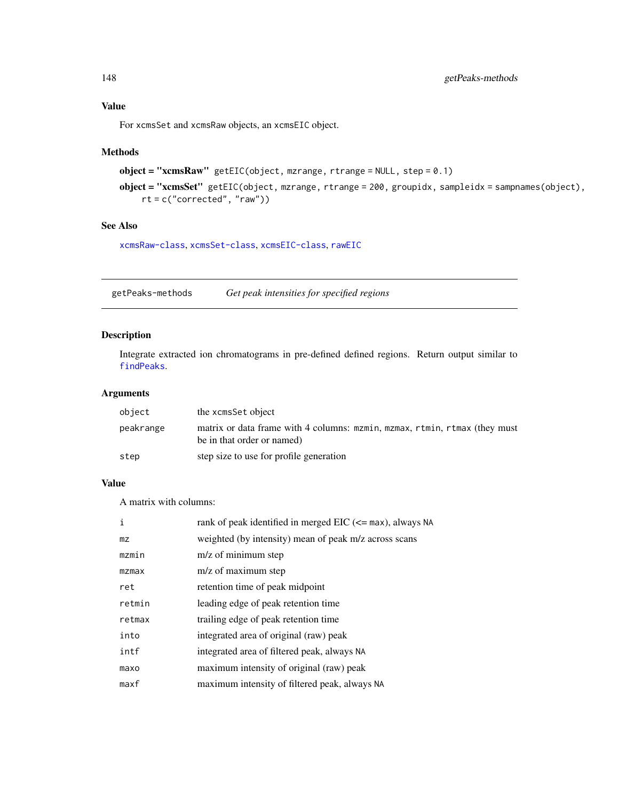## Value

For xcmsSet and xcmsRaw objects, an xcmsEIC object.

# Methods

```
object = "xcmsRaw" getEIC(object, mzrange, rtrange = NULL, step = 0.1)
```

```
object = "xcmsSet" getEIC(object, mzrange, rtrange = 200, groupidx, sampleidx = sampnames(object),
    rt = c("corrected", "raw"))
```
## See Also

[xcmsRaw-class](#page-283-0), [xcmsSet-class](#page-288-0), [xcmsEIC-class](#page-265-0), [rawEIC](#page-226-0)

getPeaks-methods *Get peak intensities for specified regions*

# Description

Integrate extracted ion chromatograms in pre-defined defined regions. Return output similar to [findPeaks](#page-125-1).

# Arguments

| object    | the xcmsSet object                                                                                       |
|-----------|----------------------------------------------------------------------------------------------------------|
| peakrange | matrix or data frame with 4 columns: mzmin, mzmax, rtmin, rtmax (they must<br>be in that order or named) |
| step      | step size to use for profile generation                                                                  |

## Value

A matrix with columns:

| i      | rank of peak identified in merged EIC (<= max), always NA |
|--------|-----------------------------------------------------------|
| mz.    | weighted (by intensity) mean of peak m/z across scans     |
| mzmin  | $m/z$ of minimum step                                     |
| mzmax  | m/z of maximum step                                       |
| ret    | retention time of peak midpoint                           |
| retmin | leading edge of peak retention time                       |
| retmax | trailing edge of peak retention time                      |
| into   | integrated area of original (raw) peak                    |
| intf   | integrated area of filtered peak, always NA               |
| maxo   | maximum intensity of original (raw) peak                  |
| maxf   | maximum intensity of filtered peak, always NA             |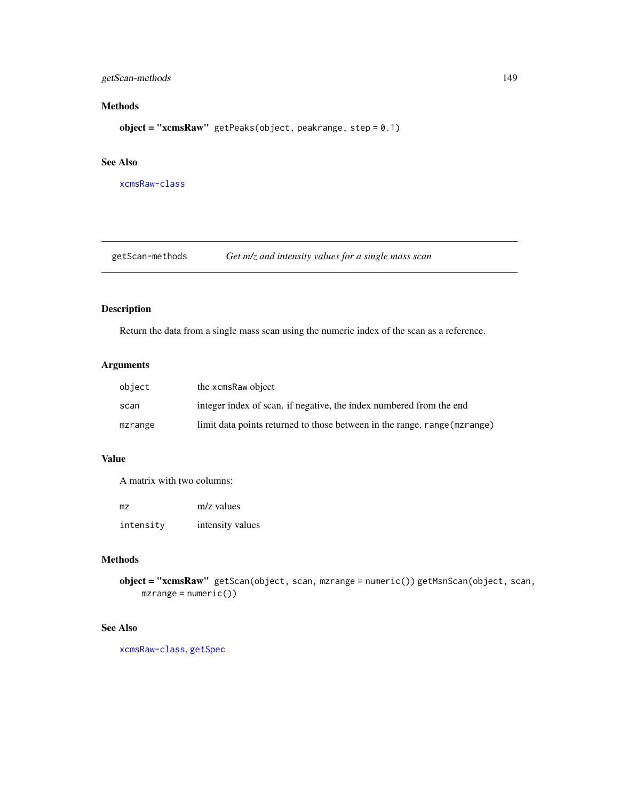# getScan-methods 149

# Methods

object = "xcmsRaw" getPeaks(object, peakrange, step = 0.1)

# See Also

[xcmsRaw-class](#page-283-0)

getScan-methods *Get m/z and intensity values for a single mass scan*

# <span id="page-148-0"></span>Description

Return the data from a single mass scan using the numeric index of the scan as a reference.

# Arguments

| object  | the xcmsRaw object                                                        |
|---------|---------------------------------------------------------------------------|
| scan    | integer index of scan, if negative, the index numbered from the end       |
| mzrange | limit data points returned to those between in the range, range (mzrange) |

# Value

A matrix with two columns:

| mz        | m/z values       |
|-----------|------------------|
| intensity | intensity values |

# Methods

object = "xcmsRaw" getScan(object, scan, mzrange = numeric()) getMsnScan(object, scan, mzrange = numeric())

# See Also

[xcmsRaw-class](#page-283-0), [getSpec](#page-149-0)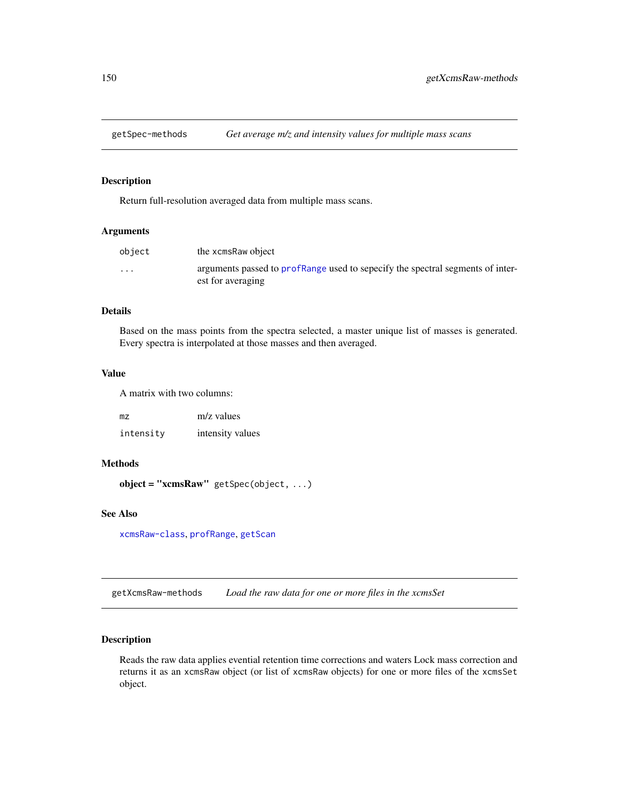### <span id="page-149-0"></span>Description

Return full-resolution averaged data from multiple mass scans.

#### Arguments

| object   | the xcmsRaw object                                                                                  |
|----------|-----------------------------------------------------------------------------------------------------|
| $\cdots$ | arguments passed to profRange used to sepecify the spectral segments of inter-<br>est for averaging |

# Details

Based on the mass points from the spectra selected, a master unique list of masses is generated. Every spectra is interpolated at those masses and then averaged.

# Value

A matrix with two columns:

| mz        | $m/z$ values     |
|-----------|------------------|
| intensity | intensity values |

#### Methods

object = "xcmsRaw" getSpec(object, ...)

#### See Also

[xcmsRaw-class](#page-283-0), [profRange](#page-222-0), [getScan](#page-148-0)

getXcmsRaw-methods *Load the raw data for one or more files in the xcmsSet*

## Description

Reads the raw data applies evential retention time corrections and waters Lock mass correction and returns it as an xcmsRaw object (or list of xcmsRaw objects) for one or more files of the xcmsSet object.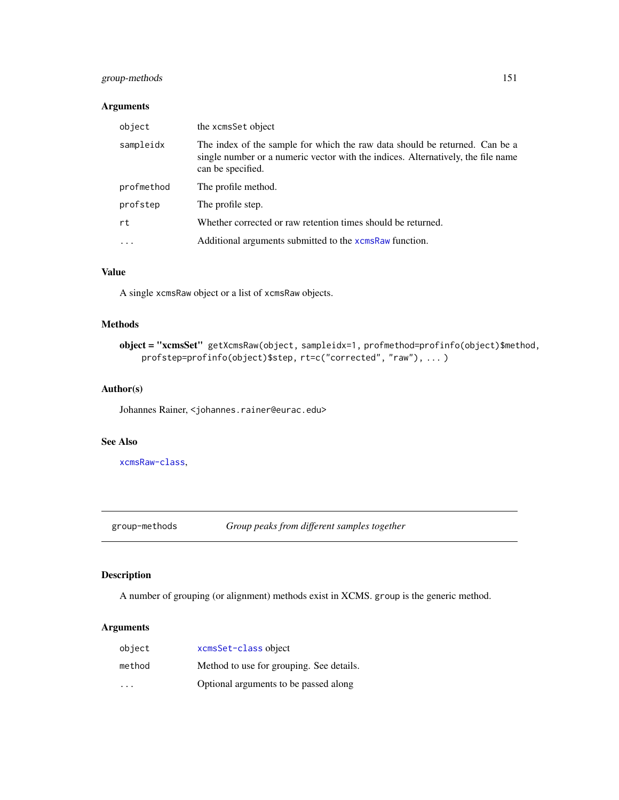# group-methods 151

# Arguments

| object     | the xcmsSet object                                                                                                                                                                   |
|------------|--------------------------------------------------------------------------------------------------------------------------------------------------------------------------------------|
| sampleidx  | The index of the sample for which the raw data should be returned. Can be a<br>single number or a numeric vector with the indices. Alternatively, the file name<br>can be specified. |
| profmethod | The profile method.                                                                                                                                                                  |
| profstep   | The profile step.                                                                                                                                                                    |
| rt         | Whether corrected or raw retention times should be returned.                                                                                                                         |
| $\ddots$   | Additional arguments submitted to the xcmsRaw function.                                                                                                                              |

# Value

A single xcmsRaw object or a list of xcmsRaw objects.

# Methods

```
object = "xcmsSet" getXcmsRaw(object, sampleidx=1, profmethod=profinfo(object)$method,
    profstep=profinfo(object)$step, rt=c("corrected", "raw"), ... )
```
# Author(s)

Johannes Rainer, <johannes.rainer@eurac.edu>

# See Also

[xcmsRaw-class](#page-283-0),

group-methods *Group peaks from different samples together*

# <span id="page-150-0"></span>Description

A number of grouping (or alignment) methods exist in XCMS. group is the generic method.

# Arguments

| object  | xcmsSet-class object                     |
|---------|------------------------------------------|
| method  | Method to use for grouping. See details. |
| $\cdot$ | Optional arguments to be passed along    |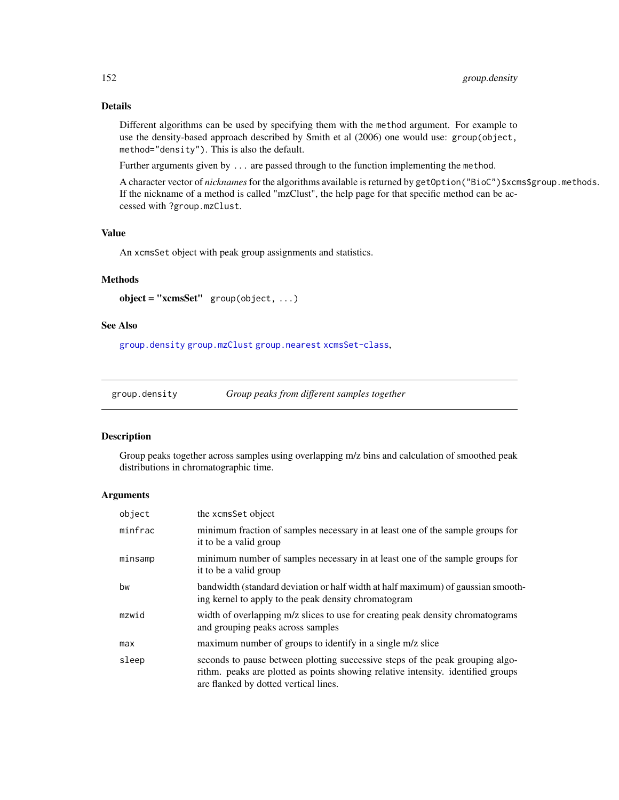# Details

Different algorithms can be used by specifying them with the method argument. For example to use the density-based approach described by Smith et al (2006) one would use: group(object, method="density"). This is also the default.

Further arguments given by ... are passed through to the function implementing the method.

A character vector of *nicknames*for the algorithms available is returned by getOption("BioC")\$xcms\$group.methods. If the nickname of a method is called "mzClust", the help page for that specific method can be accessed with ?group.mzClust.

# Value

An xcmsSet object with peak group assignments and statistics.

#### Methods

```
object = "xcmsSet" group(object, ...)
```
#### See Also

[group.density](#page-151-0) [group.mzClust](#page-152-0) [group.nearest](#page-153-0) [xcmsSet-class](#page-288-0),

<span id="page-151-0"></span>group.density *Group peaks from different samples together*

#### Description

Group peaks together across samples using overlapping m/z bins and calculation of smoothed peak distributions in chromatographic time.

#### Arguments

| object  | the xcmsSet object                                                                                                                                                                                         |
|---------|------------------------------------------------------------------------------------------------------------------------------------------------------------------------------------------------------------|
| minfrac | minimum fraction of samples necessary in at least one of the sample groups for<br>it to be a valid group                                                                                                   |
| minsamp | minimum number of samples necessary in at least one of the sample groups for<br>it to be a valid group                                                                                                     |
| bw      | bandwidth (standard deviation or half width at half maximum) of gaussian smooth-<br>ing kernel to apply to the peak density chromatogram                                                                   |
| mzwid   | width of overlapping m/z slices to use for creating peak density chromatograms<br>and grouping peaks across samples                                                                                        |
| max     | maximum number of groups to identify in a single m/z slice                                                                                                                                                 |
| sleep   | seconds to pause between plotting successive steps of the peak grouping algo-<br>rithm. peaks are plotted as points showing relative intensity. identified groups<br>are flanked by dotted vertical lines. |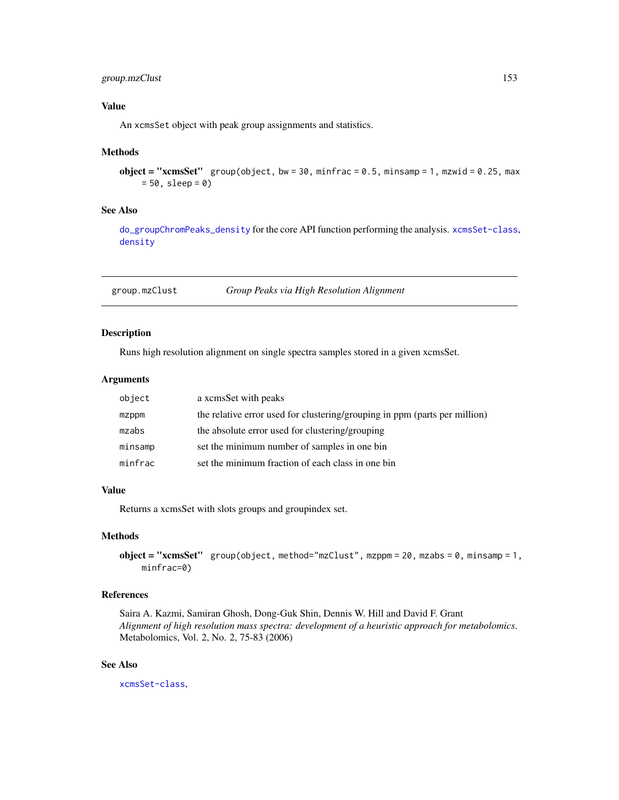# group.mzClust 153

# Value

An xcmsSet object with peak group assignments and statistics.

#### Methods

```
object = "xcmsSet" group(object, bw = 30, minfrac = 0.5, minsamp = 1, mzwid = 0.25, max
    = 50, sleep = 0)
```
# See Also

[do\\_groupChromPeaks\\_density](#page-63-0) for the core API function performing the analysis. [xcmsSet-class](#page-288-0), [density](#page-0-0)

<span id="page-152-0"></span>group.mzClust *Group Peaks via High Resolution Alignment*

# Description

Runs high resolution alignment on single spectra samples stored in a given xcmsSet.

# Arguments

| object  | a xcmsSet with peaks                                                       |
|---------|----------------------------------------------------------------------------|
| mzppm   | the relative error used for clustering/grouping in ppm (parts per million) |
| mzabs   | the absolute error used for clustering/grouping                            |
| minsamp | set the minimum number of samples in one bin                               |
| minfrac | set the minimum fraction of each class in one bin                          |
|         |                                                                            |

# Value

Returns a xcmsSet with slots groups and groupindex set.

#### Methods

 $object = "xcmsSet"$  group(object, method="mzClust", mzppm = 20, mzabs = 0, minsamp = 1, minfrac=0)

# References

Saira A. Kazmi, Samiran Ghosh, Dong-Guk Shin, Dennis W. Hill and David F. Grant *Alignment of high resolution mass spectra: development of a heuristic approach for metabolomics*. Metabolomics, Vol. 2, No. 2, 75-83 (2006)

# See Also

[xcmsSet-class](#page-288-0),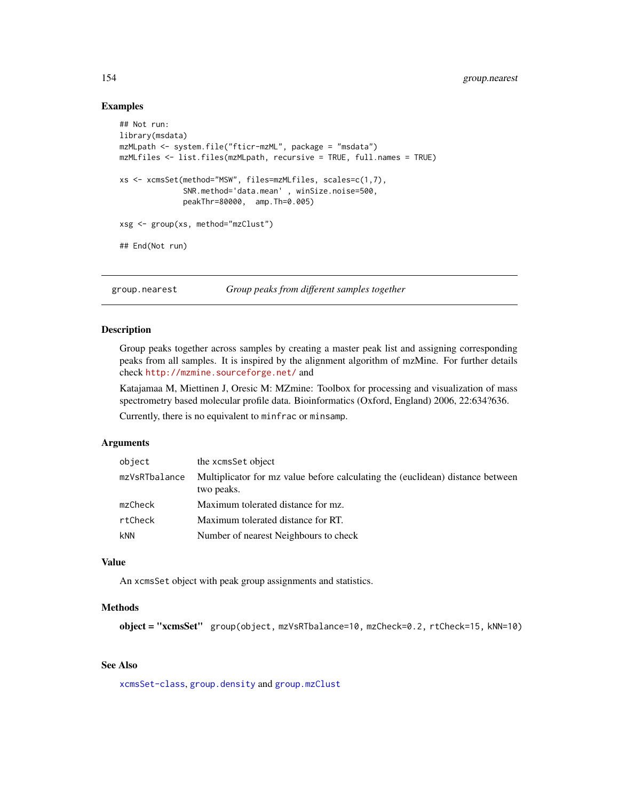## Examples

```
## Not run:
library(msdata)
mzMLpath <- system.file("fticr-mzML", package = "msdata")
mzMLfiles <- list.files(mzMLpath, recursive = TRUE, full.names = TRUE)
xs <- xcmsSet(method="MSW", files=mzMLfiles, scales=c(1,7),
              SNR.method='data.mean' , winSize.noise=500,
              peakThr=80000, amp.Th=0.005)
xsg <- group(xs, method="mzClust")
## End(Not run)
```
<span id="page-153-0"></span>group.nearest *Group peaks from different samples together*

## Description

Group peaks together across samples by creating a master peak list and assigning corresponding peaks from all samples. It is inspired by the alignment algorithm of mzMine. For further details check <http://mzmine.sourceforge.net/> and

Katajamaa M, Miettinen J, Oresic M: MZmine: Toolbox for processing and visualization of mass spectrometry based molecular profile data. Bioinformatics (Oxford, England) 2006, 22:634?636.

Currently, there is no equivalent to minfrac or minsamp.

## Arguments

| object        | the xcmsSet object                                                                           |
|---------------|----------------------------------------------------------------------------------------------|
| mzVsRTbalance | Multiplicator for mz value before calculating the (euclidean) distance between<br>two peaks. |
| mzCheck       | Maximum tolerated distance for mz.                                                           |
| rtCheck       | Maximum tolerated distance for RT.                                                           |
| kNN           | Number of nearest Neighbours to check                                                        |

# Value

An xcmsSet object with peak group assignments and statistics.

## **Methods**

```
object = "xcmsSet" group(object, mzVsRTbalance=10, mzCheck=0.2, rtCheck=15, kNN=10)
```
# See Also

[xcmsSet-class](#page-288-0), [group.density](#page-151-0) and [group.mzClust](#page-152-0)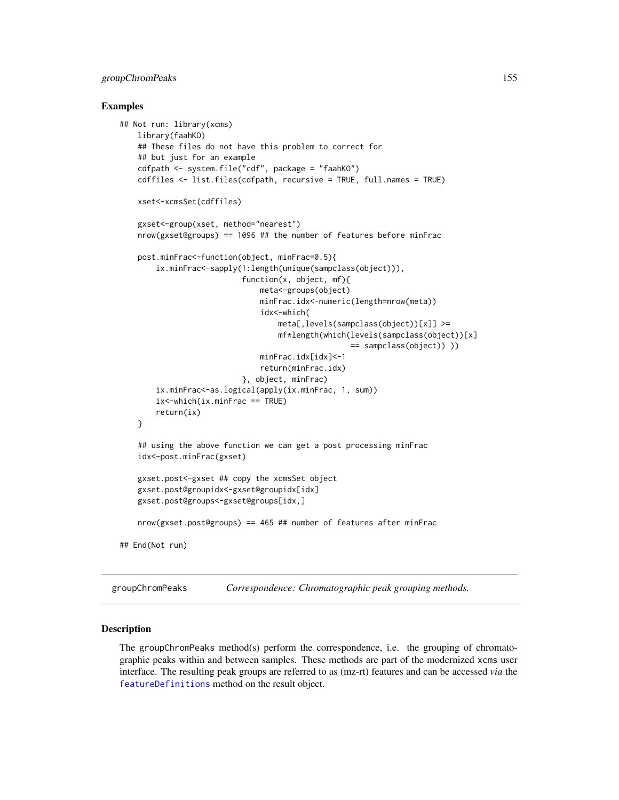# groupChromPeaks 155

#### Examples

```
## Not run: library(xcms)
   library(faahKO)
    ## These files do not have this problem to correct for
   ## but just for an example
    cdfpath <- system.file("cdf", package = "faahKO")
    cdffiles <- list.files(cdfpath, recursive = TRUE, full.names = TRUE)
    xset<-xcmsSet(cdffiles)
    gxset<-group(xset, method="nearest")
   nrow(gxset@groups) == 1096 ## the number of features before minFrac
   post.minFrac<-function(object, minFrac=0.5){
        ix.minFrac<-sapply(1:length(unique(sampclass(object))),
                           function(x, object, mf){
                               meta<-groups(object)
                               minFrac.idx<-numeric(length=nrow(meta))
                               idx<-which(
                                   meta[,levels(sampclass(object))[x]] >=
                                   mf*length(which(levels(sampclass(object))[x]
                                                   == sampclass(object)) ))
                               minFrac.idx[idx]<-1
                               return(minFrac.idx)
                           }, object, minFrac)
       ix.minFrac<-as.logical(apply(ix.minFrac, 1, sum))
       ix<-which(ix.minFrac == TRUE)
       return(ix)
    }
    ## using the above function we can get a post processing minFrac
    idx<-post.minFrac(gxset)
    gxset.post<-gxset ## copy the xcmsSet object
   gxset.post@groupidx<-gxset@groupidx[idx]
    gxset.post@groups<-gxset@groups[idx,]
    nrow(gxset.post@groups) == 465 ## number of features after minFrac
## End(Not run)
```
<span id="page-154-0"></span>groupChromPeaks *Correspondence: Chromatographic peak grouping methods.*

## Description

The groupChromPeaks method(s) perform the correspondence, i.e. the grouping of chromatographic peaks within and between samples. These methods are part of the modernized xcms user interface. The resulting peak groups are referred to as (mz-rt) features and can be accessed *via* the [featureDefinitions](#page-269-0) method on the result object.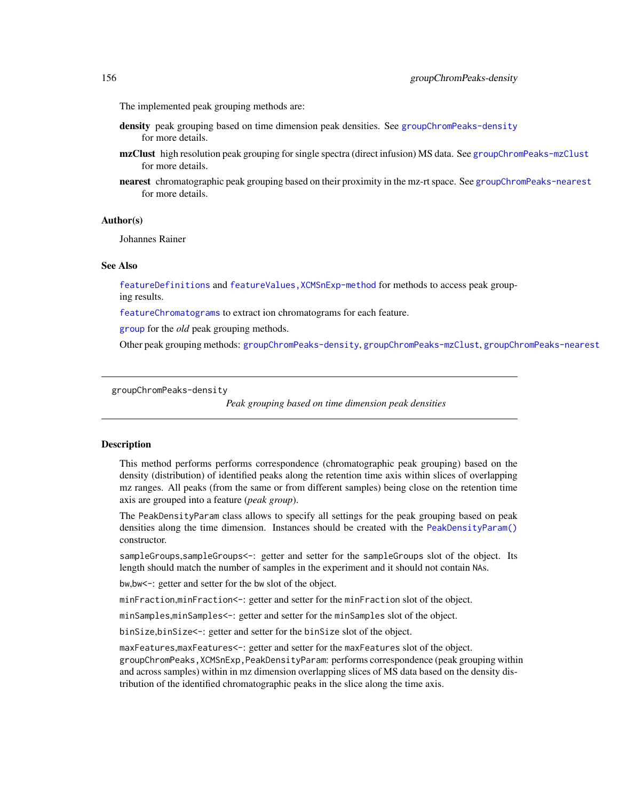The implemented peak grouping methods are:

- density peak grouping based on time dimension peak densities. See [groupChromPeaks-density](#page-155-0) for more details.
- mzClust high resolution peak grouping for single spectra (direct infusion) MS data. See [groupChromPeaks-mzClust](#page-159-0) for more details.
- nearest chromatographic peak grouping based on their proximity in the mz-rt space. See [groupChromPeaks-nearest](#page-162-0) for more details.

#### Author(s)

Johannes Rainer

## See Also

[featureDefinitions](#page-269-0) and [featureValues,XCMSnExp-method](#page-0-0) for methods to access peak grouping results.

[featureChromatograms](#page-74-0) to extract ion chromatograms for each feature.

[group](#page-150-0) for the *old* peak grouping methods.

Other peak grouping methods: [groupChromPeaks-density](#page-155-0), [groupChromPeaks-mzClust](#page-159-0), [groupChromPeaks-nearest](#page-162-0)

<span id="page-155-0"></span>groupChromPeaks-density

*Peak grouping based on time dimension peak densities*

#### <span id="page-155-1"></span>Description

This method performs performs correspondence (chromatographic peak grouping) based on the density (distribution) of identified peaks along the retention time axis within slices of overlapping mz ranges. All peaks (from the same or from different samples) being close on the retention time axis are grouped into a feature (*peak group*).

The PeakDensityParam class allows to specify all settings for the peak grouping based on peak densities along the time dimension. Instances should be created with the [PeakDensityParam\(\)](#page-155-1) constructor.

sampleGroups, sampleGroups<-: getter and setter for the sampleGroups slot of the object. Its length should match the number of samples in the experiment and it should not contain NAs.

bw,bw<-: getter and setter for the bw slot of the object.

minFraction,minFraction<-: getter and setter for the minFraction slot of the object.

minSamples,minSamples<-: getter and setter for the minSamples slot of the object.

binSize,binSize<-: getter and setter for the binSize slot of the object.

maxFeatures,maxFeatures<-: getter and setter for the maxFeatures slot of the object. groupChromPeaks,XCMSnExp,PeakDensityParam: performs correspondence (peak grouping within and across samples) within in mz dimension overlapping slices of MS data based on the density distribution of the identified chromatographic peaks in the slice along the time axis.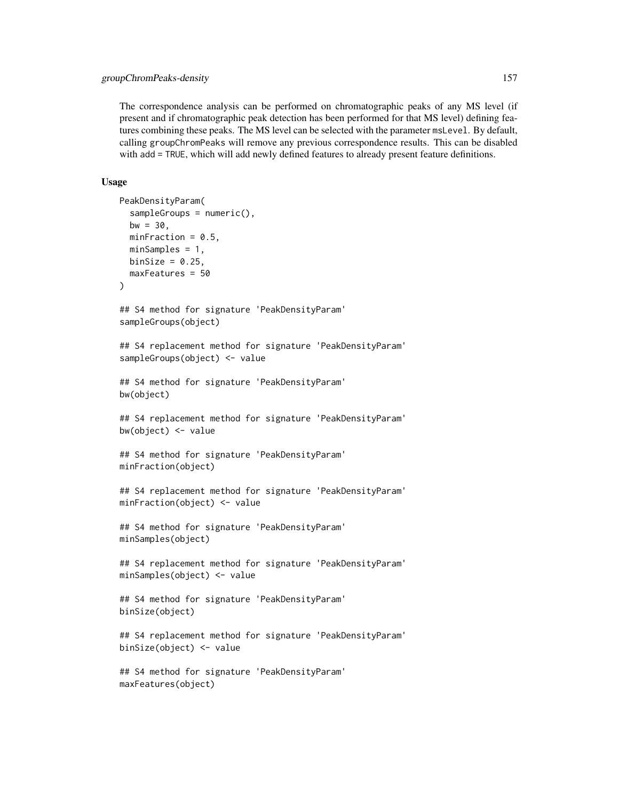The correspondence analysis can be performed on chromatographic peaks of any MS level (if present and if chromatographic peak detection has been performed for that MS level) defining features combining these peaks. The MS level can be selected with the parameter msLevel. By default, calling groupChromPeaks will remove any previous correspondence results. This can be disabled with add = TRUE, which will add newly defined features to already present feature definitions.

## Usage

```
PeakDensityParam(
  sampleGroups = numeric(),
  bw = 30.
 minFraction = 0.5,
 minSamples = 1,
 binSize = 0.25,
 maxFeatures = 50
\lambda## S4 method for signature 'PeakDensityParam'
sampleGroups(object)
## S4 replacement method for signature 'PeakDensityParam'
sampleGroups(object) <- value
## S4 method for signature 'PeakDensityParam'
bw(object)
## S4 replacement method for signature 'PeakDensityParam'
bw(object) <- value
## S4 method for signature 'PeakDensityParam'
minFraction(object)
## S4 replacement method for signature 'PeakDensityParam'
minFraction(object) <- value
## S4 method for signature 'PeakDensityParam'
minSamples(object)
## S4 replacement method for signature 'PeakDensityParam'
minSamples(object) <- value
## S4 method for signature 'PeakDensityParam'
binSize(object)
## S4 replacement method for signature 'PeakDensityParam'
binSize(object) <- value
## S4 method for signature 'PeakDensityParam'
maxFeatures(object)
```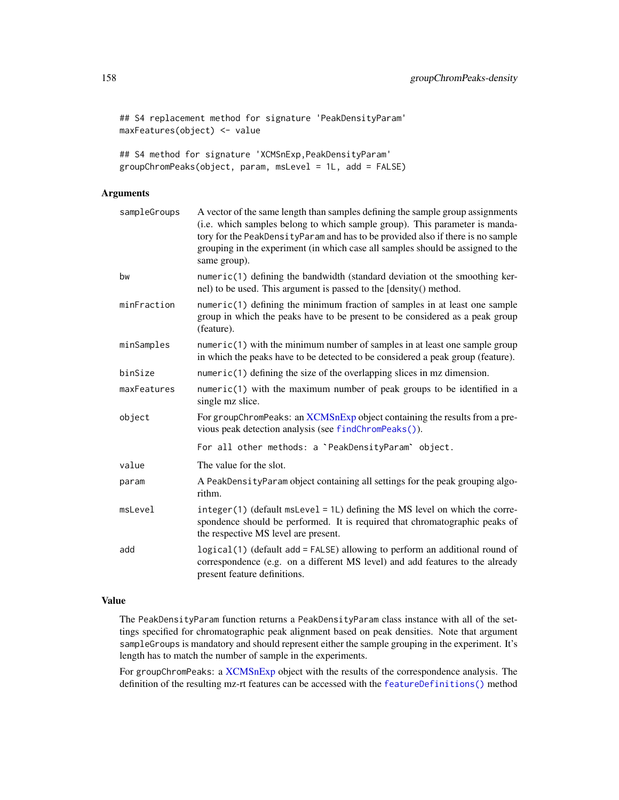```
## S4 replacement method for signature 'PeakDensityParam'
maxFeatures(object) <- value
```

```
## S4 method for signature 'XCMSnExp,PeakDensityParam'
groupChromPeaks(object, param, msLevel = 1L, add = FALSE)
```
## Arguments

| sampleGroups | A vector of the same length than samples defining the sample group assignments<br>(i.e. which samples belong to which sample group). This parameter is manda-<br>tory for the PeakDensityParam and has to be provided also if there is no sample<br>grouping in the experiment (in which case all samples should be assigned to the<br>same group). |  |
|--------------|-----------------------------------------------------------------------------------------------------------------------------------------------------------------------------------------------------------------------------------------------------------------------------------------------------------------------------------------------------|--|
| bw           | numeric(1) defining the bandwidth (standard deviation ot the smoothing ker-<br>nel) to be used. This argument is passed to the [density() method.                                                                                                                                                                                                   |  |
| minFraction  | $numeric(1)$ defining the minimum fraction of samples in at least one sample<br>group in which the peaks have to be present to be considered as a peak group<br>(feature).                                                                                                                                                                          |  |
| minSamples   | $numeric(1)$ with the minimum number of samples in at least one sample group<br>in which the peaks have to be detected to be considered a peak group (feature).                                                                                                                                                                                     |  |
| binSize      | $numeric(1)$ defining the size of the overlapping slices in mz dimension.                                                                                                                                                                                                                                                                           |  |
| maxFeatures  | $numeric(1)$ with the maximum number of peak groups to be identified in a<br>single mz slice.                                                                                                                                                                                                                                                       |  |
| object       | For groupChromPeaks: an XCMSnExp object containing the results from a pre-<br>vious peak detection analysis (see findChromPeaks()).                                                                                                                                                                                                                 |  |
|              | For all other methods: a `PeakDensityParam` object.                                                                                                                                                                                                                                                                                                 |  |
| value        | The value for the slot.                                                                                                                                                                                                                                                                                                                             |  |
| param        | A PeakDensityParam object containing all settings for the peak grouping algo-<br>rithm.                                                                                                                                                                                                                                                             |  |
| msLevel      | integer(1) (default msLevel = 1L) defining the MS level on which the corre-<br>spondence should be performed. It is required that chromatographic peaks of<br>the respective MS level are present.                                                                                                                                                  |  |
| add          | logical(1) (default add = FALSE) allowing to perform an additional round of<br>correspondence (e.g. on a different MS level) and add features to the already<br>present feature definitions.                                                                                                                                                        |  |

## Value

The PeakDensityParam function returns a PeakDensityParam class instance with all of the settings specified for chromatographic peak alignment based on peak densities. Note that argument sampleGroups is mandatory and should represent either the sample grouping in the experiment. It's length has to match the number of sample in the experiments.

For groupChromPeaks: a [XCMSnExp](#page-269-0) object with the results of the correspondence analysis. The definition of the resulting mz-rt features can be accessed with the [featureDefinitions\(\)](#page-269-0) method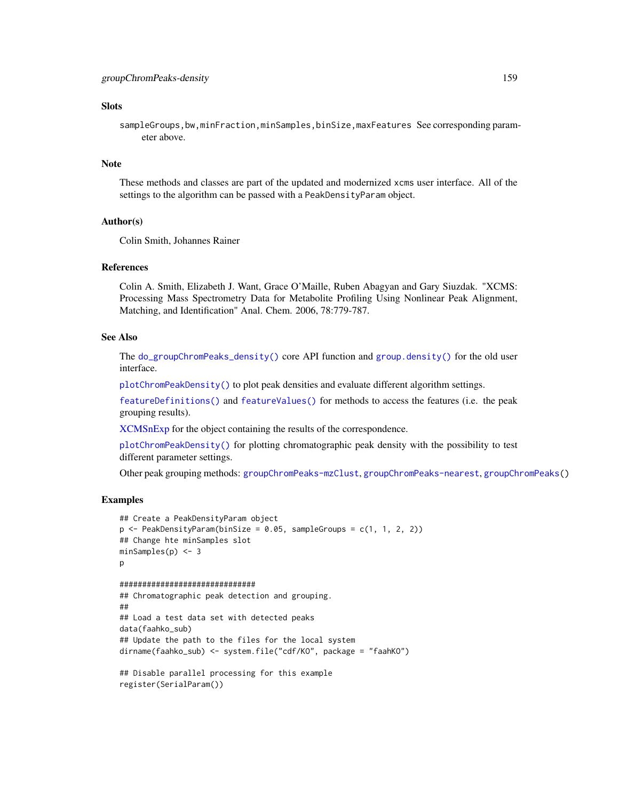# **Slots**

sampleGroups,bw,minFraction,minSamples,binSize,maxFeatures See corresponding parameter above.

#### Note

These methods and classes are part of the updated and modernized xcms user interface. All of the settings to the algorithm can be passed with a PeakDensityParam object.

# Author(s)

Colin Smith, Johannes Rainer

# References

Colin A. Smith, Elizabeth J. Want, Grace O'Maille, Ruben Abagyan and Gary Siuzdak. "XCMS: Processing Mass Spectrometry Data for Metabolite Profiling Using Nonlinear Peak Alignment, Matching, and Identification" Anal. Chem. 2006, 78:779-787.

## See Also

The [do\\_groupChromPeaks\\_density\(\)](#page-63-0) core API function and [group.density\(\)](#page-151-0) for the old user interface.

[plotChromPeakDensity\(\)](#page-204-0) to plot peak densities and evaluate different algorithm settings.

[featureDefinitions\(\)](#page-269-0) and [featureValues\(\)](#page-224-0) for methods to access the features (i.e. the peak grouping results).

[XCMSnExp](#page-269-0) for the object containing the results of the correspondence.

[plotChromPeakDensity\(\)](#page-204-0) for plotting chromatographic peak density with the possibility to test different parameter settings.

Other peak grouping methods: [groupChromPeaks-mzClust](#page-159-0), [groupChromPeaks-nearest](#page-162-0), [groupChromPeaks\(](#page-154-0))

# Examples

```
## Create a PeakDensityParam object
p \leq - PeakDensityParam(binSize = 0.05, sampleGroups = c(1, 1, 2, 2))
## Change hte minSamples slot
minSamples(p) <- 3
\mathsf{D}##############################
## Chromatographic peak detection and grouping.
##
## Load a test data set with detected peaks
data(faahko_sub)
## Update the path to the files for the local system
dirname(faahko_sub) <- system.file("cdf/KO", package = "faahKO")
## Disable parallel processing for this example
register(SerialParam())
```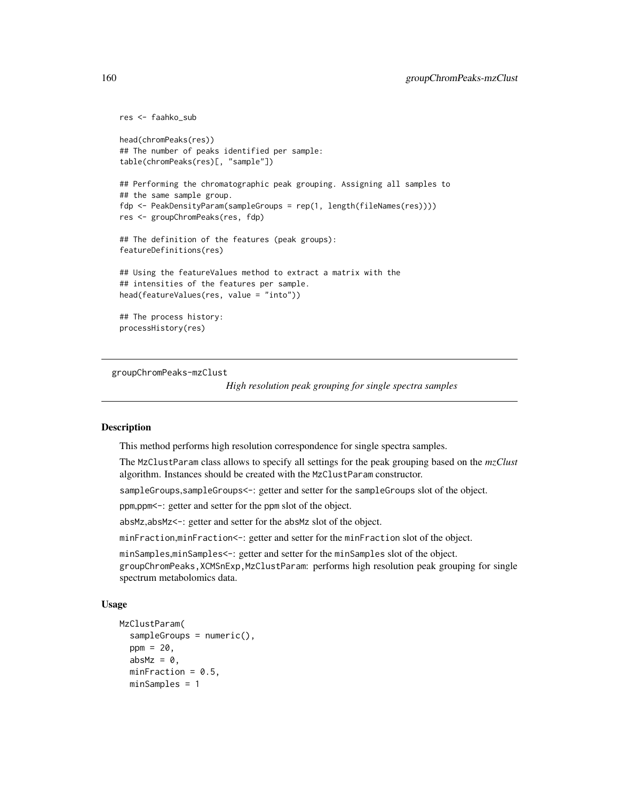```
res <- faahko_sub
head(chromPeaks(res))
## The number of peaks identified per sample:
table(chromPeaks(res)[, "sample"])
## Performing the chromatographic peak grouping. Assigning all samples to
## the same sample group.
fdp <- PeakDensityParam(sampleGroups = rep(1, length(fileNames(res))))
res <- groupChromPeaks(res, fdp)
## The definition of the features (peak groups):
featureDefinitions(res)
## Using the featureValues method to extract a matrix with the
## intensities of the features per sample.
head(featureValues(res, value = "into"))
## The process history:
processHistory(res)
```
<span id="page-159-0"></span>groupChromPeaks-mzClust

*High resolution peak grouping for single spectra samples*

# <span id="page-159-1"></span>Description

This method performs high resolution correspondence for single spectra samples.

The MzClustParam class allows to specify all settings for the peak grouping based on the *mzClust* algorithm. Instances should be created with the MzClustParam constructor.

sampleGroups, sampleGroups <-: getter and setter for the sampleGroups slot of the object.

ppm,ppm<-: getter and setter for the ppm slot of the object.

absMz,absMz<-: getter and setter for the absMz slot of the object.

minFraction,minFraction<-: getter and setter for the minFraction slot of the object.

minSamples,minSamples<-: getter and setter for the minSamples slot of the object.

groupChromPeaks,XCMSnExp,MzClustParam: performs high resolution peak grouping for single spectrum metabolomics data.

## Usage

```
MzClustParam(
  sampleGroups = numeric(),
  ppm = 20,
  absMz = \theta,
  minFraction = 0.5,
 minSamples = 1
```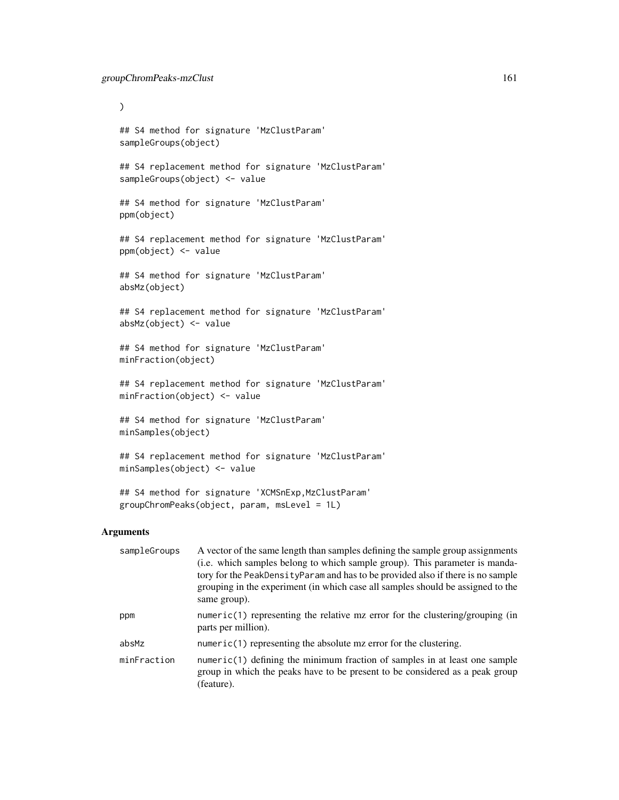$\mathcal{L}$ 

```
## S4 method for signature 'MzClustParam'
sampleGroups(object)
```
## S4 replacement method for signature 'MzClustParam' sampleGroups(object) <- value

## S4 method for signature 'MzClustParam' ppm(object)

## S4 replacement method for signature 'MzClustParam' ppm(object) <- value

## S4 method for signature 'MzClustParam' absMz(object)

## S4 replacement method for signature 'MzClustParam' absMz(object) <- value

## S4 method for signature 'MzClustParam' minFraction(object)

## S4 replacement method for signature 'MzClustParam' minFraction(object) <- value

## S4 method for signature 'MzClustParam' minSamples(object)

## S4 replacement method for signature 'MzClustParam' minSamples(object) <- value

## S4 method for signature 'XCMSnExp,MzClustParam' groupChromPeaks(object, param, msLevel = 1L)

#### Arguments

| sampleGroups | A vector of the same length than samples defining the sample group assignments<br>(i.e. which samples belong to which sample group). This parameter is manda-<br>tory for the PeakDensityParam and has to be provided also if there is no sample<br>grouping in the experiment (in which case all samples should be assigned to the<br>same group). |
|--------------|-----------------------------------------------------------------------------------------------------------------------------------------------------------------------------------------------------------------------------------------------------------------------------------------------------------------------------------------------------|
| ppm          | numeric(1) representing the relative mz error for the clustering/grouping (in<br>parts per million).                                                                                                                                                                                                                                                |
| absMz        | $numeric(1)$ representing the absolute mz error for the clustering.                                                                                                                                                                                                                                                                                 |
| minFraction  | $numeric(1)$ defining the minimum fraction of samples in at least one sample<br>group in which the peaks have to be present to be considered as a peak group<br>(feature).                                                                                                                                                                          |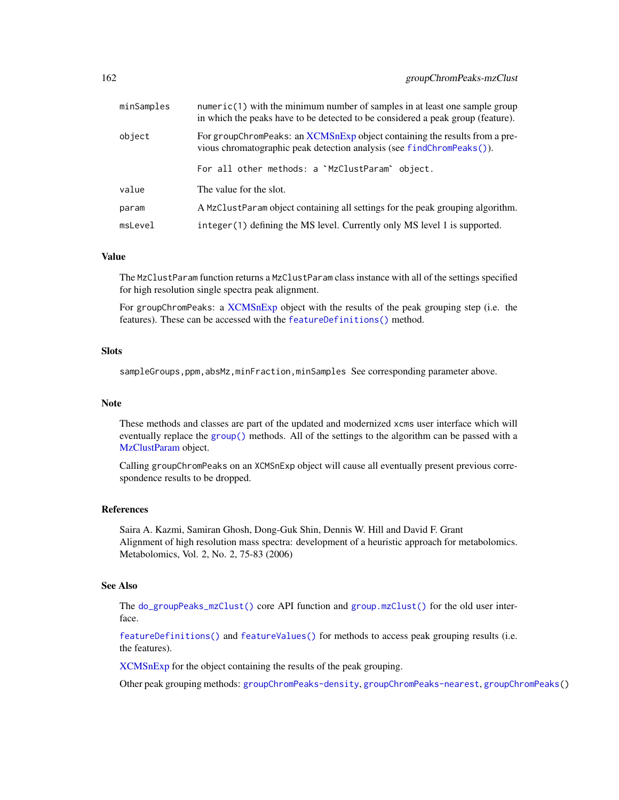| minSamples | $numeric(1)$ with the minimum number of samples in at least one sample group<br>in which the peaks have to be detected to be considered a peak group (feature). |
|------------|-----------------------------------------------------------------------------------------------------------------------------------------------------------------|
| object     | For groupChromPeaks: an XCMSnExp object containing the results from a pre-<br>vious chromatographic peak detection analysis (see findChromPeaks()).             |
|            | For all other methods: a `MzClustParam` object.                                                                                                                 |
| value      | The value for the slot.                                                                                                                                         |
| param      | A MzClustParam object containing all settings for the peak grouping algorithm.                                                                                  |
| msLevel    | integer(1) defining the MS level. Currently only MS level 1 is supported.                                                                                       |

## Value

The MzClustParam function returns a MzClustParam class instance with all of the settings specified for high resolution single spectra peak alignment.

For groupChromPeaks: a [XCMSnExp](#page-269-0) object with the results of the peak grouping step (i.e. the features). These can be accessed with the [featureDefinitions\(\)](#page-269-0) method.

# Slots

sampleGroups, ppm, absMz, minFraction, minSamples See corresponding parameter above.

#### Note

These methods and classes are part of the updated and modernized xcms user interface which will eventually replace the [group\(\)](#page-150-0) methods. All of the settings to the algorithm can be passed with a [MzClustParam](#page-159-1) object.

Calling groupChromPeaks on an XCMSnExp object will cause all eventually present previous correspondence results to be dropped.

#### References

Saira A. Kazmi, Samiran Ghosh, Dong-Guk Shin, Dennis W. Hill and David F. Grant Alignment of high resolution mass spectra: development of a heuristic approach for metabolomics. Metabolomics, Vol. 2, No. 2, 75-83 (2006)

# See Also

The [do\\_groupPeaks\\_mzClust\(\)](#page-67-0) core API function and [group.mzClust\(\)](#page-152-0) for the old user interface.

[featureDefinitions\(\)](#page-269-0) and [featureValues\(\)](#page-224-0) for methods to access peak grouping results (i.e. the features).

[XCMSnExp](#page-269-0) for the object containing the results of the peak grouping.

Other peak grouping methods: [groupChromPeaks-density](#page-155-0), [groupChromPeaks-nearest](#page-162-0), [groupChromPeaks\(](#page-154-0))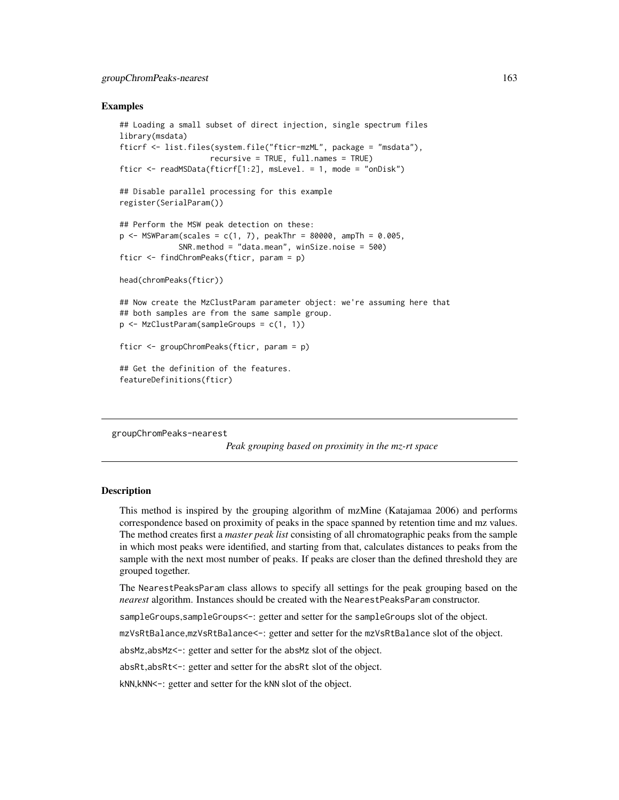## Examples

```
## Loading a small subset of direct injection, single spectrum files
library(msdata)
fticrf <- list.files(system.file("fticr-mzML", package = "msdata"),
                    recursive = TRUE, full.names = TRUE)
fticr <- readMSData(fticrf[1:2], msLevel. = 1, mode = "onDisk")
## Disable parallel processing for this example
register(SerialParam())
## Perform the MSW peak detection on these:
p \leq - MSWParam(scales = c(1, 7), peakThr = 80000, ampTh = 0.005,
             SNR.method = "data.mean", winSize.noise = 500)
fticr <- findChromPeaks(fticr, param = p)
head(chromPeaks(fticr))
## Now create the MzClustParam parameter object: we're assuming here that
## both samples are from the same sample group.
p <- MzClustParam(sampleGroups = c(1, 1))
fticr <- groupChromPeaks(fticr, param = p)
## Get the definition of the features.
featureDefinitions(fticr)
```
<span id="page-162-0"></span>groupChromPeaks-nearest

*Peak grouping based on proximity in the mz-rt space*

## Description

This method is inspired by the grouping algorithm of mzMine (Katajamaa 2006) and performs correspondence based on proximity of peaks in the space spanned by retention time and mz values. The method creates first a *master peak list* consisting of all chromatographic peaks from the sample in which most peaks were identified, and starting from that, calculates distances to peaks from the sample with the next most number of peaks. If peaks are closer than the defined threshold they are grouped together.

The NearestPeaksParam class allows to specify all settings for the peak grouping based on the *nearest* algorithm. Instances should be created with the NearestPeaksParam constructor.

sampleGroups, sampleGroups<-: getter and setter for the sampleGroups slot of the object.

mzVsRtBalance,mzVsRtBalance<-: getter and setter for the mzVsRtBalance slot of the object.

absMz,absMz<-: getter and setter for the absMz slot of the object.

absRt,absRt<-: getter and setter for the absRt slot of the object.

kNN,kNN<-: getter and setter for the kNN slot of the object.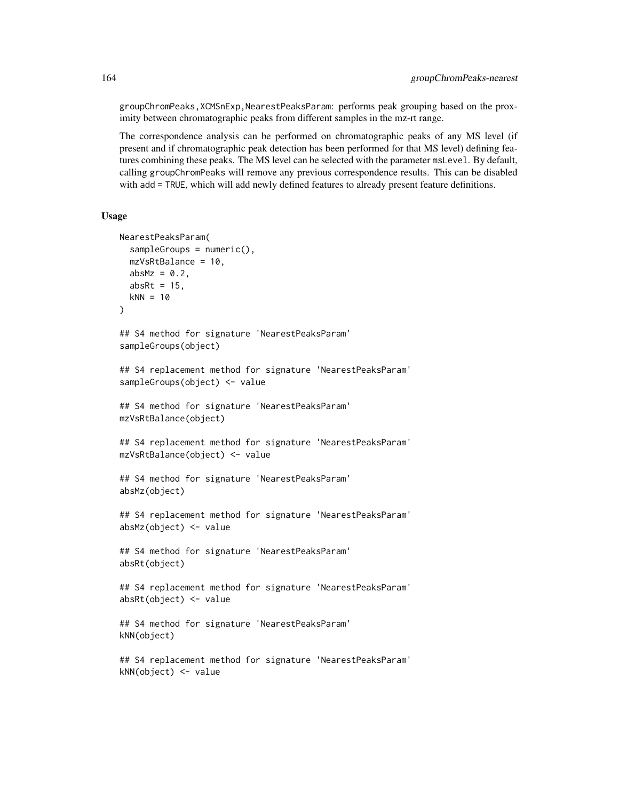groupChromPeaks,XCMSnExp,NearestPeaksParam: performs peak grouping based on the proximity between chromatographic peaks from different samples in the mz-rt range.

The correspondence analysis can be performed on chromatographic peaks of any MS level (if present and if chromatographic peak detection has been performed for that MS level) defining features combining these peaks. The MS level can be selected with the parameter msLevel. By default, calling groupChromPeaks will remove any previous correspondence results. This can be disabled with add = TRUE, which will add newly defined features to already present feature definitions.

# Usage

```
NearestPeaksParam(
  sampleGroups = numeric(),
  mzVsRtBalance = 10,
  absMz = 0.2,
  absRt = 15.
 kNN = 10\lambda## S4 method for signature 'NearestPeaksParam'
sampleGroups(object)
## S4 replacement method for signature 'NearestPeaksParam'
sampleGroups(object) <- value
## S4 method for signature 'NearestPeaksParam'
mzVsRtBalance(object)
## S4 replacement method for signature 'NearestPeaksParam'
mzVsRtBalance(object) <- value
## S4 method for signature 'NearestPeaksParam'
absMz(object)
## S4 replacement method for signature 'NearestPeaksParam'
absMz(object) <- value
## S4 method for signature 'NearestPeaksParam'
absRt(object)
## S4 replacement method for signature 'NearestPeaksParam'
absRt(object) <- value
## S4 method for signature 'NearestPeaksParam'
kNN(object)
## S4 replacement method for signature 'NearestPeaksParam'
kNN(object) <- value
```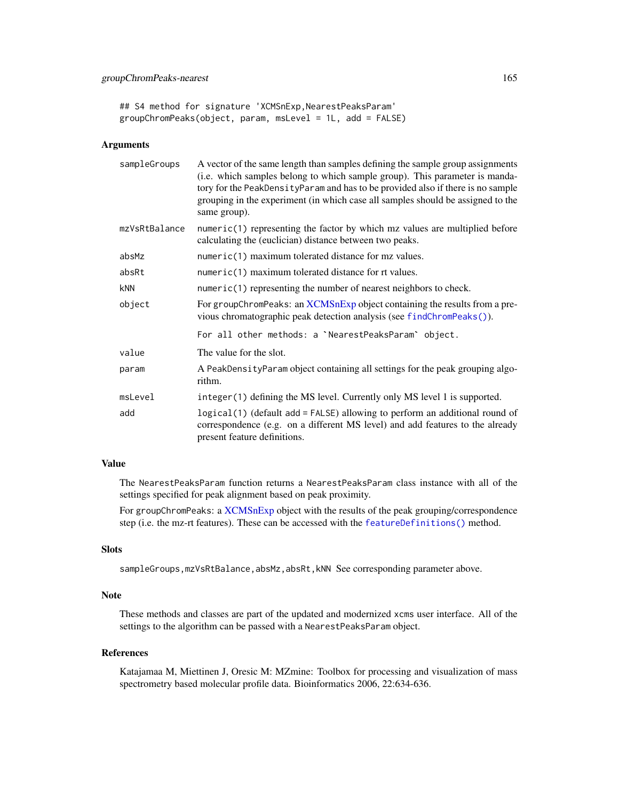## S4 method for signature 'XCMSnExp,NearestPeaksParam' groupChromPeaks(object, param, msLevel = 1L, add = FALSE)

# Arguments

| sampleGroups  | A vector of the same length than samples defining the sample group assignments<br>(i.e. which samples belong to which sample group). This parameter is manda-<br>tory for the PeakDensityParam and has to be provided also if there is no sample<br>grouping in the experiment (in which case all samples should be assigned to the<br>same group). |
|---------------|-----------------------------------------------------------------------------------------------------------------------------------------------------------------------------------------------------------------------------------------------------------------------------------------------------------------------------------------------------|
| mzVsRtBalance | $numeric(1)$ representing the factor by which $mz$ values are multiplied before<br>calculating the (euclician) distance between two peaks.                                                                                                                                                                                                          |
| absMz         | numeric(1) maximum tolerated distance for mz values.                                                                                                                                                                                                                                                                                                |
| absRt         | numeric(1) maximum tolerated distance for rt values.                                                                                                                                                                                                                                                                                                |
| <b>kNN</b>    | $numeric(1)$ representing the number of nearest neighbors to check.                                                                                                                                                                                                                                                                                 |
| object        | For groupChromPeaks: an XCMSnExp object containing the results from a pre-<br>vious chromatographic peak detection analysis (see findChromPeaks()).                                                                                                                                                                                                 |
|               | For all other methods: a `NearestPeaksParam` object.                                                                                                                                                                                                                                                                                                |
| value         | The value for the slot.                                                                                                                                                                                                                                                                                                                             |
| param         | A PeakDensityParam object containing all settings for the peak grouping algo-<br>rithm.                                                                                                                                                                                                                                                             |
| msLevel       | integer (1) defining the MS level. Currently only MS level 1 is supported.                                                                                                                                                                                                                                                                          |
| add           | logical(1) (default add = FALSE) allowing to perform an additional round of<br>correspondence (e.g. on a different MS level) and add features to the already<br>present feature definitions.                                                                                                                                                        |

#### Value

The NearestPeaksParam function returns a NearestPeaksParam class instance with all of the settings specified for peak alignment based on peak proximity.

For groupChromPeaks: a [XCMSnExp](#page-269-0) object with the results of the peak grouping/correspondence step (i.e. the mz-rt features). These can be accessed with the [featureDefinitions\(\)](#page-269-0) method.

# **Slots**

sampleGroups, mzVsRtBalance, absMz, absRt, kNN See corresponding parameter above.

## Note

These methods and classes are part of the updated and modernized xcms user interface. All of the settings to the algorithm can be passed with a NearestPeaksParam object.

#### References

Katajamaa M, Miettinen J, Oresic M: MZmine: Toolbox for processing and visualization of mass spectrometry based molecular profile data. Bioinformatics 2006, 22:634-636.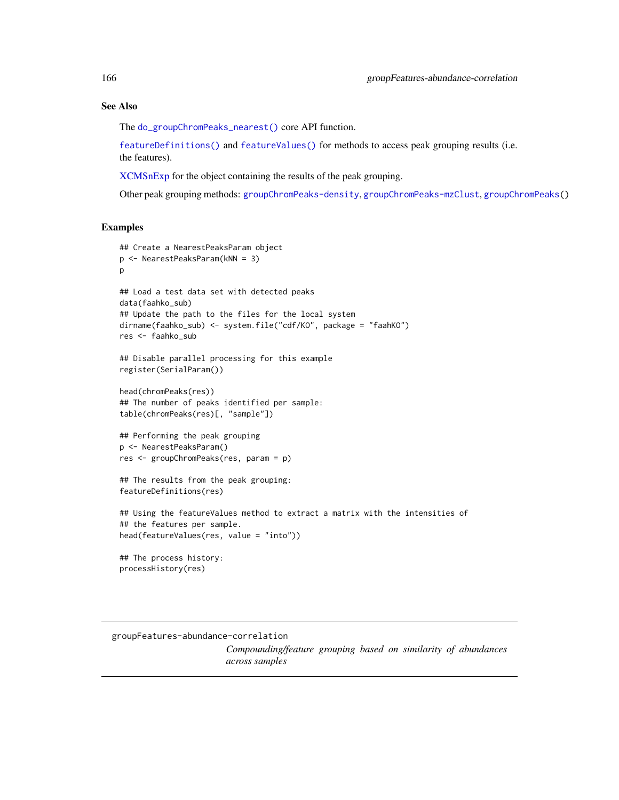# See Also

The [do\\_groupChromPeaks\\_nearest\(\)](#page-65-0) core API function.

[featureDefinitions\(\)](#page-269-0) and [featureValues\(\)](#page-224-0) for methods to access peak grouping results (i.e. the features).

[XCMSnExp](#page-269-0) for the object containing the results of the peak grouping.

Other peak grouping methods: [groupChromPeaks-density](#page-155-0), [groupChromPeaks-mzClust](#page-159-0), [groupChromPeaks\(](#page-154-0))

## Examples

```
## Create a NearestPeaksParam object
p <- NearestPeaksParam(kNN = 3)
p
## Load a test data set with detected peaks
data(faahko_sub)
## Update the path to the files for the local system
dirname(faahko_sub) <- system.file("cdf/KO", package = "faahKO")
res <- faahko_sub
## Disable parallel processing for this example
register(SerialParam())
head(chromPeaks(res))
## The number of peaks identified per sample:
table(chromPeaks(res)[, "sample"])
## Performing the peak grouping
p <- NearestPeaksParam()
res <- groupChromPeaks(res, param = p)
## The results from the peak grouping:
featureDefinitions(res)
## Using the featureValues method to extract a matrix with the intensities of
## the features per sample.
head(featureValues(res, value = "into"))
## The process history:
processHistory(res)
```
<span id="page-165-0"></span>groupFeatures-abundance-correlation *Compounding/feature grouping based on similarity of abundances*

*across samples*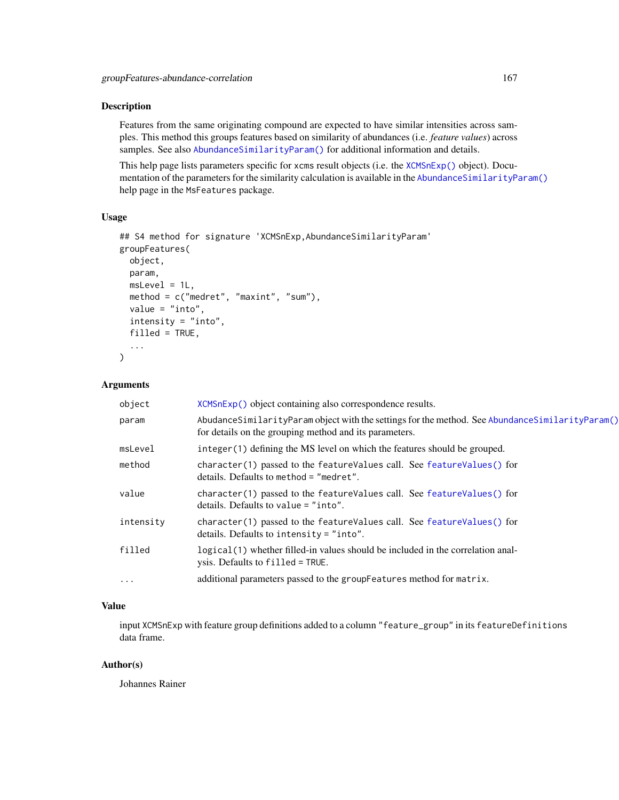# Description

Features from the same originating compound are expected to have similar intensities across samples. This method this groups features based on similarity of abundances (i.e. *feature values*) across samples. See also [AbundanceSimilarityParam\(\)](#page-0-0) for additional information and details.

This help page lists parameters specific for xcms result objects (i.e. the [XCMSnExp\(\)](#page-269-0) object). Docu-mentation of the parameters for the similarity calculation is available in the [AbundanceSimilarityParam\(\)](#page-0-0) help page in the MsFeatures package.

# Usage

```
## S4 method for signature 'XCMSnExp, AbundanceSimilarityParam'
groupFeatures(
 object,
 param,
 msLevel = 1L,
 method = c("medret", "maxint", "sum"),
 value = "into",
  intensity = "into",
  filled = TRUE,
  ...
\lambda
```
# Arguments

| object    | XCMSnExp() object containing also correspondence results.                                                                                                 |
|-----------|-----------------------------------------------------------------------------------------------------------------------------------------------------------|
| param     | AbudanceSimilarityParam object with the settings for the method. See AbundanceSimilarityParam()<br>for details on the grouping method and its parameters. |
| msLevel   | integer (1) defining the MS level on which the features should be grouped.                                                                                |
| method    | character(1) passed to the feature Values call. See feature Values() for<br>details. Defaults to method $=$ "medret".                                     |
| value     | character(1) passed to the feature Values call. See feature Values() for<br>details. Defaults to value $=$ "into".                                        |
| intensity | character(1) passed to the feature Values call. See feature Values() for<br>details. Defaults to intensity $=$ "into".                                    |
| filled    | logical(1) whether filled-in values should be included in the correlation anal-<br>ysis. Defaults to filled = TRUE.                                       |
| $\cdots$  | additional parameters passed to the group Features method for matrix.                                                                                     |

# Value

input XCMSnExp with feature group definitions added to a column "feature\_group" in its featureDefinitions data frame.

## Author(s)

Johannes Rainer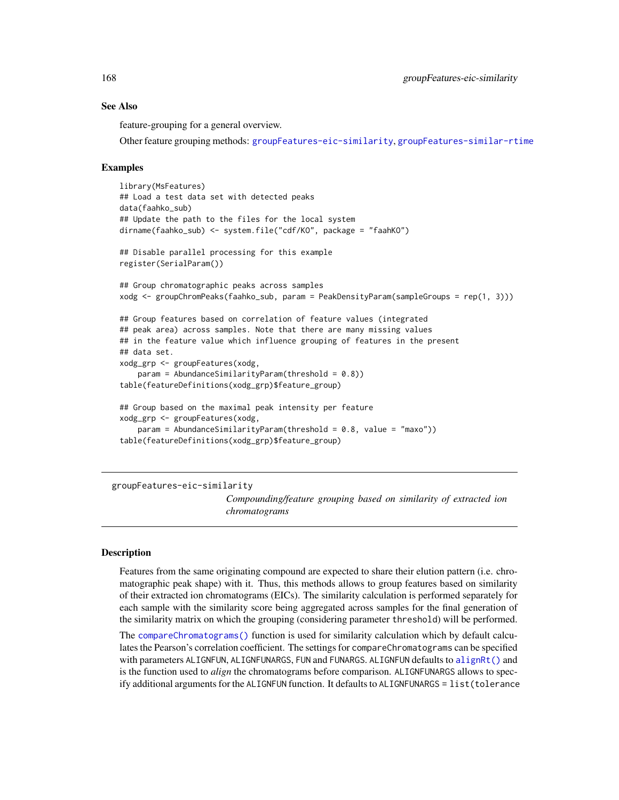## See Also

feature-grouping for a general overview.

Other feature grouping methods: [groupFeatures-eic-similarity](#page-167-0), [groupFeatures-similar-rtime](#page-170-0)

#### Examples

```
library(MsFeatures)
## Load a test data set with detected peaks
data(faahko_sub)
## Update the path to the files for the local system
dirname(faahko_sub) <- system.file("cdf/KO", package = "faahKO")
## Disable parallel processing for this example
register(SerialParam())
## Group chromatographic peaks across samples
xodg <- groupChromPeaks(faahko_sub, param = PeakDensityParam(sampleGroups = rep(1, 3)))
## Group features based on correlation of feature values (integrated
## peak area) across samples. Note that there are many missing values
## in the feature value which influence grouping of features in the present
## data set.
xodg_grp <- groupFeatures(xodg,
    param = AbundanceSimilarityParam(threshold = <math>0.8</math>)table(featureDefinitions(xodg_grp)$feature_group)
## Group based on the maximal peak intensity per feature
xodg_grp <- groupFeatures(xodg,
    param = AbundanceSimilarityParam(threshold = 0.8, value = "maxo"))
table(featureDefinitions(xodg_grp)$feature_group)
```
<span id="page-167-0"></span>groupFeatures-eic-similarity

*Compounding/feature grouping based on similarity of extracted ion chromatograms*

### Description

Features from the same originating compound are expected to share their elution pattern (i.e. chromatographic peak shape) with it. Thus, this methods allows to group features based on similarity of their extracted ion chromatograms (EICs). The similarity calculation is performed separately for each sample with the similarity score being aggregated across samples for the final generation of the similarity matrix on which the grouping (considering parameter threshold) will be performed.

The [compareChromatograms\(\)](#page-0-0) function is used for similarity calculation which by default calculates the Pearson's correlation coefficient. The settings for compareChromatograms can be specified with parameters ALIGNFUN, ALIGNFUNARGS, FUN and FUNARGS. ALIGNFUN defaults to alignRt () and is the function used to *align* the chromatograms before comparison. ALIGNFUNARGS allows to specify additional arguments for the ALIGNFUN function. It defaults to ALIGNFUNARGS = list(tolerance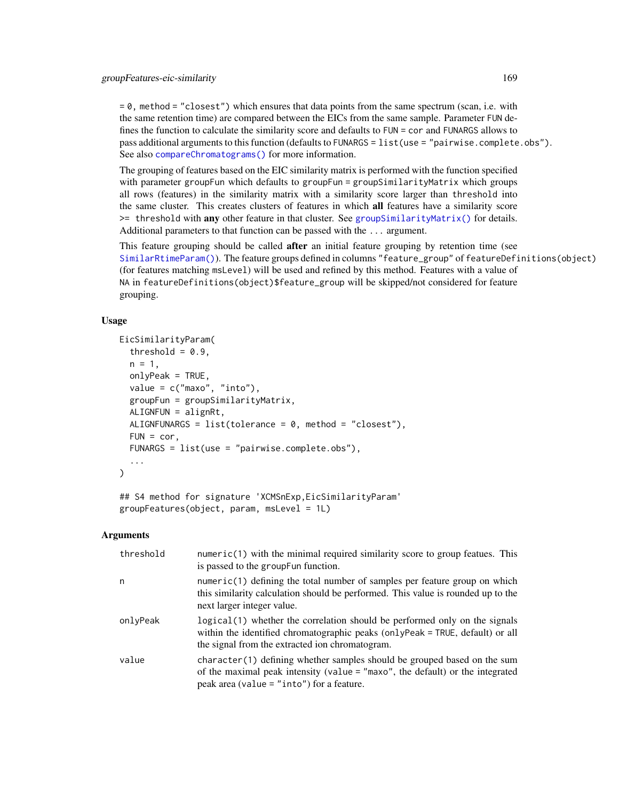= 0, method = "closest") which ensures that data points from the same spectrum (scan, i.e. with the same retention time) are compared between the EICs from the same sample. Parameter FUN defines the function to calculate the similarity score and defaults to FUN = cor and FUNARGS allows to pass additional arguments to this function (defaults to FUNARGS = list(use = "pairwise.complete.obs"). See also [compareChromatograms\(\)](#page-0-0) for more information.

The grouping of features based on the EIC similarity matrix is performed with the function specified with parameter groupFun which defaults to groupFun = groupSimilarityMatrix which groups all rows (features) in the similarity matrix with a similarity score larger than threshold into the same cluster. This creates clusters of features in which all features have a similarity score >= threshold with any other feature in that cluster. See [groupSimilarityMatrix\(\)](#page-0-0) for details. Additional parameters to that function can be passed with the ... argument.

This feature grouping should be called **after** an initial feature grouping by retention time (see [SimilarRtimeParam\(\)](#page-0-0)). The feature groups defined in columns "feature\_group" of featureDefinitions(object) (for features matching msLevel) will be used and refined by this method. Features with a value of NA in featureDefinitions(object)\$feature\_group will be skipped/not considered for feature grouping.

# Usage

```
EicSimilarityParam(
  threshold = 0.9,
  n = 1,
  onlyPeak = TRUE,
  value = c("maxo", "into"),
  groupFun = groupSimilarityMatrix,
  ALIGNFUN = alignRt,
 ALIGNFUNARGS = list(toherence = 0, method = "closest"),
  FUN = cor,
  FUNARGS = list(use = "pairwise.complete.obs"),
  ...
\mathcal{L}
```
## S4 method for signature 'XCMSnExp,EicSimilarityParam' groupFeatures(object, param, msLevel = 1L)

## Arguments

| threshold | $numeric(1)$ with the minimal required similarity score to group features. This<br>is passed to the group Fun function.                                                                                         |
|-----------|-----------------------------------------------------------------------------------------------------------------------------------------------------------------------------------------------------------------|
| n         | $numeric(1)$ defining the total number of samples per feature group on which<br>this similarity calculation should be performed. This value is rounded up to the<br>next larger integer value.                  |
| onlyPeak  | logical (1) whether the correlation should be performed only on the signals<br>within the identified chromatographic peaks (onlyPeak = TRUE, default) or all<br>the signal from the extracted ion chromatogram. |
| value     | character (1) defining whether samples should be grouped based on the sum<br>of the maximal peak intensity (value $=$ "maxo", the default) or the integrated<br>peak area (value $=$ "into") for a feature.     |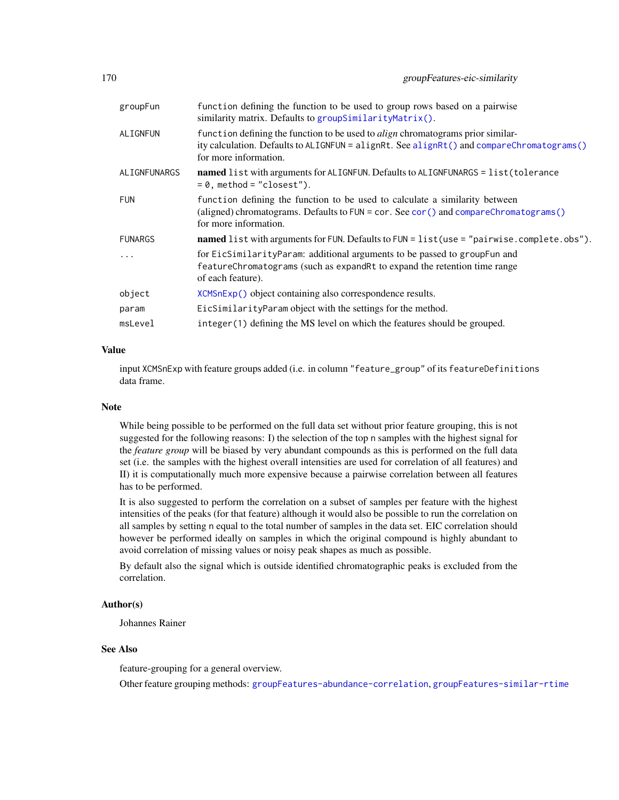| groupFun       | function defining the function to be used to group rows based on a pairwise<br>similarity matrix. Defaults to groupSimilarityMatrix().                                                                       |
|----------------|--------------------------------------------------------------------------------------------------------------------------------------------------------------------------------------------------------------|
| ALIGNFUN       | function defining the function to be used to <i>align</i> chromatograms prior similar-<br>ity calculation. Defaults to ALIGNFUN = alignRt. See alignRt() and compareChromatograms()<br>for more information. |
| ALIGNFUNARGS   | named list with arguments for ALIGNFUN. Defaults to ALIGNFUNARGS = list (tolerance<br>$= 0$ , method = "closest").                                                                                           |
| <b>FUN</b>     | function defining the function to be used to calculate a similarity between<br>(aligned) chromatograms. Defaults to FUN = cor. See cor () and compareChromatograms ()<br>for more information.               |
| <b>FUNARGS</b> | named list with arguments for FUN. Defaults to FUN = list (use = "pairwise.complete.obs").                                                                                                                   |
| $\cdots$       | for EicSimilarityParam: additional arguments to be passed to groupFun and<br>featureChromatograms (such as expandRt to expand the retention time range<br>of each feature).                                  |
| object         | XCMSnExp() object containing also correspondence results.                                                                                                                                                    |
| param          | EicSimilarityParam object with the settings for the method.                                                                                                                                                  |
| msLevel        | integer(1) defining the MS level on which the features should be grouped.                                                                                                                                    |
|                |                                                                                                                                                                                                              |

# Value

input XCMSnExp with feature groups added (i.e. in column "feature\_group" of its featureDefinitions data frame.

#### Note

While being possible to be performed on the full data set without prior feature grouping, this is not suggested for the following reasons: I) the selection of the top n samples with the highest signal for the *feature group* will be biased by very abundant compounds as this is performed on the full data set (i.e. the samples with the highest overall intensities are used for correlation of all features) and II) it is computationally much more expensive because a pairwise correlation between all features has to be performed.

It is also suggested to perform the correlation on a subset of samples per feature with the highest intensities of the peaks (for that feature) although it would also be possible to run the correlation on all samples by setting n equal to the total number of samples in the data set. EIC correlation should however be performed ideally on samples in which the original compound is highly abundant to avoid correlation of missing values or noisy peak shapes as much as possible.

By default also the signal which is outside identified chromatographic peaks is excluded from the correlation.

## Author(s)

Johannes Rainer

# See Also

feature-grouping for a general overview.

Other feature grouping methods: [groupFeatures-abundance-correlation](#page-165-0), [groupFeatures-similar-rtime](#page-170-0)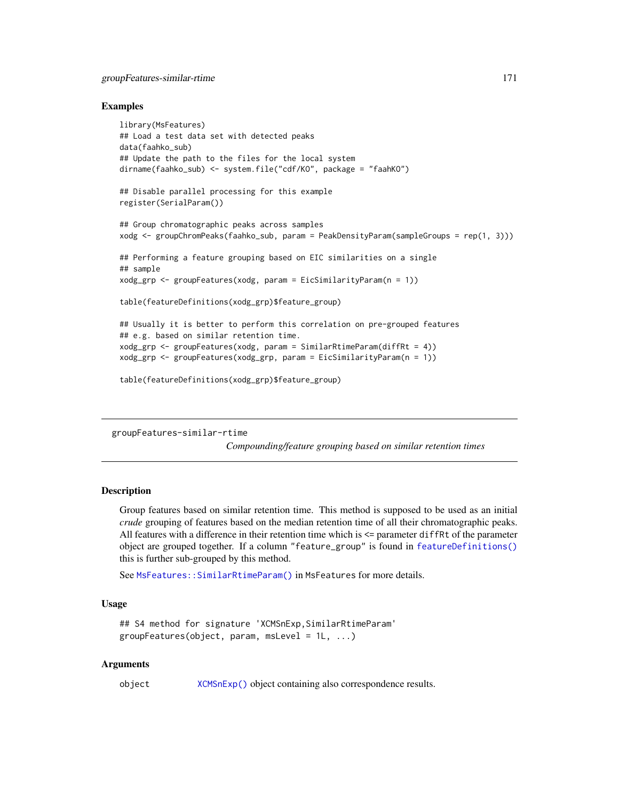#### Examples

```
library(MsFeatures)
## Load a test data set with detected peaks
data(faahko_sub)
## Update the path to the files for the local system
dirname(faahko_sub) <- system.file("cdf/KO", package = "faahKO")
## Disable parallel processing for this example
register(SerialParam())
## Group chromatographic peaks across samples
xodg <- groupChromPeaks(faahko_sub, param = PeakDensityParam(sampleGroups = rep(1, 3)))
## Performing a feature grouping based on EIC similarities on a single
## sample
xodg_grp <- groupFeatures(xodg, param = EicSimilarityParam(n = 1))
table(featureDefinitions(xodg_grp)$feature_group)
## Usually it is better to perform this correlation on pre-grouped features
## e.g. based on similar retention time.
xodg_grp <- groupFeatures(xodg, param = SimilarRtimeParam(diffRt = 4))
xodg_grp <- groupFeatures(xodg_grp, param = EicSimilarityParam(n = 1))
table(featureDefinitions(xodg_grp)$feature_group)
```
<span id="page-170-0"></span>groupFeatures-similar-rtime *Compounding/feature grouping based on similar retention times*

## **Description**

Group features based on similar retention time. This method is supposed to be used as an initial *crude* grouping of features based on the median retention time of all their chromatographic peaks. All features with a difference in their retention time which is <= parameter diffRt of the parameter object are grouped together. If a column "feature\_group" is found in [featureDefinitions\(\)](#page-269-0) this is further sub-grouped by this method.

See [MsFeatures::SimilarRtimeParam\(\)](#page-0-0) in MsFeatures for more details.

## Usage

```
## S4 method for signature 'XCMSnExp,SimilarRtimeParam'
groupFeatures(object, param, msLevel = 1L, ...)
```
#### Arguments

object [XCMSnExp\(\)](#page-269-0) object containing also correspondence results.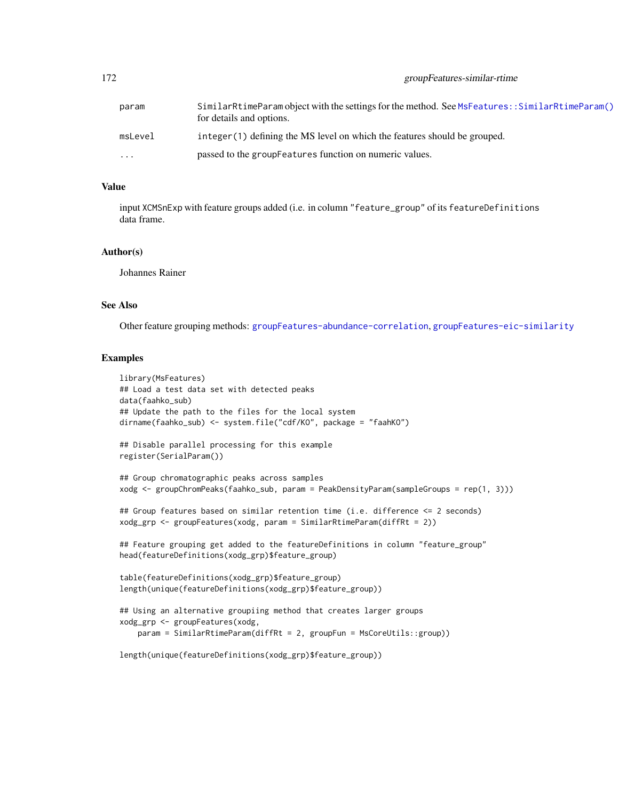| 172 | <i>groupFeatures-similar-rtime</i> |  |
|-----|------------------------------------|--|
|     |                                    |  |

| param    | SimilarRtimeParam object with the settings for the method. See MsFeatures:: SimilarRtimeParam()<br>for details and options. |
|----------|-----------------------------------------------------------------------------------------------------------------------------|
| msLevel  | integer (1) defining the MS level on which the features should be grouped.                                                  |
| $\cdots$ | passed to the groupFeatures function on numeric values.                                                                     |

## Value

input XCMSnExp with feature groups added (i.e. in column "feature\_group" of its featureDefinitions data frame.

## Author(s)

Johannes Rainer

# See Also

Other feature grouping methods: [groupFeatures-abundance-correlation](#page-165-0), [groupFeatures-eic-similarity](#page-167-0)

#### Examples

```
library(MsFeatures)
## Load a test data set with detected peaks
data(faahko_sub)
## Update the path to the files for the local system
dirname(faahko_sub) <- system.file("cdf/KO", package = "faahKO")
## Disable parallel processing for this example
register(SerialParam())
## Group chromatographic peaks across samples
xodg <- groupChromPeaks(faahko_sub, param = PeakDensityParam(sampleGroups = rep(1, 3)))
## Group features based on similar retention time (i.e. difference <= 2 seconds)
xodg_grp <- groupFeatures(xodg, param = SimilarRtimeParam(diffRt = 2))
## Feature grouping get added to the featureDefinitions in column "feature_group"
head(featureDefinitions(xodg_grp)$feature_group)
table(featureDefinitions(xodg_grp)$feature_group)
length(unique(featureDefinitions(xodg_grp)$feature_group))
## Using an alternative groupiing method that creates larger groups
xodg_grp <- groupFeatures(xodg,
   param = SimilarRtimeParam(diffRt = 2, groupFun = MsCoreUtils::group))
length(unique(featureDefinitions(xodg_grp)$feature_group))
```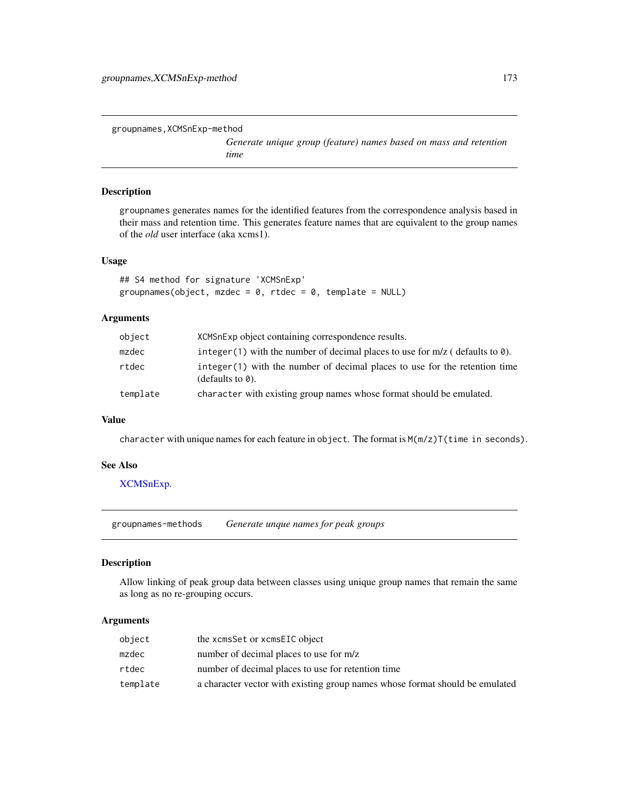groupnames,XCMSnExp-method

*Generate unique group (feature) names based on mass and retention time*

## Description

groupnames generates names for the identified features from the correspondence analysis based in their mass and retention time. This generates feature names that are equivalent to the group names of the *old* user interface (aka xcms1).

# Usage

```
## S4 method for signature 'XCMSnExp'
groupnames(object, mzdec = 0, rtdec = 0, template = NULL)
```
# Arguments

| object   | XCMSnExp object containing correspondence results.                                                     |
|----------|--------------------------------------------------------------------------------------------------------|
| mzdec    | integer (1) with the number of decimal places to use for $m/z$ (defaults to 0).                        |
| rtdec    | integer(1) with the number of decimal places to use for the retention time<br>(defaults to $\theta$ ). |
| template | character with existing group names whose format should be emulated.                                   |

## Value

character with unique names for each feature in object. The format is M(m/z)T(time in seconds).

#### See Also

[XCMSnExp.](#page-269-0)

groupnames-methods *Generate unque names for peak groups*

## Description

Allow linking of peak group data between classes using unique group names that remain the same as long as no re-grouping occurs.

## Arguments

| object   | the xcmsSet or xcmsEIC object                                                |
|----------|------------------------------------------------------------------------------|
| mzdec    | number of decimal places to use for m/z                                      |
| rtdec    | number of decimal places to use for retention time                           |
| template | a character vector with existing group names whose format should be emulated |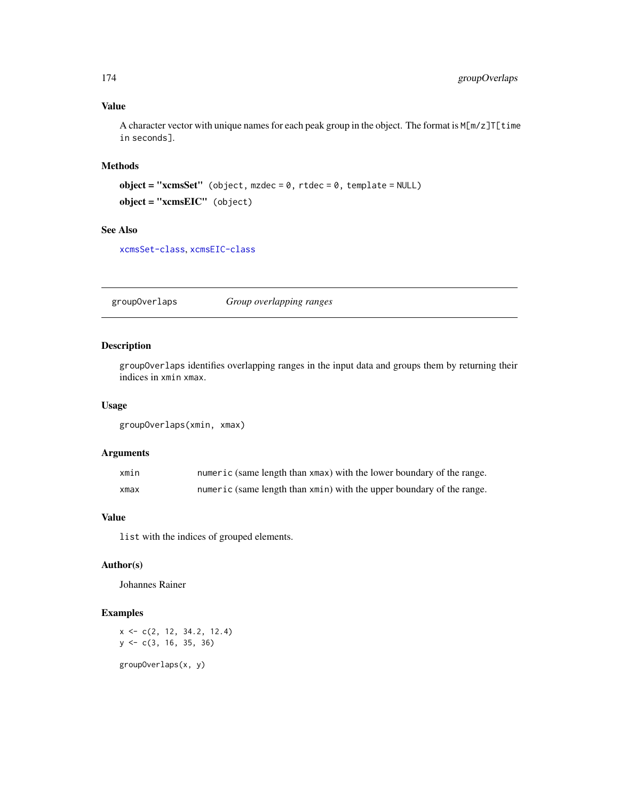# Value

A character vector with unique names for each peak group in the object. The format is M[m/z]T[time in seconds].

# Methods

```
object = "xcmsSet" (object, mzdec = 0, rtdec = 0, template = NULL)
object = "xcmsEIC" (object)
```
# See Also

[xcmsSet-class](#page-288-0), [xcmsEIC-class](#page-265-0)

groupOverlaps *Group overlapping ranges*

# Description

groupOverlaps identifies overlapping ranges in the input data and groups them by returning their indices in xmin xmax.

## Usage

```
groupOverlaps(xmin, xmax)
```
# Arguments

| xmın | numeric (same length than xmax) with the lower boundary of the range. |
|------|-----------------------------------------------------------------------|
| xmax | numeric (same length than xmin) with the upper boundary of the range. |

## Value

list with the indices of grouped elements.

## Author(s)

Johannes Rainer

# Examples

 $x \leq -c(2, 12, 34.2, 12.4)$ y <- c(3, 16, 35, 36) groupOverlaps(x, y)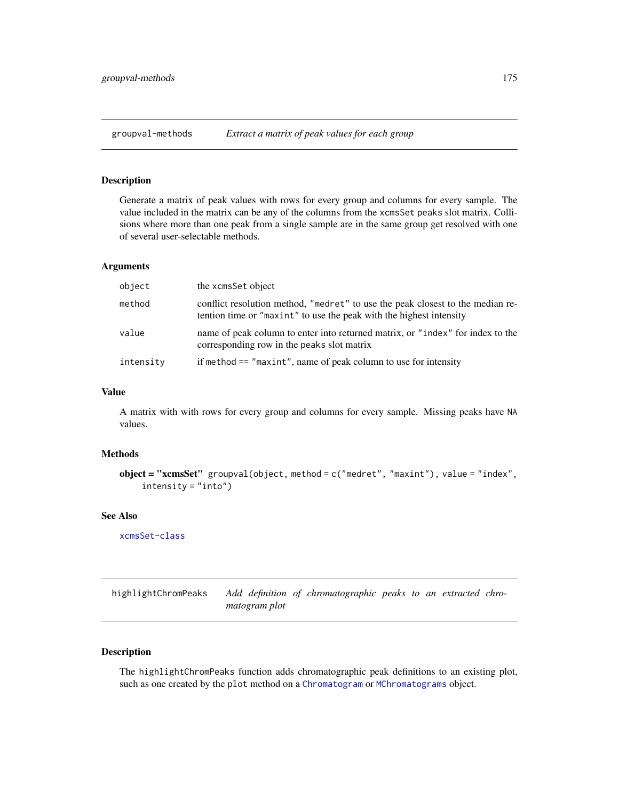## Description

Generate a matrix of peak values with rows for every group and columns for every sample. The value included in the matrix can be any of the columns from the xcmsSet peaks slot matrix. Collisions where more than one peak from a single sample are in the same group get resolved with one of several user-selectable methods.

## Arguments

| object    | the xcmsSet object                                                                                                                                    |
|-----------|-------------------------------------------------------------------------------------------------------------------------------------------------------|
| method    | conflict resolution method, "medret" to use the peak closest to the median re-<br>tention time or "maxint" to use the peak with the highest intensity |
| value     | name of peak column to enter into returned matrix, or "index" for index to the<br>corresponding row in the peaks slot matrix                          |
| intensity | if method $==$ "maxint", name of peak column to use for intensity                                                                                     |

#### Value

A matrix with with rows for every group and columns for every sample. Missing peaks have NA values.

#### Methods

```
object = "xemsSet" groupval(object, method = c("medret", "maxint"), value = "index",intensity = "into")
```
## See Also

[xcmsSet-class](#page-288-0)

highlightChromPeaks *Add definition of chromatographic peaks to an extracted chromatogram plot*

# Description

The highlightChromPeaks function adds chromatographic peak definitions to an existing plot, such as one created by the plot method on a [Chromatogram](#page-0-0) or [MChromatograms](#page-0-0) object.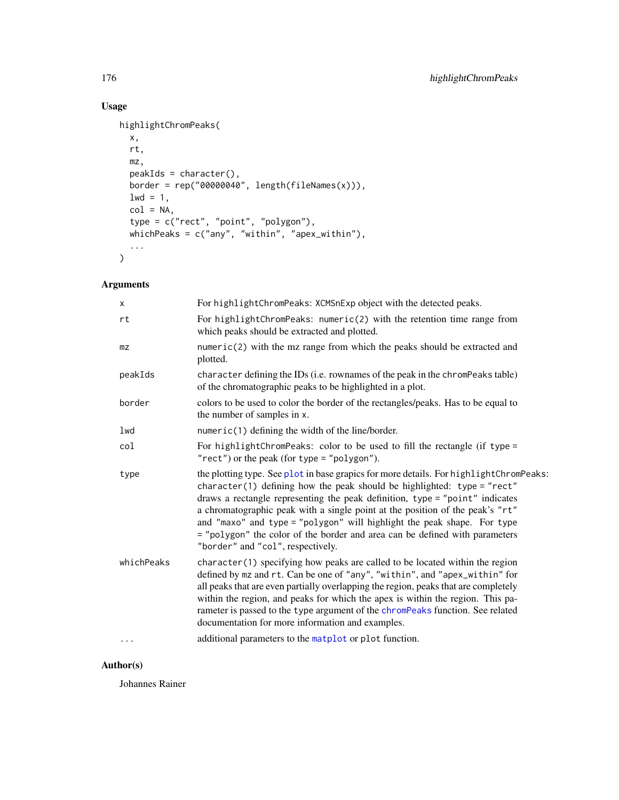# Usage

```
highlightChromPeaks(
 x,
 rt,
 mz,
 peakIds = character(),
 border = rep("00000040", length(fileNames(x))),
 1wd = 1,col = NA,
 type = c("rect", "point", "polygon"),
 whichPeaks = c("any", "within", "apex_within"),
  ...
\mathcal{L}
```
# Arguments

| x          | For highlightChromPeaks: XCMSnExp object with the detected peaks.                                                                                                                                                                                                                                                                                                                                                                                                                                                                  |
|------------|------------------------------------------------------------------------------------------------------------------------------------------------------------------------------------------------------------------------------------------------------------------------------------------------------------------------------------------------------------------------------------------------------------------------------------------------------------------------------------------------------------------------------------|
| rt         | For highlightChromPeaks: numeric(2) with the retention time range from<br>which peaks should be extracted and plotted.                                                                                                                                                                                                                                                                                                                                                                                                             |
| mz         | $numeric(2)$ with the mz range from which the peaks should be extracted and<br>plotted.                                                                                                                                                                                                                                                                                                                                                                                                                                            |
| peakIds    | character defining the IDs (i.e. rownames of the peak in the chromPeaks table)<br>of the chromatographic peaks to be highlighted in a plot.                                                                                                                                                                                                                                                                                                                                                                                        |
| border     | colors to be used to color the border of the rectangles/peaks. Has to be equal to<br>the number of samples in x.                                                                                                                                                                                                                                                                                                                                                                                                                   |
| lwd        | numeric(1) defining the width of the line/border.                                                                                                                                                                                                                                                                                                                                                                                                                                                                                  |
| col        | For highlightChromPeaks: color to be used to fill the rectangle (if type =<br>" $rect$ ") or the peak (for type = " $polygon$ ").                                                                                                                                                                                                                                                                                                                                                                                                  |
| type       | the plotting type. See plot in base grapics for more details. For highlight ChromPeaks:<br>character(1) defining how the peak should be highlighted: type = "rect"<br>draws a rectangle representing the peak definition, type = "point" indicates<br>a chromatographic peak with a single point at the position of the peak's "rt"<br>and "maxo" and type = "polygon" will highlight the peak shape. For type<br>= "polygon" the color of the border and area can be defined with parameters<br>"border" and "col", respectively. |
| whichPeaks | $character(1)$ specifying how peaks are called to be located within the region<br>defined by mz and rt. Can be one of "any", "within", and "apex_within" for<br>all peaks that are even partially overlapping the region, peaks that are completely<br>within the region, and peaks for which the apex is within the region. This pa-<br>rameter is passed to the type argument of the chromPeaks function. See related<br>documentation for more information and examples.                                                        |
| $\cdots$   | additional parameters to the matplot or plot function.                                                                                                                                                                                                                                                                                                                                                                                                                                                                             |

# Author(s)

Johannes Rainer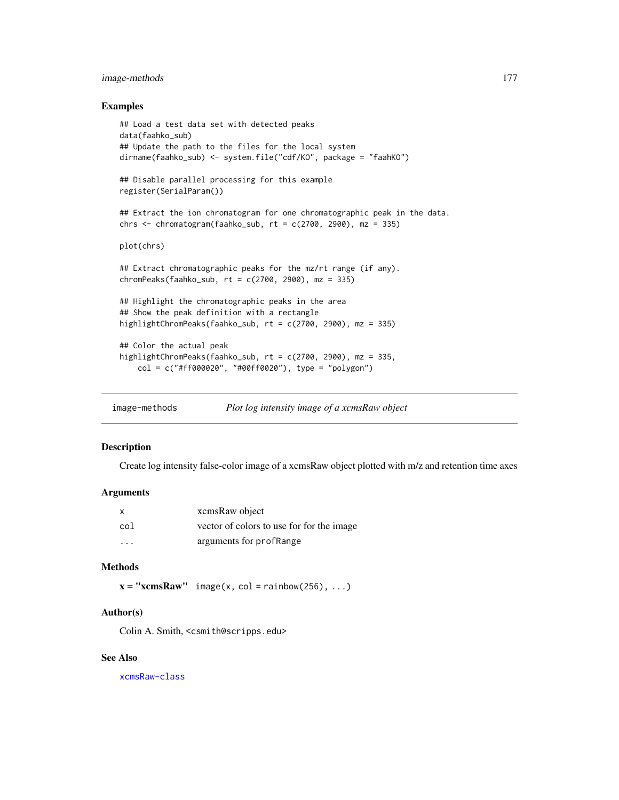## image-methods 177

#### Examples

```
## Load a test data set with detected peaks
data(faahko_sub)
## Update the path to the files for the local system
dirname(faahko_sub) <- system.file("cdf/KO", package = "faahKO")
## Disable parallel processing for this example
register(SerialParam())
## Extract the ion chromatogram for one chromatographic peak in the data.
chrs <- chromatogram(faahko_sub, rt = c(2700, 2900), mz = 335)
plot(chrs)
## Extract chromatographic peaks for the mz/rt range (if any).
chromPeaks(faahko_sub, rt = c(2700, 2900), mz = 335)
## Highlight the chromatographic peaks in the area
## Show the peak definition with a rectangle
highlightChromPeaks(faahko_sub, rt = c(2700, 2900), mz = 335)
## Color the actual peak
highlightChromPeaks(faahko_sub, rt = c(2700, 2900), mz = 335,
    col = c("#ff000020", "#00ff0020"), type = "polygon")
```
image-methods *Plot log intensity image of a xcmsRaw object*

#### Description

Create log intensity false-color image of a xcmsRaw object plotted with m/z and retention time axes

#### Arguments

| $\mathsf{x}$            | xcmsRaw object                             |
|-------------------------|--------------------------------------------|
| col                     | vector of colors to use for for the image. |
| $\cdot$ $\cdot$ $\cdot$ | arguments for profRange                    |

## Methods

 $x = "xcmsRaw" image(x, col = rainbow(256), ...)$ 

#### Author(s)

Colin A. Smith, <csmith@scripps.edu>

#### See Also

[xcmsRaw-class](#page-283-0)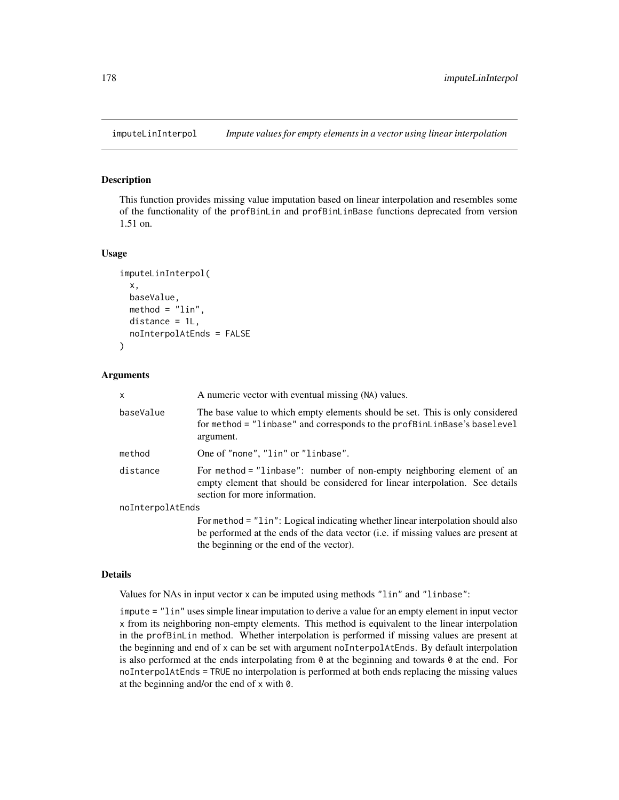## Description

This function provides missing value imputation based on linear interpolation and resembles some of the functionality of the profBinLin and profBinLinBase functions deprecated from version 1.51 on.

#### Usage

```
imputeLinInterpol(
  x,
 baseValue,
 method = "lin",distance = 1L,
  noInterpolAtEnds = FALSE
)
```
## Arguments

| $\times$         | A numeric vector with eventual missing (NA) values.                                                                                                                                     |
|------------------|-----------------------------------------------------------------------------------------------------------------------------------------------------------------------------------------|
| baseValue        | The base value to which empty elements should be set. This is only considered<br>for method = "linbase" and corresponds to the profBinLinBase's baselevel<br>argument.                  |
| method           | One of "none", "lin" or "linbase".                                                                                                                                                      |
| distance         | For method = "linbase": number of non-empty neighboring element of an<br>empty element that should be considered for linear interpolation. See details<br>section for more information. |
| noInterpolAtEnds |                                                                                                                                                                                         |
|                  | For method = "1 in": Logical indicating whether linear interpolation should also                                                                                                        |
|                  | be performed at the ends of the data vector (i.e. if missing values are present at                                                                                                      |
|                  | the beginning or the end of the vector).                                                                                                                                                |

## Details

Values for NAs in input vector x can be imputed using methods "lin" and "linbase":

impute = "lin" uses simple linear imputation to derive a value for an empty element in input vector x from its neighboring non-empty elements. This method is equivalent to the linear interpolation in the profBinLin method. Whether interpolation is performed if missing values are present at the beginning and end of x can be set with argument noInterpolAtEnds. By default interpolation is also performed at the ends interpolating from  $\theta$  at the beginning and towards  $\theta$  at the end. For noInterpolAtEnds = TRUE no interpolation is performed at both ends replacing the missing values at the beginning and/or the end of x with 0.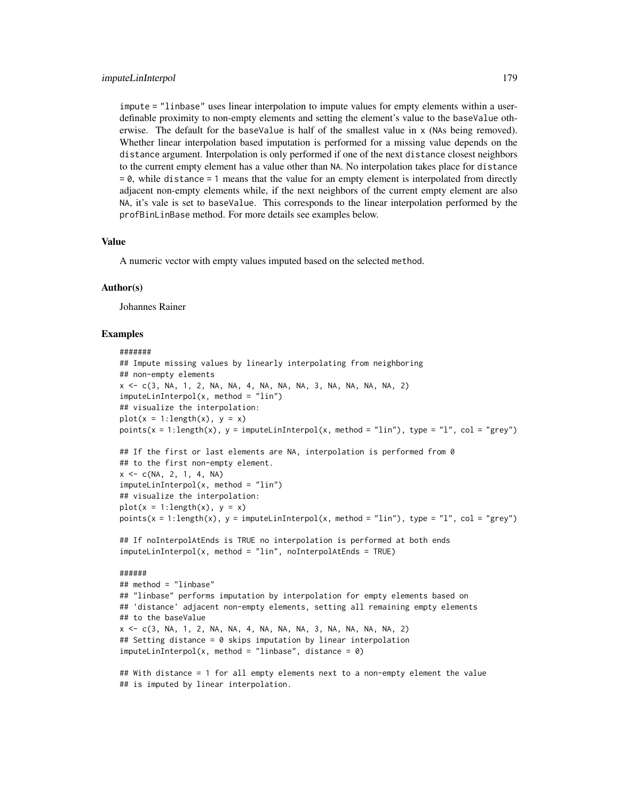#### imputeLinInterpol 179

impute = "linbase" uses linear interpolation to impute values for empty elements within a userdefinable proximity to non-empty elements and setting the element's value to the baseValue otherwise. The default for the baseValue is half of the smallest value in x (NAs being removed). Whether linear interpolation based imputation is performed for a missing value depends on the distance argument. Interpolation is only performed if one of the next distance closest neighbors to the current empty element has a value other than NA. No interpolation takes place for distance  $= 0$ , while distance  $= 1$  means that the value for an empty element is interpolated from directly adjacent non-empty elements while, if the next neighbors of the current empty element are also NA, it's vale is set to baseValue. This corresponds to the linear interpolation performed by the profBinLinBase method. For more details see examples below.

#### Value

A numeric vector with empty values imputed based on the selected method.

#### Author(s)

Johannes Rainer

### Examples

```
#######
## Impute missing values by linearly interpolating from neighboring
## non-empty elements
x <- c(3, NA, 1, 2, NA, NA, 4, NA, NA, NA, 3, NA, NA, NA, NA, 2)
imputeLinInterpol(x, method = "lin")
## visualize the interpolation:
plot(x = 1:length(x), y = x)points(x = 1:length(x), y = imputeLinInterpol(x, method = "lin"), type = "l", col = "grey")
## If the first or last elements are NA, interpolation is performed from 0
## to the first non-empty element.
x \leq -c(NA, 2, 1, 4, NA)imputeLinInterpol(x, method = "lin")
## visualize the interpolation:
plot(x = 1:length(x), y = x)points(x = 1: length(x), y = imputelinInterpol(x, method = "lin"), type = "l", col = "grey")
```

```
## If noInterpolAtEnds is TRUE no interpolation is performed at both ends
imputeLinInterpol(x, method = "lin", noInterpolAtEnds = TRUE)
```
#### ######

## method = "linbase" ## "linbase" performs imputation by interpolation for empty elements based on ## 'distance' adjacent non-empty elements, setting all remaining empty elements ## to the baseValue x <- c(3, NA, 1, 2, NA, NA, 4, NA, NA, NA, 3, NA, NA, NA, NA, 2) ## Setting distance = 0 skips imputation by linear interpolation  $imputeLinInterpol(x, method = "linbase", distance =  $0$ )$ 

## With distance = 1 for all empty elements next to a non-empty element the value ## is imputed by linear interpolation.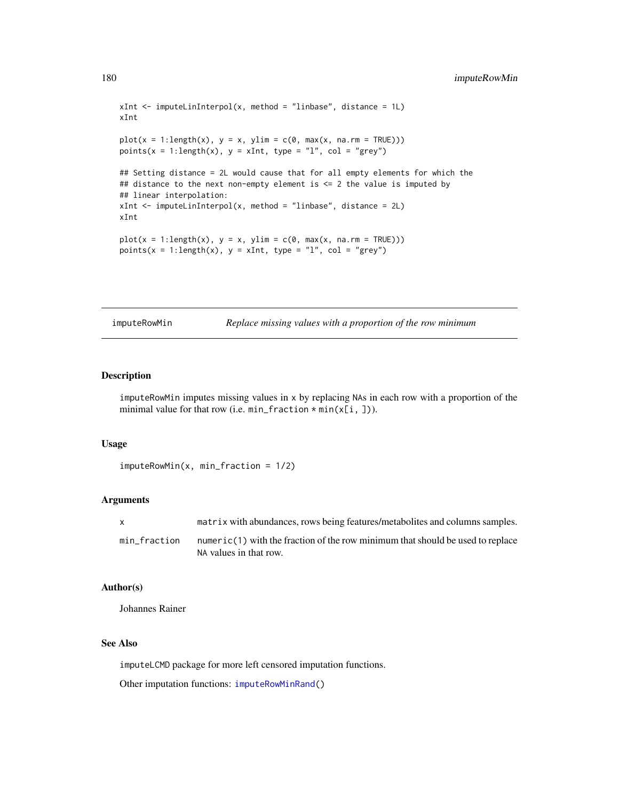```
xInt \leq imputeLinInterpol(x, method = "linbase", distance = 1L)
xInt
plot(x = 1:length(x), y = x, ylim = c(0, max(x, na.rm = TRUE)))points(x = 1: length(x), y = xInt, type = "l", col = "grey")
## Setting distance = 2L would cause that for all empty elements for which the
## distance to the next non-empty element is <= 2 the value is imputed by
## linear interpolation:
xInt \le imputeLinInterpol(x, method = "linbase", distance = 2L)
xInt
plot(x = 1:length(x), y = x, ylim = c(0, max(x, na.rm = TRUE)))points(x = 1:length(x), y = xInt, type = "l", col = "grey")
```
imputeRowMin *Replace missing values with a proportion of the row minimum*

#### Description

imputeRowMin imputes missing values in x by replacing NAs in each row with a proportion of the minimal value for that row (i.e.  $min\_fraction * min(x[i, ])$ ).

# Usage

```
imputeRowMin(x, min_fraction = 1/2)
```
#### Arguments

| $\mathbf{x}$ | matrix with abundances, rows being features/metabolites and columns samples.                             |
|--------------|----------------------------------------------------------------------------------------------------------|
| min fraction | numeric(1) with the fraction of the row minimum that should be used to replace<br>NA values in that row. |

#### Author(s)

Johannes Rainer

# See Also

imputeLCMD package for more left censored imputation functions.

Other imputation functions: [imputeRowMinRand\(](#page-180-0))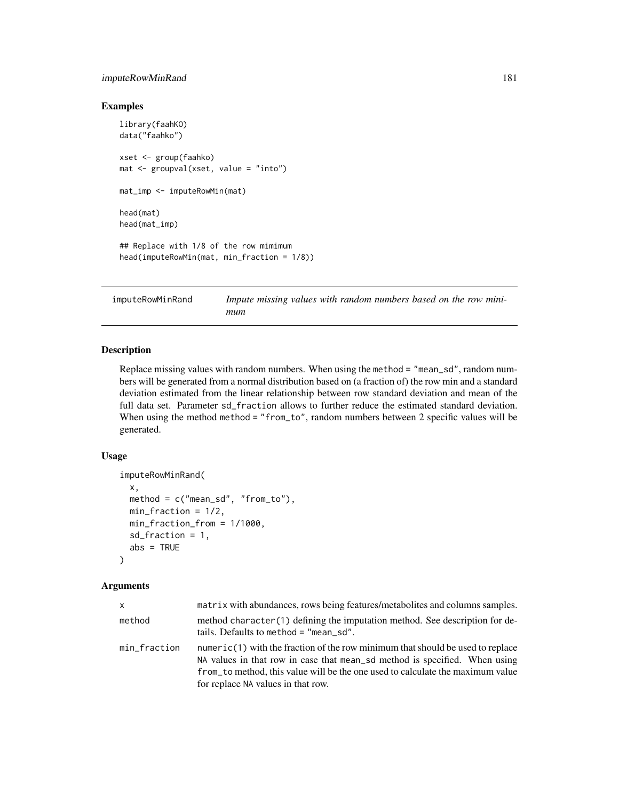## imputeRowMinRand 181

# Examples

```
library(faahKO)
data("faahko")
xset <- group(faahko)
mat <- groupval(xset, value = "into")
mat_imp <- imputeRowMin(mat)
head(mat)
head(mat_imp)
## Replace with 1/8 of the row mimimum
head(imputeRowMin(mat, min_fraction = 1/8))
```
imputeRowMinRand *Impute missing values with random numbers based on the row minimum*

# Description

Replace missing values with random numbers. When using the method = "mean\_sd", random numbers will be generated from a normal distribution based on (a fraction of) the row min and a standard deviation estimated from the linear relationship between row standard deviation and mean of the full data set. Parameter sd\_fraction allows to further reduce the estimated standard deviation. When using the method method = "from\_to", random numbers between 2 specific values will be generated.

#### Usage

```
imputeRowMinRand(
  x,
 method = c("mean_s d", "from_to"),min_fraction = 1/2,
 min_fraction_from = 1/1000,
  sd_fraction = 1,
  abs = TRUE)
```

| x            | matrix with abundances, rows being features/metabolites and columns samples.                                                                                                                                                                                                         |
|--------------|--------------------------------------------------------------------------------------------------------------------------------------------------------------------------------------------------------------------------------------------------------------------------------------|
| method       | method character(1) defining the imputation method. See description for de-<br>tails. Defaults to method $=$ "mean_sd".                                                                                                                                                              |
| min_fraction | numeric(1) with the fraction of the row minimum that should be used to replace<br>NA values in that row in case that mean_sd method is specified. When using<br>from_to method, this value will be the one used to calculate the maximum value<br>for replace NA values in that row. |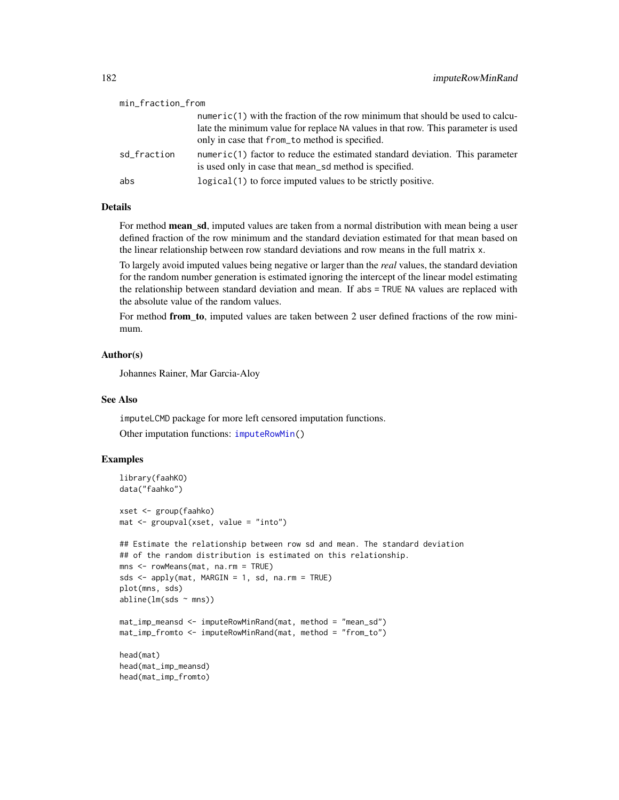| min_fraction_from |                                                                                                                                          |
|-------------------|------------------------------------------------------------------------------------------------------------------------------------------|
|                   | numeric(1) with the fraction of the row minimum that should be used to calcu-                                                            |
|                   | late the minimum value for replace NA values in that row. This parameter is used                                                         |
|                   | only in case that from to method is specified.                                                                                           |
| sd_fraction       | $numeric(1)$ factor to reduce the estimated standard deviation. This parameter<br>is used only in case that mean_sd method is specified. |
| abs               | logical (1) to force imputed values to be strictly positive.                                                                             |

# Details

For method **mean\_sd**, imputed values are taken from a normal distribution with mean being a user defined fraction of the row minimum and the standard deviation estimated for that mean based on the linear relationship between row standard deviations and row means in the full matrix x.

To largely avoid imputed values being negative or larger than the *real* values, the standard deviation for the random number generation is estimated ignoring the intercept of the linear model estimating the relationship between standard deviation and mean. If abs = TRUE NA values are replaced with the absolute value of the random values.

For method **from\_to**, imputed values are taken between 2 user defined fractions of the row minimum.

### Author(s)

Johannes Rainer, Mar Garcia-Aloy

#### See Also

imputeLCMD package for more left censored imputation functions. Other imputation functions: [imputeRowMin\(](#page-179-0))

### Examples

```
library(faahKO)
data("faahko")
xset <- group(faahko)
mat <- groupval(xset, value = "into")
## Estimate the relationship between row sd and mean. The standard deviation
## of the random distribution is estimated on this relationship.
mns <- rowMeans(mat, na.rm = TRUE)
sds <- apply(mat, MARGIN = 1, sd, na.rm = TRUE)
plot(mns, sds)
abline(lm(sds \sim mns))mat_imp_meansd <- imputeRowMinRand(mat, method = "mean_sd")
mat_imp_fromto <- imputeRowMinRand(mat, method = "from_to")
head(mat)
head(mat_imp_meansd)
head(mat_imp_fromto)
```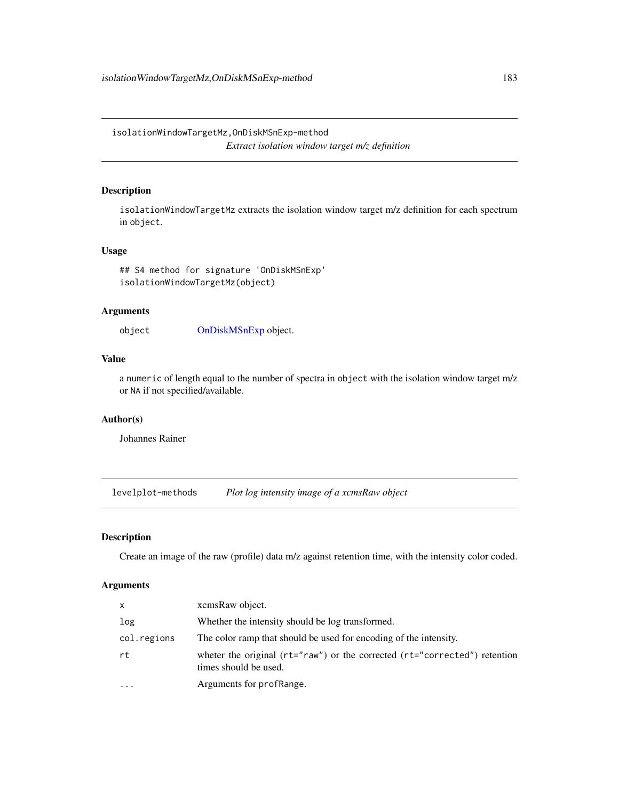isolationWindowTargetMz,OnDiskMSnExp-method *Extract isolation window target m/z definition*

# Description

isolationWindowTargetMz extracts the isolation window target m/z definition for each spectrum in object.

## Usage

## S4 method for signature 'OnDiskMSnExp' isolationWindowTargetMz(object)

# Arguments

object [OnDiskMSnExp](#page-0-0) object.

# Value

a numeric of length equal to the number of spectra in object with the isolation window target m/z or NA if not specified/available.

## Author(s)

Johannes Rainer

levelplot-methods *Plot log intensity image of a xcmsRaw object*

# Description

Create an image of the raw (profile) data m/z against retention time, with the intensity color coded.

| X           | xcmsRaw object.                                                                                         |
|-------------|---------------------------------------------------------------------------------------------------------|
| log         | Whether the intensity should be log transformed.                                                        |
| col.regions | The color ramp that should be used for encoding of the intensity.                                       |
| rt          | wheter the original $(rt="raw")$ or the corrected $(rt="corrected")$ retention<br>times should be used. |
| $\ddotsc$   | Arguments for profRange.                                                                                |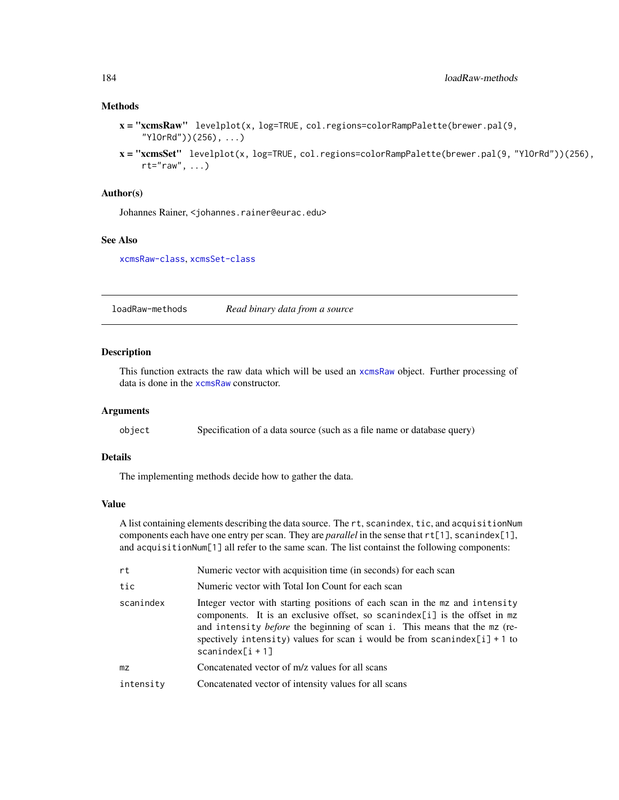# Methods

```
x = "xcmsRaw" \text{levelplot}(x, \text{log=TRUE}, \text{col}. \text{regions}=colorRamp{calorRampPalette(brewer.pal(9,"YlOrRd"))(256), ...)
```
x = "xcmsSet" levelplot(x, log=TRUE, col.regions=colorRampPalette(brewer.pal(9, "YlOrRd"))(256),  $rt="raw", ...)$ 

#### Author(s)

Johannes Rainer, <johannes.rainer@eurac.edu>

#### See Also

[xcmsRaw-class](#page-283-0), [xcmsSet-class](#page-288-0)

loadRaw-methods *Read binary data from a source*

#### Description

This function extracts the raw data which will be used an [xcmsRaw](#page-283-0) object. Further processing of data is done in the [xcmsRaw](#page-281-0) constructor.

# Arguments

object Specification of a data source (such as a file name or database query)

# Details

The implementing methods decide how to gather the data.

#### Value

A list containing elements describing the data source. The rt, scanindex, tic, and acquisitionNum components each have one entry per scan. They are *parallel* in the sense that rt[1], scanindex[1], and acquisitionNum[1] all refer to the same scan. The list containst the following components:

| rt             | Numeric vector with acquisition time (in seconds) for each scan                                                                                                                                                                                                                                                                                 |
|----------------|-------------------------------------------------------------------------------------------------------------------------------------------------------------------------------------------------------------------------------------------------------------------------------------------------------------------------------------------------|
| tic            | Numeric vector with Total Ion Count for each scan                                                                                                                                                                                                                                                                                               |
| scanindex      | Integer vector with starting positions of each scan in the mz and intensity<br>components. It is an exclusive offset, so scanindex[i] is the offset in mz<br>and intensity <i>before</i> the beginning of scan i. This means that the mz (re-<br>spectively intensity) values for scan i would be from scanindex[i] + 1 to<br>$scanning[i + 1]$ |
| m <sub>Z</sub> | Concatenated vector of m/z values for all scans                                                                                                                                                                                                                                                                                                 |
| intensity      | Concatenated vector of intensity values for all scans                                                                                                                                                                                                                                                                                           |
|                |                                                                                                                                                                                                                                                                                                                                                 |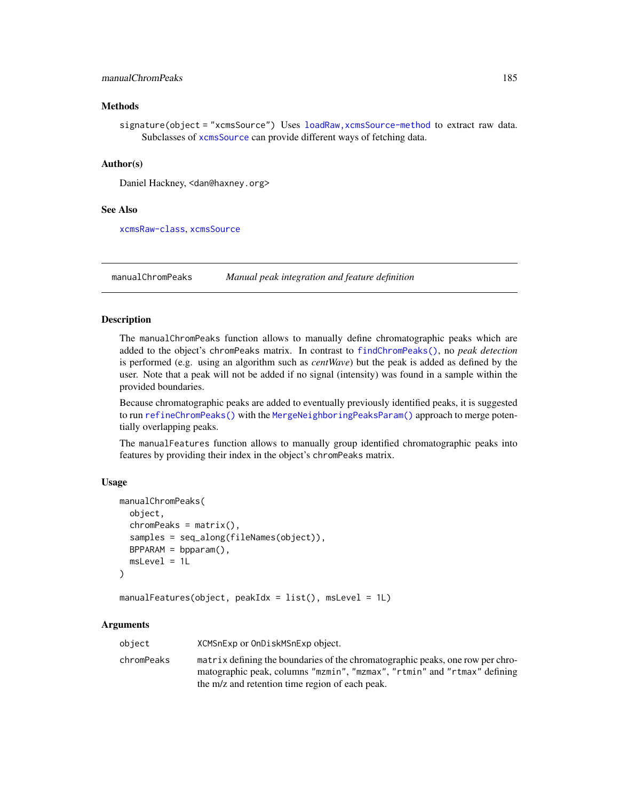#### manualChromPeaks 185

#### **Methods**

signature(object = "xcmsSource") Uses [loadRaw,xcmsSource-method](#page-0-0) to extract raw data. Subclasses of [xcmsSource](#page-291-0) can provide different ways of fetching data.

#### Author(s)

Daniel Hackney, <dan@haxney.org>

#### See Also

[xcmsRaw-class](#page-283-0), [xcmsSource](#page-291-0)

manualChromPeaks *Manual peak integration and feature definition*

#### Description

The manualChromPeaks function allows to manually define chromatographic peaks which are added to the object's chromPeaks matrix. In contrast to [findChromPeaks\(\)](#page-34-0), no *peak detection* is performed (e.g. using an algorithm such as *centWave*) but the peak is added as defined by the user. Note that a peak will not be added if no signal (intensity) was found in a sample within the provided boundaries.

Because chromatographic peaks are added to eventually previously identified peaks, it is suggested to run [refineChromPeaks\(\)](#page-37-0) with the [MergeNeighboringPeaksParam\(\)](#page-186-0) approach to merge potentially overlapping peaks.

The manualFeatures function allows to manually group identified chromatographic peaks into features by providing their index in the object's chromPeaks matrix.

#### Usage

```
manualChromPeaks(
  object,
  chromPeaks = matrix(),
  samples = seq_along(fileNames(object)),
  BPPARAM = bpparam(),
 msLevel = 1L
)
```
 $manualFeatures(object, peakIdx = list(), msleep = 1L)$ 

## Arguments

object XCMSnExp or OnDiskMSnExp object. chromPeaks matrix defining the boundaries of the chromatographic peaks, one row per chromatographic peak, columns "mzmin", "mzmax", "rtmin" and "rtmax" defining the m/z and retention time region of each peak.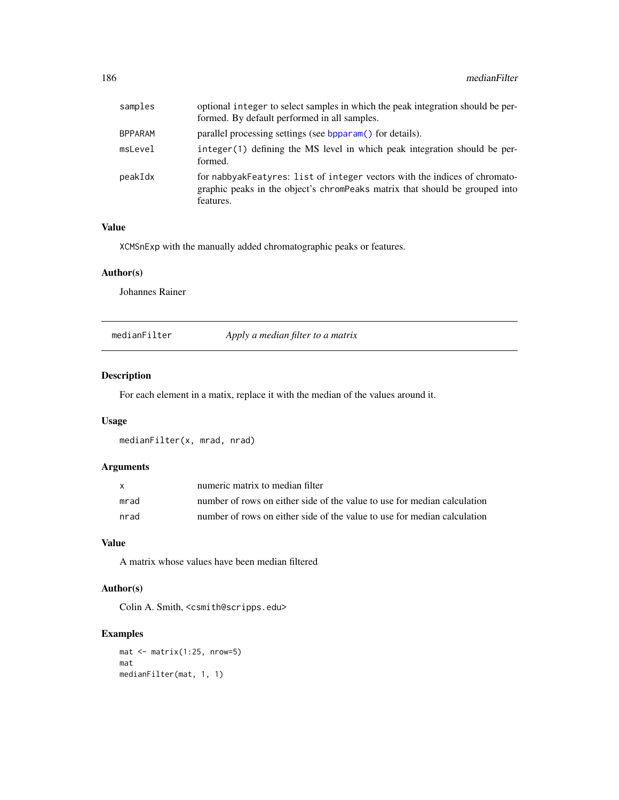| samples | optional integer to select samples in which the peak integration should be per-<br>formed. By default performed in all samples.                                        |
|---------|------------------------------------------------------------------------------------------------------------------------------------------------------------------------|
| BPPARAM | parallel processing settings (see bpparam() for details).                                                                                                              |
| msLevel | integer (1) defining the MS level in which peak integration should be per-<br>formed.                                                                                  |
| peakIdx | for nabbyakFeatyres: list of integer vectors with the indices of chromato-<br>graphic peaks in the object's chromPeaks matrix that should be grouped into<br>features. |

# Value

XCMSnExp with the manually added chromatographic peaks or features.

## Author(s)

Johannes Rainer

medianFilter *Apply a median filter to a matrix*

# Description

For each element in a matix, replace it with the median of the values around it.

#### Usage

```
medianFilter(x, mrad, nrad)
```
# Arguments

| X.   | numeric matrix to median filter                                          |
|------|--------------------------------------------------------------------------|
| mrad | number of rows on either side of the value to use for median calculation |
| nrad | number of rows on either side of the value to use for median calculation |

# Value

A matrix whose values have been median filtered

# Author(s)

Colin A. Smith, <csmith@scripps.edu>

# Examples

```
mat <- matrix(1:25, nrow=5)
mat
medianFilter(mat, 1, 1)
```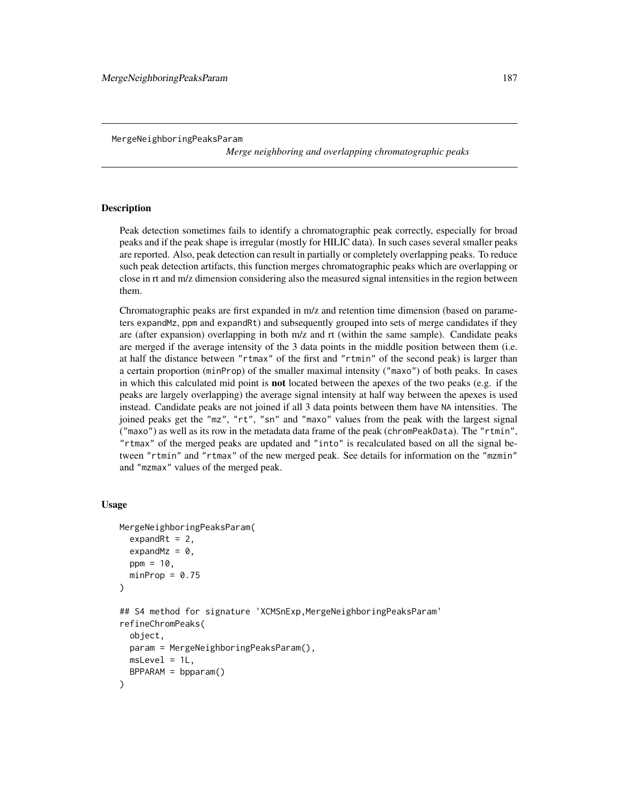*Merge neighboring and overlapping chromatographic peaks*

#### <span id="page-186-0"></span>**Description**

Peak detection sometimes fails to identify a chromatographic peak correctly, especially for broad peaks and if the peak shape is irregular (mostly for HILIC data). In such cases several smaller peaks are reported. Also, peak detection can result in partially or completely overlapping peaks. To reduce such peak detection artifacts, this function merges chromatographic peaks which are overlapping or close in rt and m/z dimension considering also the measured signal intensities in the region between them.

Chromatographic peaks are first expanded in m/z and retention time dimension (based on parameters expandMz, ppm and expandRt) and subsequently grouped into sets of merge candidates if they are (after expansion) overlapping in both m/z and rt (within the same sample). Candidate peaks are merged if the average intensity of the 3 data points in the middle position between them (i.e. at half the distance between "rtmax" of the first and "rtmin" of the second peak) is larger than a certain proportion (minProp) of the smaller maximal intensity ("maxo") of both peaks. In cases in which this calculated mid point is **not** located between the apexes of the two peaks (e.g. if the peaks are largely overlapping) the average signal intensity at half way between the apexes is used instead. Candidate peaks are not joined if all 3 data points between them have NA intensities. The joined peaks get the "mz", "rt", "sn" and "maxo" values from the peak with the largest signal ("maxo") as well as its row in the metadata data frame of the peak (chromPeakData). The "rtmin", "rtmax" of the merged peaks are updated and "into" is recalculated based on all the signal between "rtmin" and "rtmax" of the new merged peak. See details for information on the "mzmin" and "mzmax" values of the merged peak.

#### Usage

```
MergeNeighboringPeaksParam(
  expandRt = 2,
  expandMz = 0,
 ppm = 10,
 minProp = 0.75)
## S4 method for signature 'XCMSnExp,MergeNeighboringPeaksParam'
refineChromPeaks(
  object,
 param = MergeNeighboringPeaksParam(),
 msLevel = 1L,BPPARAM = bpparam()
)
```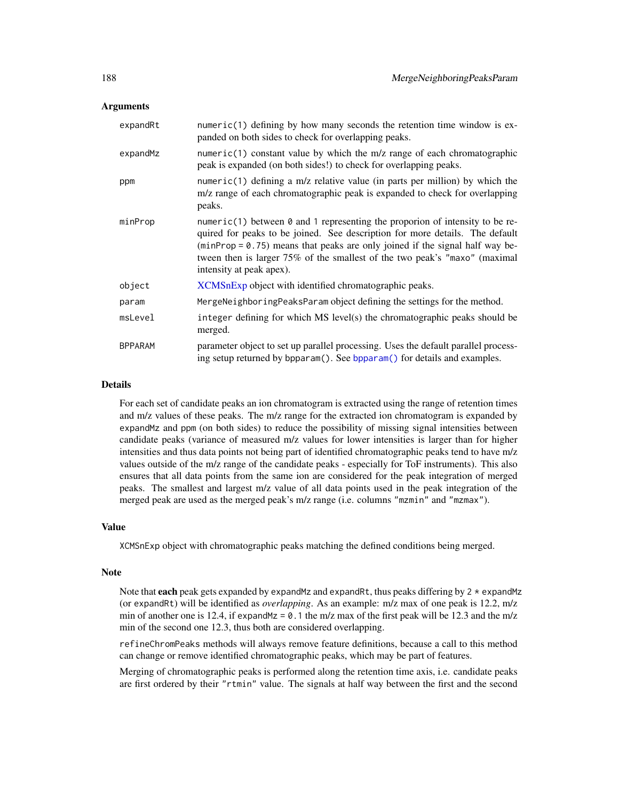| expandRt       | numeric(1) defining by how many seconds the retention time window is ex-<br>panded on both sides to check for overlapping peaks.                                                                                                                                                                                                                                       |
|----------------|------------------------------------------------------------------------------------------------------------------------------------------------------------------------------------------------------------------------------------------------------------------------------------------------------------------------------------------------------------------------|
| expandMz       | numeric(1) constant value by which the $m/z$ range of each chromatographic<br>peak is expanded (on both sides!) to check for overlapping peaks.                                                                                                                                                                                                                        |
| ppm            | numeric(1) defining a m/z relative value (in parts per million) by which the<br>m/z range of each chromatographic peak is expanded to check for overlapping<br>peaks.                                                                                                                                                                                                  |
| minProp        | numeric(1) between $\theta$ and 1 representing the proporion of intensity to be re-<br>quired for peaks to be joined. See description for more details. The default<br>$(\text{minProp} = 0.75)$ means that peaks are only joined if the signal half way be-<br>tween then is larger 75% of the smallest of the two peak's "maxo" (maximal<br>intensity at peak apex). |
| object         | XCMSnExp object with identified chromatographic peaks.                                                                                                                                                                                                                                                                                                                 |
| param          | MergeNeighboringPeaksParam object defining the settings for the method.                                                                                                                                                                                                                                                                                                |
| msLevel        | integer defining for which MS level(s) the chromatographic peaks should be<br>merged.                                                                                                                                                                                                                                                                                  |
| <b>BPPARAM</b> | parameter object to set up parallel processing. Uses the default parallel process-<br>ing setup returned by bpparam(). See bpparam() for details and examples.                                                                                                                                                                                                         |

## Details

For each set of candidate peaks an ion chromatogram is extracted using the range of retention times and m/z values of these peaks. The m/z range for the extracted ion chromatogram is expanded by expandMz and ppm (on both sides) to reduce the possibility of missing signal intensities between candidate peaks (variance of measured m/z values for lower intensities is larger than for higher intensities and thus data points not being part of identified chromatographic peaks tend to have m/z values outside of the m/z range of the candidate peaks - especially for ToF instruments). This also ensures that all data points from the same ion are considered for the peak integration of merged peaks. The smallest and largest m/z value of all data points used in the peak integration of the merged peak are used as the merged peak's m/z range (i.e. columns "mzmin" and "mzmax").

#### Value

XCMSnExp object with chromatographic peaks matching the defined conditions being merged.

#### Note

Note that each peak gets expanded by expandMz and expandRt, thus peaks differing by  $2 \times$  expandMz (or expandRt) will be identified as *overlapping*. As an example: m/z max of one peak is 12.2, m/z min of another one is 12.4, if expand  $\text{Mz} = 0.1$  the m/z max of the first peak will be 12.3 and the m/z min of the second one 12.3, thus both are considered overlapping.

refineChromPeaks methods will always remove feature definitions, because a call to this method can change or remove identified chromatographic peaks, which may be part of features.

Merging of chromatographic peaks is performed along the retention time axis, i.e. candidate peaks are first ordered by their "rtmin" value. The signals at half way between the first and the second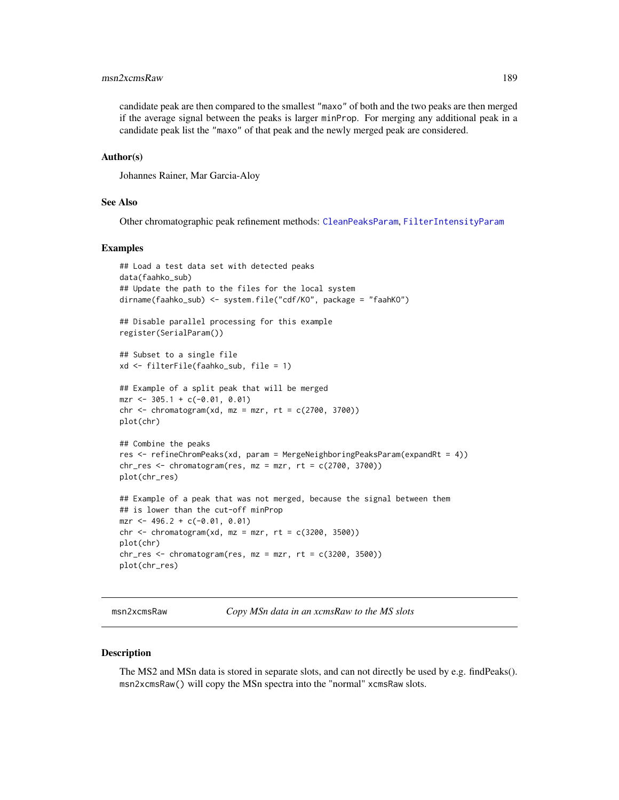# msn2xcmsRaw 189

candidate peak are then compared to the smallest "maxo" of both and the two peaks are then merged if the average signal between the peaks is larger minProp. For merging any additional peak in a candidate peak list the "maxo" of that peak and the newly merged peak are considered.

#### Author(s)

Johannes Rainer, Mar Garcia-Aloy

#### See Also

Other chromatographic peak refinement methods: [CleanPeaksParam](#page-37-1), [FilterIntensityParam](#page-93-0)

#### Examples

```
## Load a test data set with detected peaks
data(faahko_sub)
## Update the path to the files for the local system
dirname(faahko_sub) <- system.file("cdf/KO", package = "faahKO")
## Disable parallel processing for this example
register(SerialParam())
## Subset to a single file
xd <- filterFile(faahko_sub, file = 1)
## Example of a split peak that will be merged
mzr <- 305.1 + c(-0.01, 0.01)
chr \le - chromatogram(xd, mz = mzr, rt = c(2700, 3700))
plot(chr)
## Combine the peaks
res <- refineChromPeaks(xd, param = MergeNeighboringPeaksParam(expandRt = 4))
chr_res < - \nchromatogram(res, mz = mzr, rt = c(2700, 3700))plot(chr_res)
## Example of a peak that was not merged, because the signal between them
## is lower than the cut-off minProp
mzr <- 496.2 + c(-0.01, 0.01)
chr <- chromatogram(xd, mz = mzr, rt = c(3200, 3500))
plot(chr)
chr_{res} < - \text{chromatogram(res, mz = mzr, rt = c(3200, 3500)})plot(chr_res)
```
msn2xcmsRaw *Copy MSn data in an xcmsRaw to the MS slots*

#### **Description**

The MS2 and MSn data is stored in separate slots, and can not directly be used by e.g. findPeaks(). msn2xcmsRaw() will copy the MSn spectra into the "normal" xcmsRaw slots.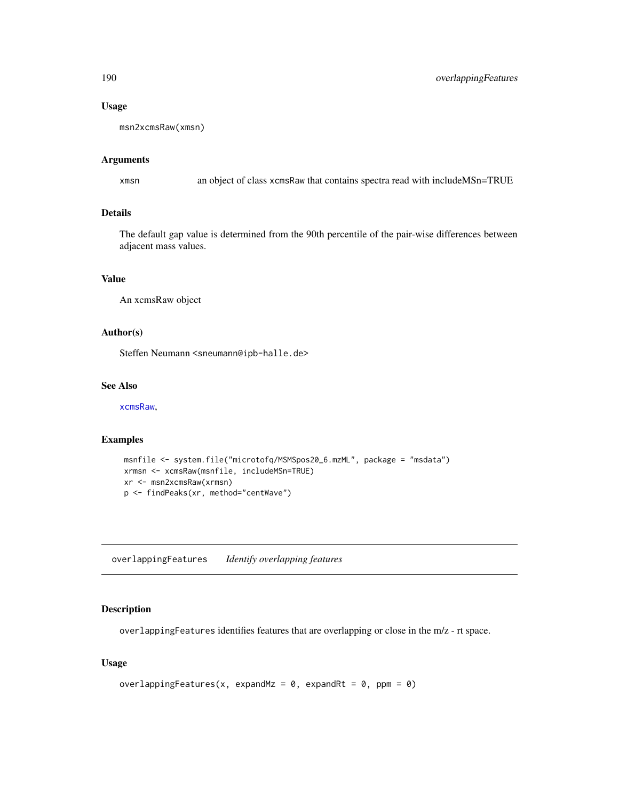#### Usage

```
msn2xcmsRaw(xmsn)
```
#### Arguments

xmsn an object of class xcmsRaw that contains spectra read with includeMSn=TRUE

# Details

The default gap value is determined from the 90th percentile of the pair-wise differences between adjacent mass values.

# Value

An xcmsRaw object

# Author(s)

Steffen Neumann <sneumann@ipb-halle.de>

#### See Also

[xcmsRaw](#page-281-0),

# Examples

```
msnfile <- system.file("microtofq/MSMSpos20_6.mzML", package = "msdata")
xrmsn <- xcmsRaw(msnfile, includeMSn=TRUE)
xr <- msn2xcmsRaw(xrmsn)
p <- findPeaks(xr, method="centWave")
```
overlappingFeatures *Identify overlapping features*

# Description

overlappingFeatures identifies features that are overlapping or close in the m/z - rt space.

#### Usage

```
overlappingFeatures(x, expandMz = 0, expandRt = 0, ppm = 0)
```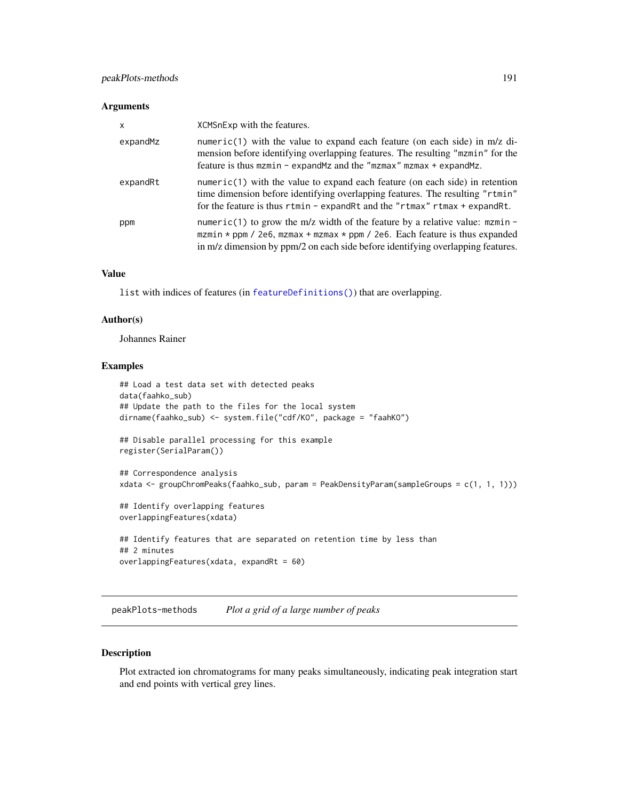| X        | XCMS nExp with the features.                                                                                                                                                                                                                                 |
|----------|--------------------------------------------------------------------------------------------------------------------------------------------------------------------------------------------------------------------------------------------------------------|
| expandMz | numeric(1) with the value to expand each feature (on each side) in $m/z$ di-<br>mension before identifying overlapping features. The resulting "mzmin" for the<br>feature is thus $mzmin$ – expand Mz and the "mzmax" $mzmax$ + expand Mz.                   |
| expandRt | numeric(1) with the value to expand each feature (on each side) in retention<br>time dimension before identifying overlapping features. The resulting "rtmin"<br>for the feature is thus $rtmin$ – expandRt and the " $rtmax$ " $rtmax$ + expandRt.          |
| ppm      | numeric(1) to grow the m/z width of the feature by a relative value: $mzmin -$<br>mzmin $\star$ ppm / 2e6, mzmax + mzmax $\star$ ppm / 2e6. Each feature is thus expanded<br>in m/z dimension by ppm/2 on each side before identifying overlapping features. |

# Value

list with indices of features (in [featureDefinitions\(\)](#page-269-0)) that are overlapping.

#### Author(s)

Johannes Rainer

# Examples

```
## Load a test data set with detected peaks
data(faahko_sub)
## Update the path to the files for the local system
dirname(faahko_sub) <- system.file("cdf/KO", package = "faahKO")
## Disable parallel processing for this example
register(SerialParam())
## Correspondence analysis
xdata <- groupChromPeaks(faahko_sub, param = PeakDensityParam(sampleGroups = c(1, 1, 1)))
## Identify overlapping features
overlappingFeatures(xdata)
## Identify features that are separated on retention time by less than
## 2 minutes
overlappingFeatures(xdata, expandRt = 60)
```
peakPlots-methods *Plot a grid of a large number of peaks*

#### Description

Plot extracted ion chromatograms for many peaks simultaneously, indicating peak integration start and end points with vertical grey lines.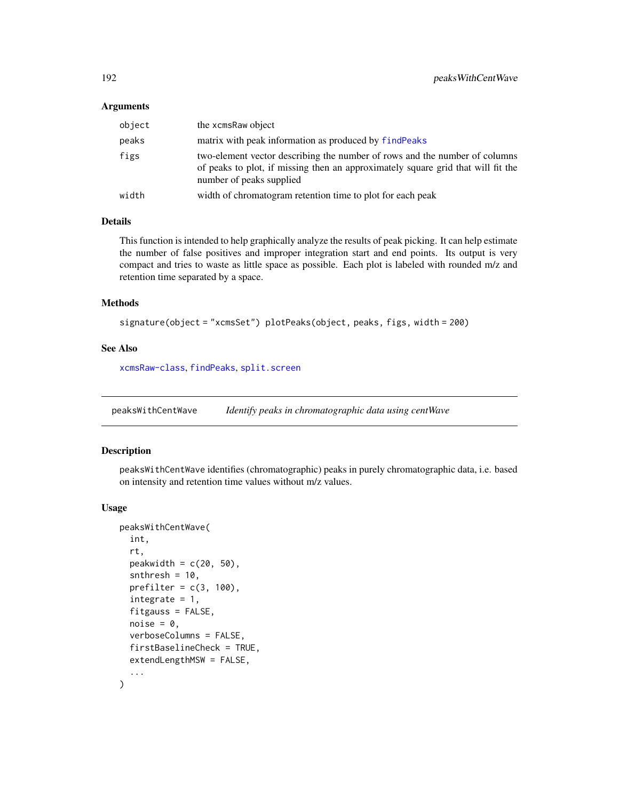| object | the xcmsRaw object                                                                                                                                                                         |
|--------|--------------------------------------------------------------------------------------------------------------------------------------------------------------------------------------------|
| peaks  | matrix with peak information as produced by find Peaks                                                                                                                                     |
| figs   | two-element vector describing the number of rows and the number of columns<br>of peaks to plot, if missing then an approximately square grid that will fit the<br>number of peaks supplied |
| width  | width of chromatogram retention time to plot for each peak                                                                                                                                 |
|        |                                                                                                                                                                                            |

# Details

This function is intended to help graphically analyze the results of peak picking. It can help estimate the number of false positives and improper integration start and end points. Its output is very compact and tries to waste as little space as possible. Each plot is labeled with rounded m/z and retention time separated by a space.

#### Methods

signature(object = "xcmsSet") plotPeaks(object, peaks, figs, width = 200)

# See Also

[xcmsRaw-class](#page-283-0), [findPeaks](#page-125-0), [split.screen](#page-0-0)

<span id="page-191-0"></span>peaksWithCentWave *Identify peaks in chromatographic data using centWave*

#### Description

peaksWithCentWave identifies (chromatographic) peaks in purely chromatographic data, i.e. based on intensity and retention time values without m/z values.

#### Usage

```
peaksWithCentWave(
  int,
  rt,
 peakwidth = c(20, 50),
  snthresh = 10,
 prefilter = c(3, 100),
  integrate = 1,
  fitgauss = FALSE,
  noise = 0.
  verboseColumns = FALSE,
  firstBaselineCheck = TRUE,
  extendLengthMSW = FALSE,
  ...
)
```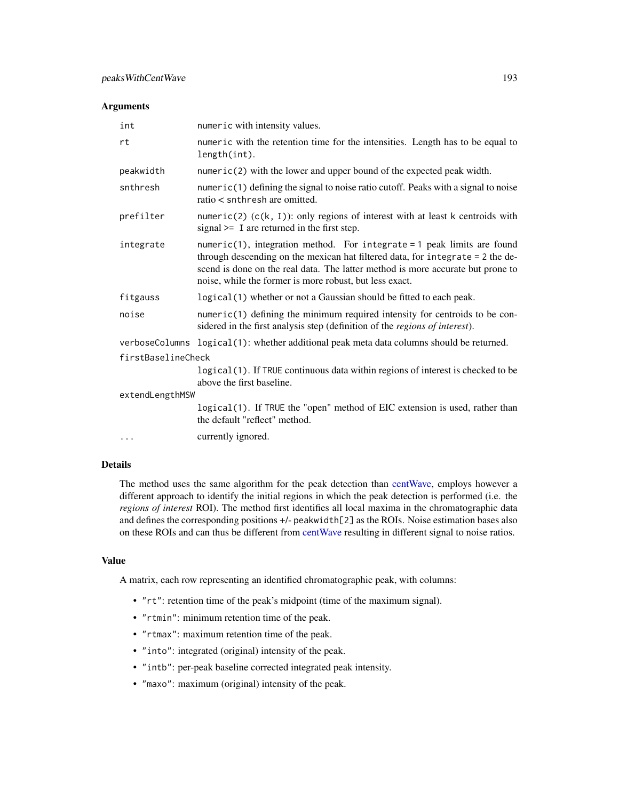| int                | numeric with intensity values.                                                                                                                                                                                                                                                                             |  |
|--------------------|------------------------------------------------------------------------------------------------------------------------------------------------------------------------------------------------------------------------------------------------------------------------------------------------------------|--|
| rt                 | numeric with the retention time for the intensities. Length has to be equal to<br>length(int).                                                                                                                                                                                                             |  |
| peakwidth          | $numeric(2)$ with the lower and upper bound of the expected peak width.                                                                                                                                                                                                                                    |  |
| snthresh           | numeric(1) defining the signal to noise ratio cutoff. Peaks with a signal to noise<br>$ratio < s$ nthresh are omitted.                                                                                                                                                                                     |  |
| prefilter          | numeric(2) $(c(k, 1))$ : only regions of interest with at least k centroids with<br>signal $>=$ I are returned in the first step.                                                                                                                                                                          |  |
| integrate          | $numeric(1)$ , integration method. For integrate = 1 peak limits are found<br>through descending on the mexican hat filtered data, for integrate = 2 the de-<br>scend is done on the real data. The latter method is more accurate but prone to<br>noise, while the former is more robust, but less exact. |  |
| fitgauss           | logical (1) whether or not a Gaussian should be fitted to each peak.                                                                                                                                                                                                                                       |  |
| noise              | numeric(1) defining the minimum required intensity for centroids to be con-<br>sidered in the first analysis step (definition of the <i>regions of interest</i> ).                                                                                                                                         |  |
|                    | verboseColumns logical(1): whether additional peak meta data columns should be returned.                                                                                                                                                                                                                   |  |
| firstBaselineCheck |                                                                                                                                                                                                                                                                                                            |  |
|                    | logical (1). If TRUE continuous data within regions of interest is checked to be<br>above the first baseline.                                                                                                                                                                                              |  |
| extendLengthMSW    |                                                                                                                                                                                                                                                                                                            |  |
|                    | logical(1). If TRUE the "open" method of EIC extension is used, rather than<br>the default "reflect" method.                                                                                                                                                                                               |  |
| $\cdots$           | currently ignored.                                                                                                                                                                                                                                                                                         |  |

# Details

The method uses the same algorithm for the peak detection than [centWave,](#page-98-0) employs however a different approach to identify the initial regions in which the peak detection is performed (i.e. the *regions of interest* ROI). The method first identifies all local maxima in the chromatographic data and defines the corresponding positions +/- peakwidth[2] as the ROIs. Noise estimation bases also on these ROIs and can thus be different from [centWave](#page-98-0) resulting in different signal to noise ratios.

### Value

A matrix, each row representing an identified chromatographic peak, with columns:

- "rt": retention time of the peak's midpoint (time of the maximum signal).
- "rtmin": minimum retention time of the peak.
- "rtmax": maximum retention time of the peak.
- "into": integrated (original) intensity of the peak.
- "intb": per-peak baseline corrected integrated peak intensity.
- "maxo": maximum (original) intensity of the peak.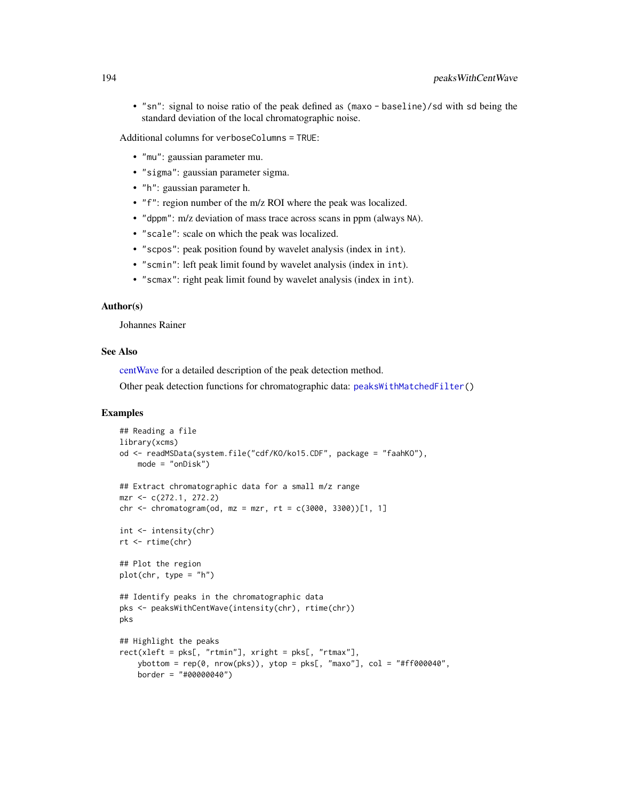• "sn": signal to noise ratio of the peak defined as (maxo - baseline)/sd with sd being the standard deviation of the local chromatographic noise.

Additional columns for verboseColumns = TRUE:

- "mu": gaussian parameter mu.
- "sigma": gaussian parameter sigma.
- "h": gaussian parameter h.
- "f": region number of the m/z ROI where the peak was localized.
- "dppm": m/z deviation of mass trace across scans in ppm (always NA).
- "scale": scale on which the peak was localized.
- "scpos": peak position found by wavelet analysis (index in int).
- "scmin": left peak limit found by wavelet analysis (index in int).
- "scmax": right peak limit found by wavelet analysis (index in int).

#### Author(s)

Johannes Rainer

#### See Also

[centWave](#page-98-0) for a detailed description of the peak detection method.

Other peak detection functions for chromatographic data: [peaksWithMatchedFilter\(](#page-194-0))

#### Examples

```
## Reading a file
library(xcms)
od <- readMSData(system.file("cdf/KO/ko15.CDF", package = "faahKO"),
    mode = "onDisk")
## Extract chromatographic data for a small m/z range
mzr <- c(272.1, 272.2)
chr <- chromatogram(od, mz = mzr, rt = c(3000, 3300)[1, 1]
int <- intensity(chr)
rt <- rtime(chr)
## Plot the region
plot(chr, type = "h")
## Identify peaks in the chromatographic data
pks <- peaksWithCentWave(intensity(chr), rtime(chr))
pks
## Highlight the peaks
rect(xleft = pks[, "rtmin"], xright = pks[, "rtmax"],
    ybottom = rep(\emptyset, nrow(pks)), ytop = pks[, "maxo"], col = "#ff000040",
    border = "#00000040")
```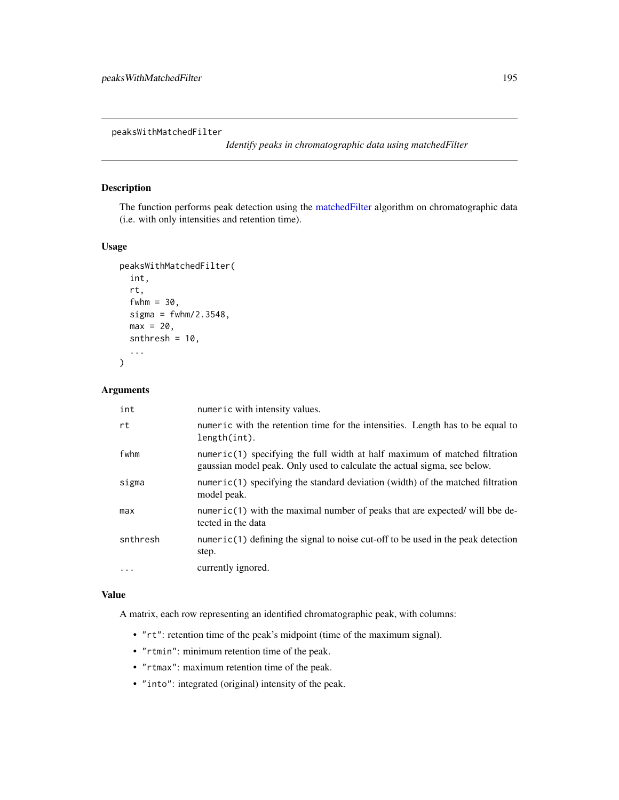<span id="page-194-0"></span>peaksWithMatchedFilter

*Identify peaks in chromatographic data using matchedFilter*

# Description

The function performs peak detection using the [matchedFilter](#page-115-0) algorithm on chromatographic data (i.e. with only intensities and retention time).

# Usage

```
peaksWithMatchedFilter(
  int,
  rt,
  fwhm = 30,
  sigma = fwhm/2.3548,
 max = 20,
 snthresh = 10,
  ...
)
```
# Arguments

| int      | numeric with intensity values.                                                                                                                           |
|----------|----------------------------------------------------------------------------------------------------------------------------------------------------------|
| rt       | numeric with the retention time for the intensities. Length has to be equal to<br>length(int).                                                           |
| fwhm     | $numeric(1)$ specifying the full width at half maximum of matched filtration<br>gaussian model peak. Only used to calculate the actual sigma, see below. |
| sigma    | $numeric(1)$ specifying the standard deviation (width) of the matched filtration<br>model peak.                                                          |
| max      | numeric(1) with the maximal number of peaks that are expected/ will bbe de-<br>tected in the data                                                        |
| snthresh | numeric(1) defining the signal to noise cut-off to be used in the peak detection<br>step.                                                                |
| $\cdots$ | currently ignored.                                                                                                                                       |

#### Value

A matrix, each row representing an identified chromatographic peak, with columns:

- "rt": retention time of the peak's midpoint (time of the maximum signal).
- "rtmin": minimum retention time of the peak.
- "rtmax": maximum retention time of the peak.
- "into": integrated (original) intensity of the peak.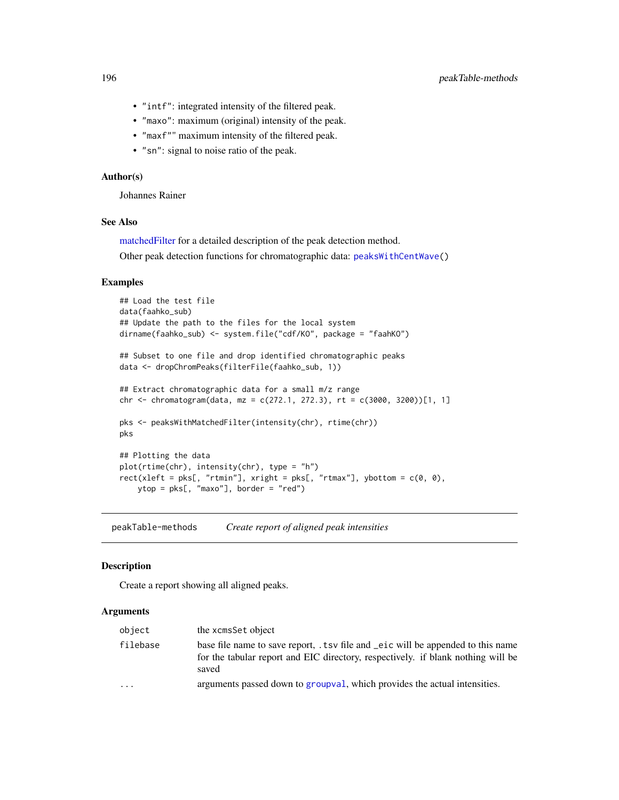- "intf": integrated intensity of the filtered peak.
- "maxo": maximum (original) intensity of the peak.
- "maxf"" maximum intensity of the filtered peak.
- "sn": signal to noise ratio of the peak.

## Author(s)

Johannes Rainer

# See Also

[matchedFilter](#page-115-0) for a detailed description of the peak detection method. Other peak detection functions for chromatographic data: [peaksWithCentWave\(](#page-191-0))

#### Examples

```
## Load the test file
data(faahko_sub)
## Update the path to the files for the local system
dirname(faahko_sub) <- system.file("cdf/KO", package = "faahKO")
## Subset to one file and drop identified chromatographic peaks
data <- dropChromPeaks(filterFile(faahko_sub, 1))
## Extract chromatographic data for a small m/z range
chr <- chromatogram(data, mz = c(272.1, 272.3), rt = c(3000, 3200))[1, 1]
pks <- peaksWithMatchedFilter(intensity(chr), rtime(chr))
pks
## Plotting the data
plot(rtime(chr), intensity(chr), type = "h")
rect(xleft = pks[, "rtmin"], xright = pks[, "rtmax"], ybottom = c(0, 0),
    ytop = pks[, "maxo"], border = "red")
```
peakTable-methods *Create report of aligned peak intensities*

## Description

Create a report showing all aligned peaks.

| object                  | the xcmsSet object                                                                                                                                                           |
|-------------------------|------------------------------------------------------------------------------------------------------------------------------------------------------------------------------|
| filebase                | base file name to save report, . tsv file and eic will be appended to this name<br>for the tabular report and EIC directory, respectively. if blank nothing will be<br>saved |
| $\cdot$ $\cdot$ $\cdot$ | arguments passed down to group all, which provides the actual intensities.                                                                                                   |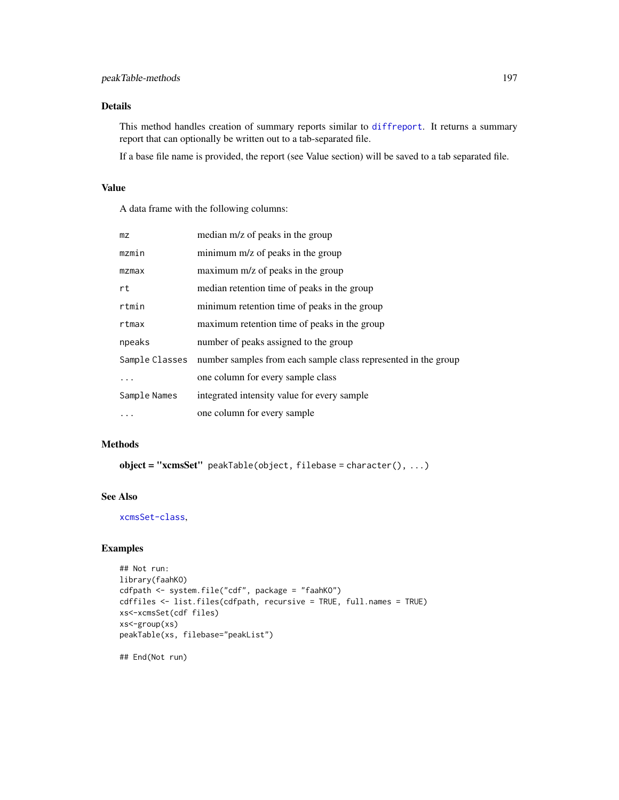# Details

This method handles creation of summary reports similar to [diffreport](#page-42-0). It returns a summary report that can optionally be written out to a tab-separated file.

If a base file name is provided, the report (see Value section) will be saved to a tab separated file.

# Value

A data frame with the following columns:

| mz           | median m/z of peaks in the group                                              |
|--------------|-------------------------------------------------------------------------------|
| mzmin        | minimum m/z of peaks in the group                                             |
| mzmax        | maximum m/z of peaks in the group                                             |
| rt           | median retention time of peaks in the group                                   |
| rtmin        | minimum retention time of peaks in the group                                  |
| rtmax        | maximum retention time of peaks in the group                                  |
| npeaks       | number of peaks assigned to the group                                         |
|              | Sample Classes number samples from each sample class represented in the group |
| $\cdots$     | one column for every sample class                                             |
| Sample Names | integrated intensity value for every sample.                                  |
| $\cdots$     | one column for every sample                                                   |

# Methods

object = "xcmsSet" peakTable(object, filebase = character(), ...)

# See Also

[xcmsSet-class](#page-288-0),

# Examples

```
## Not run:
library(faahKO)
cdfpath <- system.file("cdf", package = "faahKO")
cdffiles <- list.files(cdfpath, recursive = TRUE, full.names = TRUE)
xs<-xcmsSet(cdf files)
xs<-group(xs)
peakTable(xs, filebase="peakList")
## End(Not run)
```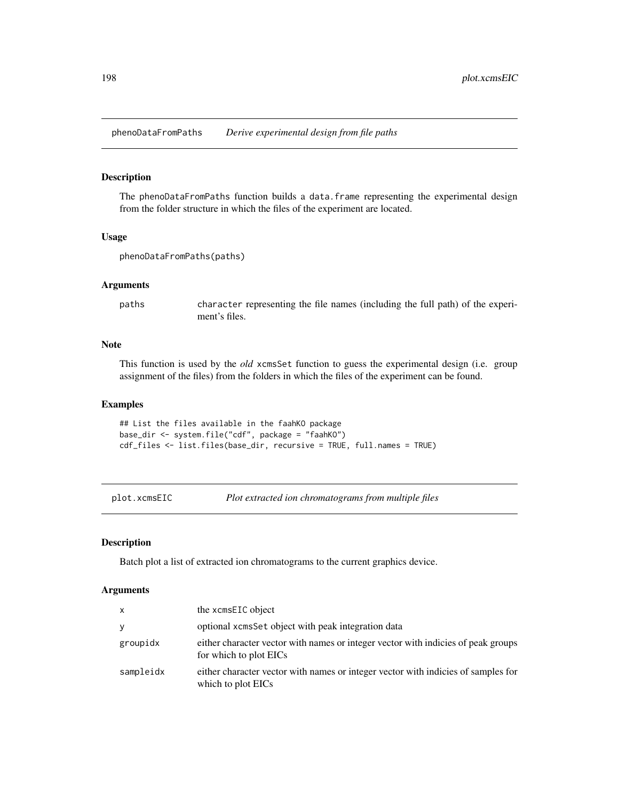phenoDataFromPaths *Derive experimental design from file paths*

# Description

The phenoDataFromPaths function builds a data.frame representing the experimental design from the folder structure in which the files of the experiment are located.

#### Usage

```
phenoDataFromPaths(paths)
```
#### Arguments

paths character representing the file names (including the full path) of the experiment's files.

# Note

This function is used by the *old* xcmsSet function to guess the experimental design (i.e. group assignment of the files) from the folders in which the files of the experiment can be found.

#### Examples

```
## List the files available in the faahKO package
base_dir <- system.file("cdf", package = "faahKO")
cdf_files <- list.files(base_dir, recursive = TRUE, full.names = TRUE)
```
plot.xcmsEIC *Plot extracted ion chromatograms from multiple files*

# Description

Batch plot a list of extracted ion chromatograms to the current graphics device.

| $\mathsf{x}$ | the xcmsEIC object                                                                                          |
|--------------|-------------------------------------------------------------------------------------------------------------|
| y            | optional xcmsSet object with peak integration data                                                          |
| groupidx     | either character vector with names or integer vector with indicies of peak groups<br>for which to plot EICs |
| sampleidx    | either character vector with names or integer vector with indicies of samples for<br>which to plot EICs     |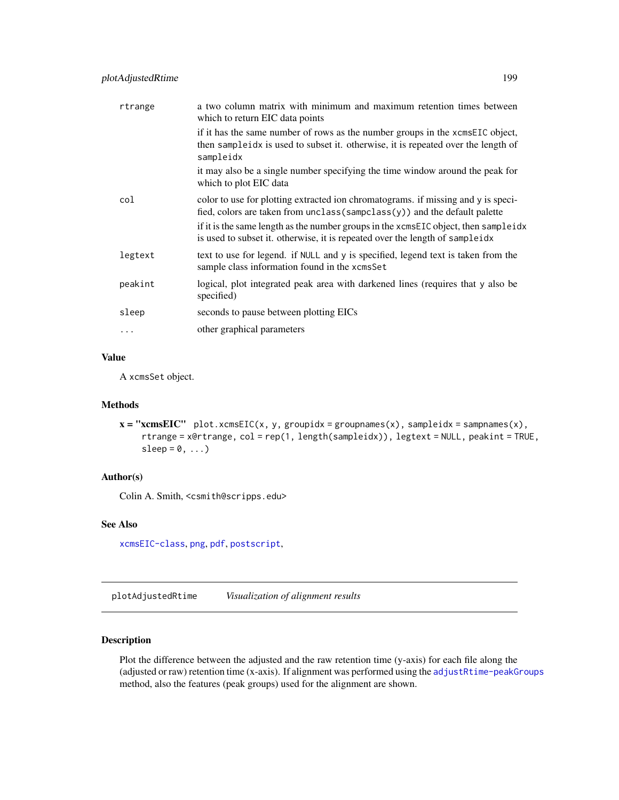| rtrange | a two column matrix with minimum and maximum retention times between<br>which to return EIC data points                                                                          |
|---------|----------------------------------------------------------------------------------------------------------------------------------------------------------------------------------|
|         | if it has the same number of rows as the number groups in the xcmsEIC object,<br>then sample idx is used to subset it. otherwise, it is repeated over the length of<br>sampleidx |
|         | it may also be a single number specifying the time window around the peak for<br>which to plot EIC data                                                                          |
| col     | color to use for plotting extracted ion chromatograms. if missing and y is speci-<br>fied, colors are taken from unclass (sampclass(y)) and the default palette                  |
|         | if it is the same length as the number groups in the xcmsEIC object, then sampleidx<br>is used to subset it. otherwise, it is repeated over the length of sampleidx              |
| legtext | text to use for legend. if NULL and y is specified, legend text is taken from the<br>sample class information found in the xcmsSet                                               |
| peakint | logical, plot integrated peak area with darkened lines (requires that y also be<br>specified)                                                                                    |
| sleep   | seconds to pause between plotting EICs                                                                                                                                           |
|         | other graphical parameters                                                                                                                                                       |
|         |                                                                                                                                                                                  |

# Value

A xcmsSet object.

# Methods

```
x = "xcmsEIC" plot.xcmSEIC(x, y, groupidx = groupnames(x), sampleidx = samples(x),rtrange = x@rtrange, col = rep(1, length(sampleidx)), legtext = NULL, peakint = TRUE,
    sleep = 0, \ldots)
```
# Author(s)

Colin A. Smith, <csmith@scripps.edu>

## See Also

[xcmsEIC-class](#page-265-0), [png](#page-0-0), [pdf](#page-0-0), [postscript](#page-0-0),

plotAdjustedRtime *Visualization of alignment results*

# Description

Plot the difference between the adjusted and the raw retention time (y-axis) for each file along the (adjusted or raw) retention time (x-axis). If alignment was performed using the [adjustRtime-peakGroups](#page-12-0) method, also the features (peak groups) used for the alignment are shown.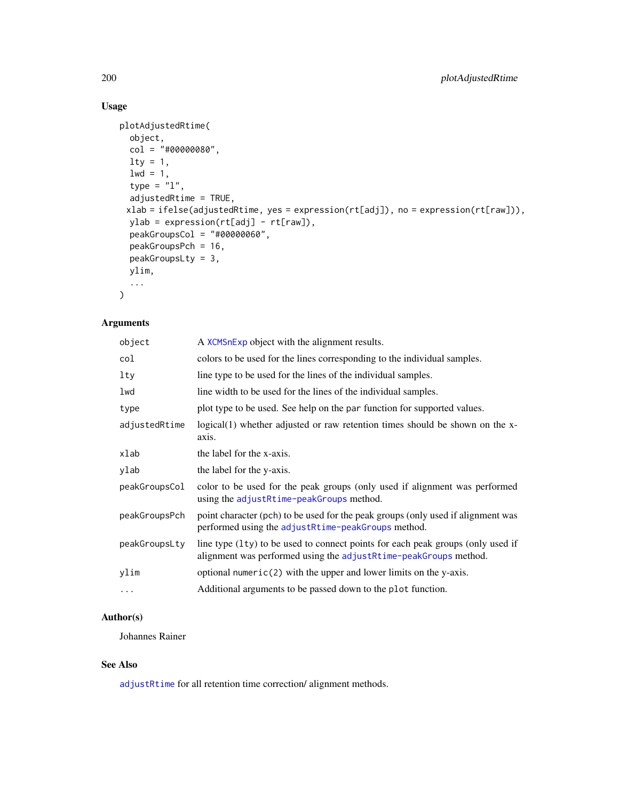# Usage

```
plotAdjustedRtime(
  object,
  col = "#00000080",
 \frac{1}{1}1wd = 1,type = "l",
  adjustedRtime = TRUE,
 xlab = ifelse(adjustedRtime, yes = expression(rt[adj]), no = expression(rt[raw])),
 ylab = expression(rt[adj] - rt[raw]),
 peakGroupsCol = "#00000060",
 peakGroupsPch = 16,
 peakGroupsLty = 3,
 ylim,
  ...
)
```
# Arguments

| object        | A XCMSnExp object with the alignment results.                                                                                                         |  |
|---------------|-------------------------------------------------------------------------------------------------------------------------------------------------------|--|
| col           | colors to be used for the lines corresponding to the individual samples.                                                                              |  |
| lty           | line type to be used for the lines of the individual samples.                                                                                         |  |
| lwd           | line width to be used for the lines of the individual samples.                                                                                        |  |
| type          | plot type to be used. See help on the par function for supported values.                                                                              |  |
| adjustedRtime | logical(1) whether adjusted or raw retention times should be shown on the x-<br>axis.                                                                 |  |
| xlab          | the label for the x-axis.                                                                                                                             |  |
| ylab          | the label for the y-axis.                                                                                                                             |  |
| peakGroupsCol | color to be used for the peak groups (only used if alignment was performed<br>using the adjustRtime-peakGroups method.                                |  |
| peakGroupsPch | point character (pch) to be used for the peak groups (only used if alignment was<br>performed using the adjustRtime-peakGroups method.                |  |
| peakGroupsLty | line type $(1ty)$ to be used to connect points for each peak groups (only used if<br>alignment was performed using the adjustRtime-peakGroups method. |  |
| ylim          | optional numeric $(2)$ with the upper and lower limits on the y-axis.                                                                                 |  |
| .             | Additional arguments to be passed down to the plot function.                                                                                          |  |
|               |                                                                                                                                                       |  |

# Author(s)

Johannes Rainer

# See Also

[adjustRtime](#page-6-0) for all retention time correction/ alignment methods.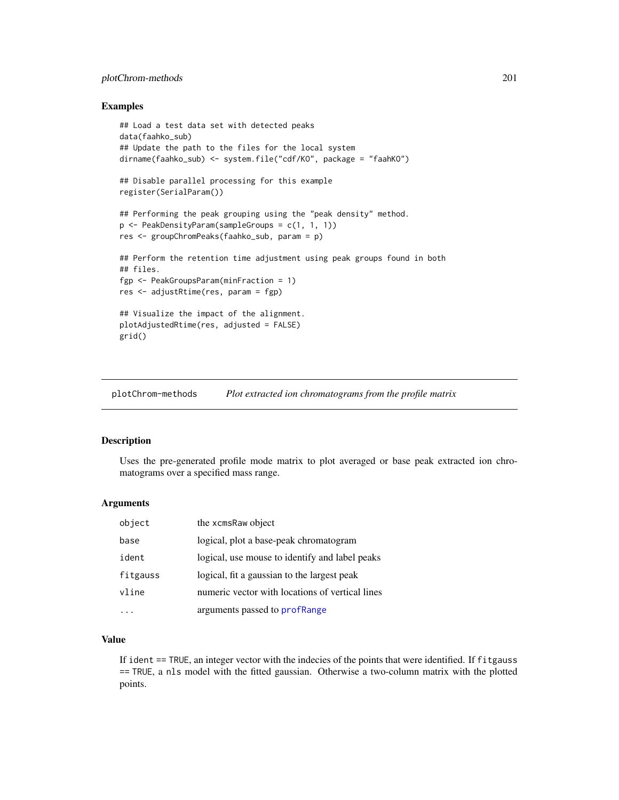# plotChrom-methods 201

#### Examples

```
## Load a test data set with detected peaks
data(faahko_sub)
## Update the path to the files for the local system
dirname(faahko_sub) <- system.file("cdf/KO", package = "faahKO")
## Disable parallel processing for this example
register(SerialParam())
## Performing the peak grouping using the "peak density" method.
p <- PeakDensityParam(sampleGroups = c(1, 1, 1))
res <- groupChromPeaks(faahko_sub, param = p)
## Perform the retention time adjustment using peak groups found in both
## files.
fgp <- PeakGroupsParam(minFraction = 1)
res <- adjustRtime(res, param = fgp)
## Visualize the impact of the alignment.
plotAdjustedRtime(res, adjusted = FALSE)
grid()
```
plotChrom-methods *Plot extracted ion chromatograms from the profile matrix*

#### <span id="page-200-0"></span>Description

Uses the pre-generated profile mode matrix to plot averaged or base peak extracted ion chromatograms over a specified mass range.

#### Arguments

| object   | the xcmsRaw object                              |
|----------|-------------------------------------------------|
| base     | logical, plot a base-peak chromatogram          |
| ident    | logical, use mouse to identify and label peaks  |
| fitgauss | logical, fit a gaussian to the largest peak     |
| vline    | numeric vector with locations of vertical lines |
|          | arguments passed to profRange                   |

#### Value

If ident == TRUE, an integer vector with the indecies of the points that were identified. If fitgauss == TRUE, a nls model with the fitted gaussian. Otherwise a two-column matrix with the plotted points.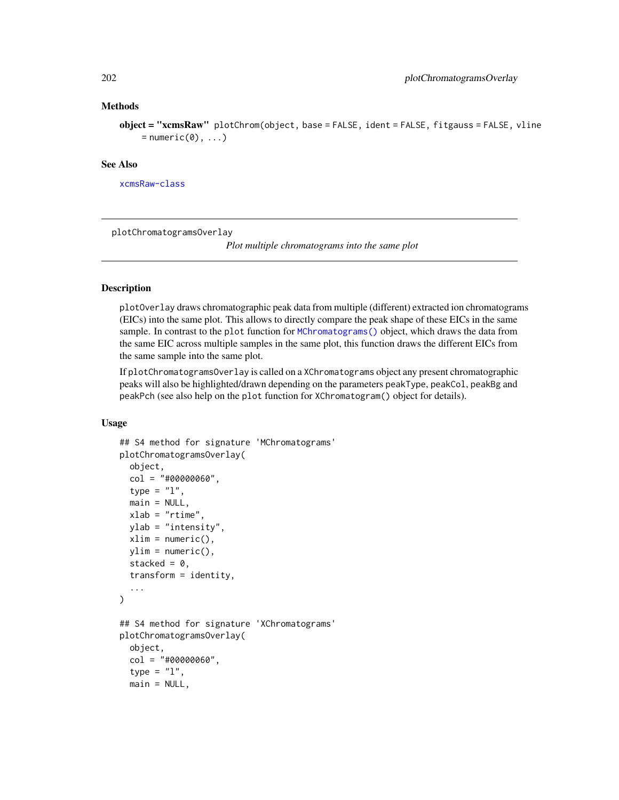#### Methods

```
object = "xcmsRaw" plotChrom(object, base = FALSE, ident = FALSE, fitgauss = FALSE, vline
    = numeric(0), ...)
```
#### See Also

[xcmsRaw-class](#page-283-0)

plotChromatogramsOverlay

*Plot multiple chromatograms into the same plot*

# **Description**

plotOverlay draws chromatographic peak data from multiple (different) extracted ion chromatograms (EICs) into the same plot. This allows to directly compare the peak shape of these EICs in the same sample. In contrast to the plot function for [MChromatograms\(\)](#page-0-0) object, which draws the data from the same EIC across multiple samples in the same plot, this function draws the different EICs from the same sample into the same plot.

If plotChromatogramsOverlay is called on a XChromatograms object any present chromatographic peaks will also be highlighted/drawn depending on the parameters peakType, peakCol, peakBg and peakPch (see also help on the plot function for XChromatogram() object for details).

## Usage

```
## S4 method for signature 'MChromatograms'
plotChromatogramsOverlay(
  object,
  col = "#00000060",type = "l",
 main = NULL,
 xlab = "rtime",
 ylab = "intensity",
  xlim = numeric(),
 ylim = numeric(),
  stacked = 0,
  transform = identity,
  ...
)
## S4 method for signature 'XChromatograms'
plotChromatogramsOverlay(
  object,
  col = "#00000060",type = "1",main = NULL,
```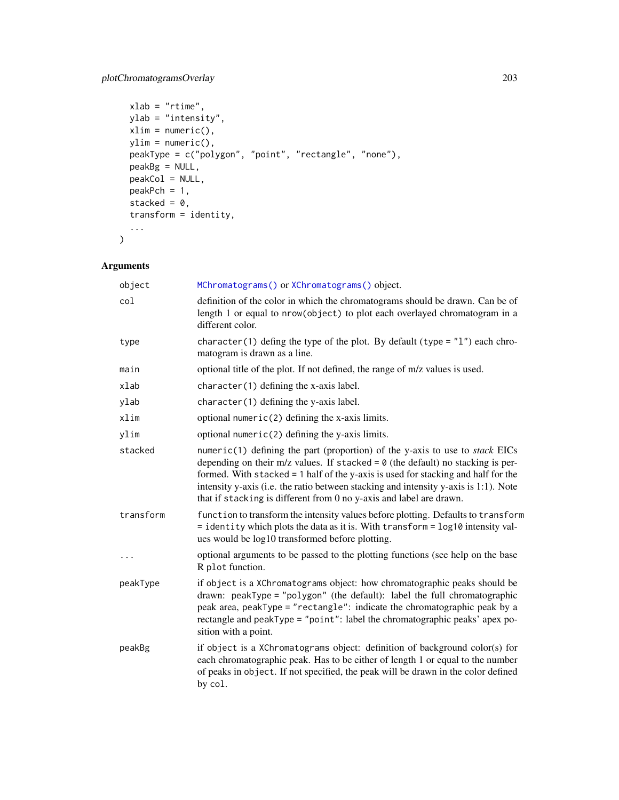```
xlab = "rtime",
 ylab = "intensity",
 xlim = numeric(),
 ylim = numeric(),
 peakType = c("polygon", "point", "rectangle", "none"),
 peakBg = NULL,
 peakCol = NULL,
 peakPch = 1,
 stacked = 0,transform = identity,
  ...
\mathcal{L}
```

| object    | MChromatograms() or XChromatograms() object.                                                                                                                                                                                                                                                                                                                                                                                      |  |
|-----------|-----------------------------------------------------------------------------------------------------------------------------------------------------------------------------------------------------------------------------------------------------------------------------------------------------------------------------------------------------------------------------------------------------------------------------------|--|
| col       | definition of the color in which the chromatograms should be drawn. Can be of<br>length 1 or equal to nrow(object) to plot each overlayed chromatogram in a<br>different color.                                                                                                                                                                                                                                                   |  |
| type      | character(1) defing the type of the plot. By default (type = $"1"$ ) each chro-<br>matogram is drawn as a line.                                                                                                                                                                                                                                                                                                                   |  |
| main      | optional title of the plot. If not defined, the range of m/z values is used.                                                                                                                                                                                                                                                                                                                                                      |  |
| xlab      | $character(1)$ defining the x-axis label.                                                                                                                                                                                                                                                                                                                                                                                         |  |
| ylab      | $character(1)$ defining the y-axis label.                                                                                                                                                                                                                                                                                                                                                                                         |  |
| xlim      | optional numeric $(2)$ defining the x-axis limits.                                                                                                                                                                                                                                                                                                                                                                                |  |
| ylim      | optional numeric $(2)$ defining the y-axis limits.                                                                                                                                                                                                                                                                                                                                                                                |  |
| stacked   | numeric(1) defining the part (proportion) of the y-axis to use to <i>stack</i> EICs<br>depending on their m/z values. If stacked = $\theta$ (the default) no stacking is per-<br>formed. With stacked = 1 half of the y-axis is used for stacking and half for the<br>intensity y-axis (i.e. the ratio between stacking and intensity y-axis is 1:1). Note<br>that if stacking is different from 0 no y-axis and label are drawn. |  |
| transform | function to transform the intensity values before plotting. Defaults to transform<br>$=$ identity which plots the data as it is. With transform $=$ log10 intensity val-<br>ues would be log10 transformed before plotting.                                                                                                                                                                                                       |  |
| $\cdots$  | optional arguments to be passed to the plotting functions (see help on the base<br>R plot function.                                                                                                                                                                                                                                                                                                                               |  |
| peakType  | if object is a XChromatograms object: how chromatographic peaks should be<br>drawn: peakType = "polygon" (the default): label the full chromatographic<br>peak area, peakType = "rectangle": indicate the chromatographic peak by a<br>rectangle and peakType = "point": label the chromatographic peaks' apex po-<br>sition with a point.                                                                                        |  |
| peakBg    | if object is a XChromatograms object: definition of background color(s) for<br>each chromatographic peak. Has to be either of length 1 or equal to the number<br>of peaks in object. If not specified, the peak will be drawn in the color defined<br>by col.                                                                                                                                                                     |  |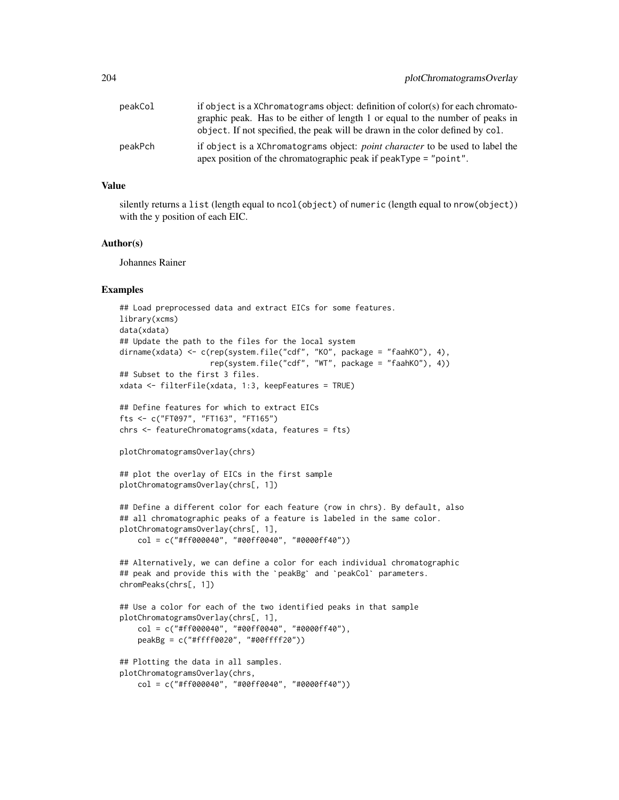| peakCol | if object is a XChromatograms object: definition of color(s) for each chromato-                                                                             |
|---------|-------------------------------------------------------------------------------------------------------------------------------------------------------------|
|         | graphic peak. Has to be either of length 1 or equal to the number of peaks in                                                                               |
|         | object. If not specified, the peak will be drawn in the color defined by col.                                                                               |
| peakPch | if object is a XChromatograms object: <i>point character</i> to be used to label the<br>apex position of the chromatographic peak if peak Type $=$ "point". |

#### Value

silently returns a list (length equal to ncol(object) of numeric (length equal to nrow(object)) with the y position of each EIC.

# Author(s)

Johannes Rainer

#### Examples

```
## Load preprocessed data and extract EICs for some features.
library(xcms)
data(xdata)
## Update the path to the files for the local system
dirname(xdata) <- c(rep(system.file("cdf", "KO", package = "faahKO"), 4),
                      rep(system.file("cdf", "WT", package = "faahKO"), 4))
## Subset to the first 3 files.
xdata <- filterFile(xdata, 1:3, keepFeatures = TRUE)
## Define features for which to extract EICs
fts <- c("FT097", "FT163", "FT165")
chrs <- featureChromatograms(xdata, features = fts)
plotChromatogramsOverlay(chrs)
## plot the overlay of EICs in the first sample
plotChromatogramsOverlay(chrs[, 1])
## Define a different color for each feature (row in chrs). By default, also
## all chromatographic peaks of a feature is labeled in the same color.
plotChromatogramsOverlay(chrs[, 1],
    col = c("#ff000040", "#00ff0040", "#0000ff40"))
## Alternatively, we can define a color for each individual chromatographic
col = c("#ff000040", "#00ff0040", "#0000ff40"))<br>## Alternatively, we can define a color for each individual chromato<br>## peak and provide this with the `peakBg` and `peakCol` parameters.
chromPeaks(chrs[, 1])
## Use a color for each of the two identified peaks in that sample
plotChromatogramsOverlay(chrs[, 1],
    col = c("#ff000040", "#00ff0040", "#0000ff40"),peakBg = c("#ffff0020", "#00ffff20"))
## Plotting the data in all samples.
plotChromatogramsOverlay(chrs,
    col = c("#ff000040", "#00ff0040", "#0000ff40"))
```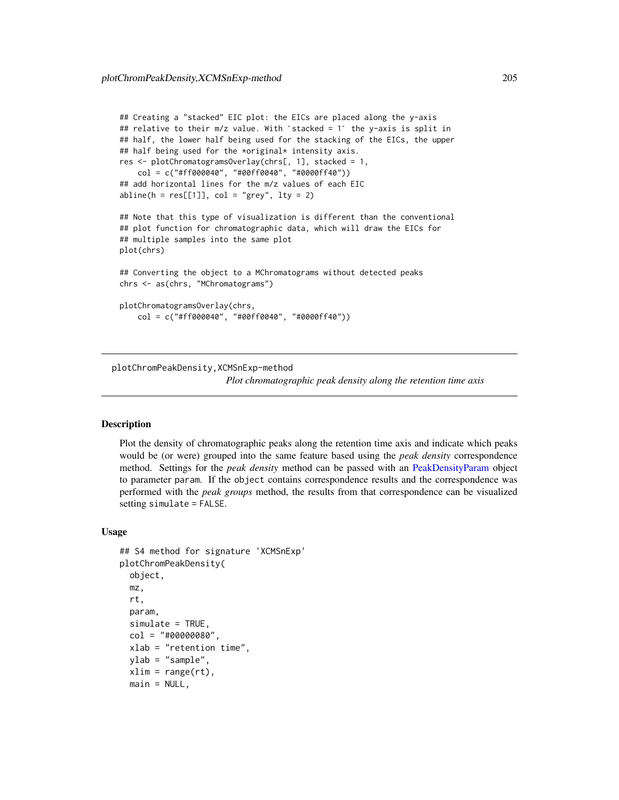```
## Creating a "stacked" EIC plot: the EICs are placed along the y-axis
## relative to their m/z value. With `stacked = 1` the y-axis is split in
## half, the lower half being used for the stacking of the EICs, the upper
## half being used for the *original* intensity axis.
res <- plotChromatogramsOverlay(chrs[, 1], stacked = 1,
    col = c("#ff000040", "#00ff0040", "#0000ff40"))
## add horizontal lines for the m/z values of each EIC
abline(h = res[[1]], col = "grey", lty = 2)## Note that this type of visualization is different than the conventional
## plot function for chromatographic data, which will draw the EICs for
## multiple samples into the same plot
plot(chrs)
## Converting the object to a MChromatograms without detected peaks
chrs <- as(chrs, "MChromatograms")
plotChromatogramsOverlay(chrs,
    col = c("#ff000040", "#00ff0040", "#0000ff40"))
```
plotChromPeakDensity,XCMSnExp-method *Plot chromatographic peak density along the retention time axis*

## **Description**

Plot the density of chromatographic peaks along the retention time axis and indicate which peaks would be (or were) grouped into the same feature based using the *peak density* correspondence method. Settings for the *peak density* method can be passed with an [PeakDensityParam](#page-155-0) object to parameter param. If the object contains correspondence results and the correspondence was performed with the *peak groups* method, the results from that correspondence can be visualized setting simulate = FALSE.

#### Usage

```
## S4 method for signature 'XCMSnExp'
plotChromPeakDensity(
  object,
  mz,
  rt,
  param,
  simulate = TRUE,
  col = "#00000080",
  xlab = "retention time",
  ylab = "sample",
  xlim = range(rt),
 main = NULL,
```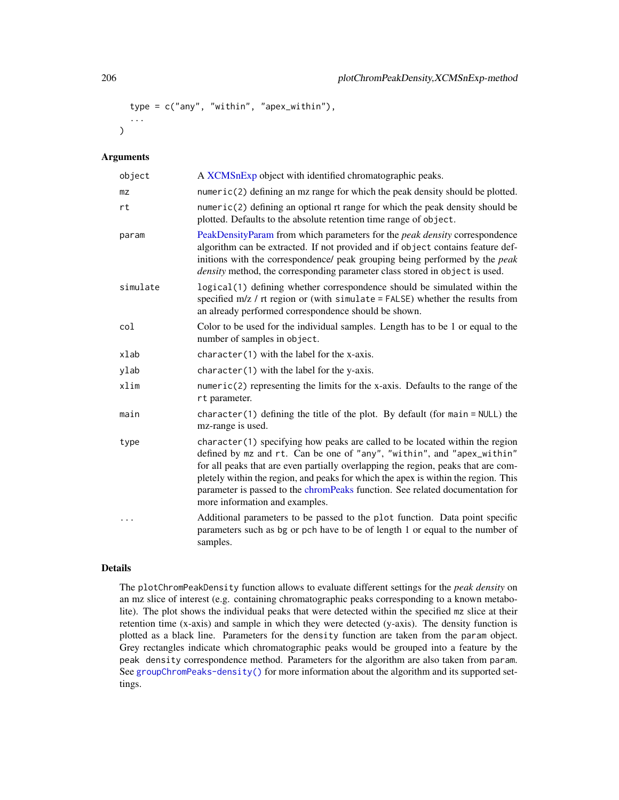```
type = c("any", "within", "apex_within"),
...
```
 $\mathcal{L}$ 

| object   | A XCMSnExp object with identified chromatographic peaks.                                                                                                                                                                                                                                                                                                                                                                                             |
|----------|------------------------------------------------------------------------------------------------------------------------------------------------------------------------------------------------------------------------------------------------------------------------------------------------------------------------------------------------------------------------------------------------------------------------------------------------------|
| mz       | numeric(2) defining an mz range for which the peak density should be plotted.                                                                                                                                                                                                                                                                                                                                                                        |
| rt       | numeric(2) defining an optional rt range for which the peak density should be<br>plotted. Defaults to the absolute retention time range of object.                                                                                                                                                                                                                                                                                                   |
| param    | PeakDensityParam from which parameters for the <i>peak density</i> correspondence<br>algorithm can be extracted. If not provided and if object contains feature def-<br>initions with the correspondence/ peak grouping being performed by the peak<br>density method, the corresponding parameter class stored in object is used.                                                                                                                   |
| simulate | logical(1) defining whether correspondence should be simulated within the<br>specified $m/z$ / rt region or (with simulate = FALSE) whether the results from<br>an already performed correspondence should be shown.                                                                                                                                                                                                                                 |
| col      | Color to be used for the individual samples. Length has to be 1 or equal to the<br>number of samples in object.                                                                                                                                                                                                                                                                                                                                      |
| xlab     | $character(1)$ with the label for the x-axis.                                                                                                                                                                                                                                                                                                                                                                                                        |
| ylab     | $character(1)$ with the label for the y-axis.                                                                                                                                                                                                                                                                                                                                                                                                        |
| xlim     | $numeric(2)$ representing the limits for the x-axis. Defaults to the range of the<br>rt parameter.                                                                                                                                                                                                                                                                                                                                                   |
| main     | character(1) defining the title of the plot. By default (for main = $NULL$ ) the<br>mz-range is used.                                                                                                                                                                                                                                                                                                                                                |
| type     | character(1) specifying how peaks are called to be located within the region<br>defined by mz and rt. Can be one of "any", "within", and "apex_within"<br>for all peaks that are even partially overlapping the region, peaks that are com-<br>pletely within the region, and peaks for which the apex is within the region. This<br>parameter is passed to the chromPeaks function. See related documentation for<br>more information and examples. |
| .        | Additional parameters to be passed to the plot function. Data point specific<br>parameters such as bg or pch have to be of length 1 or equal to the number of<br>samples.                                                                                                                                                                                                                                                                            |

## Details

The plotChromPeakDensity function allows to evaluate different settings for the *peak density* on an mz slice of interest (e.g. containing chromatographic peaks corresponding to a known metabolite). The plot shows the individual peaks that were detected within the specified mz slice at their retention time (x-axis) and sample in which they were detected (y-axis). The density function is plotted as a black line. Parameters for the density function are taken from the param object. Grey rectangles indicate which chromatographic peaks would be grouped into a feature by the peak density correspondence method. Parameters for the algorithm are also taken from param. See [groupChromPeaks-density\(\)](#page-155-1) for more information about the algorithm and its supported settings.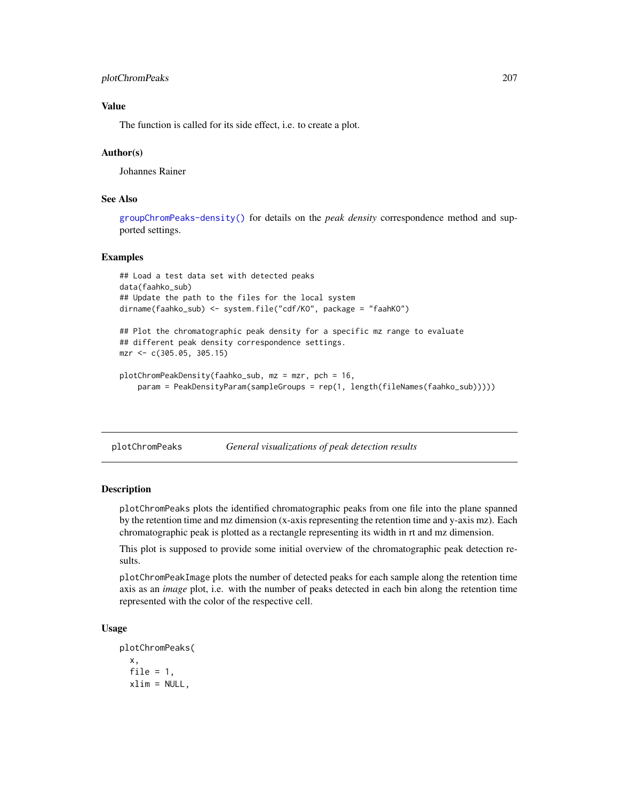# plotChromPeaks 207

## Value

The function is called for its side effect, i.e. to create a plot.

#### Author(s)

Johannes Rainer

# See Also

[groupChromPeaks-density\(\)](#page-155-1) for details on the *peak density* correspondence method and supported settings.

#### Examples

```
## Load a test data set with detected peaks
data(faahko_sub)
## Update the path to the files for the local system
dirname(faahko_sub) <- system.file("cdf/KO", package = "faahKO")
## Plot the chromatographic peak density for a specific mz range to evaluate
## different peak density correspondence settings.
mzr <- c(305.05, 305.15)
plotChromPeakDensity(faahko_sub, mz = mzr, pch = 16,
    param = PeakDensityParam(sampleGroups = rep(1, length(fileNames(faahko_sub)))))
```
plotChromPeaks *General visualizations of peak detection results*

#### **Description**

plotChromPeaks plots the identified chromatographic peaks from one file into the plane spanned by the retention time and mz dimension (x-axis representing the retention time and y-axis mz). Each chromatographic peak is plotted as a rectangle representing its width in rt and mz dimension.

This plot is supposed to provide some initial overview of the chromatographic peak detection results.

plotChromPeakImage plots the number of detected peaks for each sample along the retention time axis as an *image* plot, i.e. with the number of peaks detected in each bin along the retention time represented with the color of the respective cell.

#### Usage

plotChromPeaks( x, file =  $1$ ,  $xlim = NULL,$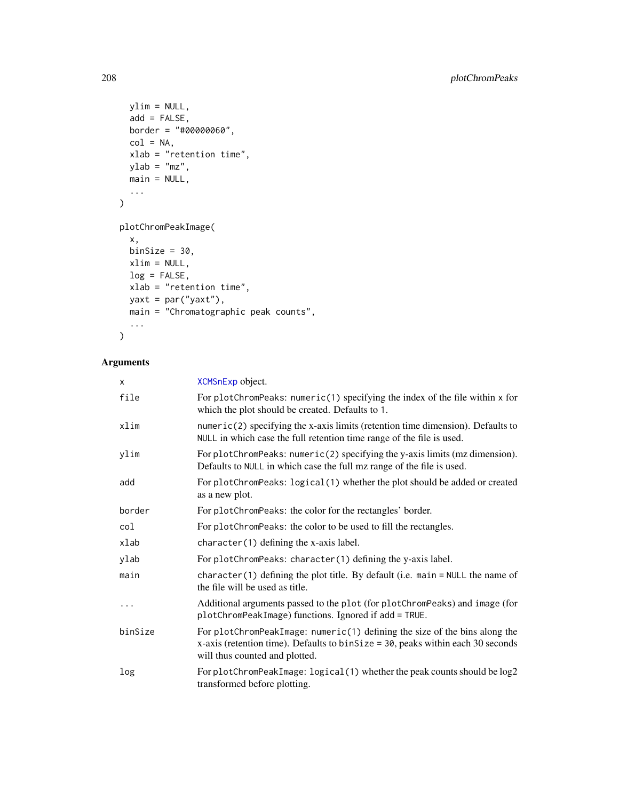```
ylim = NULL,add = FALSE,
 border = "#00000060",
 col = NA,
 xlab = "retention time",
 ylab = "mz",
 main = NULL,
  ...
)
plotChromPeakImage(
 x,
 binSize = 30,
 xlim = NULL,log = FALSE,
 xlab = "retention time",
 yaxt = par("yaxt"),
 main = "Chromatographic peak counts",
  ...
```

```
\mathcal{L}
```

| x       | XCMSnExp object.                                                                                                                                                                                         |
|---------|----------------------------------------------------------------------------------------------------------------------------------------------------------------------------------------------------------|
| file    | For plotChromPeaks: numeric(1) specifying the index of the file within $x$ for<br>which the plot should be created. Defaults to 1.                                                                       |
| xlim    | numeric(2) specifying the x-axis limits (retention time dimension). Defaults to<br>NULL in which case the full retention time range of the file is used.                                                 |
| ylim    | For plotChromPeaks: numeric(2) specifying the y-axis limits (mz dimension).<br>Defaults to NULL in which case the full mz range of the file is used.                                                     |
| add     | For plotChromPeaks: logical(1) whether the plot should be added or created<br>as a new plot.                                                                                                             |
| border  | For plotChromPeaks: the color for the rectangles' border.                                                                                                                                                |
| col     | For plotChromPeaks: the color to be used to fill the rectangles.                                                                                                                                         |
| xlab    | character(1) defining the x-axis label.                                                                                                                                                                  |
| ylab    | For plotChromPeaks: character(1) defining the y-axis label.                                                                                                                                              |
| main    | character(1) defining the plot title. By default (i.e. main = $NULL$ the name of<br>the file will be used as title.                                                                                      |
| .       | Additional arguments passed to the plot (for plotChromPeaks) and image (for<br>plotChromPeakImage) functions. Ignored if add = TRUE.                                                                     |
| binSize | For plotChromPeakImage: $numeric(1)$ defining the size of the bins along the<br>$x$ -axis (retention time). Defaults to bin $Size = 30$ , peaks within each 30 seconds<br>will thus counted and plotted. |
| log     | For plotChromPeakImage: logical(1) whether the peak counts should be log2<br>transformed before plotting.                                                                                                |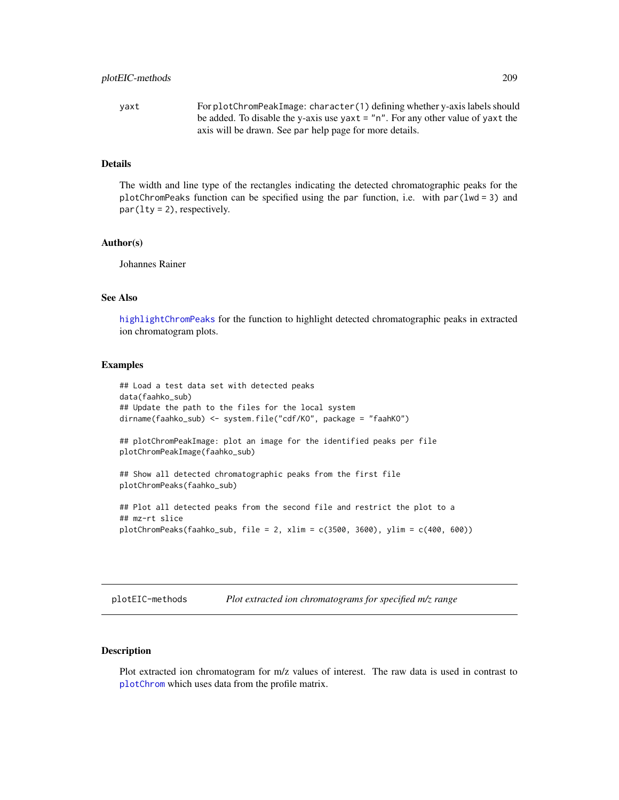yaxt For plotChromPeakImage: character(1) defining whether y-axis labels should be added. To disable the y-axis use yaxt = "n". For any other value of yaxt the axis will be drawn. See par help page for more details.

#### Details

The width and line type of the rectangles indicating the detected chromatographic peaks for the plotChromPeaks function can be specified using the par function, i.e. with par(lwd = 3) and  $par(lty = 2)$ , respectively.

#### Author(s)

Johannes Rainer

#### See Also

[highlightChromPeaks](#page-174-1) for the function to highlight detected chromatographic peaks in extracted ion chromatogram plots.

#### Examples

```
## Load a test data set with detected peaks
data(faahko_sub)
## Update the path to the files for the local system
dirname(faahko_sub) <- system.file("cdf/KO", package = "faahKO")
## plotChromPeakImage: plot an image for the identified peaks per file
plotChromPeakImage(faahko_sub)
## Show all detected chromatographic peaks from the first file
plotChromPeaks(faahko_sub)
## Plot all detected peaks from the second file and restrict the plot to a
## mz-rt slice
plotChromPeaks(faahko_sub, file = 2, xlim = c(3500, 3600), ylim = c(400, 600))
```
plotEIC-methods *Plot extracted ion chromatograms for specified m/z range*

#### Description

Plot extracted ion chromatogram for m/z values of interest. The raw data is used in contrast to [plotChrom](#page-200-0) which uses data from the profile matrix.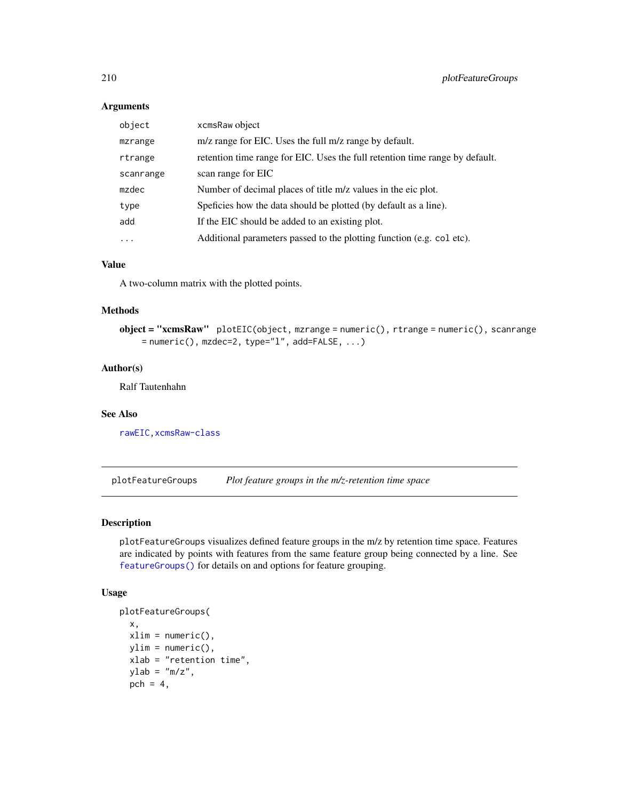| object    | xcmsRaw object                                                               |
|-----------|------------------------------------------------------------------------------|
| mzrange   | m/z range for EIC. Uses the full m/z range by default.                       |
| rtrange   | retention time range for EIC. Uses the full retention time range by default. |
| scanrange | scan range for EIC                                                           |
| mzdec     | Number of decimal places of title m/z values in the eic plot.                |
| type      | Speficies how the data should be plotted (by default as a line).             |
| add       | If the EIC should be added to an existing plot.                              |
| $\ddotsc$ | Additional parameters passed to the plotting function (e.g. col etc).        |

# Value

A two-column matrix with the plotted points.

# Methods

```
object = "xcmsRaw" plotEIC(object, mzrange = numeric(), rtrange = numeric(), scanrange
    = numeric(), mzdec=2, type="1", add=FALSE, ...)
```
#### Author(s)

Ralf Tautenhahn

# See Also

[rawEIC](#page-226-0)[,xcmsRaw-class](#page-283-0)

plotFeatureGroups *Plot feature groups in the m/z-retention time space*

# Description

plotFeatureGroups visualizes defined feature groups in the m/z by retention time space. Features are indicated by points with features from the same feature group being connected by a line. See [featureGroups\(\)](#page-0-0) for details on and options for feature grouping.

#### Usage

```
plotFeatureGroups(
 x,
 xlim = numeric(),
 ylim = numeric(),
 xlab = "retention time",
 ylab = "m/z",pch = 4,
```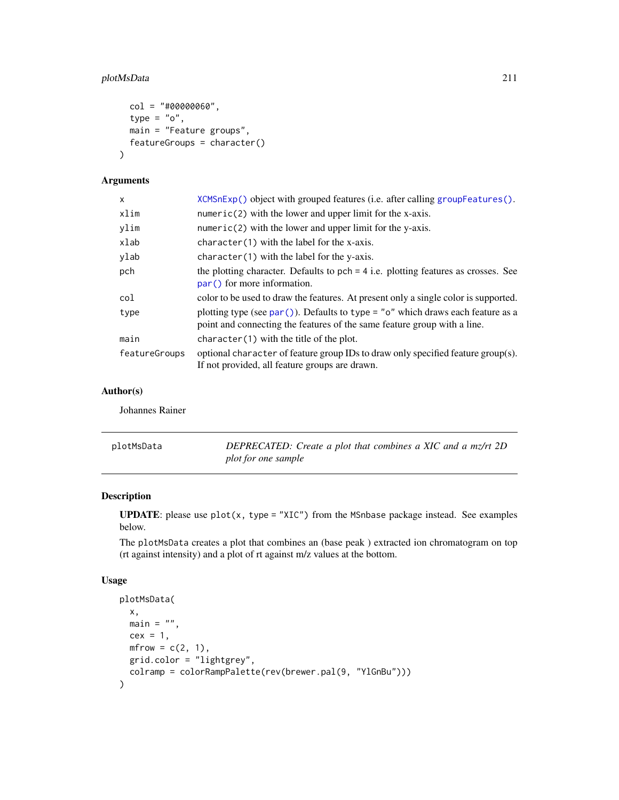# plotMsData 211

```
col = "#00000060",type = "o",main = "Feature groups",
 featureGroups = character()
\lambda
```
# Arguments

| X             | XCMSnExp() object with grouped features (i.e. after calling groupFeatures().                                                                                        |
|---------------|---------------------------------------------------------------------------------------------------------------------------------------------------------------------|
| xlim          | numeric(2) with the lower and upper limit for the x-axis.                                                                                                           |
| ylim          | numeric(2) with the lower and upper limit for the y-axis.                                                                                                           |
| xlab          | $character(1)$ with the label for the x-axis.                                                                                                                       |
| ylab          | character $(1)$ with the label for the y-axis.                                                                                                                      |
| pch           | the plotting character. Defaults to $pch = 4$ i.e. plotting features as crosses. See<br>par() for more information.                                                 |
| col           | color to be used to draw the features. At present only a single color is supported.                                                                                 |
| type          | plotting type (see par()). Defaults to type = " $\circ$ " which draws each feature as a<br>point and connecting the features of the same feature group with a line. |
| main          | $character(1)$ with the title of the plot.                                                                                                                          |
| featureGroups | optional character of feature group IDs to draw only specified feature group(s).<br>If not provided, all feature groups are drawn.                                  |

# Author(s)

Johannes Rainer

| plotMsData | DEPRECATED: Create a plot that combines a XIC and a mz/rt 2D |
|------------|--------------------------------------------------------------|
|            | plot for one sample                                          |

# Description

**UPDATE**: please use  $plot(x, type = "XIC")$  from the MSnbase package instead. See examples below.

The plotMsData creates a plot that combines an (base peak ) extracted ion chromatogram on top (rt against intensity) and a plot of rt against m/z values at the bottom.

# Usage

```
plotMsData(
 x,
 \sin = "",
 cex = 1,
 mfrow = c(2, 1),
 grid.color = "lightgrey",
  colramp = colorRampPalette(rev(brewer.pal(9, "YlGnBu")))
\mathcal{L}
```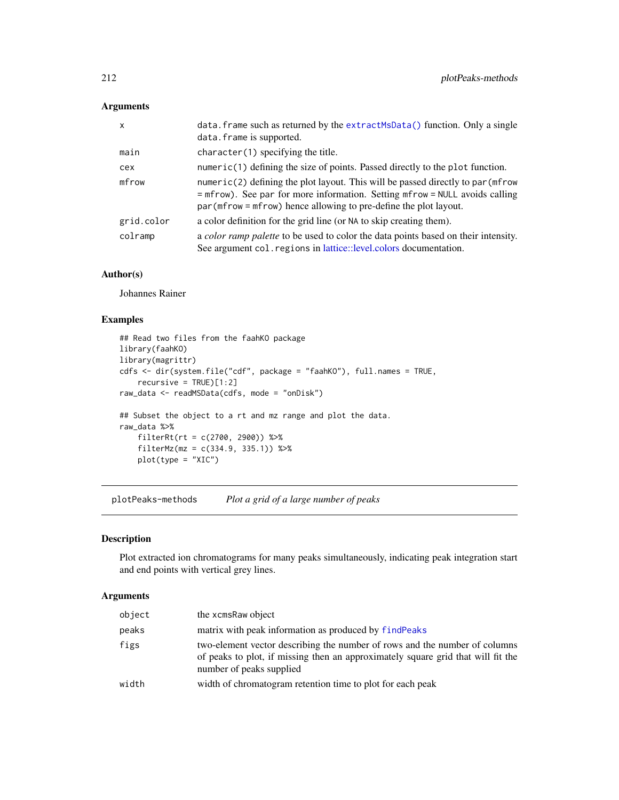| $\mathsf{x}$ | data. frame such as returned by the extractMsData() function. Only a single<br>data. frame is supported.                                                                                                                                     |
|--------------|----------------------------------------------------------------------------------------------------------------------------------------------------------------------------------------------------------------------------------------------|
| main         | $character(1)$ specifying the title.                                                                                                                                                                                                         |
| cex          | $numeric(1)$ defining the size of points. Passed directly to the plot function.                                                                                                                                                              |
| mfrow        | numeric(2) defining the plot layout. This will be passed directly to par ( $m$ frow<br>$=$ mfrow). See par for more information. Setting mfrow $=$ NULL avoids calling<br>$par(mfrow = mfrow)$ hence allowing to pre-define the plot layout. |
| grid.color   | a color definition for the grid line (or NA to skip creating them).                                                                                                                                                                          |
| colramp      | a <i>color ramp palette</i> to be used to color the data points based on their intensity.<br>See argument col. regions in lattice::level.colors documentation.                                                                               |

# Author(s)

Johannes Rainer

#### Examples

```
## Read two files from the faahKO package
library(faahKO)
library(magrittr)
cdfs <- dir(system.file("cdf", package = "faahKO"), full.names = TRUE,
   recursive = TRUE)[1:2]
raw_data <- readMSData(cdfs, mode = "onDisk")
## Subset the object to a rt and mz range and plot the data.
raw_data %>%
    filterRt(rt = c(2700, 2900)) %>%
   filterMz(mz = c(334.9, 335.1)) %>%
   plot(type = "XIC")
```
plotPeaks-methods *Plot a grid of a large number of peaks*

# Description

Plot extracted ion chromatograms for many peaks simultaneously, indicating peak integration start and end points with vertical grey lines.

| object | the xcmsRaw object                                                                                                                                                                         |
|--------|--------------------------------------------------------------------------------------------------------------------------------------------------------------------------------------------|
| peaks  | matrix with peak information as produced by find Peaks                                                                                                                                     |
| figs   | two-element vector describing the number of rows and the number of columns<br>of peaks to plot, if missing then an approximately square grid that will fit the<br>number of peaks supplied |
| width  | width of chromatogram retention time to plot for each peak                                                                                                                                 |
|        |                                                                                                                                                                                            |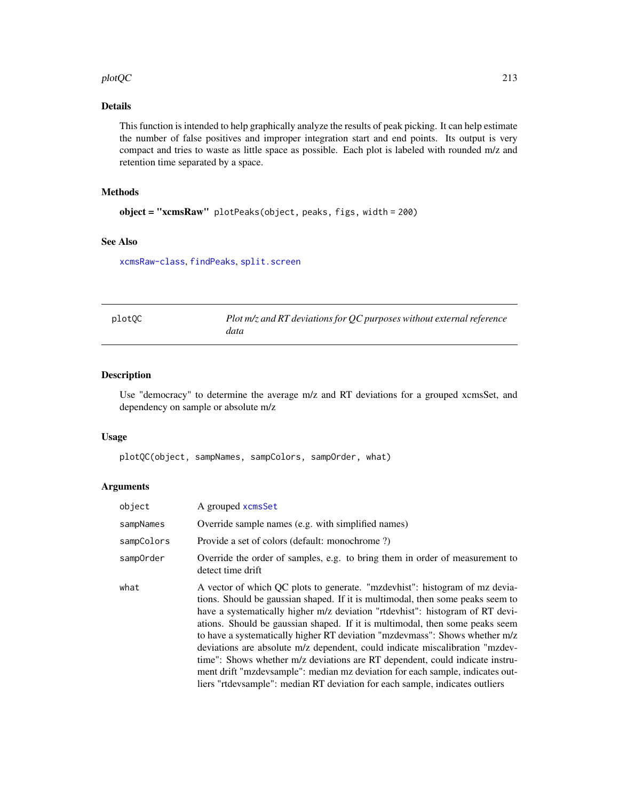#### plotQC 213

# Details

This function is intended to help graphically analyze the results of peak picking. It can help estimate the number of false positives and improper integration start and end points. Its output is very compact and tries to waste as little space as possible. Each plot is labeled with rounded m/z and retention time separated by a space.

#### Methods

```
object = "xcmsRaw" plotPeaks(object, peaks, figs, width = 200)
```
# See Also

[xcmsRaw-class](#page-283-0), [findPeaks](#page-125-0), [split.screen](#page-0-0)

| plot0C |  |
|--------|--|

Plot m/z and RT deviations for QC purposes without external reference *data*

#### Description

Use "democracy" to determine the average m/z and RT deviations for a grouped xcmsSet, and dependency on sample or absolute m/z

## Usage

plotQC(object, sampNames, sampColors, sampOrder, what)

| object     | A grouped xcmsSet                                                                                                                                                                                                                                                                                                                                                                                                                                                                                                                                                                                                                                                                                                                              |
|------------|------------------------------------------------------------------------------------------------------------------------------------------------------------------------------------------------------------------------------------------------------------------------------------------------------------------------------------------------------------------------------------------------------------------------------------------------------------------------------------------------------------------------------------------------------------------------------------------------------------------------------------------------------------------------------------------------------------------------------------------------|
| sampNames  | Override sample names (e.g. with simplified names)                                                                                                                                                                                                                                                                                                                                                                                                                                                                                                                                                                                                                                                                                             |
| sampColors | Provide a set of colors (default: monochrome ?)                                                                                                                                                                                                                                                                                                                                                                                                                                                                                                                                                                                                                                                                                                |
| sampOrder  | Override the order of samples, e.g. to bring them in order of measurement to<br>detect time drift                                                                                                                                                                                                                                                                                                                                                                                                                                                                                                                                                                                                                                              |
| what       | A vector of which QC plots to generate. "mzdevhist": histogram of mz devia-<br>tions. Should be gaussian shaped. If it is multimodal, then some peaks seem to<br>have a systematically higher m/z deviation "rtdevhist": histogram of RT devi-<br>ations. Should be gaussian shaped. If it is multimodal, then some peaks seem<br>to have a systematically higher RT deviation "mzdevmass": Shows whether m/z<br>deviations are absolute m/z dependent, could indicate miscalibration "mzdev-<br>time": Shows whether m/z deviations are RT dependent, could indicate instru-<br>ment drift "mzdevsample": median mz deviation for each sample, indicates out-<br>liers "rtdevsample": median RT deviation for each sample, indicates outliers |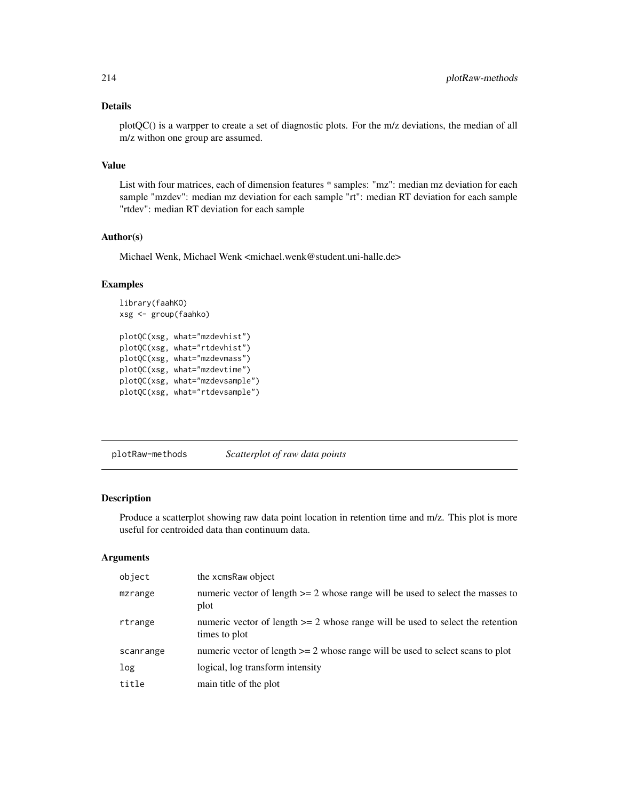# Details

plotQC() is a warpper to create a set of diagnostic plots. For the m/z deviations, the median of all m/z withon one group are assumed.

## Value

List with four matrices, each of dimension features \* samples: "mz": median mz deviation for each sample "mzdev": median mz deviation for each sample "rt": median RT deviation for each sample "rtdev": median RT deviation for each sample

## Author(s)

Michael Wenk, Michael Wenk <michael.wenk@student.uni-halle.de>

# Examples

```
library(faahKO)
xsg <- group(faahko)
plotQC(xsg, what="mzdevhist")
plotQC(xsg, what="rtdevhist")
plotQC(xsg, what="mzdevmass")
plotQC(xsg, what="mzdevtime")
plotQC(xsg, what="mzdevsample")
plotQC(xsg, what="rtdevsample")
```
plotRaw-methods *Scatterplot of raw data points*

#### Description

Produce a scatterplot showing raw data point location in retention time and m/z. This plot is more useful for centroided data than continuum data.

| object    | the xcmsRaw object                                                                                |
|-----------|---------------------------------------------------------------------------------------------------|
| mzrange   | numeric vector of length $>= 2$ whose range will be used to select the masses to<br>plot          |
| rtrange   | numeric vector of length $>= 2$ whose range will be used to select the retention<br>times to plot |
| scanrange | numeric vector of length $>= 2$ whose range will be used to select scans to plot                  |
| log       | logical, log transform intensity                                                                  |
| title     | main title of the plot                                                                            |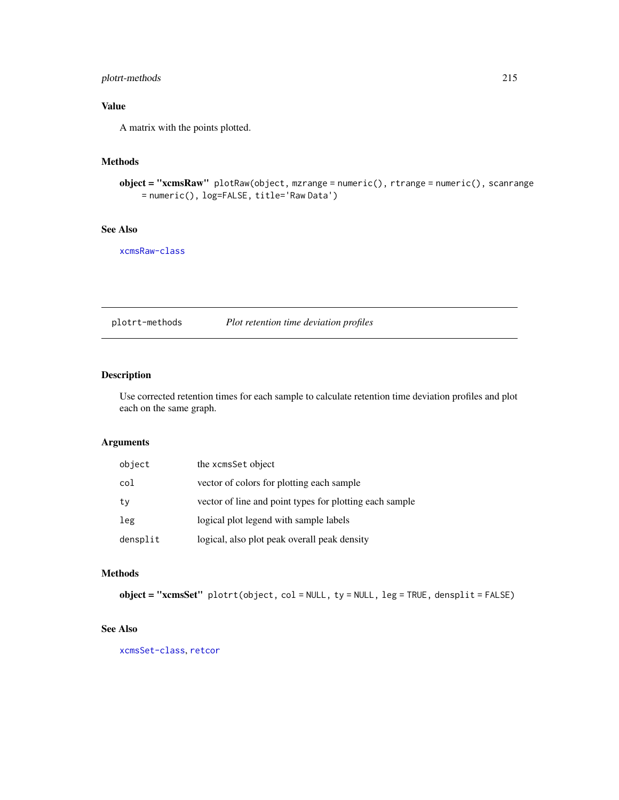# plotrt-methods 215

# Value

A matrix with the points plotted.

# Methods

object = "xcmsRaw" plotRaw(object, mzrange = numeric(), rtrange = numeric(), scanrange = numeric(), log=FALSE, title='Raw Data')

# See Also

[xcmsRaw-class](#page-283-0)

plotrt-methods *Plot retention time deviation profiles*

## Description

Use corrected retention times for each sample to calculate retention time deviation profiles and plot each on the same graph.

# Arguments

| object   | the xcmsSet object                                      |
|----------|---------------------------------------------------------|
| col      | vector of colors for plotting each sample               |
| ty       | vector of line and point types for plotting each sample |
| leg      | logical plot legend with sample labels                  |
| densplit | logical, also plot peak overall peak density            |

# Methods

object = "xcmsSet" plotrt(object, col = NULL, ty = NULL, leg = TRUE, densplit = FALSE)

# See Also

[xcmsSet-class](#page-288-0), [retcor](#page-230-0)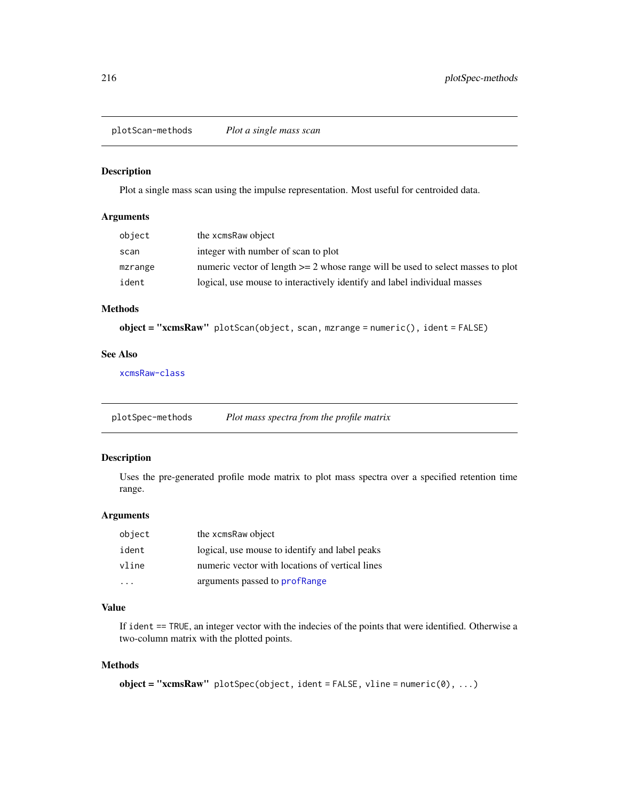plotScan-methods *Plot a single mass scan*

#### Description

Plot a single mass scan using the impulse representation. Most useful for centroided data.

# Arguments

| object  | the xcmsRaw object                                                                |
|---------|-----------------------------------------------------------------------------------|
| scan    | integer with number of scan to plot                                               |
| mzrange | numeric vector of length $>= 2$ whose range will be used to select masses to plot |
| ident   | logical, use mouse to interactively identify and label individual masses          |

# Methods

object = "xcmsRaw" plotScan(object, scan, mzrange = numeric(), ident = FALSE)

#### See Also

[xcmsRaw-class](#page-283-0)

plotSpec-methods *Plot mass spectra from the profile matrix*

#### Description

Uses the pre-generated profile mode matrix to plot mass spectra over a specified retention time range.

# Arguments

| object | the xcmsRaw object                              |
|--------|-------------------------------------------------|
| ident  | logical, use mouse to identify and label peaks  |
| vline  | numeric vector with locations of vertical lines |
|        | arguments passed to profRange                   |

# Value

If ident == TRUE, an integer vector with the indecies of the points that were identified. Otherwise a two-column matrix with the plotted points.

# Methods

```
object = "xcmsRaw" plotspec(object, ident = FALSE, vline = numeric(0), ...)
```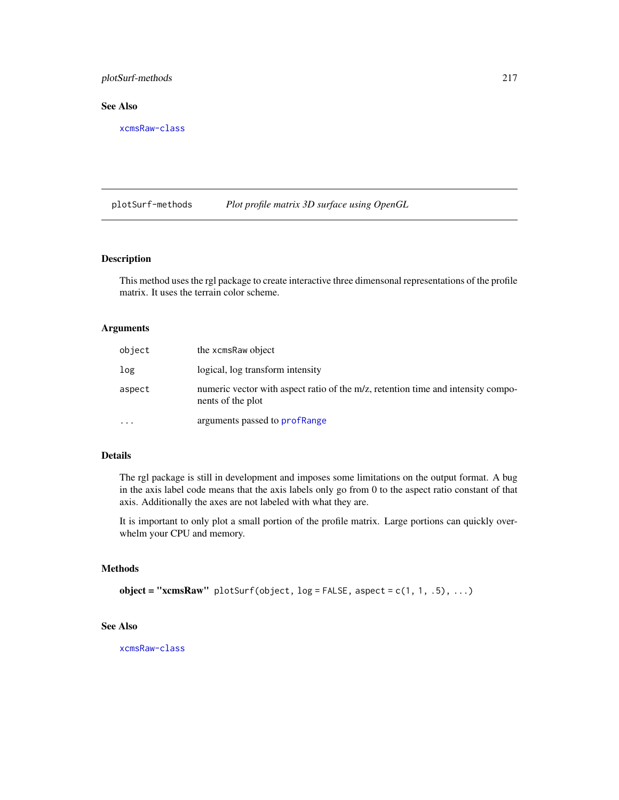# plotSurf-methods 217

# See Also

[xcmsRaw-class](#page-283-0)

plotSurf-methods *Plot profile matrix 3D surface using OpenGL*

### Description

This method uses the rgl package to create interactive three dimensonal representations of the profile matrix. It uses the terrain color scheme.

# Arguments

| object    | the xcmsRaw object                                                                                    |
|-----------|-------------------------------------------------------------------------------------------------------|
| log       | logical, log transform intensity                                                                      |
| aspect    | numeric vector with aspect ratio of the m/z, retention time and intensity compo-<br>nents of the plot |
| $\ddotsc$ | arguments passed to profRange                                                                         |

# Details

The rgl package is still in development and imposes some limitations on the output format. A bug in the axis label code means that the axis labels only go from 0 to the aspect ratio constant of that axis. Additionally the axes are not labeled with what they are.

It is important to only plot a small portion of the profile matrix. Large portions can quickly overwhelm your CPU and memory.

## Methods

```
object = "xcmsRaw" plotSurf(object, log = FALSE, aspect = c(1, 1, .5), ...)
```
### See Also

[xcmsRaw-class](#page-283-0)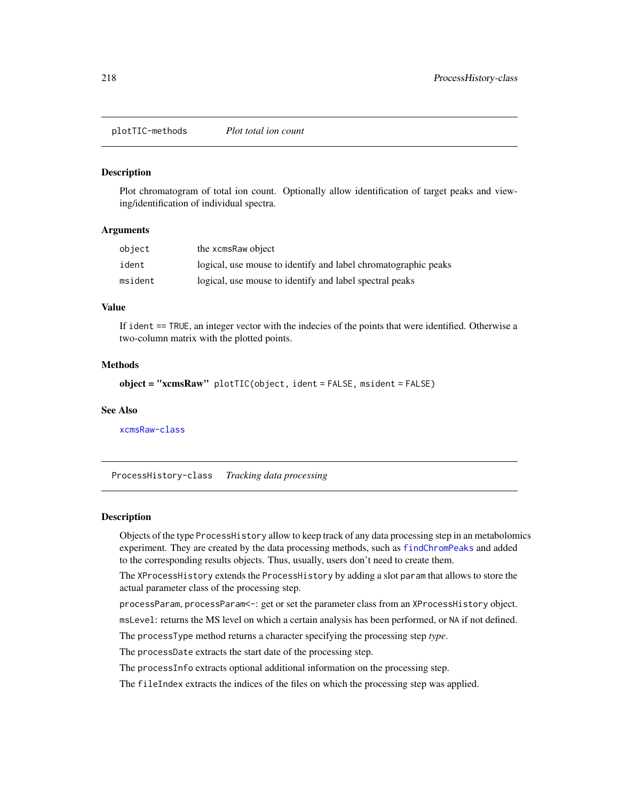plotTIC-methods *Plot total ion count*

#### Description

Plot chromatogram of total ion count. Optionally allow identification of target peaks and viewing/identification of individual spectra.

#### Arguments

| object  | the xcmsRaw object                                             |
|---------|----------------------------------------------------------------|
| ident   | logical, use mouse to identify and label chromatographic peaks |
| msident | logical, use mouse to identify and label spectral peaks        |

## Value

If ident == TRUE, an integer vector with the indecies of the points that were identified. Otherwise a two-column matrix with the plotted points.

#### Methods

```
object = "xcmsRaw" plotTIC(object, ident = FALSE, msident = FALSE)
```
### See Also

[xcmsRaw-class](#page-283-0)

ProcessHistory-class *Tracking data processing*

#### Description

Objects of the type ProcessHistory allow to keep track of any data processing step in an metabolomics experiment. They are created by the data processing methods, such as [findChromPeaks](#page-34-0) and added to the corresponding results objects. Thus, usually, users don't need to create them.

The XProcessHistory extends the ProcessHistory by adding a slot param that allows to store the actual parameter class of the processing step.

processParam, processParam<-: get or set the parameter class from an XProcessHistory object.

msLevel: returns the MS level on which a certain analysis has been performed, or NA if not defined.

The processType method returns a character specifying the processing step *type*.

The processDate extracts the start date of the processing step.

The processInfo extracts optional additional information on the processing step.

The fileIndex extracts the indices of the files on which the processing step was applied.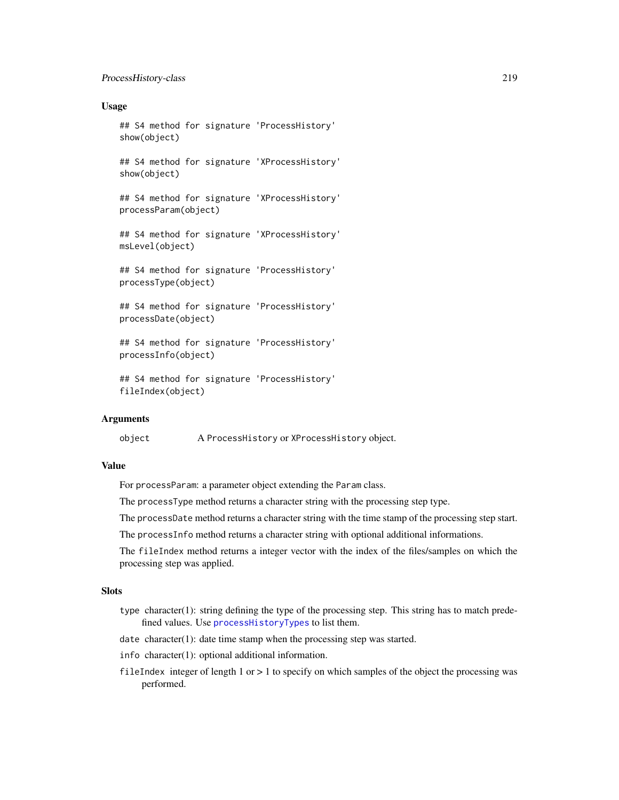### ProcessHistory-class 219

#### Usage

```
## S4 method for signature 'ProcessHistory'
show(object)
```
## S4 method for signature 'XProcessHistory' show(object)

## S4 method for signature 'XProcessHistory' processParam(object)

## S4 method for signature 'XProcessHistory' msLevel(object)

## S4 method for signature 'ProcessHistory' processType(object)

## S4 method for signature 'ProcessHistory' processDate(object)

## S4 method for signature 'ProcessHistory' processInfo(object)

```
## S4 method for signature 'ProcessHistory'
fileIndex(object)
```
#### **Arguments**

object A ProcessHistory or XProcessHistory object.

#### Value

For processParam: a parameter object extending the Param class.

The processType method returns a character string with the processing step type.

The processDate method returns a character string with the time stamp of the processing step start.

The processInfo method returns a character string with optional additional informations.

The fileIndex method returns a integer vector with the index of the files/samples on which the processing step was applied.

#### Slots

- type character(1): string defining the type of the processing step. This string has to match predefined values. Use [processHistoryTypes](#page-269-0) to list them.
- date character(1): date time stamp when the processing step was started.
- info character(1): optional additional information.
- fileIndex integer of length  $1$  or  $> 1$  to specify on which samples of the object the processing was performed.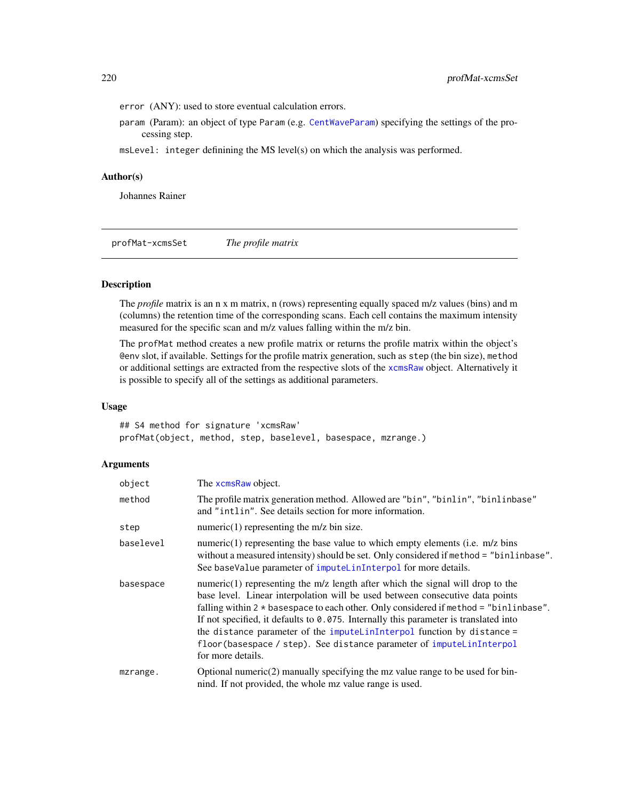error (ANY): used to store eventual calculation errors.

param (Param): an object of type Param (e.g. [CentWaveParam](#page-98-0)) specifying the settings of the processing step.

msLevel: integer definining the MS level(s) on which the analysis was performed.

## Author(s)

Johannes Rainer

profMat-xcmsSet *The profile matrix*

### Description

The *profile* matrix is an n x m matrix, n (rows) representing equally spaced m/z values (bins) and m (columns) the retention time of the corresponding scans. Each cell contains the maximum intensity measured for the specific scan and m/z values falling within the m/z bin.

The profMat method creates a new profile matrix or returns the profile matrix within the object's @env slot, if available. Settings for the profile matrix generation, such as step (the bin size), method or additional settings are extracted from the respective slots of the [xcmsRaw](#page-283-0) object. Alternatively it is possible to specify all of the settings as additional parameters.

#### Usage

## S4 method for signature 'xcmsRaw' profMat(object, method, step, baselevel, basespace, mzrange.)

### Arguments

| object    | The xcmsRaw object.                                                                                                                                                                                                                                                                                                                                                                                                                                                                                                          |
|-----------|------------------------------------------------------------------------------------------------------------------------------------------------------------------------------------------------------------------------------------------------------------------------------------------------------------------------------------------------------------------------------------------------------------------------------------------------------------------------------------------------------------------------------|
| method    | The profile matrix generation method. Allowed are "bin", "binlin", "binlinbase"<br>and "intlin". See details section for more information.                                                                                                                                                                                                                                                                                                                                                                                   |
| step      | numeric $(1)$ representing the m/z bin size.                                                                                                                                                                                                                                                                                                                                                                                                                                                                                 |
| baselevel | numeric(1) representing the base value to which empty elements (i.e. $m/z$ bins<br>without a measured intensity) should be set. Only considered if method = "binlinbase".<br>See baseValue parameter of imputeLinInterpol for more details.                                                                                                                                                                                                                                                                                  |
| basespace | numeric(1) representing the m/z length after which the signal will drop to the<br>base level. Linear interpolation will be used between consecutive data points<br>falling within $2 *$ basespace to each other. Only considered if method = "binlinbase".<br>If not specified, it defaults to 0.075. Internally this parameter is translated into<br>the distance parameter of the imputelines interpol function by distance =<br>floor(basespace / step). See distance parameter of imputeLinInterpol<br>for more details. |
| mzrange.  | Optional numeric $(2)$ manually specifying the mz value range to be used for bin-<br>nind. If not provided, the whole mz value range is used.                                                                                                                                                                                                                                                                                                                                                                                |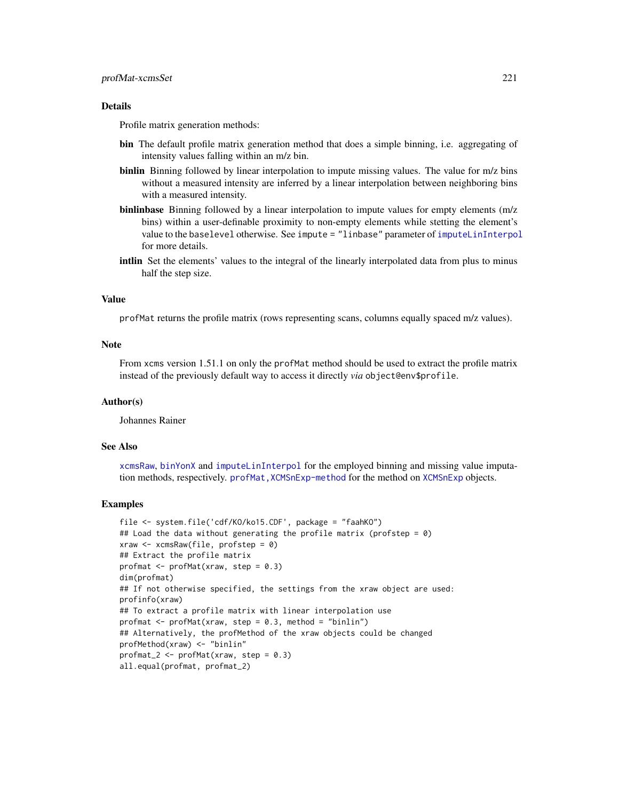#### Details

Profile matrix generation methods:

- bin The default profile matrix generation method that does a simple binning, i.e. aggregating of intensity values falling within an m/z bin.
- binlin Binning followed by linear interpolation to impute missing values. The value for m/z bins without a measured intensity are inferred by a linear interpolation between neighboring bins with a measured intensity.
- binlinbase Binning followed by a linear interpolation to impute values for empty elements (m/z bins) within a user-definable proximity to non-empty elements while stetting the element's value to the baselevel otherwise. See impute = "linbase" parameter of [imputeLinInterpol](#page-177-0) for more details.
- intlin Set the elements' values to the integral of the linearly interpolated data from plus to minus half the step size.

### Value

profMat returns the profile matrix (rows representing scans, columns equally spaced m/z values).

## Note

From xcms version 1.51.1 on only the profMat method should be used to extract the profile matrix instead of the previously default way to access it directly *via* object@env\$profile.

#### Author(s)

Johannes Rainer

## See Also

[xcmsRaw](#page-283-0), [binYonX](#page-22-0) and [imputeLinInterpol](#page-177-0) for the employed binning and missing value imputa-tion methods, respectively. profMat, [XCMSnExp](#page-269-0)-method for the method on XCMSnExp objects.

### Examples

```
file <- system.file('cdf/KO/ko15.CDF', package = "faahKO")
## Load the data without generating the profile matrix (profstep = 0)
xraw <- xcmsRaw(file, profstep = 0)
## Extract the profile matrix
profmat <- profMat(xraw, step = 0.3)
dim(profmat)
## If not otherwise specified, the settings from the xraw object are used:
profinfo(xraw)
## To extract a profile matrix with linear interpolation use
profmat <- profMat(xraw, step = 0.3, method = "binlin")
## Alternatively, the profMethod of the xraw objects could be changed
profMethod(xraw) <- "binlin"
profmat_2 <- profMat(xraw, step = 0.3)
all.equal(profmat, profmat_2)
```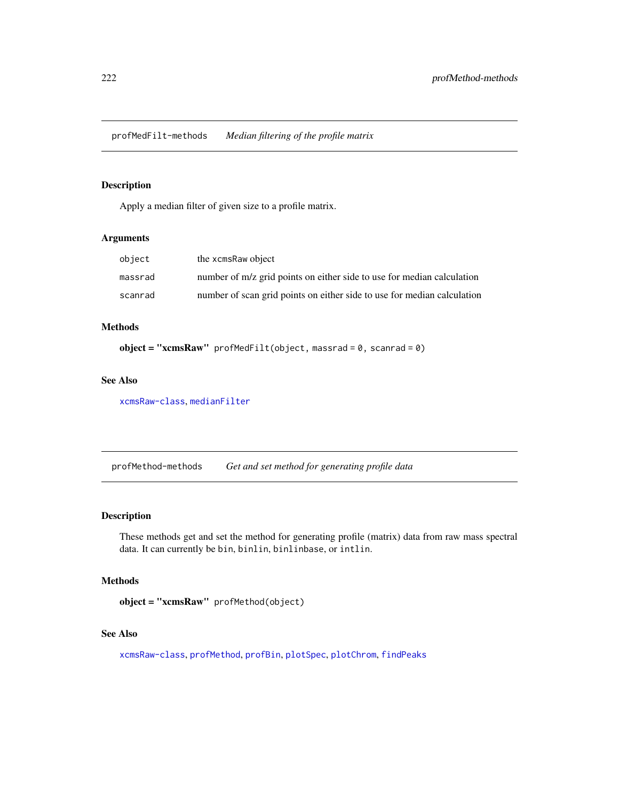## Description

Apply a median filter of given size to a profile matrix.

# Arguments

| object  | the xcmsRaw object                                                      |
|---------|-------------------------------------------------------------------------|
| massrad | number of m/z grid points on either side to use for median calculation  |
| scanrad | number of scan grid points on either side to use for median calculation |

## Methods

 $object = "xcmsRaw"$  profMedFilt(object, massrad = 0, scanrad = 0)

# See Also

[xcmsRaw-class](#page-283-0), [medianFilter](#page-185-0)

profMethod-methods *Get and set method for generating profile data*

# <span id="page-221-0"></span>Description

These methods get and set the method for generating profile (matrix) data from raw mass spectral data. It can currently be bin, binlin, binlinbase, or intlin.

# Methods

object = "xcmsRaw" profMethod(object)

### See Also

[xcmsRaw-class](#page-283-0), [profMethod](#page-221-0), [profBin](#page-0-0), [plotSpec](#page-215-0), [plotChrom](#page-200-0), [findPeaks](#page-125-0)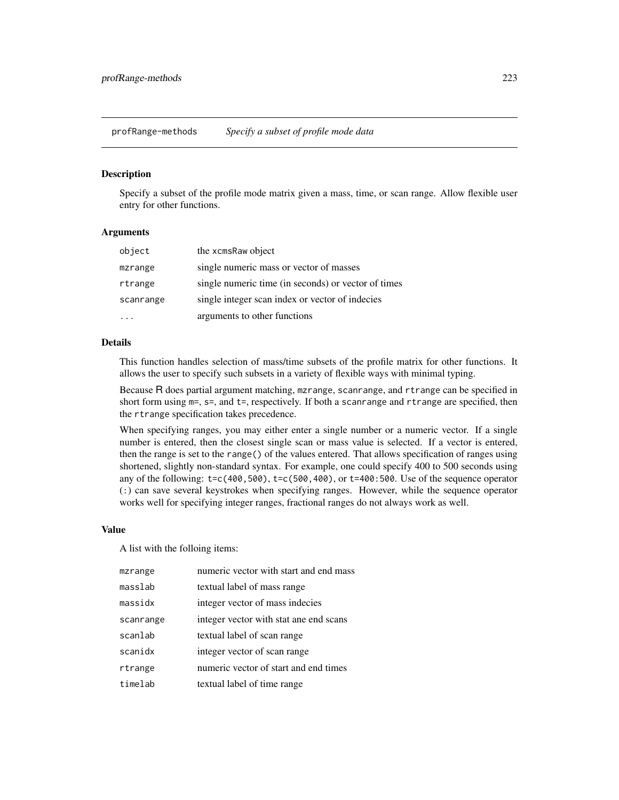profRange-methods *Specify a subset of profile mode data*

#### <span id="page-222-0"></span>Description

Specify a subset of the profile mode matrix given a mass, time, or scan range. Allow flexible user entry for other functions.

## Arguments

| object    | the xcmsRaw object                                  |
|-----------|-----------------------------------------------------|
| mzrange   | single numeric mass or vector of masses             |
| rtrange   | single numeric time (in seconds) or vector of times |
| scanrange | single integer scan index or vector of indecies     |
|           | arguments to other functions                        |

#### Details

This function handles selection of mass/time subsets of the profile matrix for other functions. It allows the user to specify such subsets in a variety of flexible ways with minimal typing.

Because R does partial argument matching, mzrange, scanrange, and rtrange can be specified in short form using  $m=$ ,  $s=$ , and  $t=$ , respectively. If both a scanrange and rtrange are specified, then the rtrange specification takes precedence.

When specifying ranges, you may either enter a single number or a numeric vector. If a single number is entered, then the closest single scan or mass value is selected. If a vector is entered, then the range is set to the range() of the values entered. That allows specification of ranges using shortened, slightly non-standard syntax. For example, one could specify 400 to 500 seconds using any of the following: t=c(400,500), t=c(500,400), or t=400:500. Use of the sequence operator (:) can save several keystrokes when specifying ranges. However, while the sequence operator works well for specifying integer ranges, fractional ranges do not always work as well.

#### Value

A list with the folloing items:

| mzrange   | numeric vector with start and end mass |
|-----------|----------------------------------------|
| masslab   | textual label of mass range            |
| massidx   | integer vector of mass indecies        |
| scanrange | integer vector with stat ane end scans |
| scanlab   | textual label of scan range            |
| scanidx   | integer vector of scan range           |
| rtrange   | numeric vector of start and end times  |
| timelab   | textual label of time range            |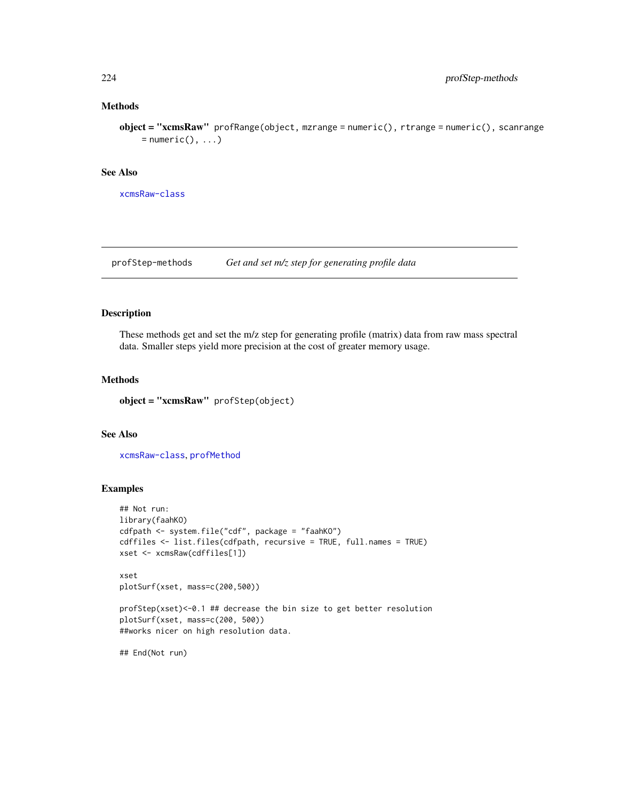## Methods

object = "xcmsRaw" profRange(object, mzrange = numeric(), rtrange = numeric(), scanrange  $=$  numeric(), ...)

# See Also

[xcmsRaw-class](#page-283-0)

profStep-methods *Get and set m/z step for generating profile data*

## Description

These methods get and set the m/z step for generating profile (matrix) data from raw mass spectral data. Smaller steps yield more precision at the cost of greater memory usage.

### Methods

object = "xcmsRaw" profStep(object)

# See Also

[xcmsRaw-class](#page-283-0), [profMethod](#page-221-0)

# Examples

```
## Not run:
library(faahKO)
cdfpath <- system.file("cdf", package = "faahKO")
cdffiles <- list.files(cdfpath, recursive = TRUE, full.names = TRUE)
xset <- xcmsRaw(cdffiles[1])
xset
plotSurf(xset, mass=c(200,500))
profStep(xset)<-0.1 ## decrease the bin size to get better resolution
plotSurf(xset, mass=c(200, 500))
##works nicer on high resolution data.
```
## End(Not run)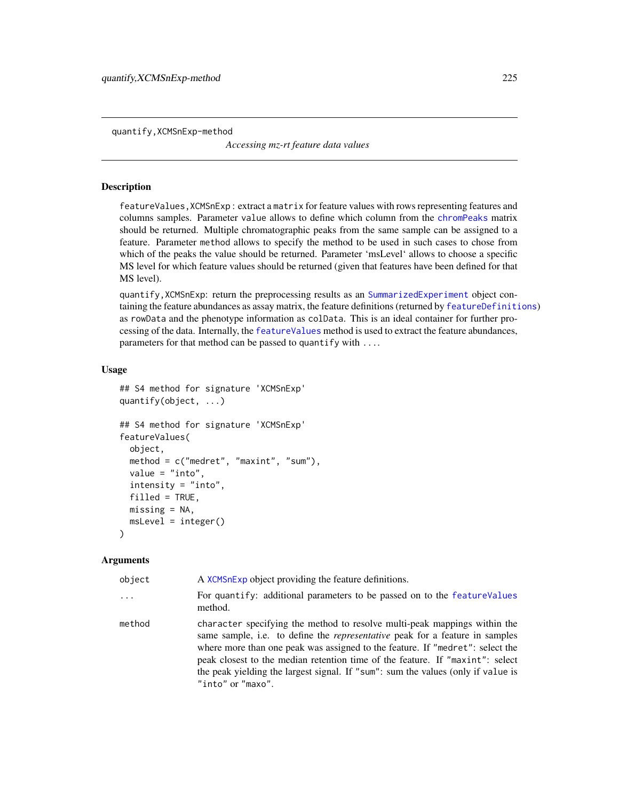quantify,XCMSnExp-method

*Accessing mz-rt feature data values*

### <span id="page-224-0"></span>Description

featureValues,XCMSnExp : extract a matrix for feature values with rows representing features and columns samples. Parameter value allows to define which column from the [chromPeaks](#page-269-0) matrix should be returned. Multiple chromatographic peaks from the same sample can be assigned to a feature. Parameter method allows to specify the method to be used in such cases to chose from which of the peaks the value should be returned. Parameter 'msLevel' allows to choose a specific MS level for which feature values should be returned (given that features have been defined for that MS level).

quantify,XCMSnExp: return the preprocessing results as an [SummarizedExperiment](#page-0-0) object containing the feature abundances as assay matrix, the feature definitions (returned by [featureDefinitions](#page-269-0)) as rowData and the phenotype information as colData. This is an ideal container for further processing of the data. Internally, the [featureValues](#page-224-0) method is used to extract the feature abundances, parameters for that method can be passed to quantify with ....

### Usage

```
## S4 method for signature 'XCMSnExp'
quantify(object, ...)
## S4 method for signature 'XCMSnExp'
featureValues(
  object,
  method = c("medret", "maxint", "sum"),
  value = "into",
  intensity = "into",
  filled = TRUE,missing = NA,
 msLevel = integer()
)
```
### Arguments

| object | A XCMS nExp object providing the feature definitions.                                                                                                                                                                                                                                                                                                                                                                                       |
|--------|---------------------------------------------------------------------------------------------------------------------------------------------------------------------------------------------------------------------------------------------------------------------------------------------------------------------------------------------------------------------------------------------------------------------------------------------|
| .      | For quantify: additional parameters to be passed on to the feature Values<br>method.                                                                                                                                                                                                                                                                                                                                                        |
| method | character specifying the method to resolve multi-peak mappings within the<br>same sample, i.e. to define the <i>representative</i> peak for a feature in samples<br>where more than one peak was assigned to the feature. If "medret": select the<br>peak closest to the median retention time of the feature. If "maxint": select<br>the peak yielding the largest signal. If "sum": sum the values (only if value is<br>"into" or "maxo". |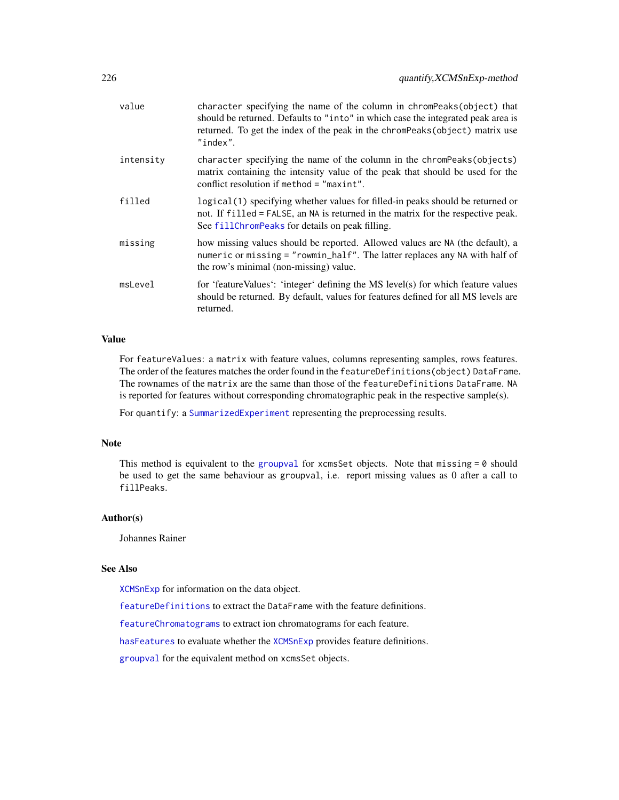| value     | character specifying the name of the column in chromPeaks(object) that<br>should be returned. Defaults to "into" in which case the integrated peak area is<br>returned. To get the index of the peak in the chromPeaks(object) matrix use<br>"index". |
|-----------|-------------------------------------------------------------------------------------------------------------------------------------------------------------------------------------------------------------------------------------------------------|
| intensity | character specifying the name of the column in the chromPeaks(objects)<br>matrix containing the intensity value of the peak that should be used for the<br>conflict resolution if method $=$ "maxint".                                                |
| filled    | logical (1) specifying whether values for filled-in peaks should be returned or<br>not. If filled = FALSE, an NA is returned in the matrix for the respective peak.<br>See fillChromPeaks for details on peak filling.                                |
| missing   | how missing values should be reported. Allowed values are NA (the default), a<br>numeric or missing = "rowmin_half". The latter replaces any NA with half of<br>the row's minimal (non-missing) value.                                                |
| msLevel   | for 'featureValues': 'integer' defining the MS level(s) for which feature values<br>should be returned. By default, values for features defined for all MS levels are<br>returned.                                                                    |

# Value

For featureValues: a matrix with feature values, columns representing samples, rows features. The order of the features matches the order found in the featureDefinitions(object) DataFrame. The rownames of the matrix are the same than those of the featureDefinitions DataFrame. NA is reported for features without corresponding chromatographic peak in the respective sample(s).

For quantify: a [SummarizedExperiment](#page-0-0) representing the preprocessing results.

## Note

This method is equivalent to the [groupval](#page-174-0) for xcmsSet objects. Note that missing  $= 0$  should be used to get the same behaviour as groupval, i.e. report missing values as 0 after a call to fillPeaks.

# Author(s)

Johannes Rainer

## See Also

[XCMSnExp](#page-269-0) for information on the data object.

[featureDefinitions](#page-269-0) to extract the DataFrame with the feature definitions.

[featureChromatograms](#page-74-0) to extract ion chromatograms for each feature.

[hasFeatures](#page-269-0) to evaluate whether the [XCMSnExp](#page-269-0) provides feature definitions.

[groupval](#page-174-0) for the equivalent method on xcmsSet objects.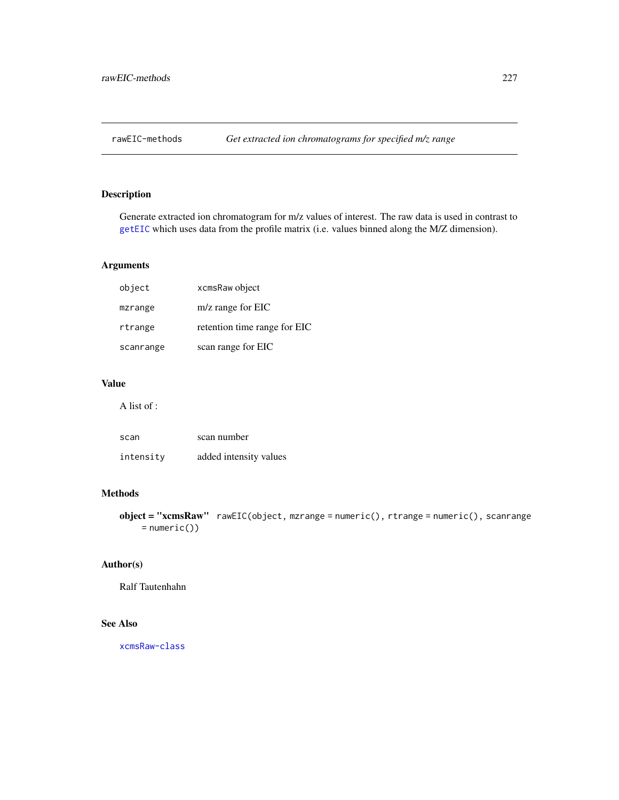# Description

Generate extracted ion chromatogram for m/z values of interest. The raw data is used in contrast to [getEIC](#page-146-0) which uses data from the profile matrix (i.e. values binned along the M/Z dimension).

# Arguments

| object    | xcmsRaw object               |
|-----------|------------------------------|
| mzrange   | m/z range for EIC            |
| rtrange   | retention time range for EIC |
| scanrange | scan range for EIC           |

# Value

A list of :

| scan      | scan number            |
|-----------|------------------------|
| intensity | added intensity values |

# Methods

```
object = "xcmsRaw" rawEIC(object, mzrange = numeric(), rtrange = numeric(), scanrange
    = numeric())
```
# Author(s)

Ralf Tautenhahn

# See Also

[xcmsRaw-class](#page-283-0)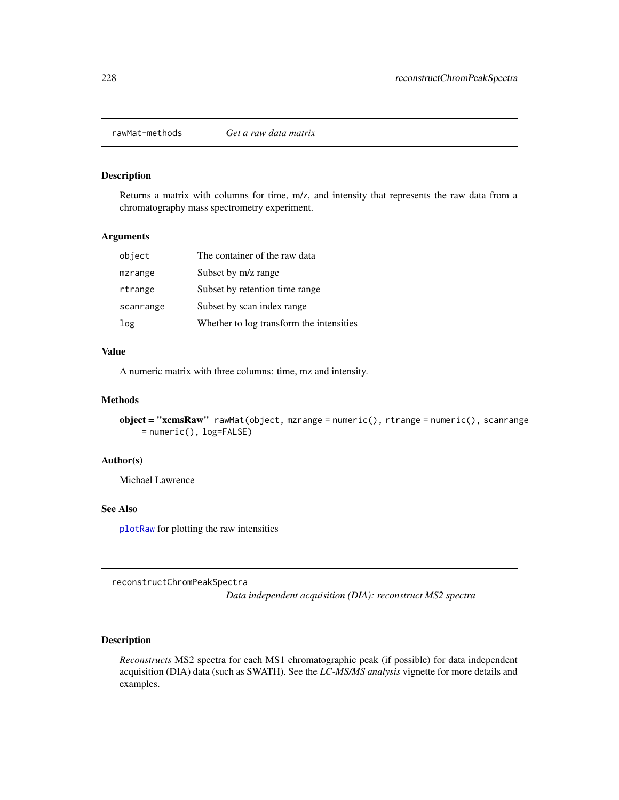### Description

Returns a matrix with columns for time, m/z, and intensity that represents the raw data from a chromatography mass spectrometry experiment.

#### Arguments

| object    | The container of the raw data            |
|-----------|------------------------------------------|
| mzrange   | Subset by m/z range                      |
| rtrange   | Subset by retention time range           |
| scanrange | Subset by scan index range               |
| log       | Whether to log transform the intensities |

## Value

A numeric matrix with three columns: time, mz and intensity.

### Methods

```
object = "xcmsRaw" rawMat(object, mzrange = numeric(), rtrange = numeric(), scanrange
    = numeric(), log=FALSE)
```
# Author(s)

Michael Lawrence

## See Also

[plotRaw](#page-213-0) for plotting the raw intensities

reconstructChromPeakSpectra

*Data independent acquisition (DIA): reconstruct MS2 spectra*

### Description

*Reconstructs* MS2 spectra for each MS1 chromatographic peak (if possible) for data independent acquisition (DIA) data (such as SWATH). See the *LC-MS/MS analysis* vignette for more details and examples.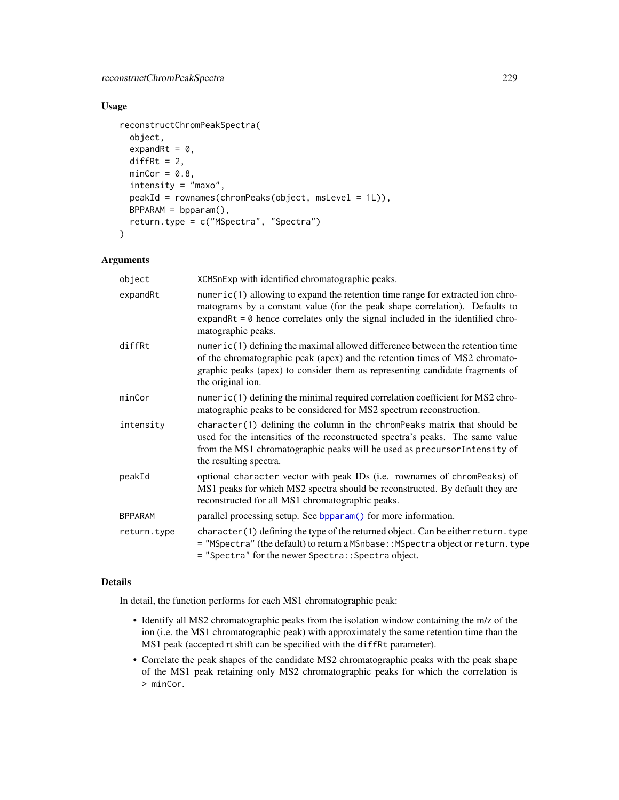# Usage

```
reconstructChromPeakSpectra(
 object,
  expandRt = 0,
 diffRt = 2,
 minCor = 0.8,
  intensity = "maxo",
 peakId = rownames(chromPeaks(object, msLevel = 1L)),
 BPPARAM = bpparam(),
 return.type = c("MSpectra", "Spectra")
\mathcal{E}
```
## Arguments

| object         | XCMSnExp with identified chromatographic peaks.                                                                                                                                                                                                                              |
|----------------|------------------------------------------------------------------------------------------------------------------------------------------------------------------------------------------------------------------------------------------------------------------------------|
| expandRt       | numeric(1) allowing to expand the retention time range for extracted ion chro-<br>matograms by a constant value (for the peak shape correlation). Defaults to<br>expandRt = $\theta$ hence correlates only the signal included in the identified chro-<br>matographic peaks. |
| diffRt         | numeric(1) defining the maximal allowed difference between the retention time<br>of the chromatographic peak (apex) and the retention times of MS2 chromato-<br>graphic peaks (apex) to consider them as representing candidate fragments of<br>the original ion.            |
| minCor         | numeric(1) defining the minimal required correlation coefficient for MS2 chro-<br>matographic peaks to be considered for MS2 spectrum reconstruction.                                                                                                                        |
| intensity      | $character(1)$ defining the column in the chrom Peaks matrix that should be<br>used for the intensities of the reconstructed spectra's peaks. The same value<br>from the MS1 chromatographic peaks will be used as precursor Intensity of<br>the resulting spectra.          |
| peakId         | optional character vector with peak IDs (i.e. rownames of chromPeaks) of<br>MS1 peaks for which MS2 spectra should be reconstructed. By default they are<br>reconstructed for all MS1 chromatographic peaks.                                                                 |
| <b>BPPARAM</b> | parallel processing setup. See bpparam() for more information.                                                                                                                                                                                                               |
| return.type    | character(1) defining the type of the returned object. Can be either return. type<br>= "MSpectra" (the default) to return a MSnbase: : MSpectra object or return. type<br>= "Spectra" for the newer Spectra:: Spectra object.                                                |
|                |                                                                                                                                                                                                                                                                              |

## Details

In detail, the function performs for each MS1 chromatographic peak:

- Identify all MS2 chromatographic peaks from the isolation window containing the m/z of the ion (i.e. the MS1 chromatographic peak) with approximately the same retention time than the MS1 peak (accepted rt shift can be specified with the diffRt parameter).
- Correlate the peak shapes of the candidate MS2 chromatographic peaks with the peak shape of the MS1 peak retaining only MS2 chromatographic peaks for which the correlation is > minCor.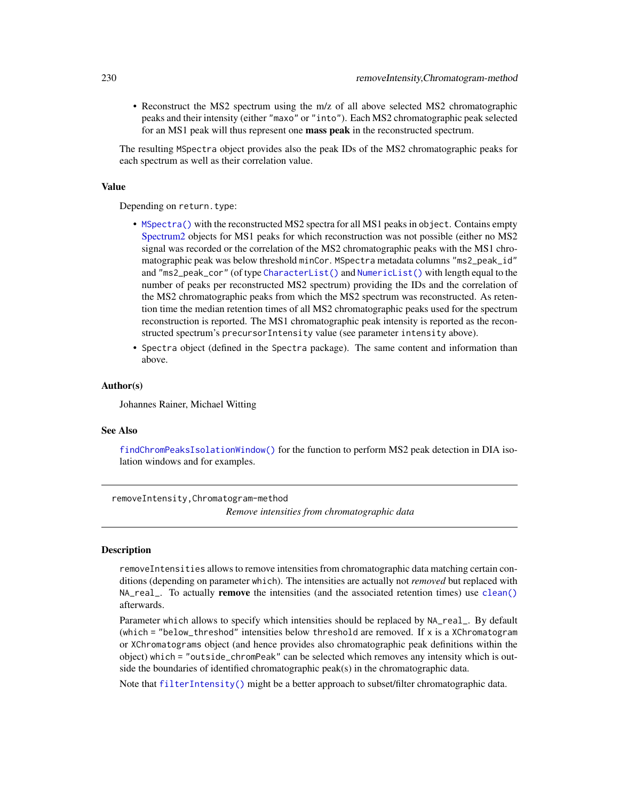• Reconstruct the MS2 spectrum using the m/z of all above selected MS2 chromatographic peaks and their intensity (either "maxo" or "into"). Each MS2 chromatographic peak selected for an MS1 peak will thus represent one **mass peak** in the reconstructed spectrum.

The resulting MSpectra object provides also the peak IDs of the MS2 chromatographic peaks for each spectrum as well as their correlation value.

### Value

Depending on return.type:

- [MSpectra\(\)](#page-0-0) with the reconstructed MS2 spectra for all MS1 peaks in object. Contains empty [Spectrum2](#page-0-0) objects for MS1 peaks for which reconstruction was not possible (either no MS2 signal was recorded or the correlation of the MS2 chromatographic peaks with the MS1 chromatographic peak was below threshold minCor. MSpectra metadata columns "ms2\_peak\_id" and "ms2\_peak\_cor" (of type [CharacterList\(\)](#page-0-0) and [NumericList\(\)](#page-0-0) with length equal to the number of peaks per reconstructed MS2 spectrum) providing the IDs and the correlation of the MS2 chromatographic peaks from which the MS2 spectrum was reconstructed. As retention time the median retention times of all MS2 chromatographic peaks used for the spectrum reconstruction is reported. The MS1 chromatographic peak intensity is reported as the reconstructed spectrum's precursorIntensity value (see parameter intensity above).
- Spectra object (defined in the Spectra package). The same content and information than above.

#### Author(s)

Johannes Rainer, Michael Witting

#### See Also

[findChromPeaksIsolationWindow\(\)](#page-121-0) for the function to perform MS2 peak detection in DIA isolation windows and for examples.

removeIntensity,Chromatogram-method *Remove intensities from chromatographic data*

### **Description**

removeIntensities allows to remove intensities from chromatographic data matching certain conditions (depending on parameter which). The intensities are actually not *removed* but replaced with NA\_real\_. To actually remove the intensities (and the associated retention times) use [clean\(\)](#page-0-0) afterwards.

Parameter which allows to specify which intensities should be replaced by NA\_real\_. By default (which = "below\_threshod" intensities below threshold are removed. If  $x$  is a XChromatogram or XChromatograms object (and hence provides also chromatographic peak definitions within the object) which = "outside\_chromPeak" can be selected which removes any intensity which is outside the boundaries of identified chromatographic peak(s) in the chromatographic data.

Note that [filterIntensity\(\)](#page-0-0) might be a better approach to subset/filter chromatographic data.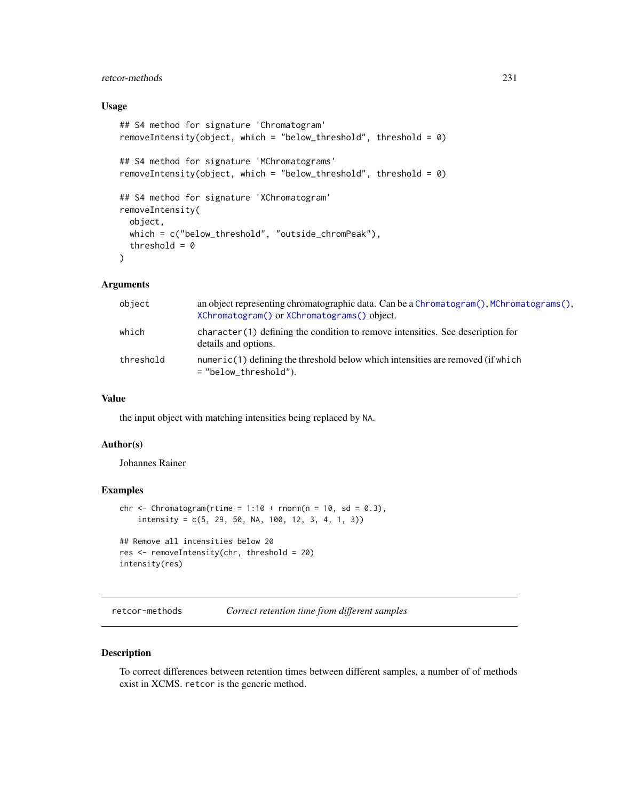# retcor-methods 231

# Usage

```
## S4 method for signature 'Chromatogram'
removeIntensity(object, which = "below_threshold", threshold = 0)
## S4 method for signature 'MChromatograms'
removeIntensity(object, which = "below_threshold", threshold = 0)
## S4 method for signature 'XChromatogram'
removeIntensity(
 object,
 which = c("below_threshold", "outside_chromPeak"),
  threshold = \theta)
```
### Arguments

| object    | an object representing chromatographic data. Can be a Chromatogram (), MChromatograms (),<br>XChromatogram() or XChromatograms() object. |
|-----------|------------------------------------------------------------------------------------------------------------------------------------------|
| which     | character(1) defining the condition to remove intensities. See description for<br>details and options.                                   |
| threshold | numeric(1) defining the threshold below which intensities are removed (if which<br>$=$ "below_threshold").                               |

# Value

the input object with matching intensities being replaced by NA.

# Author(s)

Johannes Rainer

#### Examples

```
chr \le - Chromatogram(rtime = 1:10 + rnorm(n = 10, sd = 0.3),
    intensity = c(5, 29, 50, NA, 100, 12, 3, 4, 1, 3))## Remove all intensities below 20
res <- removeIntensity(chr, threshold = 20)
intensity(res)
```
retcor-methods *Correct retention time from different samples*

#### Description

To correct differences between retention times between different samples, a number of of methods exist in XCMS. retcor is the generic method.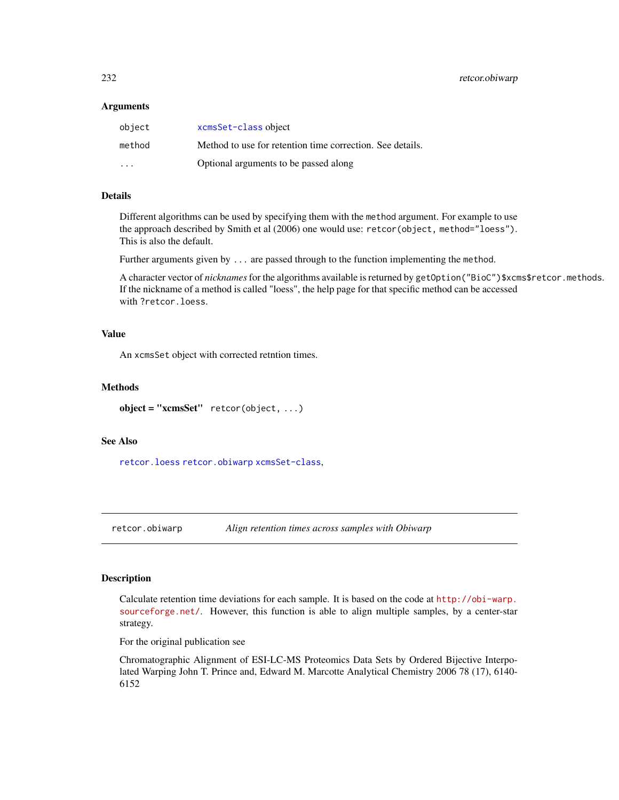#### **Arguments**

| object  | xcmsSet-class object                                      |
|---------|-----------------------------------------------------------|
| method  | Method to use for retention time correction. See details. |
| $\cdot$ | Optional arguments to be passed along                     |

# Details

Different algorithms can be used by specifying them with the method argument. For example to use the approach described by Smith et al (2006) one would use: retcor(object, method="loess"). This is also the default.

Further arguments given by ... are passed through to the function implementing the method.

A character vector of *nicknames*for the algorithms available is returned by getOption("BioC")\$xcms\$retcor.methods. If the nickname of a method is called "loess", the help page for that specific method can be accessed with ?retcor.loess.

### Value

An xcmsSet object with corrected retntion times.

### **Methods**

 $object = "xcmsSet"$   $retcor(object, ...)$ 

### See Also

[retcor.loess](#page-233-0) [retcor.obiwarp](#page-231-0) [xcmsSet-class](#page-288-0),

<span id="page-231-0"></span>retcor.obiwarp *Align retention times across samples with Obiwarp*

#### Description

Calculate retention time deviations for each sample. It is based on the code at [http://obi-warp.](http://obi-warp.sourceforge.net/) [sourceforge.net/](http://obi-warp.sourceforge.net/). However, this function is able to align multiple samples, by a center-star strategy.

For the original publication see

Chromatographic Alignment of ESI-LC-MS Proteomics Data Sets by Ordered Bijective Interpolated Warping John T. Prince and, Edward M. Marcotte Analytical Chemistry 2006 78 (17), 6140- 6152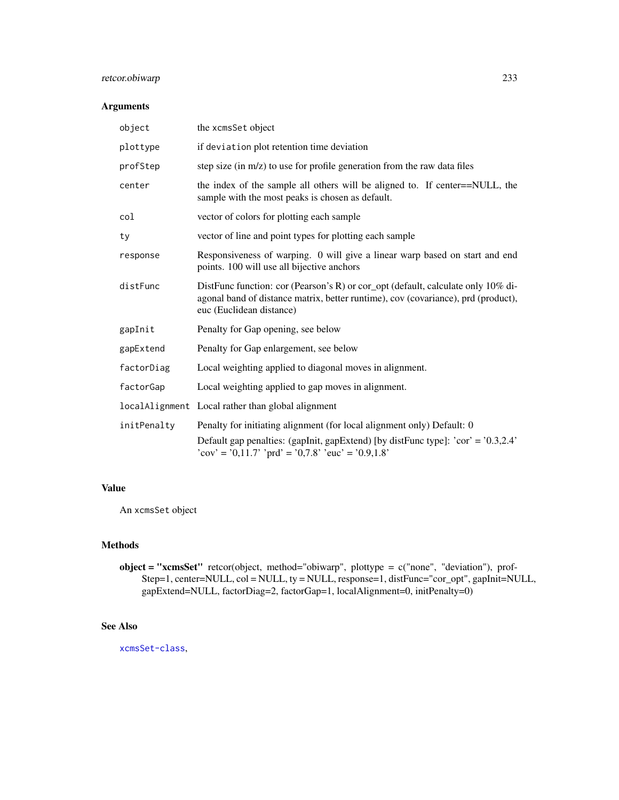# retcor.obiwarp 233

# Arguments

| object      | the xcmsSet object                                                                                                                                                                                |
|-------------|---------------------------------------------------------------------------------------------------------------------------------------------------------------------------------------------------|
| plottype    | if deviation plot retention time deviation                                                                                                                                                        |
| profStep    | step size (in m/z) to use for profile generation from the raw data files                                                                                                                          |
| center      | the index of the sample all others will be aligned to. If center==NULL, the<br>sample with the most peaks is chosen as default.                                                                   |
| col         | vector of colors for plotting each sample                                                                                                                                                         |
| ty          | vector of line and point types for plotting each sample                                                                                                                                           |
| response    | Responsiveness of warping. 0 will give a linear warp based on start and end<br>points. 100 will use all bijective anchors                                                                         |
| distFunc    | DistFunc function: cor (Pearson's R) or cor_opt (default, calculate only 10% di-<br>agonal band of distance matrix, better runtime), cov (covariance), prd (product),<br>euc (Euclidean distance) |
| gapInit     | Penalty for Gap opening, see below                                                                                                                                                                |
| gapExtend   | Penalty for Gap enlargement, see below                                                                                                                                                            |
| factorDiag  | Local weighting applied to diagonal moves in alignment.                                                                                                                                           |
| factorGap   | Local weighting applied to gap moves in alignment.                                                                                                                                                |
|             | localAlignment Local rather than global alignment                                                                                                                                                 |
| initPenalty | Penalty for initiating alignment (for local alignment only) Default: 0                                                                                                                            |
|             | Default gap penalties: (gapInit, gapExtend) [by distFunc type]: $\text{`cor'} = \text{`0.3,2.4'}$<br>$'cov' = '0,11.7'$ 'prd' = '0,7.8' 'euc' = '0.9,1.8'                                         |

# Value

An xcmsSet object

# Methods

**object = "xcmsSet"** retcor(object, method="obiwarp", plottype =  $c("none", "deviation"), prof-$ Step=1, center=NULL, col = NULL, ty = NULL, response=1, distFunc="cor\_opt", gapInit=NULL, gapExtend=NULL, factorDiag=2, factorGap=1, localAlignment=0, initPenalty=0)

# See Also

[xcmsSet-class](#page-288-0),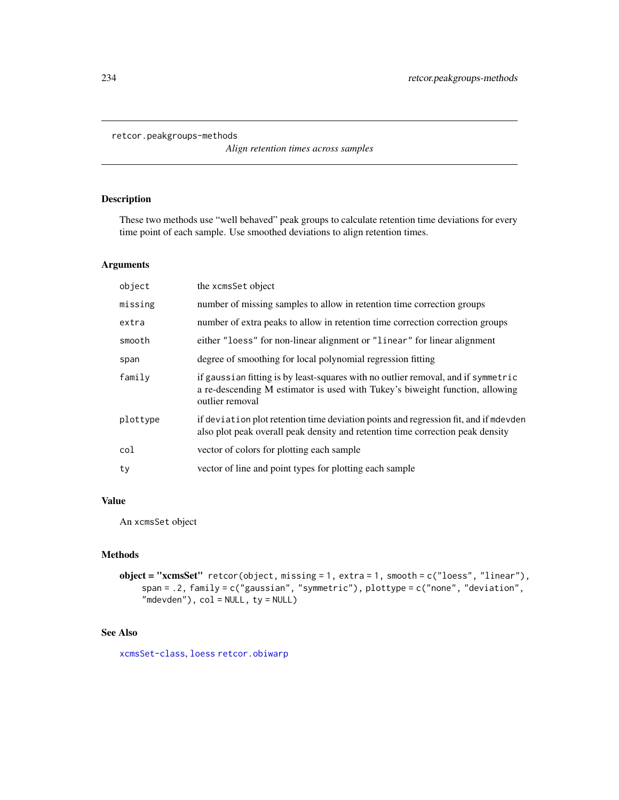#### retcor.peakgroups-methods

*Align retention times across samples*

# <span id="page-233-0"></span>Description

These two methods use "well behaved" peak groups to calculate retention time deviations for every time point of each sample. Use smoothed deviations to align retention times.

# Arguments

| object   | the xcmsSet object                                                                                                                                                                   |
|----------|--------------------------------------------------------------------------------------------------------------------------------------------------------------------------------------|
| missing  | number of missing samples to allow in retention time correction groups                                                                                                               |
| extra    | number of extra peaks to allow in retention time correction correction groups                                                                                                        |
| smooth   | either "loess" for non-linear alignment or "linear" for linear alignment                                                                                                             |
| span     | degree of smoothing for local polynomial regression fitting                                                                                                                          |
| family   | if gaussian fitting is by least-squares with no outlier removal, and if symmetric<br>a re-descending M estimator is used with Tukey's biweight function, allowing<br>outlier removal |
| plottype | if deviation plot retention time deviation points and regression fit, and if mdevden<br>also plot peak overall peak density and retention time correction peak density               |
| col      | vector of colors for plotting each sample                                                                                                                                            |
| ty       | vector of line and point types for plotting each sample                                                                                                                              |
|          |                                                                                                                                                                                      |

# Value

An xcmsSet object

## Methods

```
object = "xcmsSet" retcor(object, missing = 1, extra = 1, smooth = c("loess", "linear"),
    span = .2, family = c("gaussian", "symmetric"), plottype = c("none", "deviation",
    "mdevden"), col = NULL, ty = NULL)
```
## See Also

[xcmsSet-class](#page-288-0), [loess](#page-0-0) [retcor.obiwarp](#page-231-0)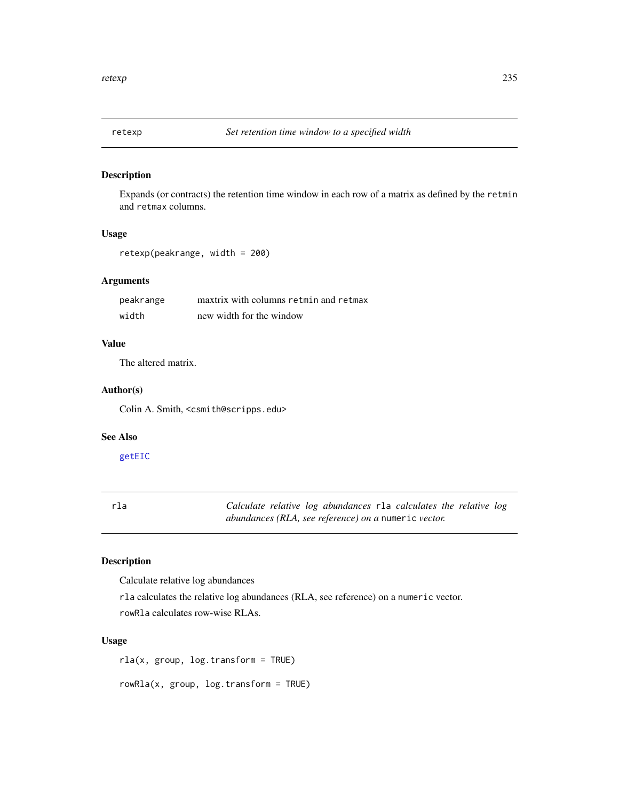# Description

Expands (or contracts) the retention time window in each row of a matrix as defined by the retmin and retmax columns.

# Usage

retexp(peakrange, width = 200)

# Arguments

| peakrange | maxtrix with columns retmin and retmax |
|-----------|----------------------------------------|
| width     | new width for the window               |

# Value

The altered matrix.

### Author(s)

Colin A. Smith, <csmith@scripps.edu>

#### See Also

[getEIC](#page-146-0)

| rla |  | Calculate relative log abundances rla calculates the relative log |  |  |  |
|-----|--|-------------------------------------------------------------------|--|--|--|
|     |  | abundances (RLA, see reference) on a numeric vector.              |  |  |  |

# Description

Calculate relative log abundances

rla calculates the relative log abundances (RLA, see reference) on a numeric vector. rowRla calculates row-wise RLAs.

### Usage

rla(x, group, log.transform = TRUE)

rowRla(x, group, log.transform = TRUE)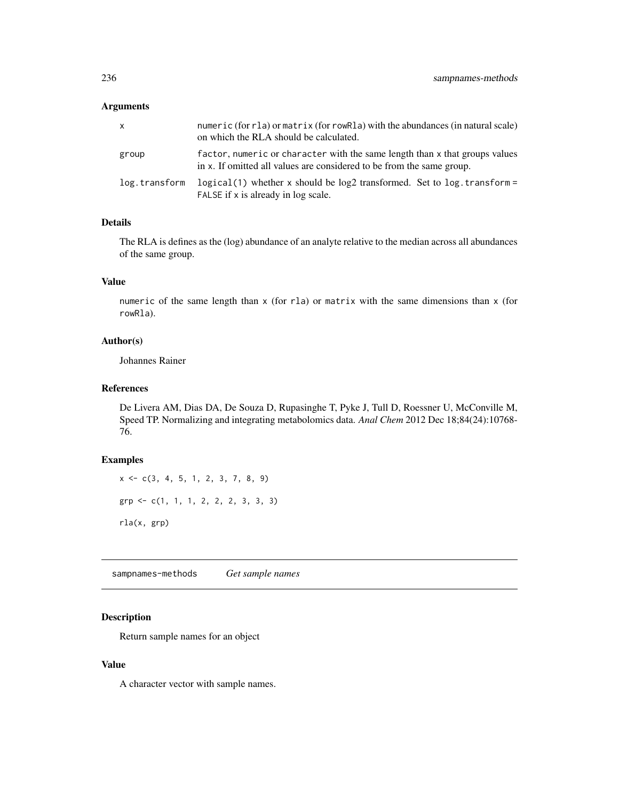# Arguments

| x             | numeric (for rla) or matrix (for rowRla) with the abundances (in natural scale)<br>on which the RLA should be calculated.                            |
|---------------|------------------------------------------------------------------------------------------------------------------------------------------------------|
| group         | factor, numeric or character with the same length than x that groups values<br>in x. If omitted all values are considered to be from the same group. |
| log.transform | $logical(1)$ whether x should be $log2$ transformed. Set to $log.$ transform =<br>FALSE if x is already in log scale.                                |

# Details

The RLA is defines as the (log) abundance of an analyte relative to the median across all abundances of the same group.

## Value

numeric of the same length than  $x$  (for rla) or matrix with the same dimensions than  $x$  (for rowRla).

#### Author(s)

Johannes Rainer

# References

De Livera AM, Dias DA, De Souza D, Rupasinghe T, Pyke J, Tull D, Roessner U, McConville M, Speed TP. Normalizing and integrating metabolomics data. *Anal Chem* 2012 Dec 18;84(24):10768- 76.

# Examples

 $x \leq -c(3, 4, 5, 1, 2, 3, 7, 8, 9)$ grp <- c(1, 1, 1, 2, 2, 2, 3, 3, 3) rla(x, grp)

sampnames-methods *Get sample names*

### Description

Return sample names for an object

# Value

A character vector with sample names.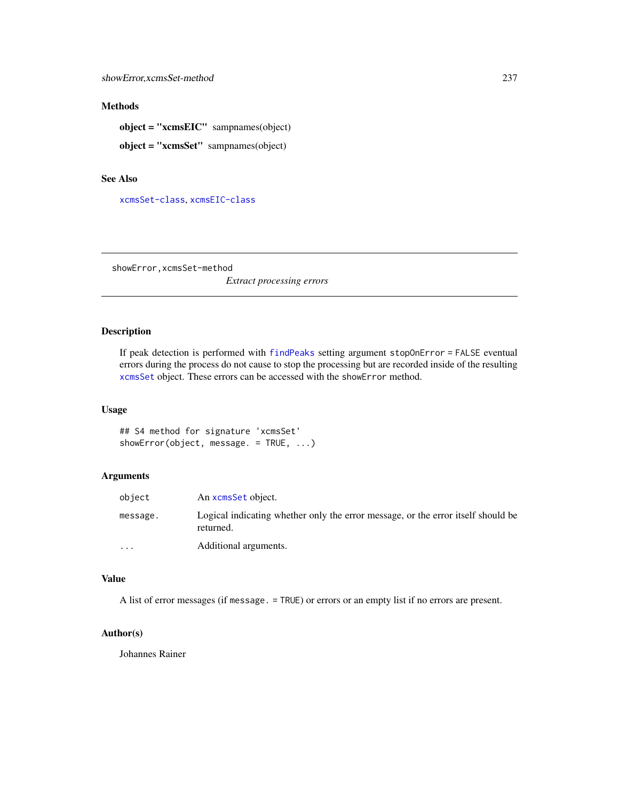# Methods

object = "xcmsEIC" sampnames(object) object = "xcmsSet" sampnames(object)

# See Also

[xcmsSet-class](#page-288-0), [xcmsEIC-class](#page-265-0)

showError,xcmsSet-method

*Extract processing errors*

# Description

If peak detection is performed with [findPeaks](#page-125-0) setting argument stopOnError = FALSE eventual errors during the process do not cause to stop the processing but are recorded inside of the resulting [xcmsSet](#page-288-0) object. These errors can be accessed with the showError method.

## Usage

## S4 method for signature 'xcmsSet' showError(object, message. = TRUE, ...)

### Arguments

| object   | An xcmsSet object.                                                                            |
|----------|-----------------------------------------------------------------------------------------------|
| message. | Logical indicating whether only the error message, or the error itself should be<br>returned. |
| $\cdots$ | Additional arguments.                                                                         |

#### Value

A list of error messages (if message. = TRUE) or errors or an empty list if no errors are present.

# Author(s)

Johannes Rainer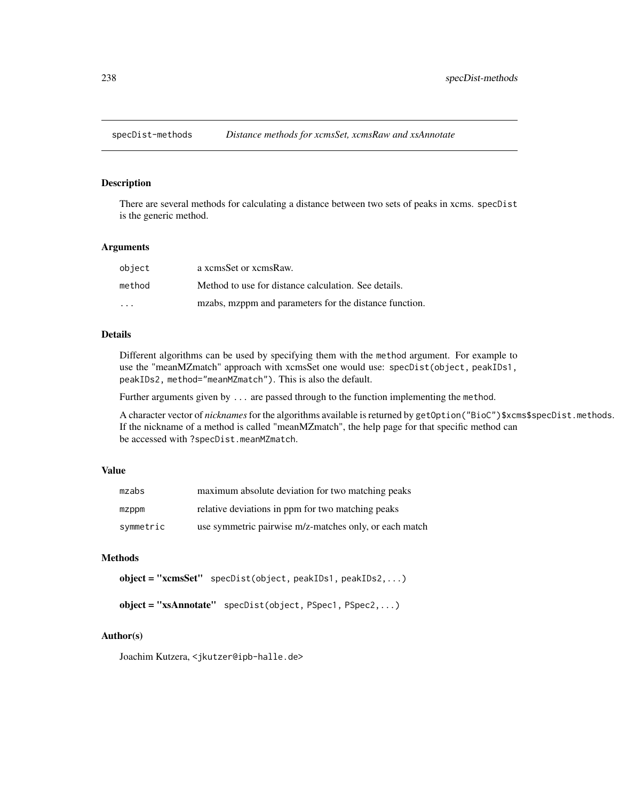# Description

There are several methods for calculating a distance between two sets of peaks in xcms. specDist is the generic method.

#### Arguments

| object                  | a xcmsSet or xcmsRaw.                                  |
|-------------------------|--------------------------------------------------------|
| method                  | Method to use for distance calculation. See details.   |
| $\cdot$ $\cdot$ $\cdot$ | mzabs, mzppm and parameters for the distance function. |

# Details

Different algorithms can be used by specifying them with the method argument. For example to use the "meanMZmatch" approach with xcmsSet one would use: specDist(object, peakIDs1, peakIDs2, method="meanMZmatch"). This is also the default.

Further arguments given by ... are passed through to the function implementing the method.

A character vector of *nicknames*for the algorithms available is returned by getOption("BioC")\$xcms\$specDist.methods. If the nickname of a method is called "meanMZmatch", the help page for that specific method can be accessed with ?specDist.meanMZmatch.

## Value

| mzabs     | maximum absolute deviation for two matching peaks      |
|-----------|--------------------------------------------------------|
| mzppm     | relative deviations in ppm for two matching peaks      |
| symmetric | use symmetric pairwise m/z-matches only, or each match |

# **Methods**

 $object = "xcmsSet" specDist(object, peakIDs1, peakIDs2, ...)$ 

```
object = "xsAnnotate" specDist(object, PSpec1, PSpec2,...)
```
#### Author(s)

Joachim Kutzera, <jkutzer@ipb-halle.de>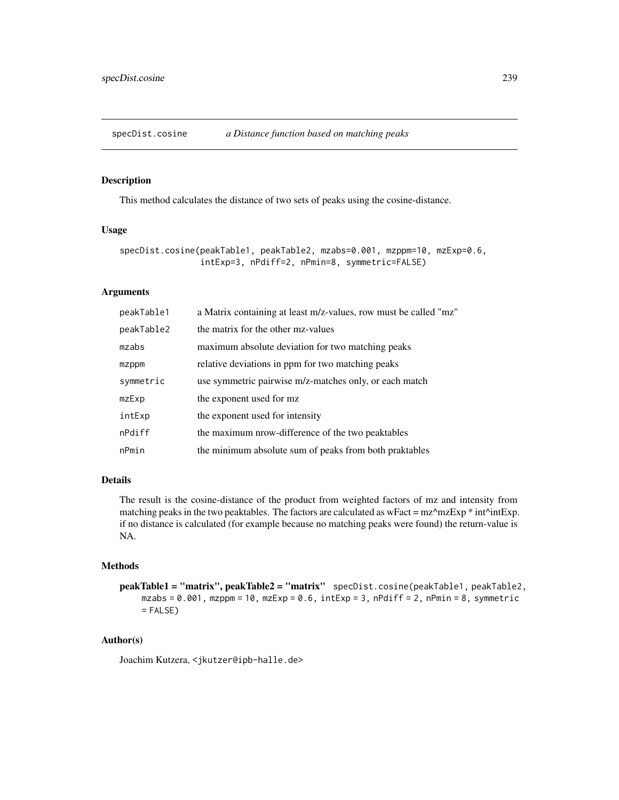specDist.cosine *a Distance function based on matching peaks*

## Description

This method calculates the distance of two sets of peaks using the cosine-distance.

### Usage

specDist.cosine(peakTable1, peakTable2, mzabs=0.001, mzppm=10, mzExp=0.6, intExp=3, nPdiff=2, nPmin=8, symmetric=FALSE)

# Arguments

| peakTable1 | a Matrix containing at least m/z-values, row must be called "mz" |
|------------|------------------------------------------------------------------|
| peakTable2 | the matrix for the other mz-values                               |
| mzabs      | maximum absolute deviation for two matching peaks                |
| mzppm      | relative deviations in ppm for two matching peaks                |
| symmetric  | use symmetric pairwise m/z-matches only, or each match           |
| mzExp      | the exponent used for mz                                         |
| intExp     | the exponent used for intensity                                  |
| nPdiff     | the maximum nrow-difference of the two peaktables                |
| nPmin      | the minimum absolute sum of peaks from both praktables           |

### Details

The result is the cosine-distance of the product from weighted factors of mz and intensity from matching peaks in the two peaktables. The factors are calculated as  $\text{wFact} = \text{mz}^{\wedge} \text{mzExp}$  \* int<sup> $\wedge$ </sup>intExp. if no distance is calculated (for example because no matching peaks were found) the return-value is NA.

# Methods

```
peakTable1 = "matrix", peakTable2 = "matrix" specDist.cosine(peakTable1, peakTable2,
    mzabs = 0.001, mzppm = 10, mzExp = 0.6, intExp = 3, nPdiff = 2, nPmin = 8, symmetric
    = FALSE)
```
### Author(s)

Joachim Kutzera, <jkutzer@ipb-halle.de>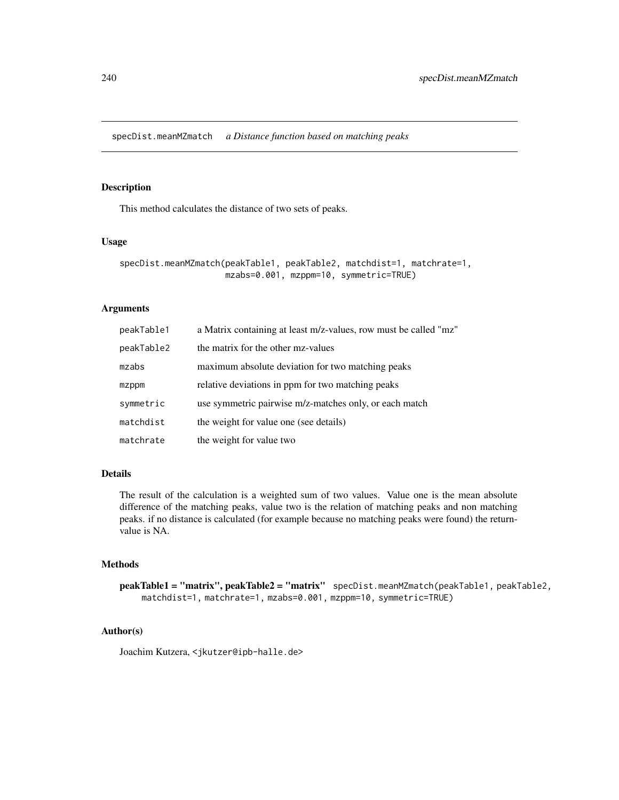specDist.meanMZmatch *a Distance function based on matching peaks*

# Description

This method calculates the distance of two sets of peaks.

#### Usage

```
specDist.meanMZmatch(peakTable1, peakTable2, matchdist=1, matchrate=1,
                    mzabs=0.001, mzppm=10, symmetric=TRUE)
```
#### **Arguments**

| peakTable1 | a Matrix containing at least m/z-values, row must be called "mz" |
|------------|------------------------------------------------------------------|
| peakTable2 | the matrix for the other mz-values                               |
| mzabs      | maximum absolute deviation for two matching peaks                |
| mzppm      | relative deviations in ppm for two matching peaks                |
| symmetric  | use symmetric pairwise m/z-matches only, or each match           |
| matchdist  | the weight for value one (see details)                           |
| matchrate  | the weight for value two                                         |

# Details

The result of the calculation is a weighted sum of two values. Value one is the mean absolute difference of the matching peaks, value two is the relation of matching peaks and non matching peaks. if no distance is calculated (for example because no matching peaks were found) the returnvalue is NA.

# Methods

peakTable1 = "matrix", peakTable2 = "matrix" specDist.meanMZmatch(peakTable1, peakTable2, matchdist=1, matchrate=1, mzabs=0.001, mzppm=10, symmetric=TRUE)

# Author(s)

Joachim Kutzera, <jkutzer@ipb-halle.de>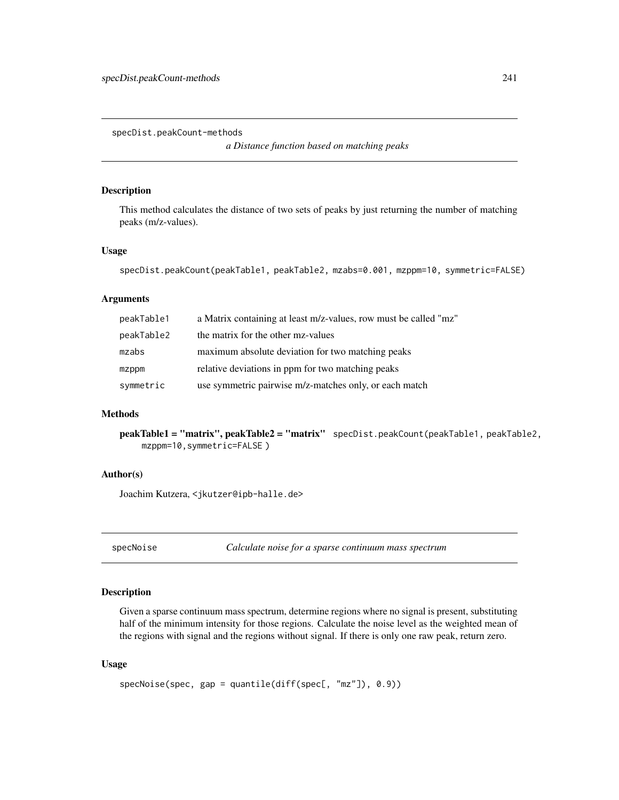specDist.peakCount-methods

*a Distance function based on matching peaks*

#### Description

This method calculates the distance of two sets of peaks by just returning the number of matching peaks (m/z-values).

#### Usage

```
specDist.peakCount(peakTable1, peakTable2, mzabs=0.001, mzppm=10, symmetric=FALSE)
```
### Arguments

| peakTable1 | a Matrix containing at least m/z-values, row must be called "mz" |
|------------|------------------------------------------------------------------|
| peakTable2 | the matrix for the other mz-values                               |
| mzabs      | maximum absolute deviation for two matching peaks                |
| mzppm      | relative deviations in ppm for two matching peaks                |
| symmetric  | use symmetric pairwise m/z-matches only, or each match           |

# Methods

```
peakTable1 = "matrix", peakTable2 = "matrix" specDist.peakCount(peakTable1, peakTable2,
    mzppm=10,symmetric=FALSE )
```
#### Author(s)

Joachim Kutzera, <jkutzer@ipb-halle.de>

<span id="page-240-0"></span>specNoise *Calculate noise for a sparse continuum mass spectrum*

## Description

Given a sparse continuum mass spectrum, determine regions where no signal is present, substituting half of the minimum intensity for those regions. Calculate the noise level as the weighted mean of the regions with signal and the regions without signal. If there is only one raw peak, return zero.

#### Usage

```
specNoise(spec, gap = quantile(diff(spec[, "mz"]), 0.9))
```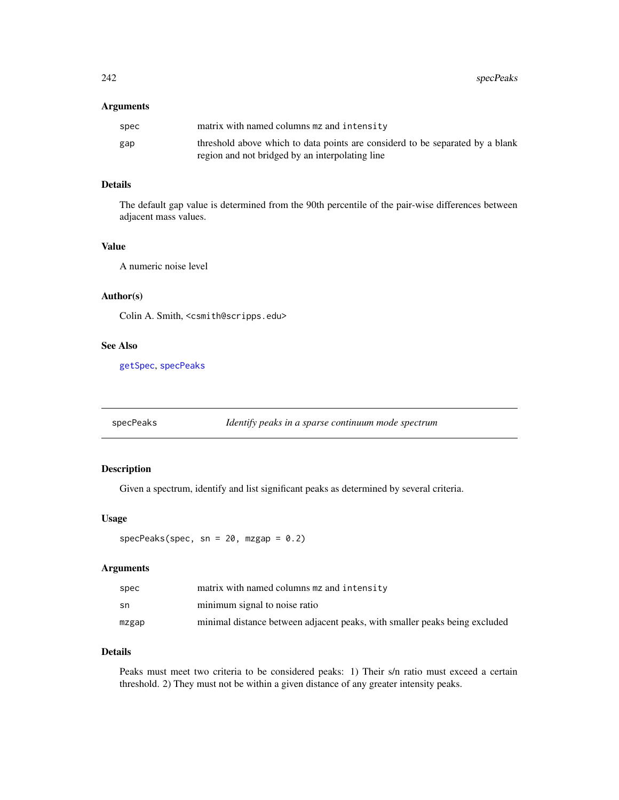242 specPeaks

## Arguments

| spec | matrix with named columns mz and intensity                                    |
|------|-------------------------------------------------------------------------------|
| gap  | threshold above which to data points are considerd to be separated by a blank |
|      | region and not bridged by an interpolating line                               |

# Details

The default gap value is determined from the 90th percentile of the pair-wise differences between adjacent mass values.

# Value

A numeric noise level

# Author(s)

Colin A. Smith, <csmith@scripps.edu>

# See Also

[getSpec](#page-149-0), [specPeaks](#page-241-0)

<span id="page-241-0"></span>specPeaks *Identify peaks in a sparse continuum mode spectrum*

# Description

Given a spectrum, identify and list significant peaks as determined by several criteria.

## Usage

```
specPeaks(spec, sn = 20, mzgap = 0.2)
```
## Arguments

| spec  | matrix with named columns mz and intensity                                 |
|-------|----------------------------------------------------------------------------|
| sn    | minimum signal to noise ratio                                              |
| mzgap | minimal distance between adjacent peaks, with smaller peaks being excluded |

# Details

Peaks must meet two criteria to be considered peaks: 1) Their s/n ratio must exceed a certain threshold. 2) They must not be within a given distance of any greater intensity peaks.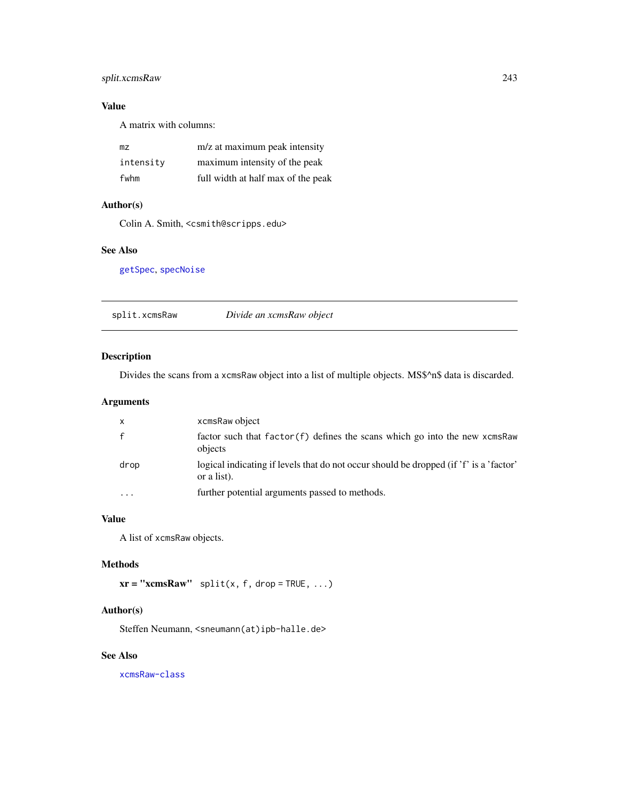# split.xcmsRaw 243

# Value

A matrix with columns:

| mz        | m/z at maximum peak intensity      |
|-----------|------------------------------------|
| intensity | maximum intensity of the peak      |
| fwhm      | full width at half max of the peak |

# Author(s)

Colin A. Smith, <csmith@scripps.edu>

## See Also

[getSpec](#page-149-0), [specNoise](#page-240-0)

split.xcmsRaw *Divide an xcmsRaw object*

# Description

Divides the scans from a xcmsRaw object into a list of multiple objects. MS\$^n\$ data is discarded.

# Arguments

| $\mathsf{X}$ | xcmsRaw object                                                                                        |
|--------------|-------------------------------------------------------------------------------------------------------|
|              | factor such that $factor(f)$ defines the scans which go into the new xcmsRaw<br>objects               |
| drop         | logical indicating if levels that do not occur should be dropped (if 'f' is a 'factor'<br>or a list). |
| $\cdot$      | further potential arguments passed to methods.                                                        |

# Value

A list of xcmsRaw objects.

### Methods

 $xr = "xcmsRaw" split(x, f, drop = TRUE, ...)$ 

# Author(s)

Steffen Neumann, <sneumann(at)ipb-halle.de>

## See Also

[xcmsRaw-class](#page-283-0)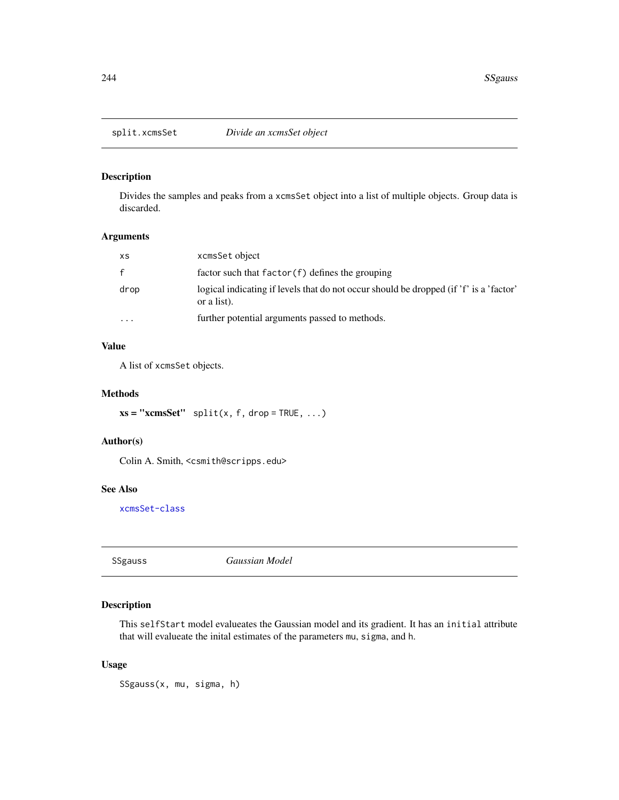# Description

Divides the samples and peaks from a xcmsSet object into a list of multiple objects. Group data is discarded.

### Arguments

| xs      | xcmsSet object                                                                                        |
|---------|-------------------------------------------------------------------------------------------------------|
|         | factor such that $factor(f)$ defines the grouping                                                     |
| drop    | logical indicating if levels that do not occur should be dropped (if 'f' is a 'factor'<br>or a list). |
| $\cdot$ | further potential arguments passed to methods.                                                        |

# Value

A list of xcmsSet objects.

#### Methods

 $xs = "xcmsSet" split(x, f, drop = TRUE, ...)$ 

# Author(s)

Colin A. Smith, <csmith@scripps.edu>

# See Also

[xcmsSet-class](#page-288-0)

SSgauss *Gaussian Model*

# Description

This selfStart model evalueates the Gaussian model and its gradient. It has an initial attribute that will evalueate the inital estimates of the parameters mu, sigma, and h.

# Usage

SSgauss(x, mu, sigma, h)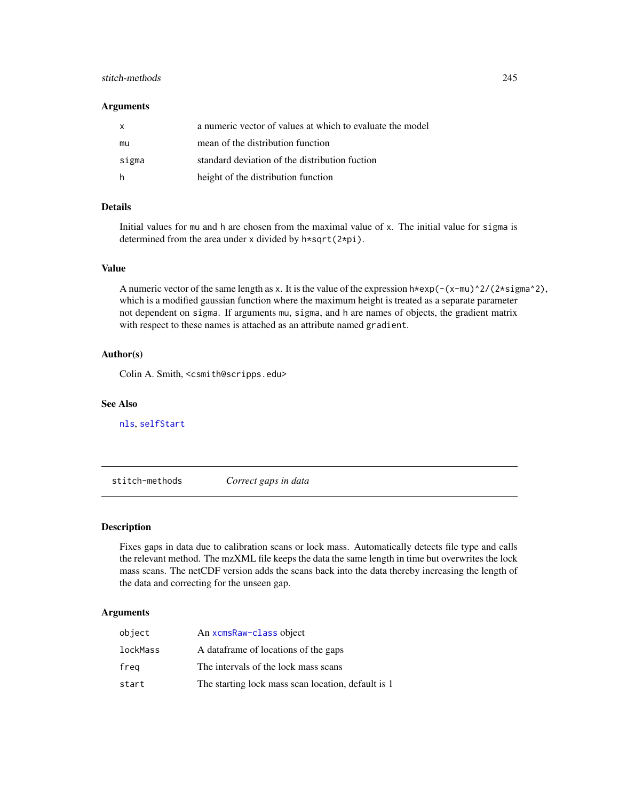## stitch-methods 245

#### **Arguments**

| X     | a numeric vector of values at which to evaluate the model |
|-------|-----------------------------------------------------------|
| mu    | mean of the distribution function                         |
| sigma | standard deviation of the distribution fuction            |
| -h    | height of the distribution function                       |

#### Details

Initial values for mu and h are chosen from the maximal value of x. The initial value for sigma is determined from the area under x divided by h\*sqrt(2\*pi).

#### Value

A numeric vector of the same length as x. It is the value of the expression h\*exp(-(x-mu)^2/(2\*sigma^2), which is a modified gaussian function where the maximum height is treated as a separate parameter not dependent on sigma. If arguments mu, sigma, and h are names of objects, the gradient matrix with respect to these names is attached as an attribute named gradient.

### Author(s)

Colin A. Smith, <csmith@scripps.edu>

#### See Also

[nls](#page-0-0), [selfStart](#page-0-0)

stitch-methods *Correct gaps in data*

### Description

Fixes gaps in data due to calibration scans or lock mass. Automatically detects file type and calls the relevant method. The mzXML file keeps the data the same length in time but overwrites the lock mass scans. The netCDF version adds the scans back into the data thereby increasing the length of the data and correcting for the unseen gap.

#### Arguments

| object   | An xcmsRaw-class object                            |
|----------|----------------------------------------------------|
| lockMass | A data frame of locations of the gaps              |
| freg     | The intervals of the lock mass scans               |
| start    | The starting lock mass scan location, default is 1 |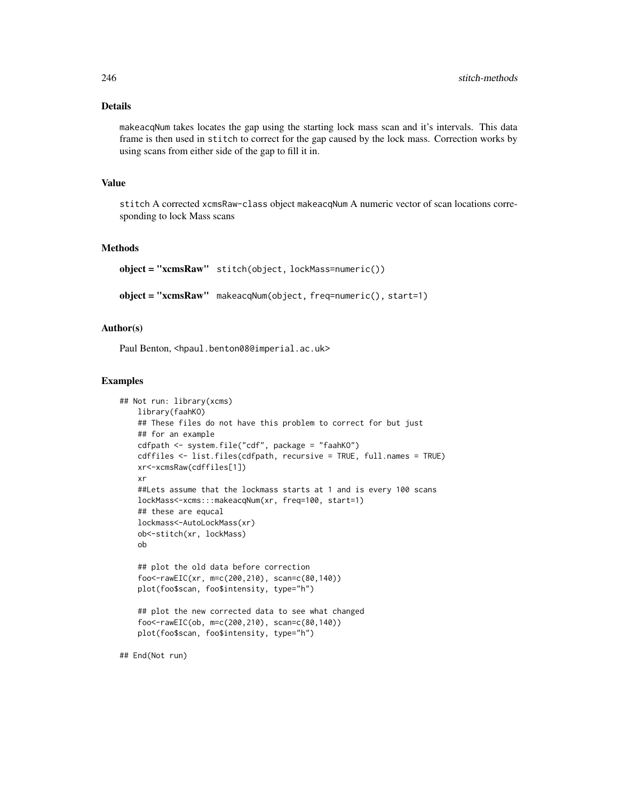## Details

makeacqNum takes locates the gap using the starting lock mass scan and it's intervals. This data frame is then used in stitch to correct for the gap caused by the lock mass. Correction works by using scans from either side of the gap to fill it in.

## Value

stitch A corrected xcmsRaw-class object makeacqNum A numeric vector of scan locations corresponding to lock Mass scans

#### Methods

```
object = "xcmsRaw" stitch(object, lockMass=numeric())
```

```
object = "xcmsRaw" makeacqNum(object, freq=numeric(), start=1)
```
### Author(s)

Paul Benton, <hpaul.benton08@imperial.ac.uk>

### Examples

```
## Not run: library(xcms)
   library(faahKO)
   ## These files do not have this problem to correct for but just
   ## for an example
   cdfpath <- system.file("cdf", package = "faahKO")
   cdffiles <- list.files(cdfpath, recursive = TRUE, full.names = TRUE)
   xr<-xcmsRaw(cdffiles[1])
   xr
   ##Lets assume that the lockmass starts at 1 and is every 100 scans
   lockMass<-xcms:::makeacqNum(xr, freq=100, start=1)
    ## these are equcal
   lockmass<-AutoLockMass(xr)
   ob<-stitch(xr, lockMass)
   ob
    ## plot the old data before correction
    foo<-rawEIC(xr, m=c(200,210), scan=c(80,140))
    plot(foo$scan, foo$intensity, type="h")
    ## plot the new corrected data to see what changed
    foo<-rawEIC(ob, m=c(200,210), scan=c(80,140))
    plot(foo$scan, foo$intensity, type="h")
```
## End(Not run)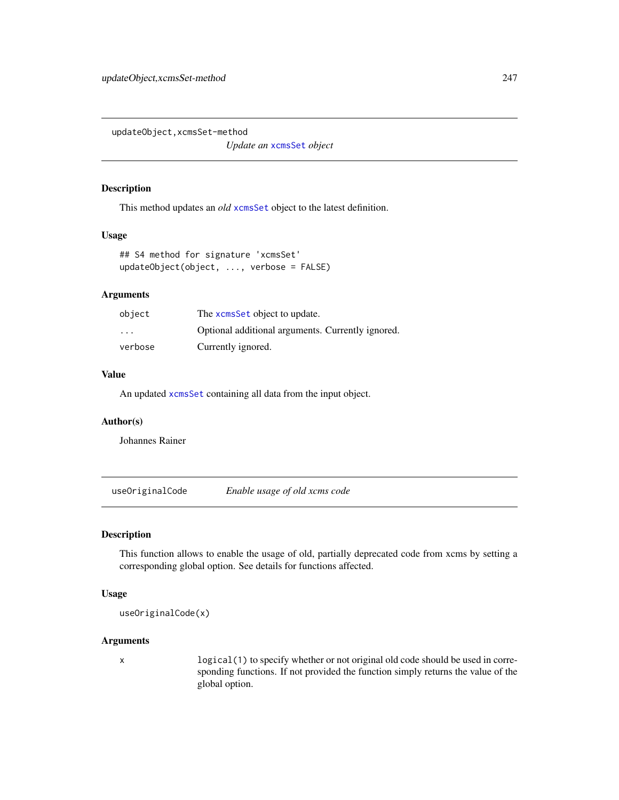updateObject,xcmsSet-method

*Update an* [xcmsSet](#page-288-0) *object*

## Description

This method updates an *old* [xcmsSet](#page-288-0) object to the latest definition.

### Usage

```
## S4 method for signature 'xcmsSet'
updateObject(object, ..., verbose = FALSE)
```
# Arguments

| object  | The xcmsSet object to update.                     |
|---------|---------------------------------------------------|
| .       | Optional additional arguments. Currently ignored. |
| verbose | Currently ignored.                                |

## Value

An updated [xcmsSet](#page-288-0) containing all data from the input object.

### Author(s)

Johannes Rainer

useOriginalCode *Enable usage of old xcms code*

## Description

This function allows to enable the usage of old, partially deprecated code from xcms by setting a corresponding global option. See details for functions affected.

#### Usage

useOriginalCode(x)

### Arguments

x logical(1) to specify whether or not original old code should be used in corresponding functions. If not provided the function simply returns the value of the global option.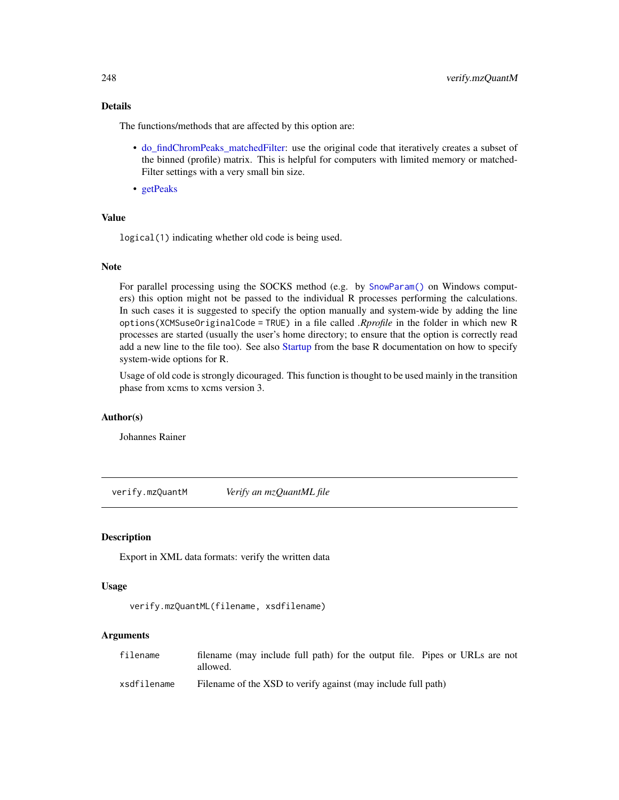# Details

The functions/methods that are affected by this option are:

- [do\\_findChromPeaks\\_matchedFilter:](#page-58-0) use the original code that iteratively creates a subset of the binned (profile) matrix. This is helpful for computers with limited memory or matched-Filter settings with a very small bin size.
- [getPeaks](#page-147-0)

#### Value

logical(1) indicating whether old code is being used.

#### **Note**

For parallel processing using the SOCKS method (e.g. by [SnowParam\(\)](#page-0-0) on Windows computers) this option might not be passed to the individual R processes performing the calculations. In such cases it is suggested to specify the option manually and system-wide by adding the line options(XCMSuseOriginalCode = TRUE) in a file called *.Rprofile* in the folder in which new R processes are started (usually the user's home directory; to ensure that the option is correctly read add a new line to the file too). See also [Startup](#page-0-0) from the base R documentation on how to specify system-wide options for R.

Usage of old code is strongly dicouraged. This function is thought to be used mainly in the transition phase from xcms to xcms version 3.

#### Author(s)

Johannes Rainer

verify.mzQuantM *Verify an mzQuantML file*

#### <span id="page-247-0"></span>**Description**

Export in XML data formats: verify the written data

#### Usage

```
verify.mzQuantML(filename, xsdfilename)
```
#### Arguments

filename filename (may include full path) for the output file. Pipes or URLs are not allowed.

xsdfilename Filename of the XSD to verify against (may include full path)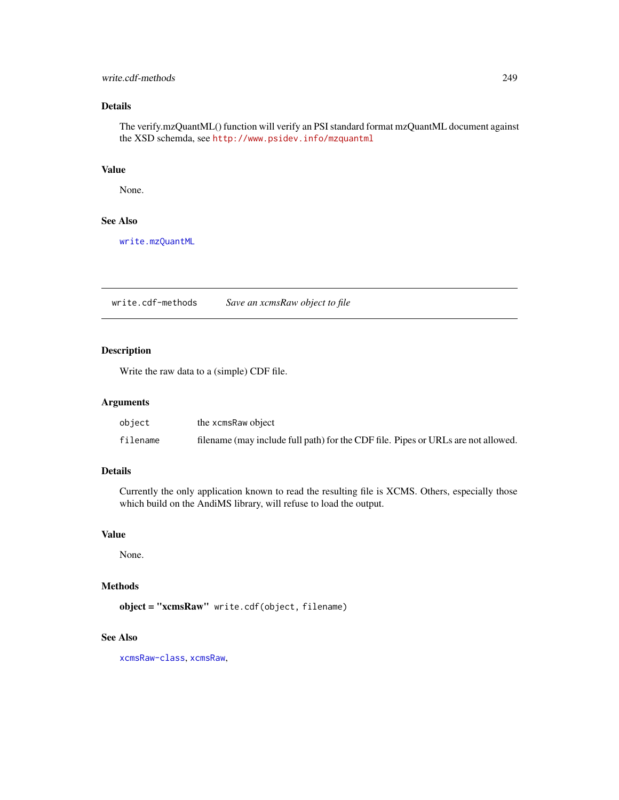## write.cdf-methods 249

# Details

The verify.mzQuantML() function will verify an PSI standard format mzQuantML document against the XSD schemda, see <http://www.psidev.info/mzquantml>

## Value

None.

# See Also

[write.mzQuantML](#page-249-0)

write.cdf-methods *Save an xcmsRaw object to file*

# Description

Write the raw data to a (simple) CDF file.

#### Arguments

| object   | the xcmsRaw object                                                                |
|----------|-----------------------------------------------------------------------------------|
| filename | filename (may include full path) for the CDF file. Pipes or URLs are not allowed. |

# Details

Currently the only application known to read the resulting file is XCMS. Others, especially those which build on the AndiMS library, will refuse to load the output.

# Value

None.

# Methods

object = "xcmsRaw" write.cdf(object, filename)

#### See Also

[xcmsRaw-class](#page-283-0), [xcmsRaw](#page-281-0),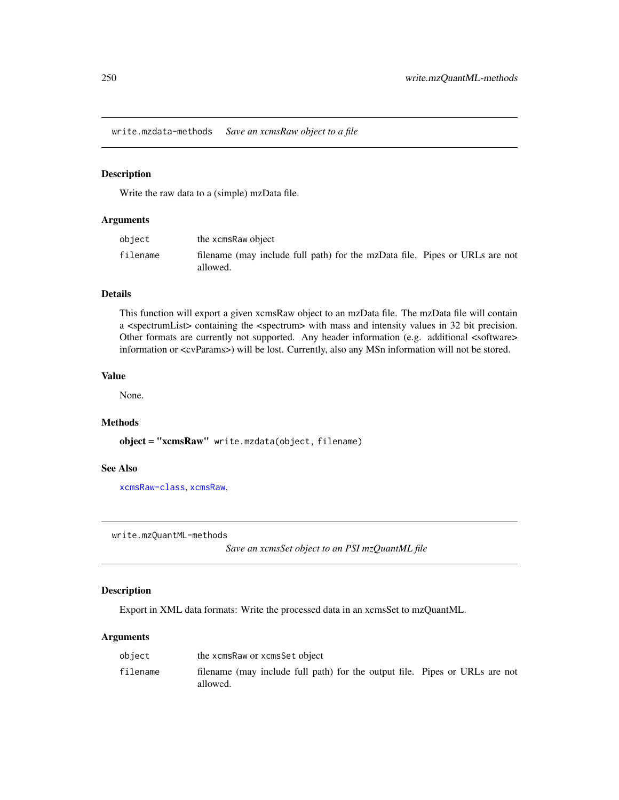write.mzdata-methods *Save an xcmsRaw object to a file*

#### Description

Write the raw data to a (simple) mzData file.

#### Arguments

| object   | the xcmsRaw object                                                                      |
|----------|-----------------------------------------------------------------------------------------|
| filename | filename (may include full path) for the mzData file. Pipes or URLs are not<br>allowed. |

# Details

This function will export a given xcmsRaw object to an mzData file. The mzData file will contain a <spectrumList> containing the <spectrum> with mass and intensity values in 32 bit precision. Other formats are currently not supported. Any header information (e.g. additional <software> information or <cvParams>) will be lost. Currently, also any MSn information will not be stored.

#### Value

None.

# Methods

object = "xcmsRaw" write.mzdata(object, filename)

### See Also

[xcmsRaw-class](#page-283-0), [xcmsRaw](#page-281-0),

write.mzQuantML-methods

*Save an xcmsSet object to an PSI mzQuantML file*

#### <span id="page-249-0"></span>Description

Export in XML data formats: Write the processed data in an xcmsSet to mzQuantML.

#### Arguments

| object   | the xcmsRaw or xcmsSet object                                                           |
|----------|-----------------------------------------------------------------------------------------|
| filename | filename (may include full path) for the output file. Pipes or URLs are not<br>allowed. |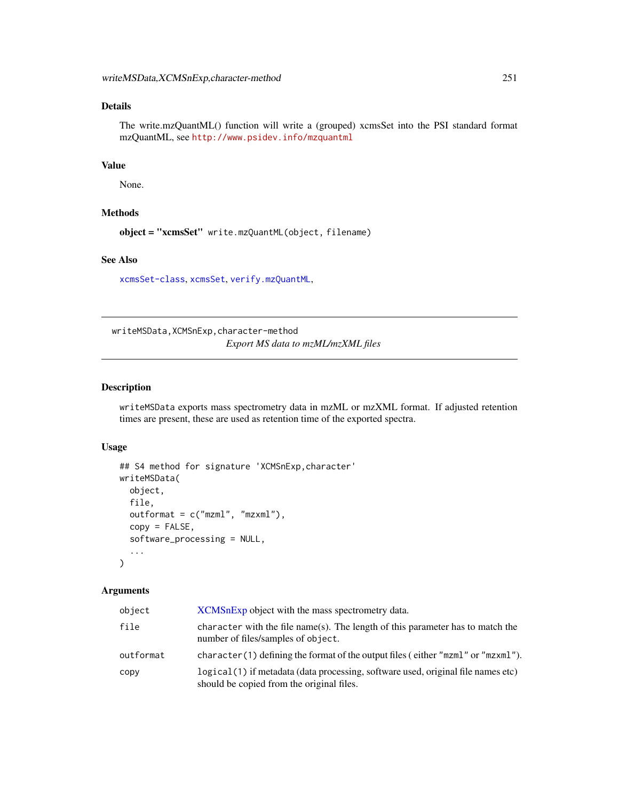# Details

The write.mzQuantML() function will write a (grouped) xcmsSet into the PSI standard format mzQuantML, see <http://www.psidev.info/mzquantml>

## Value

None.

# Methods

object = "xcmsSet" write.mzQuantML(object, filename)

# See Also

[xcmsSet-class](#page-288-0), [xcmsSet](#page-286-0), [verify.mzQuantML](#page-247-0),

writeMSData,XCMSnExp,character-method *Export MS data to mzML/mzXML files*

# Description

writeMSData exports mass spectrometry data in mzML or mzXML format. If adjusted retention times are present, these are used as retention time of the exported spectra.

#### Usage

```
## S4 method for signature 'XCMSnExp,character'
writeMSData(
 object,
  file,
  outformat = c("mzml", "mzxml"),
  copy = FALSE,software_processing = NULL,
  ...
\lambda
```
#### Arguments

| object    | XCMS nExp object with the mass spectrometry data.                                                                             |
|-----------|-------------------------------------------------------------------------------------------------------------------------------|
| file      | character with the file name(s). The length of this parameter has to match the<br>number of files/samples of object.          |
| outformat | character $(1)$ defining the format of the output files (either "mzml" or "mzxml").                                           |
| CODV      | logical(1) if metadata (data processing, software used, original file names etc)<br>should be copied from the original files. |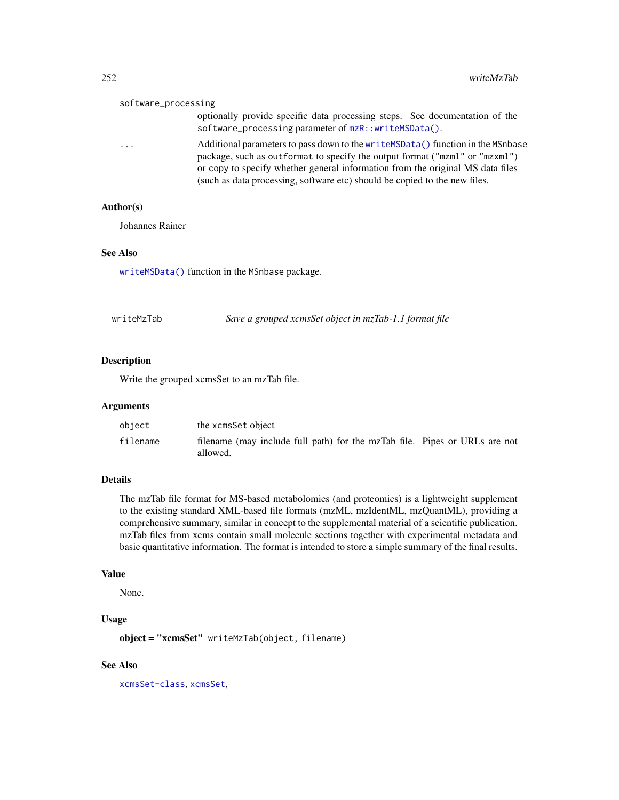#### software\_processing

|                         | optionally provide specific data processing steps. See documentation of the         |
|-------------------------|-------------------------------------------------------------------------------------|
|                         | software_processing parameter of mzR::writeMSData().                                |
| $\cdot$ $\cdot$ $\cdot$ | Additional parameters to pass down to the write MSData $()$ function in the MSnbase |

package, such as outformat to specify the output format ("mzml" or "mzxml") or copy to specify whether general information from the original MS data files (such as data processing, software etc) should be copied to the new files.

#### Author(s)

Johannes Rainer

#### See Also

[writeMSData\(\)](#page-0-0) function in the MSnbase package.

| writeMzTab | Save a grouped xcmsSet object in mzTab-1.1 format file |  |
|------------|--------------------------------------------------------|--|
|            |                                                        |  |

## Description

Write the grouped xcmsSet to an mzTab file.

## Arguments

| obiect   | the xcmsSet object                                                                     |
|----------|----------------------------------------------------------------------------------------|
| filename | filename (may include full path) for the mzTab file. Pipes or URLs are not<br>allowed. |

#### Details

The mzTab file format for MS-based metabolomics (and proteomics) is a lightweight supplement to the existing standard XML-based file formats (mzML, mzIdentML, mzQuantML), providing a comprehensive summary, similar in concept to the supplemental material of a scientific publication. mzTab files from xcms contain small molecule sections together with experimental metadata and basic quantitative information. The format is intended to store a simple summary of the final results.

# Value

None.

# Usage

object = "xcmsSet" writeMzTab(object, filename)

### See Also

[xcmsSet-class](#page-288-0), [xcmsSet](#page-286-0),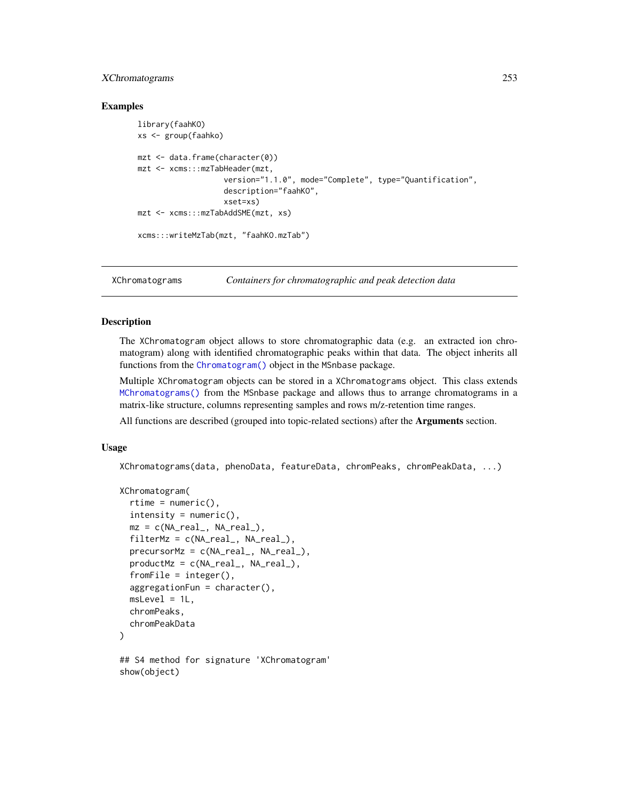#### Examples

```
library(faahKO)
xs <- group(faahko)
mzt <- data.frame(character(0))
mzt <- xcms:::mzTabHeader(mzt,
                   version="1.1.0", mode="Complete", type="Quantification",
                   description="faahKO",
                   xset=xs)
mzt <- xcms:::mzTabAddSME(mzt, xs)
xcms:::writeMzTab(mzt, "faahKO.mzTab")
```
XChromatograms *Containers for chromatographic and peak detection data*

## Description

The XChromatogram object allows to store chromatographic data (e.g. an extracted ion chromatogram) along with identified chromatographic peaks within that data. The object inherits all functions from the [Chromatogram\(\)](#page-0-0) object in the MSnbase package.

Multiple XChromatogram objects can be stored in a XChromatograms object. This class extends [MChromatograms\(\)](#page-0-0) from the MSnbase package and allows thus to arrange chromatograms in a matrix-like structure, columns representing samples and rows m/z-retention time ranges.

All functions are described (grouped into topic-related sections) after the **Arguments** section.

#### Usage

```
XChromatograms(data, phenoData, featureData, chromPeaks, chromPeakData, ...)
```

```
XChromatogram(
  rtime = numeric(),
  intensity = numeric(),mz = c(NA_{real_-, NA_{real_-}),
  filterMz = c(NA_real_, NA_real_),
  precursorMz = c(NA_real_, NA_real_),
  productMz = c(NA_real_, NA_real_),
  fromFile = integer(),aggregationFun = character(),
  msLevel = 1L,chromPeaks,
  chromPeakData
)
## S4 method for signature 'XChromatogram'
show(object)
```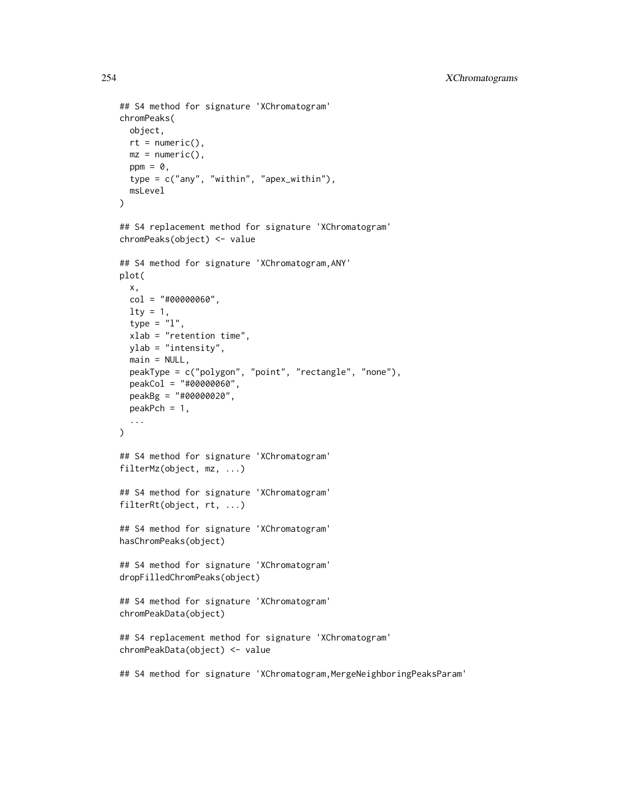```
## S4 method for signature 'XChromatogram'
chromPeaks(
 object,
 rt = numeric(),
 mz = numeric(),
 ppm = 0,
  type = c("any", "within", "apex_within"),
  msLevel
)
## S4 replacement method for signature 'XChromatogram'
chromPeaks(object) <- value
## S4 method for signature 'XChromatogram,ANY'
plot(
  x,
  col = "#00000060".lty = 1,
  type = "1".
  xlab = "retention time",
 ylab = "intensity",
  main = NULL,
 peakType = c("polygon", "point", "rectangle", "none"),
  peakCol = "#00000060",
  peakBg = "#00000020",
 peakPch = 1,
  ...
)
## S4 method for signature 'XChromatogram'
filterMz(object, mz, ...)
## S4 method for signature 'XChromatogram'
filterRt(object, rt, ...)
## S4 method for signature 'XChromatogram'
hasChromPeaks(object)
## S4 method for signature 'XChromatogram'
dropFilledChromPeaks(object)
## S4 method for signature 'XChromatogram'
chromPeakData(object)
## S4 replacement method for signature 'XChromatogram'
chromPeakData(object) <- value
## S4 method for signature 'XChromatogram,MergeNeighboringPeaksParam'
```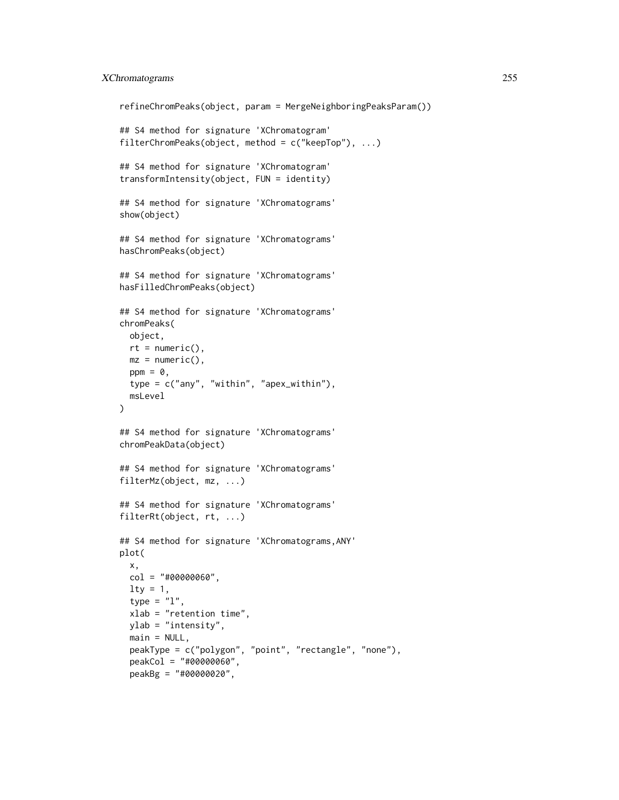```
refineChromPeaks(object, param = MergeNeighboringPeaksParam())
## S4 method for signature 'XChromatogram'
filterChromPeaks(object, method = c("keepTop"), ...)
## S4 method for signature 'XChromatogram'
transformIntensity(object, FUN = identity)
## S4 method for signature 'XChromatograms'
show(object)
## S4 method for signature 'XChromatograms'
hasChromPeaks(object)
## S4 method for signature 'XChromatograms'
hasFilledChromPeaks(object)
## S4 method for signature 'XChromatograms'
chromPeaks(
  object,
 rt = numeric(),
 mz = numeric(),ppm = 0,
  type = c("any", "within", "apex_within"),
  msLevel
\lambda## S4 method for signature 'XChromatograms'
chromPeakData(object)
## S4 method for signature 'XChromatograms'
filterMz(object, mz, ...)
## S4 method for signature 'XChromatograms'
filterRt(object, rt, ...)
## S4 method for signature 'XChromatograms,ANY'
plot(
  x,
  col = "#00000060",lty = 1,type = "1",xlab = "retention time",
  ylab = "intensity",
  main = NULL,peakType = c("polygon", "point", "rectangle", "none"),
  peakCol = "#00000060",
  peakBg = "#00000020",
```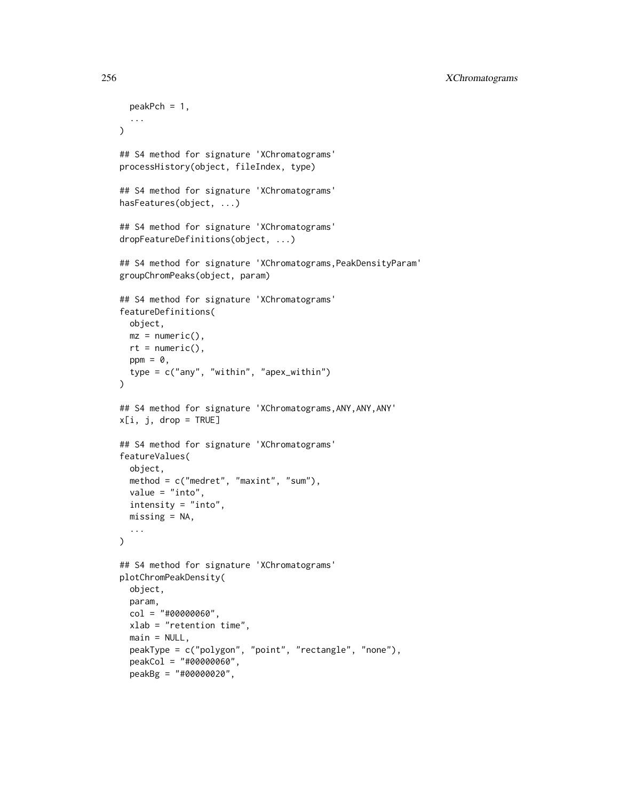```
peakPch = 1,
  ...
\lambda## S4 method for signature 'XChromatograms'
processHistory(object, fileIndex, type)
## S4 method for signature 'XChromatograms'
hasFeatures(object, ...)
## S4 method for signature 'XChromatograms'
dropFeatureDefinitions(object, ...)
## S4 method for signature 'XChromatograms, PeakDensityParam'
groupChromPeaks(object, param)
## S4 method for signature 'XChromatograms'
featureDefinitions(
 object,
 mz = numeric().
 rt = numeric(),
 ppm = 0,
  type = c("any", "within", "apex_within")
\lambda## S4 method for signature 'XChromatograms, ANY, ANY, ANY'
x[i, j, drop = TRUE]## S4 method for signature 'XChromatograms'
featureValues(
  object,
 method = c("medret", "maxint", "sum"),
 value = "into",intensity = "into",
 missing = NA,
  ...
\lambda## S4 method for signature 'XChromatograms'
plotChromPeakDensity(
  object,
 param,
  col = "#00000060",xlab = "retention time",
 main = NULL,
  peakType = c("polygon", "point", "rectangle", "none"),
  peakCol = "#00000060",
  peakBg = "#00000020",
```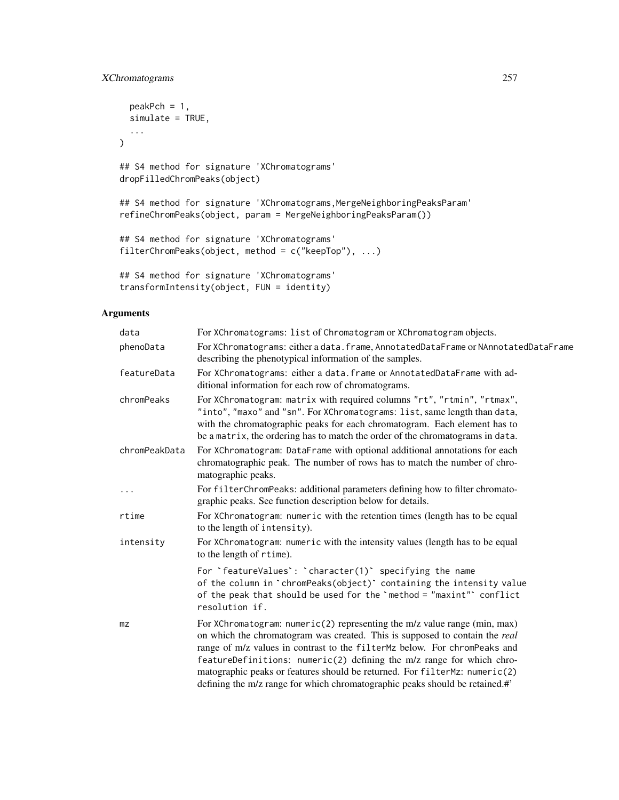```
peakPch = 1,
 simulate = TRUE,
  ...
\mathcal{L}## S4 method for signature 'XChromatograms'
dropFilledChromPeaks(object)
## S4 method for signature 'XChromatograms, MergeNeighboringPeaksParam'
refineChromPeaks(object, param = MergeNeighboringPeaksParam())
## S4 method for signature 'XChromatograms'
filterChromPeaks(object, method = c("keepTop"), ...)
```

```
## S4 method for signature 'XChromatograms'
transformIntensity(object, FUN = identity)
```
# Arguments

| data          | For XChromatograms: list of Chromatogram or XChromatogram objects.                                                                                                                                                                                                                                                                                                                                                                                                           |
|---------------|------------------------------------------------------------------------------------------------------------------------------------------------------------------------------------------------------------------------------------------------------------------------------------------------------------------------------------------------------------------------------------------------------------------------------------------------------------------------------|
| phenoData     | For XChromatograms: either a data. frame, AnnotatedDataFrame or NAnnotatedDataFrame<br>describing the phenotypical information of the samples.                                                                                                                                                                                                                                                                                                                               |
| featureData   | For XChromatograms: either a data. frame or AnnotatedDataFrame with ad-<br>ditional information for each row of chromatograms.                                                                                                                                                                                                                                                                                                                                               |
| chromPeaks    | For XChromatogram: matrix with required columns "rt", "rtmin", "rtmax",<br>"into", "maxo" and "sn". For XChromatograms: list, same length than data,<br>with the chromatographic peaks for each chromatogram. Each element has to<br>be a matrix, the ordering has to match the order of the chromatograms in data.                                                                                                                                                          |
| chromPeakData | For XChromatogram: DataFrame with optional additional annotations for each<br>chromatographic peak. The number of rows has to match the number of chro-<br>matographic peaks.                                                                                                                                                                                                                                                                                                |
| $\cdots$      | For filterChromPeaks: additional parameters defining how to filter chromato-<br>graphic peaks. See function description below for details.                                                                                                                                                                                                                                                                                                                                   |
| rtime         | For XChromatogram: numeric with the retention times (length has to be equal<br>to the length of intensity).                                                                                                                                                                                                                                                                                                                                                                  |
| intensity     | For XChromatogram: numeric with the intensity values (length has to be equal<br>to the length of rtime).                                                                                                                                                                                                                                                                                                                                                                     |
|               | For `featureValues`: `character(1)` specifying the name<br>of the column in `chromPeaks(object)` containing the intensity value<br>of the peak that should be used for the `method = "maxint"` conflict<br>resolution if.                                                                                                                                                                                                                                                    |
| mz            | For XChromatogram: numeric(2) representing the m/z value range (min, max)<br>on which the chromatogram was created. This is supposed to contain the real<br>range of m/z values in contrast to the filterMz below. For chromPeaks and<br>featureDefinitions: numeric(2) defining the m/z range for which chro-<br>matographic peaks or features should be returned. For filterMz: numeric(2)<br>defining the m/z range for which chromatographic peaks should be retained.#' |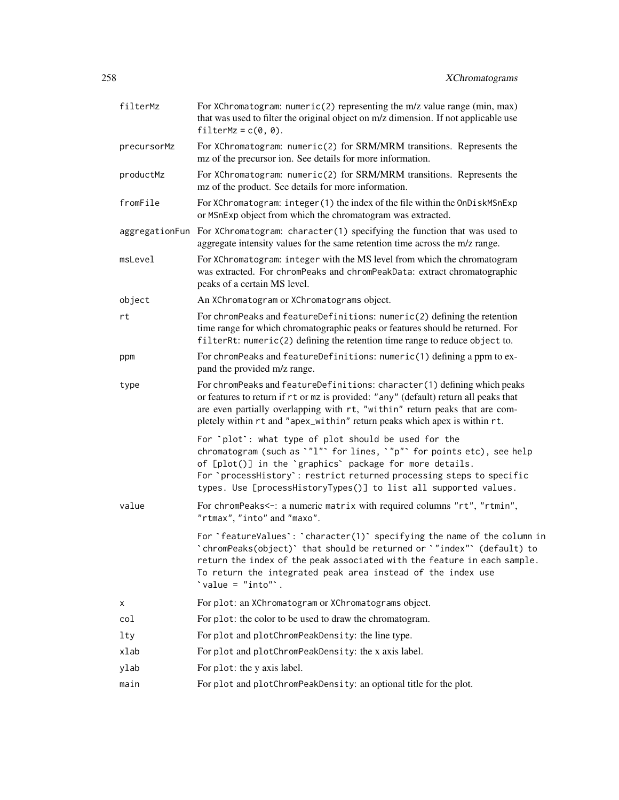| filterMz    | For XChromatogram: numeric(2) representing the m/z value range (min, max)<br>that was used to filter the original object on m/z dimension. If not applicable use<br>$filterMz = c(0, 0).$                                                                                                                                             |
|-------------|---------------------------------------------------------------------------------------------------------------------------------------------------------------------------------------------------------------------------------------------------------------------------------------------------------------------------------------|
| precursorMz | For XChromatogram: numeric(2) for SRM/MRM transitions. Represents the<br>mz of the precursor ion. See details for more information.                                                                                                                                                                                                   |
| productMz   | For XChromatogram: numeric(2) for SRM/MRM transitions. Represents the<br>mz of the product. See details for more information.                                                                                                                                                                                                         |
| fromFile    | For XChromatogram: integer(1) the index of the file within the OnDiskMSnExp<br>or MSnExp object from which the chromatogram was extracted.                                                                                                                                                                                            |
|             | aggregationFun For XChromatogram: character(1) specifying the function that was used to<br>aggregate intensity values for the same retention time across the m/z range.                                                                                                                                                               |
| msLevel     | For XChromatogram: integer with the MS level from which the chromatogram<br>was extracted. For chromPeaks and chromPeakData: extract chromatographic<br>peaks of a certain MS level.                                                                                                                                                  |
| object      | An XChromatogram or XChromatograms object.                                                                                                                                                                                                                                                                                            |
| rt          | For chromPeaks and featureDefinitions: numeric(2) defining the retention<br>time range for which chromatographic peaks or features should be returned. For<br>filterRt: numeric(2) defining the retention time range to reduce object to.                                                                                             |
| ppm         | For chromPeaks and featureDefinitions: numeric(1) defining a ppm to ex-<br>pand the provided m/z range.                                                                                                                                                                                                                               |
| type        | For chromPeaks and featureDefinitions: character(1) defining which peaks<br>or features to return if rt or mz is provided: "any" (default) return all peaks that<br>are even partially overlapping with rt, "within" return peaks that are com-<br>pletely within rt and "apex_within" return peaks which apex is within rt.          |
|             | For `plot`: what type of plot should be used for the<br>chromatogram (such as `"l"` for lines, `"p"` for points etc), see help<br>of [plot()] in the `graphics` package for more details.<br>For `processHistory`: restrict returned processing steps to specific<br>types. Use [processHistoryTypes()] to list all supported values. |
| value       | For chromPeaks<-: a numeric matrix with required columns "rt", "rtmin",<br>"rtmax", "into" and "maxo".                                                                                                                                                                                                                                |
|             | For `featureValues`: `character(1)` specifying the name of the column in<br>`chromPeaks(object)` that should be returned or `"index"` (default) to<br>return the index of the peak associated with the feature in each sample.<br>To return the integrated peak area instead of the index use<br>$\text{value} = \text{"into"}.$      |
| х           | For plot: an XChromatogram or XChromatograms object.                                                                                                                                                                                                                                                                                  |
| col         | For plot: the color to be used to draw the chromatogram.                                                                                                                                                                                                                                                                              |
| lty         | For plot and plotChromPeakDensity: the line type.                                                                                                                                                                                                                                                                                     |
| xlab        | For plot and plotChromPeakDensity: the x axis label.                                                                                                                                                                                                                                                                                  |
| ylab        | For plot: the y axis label.                                                                                                                                                                                                                                                                                                           |
| main        | For plot and plotChromPeakDensity: an optional title for the plot.                                                                                                                                                                                                                                                                    |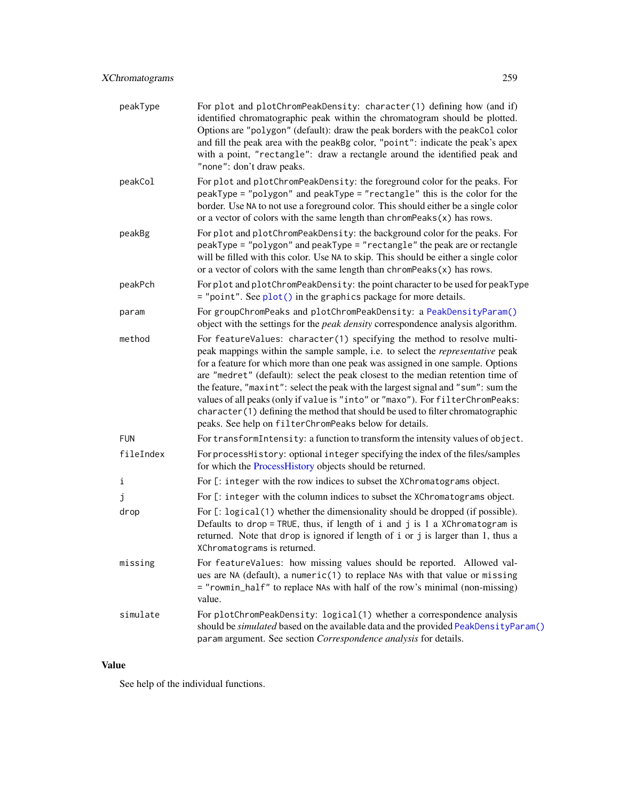| peakType   | For plot and plotChromPeakDensity: character(1) defining how (and if)<br>identified chromatographic peak within the chromatogram should be plotted.<br>Options are "polygon" (default): draw the peak borders with the peakCol color<br>and fill the peak area with the peakBg color, "point": indicate the peak's apex<br>with a point, "rectangle": draw a rectangle around the identified peak and<br>"none": don't draw peaks.                                                                                                                                                                                                                       |
|------------|----------------------------------------------------------------------------------------------------------------------------------------------------------------------------------------------------------------------------------------------------------------------------------------------------------------------------------------------------------------------------------------------------------------------------------------------------------------------------------------------------------------------------------------------------------------------------------------------------------------------------------------------------------|
| peakCol    | For plot and plotChromPeakDensity: the foreground color for the peaks. For<br>peakType = "polygon" and peakType = "rectangle" this is the color for the<br>border. Use NA to not use a foreground color. This should either be a single color<br>or a vector of colors with the same length than $chromPeaks(x)$ has rows.                                                                                                                                                                                                                                                                                                                               |
| peakBg     | For plot and plotChromPeakDensity: the background color for the peaks. For<br>peakType = "polygon" and peakType = "rectangle" the peak are or rectangle<br>will be filled with this color. Use NA to skip. This should be either a single color<br>or a vector of colors with the same length than $chromPeaks(x)$ has rows.                                                                                                                                                                                                                                                                                                                             |
| peakPch    | For plot and plotChromPeakDensity: the point character to be used for peakType<br>= "point". See plot() in the graphics package for more details.                                                                                                                                                                                                                                                                                                                                                                                                                                                                                                        |
| param      | For groupChromPeaks and plotChromPeakDensity: a PeakDensityParam()<br>object with the settings for the <i>peak density</i> correspondence analysis algorithm.                                                                                                                                                                                                                                                                                                                                                                                                                                                                                            |
| method     | For featureValues: character(1) specifying the method to resolve multi-<br>peak mappings within the sample sample, i.e. to select the <i>representative</i> peak<br>for a feature for which more than one peak was assigned in one sample. Options<br>are "medret" (default): select the peak closest to the median retention time of<br>the feature, "maxint": select the peak with the largest signal and "sum": sum the<br>values of all peaks (only if value is "into" or "maxo"). For filterChromPeaks:<br>character(1) defining the method that should be used to filter chromatographic<br>peaks. See help on filterChromPeaks below for details. |
| <b>FUN</b> | For transformIntensity: a function to transform the intensity values of object.                                                                                                                                                                                                                                                                                                                                                                                                                                                                                                                                                                          |
| fileIndex  | For processHistory: optional integer specifying the index of the files/samples<br>for which the ProcessHistory objects should be returned.                                                                                                                                                                                                                                                                                                                                                                                                                                                                                                               |
| i          | For [: integer with the row indices to subset the XChromatograms object.                                                                                                                                                                                                                                                                                                                                                                                                                                                                                                                                                                                 |
| j          | For [: integer with the column indices to subset the XChromatograms object.                                                                                                                                                                                                                                                                                                                                                                                                                                                                                                                                                                              |
| drop       | For [: logical(1) whether the dimensionality should be dropped (if possible).<br>Defaults to drop = TRUE, thus, if length of $i$ and $j$ is $l$ a XChromatogram is<br>returned. Note that drop is ignored if length of i or j is larger than 1, thus a<br>XChromatograms is returned.                                                                                                                                                                                                                                                                                                                                                                    |
| missing    | For featureValues: how missing values should be reported. Allowed val-<br>ues are NA (default), a numeric(1) to replace NAs with that value or missing<br>= "rowmin_half" to replace NAs with half of the row's minimal (non-missing)<br>value.                                                                                                                                                                                                                                                                                                                                                                                                          |
| simulate   | For plotChromPeakDensity: logical(1) whether a correspondence analysis<br>should be simulated based on the available data and the provided PeakDensityParam()<br>param argument. See section Correspondence analysis for details.                                                                                                                                                                                                                                                                                                                                                                                                                        |

# Value

See help of the individual functions.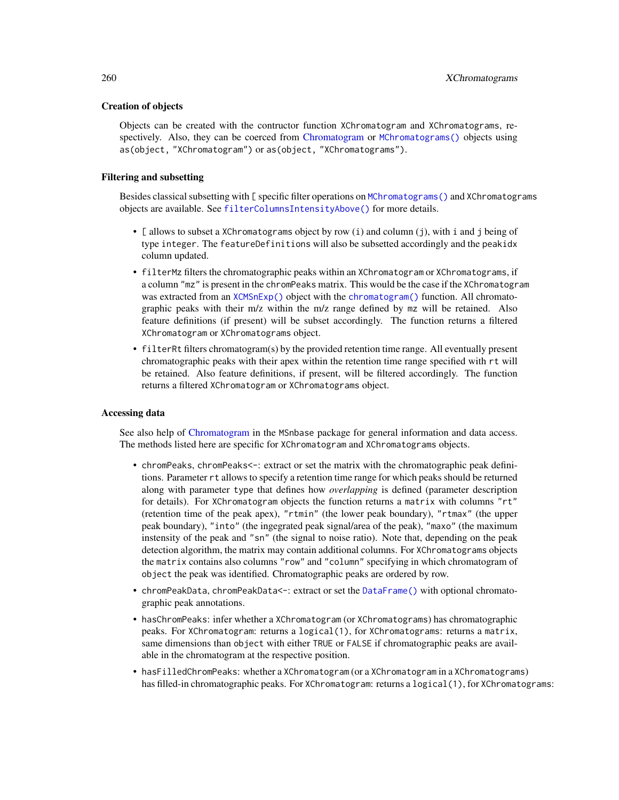#### Creation of objects

Objects can be created with the contructor function XChromatogram and XChromatograms, respectively. Also, they can be coerced from [Chromatogram](#page-0-0) or [MChromatograms\(\)](#page-0-0) objects using as(object, "XChromatogram") or as(object, "XChromatograms").

#### Filtering and subsetting

Besides classical subsetting with [ specific filter operations on [MChromatograms\(\)](#page-0-0) and XChromatograms objects are available. See [filterColumnsIntensityAbove\(\)](#page-86-0) for more details.

- [ allows to subset a XChromatograms object by row (i) and column (j), with i and j being of type integer. The featureDefinitions will also be subsetted accordingly and the peakidx column updated.
- filterMz filters the chromatographic peaks within an XChromatogram or XChromatograms, if a column "mz" is present in the chromPeaks matrix. This would be the case if the XChromatogram was extracted from an  $XCMSnExp()$  object with the [chromatogram\(\)](#page-31-0) function. All chromatographic peaks with their m/z within the m/z range defined by mz will be retained. Also feature definitions (if present) will be subset accordingly. The function returns a filtered XChromatogram or XChromatograms object.
- filterRt filters chromatogram(s) by the provided retention time range. All eventually present chromatographic peaks with their apex within the retention time range specified with rt will be retained. Also feature definitions, if present, will be filtered accordingly. The function returns a filtered XChromatogram or XChromatograms object.

#### Accessing data

See also help of [Chromatogram](#page-0-0) in the MSnbase package for general information and data access. The methods listed here are specific for XChromatogram and XChromatograms objects.

- chromPeaks, chromPeaks<-: extract or set the matrix with the chromatographic peak definitions. Parameter rt allows to specify a retention time range for which peaks should be returned along with parameter type that defines how *overlapping* is defined (parameter description for details). For XChromatogram objects the function returns a matrix with columns "rt" (retention time of the peak apex), "rtmin" (the lower peak boundary), "rtmax" (the upper peak boundary), "into" (the ingegrated peak signal/area of the peak), "maxo" (the maximum instensity of the peak and "sn" (the signal to noise ratio). Note that, depending on the peak detection algorithm, the matrix may contain additional columns. For XChromatograms objects the matrix contains also columns "row" and "column" specifying in which chromatogram of object the peak was identified. Chromatographic peaks are ordered by row.
- chromPeakData, chromPeakData<-: extract or set the [DataFrame\(\)](#page-0-0) with optional chromatographic peak annotations.
- hasChromPeaks: infer whether a XChromatogram (or XChromatograms) has chromatographic peaks. For XChromatogram: returns a logical(1), for XChromatograms: returns a matrix, same dimensions than object with either TRUE or FALSE if chromatographic peaks are available in the chromatogram at the respective position.
- hasFilledChromPeaks: whether a XChromatogram (or a XChromatogram in a XChromatograms) has filled-in chromatographic peaks. For XChromatogram: returns a logical(1), for XChromatograms: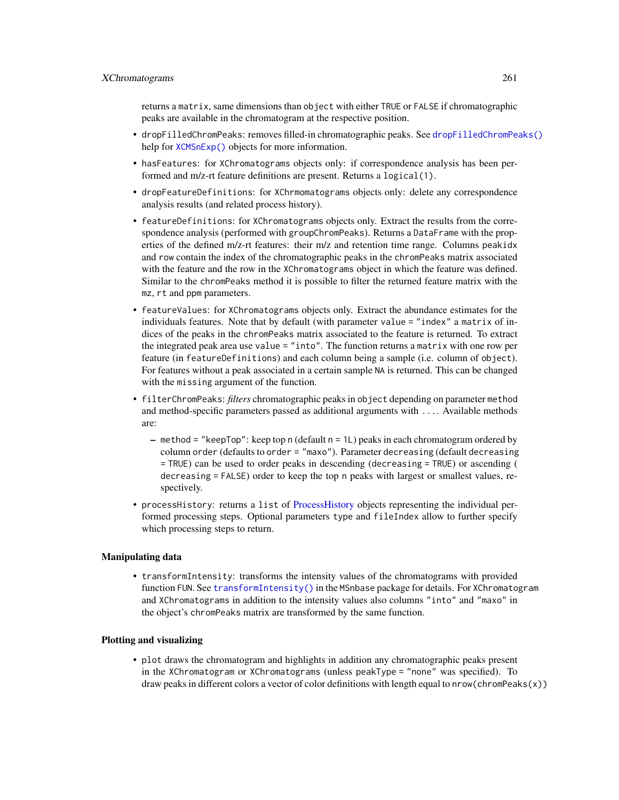returns a matrix, same dimensions than object with either TRUE or FALSE if chromatographic peaks are available in the chromatogram at the respective position.

- dropFilledChromPeaks: removes filled-in chromatographic peaks. See [dropFilledChromPeaks\(\)](#page-269-0) help for  $XCMSnExp()$  objects for more information.
- hasFeatures: for XChromatograms objects only: if correspondence analysis has been performed and m/z-rt feature definitions are present. Returns a logical(1).
- dropFeatureDefinitions: for XChrmomatograms objects only: delete any correspondence analysis results (and related process history).
- featureDefinitions: for XChromatograms objects only. Extract the results from the correspondence analysis (performed with groupChromPeaks). Returns a DataFrame with the properties of the defined m/z-rt features: their m/z and retention time range. Columns peakidx and row contain the index of the chromatographic peaks in the chromPeaks matrix associated with the feature and the row in the XChromatograms object in which the feature was defined. Similar to the chromPeaks method it is possible to filter the returned feature matrix with the mz, rt and ppm parameters.
- featureValues: for XChromatograms objects only. Extract the abundance estimates for the individuals features. Note that by default (with parameter value = "index" a matrix of indices of the peaks in the chromPeaks matrix associated to the feature is returned. To extract the integrated peak area use value = "into". The function returns a matrix with one row per feature (in featureDefinitions) and each column being a sample (i.e. column of object). For features without a peak associated in a certain sample NA is returned. This can be changed with the missing argument of the function.
- filterChromPeaks: *filters* chromatographic peaks in object depending on parameter method and method-specific parameters passed as additional arguments with .... Available methods are:
	- $-$  method = "keepTop": keep top n (default  $n = 1$ ) peaks in each chromatogram ordered by column order (defaults to order = "maxo"). Parameter decreasing (default decreasing = TRUE) can be used to order peaks in descending (decreasing = TRUE) or ascending ( decreasing = FALSE) order to keep the top n peaks with largest or smallest values, respectively.
- processHistory: returns a list of [ProcessHistory](#page-217-0) objects representing the individual performed processing steps. Optional parameters type and fileIndex allow to further specify which processing steps to return.

## Manipulating data

• transformIntensity: transforms the intensity values of the chromatograms with provided function FUN. See [transformIntensity\(\)](#page-0-0) in the MSnbase package for details. For XChromatogram and XChromatograms in addition to the intensity values also columns "into" and "maxo" in the object's chromPeaks matrix are transformed by the same function.

### Plotting and visualizing

• plot draws the chromatogram and highlights in addition any chromatographic peaks present in the XChromatogram or XChromatograms (unless peakType = "none" was specified). To draw peaks in different colors a vector of color definitions with length equal to nrow(chromPeaks(x))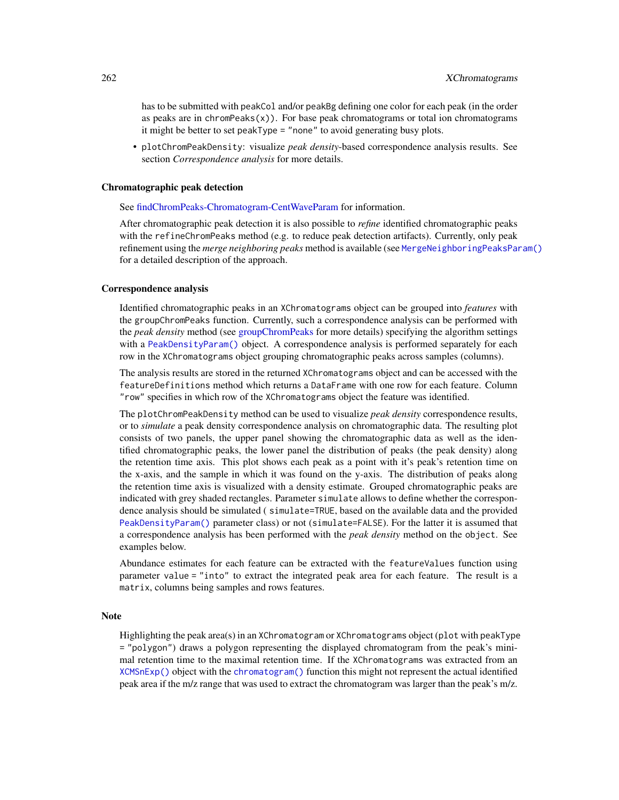has to be submitted with peakCol and/or peakBg defining one color for each peak (in the order as peaks are in chromPeaks( $x$ )). For base peak chromatograms or total ion chromatograms it might be better to set peakType = "none" to avoid generating busy plots.

• plotChromPeakDensity: visualize *peak density*-based correspondence analysis results. See section *Correspondence analysis* for more details.

#### Chromatographic peak detection

See [findChromPeaks-Chromatogram-CentWaveParam](#page-95-0) for information.

After chromatographic peak detection it is also possible to *refine* identified chromatographic peaks with the refineChromPeaks method (e.g. to reduce peak detection artifacts). Currently, only peak refinement using the *merge neighboring peaks* method is available (see [MergeNeighboringPeaksParam\(\)](#page-186-0) for a detailed description of the approach.

## Correspondence analysis

Identified chromatographic peaks in an XChromatograms object can be grouped into *features* with the groupChromPeaks function. Currently, such a correspondence analysis can be performed with the *peak density* method (see [groupChromPeaks](#page-154-0) for more details) specifying the algorithm settings with a [PeakDensityParam\(\)](#page-155-0) object. A correspondence analysis is performed separately for each row in the XChromatograms object grouping chromatographic peaks across samples (columns).

The analysis results are stored in the returned XChromatograms object and can be accessed with the featureDefinitions method which returns a DataFrame with one row for each feature. Column "row" specifies in which row of the XChromatograms object the feature was identified.

The plotChromPeakDensity method can be used to visualize *peak density* correspondence results, or to *simulate* a peak density correspondence analysis on chromatographic data. The resulting plot consists of two panels, the upper panel showing the chromatographic data as well as the identified chromatographic peaks, the lower panel the distribution of peaks (the peak density) along the retention time axis. This plot shows each peak as a point with it's peak's retention time on the x-axis, and the sample in which it was found on the y-axis. The distribution of peaks along the retention time axis is visualized with a density estimate. Grouped chromatographic peaks are indicated with grey shaded rectangles. Parameter simulate allows to define whether the correspondence analysis should be simulated ( simulate=TRUE, based on the available data and the provided [PeakDensityParam\(\)](#page-155-0) parameter class) or not (simulate=FALSE). For the latter it is assumed that a correspondence analysis has been performed with the *peak density* method on the object. See examples below.

Abundance estimates for each feature can be extracted with the featureValues function using parameter value = "into" to extract the integrated peak area for each feature. The result is a matrix, columns being samples and rows features.

# **Note**

Highlighting the peak area(s) in an XChromatogram or XChromatograms object (plot with peakType = "polygon") draws a polygon representing the displayed chromatogram from the peak's minimal retention time to the maximal retention time. If the XChromatograms was extracted from an [XCMSnExp\(\)](#page-269-0) object with the [chromatogram\(\)](#page-31-0) function this might not represent the actual identified peak area if the m/z range that was used to extract the chromatogram was larger than the peak's m/z.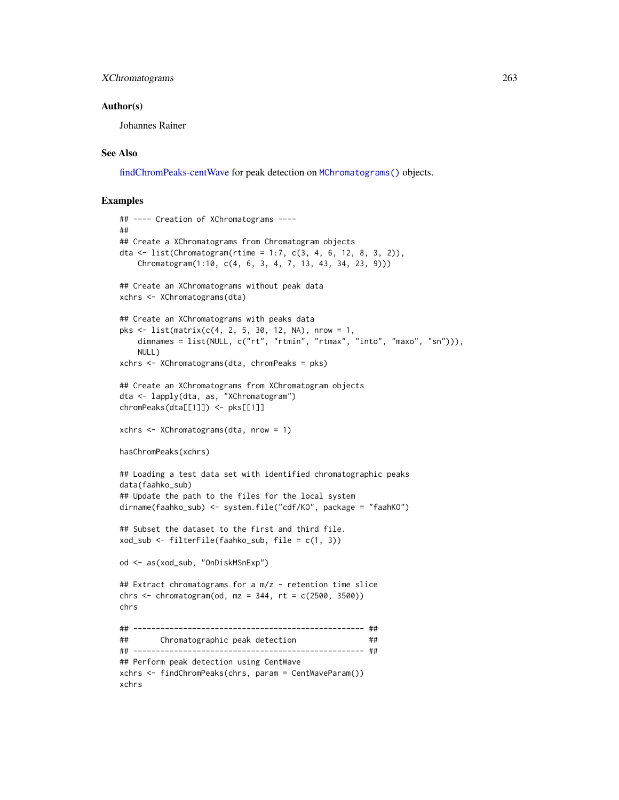### Author(s)

Johannes Rainer

# See Also

[findChromPeaks-centWave](#page-95-0) for peak detection on [MChromatograms\(\)](#page-0-0) objects.

## Examples

```
## ---- Creation of XChromatograms ----
##
## Create a XChromatograms from Chromatogram objects
dta <- list(Chromatogram(rtime = 1:7, c(3, 4, 6, 12, 8, 3, 2)),
    Chromatogram(1:10, c(4, 6, 3, 4, 7, 13, 43, 34, 23, 9)))
## Create an XChromatograms without peak data
xchrs <- XChromatograms(dta)
## Create an XChromatograms with peaks data
pks <- list(matrix(c(4, 2, 5, 30, 12, NA), nrow = 1,
    dimnames = list(NULL, c("rt", "rtmin", "rtmax", "into", "maxo", "sn"))),
    NULL)
xchrs <- XChromatograms(dta, chromPeaks = pks)
## Create an XChromatograms from XChromatogram objects
dta <- lapply(dta, as, "XChromatogram")
chromPeaks(dta[[1]]) <- pks[[1]]
xchrs <- XChromatograms(dta, nrow = 1)
hasChromPeaks(xchrs)
## Loading a test data set with identified chromatographic peaks
data(faahko_sub)
## Update the path to the files for the local system
dirname(faahko_sub) <- system.file("cdf/KO", package = "faahKO")
## Subset the dataset to the first and third file.
xod_sub <- filterFile(faahko_sub, file = c(1, 3))
od <- as(xod_sub, "OnDiskMSnExp")
## Extract chromatograms for a m/z - retention time slice
chrs <- chromatogram(od, mz = 344, rt = c(2500, 3500))
chrs
## --------------------------------------------------- ##
## Chromatographic peak detection ##
## --------------------------------------------------- ##
## Perform peak detection using CentWave
xchrs <- findChromPeaks(chrs, param = CentWaveParam())
xchrs
```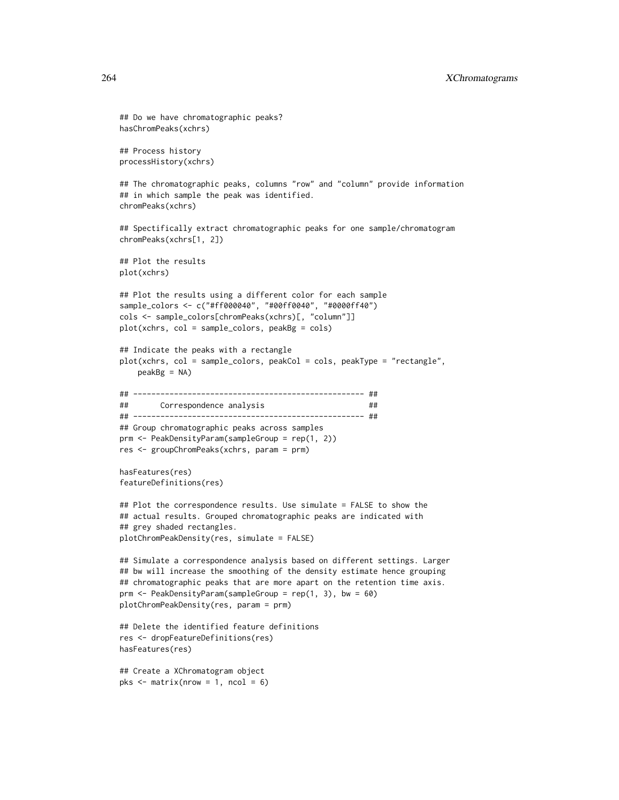```
## Do we have chromatographic peaks?
hasChromPeaks(xchrs)
## Process history
processHistory(xchrs)
## The chromatographic peaks, columns "row" and "column" provide information
## in which sample the peak was identified.
chromPeaks(xchrs)
## Spectifically extract chromatographic peaks for one sample/chromatogram
chromPeaks(xchrs[1, 2])
## Plot the results
plot(xchrs)
## Plot the results using a different color for each sample
sample_colors <- c("#ff000040", "#00ff0040", "#0000ff40")
cols <- sample_colors[chromPeaks(xchrs)[, "column"]]
plot(xchrs, col = sample_colors, peakBg = cols)
## Indicate the peaks with a rectangle
plot(xchrs, col = sample_colors, peakCol = cols, peakType = "rectangle",
   peakBg = NA)## --------------------------------------------------- ##
## Correspondence analysis ##
## --------------------------------------------------- ##
## Group chromatographic peaks across samples
prm <- PeakDensityParam(sampleGroup = rep(1, 2))
res <- groupChromPeaks(xchrs, param = prm)
hasFeatures(res)
featureDefinitions(res)
## Plot the correspondence results. Use simulate = FALSE to show the
## actual results. Grouped chromatographic peaks are indicated with
## grey shaded rectangles.
plotChromPeakDensity(res, simulate = FALSE)
## Simulate a correspondence analysis based on different settings. Larger
## bw will increase the smoothing of the density estimate hence grouping
## chromatographic peaks that are more apart on the retention time axis.
prm <- PeakDensityParam(sampleGroup = rep(1, 3), bw = 60)
plotChromPeakDensity(res, param = prm)
## Delete the identified feature definitions
res <- dropFeatureDefinitions(res)
hasFeatures(res)
## Create a XChromatogram object
pks \leq matrix(nrow = 1, ncol = 6)
```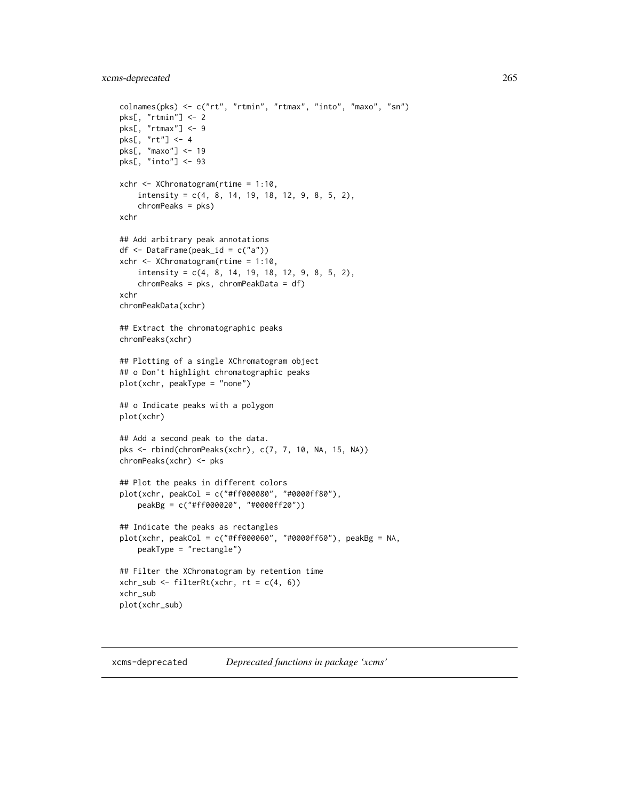```
colnames(pks) <- c("rt", "rtmin", "rtmax", "into", "maxo", "sn")
pks[, "rtmin"] <- 2
pks[, "rtmax"] <- 9
pks[, "rt"] <- 4
pks[, "maxo"] <- 19
pks[, "into"] <- 93
xchr <- XChromatogram(rtime = 1:10,
    intensity = c(4, 8, 14, 19, 18, 12, 9, 8, 5, 2),
    chromPeaks = pks)
xchr
## Add arbitrary peak annotations
df \leftarrow DataFrame(peak_id = c("a"))
xchr <- XChromatogram(rtime = 1:10,
    intensity = c(4, 8, 14, 19, 18, 12, 9, 8, 5, 2),
    chromPeaks = pks, chromPeakData = df)
xchr
chromPeakData(xchr)
## Extract the chromatographic peaks
chromPeaks(xchr)
## Plotting of a single XChromatogram object
## o Don't highlight chromatographic peaks
plot(xchr, peakType = "none")
## o Indicate peaks with a polygon
plot(xchr)
## Add a second peak to the data.
pks <- rbind(chromPeaks(xchr), c(7, 7, 10, NA, 15, NA))
chromPeaks(xchr) <- pks
## Plot the peaks in different colors
plot(xchr, peakCol = c("#ff000080", "#0000ff80"),
    peakBg = c("#ff000020", "#0000ff20"))
## Indicate the peaks as rectangles
plot(xchr, peakCol = c("#ff000060", "#0000ff60"), peakBg = NA,
    peakType = "rectangle")
## Filter the XChromatogram by retention time
xchr\_sub \leftarrow filterRt(xchr, rt = c(4, 6))xchr_sub
plot(xchr_sub)
```
xcms-deprecated *Deprecated functions in package 'xcms'*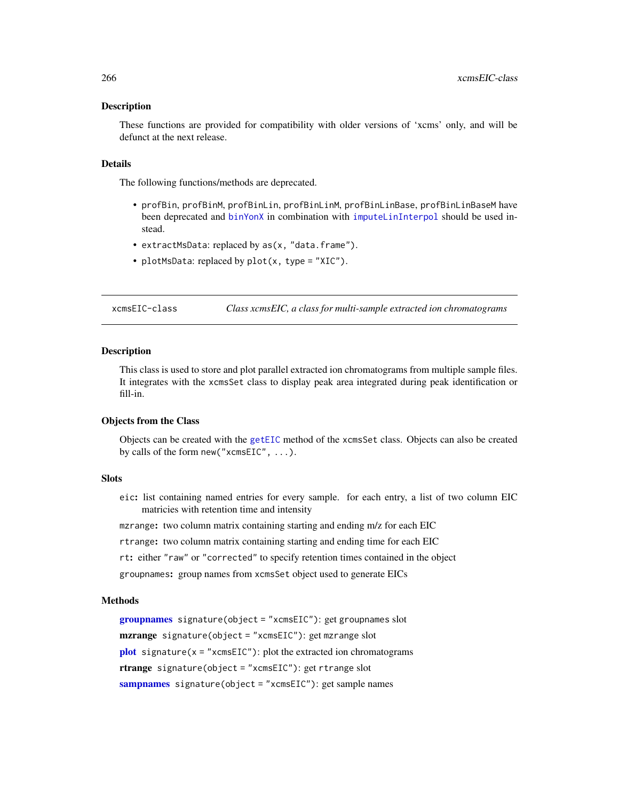#### Description

These functions are provided for compatibility with older versions of 'xcms' only, and will be defunct at the next release.

#### Details

The following functions/methods are deprecated.

- profBin, profBinM, profBinLin, profBinLinM, profBinLinBase, profBinLinBaseM have been deprecated and [binYonX](#page-22-0) in combination with [imputeLinInterpol](#page-177-0) should be used instead.
- extractMsData: replaced by as(x, "data.frame").
- plotMsData: replaced by plot(x, type = "XIC").

xcmsEIC-class *Class xcmsEIC, a class for multi-sample extracted ion chromatograms*

#### Description

This class is used to store and plot parallel extracted ion chromatograms from multiple sample files. It integrates with the xcmsSet class to display peak area integrated during peak identification or fill-in.

#### Objects from the Class

Objects can be created with the [getEIC](#page-146-0) method of the xcmsSet class. Objects can also be created by calls of the form new("xcmsEIC", ...).

### **Slots**

eic: list containing named entries for every sample. for each entry, a list of two column EIC matricies with retention time and intensity

mzrange: two column matrix containing starting and ending m/z for each EIC

- rtrange: two column matrix containing starting and ending time for each EIC
- rt: either "raw" or "corrected" to specify retention times contained in the object
- groupnames: group names from xcmsSet object used to generate EICs

# Methods

```
groupnames signature(object = "xcmsEIC"): get groupnames slot
mzrange signature(object = "xcmsEIC"): get mzrange slot
plot signature(x ="xcmsEIC"): plot the extracted ion chromatograms
rtrange signature(object = "xcmsEIC"): get rtrange slot
sampnames signature(object = "xcmsEIC"): get sample names
```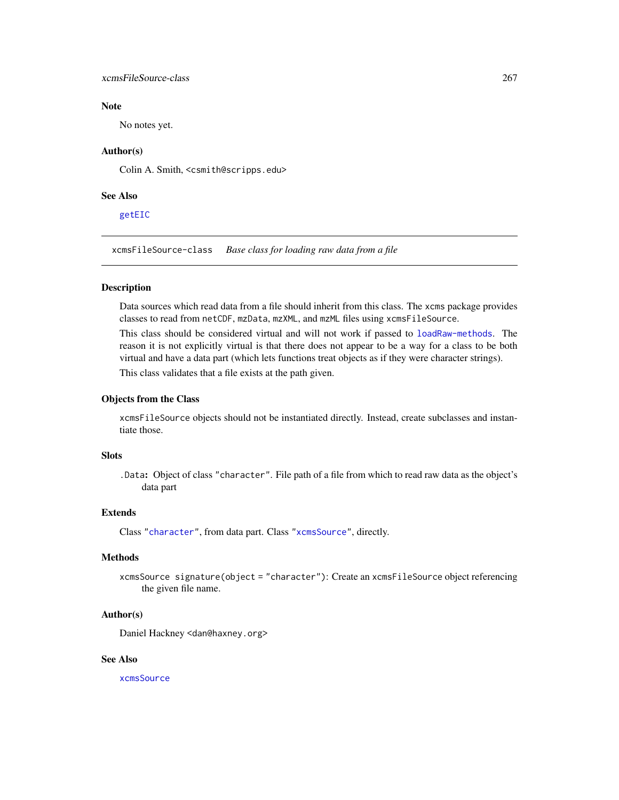# xcmsFileSource-class 267

# Note

No notes yet.

## Author(s)

Colin A. Smith, <csmith@scripps.edu>

# See Also

# [getEIC](#page-146-0)

xcmsFileSource-class *Base class for loading raw data from a file*

## Description

Data sources which read data from a file should inherit from this class. The xcms package provides classes to read from netCDF, mzData, mzXML, and mzML files using xcmsFileSource.

This class should be considered virtual and will not work if passed to [loadRaw-methods](#page-183-0). The reason it is not explicitly virtual is that there does not appear to be a way for a class to be both virtual and have a data part (which lets functions treat objects as if they were character strings).

This class validates that a file exists at the path given.

# Objects from the Class

xcmsFileSource objects should not be instantiated directly. Instead, create subclasses and instantiate those.

# **Slots**

.Data: Object of class "character". File path of a file from which to read raw data as the object's data part

## Extends

Class ["character"](#page-0-0), from data part. Class ["xcmsSource"](#page-291-0), directly.

#### Methods

xcmsSource signature(object = "character"): Create an xcmsFileSource object referencing the given file name.

### Author(s)

Daniel Hackney <dan@haxney.org>

#### See Also

[xcmsSource](#page-291-0)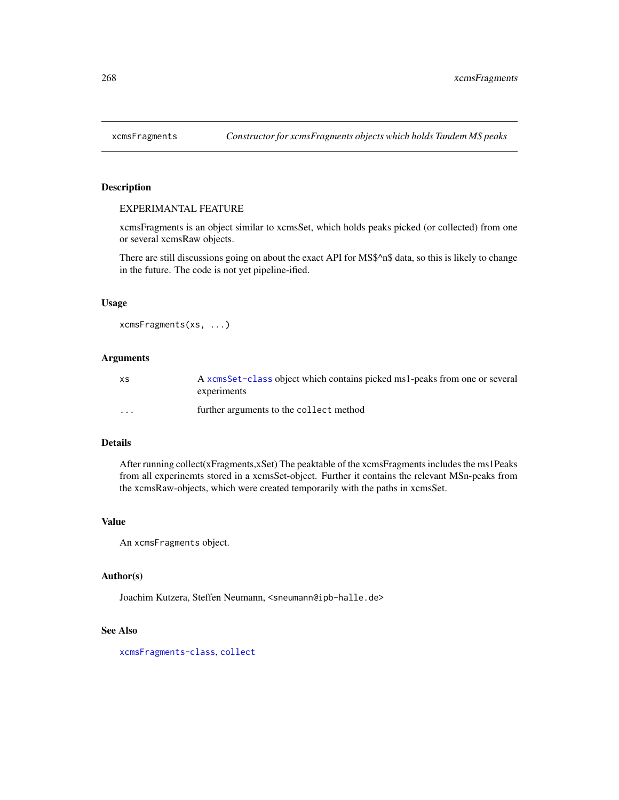<span id="page-267-0"></span>

# Description

# EXPERIMANTAL FEATURE

xcmsFragments is an object similar to xcmsSet, which holds peaks picked (or collected) from one or several xcmsRaw objects.

There are still discussions going on about the exact API for MS\$^n\$ data, so this is likely to change in the future. The code is not yet pipeline-ified.

## Usage

```
xcmsFragments(xs, ...)
```
# Arguments

| <b>XS</b>               | A xcmsSet-class object which contains picked ms1-peaks from one or several<br>experiments |
|-------------------------|-------------------------------------------------------------------------------------------|
| $\cdot$ $\cdot$ $\cdot$ | further arguments to the collect method                                                   |

#### Details

After running collect(xFragments,xSet) The peaktable of the xcmsFragments includes the ms1Peaks from all experinemts stored in a xcmsSet-object. Further it contains the relevant MSn-peaks from the xcmsRaw-objects, which were created temporarily with the paths in xcmsSet.

#### Value

An xcmsFragments object.

#### Author(s)

Joachim Kutzera, Steffen Neumann, <sneumann@ipb-halle.de>

#### See Also

[xcmsFragments-class](#page-268-0), [collect](#page-39-0)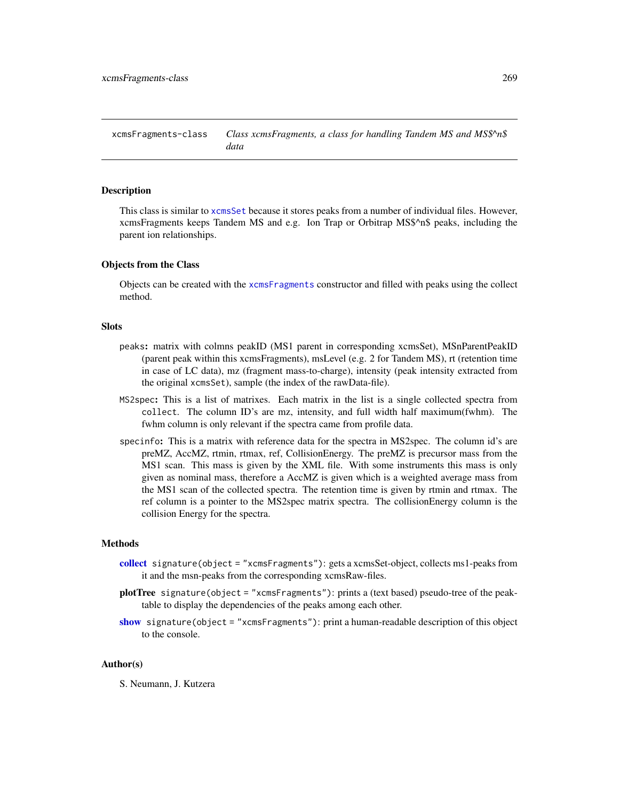<span id="page-268-0"></span>xcmsFragments-class *Class xcmsFragments, a class for handling Tandem MS and MS\$^n\$ data*

#### **Description**

This class is similar to [xcmsSet](#page-286-0) because it stores peaks from a number of individual files. However, xcmsFragments keeps Tandem MS and e.g. Ion Trap or Orbitrap MS\$^n\$ peaks, including the parent ion relationships.

### Objects from the Class

Objects can be created with the [xcmsFragments](#page-267-0) constructor and filled with peaks using the collect method.

#### **Slots**

- peaks: matrix with colmns peakID (MS1 parent in corresponding xcmsSet), MSnParentPeakID (parent peak within this xcmsFragments), msLevel (e.g. 2 for Tandem MS), rt (retention time in case of LC data), mz (fragment mass-to-charge), intensity (peak intensity extracted from the original xcmsSet), sample (the index of the rawData-file).
- MS2spec: This is a list of matrixes. Each matrix in the list is a single collected spectra from collect. The column ID's are mz, intensity, and full width half maximum(fwhm). The fwhm column is only relevant if the spectra came from profile data.
- specinfo: This is a matrix with reference data for the spectra in MS2spec. The column id's are preMZ, AccMZ, rtmin, rtmax, ref, CollisionEnergy. The preMZ is precursor mass from the MS1 scan. This mass is given by the XML file. With some instruments this mass is only given as nominal mass, therefore a AccMZ is given which is a weighted average mass from the MS1 scan of the collected spectra. The retention time is given by rtmin and rtmax. The ref column is a pointer to the MS2spec matrix spectra. The collisionEnergy column is the collision Energy for the spectra.

#### Methods

- [collect](#page-39-0) signature(object = "xcmsFragments"): gets a xcmsSet-object, collects ms1-peaks from it and the msn-peaks from the corresponding xcmsRaw-files.
- plotTree signature(object = "xcmsFragments"): prints a (text based) pseudo-tree of the peaktable to display the dependencies of the peaks among each other.
- [show](#page-0-0) signature(object = "xcmsFragments"): print a human-readable description of this object to the console.

### Author(s)

S. Neumann, J. Kutzera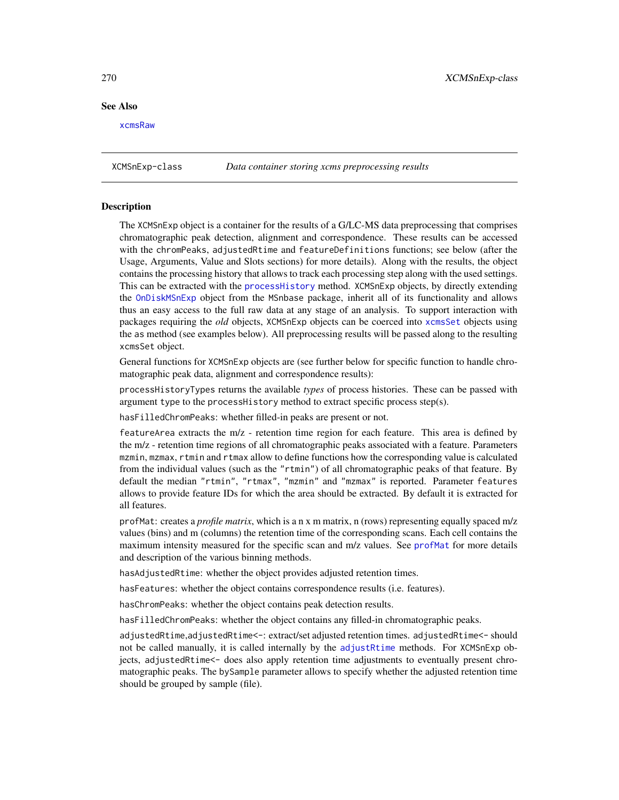## See Also

[xcmsRaw](#page-281-0)

<span id="page-269-1"></span>XCMSnExp-class *Data container storing xcms preprocessing results*

## <span id="page-269-0"></span>**Description**

The XCMSnExp object is a container for the results of a G/LC-MS data preprocessing that comprises chromatographic peak detection, alignment and correspondence. These results can be accessed with the chromPeaks, adjustedRtime and featureDefinitions functions; see below (after the Usage, Arguments, Value and Slots sections) for more details). Along with the results, the object contains the processing history that allows to track each processing step along with the used settings. This can be extracted with the [processHistory](#page-269-0) method. XCMSnExp objects, by directly extending the [OnDiskMSnExp](#page-0-0) object from the MSnbase package, inherit all of its functionality and allows thus an easy access to the full raw data at any stage of an analysis. To support interaction with packages requiring the *old* objects, XCMSnExp objects can be coerced into [xcmsSet](#page-288-0) objects using the as method (see examples below). All preprocessing results will be passed along to the resulting xcmsSet object.

General functions for XCMSnExp objects are (see further below for specific function to handle chromatographic peak data, alignment and correspondence results):

processHistoryTypes returns the available *types* of process histories. These can be passed with argument type to the processHistory method to extract specific process step(s).

hasFilledChromPeaks: whether filled-in peaks are present or not.

featureArea extracts the m/z - retention time region for each feature. This area is defined by the m/z - retention time regions of all chromatographic peaks associated with a feature. Parameters mzmin, mzmax, rtmin and rtmax allow to define functions how the corresponding value is calculated from the individual values (such as the "rtmin") of all chromatographic peaks of that feature. By default the median "rtmin", "rtmax", "mzmin" and "mzmax" is reported. Parameter features allows to provide feature IDs for which the area should be extracted. By default it is extracted for all features.

profMat: creates a *profile matrix*, which is a n x m matrix, n (rows) representing equally spaced m/z values (bins) and m (columns) the retention time of the corresponding scans. Each cell contains the maximum intensity measured for the specific scan and m/z values. See [profMat](#page-219-0) for more details and description of the various binning methods.

hasAdjustedRtime: whether the object provides adjusted retention times.

hasFeatures: whether the object contains correspondence results (i.e. features).

hasChromPeaks: whether the object contains peak detection results.

hasFilledChromPeaks: whether the object contains any filled-in chromatographic peaks.

adjustedRtime,adjustedRtime<-: extract/set adjusted retention times. adjustedRtime<- should not be called manually, it is called internally by the [adjustRtime](#page-6-0) methods. For XCMSnExp objects, adjustedRtime<- does also apply retention time adjustments to eventually present chromatographic peaks. The bySample parameter allows to specify whether the adjusted retention time should be grouped by sample (file).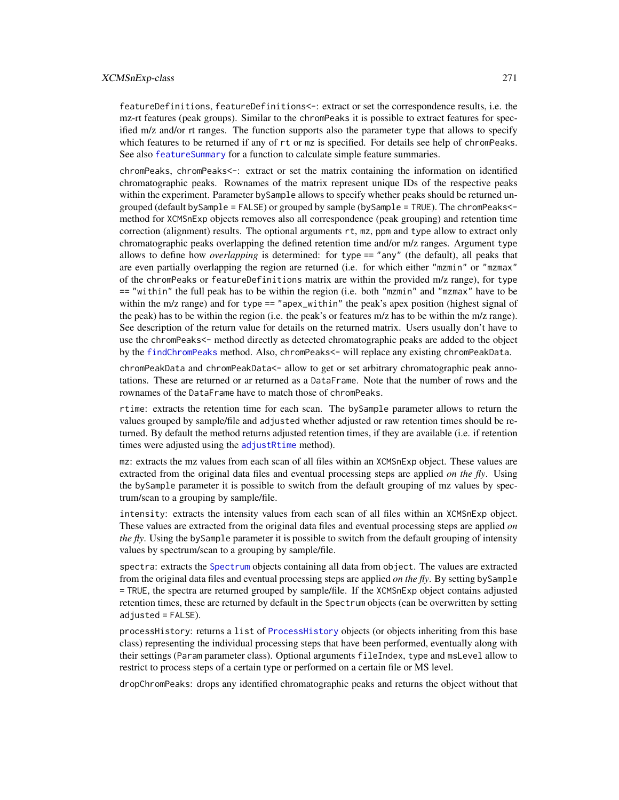#### XCMSnExp-class 271

featureDefinitions, featureDefinitions<-: extract or set the correspondence results, i.e. the mz-rt features (peak groups). Similar to the chromPeaks it is possible to extract features for specified m/z and/or rt ranges. The function supports also the parameter type that allows to specify which features to be returned if any of rt or mz is specified. For details see help of chromPeaks. See also [featureSummary](#page-78-0) for a function to calculate simple feature summaries.

chromPeaks, chromPeaks<-: extract or set the matrix containing the information on identified chromatographic peaks. Rownames of the matrix represent unique IDs of the respective peaks within the experiment. Parameter bySample allows to specify whether peaks should be returned ungrouped (default bySample = FALSE) or grouped by sample (bySample = TRUE). The chromPeaks< method for XCMSnExp objects removes also all correspondence (peak grouping) and retention time correction (alignment) results. The optional arguments rt, mz, ppm and type allow to extract only chromatographic peaks overlapping the defined retention time and/or m/z ranges. Argument type allows to define how *overlapping* is determined: for type == "any" (the default), all peaks that are even partially overlapping the region are returned (i.e. for which either "mzmin" or "mzmax" of the chromPeaks or featureDefinitions matrix are within the provided m/z range), for type == "within" the full peak has to be within the region (i.e. both "mzmin" and "mzmax" have to be within the m/z range) and for type  $==$  "apex\_within" the peak's apex position (highest signal of the peak) has to be within the region (i.e. the peak's or features m/z has to be within the m/z range). See description of the return value for details on the returned matrix. Users usually don't have to use the chromPeaks<- method directly as detected chromatographic peaks are added to the object by the [findChromPeaks](#page-34-0) method. Also, chromPeaks<- will replace any existing chromPeakData.

chromPeakData and chromPeakData<- allow to get or set arbitrary chromatographic peak annotations. These are returned or ar returned as a DataFrame. Note that the number of rows and the rownames of the DataFrame have to match those of chromPeaks.

rtime: extracts the retention time for each scan. The bySample parameter allows to return the values grouped by sample/file and adjusted whether adjusted or raw retention times should be returned. By default the method returns adjusted retention times, if they are available (i.e. if retention times were adjusted using the [adjustRtime](#page-6-0) method).

mz: extracts the mz values from each scan of all files within an XCMSnExp object. These values are extracted from the original data files and eventual processing steps are applied *on the fly*. Using the bySample parameter it is possible to switch from the default grouping of mz values by spectrum/scan to a grouping by sample/file.

intensity: extracts the intensity values from each scan of all files within an XCMSnExp object. These values are extracted from the original data files and eventual processing steps are applied *on the fly*. Using the bySample parameter it is possible to switch from the default grouping of intensity values by spectrum/scan to a grouping by sample/file.

spectra: extracts the [Spectrum](#page-0-0) objects containing all data from object. The values are extracted from the original data files and eventual processing steps are applied *on the fly*. By setting bySample = TRUE, the spectra are returned grouped by sample/file. If the XCMSnExp object contains adjusted retention times, these are returned by default in the Spectrum objects (can be overwritten by setting adjusted = FALSE).

processHistory: returns a list of [ProcessHistory](#page-217-0) objects (or objects inheriting from this base class) representing the individual processing steps that have been performed, eventually along with their settings (Param parameter class). Optional arguments fileIndex, type and msLevel allow to restrict to process steps of a certain type or performed on a certain file or MS level.

dropChromPeaks: drops any identified chromatographic peaks and returns the object without that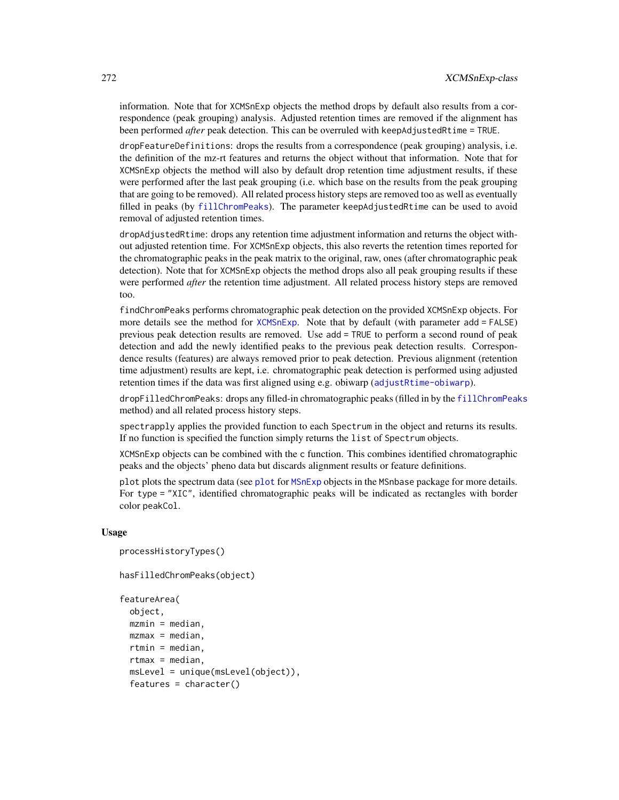information. Note that for XCMSnExp objects the method drops by default also results from a correspondence (peak grouping) analysis. Adjusted retention times are removed if the alignment has been performed *after* peak detection. This can be overruled with keepAd justedRtime = TRUE.

dropFeatureDefinitions: drops the results from a correspondence (peak grouping) analysis, i.e. the definition of the mz-rt features and returns the object without that information. Note that for XCMSnExp objects the method will also by default drop retention time adjustment results, if these were performed after the last peak grouping (i.e. which base on the results from the peak grouping that are going to be removed). All related process history steps are removed too as well as eventually filled in peaks (by [fillChromPeaks](#page-79-0)). The parameter keepAdjustedRtime can be used to avoid removal of adjusted retention times.

dropAdjustedRtime: drops any retention time adjustment information and returns the object without adjusted retention time. For XCMSnExp objects, this also reverts the retention times reported for the chromatographic peaks in the peak matrix to the original, raw, ones (after chromatographic peak detection). Note that for XCMSnExp objects the method drops also all peak grouping results if these were performed *after* the retention time adjustment. All related process history steps are removed too.

findChromPeaks performs chromatographic peak detection on the provided XCMSnExp objects. For more details see the method for [XCMSnExp](#page-269-1). Note that by default (with parameter add = FALSE) previous peak detection results are removed. Use add = TRUE to perform a second round of peak detection and add the newly identified peaks to the previous peak detection results. Correspondence results (features) are always removed prior to peak detection. Previous alignment (retention time adjustment) results are kept, i.e. chromatographic peak detection is performed using adjusted retention times if the data was first aligned using e.g. obiwarp ([adjustRtime-obiwarp](#page-6-1)).

dropFilledChromPeaks: drops any filled-in chromatographic peaks (filled in by the [fillChromPeaks](#page-79-0) method) and all related process history steps.

spectrapply applies the provided function to each Spectrum in the object and returns its results. If no function is specified the function simply returns the list of Spectrum objects.

XCMSnExp objects can be combined with the c function. This combines identified chromatographic peaks and the objects' pheno data but discards alignment results or feature definitions.

plot plots the spectrum data (see [plot](#page-0-0) for [MSnExp](#page-0-0) objects in the MSnbase package for more details. For type = "XIC", identified chromatographic peaks will be indicated as rectangles with border color peakCol.

#### Usage

```
processHistoryTypes()
hasFilledChromPeaks(object)
featureArea(
  object,
 mzmin = median,
 mzmax = median,
  rtmin = median,
  rtmax = median,
  msLevel = unique(msLevel(object)),
  features = character()
```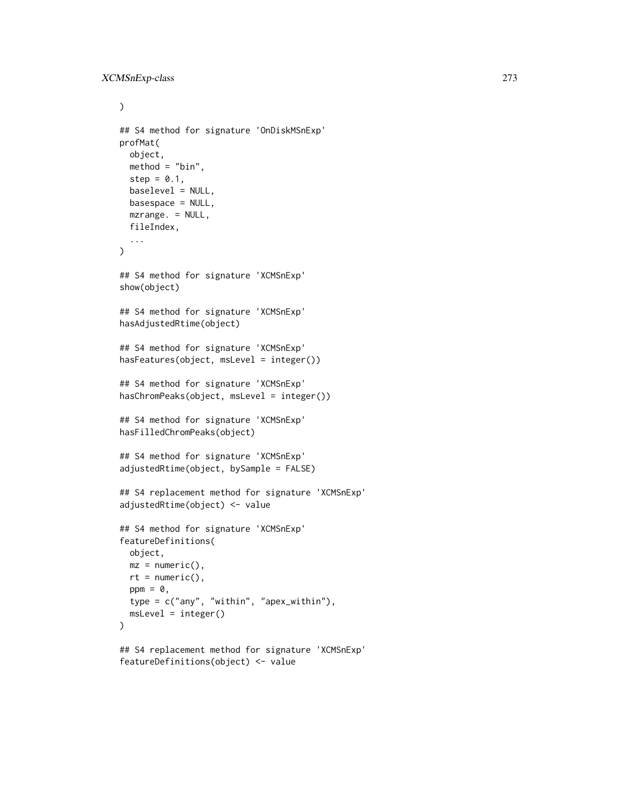```
\mathcal{L}## S4 method for signature 'OnDiskMSnExp'
profMat(
  object,
 method = "bin",step = 0.1,
  baselevel = NULL,
  basespace = NULL,
 mzrange. = NULL,
  fileIndex,
  ...
)
## S4 method for signature 'XCMSnExp'
show(object)
## S4 method for signature 'XCMSnExp'
hasAdjustedRtime(object)
## S4 method for signature 'XCMSnExp'
hasFeatures(object, msLevel = integer())
## S4 method for signature 'XCMSnExp'
hasChromPeaks(object, msLevel = integer())
## S4 method for signature 'XCMSnExp'
hasFilledChromPeaks(object)
## S4 method for signature 'XCMSnExp'
adjustedRtime(object, bySample = FALSE)
## S4 replacement method for signature 'XCMSnExp'
adjustedRtime(object) <- value
## S4 method for signature 'XCMSnExp'
featureDefinitions(
 object,
 mz = numeric(),
  rt = numeric(),
  ppm = 0,
  type = c("any", "within", "apex_within"),
  msLevel = integer()
)
## S4 replacement method for signature 'XCMSnExp'
```

```
featureDefinitions(object) <- value
```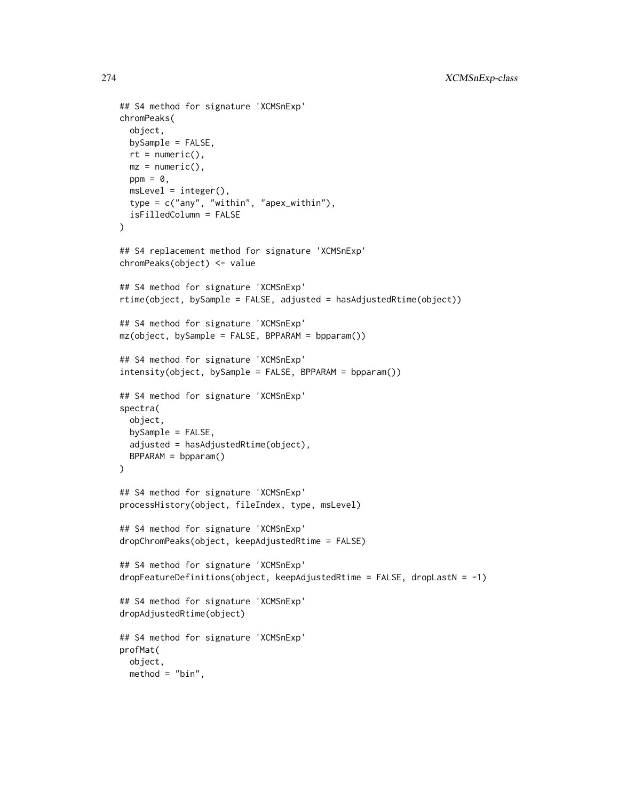```
## S4 method for signature 'XCMSnExp'
chromPeaks(
  object,
 bySample = FALSE,
  rt = numeric(),
 mz = numeric(),ppm = 0,
 msLevel = integer(),type = c("any", "within", "apex_within"),
  isFilledColumn = FALSE
\mathcal{L}## S4 replacement method for signature 'XCMSnExp'
chromPeaks(object) <- value
## S4 method for signature 'XCMSnExp'
rtime(object, bySample = FALSE, adjusted = hasAdjustedRtime(object))
## S4 method for signature 'XCMSnExp'
mz(object, bySample = FALSE, BPPARAM = bpparam())
## S4 method for signature 'XCMSnExp'
intensity(object, bySample = FALSE, BPPARAM = bpparam())
## S4 method for signature 'XCMSnExp'
spectra(
  object,
 bySample = FALSE,
  adjusted = hasAdjustedRtime(object),
 BPPARAM = bpparam()
)
## S4 method for signature 'XCMSnExp'
processHistory(object, fileIndex, type, msLevel)
## S4 method for signature 'XCMSnExp'
dropChromPeaks(object, keepAdjustedRtime = FALSE)
## S4 method for signature 'XCMSnExp'
dropFeatureDefinitions(object, keepAdding a <i>FALSE</i>, drop. = <math>-1</math>)## S4 method for signature 'XCMSnExp'
dropAdjustedRtime(object)
## S4 method for signature 'XCMSnExp'
profMat(
  object,
  method = "bin",
```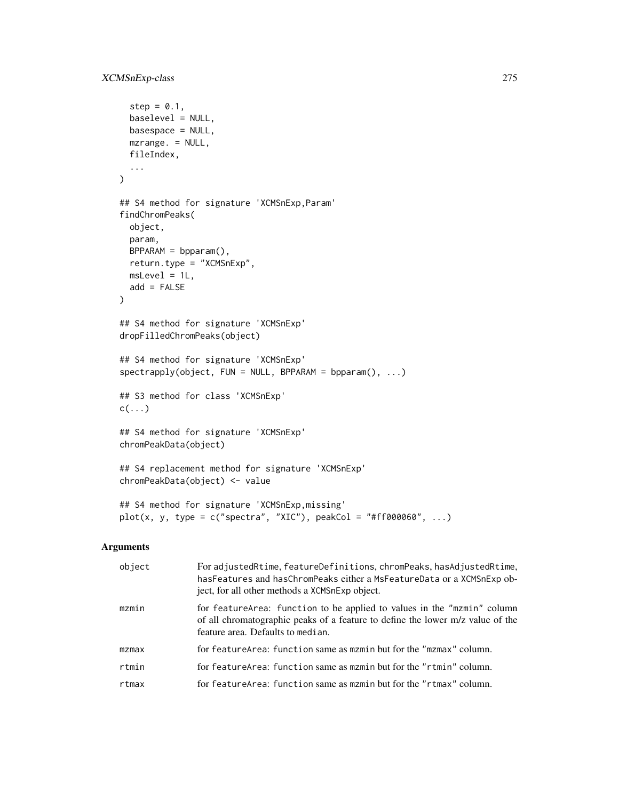```
step = 0.1,
 baselevel = NULL,
 basespace = NULL,
 mzrange. = NULL,
 fileIndex,
  ...
\mathcal{L}## S4 method for signature 'XCMSnExp,Param'
findChromPeaks(
 object,
 param,
 BPPARAM = bpparam(),
 return.type = "XCMSnExp",
 msLevel = 1L,add = FALSE\mathcal{L}## S4 method for signature 'XCMSnExp'
dropFilledChromPeaks(object)
## S4 method for signature 'XCMSnExp'
spectrapply(object, FUN = NULL, BPPARAM = bpparam(), ...)## S3 method for class 'XCMSnExp'
c(\ldots)## S4 method for signature 'XCMSnExp'
chromPeakData(object)
## S4 replacement method for signature 'XCMSnExp'
chromPeakData(object) <- value
## S4 method for signature 'XCMSnExp,missing'
plot(x, y, type = c("spectra", "XIC"), peakCol = "#ff000060", ...)
```
## Arguments

| object | For adjusted Rtime, feature Definitions, chrom Peaks, has Adjusted Rtime,<br>hasFeatures and hasChromPeaks either a MsFeatureData or a XCMSnExp ob-<br>ject, for all other methods a XCMSnExp object. |
|--------|-------------------------------------------------------------------------------------------------------------------------------------------------------------------------------------------------------|
| mzmin  | for featureArea: function to be applied to values in the "mzmin" column<br>of all chromatographic peaks of a feature to define the lower m/z value of the<br>feature area. Defaults to median.        |
| mzmax  | for feature Area: function same as minimiplate for the "minimax" column.                                                                                                                              |
| rtmin  | for feature Area: function same as manine but for the "rtmin" column.                                                                                                                                 |
| rtmax  | for feature Area: function same as minimiplate for the "rtmax" column.                                                                                                                                |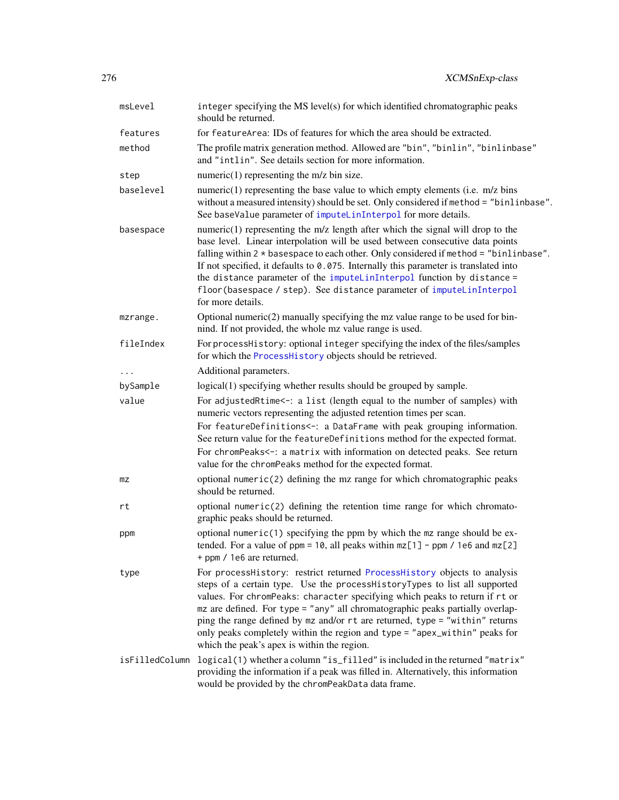| msLevel        | integer specifying the MS level(s) for which identified chromatographic peaks<br>should be returned.                                                                                                                                                                                                                                                                                                                                                                                                                                |
|----------------|-------------------------------------------------------------------------------------------------------------------------------------------------------------------------------------------------------------------------------------------------------------------------------------------------------------------------------------------------------------------------------------------------------------------------------------------------------------------------------------------------------------------------------------|
| features       | for feature Area: IDs of features for which the area should be extracted.                                                                                                                                                                                                                                                                                                                                                                                                                                                           |
| method         | The profile matrix generation method. Allowed are "bin", "binlin", "binlinbase"<br>and "intlin". See details section for more information.                                                                                                                                                                                                                                                                                                                                                                                          |
| step           | $numeric(1)$ representing the $m/z$ bin size.                                                                                                                                                                                                                                                                                                                                                                                                                                                                                       |
| baselevel      | numeric $(1)$ representing the base value to which empty elements (i.e. $m/z$ bins<br>without a measured intensity) should be set. Only considered if method = "binlinbase".<br>See baseValue parameter of imputeLinInterpol for more details.                                                                                                                                                                                                                                                                                      |
| basespace      | numeric $(1)$ representing the m/z length after which the signal will drop to the<br>base level. Linear interpolation will be used between consecutive data points<br>falling within $2 *$ basespace to each other. Only considered if method = "binlinbase".<br>If not specified, it defaults to 0.075. Internally this parameter is translated into<br>the distance parameter of the imputeLinInterpol function by distance =<br>floor(basespace / step). See distance parameter of imputeLinInterpol<br>for more details.        |
| mzrange.       | Optional numeric(2) manually specifying the mz value range to be used for bin-<br>nind. If not provided, the whole mz value range is used.                                                                                                                                                                                                                                                                                                                                                                                          |
| fileIndex      | For processHistory: optional integer specifying the index of the files/samples<br>for which the ProcessHistory objects should be retrieved.                                                                                                                                                                                                                                                                                                                                                                                         |
|                | Additional parameters.                                                                                                                                                                                                                                                                                                                                                                                                                                                                                                              |
| bySample       | logical(1) specifying whether results should be grouped by sample.                                                                                                                                                                                                                                                                                                                                                                                                                                                                  |
| value          | For adjustedRtime <-: a list (length equal to the number of samples) with<br>numeric vectors representing the adjusted retention times per scan.<br>For featureDefinitions<-: a DataFrame with peak grouping information.                                                                                                                                                                                                                                                                                                           |
|                | See return value for the featureDefinitions method for the expected format.                                                                                                                                                                                                                                                                                                                                                                                                                                                         |
|                | For chromPeaks<-: a matrix with information on detected peaks. See return<br>value for the chromPeaks method for the expected format.                                                                                                                                                                                                                                                                                                                                                                                               |
| mz             | optional numeric(2) defining the mz range for which chromatographic peaks<br>should be returned.                                                                                                                                                                                                                                                                                                                                                                                                                                    |
| rt             | optional numeric(2) defining the retention time range for which chromato-<br>graphic peaks should be returned.                                                                                                                                                                                                                                                                                                                                                                                                                      |
| ppm            | optional numeric(1) specifying the ppm by which the mz range should be ex-<br>tended. For a value of ppm = 10, all peaks within $mz[1]$ - ppm / 1e6 and $mz[2]$<br>+ ppm / 1e6 are returned.                                                                                                                                                                                                                                                                                                                                        |
| type           | For processHistory: restrict returned ProcessHistory objects to analysis<br>steps of a certain type. Use the processHistoryTypes to list all supported<br>values. For chromPeaks: character specifying which peaks to return if rt or<br>mz are defined. For type = "any" all chromatographic peaks partially overlap-<br>ping the range defined by mz and/or rt are returned, type = "within" returns<br>only peaks completely within the region and type = "apex_within" peaks for<br>which the peak's apex is within the region. |
| isFilledColumn | logical(1) whether a column "is_filled" is included in the returned "matrix"<br>providing the information if a peak was filled in. Alternatively, this information<br>would be provided by the chromPeakData data frame.                                                                                                                                                                                                                                                                                                            |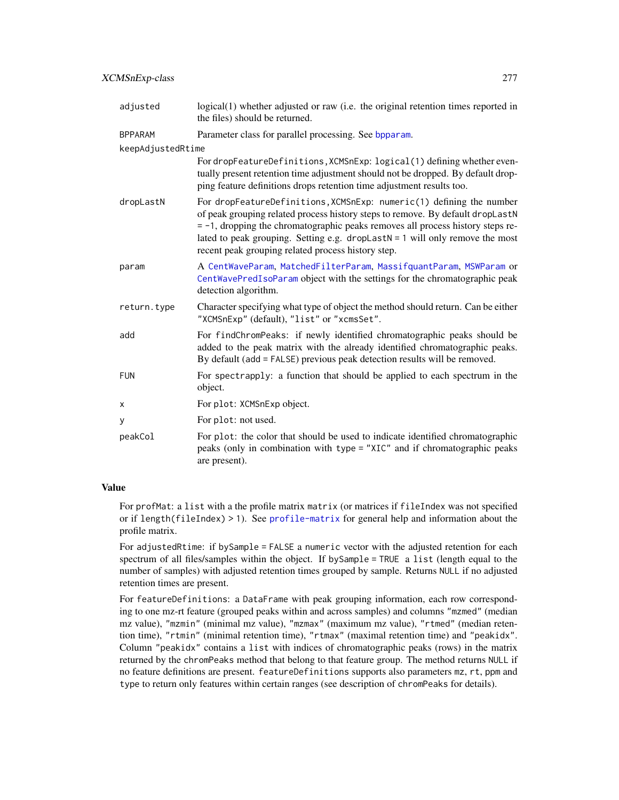| adjusted          | logical(1) whether adjusted or raw (i.e. the original retention times reported in<br>the files) should be returned.                                                                                                                                                                                                                                                               |
|-------------------|-----------------------------------------------------------------------------------------------------------------------------------------------------------------------------------------------------------------------------------------------------------------------------------------------------------------------------------------------------------------------------------|
| <b>BPPARAM</b>    | Parameter class for parallel processing. See bpparam.                                                                                                                                                                                                                                                                                                                             |
| keepAdjustedRtime |                                                                                                                                                                                                                                                                                                                                                                                   |
|                   | For dropFeatureDefinitions, XCMSnExp: logical(1) defining whether even-<br>tually present retention time adjustment should not be dropped. By default drop-<br>ping feature definitions drops retention time adjustment results too.                                                                                                                                              |
| dropLastN         | For dropFeatureDefinitions, XCMSnExp: numeric(1) defining the number<br>of peak grouping related process history steps to remove. By default dropLastN<br>$= -1$ , dropping the chromatographic peaks removes all process history steps re-<br>lated to peak grouping. Setting e.g. dropLastN = 1 will only remove the most<br>recent peak grouping related process history step. |
| param             | A CentWaveParam, MatchedFilterParam, MassifquantParam, MSWParam or<br>CentWavePredIsoParam object with the settings for the chromatographic peak<br>detection algorithm.                                                                                                                                                                                                          |
| return.type       | Character specifying what type of object the method should return. Can be either<br>"XCMSnExp" (default), "list" or "xcmsSet".                                                                                                                                                                                                                                                    |
| add               | For findChromPeaks: if newly identified chromatographic peaks should be<br>added to the peak matrix with the already identified chromatographic peaks.<br>By default (add = FALSE) previous peak detection results will be removed.                                                                                                                                               |
| <b>FUN</b>        | For spectrapply: a function that should be applied to each spectrum in the<br>object.                                                                                                                                                                                                                                                                                             |
| X                 | For plot: XCMSnExp object.                                                                                                                                                                                                                                                                                                                                                        |
| У                 | For plot: not used.                                                                                                                                                                                                                                                                                                                                                               |
| peakCol           | For plot: the color that should be used to indicate identified chromatographic<br>peaks (only in combination with type = "XIC" and if chromatographic peaks<br>are present).                                                                                                                                                                                                      |

#### Value

For profMat: a list with a the profile matrix matrix (or matrices if fileIndex was not specified or if length(fileIndex) > 1). See [profile-matrix](#page-219-0) for general help and information about the profile matrix.

For adjustedRtime: if bySample = FALSE a numeric vector with the adjusted retention for each spectrum of all files/samples within the object. If bySample = TRUE a list (length equal to the number of samples) with adjusted retention times grouped by sample. Returns NULL if no adjusted retention times are present.

For featureDefinitions: a DataFrame with peak grouping information, each row corresponding to one mz-rt feature (grouped peaks within and across samples) and columns "mzmed" (median mz value), "mzmin" (minimal mz value), "mzmax" (maximum mz value), "rtmed" (median retention time), "rtmin" (minimal retention time), "rtmax" (maximal retention time) and "peakidx". Column "peakidx" contains a list with indices of chromatographic peaks (rows) in the matrix returned by the chromPeaks method that belong to that feature group. The method returns NULL if no feature definitions are present. featureDefinitions supports also parameters mz, rt, ppm and type to return only features within certain ranges (see description of chromPeaks for details).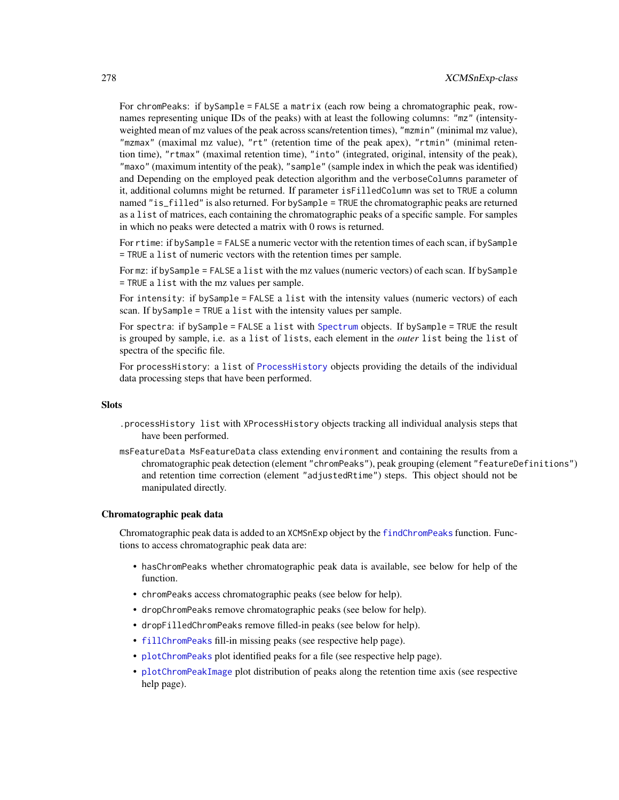For chromPeaks: if bySample = FALSE a matrix (each row being a chromatographic peak, rownames representing unique IDs of the peaks) with at least the following columns: "mz" (intensityweighted mean of mz values of the peak across scans/retention times), "mzmin" (minimal mz value), "mzmax" (maximal mz value), "rt" (retention time of the peak apex), "rtmin" (minimal retention time), "rtmax" (maximal retention time), "into" (integrated, original, intensity of the peak), "maxo" (maximum intentity of the peak), "sample" (sample index in which the peak was identified) and Depending on the employed peak detection algorithm and the verboseColumns parameter of it, additional columns might be returned. If parameter isFilledColumn was set to TRUE a column named "is\_filled" is also returned. For bySample = TRUE the chromatographic peaks are returned as a list of matrices, each containing the chromatographic peaks of a specific sample. For samples in which no peaks were detected a matrix with 0 rows is returned.

For rtime: if bySample = FALSE a numeric vector with the retention times of each scan, if bySample = TRUE a list of numeric vectors with the retention times per sample.

For mz: if bySample = FALSE a list with the mz values (numeric vectors) of each scan. If bySample = TRUE a list with the mz values per sample.

For intensity: if bySample = FALSE a list with the intensity values (numeric vectors) of each scan. If bySample = TRUE a list with the intensity values per sample.

For spectra: if bySample = FALSE a list with [Spectrum](#page-0-0) objects. If bySample = TRUE the result is grouped by sample, i.e. as a list of lists, each element in the *outer* list being the list of spectra of the specific file.

For processHistory: a list of [ProcessHistory](#page-217-0) objects providing the details of the individual data processing steps that have been performed.

#### **Slots**

- .processHistory list with XProcessHistory objects tracking all individual analysis steps that have been performed.
- msFeatureData MsFeatureData class extending environment and containing the results from a chromatographic peak detection (element "chromPeaks"), peak grouping (element "featureDefinitions") and retention time correction (element "adjustedRtime") steps. This object should not be manipulated directly.

#### Chromatographic peak data

Chromatographic peak data is added to an XCMSnExp object by the [findChromPeaks](#page-34-0) function. Functions to access chromatographic peak data are:

- hasChromPeaks whether chromatographic peak data is available, see below for help of the function.
- chromPeaks access chromatographic peaks (see below for help).
- dropChromPeaks remove chromatographic peaks (see below for help).
- dropFilledChromPeaks remove filled-in peaks (see below for help).
- [fillChromPeaks](#page-79-0) fill-in missing peaks (see respective help page).
- [plotChromPeaks](#page-206-0) plot identified peaks for a file (see respective help page).
- [plotChromPeakImage](#page-206-1) plot distribution of peaks along the retention time axis (see respective help page).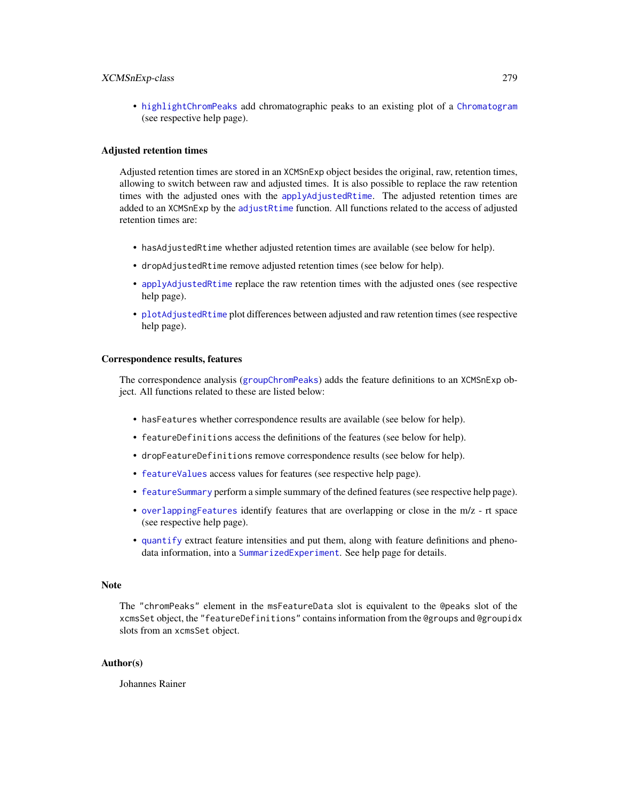### XCMSnExp-class 279

• [highlightChromPeaks](#page-174-0) add chromatographic peaks to an existing plot of a [Chromatogram](#page-0-0) (see respective help page).

#### Adjusted retention times

Adjusted retention times are stored in an XCMSnExp object besides the original, raw, retention times, allowing to switch between raw and adjusted times. It is also possible to replace the raw retention times with the adjusted ones with the [applyAdjustedRtime](#page-17-0). The adjusted retention times are added to an XCMSnExp by the [adjustRtime](#page-6-0) function. All functions related to the access of adjusted retention times are:

- hasAdjustedRtime whether adjusted retention times are available (see below for help).
- dropAdjustedRtime remove adjusted retention times (see below for help).
- [applyAdjustedRtime](#page-17-0) replace the raw retention times with the adjusted ones (see respective help page).
- [plotAdjustedRtime](#page-198-0) plot differences between adjusted and raw retention times (see respective help page).

#### Correspondence results, features

The correspondence analysis ([groupChromPeaks](#page-154-0)) adds the feature definitions to an XCMSnExp object. All functions related to these are listed below:

- hasFeatures whether correspondence results are available (see below for help).
- featureDefinitions access the definitions of the features (see below for help).
- dropFeatureDefinitions remove correspondence results (see below for help).
- [featureValues](#page-224-0) access values for features (see respective help page).
- [featureSummary](#page-78-0) perform a simple summary of the defined features (see respective help page).
- [overlappingFeatures](#page-189-0) identify features that are overlapping or close in the m/z rt space (see respective help page).
- [quantify](#page-0-0) extract feature intensities and put them, along with feature definitions and phenodata information, into a [SummarizedExperiment](#page-0-0). See help page for details.

# **Note**

The "chromPeaks" element in the msFeatureData slot is equivalent to the @peaks slot of the xcmsSet object, the "featureDefinitions" contains information from the @groups and @groupidx slots from an xcmsSet object.

#### Author(s)

Johannes Rainer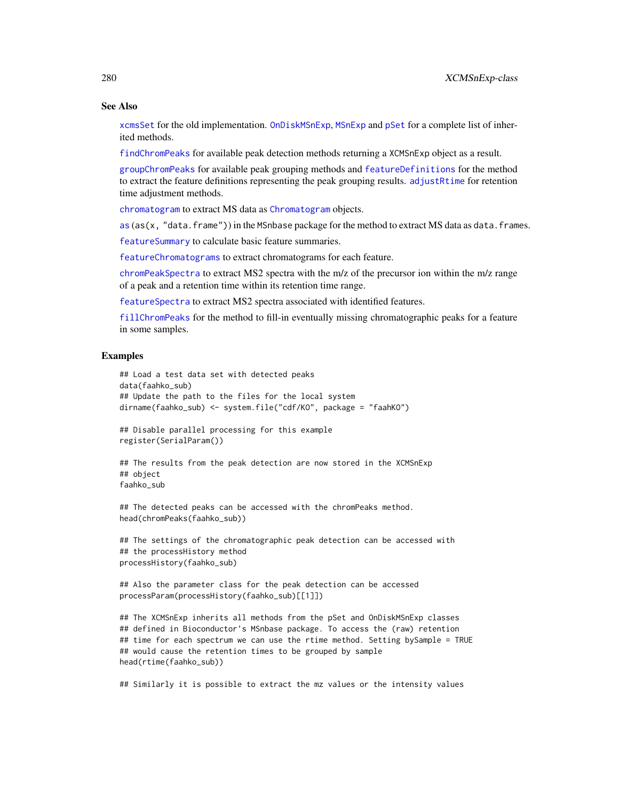#### See Also

[xcmsSet](#page-288-0) for the old implementation. [OnDiskMSnExp](#page-0-0), [MSnExp](#page-0-0) and [pSet](#page-0-0) for a complete list of inherited methods.

[findChromPeaks](#page-34-0) for available peak detection methods returning a XCMSnExp object as a result.

[groupChromPeaks](#page-154-0) for available peak grouping methods and [featureDefinitions](#page-269-0) for the method to extract the feature definitions representing the peak grouping results. [adjustRtime](#page-6-0) for retention time adjustment methods.

[chromatogram](#page-31-0) to extract MS data as [Chromatogram](#page-0-0) objects.

[as](#page-0-0) (as(x, "data.frame")) in the MSnbase package for the method to extract MS data as data.frames.

[featureSummary](#page-78-0) to calculate basic feature summaries.

[featureChromatograms](#page-74-0) to extract chromatograms for each feature.

[chromPeakSpectra](#page-35-0) to extract MS2 spectra with the m/z of the precursor ion within the m/z range of a peak and a retention time within its retention time range.

[featureSpectra](#page-76-0) to extract MS2 spectra associated with identified features.

[fillChromPeaks](#page-79-0) for the method to fill-in eventually missing chromatographic peaks for a feature in some samples.

## Examples

```
## Load a test data set with detected peaks
data(faahko_sub)
## Update the path to the files for the local system
dirname(faahko_sub) <- system.file("cdf/KO", package = "faahKO")
```

```
## Disable parallel processing for this example
register(SerialParam())
```

```
## The results from the peak detection are now stored in the XCMSnExp
## object
faahko_sub
```
## The detected peaks can be accessed with the chromPeaks method. head(chromPeaks(faahko\_sub))

```
## The settings of the chromatographic peak detection can be accessed with
## the processHistory method
processHistory(faahko_sub)
```

```
## Also the parameter class for the peak detection can be accessed
processParam(processHistory(faahko_sub)[[1]])
```

```
## The XCMSnExp inherits all methods from the pSet and OnDiskMSnExp classes
## defined in Bioconductor's MSnbase package. To access the (raw) retention
## time for each spectrum we can use the rtime method. Setting bySample = TRUE
## would cause the retention times to be grouped by sample
head(rtime(faahko_sub))
```
## Similarly it is possible to extract the mz values or the intensity values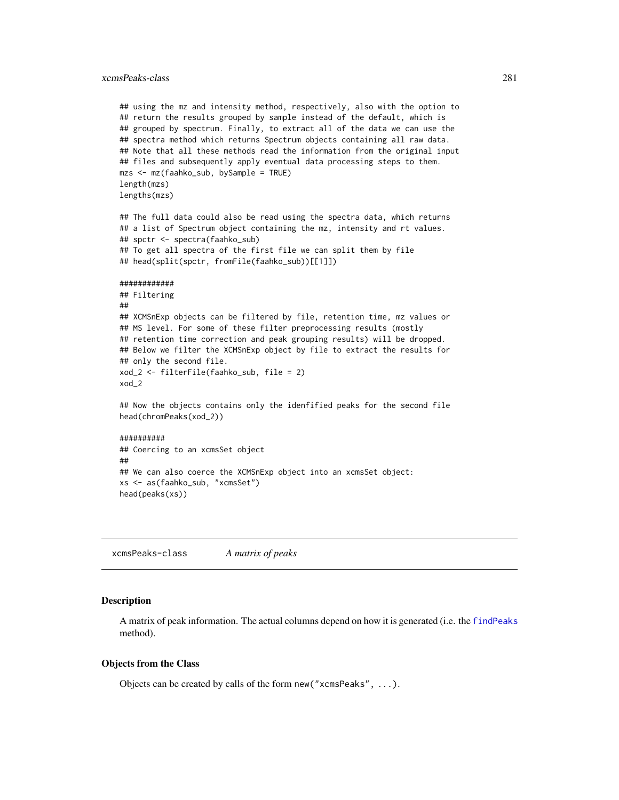## xcmsPeaks-class 281

```
## using the mz and intensity method, respectively, also with the option to
## return the results grouped by sample instead of the default, which is
## grouped by spectrum. Finally, to extract all of the data we can use the
## spectra method which returns Spectrum objects containing all raw data.
## Note that all these methods read the information from the original input
## files and subsequently apply eventual data processing steps to them.
mzs <- mz(faahko_sub, bySample = TRUE)
length(mzs)
lengths(mzs)
## The full data could also be read using the spectra data, which returns
## a list of Spectrum object containing the mz, intensity and rt values.
## spctr <- spectra(faahko_sub)
## To get all spectra of the first file we can split them by file
## head(split(spctr, fromFile(faahko_sub))[[1]])
############
## Filtering
##
## XCMSnExp objects can be filtered by file, retention time, mz values or
## MS level. For some of these filter preprocessing results (mostly
## retention time correction and peak grouping results) will be dropped.
## Below we filter the XCMSnExp object by file to extract the results for
## only the second file.
xod_2 <- filterFile(faahko_sub, file = 2)
xod_2
## Now the objects contains only the idenfified peaks for the second file
head(chromPeaks(xod_2))
##########
## Coercing to an xcmsSet object
##
## We can also coerce the XCMSnExp object into an xcmsSet object:
xs <- as(faahko_sub, "xcmsSet")
```

```
head(peaks(xs))
```
xcmsPeaks-class *A matrix of peaks*

# Description

A matrix of peak information. The actual columns depend on how it is generated (i.e. the [findPeaks](#page-125-0) method).

#### Objects from the Class

Objects can be created by calls of the form new("xcmsPeaks", ...).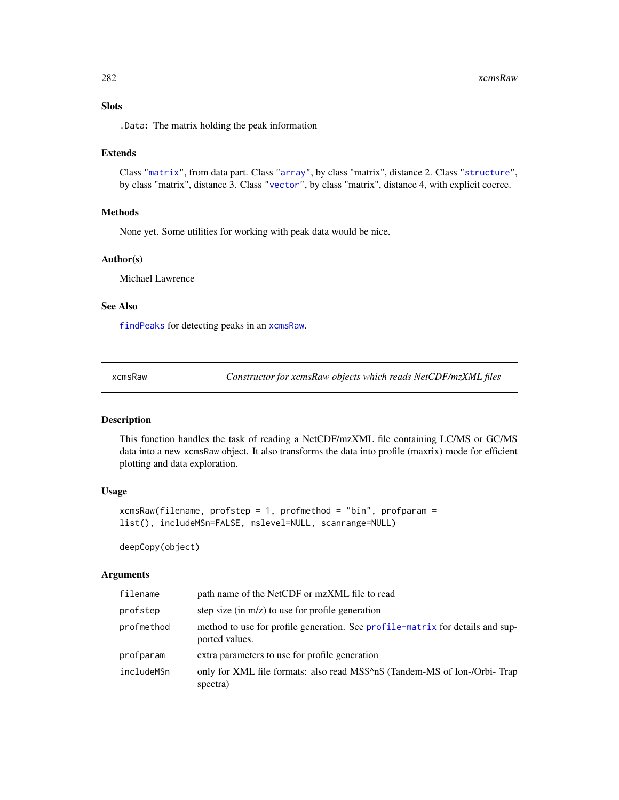# Slots

.Data: The matrix holding the peak information

#### Extends

Class ["matrix"](#page-0-0), from data part. Class ["array"](#page-0-0), by class "matrix", distance 2. Class ["structure"](#page-0-0), by class "matrix", distance 3. Class ["vector"](#page-0-0), by class "matrix", distance 4, with explicit coerce.

#### Methods

None yet. Some utilities for working with peak data would be nice.

#### Author(s)

Michael Lawrence

# See Also

[findPeaks](#page-125-0) for detecting peaks in an [xcmsRaw](#page-283-0).

<span id="page-281-0"></span>xcmsRaw *Constructor for xcmsRaw objects which reads NetCDF/mzXML files*

#### Description

This function handles the task of reading a NetCDF/mzXML file containing LC/MS or GC/MS data into a new xcmsRaw object. It also transforms the data into profile (maxrix) mode for efficient plotting and data exploration.

## Usage

```
xcmsRaw(filename, profstep = 1, profmethod = "bin", profparam =
list(), includeMSn=FALSE, mslevel=NULL, scanrange=NULL)
```
deepCopy(object)

#### Arguments

| filename   | path name of the NetCDF or mzXML file to read                                                   |
|------------|-------------------------------------------------------------------------------------------------|
| profstep   | step size (in $m/z$ ) to use for profile generation                                             |
| profmethod | method to use for profile generation. See profile-matrix for details and sup-<br>ported values. |
| profparam  | extra parameters to use for profile generation                                                  |
| includeMSn | only for XML file formats: also read MS\$^n\$ (Tandem-MS of Ion-/Orbi-Trap<br>spectra)          |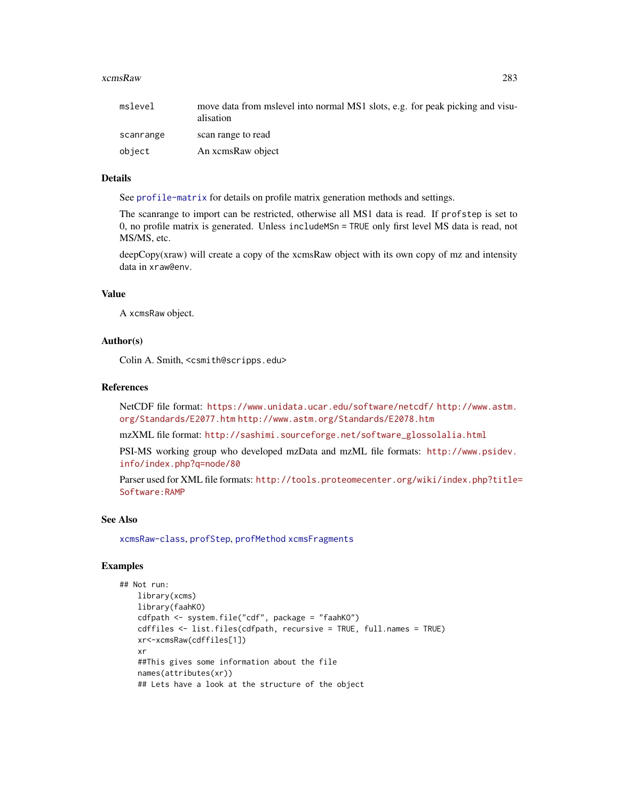#### xcmsRaw 283

| mslevel   | move data from mslevel into normal MS1 slots, e.g. for peak picking and visu-<br>alisation |
|-----------|--------------------------------------------------------------------------------------------|
| scanrange | scan range to read                                                                         |
| object    | An xcmsRaw object                                                                          |

# Details

See [profile-matrix](#page-219-0) for details on profile matrix generation methods and settings.

The scanrange to import can be restricted, otherwise all MS1 data is read. If profstep is set to 0, no profile matrix is generated. Unless includeMSn = TRUE only first level MS data is read, not MS/MS, etc.

deepCopy(xraw) will create a copy of the xcmsRaw object with its own copy of mz and intensity data in xraw@env.

## Value

A xcmsRaw object.

### Author(s)

Colin A. Smith, <csmith@scripps.edu>

#### References

NetCDF file format: <https://www.unidata.ucar.edu/software/netcdf/> [http://www.astm.](http://www.astm.org/Standards/E2077.htm) [org/Standards/E2077.htm](http://www.astm.org/Standards/E2077.htm) <http://www.astm.org/Standards/E2078.htm>

mzXML file format: [http://sashimi.sourceforge.net/software\\_glossolalia.html](http://sashimi.sourceforge.net/software_glossolalia.html)

PSI-MS working group who developed mzData and mzML file formats: [http://www.psidev.](http://www.psidev.info/index.php?q=node/80) [info/index.php?q=node/80](http://www.psidev.info/index.php?q=node/80)

Parser used for XML file formats: [http://tools.proteomecenter.org/wiki/index.php?title=](http://tools.proteomecenter.org/wiki/index.php?title=Software:RAMP) [Software:RAMP](http://tools.proteomecenter.org/wiki/index.php?title=Software:RAMP)

## See Also

[xcmsRaw-class](#page-283-0), [profStep](#page-223-0), [profMethod](#page-221-0) [xcmsFragments](#page-267-0)

# Examples

```
## Not run:
   library(xcms)
   library(faahKO)
   cdfpath <- system.file("cdf", package = "faahKO")
   cdffiles <- list.files(cdfpath, recursive = TRUE, full.names = TRUE)
   xr<-xcmsRaw(cdffiles[1])
   xr
   ##This gives some information about the file
   names(attributes(xr))
   ## Lets have a look at the structure of the object
```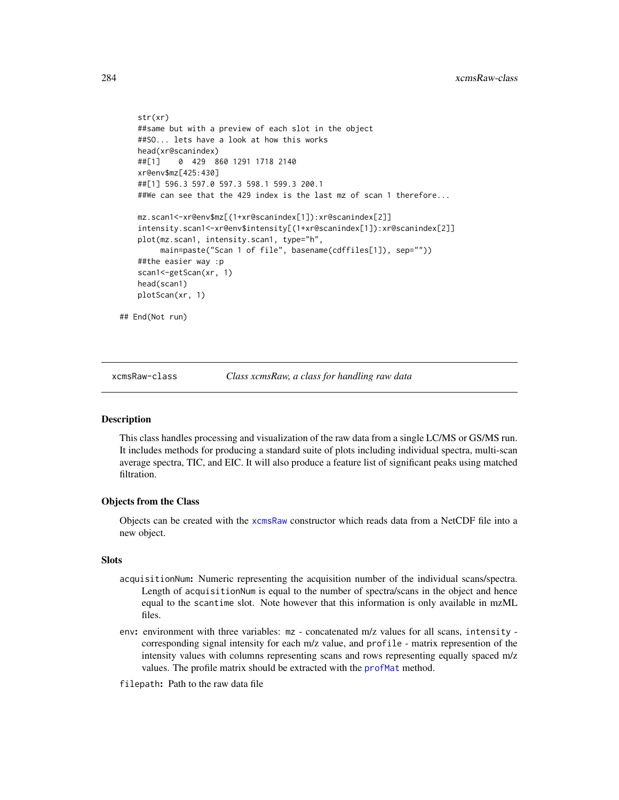```
str(xr)
   ##same but with a preview of each slot in the object
   ##SO... lets have a look at how this works
   head(xr@scanindex)
   ##[1] 0 429 860 1291 1718 2140
   xr@env$mz[425:430]
   ##[1] 596.3 597.0 597.3 598.1 599.3 200.1
   ##We can see that the 429 index is the last mz of scan 1 therefore...
   mz.scan1<-xr@env$mz[(1+xr@scanindex[1]):xr@scanindex[2]]
   intensity.scan1<-xr@env$intensity[(1+xr@scanindex[1]):xr@scanindex[2]]
   plot(mz.scan1, intensity.scan1, type="h",
        main=paste("Scan 1 of file", basename(cdffiles[1]), sep=""))
   ##the easier way :p
   scan1<-getScan(xr, 1)
   head(scan1)
   plotScan(xr, 1)
## End(Not run)
```
<span id="page-283-0"></span>

xcmsRaw-class *Class xcmsRaw, a class for handling raw data*

#### <span id="page-283-1"></span>Description

This class handles processing and visualization of the raw data from a single LC/MS or GS/MS run. It includes methods for producing a standard suite of plots including individual spectra, multi-scan average spectra, TIC, and EIC. It will also produce a feature list of significant peaks using matched filtration.

#### Objects from the Class

Objects can be created with the [xcmsRaw](#page-281-0) constructor which reads data from a NetCDF file into a new object.

#### **Slots**

- acquisitionNum: Numeric representing the acquisition number of the individual scans/spectra. Length of acquisitionNum is equal to the number of spectra/scans in the object and hence equal to the scantime slot. Note however that this information is only available in mzML files.
- env: environment with three variables: mz concatenated m/z values for all scans, intensity corresponding signal intensity for each m/z value, and profile - matrix represention of the intensity values with columns representing scans and rows representing equally spaced m/z values. The profile matrix should be extracted with the **prof-Mat** method.

filepath: Path to the raw data file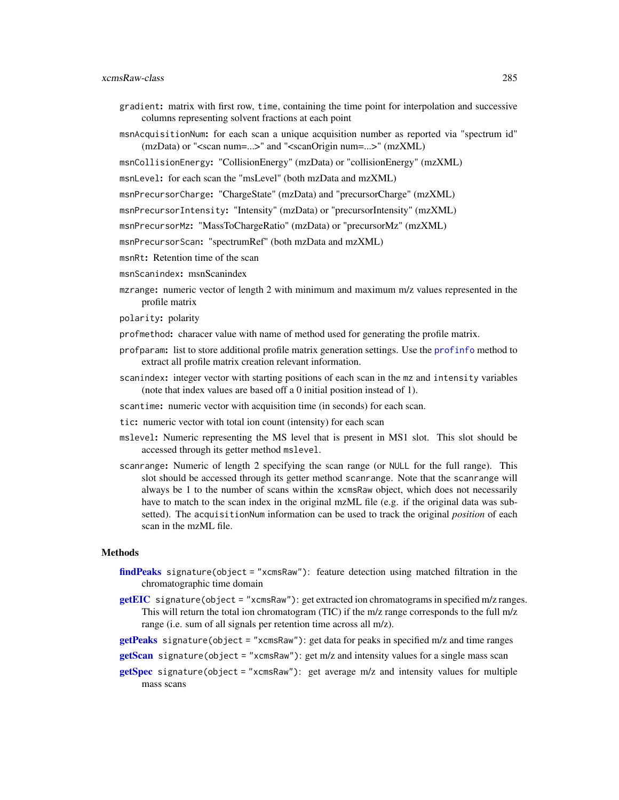- gradient: matrix with first row, time, containing the time point for interpolation and successive columns representing solvent fractions at each point
- msnAcquisitionNum: for each scan a unique acquisition number as reported via "spectrum id" (mzData) or "<scan num=...>" and "<scanOrigin num=...>" (mzXML)
- msnCollisionEnergy: "CollisionEnergy" (mzData) or "collisionEnergy" (mzXML)
- msnLevel: for each scan the "msLevel" (both mzData and mzXML)
- msnPrecursorCharge: "ChargeState" (mzData) and "precursorCharge" (mzXML)
- msnPrecursorIntensity: "Intensity" (mzData) or "precursorIntensity" (mzXML)
- msnPrecursorMz: "MassToChargeRatio" (mzData) or "precursorMz" (mzXML)
- msnPrecursorScan: "spectrumRef" (both mzData and mzXML)
- msnRt: Retention time of the scan
- msnScanindex: msnScanindex
- mzrange: numeric vector of length 2 with minimum and maximum m/z values represented in the profile matrix
- polarity: polarity
- profmethod: characer value with name of method used for generating the profile matrix.
- profparam: list to store additional profile matrix generation settings. Use the [profinfo](#page-288-1) method to extract all profile matrix creation relevant information.
- scanindex: integer vector with starting positions of each scan in the mz and intensity variables (note that index values are based off a 0 initial position instead of 1).
- scantime: numeric vector with acquisition time (in seconds) for each scan.
- tic: numeric vector with total ion count (intensity) for each scan
- mslevel: Numeric representing the MS level that is present in MS1 slot. This slot should be accessed through its getter method mslevel.
- scanrange: Numeric of length 2 specifying the scan range (or NULL for the full range). This slot should be accessed through its getter method scanrange. Note that the scanrange will always be 1 to the number of scans within the xcmsRaw object, which does not necessarily have to match to the scan index in the original mzML file (e.g. if the original data was subsetted). The acquisitionNum information can be used to track the original *position* of each scan in the mzML file.

### **Methods**

- [findPeaks](#page-125-0) signature(object = "xcmsRaw"): feature detection using matched filtration in the chromatographic time domain
- [getEIC](#page-146-0) signature(object = "xcmsRaw"): get extracted ion chromatograms in specified m/z ranges. This will return the total ion chromatogram (TIC) if the m/z range corresponds to the full m/z range (i.e. sum of all signals per retention time across all m/z).
- [getPeaks](#page-147-0) signature(object = "xcmsRaw"): get data for peaks in specified m/z and time ranges
- [getScan](#page-148-0) signature(object = "xcmsRaw"): get m/z and intensity values for a single mass scan
- [getSpec](#page-149-0) signature(object = "xcmsRaw"): get average m/z and intensity values for multiple mass scans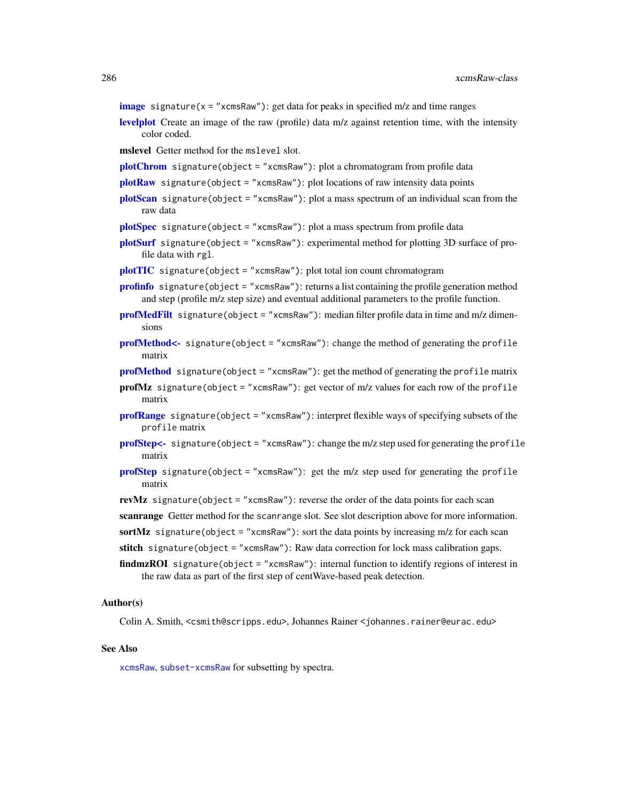- **[image](#page-0-0)** signature( $x =$ "xcmsRaw"): get data for peaks in specified m/z and time ranges
- [levelplot](#page-283-1) Create an image of the raw (profile) data m/z against retention time, with the intensity color coded.
- mslevel Getter method for the mslevel slot.
- [plotChrom](#page-200-0) signature(object = "xcmsRaw"): plot a chromatogram from profile data
- [plotRaw](#page-213-0) signature(object = "xcmsRaw"): plot locations of raw intensity data points
- [plotScan](#page-215-0) signature(object = "xcmsRaw"): plot a mass spectrum of an individual scan from the raw data
- [plotSpec](#page-215-1) signature(object = "xcmsRaw"): plot a mass spectrum from profile data
- [plotSurf](#page-216-0) signature(object = "xcmsRaw"): experimental method for plotting 3D surface of profile data with rgl.
- [plotTIC](#page-217-1) signature(object = "xcmsRaw"): plot total ion count chromatogram
- **[profinfo](#page-288-1)** signature(object = "xcmsRaw"): returns a list containing the profile generation method and step (profile m/z step size) and eventual additional parameters to the profile function.
- [profMedFilt](#page-221-1) signature(object = "xcmsRaw"): median filter profile data in time and m/z dimensions
- [profMethod<-](#page-221-0) signature(object = "xcmsRaw"): change the method of generating the profile matrix
- [profMethod](#page-221-0) signature(object = "xcmsRaw"): get the method of generating the profile matrix
- profMz signature(object = "xcmsRaw"): get vector of m/z values for each row of the profile matrix
- [profRange](#page-222-0) signature(object = "xcmsRaw"): interpret flexible ways of specifying subsets of the profile matrix
- [profStep<-](#page-223-0) signature(object = "xcmsRaw"): change the m/z step used for generating the profile matrix
- [profStep](#page-223-0) signature(object = "xcmsRaw"): get the  $m/z$  step used for generating the profile matrix
- rev $Mz$  signature(object = "xcmsRaw"): reverse the order of the data points for each scan
- scanrange Getter method for the scanrange slot. See slot description above for more information.
- sortMz signature(object = "xcmsRaw"): sort the data points by increasing  $m/z$  for each scan
- stitch signature(object = "xcmsRaw"): Raw data correction for lock mass calibration gaps.
- findmzROI signature(object = "xcmsRaw"): internal function to identify regions of interest in the raw data as part of the first step of centWave-based peak detection.

## Author(s)

Colin A. Smith, <csmith@scripps.edu>, Johannes Rainer <johannes.rainer@eurac.edu>

## See Also

[xcmsRaw](#page-281-0), [subset-xcmsRaw](#page-292-0) for subsetting by spectra.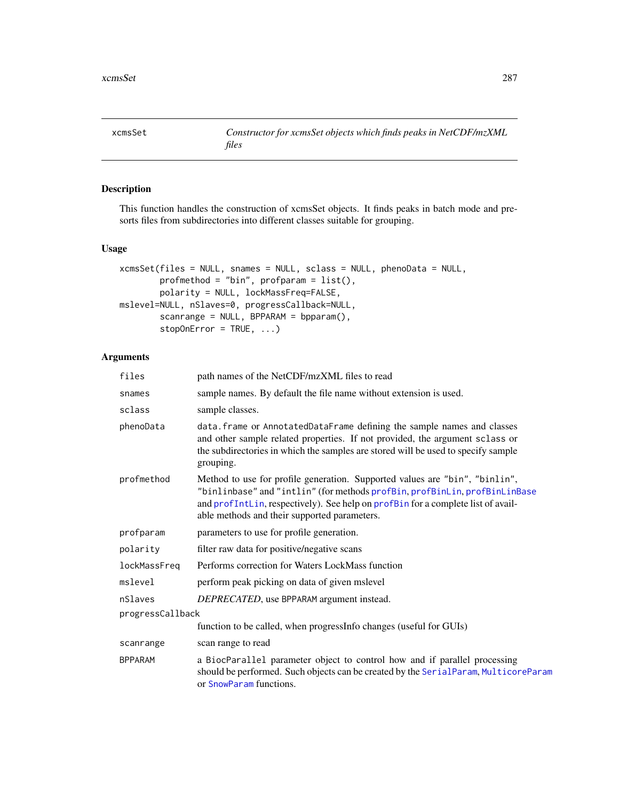<span id="page-286-0"></span>

# Description

This function handles the construction of xcmsSet objects. It finds peaks in batch mode and presorts files from subdirectories into different classes suitable for grouping.

## Usage

```
xcmsSet(files = NULL, snames = NULL, sclass = NULL, phenoData = NULL,
        profmethod = "bin", profparam = list(),
        polarity = NULL, lockMassFreq=FALSE,
mslevel=NULL, nSlaves=0, progressCallback=NULL,
        scanrange = NULL, BPPARAM = bpparam(),
        stopOnError = TRUE, ...)
```
# Arguments

| files            | path names of the NetCDF/mzXML files to read                                                                                                                                                                                                                                                  |  |
|------------------|-----------------------------------------------------------------------------------------------------------------------------------------------------------------------------------------------------------------------------------------------------------------------------------------------|--|
| snames           | sample names. By default the file name without extension is used.                                                                                                                                                                                                                             |  |
| sclass           | sample classes.                                                                                                                                                                                                                                                                               |  |
| phenoData        | data. frame or AnnotatedDataFrame defining the sample names and classes<br>and other sample related properties. If not provided, the argument sclass or<br>the subdirectories in which the samples are stored will be used to specify sample<br>grouping.                                     |  |
| profmethod       | Method to use for profile generation. Supported values are "bin", "binlin",<br>"binlinbase" and "intlin" (for methods profBin, profBinLin, profBinLinBase<br>and profIntLin, respectively). See help on profBin for a complete list of avail-<br>able methods and their supported parameters. |  |
| profparam        | parameters to use for profile generation.                                                                                                                                                                                                                                                     |  |
| polarity         | filter raw data for positive/negative scans                                                                                                                                                                                                                                                   |  |
| lockMassFreq     | Performs correction for Waters LockMass function                                                                                                                                                                                                                                              |  |
| mslevel          | perform peak picking on data of given mslevel                                                                                                                                                                                                                                                 |  |
| nSlaves          | DEPRECATED, use BPPARAM argument instead.                                                                                                                                                                                                                                                     |  |
| progressCallback |                                                                                                                                                                                                                                                                                               |  |
|                  | function to be called, when progressInfo changes (useful for GUIs)                                                                                                                                                                                                                            |  |
| scanrange        | scan range to read                                                                                                                                                                                                                                                                            |  |
| <b>BPPARAM</b>   | a BiocParallel parameter object to control how and if parallel processing<br>should be performed. Such objects can be created by the SerialParam, MulticoreParam<br>or SnowParam functions.                                                                                                   |  |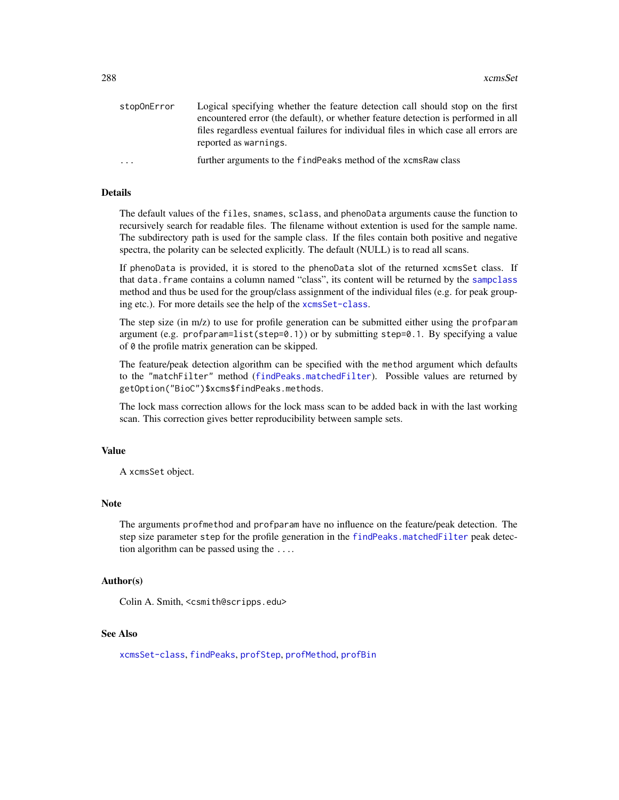| stopOnError | Logical specifying whether the feature detection call should stop on the first<br>encountered error (the default), or whether feature detection is performed in all<br>files regardless eventual failures for individual files in which case all errors are<br>reported as warnings. |
|-------------|--------------------------------------------------------------------------------------------------------------------------------------------------------------------------------------------------------------------------------------------------------------------------------------|
| $\cdot$     | further arguments to the find Peaks method of the xcms Raw class                                                                                                                                                                                                                     |

# Details

The default values of the files, snames, sclass, and phenoData arguments cause the function to recursively search for readable files. The filename without extention is used for the sample name. The subdirectory path is used for the sample class. If the files contain both positive and negative spectra, the polarity can be selected explicitly. The default (NULL) is to read all scans.

If phenoData is provided, it is stored to the phenoData slot of the returned xcmsSet class. If that data.frame contains a column named "class", its content will be returned by the [sampclass](#page-288-1) method and thus be used for the group/class assignment of the individual files (e.g. for peak grouping etc.). For more details see the help of the [xcmsSet-class](#page-288-0).

The step size (in  $m/z$ ) to use for profile generation can be submitted either using the profparam argument (e.g. profparam=list(step=0.1)) or by submitting step=0.1. By specifying a value of 0 the profile matrix generation can be skipped.

The feature/peak detection algorithm can be specified with the method argument which defaults to the "matchFilter" method ([findPeaks.matchedFilter](#page-141-0)). Possible values are returned by getOption("BioC")\$xcms\$findPeaks.methods.

The lock mass correction allows for the lock mass scan to be added back in with the last working scan. This correction gives better reproducibility between sample sets.

#### Value

A xcmsSet object.

#### Note

The arguments profmethod and profparam have no influence on the feature/peak detection. The step size parameter step for the profile generation in the [findPeaks.matchedFilter](#page-141-0) peak detection algorithm can be passed using the ....

#### Author(s)

Colin A. Smith, <csmith@scripps.edu>

#### See Also

[xcmsSet-class](#page-288-0), [findPeaks](#page-125-0), [profStep](#page-223-0), [profMethod](#page-221-0), [profBin](#page-0-0)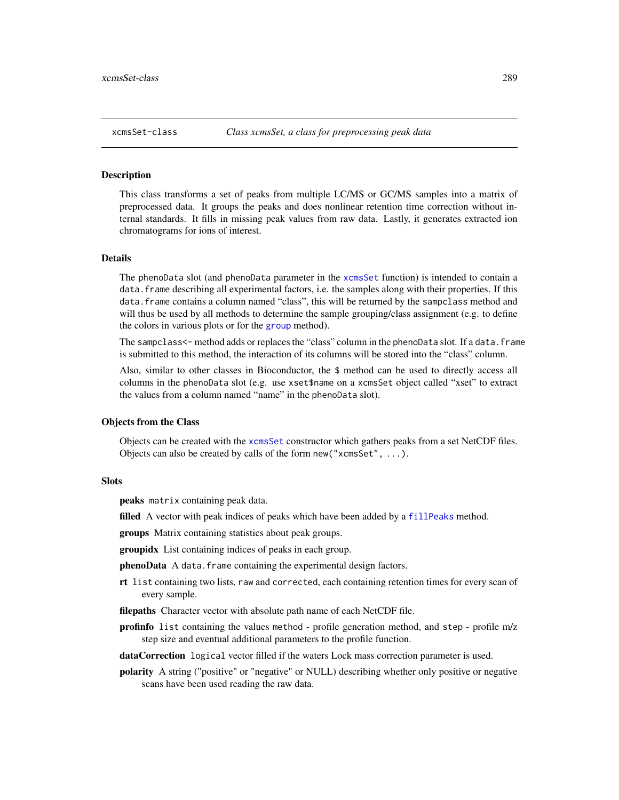#### <span id="page-288-0"></span>Description

This class transforms a set of peaks from multiple LC/MS or GC/MS samples into a matrix of preprocessed data. It groups the peaks and does nonlinear retention time correction without internal standards. It fills in missing peak values from raw data. Lastly, it generates extracted ion chromatograms for ions of interest.

#### Details

The phenoData slot (and phenoData parameter in the [xcmsSet](#page-286-0) function) is intended to contain a data. frame describing all experimental factors, i.e. the samples along with their properties. If this data.frame contains a column named "class", this will be returned by the sampclass method and will thus be used by all methods to determine the sample grouping/class assignment (e.g. to define the colors in various plots or for the [group](#page-150-0) method).

The sampclass<- method adds or replaces the "class" column in the phenoData slot. If a data. frame is submitted to this method, the interaction of its columns will be stored into the "class" column.

Also, similar to other classes in Bioconductor, the \$ method can be used to directly access all columns in the phenoData slot (e.g. use xset\$name on a xcmsSet object called "xset" to extract the values from a column named "name" in the phenoData slot).

## Objects from the Class

Objects can be created with the [xcmsSet](#page-286-0) constructor which gathers peaks from a set NetCDF files. Objects can also be created by calls of the form new("xcmsSet", ...).

### **Slots**

peaks matrix containing peak data.

filled A vector with peak indices of peaks which have been added by a [fillPeaks](#page-83-0) method.

groups Matrix containing statistics about peak groups.

groupidx List containing indices of peaks in each group.

phenoData A data.frame containing the experimental design factors.

- rt list containing two lists, raw and corrected, each containing retention times for every scan of every sample.
- filepaths Character vector with absolute path name of each NetCDF file.
- profinfo list containing the values method profile generation method, and step profile m/z step size and eventual additional parameters to the profile function.

dataCorrection logical vector filled if the waters Lock mass correction parameter is used.

polarity A string ("positive" or "negative" or NULL) describing whether only positive or negative scans have been used reading the raw data.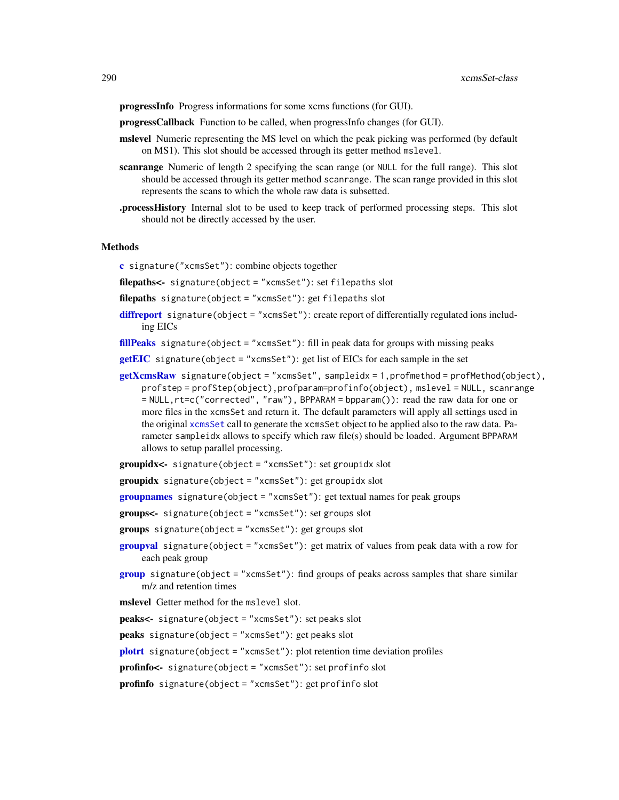<span id="page-289-0"></span>progressInfo Progress informations for some xcms functions (for GUI).

progressCallback Function to be called, when progressInfo changes (for GUI).

- **mslevel** Numeric representing the MS level on which the peak picking was performed (by default on MS1). This slot should be accessed through its getter method mslevel.
- scanrange Numeric of length 2 specifying the scan range (or NULL for the full range). This slot should be accessed through its getter method scanrange. The scan range provided in this slot represents the scans to which the whole raw data is subsetted.
- .processHistory Internal slot to be used to keep track of performed processing steps. This slot should not be directly accessed by the user.

### Methods

[c](#page-0-0) signature("xcmsSet"): combine objects together

filepaths<- signature(object = "xcmsSet"): set filepaths slot

filepaths signature(object = "xcmsSet"): get filepaths slot

- [diffreport](#page-42-0) signature(object = "xcmsSet"): create report of differentially regulated ions including EICs
- [fillPeaks](#page-83-0) signature(object = "xcmsSet"): fill in peak data for groups with missing peaks

[getEIC](#page-146-0) signature(object = "xcmsSet"): get list of EICs for each sample in the set

 $getXcmsRaw$  signature(object = "xcmsSet", sampleidx = 1,profmethod = profMethod(object), profstep = profStep(object),profparam=profinfo(object), mslevel = NULL, scanrange = NULL,rt=c("corrected", "raw"), BPPARAM = bpparam()): read the raw data for one or more files in the xcmsSet and return it. The default parameters will apply all settings used in the original [xcmsSet](#page-286-0) call to generate the xcmsSet object to be applied also to the raw data. Parameter sampleidx allows to specify which raw file(s) should be loaded. Argument BPPARAM allows to setup parallel processing.

groupidx<- signature(object = "xcmsSet"): set groupidx slot

groupidx signature(object = "xcmsSet"): get groupidx slot

[groupnames](#page-172-0) signature(object = "xcmsSet"): get textual names for peak groups

groups<- signature(object = "xcmsSet"): set groups slot

- groups signature(object = "xcmsSet"): get groups slot
- **[groupval](#page-174-0)** signature(object = "xcmsSet"): get matrix of values from peak data with a row for each peak group
- [group](#page-150-0) signature(object = " $x$ cmsSet"): find groups of peaks across samples that share similar m/z and retention times

mslevel Getter method for the mslevel slot.

peaks<- signature(object = "xcmsSet"): set peaks slot

peaks signature(object = "xcmsSet"): get peaks slot

[plotrt](#page-214-0) signature(object = "xcmsSet"): plot retention time deviation profiles

profinfo<- signature(object = "xcmsSet"): set profinfo slot

profinfo signature(object = "xcmsSet"): get profinfo slot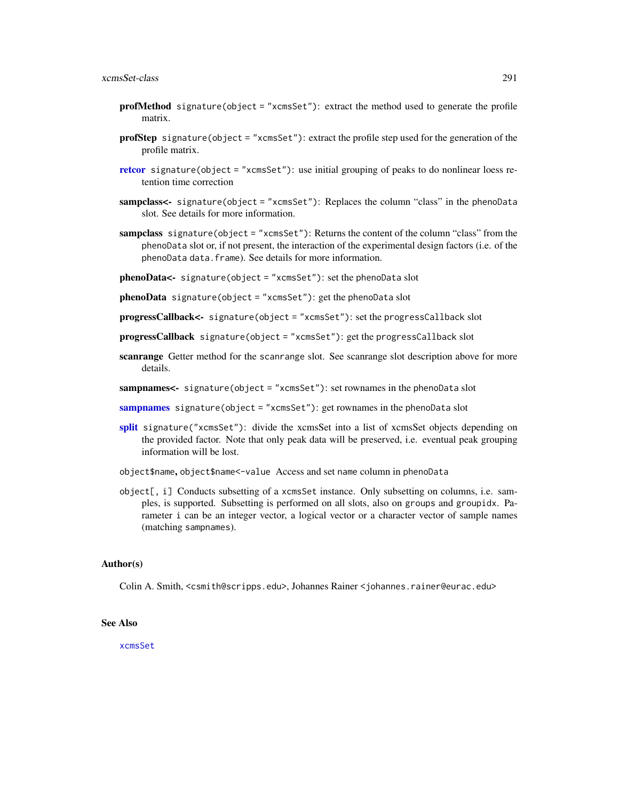- <span id="page-290-0"></span>profMethod signature(object = "xcmsSet"): extract the method used to generate the profile matrix.
- profStep signature(object = "xcmsSet"): extract the profile step used for the generation of the profile matrix.
- [retcor](#page-230-0) signature(object = "xcmsSet"): use initial grouping of peaks to do nonlinear loess retention time correction
- sampclass<- signature(object = "xcmsSet"): Replaces the column "class" in the phenoData slot. See details for more information.
- sampclass signature(object = "xcmsSet"): Returns the content of the column "class" from the phenoData slot or, if not present, the interaction of the experimental design factors (i.e. of the phenoData data.frame). See details for more information.
- phenoData<- signature(object = "xcmsSet"): set the phenoData slot
- $phenobata$  signature(object = "xcmsSet"): get the phenoData slot
- progressCallback<- signature(object = "xcmsSet"): set the progressCallback slot
- progressCallback signature(object = "xcmsSet"): get the progressCallback slot
- **scanrange** Getter method for the scanrange slot. See scanrange slot description above for more details.
- sampnames<- signature(object = "xcmsSet"): set rownames in the phenoData slot
- [sampnames](#page-235-0) signature(object = "xcmsSet"): get rownames in the phenoData slot
- [split](#page-0-0) signature("xcmsSet"): divide the xcmsSet into a list of xcmsSet objects depending on the provided factor. Note that only peak data will be preserved, i.e. eventual peak grouping information will be lost.
- object\$name, object\$name<-value Access and set name column in phenoData
- object[, i] Conducts subsetting of a xcmsSet instance. Only subsetting on columns, i.e. samples, is supported. Subsetting is performed on all slots, also on groups and groupidx. Parameter i can be an integer vector, a logical vector or a character vector of sample names (matching sampnames).

#### Author(s)

Colin A. Smith, <csmith@scripps.edu>, Johannes Rainer <johannes.rainer@eurac.edu>

# See Also

[xcmsSet](#page-286-0)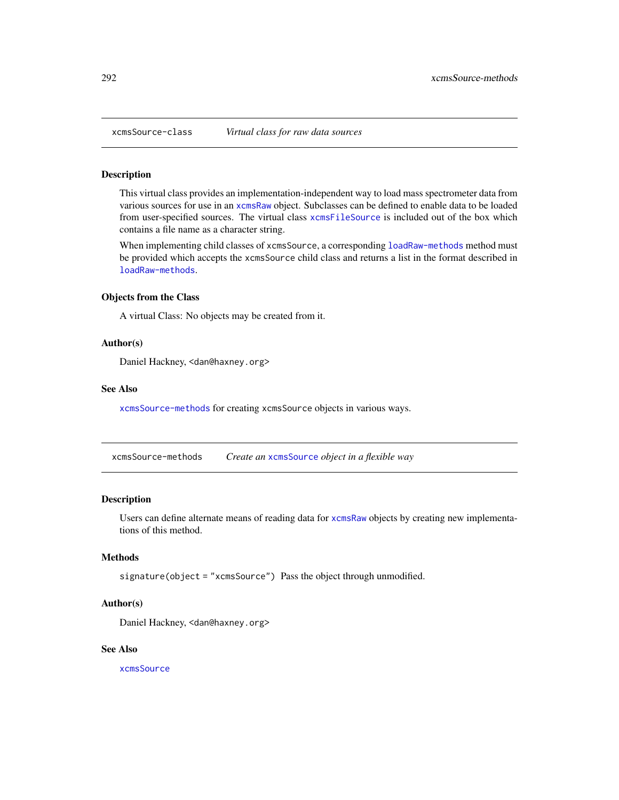<span id="page-291-2"></span><span id="page-291-1"></span>

### Description

This virtual class provides an implementation-independent way to load mass spectrometer data from various sources for use in an [xcmsRaw](#page-283-0) object. Subclasses can be defined to enable data to be loaded from user-specified sources. The virtual class [xcmsFileSource](#page-266-0) is included out of the box which contains a file name as a character string.

When implementing child classes of xcmsSource, a corresponding [loadRaw-methods](#page-183-0) method must be provided which accepts the xcmsSource child class and returns a list in the format described in [loadRaw-methods](#page-183-0).

# Objects from the Class

A virtual Class: No objects may be created from it.

# Author(s)

Daniel Hackney, <dan@haxney.org>

# See Also

[xcmsSource-methods](#page-291-0) for creating xcmsSource objects in various ways.

<span id="page-291-0"></span>xcmsSource-methods *Create an* [xcmsSource](#page-291-1) *object in a flexible way*

# Description

Users can define alternate means of reading data for [xcmsRaw](#page-283-0) objects by creating new implementations of this method.

### Methods

signature(object = "xcmsSource") Pass the object through unmodified.

# Author(s)

Daniel Hackney, <dan@haxney.org>

# See Also

[xcmsSource](#page-291-1)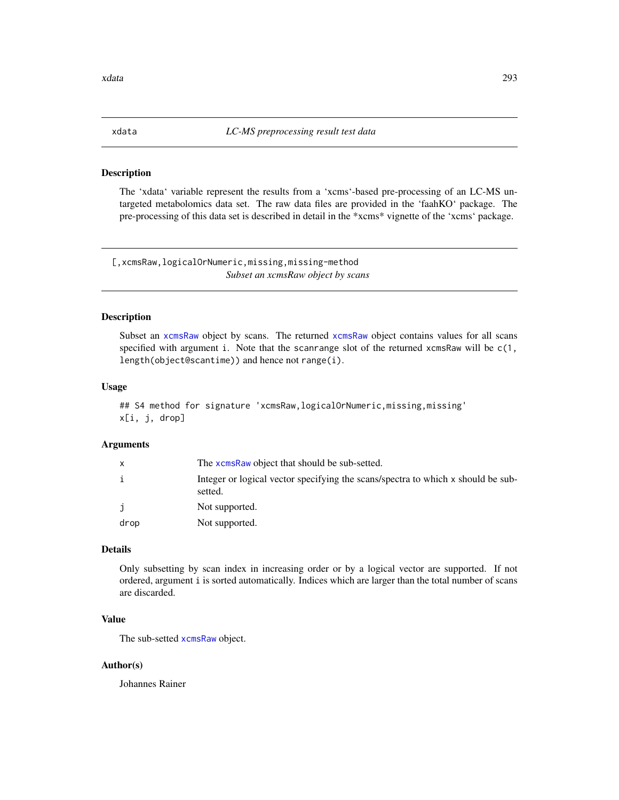<span id="page-292-0"></span>

# Description

The 'xdata' variable represent the results from a 'xcms'-based pre-processing of an LC-MS untargeted metabolomics data set. The raw data files are provided in the 'faahKO' package. The pre-processing of this data set is described in detail in the \*xcms\* vignette of the 'xcms' package.

[, xcmsRaw, logicalOrNumeric, missing, missing-method *Subset an xcmsRaw object by scans*

# Description

Subset an [xcmsRaw](#page-283-0) object by scans. The returned [xcmsRaw](#page-283-0) object contains values for all scans specified with argument i. Note that the scanrange slot of the returned xcmsRaw will be c(1, length(object@scantime)) and hence not range(i).

# Usage

```
## S4 method for signature 'xcmsRaw, logicalOrNumeric, missing, missing'
x[i, j, drop]
```
# Arguments

|      | The xcmsRaw object that should be sub-setted.                                               |
|------|---------------------------------------------------------------------------------------------|
|      | Integer or logical vector specifying the scans/spectra to which x should be sub-<br>setted. |
|      | Not supported.                                                                              |
| drop | Not supported.                                                                              |

# Details

Only subsetting by scan index in increasing order or by a logical vector are supported. If not ordered, argument i is sorted automatically. Indices which are larger than the total number of scans are discarded.

# Value

The sub-setted [xcmsRaw](#page-283-0) object.

# Author(s)

Johannes Rainer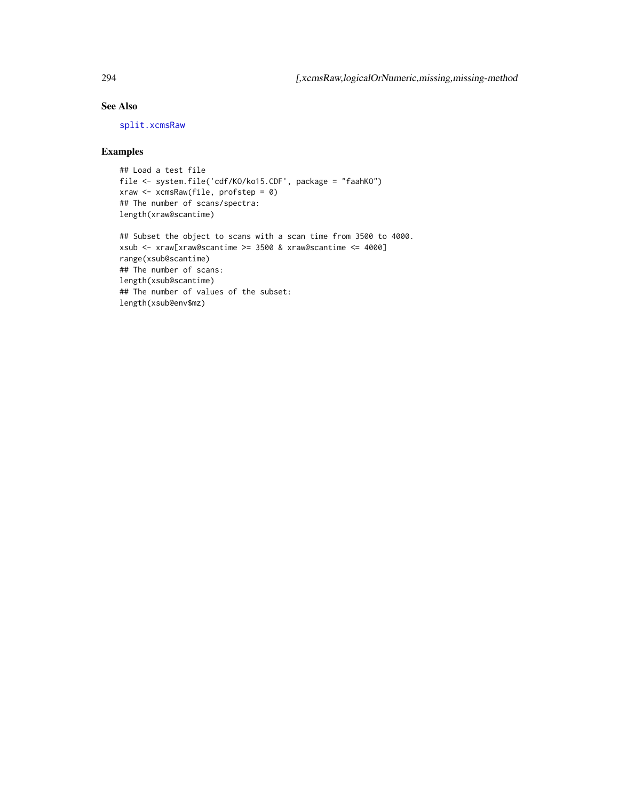# See Also

[split.xcmsRaw](#page-242-0)

# Examples

```
## Load a test file
file <- system.file('cdf/KO/ko15.CDF', package = "faahKO")
xraw <- xcmsRaw(file, profstep = 0)
## The number of scans/spectra:
length(xraw@scantime)
```

```
## Subset the object to scans with a scan time from 3500 to 4000.
xsub <- xraw[xraw@scantime >= 3500 & xraw@scantime <= 4000]
range(xsub@scantime)
## The number of scans:
length(xsub@scantime)
## The number of values of the subset:
length(xsub@env$mz)
```
<span id="page-293-0"></span>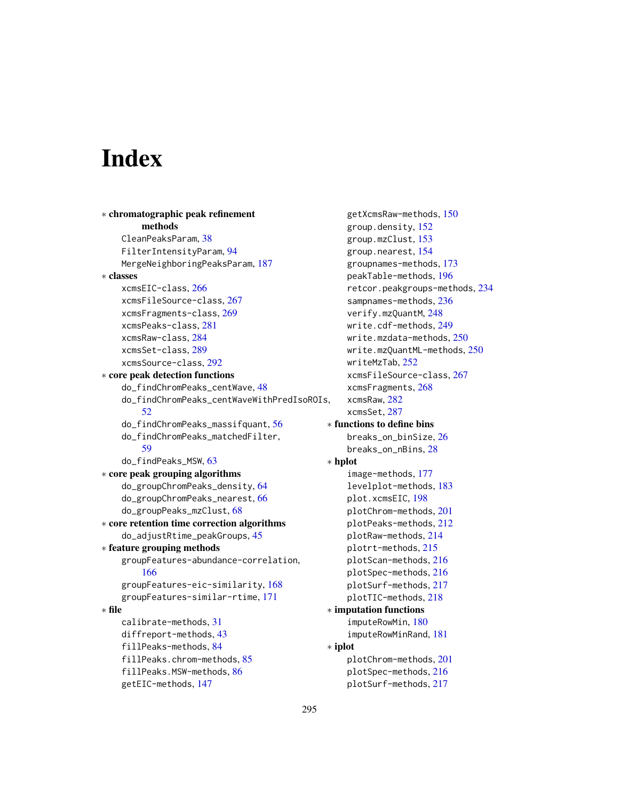# **Index**

```
∗ chromatographic peak refinement
        methods
    CleanPeaksParam, 38
    FilterIntensityParam, 94
    MergeNeighboringPeaksParam, 187
∗ classes
    xcmsEIC-class, 266
    xcmsFileSource-class, 267
    xcmsFragments-class, 269
    xcmsPeaks-class, 281
    xcmsRaw-class, 284
    xcmsSet-class, 289
    xcmsSource-class, 292
∗ core peak detection functions
    do_findChromPeaks_centWave, 48
    do_findChromPeaks_centWaveWithPredIsoROIs,
        52
    do_findChromPeaks_massifquant, 56
    do_findChromPeaks_matchedFilter,
        59
    do_findPeaks_MSW, 63
∗ core peak grouping algorithms
    do_groupChromPeaks_density, 64
    do_groupChromPeaks_nearest, 66
    do_groupPeaks_mzClust, 68
∗ core retention time correction algorithms
    do_adjustRtime_peakGroups, 45
∗ feature grouping methods
    groupFeatures-abundance-correlation,
        166
    groupFeatures-eic-similarity, 168
    groupFeatures-similar-rtime, 171
∗ file
    calibrate-methods, 31
    diffreport-methods, 43
    fillPeaks-methods, 84
    fillPeaks.chrom-methods, 85
    fillPeaks.MSW-methods, 86
    getEIC-methods, 147
```
getXcmsRaw-methods, [150](#page-149-1) group.density, [152](#page-151-0) group.mzClust, [153](#page-152-0) group.nearest, [154](#page-153-0) groupnames-methods, [173](#page-172-1) peakTable-methods, [196](#page-195-0) retcor.peakgroups-methods, [234](#page-233-0) sampnames-methods, [236](#page-235-1) verify.mzQuantM, [248](#page-247-0) write.cdf-methods, [249](#page-248-0) write.mzdata-methods, [250](#page-249-0) write.mzQuantML-methods, [250](#page-249-0) writeMzTab, [252](#page-251-0) xcmsFileSource-class, [267](#page-266-1) xcmsFragments, [268](#page-267-0) xcmsRaw, [282](#page-281-0) xcmsSet, [287](#page-286-1) ∗ functions to define bins breaks\_on\_binSize, [26](#page-25-0) breaks\_on\_nBins, [28](#page-27-0) ∗ hplot image-methods, [177](#page-176-0) levelplot-methods, [183](#page-182-0) plot.xcmsEIC, [198](#page-197-0) plotChrom-methods, [201](#page-200-0) plotPeaks-methods, [212](#page-211-0) plotRaw-methods, [214](#page-213-0) plotrt-methods, [215](#page-214-1) plotScan-methods, [216](#page-215-0) plotSpec-methods, [216](#page-215-0) plotSurf-methods, [217](#page-216-0) plotTIC-methods, [218](#page-217-0) ∗ imputation functions imputeRowMin, [180](#page-179-0) imputeRowMinRand, [181](#page-180-0) ∗ iplot plotChrom-methods, [201](#page-200-0) plotSpec-methods, [216](#page-215-0) plotSurf-methods, [217](#page-216-0)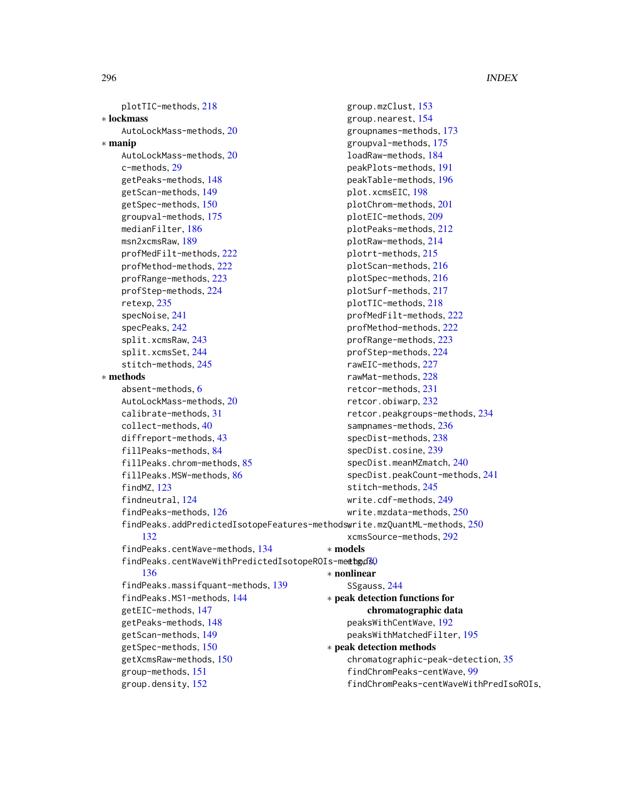plotTIC-methods, [218](#page-217-0) ∗ lockmass AutoLockMass-methods, [20](#page-19-0) ∗ manip AutoLockMass-methods, [20](#page-19-0) c-methods, [29](#page-28-0) getPeaks-methods, [148](#page-147-0) getScan-methods, [149](#page-148-0) getSpec-methods, [150](#page-149-1) groupval-methods, [175](#page-174-1) medianFilter, [186](#page-185-0) msn2xcmsRaw, [189](#page-188-0) profMedFilt-methods, [222](#page-221-0) profMethod-methods, [222](#page-221-0) profRange-methods, [223](#page-222-0) profStep-methods, [224](#page-223-0) retexp, [235](#page-234-0) specNoise, [241](#page-240-0) specPeaks, [242](#page-241-0) split.xcmsRaw, [243](#page-242-1) split.xcmsSet, [244](#page-243-0) stitch-methods, [245](#page-244-0) ∗ methods absent-methods, [6](#page-5-0) AutoLockMass-methods, [20](#page-19-0) calibrate-methods, [31](#page-30-0) collect-methods, [40](#page-39-0) diffreport-methods, [43](#page-42-1) fillPeaks-methods, [84](#page-83-1) fillPeaks.chrom-methods, [85](#page-84-0) fillPeaks.MSW-methods, [86](#page-85-0) findMZ, [123](#page-122-0) findneutral, [124](#page-123-0) findPeaks-methods, [126](#page-125-0) findPeaks.addPredictedIsotopeFeatures-methodswrite.mzQuantML-methods, [250](#page-249-0) [132](#page-131-0) findPeaks.centWave-methods, [134](#page-133-0) findPeaks.centWaveWithPredictedIsotopeROIs-method30 [136](#page-135-0) findPeaks.massifquant-methods, [139](#page-138-0) findPeaks.MS1-methods, [144](#page-143-0) getEIC-methods, [147](#page-146-1) getPeaks-methods, [148](#page-147-0) getScan-methods, [149](#page-148-0) getSpec-methods, [150](#page-149-1) getXcmsRaw-methods, [150](#page-149-1) group-methods, [151](#page-150-1)

group.density, [152](#page-151-0)

```
group.mzClust, 153
    group.nearest, 154
    groupnames-methods, 173
    groupval-methods, 175
    loadRaw-methods, 184
    peakPlots-methods, 191
    peakTable-methods, 196
    plot.xcmsEIC, 198
    plotChrom-methods, 201
    plotEIC-methods, 209
    plotPeaks-methods, 212
    plotRaw-methods, 214
    plotrt-methods, 215
    plotScan-methods, 216
    plotSpec-methods, 216
    plotSurf-methods, 217
    plotTIC-methods, 218
    profMedFilt-methods, 222
    profMethod-methods, 222
    profRange-methods, 223
    profStep-methods, 224
    rawEIC-methods, 227
    rawMat-methods, 228
    retcor-methods, 231
    retcor.obiwarp, 232
    retcor.peakgroups-methods, 234
    sampnames-methods, 236
    specDist-methods, 238
    specDist.cosine, 239
    specDist.meanMZmatch, 240
    specDist.peakCount-methods, 241
    stitch-methods, 245
    write.cdf-methods, 249
    write.mzdata-methods, 250
    xcmsSource-methods, 292
∗ models
∗ nonlinear
    SSgauss, 244
∗ peak detection functions for
        chromatographic data
    peaksWithCentWave, 192
    peaksWithMatchedFilter, 195
∗ peak detection methods
    chromatographic-peak-detection, 35
    findChromPeaks-centWave, 99
```
findChromPeaks-centWaveWithPredIsoROIs,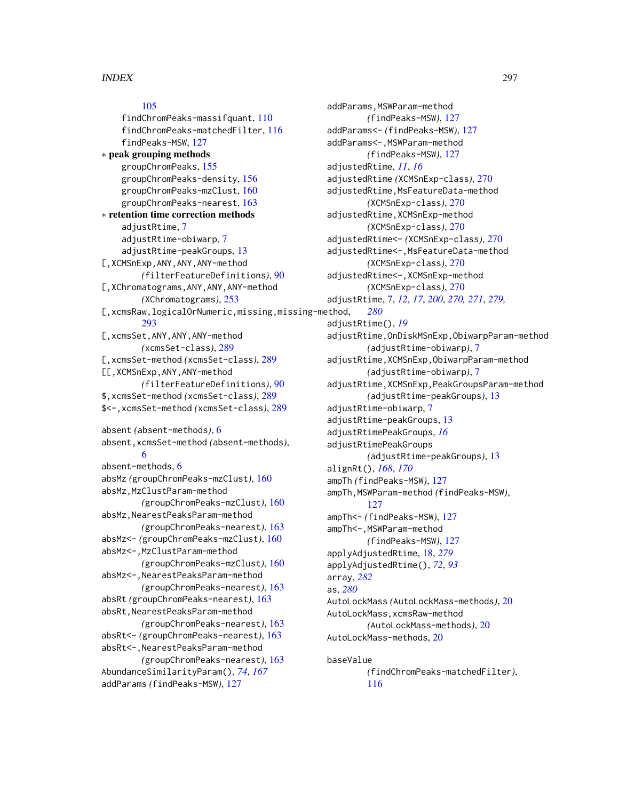[105](#page-104-0) findChromPeaks-massifquant, [110](#page-109-0) findChromPeaks-matchedFilter, [116](#page-115-0) findPeaks-MSW, [127](#page-126-0) ∗ peak grouping methods groupChromPeaks, [155](#page-154-0) groupChromPeaks-density, [156](#page-155-0) groupChromPeaks-mzClust, [160](#page-159-0) groupChromPeaks-nearest, [163](#page-162-0) ∗ retention time correction methods adjustRtime, [7](#page-6-0) adjustRtime-obiwarp, [7](#page-6-0) adjustRtime-peakGroups, [13](#page-12-0) [,XCMSnExp,ANY,ANY,ANY-method *(*filterFeatureDefinitions*)*, [90](#page-89-0) [,XChromatograms,ANY,ANY,ANY-method *(*XChromatograms*)*, [253](#page-252-0) [,xcmsRaw,logicalOrNumeric,missing,missing-method, [293](#page-292-0) [,xcmsSet,ANY,ANY,ANY-method *(*xcmsSet-class*)*, [289](#page-288-0) [,xcmsSet-method *(*xcmsSet-class*)*, [289](#page-288-0) [[,XCMSnExp,ANY,ANY-method *(*filterFeatureDefinitions*)*, [90](#page-89-0) \$,xcmsSet-method *(*xcmsSet-class*)*, [289](#page-288-0) \$<-,xcmsSet-method *(*xcmsSet-class*)*, [289](#page-288-0) absent *(*absent-methods*)*, [6](#page-5-0) absent,xcmsSet-method *(*absent-methods*)*, [6](#page-5-0) absent-methods, [6](#page-5-0) absMz *(*groupChromPeaks-mzClust*)*, [160](#page-159-0) absMz,MzClustParam-method *(*groupChromPeaks-mzClust*)*, [160](#page-159-0) absMz,NearestPeaksParam-method *(*groupChromPeaks-nearest*)*, [163](#page-162-0) absMz<- *(*groupChromPeaks-mzClust*)*, [160](#page-159-0) absMz<-,MzClustParam-method *(*groupChromPeaks-mzClust*)*, [160](#page-159-0) absMz<-,NearestPeaksParam-method *(*groupChromPeaks-nearest*)*, [163](#page-162-0) absRt *(*groupChromPeaks-nearest*)*, [163](#page-162-0) absRt,NearestPeaksParam-method *(*groupChromPeaks-nearest*)*, [163](#page-162-0) absRt<- *(*groupChromPeaks-nearest*)*, [163](#page-162-0) absRt<-,NearestPeaksParam-method *(*groupChromPeaks-nearest*)*, [163](#page-162-0) AbundanceSimilarityParam(), *[74](#page-73-0)*, *[167](#page-166-0)* addParams *(*findPeaks-MSW*)*, [127](#page-126-0)

addParams,MSWParam-method *(*findPeaks-MSW*)*, [127](#page-126-0) addParams<- *(*findPeaks-MSW*)*, [127](#page-126-0) addParams<-,MSWParam-method *(*findPeaks-MSW*)*, [127](#page-126-0) adjustedRtime, *[11](#page-10-0)*, *[16](#page-15-0)* adjustedRtime *(*XCMSnExp-class*)*, [270](#page-269-0) adjustedRtime,MsFeatureData-method *(*XCMSnExp-class*)*, [270](#page-269-0) adjustedRtime,XCMSnExp-method *(*XCMSnExp-class*)*, [270](#page-269-0) adjustedRtime<- *(*XCMSnExp-class*)*, [270](#page-269-0) adjustedRtime<-,MsFeatureData-method *(*XCMSnExp-class*)*, [270](#page-269-0) adjustedRtime<-,XCMSnExp-method *(*XCMSnExp-class*)*, [270](#page-269-0) adjustRtime, [7,](#page-6-0) *[12](#page-11-0)*, *[17](#page-16-0)*, *[200](#page-199-0)*, *[270,](#page-269-0) [271](#page-270-0)*, *[279,](#page-278-0) [280](#page-279-0)* adjustRtime(), *[19](#page-18-0)* adjustRtime,OnDiskMSnExp,ObiwarpParam-method *(*adjustRtime-obiwarp*)*, [7](#page-6-0) adjustRtime,XCMSnExp,ObiwarpParam-method *(*adjustRtime-obiwarp*)*, [7](#page-6-0) adjustRtime,XCMSnExp,PeakGroupsParam-method *(*adjustRtime-peakGroups*)*, [13](#page-12-0) adjustRtime-obiwarp, [7](#page-6-0) adjustRtime-peakGroups, [13](#page-12-0) adjustRtimePeakGroups, *[16](#page-15-0)* adjustRtimePeakGroups *(*adjustRtime-peakGroups*)*, [13](#page-12-0) alignRt(), *[168](#page-167-0)*, *[170](#page-169-0)* ampTh *(*findPeaks-MSW*)*, [127](#page-126-0) ampTh,MSWParam-method *(*findPeaks-MSW*)*, [127](#page-126-0) ampTh<- *(*findPeaks-MSW*)*, [127](#page-126-0) ampTh <-, MSWParam-method *(*findPeaks-MSW*)*, [127](#page-126-0) applyAdjustedRtime, [18,](#page-17-0) *[279](#page-278-0)* applyAdjustedRtime(), *[72](#page-71-0)*, *[93](#page-92-0)* array, *[282](#page-281-0)* as, *[280](#page-279-0)* AutoLockMass *(*AutoLockMass-methods*)*, [20](#page-19-0) AutoLockMass,xcmsRaw-method *(*AutoLockMass-methods*)*, [20](#page-19-0) AutoLockMass-methods, [20](#page-19-0) baseValue

> *(*findChromPeaks-matchedFilter*)*, [116](#page-115-0)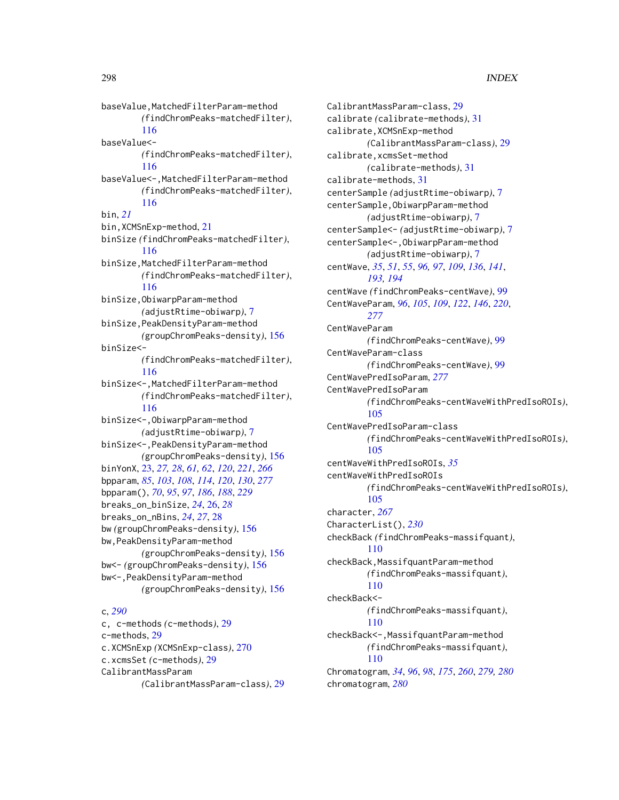baseValue,MatchedFilterParam-method *(*findChromPeaks-matchedFilter*)*, [116](#page-115-0) baseValue<- *(*findChromPeaks-matchedFilter*)*, [116](#page-115-0) baseValue<-,MatchedFilterParam-method *(*findChromPeaks-matchedFilter*)*, [116](#page-115-0) bin, *[21](#page-20-0)* bin,XCMSnExp-method, [21](#page-20-0) binSize *(*findChromPeaks-matchedFilter*)*, [116](#page-115-0) binSize,MatchedFilterParam-method *(*findChromPeaks-matchedFilter*)*, [116](#page-115-0) binSize,ObiwarpParam-method *(*adjustRtime-obiwarp*)*, [7](#page-6-0) binSize,PeakDensityParam-method *(*groupChromPeaks-density*)*, [156](#page-155-0) binSize<- *(*findChromPeaks-matchedFilter*)*, [116](#page-115-0) binSize<-,MatchedFilterParam-method *(*findChromPeaks-matchedFilter*)*, [116](#page-115-0) binSize<-,ObiwarpParam-method *(*adjustRtime-obiwarp*)*, [7](#page-6-0) binSize<-,PeakDensityParam-method *(*groupChromPeaks-density*)*, [156](#page-155-0) binYonX, [23,](#page-22-0) *[27,](#page-26-0) [28](#page-27-0)*, *[61,](#page-60-0) [62](#page-61-0)*, *[120](#page-119-0)*, *[221](#page-220-0)*, *[266](#page-265-0)* bpparam, *[85](#page-84-0)*, *[103](#page-102-0)*, *[108](#page-107-0)*, *[114](#page-113-0)*, *[120](#page-119-0)*, *[130](#page-129-0)*, *[277](#page-276-0)* bpparam(), *[70](#page-69-0)*, *[95](#page-94-0)*, *[97](#page-96-0)*, *[186](#page-185-0)*, *[188](#page-187-0)*, *[229](#page-228-0)* breaks\_on\_binSize, *[24](#page-23-0)*, [26,](#page-25-0) *[28](#page-27-0)* breaks\_on\_nBins, *[24](#page-23-0)*, *[27](#page-26-0)*, [28](#page-27-0) bw *(*groupChromPeaks-density*)*, [156](#page-155-0) bw,PeakDensityParam-method *(*groupChromPeaks-density*)*, [156](#page-155-0) bw<- *(*groupChromPeaks-density*)*, [156](#page-155-0) bw<-,PeakDensityParam-method *(*groupChromPeaks-density*)*, [156](#page-155-0)

# c, *[290](#page-289-0)*

c, c-methods *(*c-methods*)*, [29](#page-28-0) c-methods, [29](#page-28-0) c.XCMSnExp *(*XCMSnExp-class*)*, [270](#page-269-0) c.xcmsSet *(*c-methods*)*, [29](#page-28-0) CalibrantMassParam *(*CalibrantMassParam-class*)*, [29](#page-28-0) CalibrantMassParam-class, [29](#page-28-0) calibrate *(*calibrate-methods*)*, [31](#page-30-0) calibrate,XCMSnExp-method *(*CalibrantMassParam-class*)*, [29](#page-28-0) calibrate,xcmsSet-method *(*calibrate-methods*)*, [31](#page-30-0) calibrate-methods, [31](#page-30-0) centerSample *(*adjustRtime-obiwarp*)*, [7](#page-6-0) centerSample,ObiwarpParam-method *(*adjustRtime-obiwarp*)*, [7](#page-6-0) centerSample<- *(*adjustRtime-obiwarp*)*, [7](#page-6-0) centerSample<-,ObiwarpParam-method *(*adjustRtime-obiwarp*)*, [7](#page-6-0) centWave, *[35](#page-34-0)*, *[51](#page-50-0)*, *[55](#page-54-0)*, *[96,](#page-95-0) [97](#page-96-0)*, *[109](#page-108-0)*, *[136](#page-135-0)*, *[141](#page-140-0)*, *[193,](#page-192-0) [194](#page-193-0)* centWave *(*findChromPeaks-centWave*)*, [99](#page-98-0) CentWaveParam, *[96](#page-95-0)*, *[105](#page-104-0)*, *[109](#page-108-0)*, *[122](#page-121-0)*, *[146](#page-145-0)*, *[220](#page-219-0)*, *[277](#page-276-0)* CentWaveParam *(*findChromPeaks-centWave*)*, [99](#page-98-0) CentWaveParam-class *(*findChromPeaks-centWave*)*, [99](#page-98-0) CentWavePredIsoParam, *[277](#page-276-0)* CentWavePredIsoParam *(*findChromPeaks-centWaveWithPredIsoROIs*)*, [105](#page-104-0) CentWavePredIsoParam-class *(*findChromPeaks-centWaveWithPredIsoROIs*)*, [105](#page-104-0) centWaveWithPredIsoROIs, *[35](#page-34-0)* centWaveWithPredIsoROIs *(*findChromPeaks-centWaveWithPredIsoROIs*)*, [105](#page-104-0) character, *[267](#page-266-1)* CharacterList(), *[230](#page-229-0)* checkBack *(*findChromPeaks-massifquant*)*, [110](#page-109-0) checkBack,MassifquantParam-method *(*findChromPeaks-massifquant*)*, [110](#page-109-0) checkBack<- *(*findChromPeaks-massifquant*)*, [110](#page-109-0) checkBack<-,MassifquantParam-method *(*findChromPeaks-massifquant*)*, [110](#page-109-0) Chromatogram, *[34](#page-33-0)*, *[96](#page-95-0)*, *[98](#page-97-0)*, *[175](#page-174-1)*, *[260](#page-259-0)*, *[279,](#page-278-0) [280](#page-279-0)* chromatogram, *[280](#page-279-0)*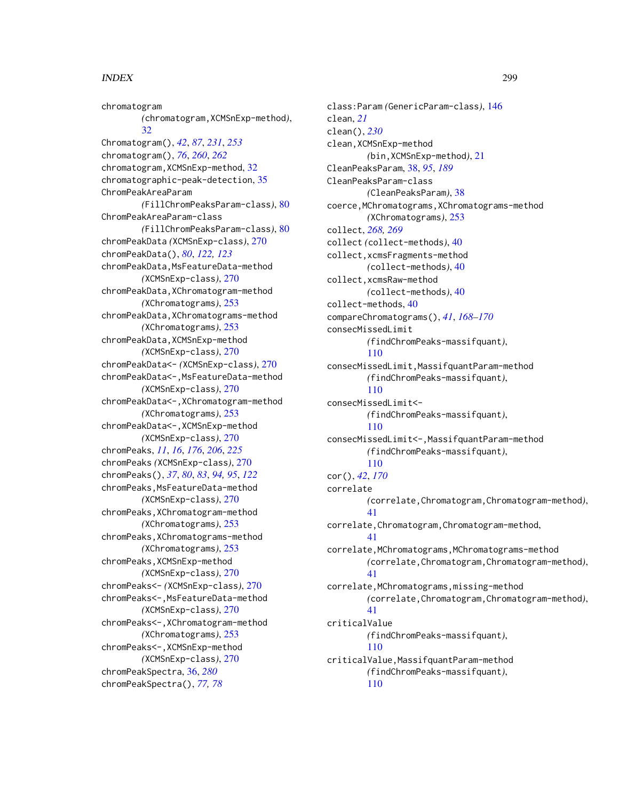chromatogram *(*chromatogram,XCMSnExp-method*)*, [32](#page-31-0) Chromatogram(), *[42](#page-41-0)*, *[87](#page-86-0)*, *[231](#page-230-1)*, *[253](#page-252-0)* chromatogram(), *[76](#page-75-0)*, *[260](#page-259-0)*, *[262](#page-261-0)* chromatogram,XCMSnExp-method, [32](#page-31-0) chromatographic-peak-detection, [35](#page-34-0) ChromPeakAreaParam *(*FillChromPeaksParam-class*)*, [80](#page-79-0) ChromPeakAreaParam-class *(*FillChromPeaksParam-class*)*, [80](#page-79-0) chromPeakData *(*XCMSnExp-class*)*, [270](#page-269-0) chromPeakData(), *[80](#page-79-0)*, *[122,](#page-121-0) [123](#page-122-0)* chromPeakData,MsFeatureData-method *(*XCMSnExp-class*)*, [270](#page-269-0) chromPeakData,XChromatogram-method *(*XChromatograms*)*, [253](#page-252-0) chromPeakData,XChromatograms-method *(*XChromatograms*)*, [253](#page-252-0) chromPeakData,XCMSnExp-method *(*XCMSnExp-class*)*, [270](#page-269-0) chromPeakData<- *(*XCMSnExp-class*)*, [270](#page-269-0) chromPeakData<-,MsFeatureData-method *(*XCMSnExp-class*)*, [270](#page-269-0) chromPeakData<-,XChromatogram-method *(*XChromatograms*)*, [253](#page-252-0) chromPeakData<-,XCMSnExp-method *(*XCMSnExp-class*)*, [270](#page-269-0) chromPeaks, *[11](#page-10-0)*, *[16](#page-15-0)*, *[176](#page-175-0)*, *[206](#page-205-0)*, *[225](#page-224-0)* chromPeaks *(*XCMSnExp-class*)*, [270](#page-269-0) chromPeaks(), *[37](#page-36-0)*, *[80](#page-79-0)*, *[83](#page-82-0)*, *[94,](#page-93-0) [95](#page-94-0)*, *[122](#page-121-0)* chromPeaks, MsFeatureData-method *(*XCMSnExp-class*)*, [270](#page-269-0) chromPeaks,XChromatogram-method *(*XChromatograms*)*, [253](#page-252-0) chromPeaks,XChromatograms-method *(*XChromatograms*)*, [253](#page-252-0) chromPeaks,XCMSnExp-method *(*XCMSnExp-class*)*, [270](#page-269-0) chromPeaks<- *(*XCMSnExp-class*)*, [270](#page-269-0) chromPeaks<-, MsFeatureData-method *(*XCMSnExp-class*)*, [270](#page-269-0) chromPeaks<-,XChromatogram-method *(*XChromatograms*)*, [253](#page-252-0) chromPeaks<-,XCMSnExp-method *(*XCMSnExp-class*)*, [270](#page-269-0) chromPeakSpectra, [36,](#page-35-0) *[280](#page-279-0)* chromPeakSpectra(), *[77,](#page-76-0) [78](#page-77-0)*

class:Param *(*GenericParam-class*)*, [146](#page-145-0) clean, *[21](#page-20-0)* clean(), *[230](#page-229-0)* clean,XCMSnExp-method *(*bin,XCMSnExp-method*)*, [21](#page-20-0) CleanPeaksParam, [38,](#page-37-0) *[95](#page-94-0)*, *[189](#page-188-0)* CleanPeaksParam-class *(*CleanPeaksParam*)*, [38](#page-37-0) coerce,MChromatograms,XChromatograms-method *(*XChromatograms*)*, [253](#page-252-0) collect, *[268,](#page-267-0) [269](#page-268-0)* collect *(*collect-methods*)*, [40](#page-39-0) collect,xcmsFragments-method *(*collect-methods*)*, [40](#page-39-0) collect,xcmsRaw-method *(*collect-methods*)*, [40](#page-39-0) collect-methods, [40](#page-39-0) compareChromatograms(), *[41](#page-40-0)*, *[168](#page-167-0)[–170](#page-169-0)* consecMissedLimit *(*findChromPeaks-massifquant*)*, [110](#page-109-0) consecMissedLimit,MassifquantParam-method *(*findChromPeaks-massifquant*)*, [110](#page-109-0) consecMissedLimit<- *(*findChromPeaks-massifquant*)*, [110](#page-109-0) consecMissedLimit<-,MassifquantParam-method *(*findChromPeaks-massifquant*)*, [110](#page-109-0) cor(), *[42](#page-41-0)*, *[170](#page-169-0)* correlate *(*correlate,Chromatogram,Chromatogram-method*)*, [41](#page-40-0) correlate,Chromatogram,Chromatogram-method, [41](#page-40-0) correlate,MChromatograms,MChromatograms-method *(*correlate,Chromatogram,Chromatogram-method*)*, [41](#page-40-0) correlate,MChromatograms,missing-method *(*correlate,Chromatogram,Chromatogram-method*)*, [41](#page-40-0) criticalValue *(*findChromPeaks-massifquant*)*, [110](#page-109-0) criticalValue,MassifquantParam-method *(*findChromPeaks-massifquant*)*, [110](#page-109-0)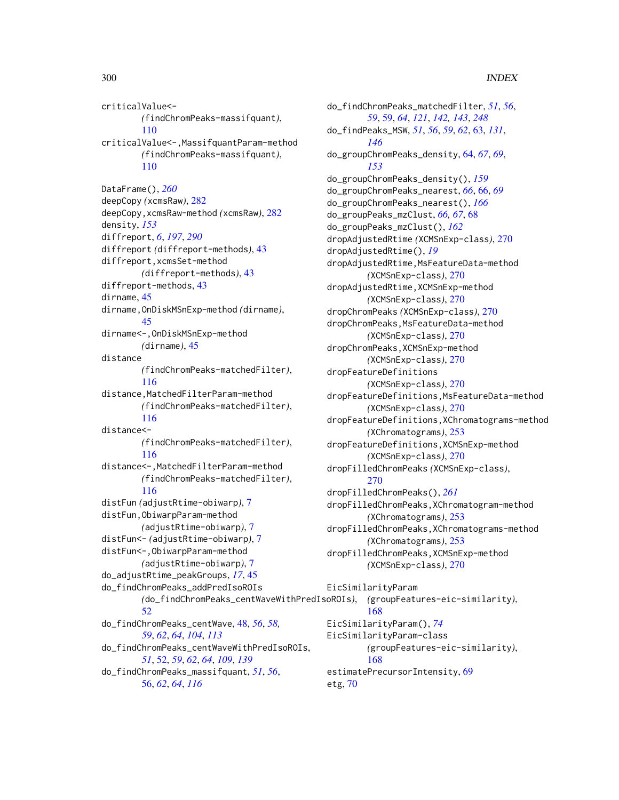criticalValue<- *(*findChromPeaks-massifquant*)*, [110](#page-109-0) criticalValue<-,MassifquantParam-method *(*findChromPeaks-massifquant*)*, [110](#page-109-0)

DataFrame(), *[260](#page-259-0)* deepCopy *(*xcmsRaw*)*, [282](#page-281-0) deepCopy,xcmsRaw-method *(*xcmsRaw*)*, [282](#page-281-0) density, *[153](#page-152-0)* diffreport, *[6](#page-5-0)*, *[197](#page-196-0)*, *[290](#page-289-0)* diffreport *(*diffreport-methods*)*, [43](#page-42-1) diffreport,xcmsSet-method *(*diffreport-methods*)*, [43](#page-42-1) diffreport-methods, [43](#page-42-1) dirname, [45](#page-44-0) dirname,OnDiskMSnExp-method *(*dirname*)*, [45](#page-44-0) dirname<-,OnDiskMSnExp-method *(*dirname*)*, [45](#page-44-0) distance *(*findChromPeaks-matchedFilter*)*, [116](#page-115-0) distance,MatchedFilterParam-method *(*findChromPeaks-matchedFilter*)*, [116](#page-115-0) distance<- *(*findChromPeaks-matchedFilter*)*, [116](#page-115-0) distance<-,MatchedFilterParam-method *(*findChromPeaks-matchedFilter*)*, [116](#page-115-0) distFun *(*adjustRtime-obiwarp*)*, [7](#page-6-0) distFun,ObiwarpParam-method *(*adjustRtime-obiwarp*)*, [7](#page-6-0) distFun<- *(*adjustRtime-obiwarp*)*, [7](#page-6-0) distFun<-,ObiwarpParam-method *(*adjustRtime-obiwarp*)*, [7](#page-6-0) do\_adjustRtime\_peakGroups, *[17](#page-16-0)*, [45](#page-44-0) do\_findChromPeaks\_addPredIsoROIs [52](#page-51-0) do\_findChromPeaks\_centWave, [48,](#page-47-0) *[56](#page-55-0)*, *[58,](#page-57-0) [59](#page-58-0)*, *[62](#page-61-0)*, *[64](#page-63-0)*, *[104](#page-103-0)*, *[113](#page-112-0)* do\_findChromPeaks\_centWaveWithPredIsoROIs, *[51](#page-50-0)*, [52,](#page-51-0) *[59](#page-58-0)*, *[62](#page-61-0)*, *[64](#page-63-0)*, *[109](#page-108-0)*, *[139](#page-138-0)* do\_findChromPeaks\_massifquant, *[51](#page-50-0)*, *[56](#page-55-0)*, [56,](#page-55-0) *[62](#page-61-0)*, *[64](#page-63-0)*, *[116](#page-115-0)*

*(*do\_findChromPeaks\_centWaveWithPredIsoROIs*)*, *(*groupFeatures-eic-similarity*)*, do\_findChromPeaks\_matchedFilter, *[51](#page-50-0)*, *[56](#page-55-0)*, *[59](#page-58-0)*, [59,](#page-58-0) *[64](#page-63-0)*, *[121](#page-120-0)*, *[142,](#page-141-0) [143](#page-142-0)*, *[248](#page-247-0)* do\_findPeaks\_MSW, *[51](#page-50-0)*, *[56](#page-55-0)*, *[59](#page-58-0)*, *[62](#page-61-0)*, [63,](#page-62-0) *[131](#page-130-0)*, *[146](#page-145-0)* do\_groupChromPeaks\_density, [64,](#page-63-0) *[67](#page-66-0)*, *[69](#page-68-0)*, *[153](#page-152-0)* do\_groupChromPeaks\_density(), *[159](#page-158-0)* do\_groupChromPeaks\_nearest, *[66](#page-65-0)*, [66,](#page-65-0) *[69](#page-68-0)* do\_groupChromPeaks\_nearest(), *[166](#page-165-0)* do\_groupPeaks\_mzClust, *[66,](#page-65-0) [67](#page-66-0)*, [68](#page-67-0) do\_groupPeaks\_mzClust(), *[162](#page-161-0)* dropAdjustedRtime *(*XCMSnExp-class*)*, [270](#page-269-0) dropAdjustedRtime(), *[19](#page-18-0)* dropAdjustedRtime,MsFeatureData-method *(*XCMSnExp-class*)*, [270](#page-269-0) dropAdjustedRtime,XCMSnExp-method *(*XCMSnExp-class*)*, [270](#page-269-0) dropChromPeaks *(*XCMSnExp-class*)*, [270](#page-269-0) dropChromPeaks,MsFeatureData-method *(*XCMSnExp-class*)*, [270](#page-269-0) dropChromPeaks,XCMSnExp-method *(*XCMSnExp-class*)*, [270](#page-269-0) dropFeatureDefinitions *(*XCMSnExp-class*)*, [270](#page-269-0) dropFeatureDefinitions,MsFeatureData-method *(*XCMSnExp-class*)*, [270](#page-269-0) dropFeatureDefinitions,XChromatograms-method *(*XChromatograms*)*, [253](#page-252-0) dropFeatureDefinitions,XCMSnExp-method *(*XCMSnExp-class*)*, [270](#page-269-0) dropFilledChromPeaks *(*XCMSnExp-class*)*, [270](#page-269-0) dropFilledChromPeaks(), *[261](#page-260-0)* dropFilledChromPeaks,XChromatogram-method *(*XChromatograms*)*, [253](#page-252-0) dropFilledChromPeaks,XChromatograms-method *(*XChromatograms*)*, [253](#page-252-0) dropFilledChromPeaks,XCMSnExp-method *(*XCMSnExp-class*)*, [270](#page-269-0) EicSimilarityParam [168](#page-167-0)

EicSimilarityParam(), *[74](#page-73-0)* EicSimilarityParam-class *(*groupFeatures-eic-similarity*)*, [168](#page-167-0) estimatePrecursorIntensity, [69](#page-68-0) etg, [70](#page-69-0)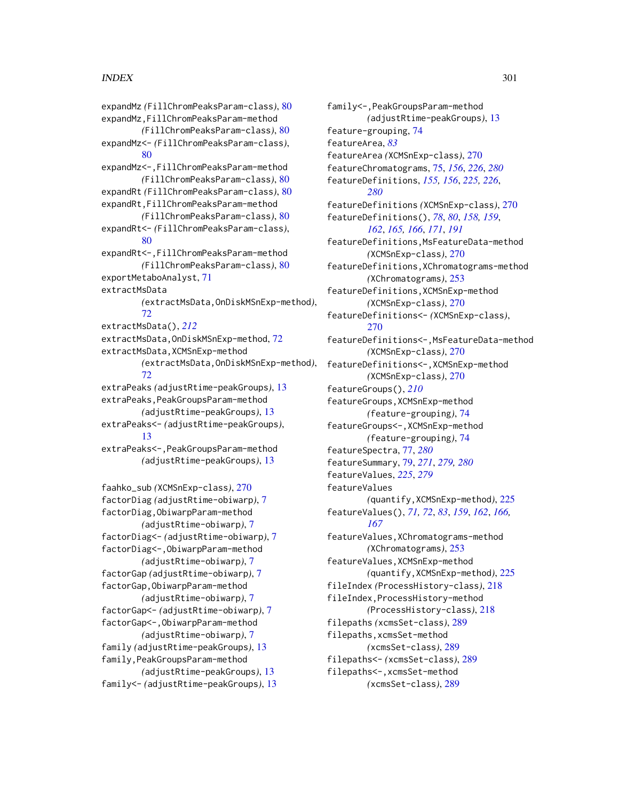expandMz *(*FillChromPeaksParam-class*)*, [80](#page-79-0) expandMz,FillChromPeaksParam-method *(*FillChromPeaksParam-class*)*, [80](#page-79-0) expandMz<- *(*FillChromPeaksParam-class*)*, [80](#page-79-0) expandMz<-,FillChromPeaksParam-method *(*FillChromPeaksParam-class*)*, [80](#page-79-0) expandRt *(*FillChromPeaksParam-class*)*, [80](#page-79-0) expandRt,FillChromPeaksParam-method *(*FillChromPeaksParam-class*)*, [80](#page-79-0) expandRt<- *(*FillChromPeaksParam-class*)*, [80](#page-79-0) expandRt<-,FillChromPeaksParam-method *(*FillChromPeaksParam-class*)*, [80](#page-79-0) exportMetaboAnalyst, [71](#page-70-0) extractMsData *(*extractMsData,OnDiskMSnExp-method*)*, [72](#page-71-0) extractMsData(), *[212](#page-211-0)* extractMsData,OnDiskMSnExp-method, [72](#page-71-0) extractMsData,XCMSnExp-method *(*extractMsData,OnDiskMSnExp-method*)*, [72](#page-71-0) extraPeaks *(*adjustRtime-peakGroups*)*, [13](#page-12-0) extraPeaks,PeakGroupsParam-method *(*adjustRtime-peakGroups*)*, [13](#page-12-0) extraPeaks<- *(*adjustRtime-peakGroups*)*, [13](#page-12-0) extraPeaks<-,PeakGroupsParam-method *(*adjustRtime-peakGroups*)*, [13](#page-12-0) faahko\_sub *(*XCMSnExp-class*)*, [270](#page-269-0) factorDiag *(*adjustRtime-obiwarp*)*, [7](#page-6-0) factorDiag,ObiwarpParam-method *(*adjustRtime-obiwarp*)*, [7](#page-6-0) factorDiag<- *(*adjustRtime-obiwarp*)*, [7](#page-6-0) factorDiag<-,ObiwarpParam-method *(*adjustRtime-obiwarp*)*, [7](#page-6-0) factorGap *(*adjustRtime-obiwarp*)*, [7](#page-6-0) factorGap,ObiwarpParam-method *(*adjustRtime-obiwarp*)*, [7](#page-6-0) factorGap<- *(*adjustRtime-obiwarp*)*, [7](#page-6-0) factorGap<-,ObiwarpParam-method *(*adjustRtime-obiwarp*)*, [7](#page-6-0) family *(*adjustRtime-peakGroups*)*, [13](#page-12-0) family,PeakGroupsParam-method *(*adjustRtime-peakGroups*)*, [13](#page-12-0) family<- *(*adjustRtime-peakGroups*)*, [13](#page-12-0)

family<-,PeakGroupsParam-method *(*adjustRtime-peakGroups*)*, [13](#page-12-0) feature-grouping, [74](#page-73-0) featureArea, *[83](#page-82-0)* featureArea *(*XCMSnExp-class*)*, [270](#page-269-0) featureChromatograms, [75,](#page-74-0) *[156](#page-155-0)*, *[226](#page-225-0)*, *[280](#page-279-0)* featureDefinitions, *[155,](#page-154-0) [156](#page-155-0)*, *[225,](#page-224-0) [226](#page-225-0)*, *[280](#page-279-0)* featureDefinitions *(*XCMSnExp-class*)*, [270](#page-269-0) featureDefinitions(), *[78](#page-77-0)*, *[80](#page-79-0)*, *[158,](#page-157-0) [159](#page-158-0)*, *[162](#page-161-0)*, *[165,](#page-164-0) [166](#page-165-0)*, *[171](#page-170-0)*, *[191](#page-190-0)* featureDefinitions,MsFeatureData-method *(*XCMSnExp-class*)*, [270](#page-269-0) featureDefinitions,XChromatograms-method *(*XChromatograms*)*, [253](#page-252-0) featureDefinitions,XCMSnExp-method *(*XCMSnExp-class*)*, [270](#page-269-0) featureDefinitions<- *(*XCMSnExp-class*)*, [270](#page-269-0) featureDefinitions<-,MsFeatureData-method *(*XCMSnExp-class*)*, [270](#page-269-0) featureDefinitions<-,XCMSnExp-method *(*XCMSnExp-class*)*, [270](#page-269-0) featureGroups(), *[210](#page-209-0)* featureGroups,XCMSnExp-method *(*feature-grouping*)*, [74](#page-73-0) featureGroups<-,XCMSnExp-method *(*feature-grouping*)*, [74](#page-73-0) featureSpectra, [77,](#page-76-0) *[280](#page-279-0)* featureSummary, [79,](#page-78-0) *[271](#page-270-0)*, *[279,](#page-278-0) [280](#page-279-0)* featureValues, *[225](#page-224-0)*, *[279](#page-278-0)* featureValues *(*quantify,XCMSnExp-method*)*, [225](#page-224-0) featureValues(), *[71,](#page-70-0) [72](#page-71-0)*, *[83](#page-82-0)*, *[159](#page-158-0)*, *[162](#page-161-0)*, *[166,](#page-165-0) [167](#page-166-0)* featureValues,XChromatograms-method *(*XChromatograms*)*, [253](#page-252-0) featureValues,XCMSnExp-method *(*quantify,XCMSnExp-method*)*, [225](#page-224-0) fileIndex *(*ProcessHistory-class*)*, [218](#page-217-0) fileIndex,ProcessHistory-method *(*ProcessHistory-class*)*, [218](#page-217-0) filepaths *(*xcmsSet-class*)*, [289](#page-288-0) filepaths,xcmsSet-method *(*xcmsSet-class*)*, [289](#page-288-0) filepaths<- *(*xcmsSet-class*)*, [289](#page-288-0) filepaths<-,xcmsSet-method *(*xcmsSet-class*)*, [289](#page-288-0)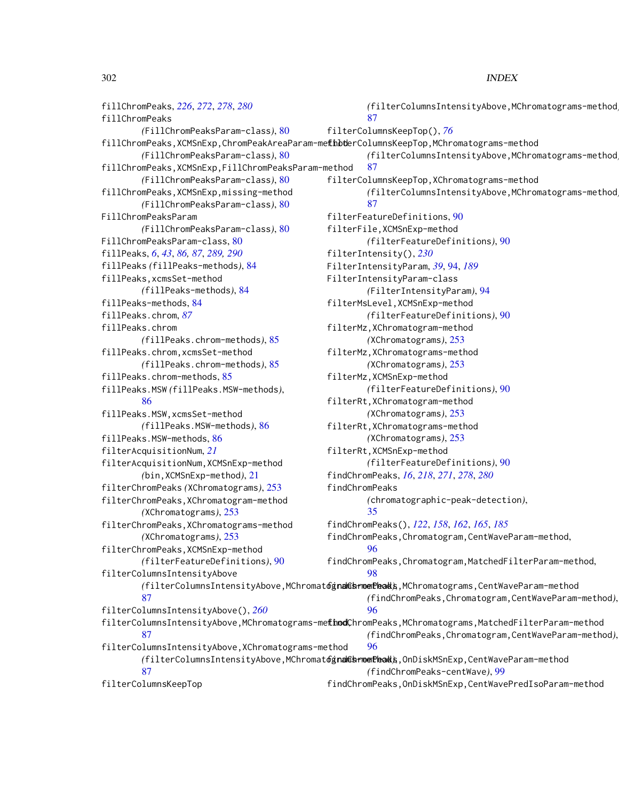fillChromPeaks, *[226](#page-225-0)*, *[272](#page-271-0)*, *[278](#page-277-0)*, *[280](#page-279-0)* fillChromPeaks *(*FillChromPeaksParam-class*)*, [80](#page-79-0) fillChromPeaks, XCMSnExp, ChromPeakAreaParam-methoterColumnsKeepTop, MChromatograms-method *(*FillChromPeaksParam-class*)*, [80](#page-79-0) fillChromPeaks,XCMSnExp,FillChromPeaksParam-method *(*FillChromPeaksParam-class*)*, [80](#page-79-0) fillChromPeaks,XCMSnExp,missing-method *(*FillChromPeaksParam-class*)*, [80](#page-79-0) FillChromPeaksParam *(*FillChromPeaksParam-class*)*, [80](#page-79-0) FillChromPeaksParam-class, [80](#page-79-0) fillPeaks, *[6](#page-5-0)*, *[43](#page-42-1)*, *[86,](#page-85-0) [87](#page-86-0)*, *[289,](#page-288-0) [290](#page-289-0)* fillPeaks *(*fillPeaks-methods*)*, [84](#page-83-1) fillPeaks,xcmsSet-method *(*fillPeaks-methods*)*, [84](#page-83-1) fillPeaks-methods, [84](#page-83-1) fillPeaks.chrom, *[87](#page-86-0)* fillPeaks.chrom *(*fillPeaks.chrom-methods*)*, [85](#page-84-0) fillPeaks.chrom,xcmsSet-method *(*fillPeaks.chrom-methods*)*, [85](#page-84-0) fillPeaks.chrom-methods, [85](#page-84-0) fillPeaks.MSW *(*fillPeaks.MSW-methods*)*, [86](#page-85-0) fillPeaks.MSW,xcmsSet-method *(*fillPeaks.MSW-methods*)*, [86](#page-85-0) fillPeaks.MSW-methods, [86](#page-85-0) filterAcquisitionNum, *[21](#page-20-0)* filterAcquisitionNum,XCMSnExp-method *(*bin,XCMSnExp-method*)*, [21](#page-20-0) filterChromPeaks *(*XChromatograms*)*, [253](#page-252-0) filterChromPeaks,XChromatogram-method *(*XChromatograms*)*, [253](#page-252-0) filterChromPeaks,XChromatograms-method *(*XChromatograms*)*, [253](#page-252-0) filterChromPeaks,XCMSnExp-method *(*filterFeatureDefinitions*)*, [90](#page-89-0) filterColumnsIntensityAbove *(*filterColumnsIntensityAbove,MChromatograms-method*)*, findChromPeaks,MChromatograms,CentWaveParam-method [87](#page-86-0) filterColumnsIntensityAbove(), *[260](#page-259-0)* filterColumnsIntensityAbove,MChromatograms-me**finod**ChromPeaks,MChromatograms,MatchedFilterParam-method [87](#page-86-0) filterColumnsIntensityAbove,XChromatograms-method *(*filterColumnsIntensityAbove,MChromatograms-method*)*, findChromPeaks,OnDiskMSnExp,CentWaveParam-method [87](#page-86-0) filterColumnsKeepTop *(*filterColumnsIntensityAbove,MChromatograms-method*)*, [87](#page-86-0) filterColumnsKeepTop(), *[76](#page-75-0) (*filterColumnsIntensityAbove,MChromatograms-method*)*, [87](#page-86-0) filterColumnsKeepTop,XChromatograms-method *(*filterColumnsIntensityAbove,MChromatograms-method*)*, [87](#page-86-0) filterFeatureDefinitions, [90](#page-89-0) filterFile,XCMSnExp-method *(*filterFeatureDefinitions*)*, [90](#page-89-0) filterIntensity(), *[230](#page-229-0)* FilterIntensityParam, *[39](#page-38-0)*, [94,](#page-93-0) *[189](#page-188-0)* FilterIntensityParam-class *(*FilterIntensityParam*)*, [94](#page-93-0) filterMsLevel,XCMSnExp-method *(*filterFeatureDefinitions*)*, [90](#page-89-0) filterMz,XChromatogram-method *(*XChromatograms*)*, [253](#page-252-0) filterMz,XChromatograms-method *(*XChromatograms*)*, [253](#page-252-0) filterMz,XCMSnExp-method *(*filterFeatureDefinitions*)*, [90](#page-89-0) filterRt,XChromatogram-method *(*XChromatograms*)*, [253](#page-252-0) filterRt,XChromatograms-method *(*XChromatograms*)*, [253](#page-252-0) filterRt,XCMSnExp-method *(*filterFeatureDefinitions*)*, [90](#page-89-0) findChromPeaks, *[16](#page-15-0)*, *[218](#page-217-0)*, *[271](#page-270-0)*, *[278](#page-277-0)*, *[280](#page-279-0)* findChromPeaks *(*chromatographic-peak-detection*)*, [35](#page-34-0) findChromPeaks(), *[122](#page-121-0)*, *[158](#page-157-0)*, *[162](#page-161-0)*, *[165](#page-164-0)*, *[185](#page-184-0)* findChromPeaks,Chromatogram,CentWaveParam-method, [96](#page-95-0) findChromPeaks,Chromatogram,MatchedFilterParam-method, [98](#page-97-0) *(*findChromPeaks,Chromatogram,CentWaveParam-method*)*, [96](#page-95-0) *(*findChromPeaks,Chromatogram,CentWaveParam-method*)*, [96](#page-95-0) *(*findChromPeaks-centWave*)*, [99](#page-98-0) findChromPeaks,OnDiskMSnExp,CentWavePredIsoParam-method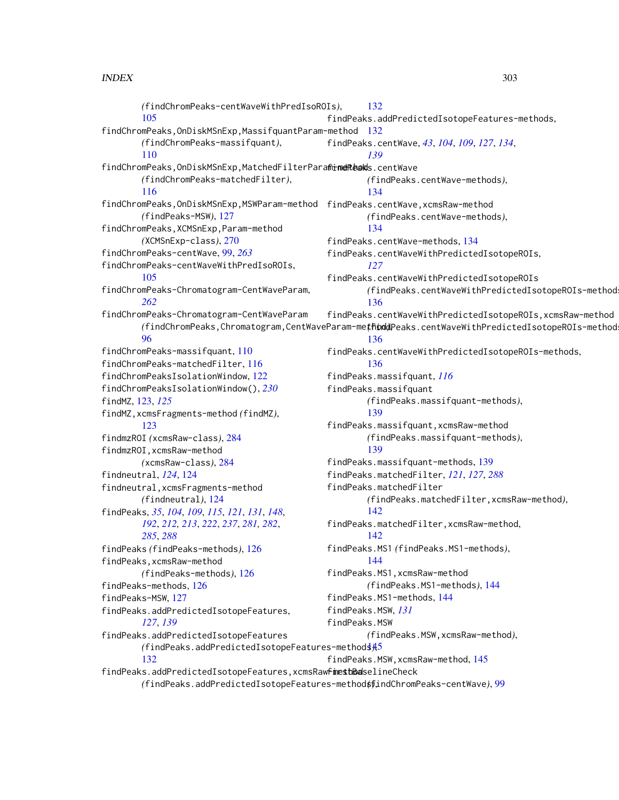*(*findChromPeaks-centWaveWithPredIsoROIs*)*, [105](#page-104-0) findChromPeaks,OnDiskMSnExp,MassifquantParam-method [132](#page-131-0) *(*findChromPeaks-massifquant*)*, [110](#page-109-0) findChromPeaks,OnDiskMSnExp,MatchedFilterPara**mindReak**s.centWave *(*findChromPeaks-matchedFilter*)*, [116](#page-115-0) findChromPeaks,OnDiskMSnExp,MSWParam-method findPeaks.centWave,xcmsRaw-method *(*findPeaks-MSW*)*, [127](#page-126-0) findChromPeaks,XCMSnExp,Param-method *(*XCMSnExp-class*)*, [270](#page-269-0) findChromPeaks-centWave, [99,](#page-98-0) *[263](#page-262-0)* findChromPeaks-centWaveWithPredIsoROIs, [105](#page-104-0) findChromPeaks-Chromatogram-CentWaveParam, *[262](#page-261-0)* findChromPeaks-Chromatogram-CentWaveParam *(*findChromPeaks,Chromatogram,CentWaveParam-method*)*, *(*findPeaks.centWaveWithPredictedIsotopeROIs-methods*)*, [96](#page-95-0) findChromPeaks-massifquant, [110](#page-109-0) findChromPeaks-matchedFilter, [116](#page-115-0) findChromPeaksIsolationWindow, [122](#page-121-0) findChromPeaksIsolationWindow(), *[230](#page-229-0)* findMZ, [123,](#page-122-0) *[125](#page-124-0)* findMZ,xcmsFragments-method *(*findMZ*)*, [123](#page-122-0) findmzROI *(*xcmsRaw-class*)*, [284](#page-283-1) findmzROI,xcmsRaw-method *(*xcmsRaw-class*)*, [284](#page-283-1) findneutral, *[124](#page-123-0)*, [124](#page-123-0) findneutral,xcmsFragments-method *(*findneutral*)*, [124](#page-123-0) findPeaks, *[35](#page-34-0)*, *[104](#page-103-0)*, *[109](#page-108-0)*, *[115](#page-114-0)*, *[121](#page-120-0)*, *[131](#page-130-0)*, *[148](#page-147-0)*, *[192](#page-191-0)*, *[212,](#page-211-0) [213](#page-212-0)*, *[222](#page-221-0)*, *[237](#page-236-0)*, *[281,](#page-280-0) [282](#page-281-0)*, *[285](#page-284-0)*, *[288](#page-287-0)* findPeaks *(*findPeaks-methods*)*, [126](#page-125-0) findPeaks,xcmsRaw-method *(*findPeaks-methods*)*, [126](#page-125-0) findPeaks-methods, [126](#page-125-0) findPeaks-MSW, [127](#page-126-0) findPeaks.addPredictedIsotopeFeatures, *[127](#page-126-0)*, *[139](#page-138-0)* findPeaks.addPredictedIsotopeFeatures *(*findPeaks.addPredictedIsotopeFeatures-methods*)*, [145](#page-144-0) [132](#page-131-0) [132](#page-131-0) findPeaks.addPredictedIsotopeFeatures-methods, findPeaks.centWave, *[43](#page-42-1)*, *[104](#page-103-0)*, *[109](#page-108-0)*, *[127](#page-126-0)*, *[134](#page-133-0)*, *[139](#page-138-0) (*findPeaks.centWave-methods*)*, [134](#page-133-0) *(*findPeaks.centWave-methods*)*, [134](#page-133-0) findPeaks.centWave-methods, [134](#page-133-0) findPeaks.centWaveWithPredictedIsotopeROIs, *[127](#page-126-0)* findPeaks.centWaveWithPredictedIsotopeROIs *(*findPeaks.centWaveWithPredictedIsotopeROIs-methods*)*, [136](#page-135-0) findPeaks.centWaveWithPredictedIsotopeROIs,xcmsRaw-method [136](#page-135-0) findPeaks.centWaveWithPredictedIsotopeROIs-methods, [136](#page-135-0) findPeaks.massifquant, *[116](#page-115-0)* findPeaks.massifquant *(*findPeaks.massifquant-methods*)*, [139](#page-138-0) findPeaks.massifquant,xcmsRaw-method *(*findPeaks.massifquant-methods*)*, [139](#page-138-0) findPeaks.massifquant-methods, [139](#page-138-0) findPeaks.matchedFilter, *[121](#page-120-0)*, *[127](#page-126-0)*, *[288](#page-287-0)* findPeaks.matchedFilter *(*findPeaks.matchedFilter,xcmsRaw-method*)*, [142](#page-141-0) findPeaks.matchedFilter,xcmsRaw-method, [142](#page-141-0) findPeaks.MS1 *(*findPeaks.MS1-methods*)*, [144](#page-143-0) findPeaks.MS1,xcmsRaw-method *(*findPeaks.MS1-methods*)*, [144](#page-143-0) findPeaks.MS1-methods, [144](#page-143-0) findPeaks.MSW, *[131](#page-130-0)* findPeaks.MSW *(*findPeaks.MSW,xcmsRaw-method*)*, findPeaks.MSW,xcmsRaw-method, [145](#page-144-0)

findPeaks.addPredictedIsotopeFeatures, xcmsRawfinesthBaselineCheck *(*findPeaks.addPredictedIsotopeFeatures-methods*)*, *(*findChromPeaks-centWave*)*, [99](#page-98-0)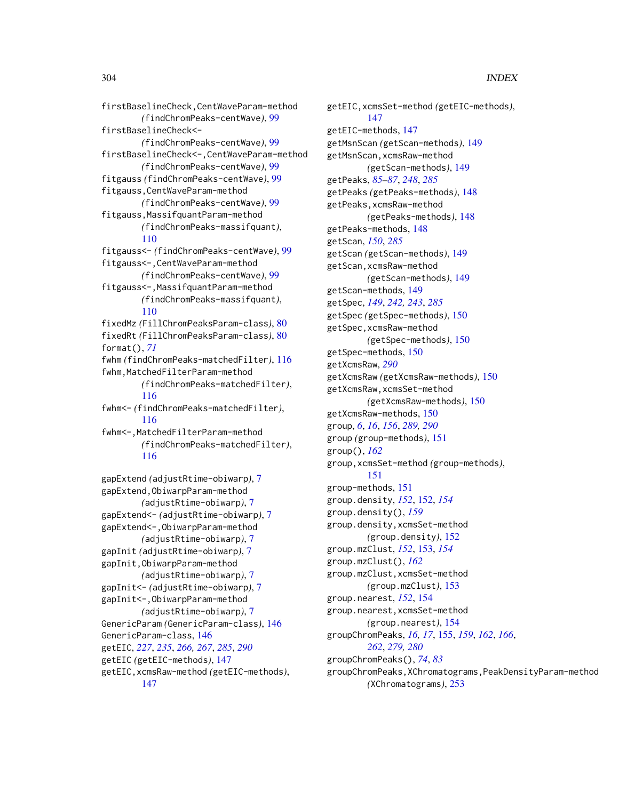firstBaselineCheck,CentWaveParam-method *(*findChromPeaks-centWave*)*, [99](#page-98-0) firstBaselineCheck<- *(*findChromPeaks-centWave*)*, [99](#page-98-0) firstBaselineCheck<-,CentWaveParam-method *(*findChromPeaks-centWave*)*, [99](#page-98-0) fitgauss *(*findChromPeaks-centWave*)*, [99](#page-98-0) fitgauss,CentWaveParam-method *(*findChromPeaks-centWave*)*, [99](#page-98-0) fitgauss,MassifquantParam-method *(*findChromPeaks-massifquant*)*, [110](#page-109-0) fitgauss<- *(*findChromPeaks-centWave*)*, [99](#page-98-0) fitgauss<-,CentWaveParam-method *(*findChromPeaks-centWave*)*, [99](#page-98-0) fitgauss<-,MassifquantParam-method *(*findChromPeaks-massifquant*)*, [110](#page-109-0) fixedMz *(*FillChromPeaksParam-class*)*, [80](#page-79-0) fixedRt *(*FillChromPeaksParam-class*)*, [80](#page-79-0) format(), *[71](#page-70-0)* fwhm *(*findChromPeaks-matchedFilter*)*, [116](#page-115-0) fwhm, MatchedFilterParam-method *(*findChromPeaks-matchedFilter*)*, [116](#page-115-0) fwhm<- *(*findChromPeaks-matchedFilter*)*, [116](#page-115-0) fwhm<-,MatchedFilterParam-method *(*findChromPeaks-matchedFilter*)*, [116](#page-115-0) gapExtend *(*adjustRtime-obiwarp*)*, [7](#page-6-0) gapExtend,ObiwarpParam-method *(*adjustRtime-obiwarp*)*, [7](#page-6-0) gapExtend<- *(*adjustRtime-obiwarp*)*, [7](#page-6-0) gapExtend<-,ObiwarpParam-method *(*adjustRtime-obiwarp*)*, [7](#page-6-0) gapInit *(*adjustRtime-obiwarp*)*, [7](#page-6-0) gapInit,ObiwarpParam-method *(*adjustRtime-obiwarp*)*, [7](#page-6-0) gapInit<- *(*adjustRtime-obiwarp*)*, [7](#page-6-0) gapInit<-,ObiwarpParam-method *(*adjustRtime-obiwarp*)*, [7](#page-6-0) GenericParam *(*GenericParam-class*)*, [146](#page-145-0) GenericParam-class, [146](#page-145-0) getEIC, *[227](#page-226-0)*, *[235](#page-234-0)*, *[266,](#page-265-0) [267](#page-266-1)*, *[285](#page-284-0)*, *[290](#page-289-0)*

getEIC *(*getEIC-methods*)*, [147](#page-146-1) getEIC,xcmsRaw-method *(*getEIC-methods*)*,

[147](#page-146-1)

getEIC,xcmsSet-method *(*getEIC-methods*)*, [147](#page-146-1) getEIC-methods, [147](#page-146-1) getMsnScan *(*getScan-methods*)*, [149](#page-148-0) getMsnScan,xcmsRaw-method *(*getScan-methods*)*, [149](#page-148-0) getPeaks, *[85](#page-84-0)[–87](#page-86-0)*, *[248](#page-247-0)*, *[285](#page-284-0)* getPeaks *(*getPeaks-methods*)*, [148](#page-147-0) getPeaks,xcmsRaw-method *(*getPeaks-methods*)*, [148](#page-147-0) getPeaks-methods, [148](#page-147-0) getScan, *[150](#page-149-1)*, *[285](#page-284-0)* getScan *(*getScan-methods*)*, [149](#page-148-0) getScan,xcmsRaw-method *(*getScan-methods*)*, [149](#page-148-0) getScan-methods, [149](#page-148-0) getSpec, *[149](#page-148-0)*, *[242,](#page-241-0) [243](#page-242-1)*, *[285](#page-284-0)* getSpec *(*getSpec-methods*)*, [150](#page-149-1) getSpec,xcmsRaw-method *(*getSpec-methods*)*, [150](#page-149-1) getSpec-methods, [150](#page-149-1) getXcmsRaw, *[290](#page-289-0)* getXcmsRaw *(*getXcmsRaw-methods*)*, [150](#page-149-1) getXcmsRaw,xcmsSet-method *(*getXcmsRaw-methods*)*, [150](#page-149-1) getXcmsRaw-methods, [150](#page-149-1) group, *[6](#page-5-0)*, *[16](#page-15-0)*, *[156](#page-155-0)*, *[289,](#page-288-0) [290](#page-289-0)* group *(*group-methods*)*, [151](#page-150-1) group(), *[162](#page-161-0)* group,xcmsSet-method *(*group-methods*)*, [151](#page-150-1) group-methods, [151](#page-150-1) group.density, *[152](#page-151-0)*, [152,](#page-151-0) *[154](#page-153-0)* group.density(), *[159](#page-158-0)* group.density,xcmsSet-method *(*group.density*)*, [152](#page-151-0) group.mzClust, *[152](#page-151-0)*, [153,](#page-152-0) *[154](#page-153-0)* group.mzClust(), *[162](#page-161-0)* group.mzClust,xcmsSet-method *(*group.mzClust*)*, [153](#page-152-0) group.nearest, *[152](#page-151-0)*, [154](#page-153-0) group.nearest,xcmsSet-method *(*group.nearest*)*, [154](#page-153-0) groupChromPeaks, *[16,](#page-15-0) [17](#page-16-0)*, [155,](#page-154-0) *[159](#page-158-0)*, *[162](#page-161-0)*, *[166](#page-165-0)*, *[262](#page-261-0)*, *[279,](#page-278-0) [280](#page-279-0)* groupChromPeaks(), *[74](#page-73-0)*, *[83](#page-82-0)*

groupChromPeaks,XChromatograms,PeakDensityParam-method *(*XChromatograms*)*, [253](#page-252-0)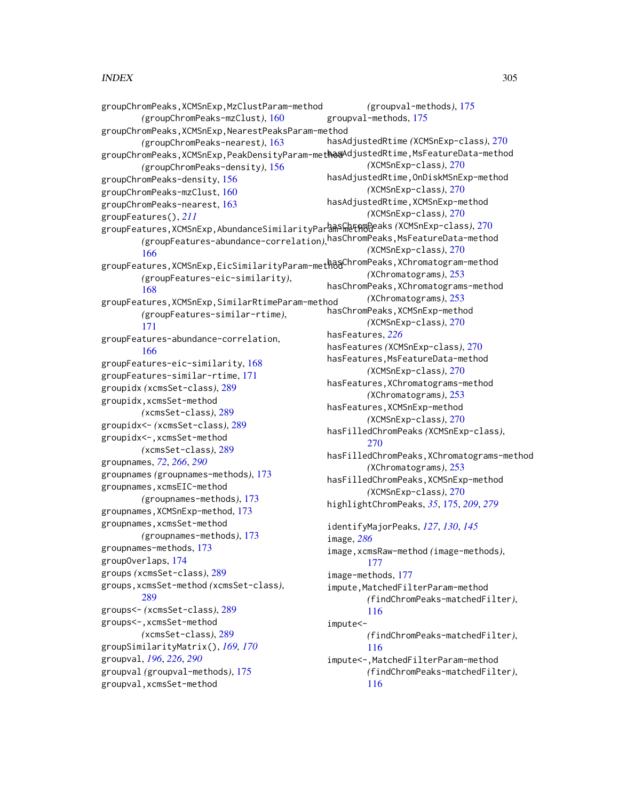# $I<sub>N</sub>DEX$  305

groupChromPeaks,XCMSnExp,MzClustParam-method *(*groupChromPeaks-mzClust*)*, [160](#page-159-0) groupChromPeaks,XCMSnExp,NearestPeaksParam-method *(*groupChromPeaks-nearest*)*, [163](#page-162-0) groupChromPeaks,XCMSnExp,PeakDensityParam-met**haa**AdjustedRtime,MsFeatureData-method *(*groupChromPeaks-density*)*, [156](#page-155-0) groupChromPeaks-density, [156](#page-155-0) groupChromPeaks-mzClust, [160](#page-159-0) groupChromPeaks-nearest, [163](#page-162-0) groupFeatures(), *[211](#page-210-0)* s<br>groupFeatures,XCMSnExp,AbundanceSimilarityPar<sup>h</sup>ABShetAMBeaks(XCMSnExp-class),[270](#page-269-0) *(*groupFeatures-abundance-correlation*)*, hasChromPeaks,MsFeatureData-method [166](#page-165-0) groupFeatures,XCMSnExp,EicSimilarityParam-method hasChromPeaks,XChromatogram-method *(*groupFeatures-eic-similarity*)*, [168](#page-167-0) groupFeatures,XCMSnExp,SimilarRtimeParam-method *(*groupFeatures-similar-rtime*)*, [171](#page-170-0) groupFeatures-abundance-correlation, [166](#page-165-0) groupFeatures-eic-similarity, [168](#page-167-0) groupFeatures-similar-rtime, [171](#page-170-0) groupidx *(*xcmsSet-class*)*, [289](#page-288-0) groupidx,xcmsSet-method *(*xcmsSet-class*)*, [289](#page-288-0) groupidx<- *(*xcmsSet-class*)*, [289](#page-288-0) groupidx<-,xcmsSet-method *(*xcmsSet-class*)*, [289](#page-288-0) groupnames, *[72](#page-71-0)*, *[266](#page-265-0)*, *[290](#page-289-0)* groupnames *(*groupnames-methods*)*, [173](#page-172-1) groupnames,xcmsEIC-method *(*groupnames-methods*)*, [173](#page-172-1) groupnames,XCMSnExp-method, [173](#page-172-1) groupnames,xcmsSet-method *(*groupnames-methods*)*, [173](#page-172-1) groupnames-methods, [173](#page-172-1) groupOverlaps, [174](#page-173-0) groups *(*xcmsSet-class*)*, [289](#page-288-0) groups,xcmsSet-method *(*xcmsSet-class*)*, [289](#page-288-0) groups<- *(*xcmsSet-class*)*, [289](#page-288-0) groups<-,xcmsSet-method *(*xcmsSet-class*)*, [289](#page-288-0) groupSimilarityMatrix(), *[169,](#page-168-0) [170](#page-169-0)* groupval, *[196](#page-195-0)*, *[226](#page-225-0)*, *[290](#page-289-0)* groupval *(*groupval-methods*)*, [175](#page-174-1) groupval,xcmsSet-method *(*groupval-methods*)*, [175](#page-174-1) groupval-methods, [175](#page-174-1) hasAdjustedRtime *(*XCMSnExp-class*)*, [270](#page-269-0) *(*XCMSnExp-class*)*, [270](#page-269-0) hasAdjustedRtime,OnDiskMSnExp-method *(*XCMSnExp-class*)*, [270](#page-269-0) hasAdjustedRtime,XCMSnExp-method *(*XCMSnExp-class*)*, [270](#page-269-0) *(*XCMSnExp-class*)*, [270](#page-269-0) *(*XChromatograms*)*, [253](#page-252-0) hasChromPeaks,XChromatograms-method *(*XChromatograms*)*, [253](#page-252-0) hasChromPeaks,XCMSnExp-method *(*XCMSnExp-class*)*, [270](#page-269-0) hasFeatures, *[226](#page-225-0)* hasFeatures *(*XCMSnExp-class*)*, [270](#page-269-0) hasFeatures,MsFeatureData-method *(*XCMSnExp-class*)*, [270](#page-269-0) hasFeatures,XChromatograms-method *(*XChromatograms*)*, [253](#page-252-0) hasFeatures,XCMSnExp-method *(*XCMSnExp-class*)*, [270](#page-269-0) hasFilledChromPeaks *(*XCMSnExp-class*)*, [270](#page-269-0) hasFilledChromPeaks,XChromatograms-method *(*XChromatograms*)*, [253](#page-252-0) hasFilledChromPeaks,XCMSnExp-method *(*XCMSnExp-class*)*, [270](#page-269-0) highlightChromPeaks, *[35](#page-34-0)*, [175,](#page-174-1) *[209](#page-208-0)*, *[279](#page-278-0)* identifyMajorPeaks, *[127](#page-126-0)*, *[130](#page-129-0)*, *[145](#page-144-0)* image, *[286](#page-285-0)* image,xcmsRaw-method *(*image-methods*)*, [177](#page-176-0) image-methods, [177](#page-176-0) impute,MatchedFilterParam-method *(*findChromPeaks-matchedFilter*)*, [116](#page-115-0) impute<- *(*findChromPeaks-matchedFilter*)*, [116](#page-115-0) impute<-,MatchedFilterParam-method *(*findChromPeaks-matchedFilter*)*, [116](#page-115-0)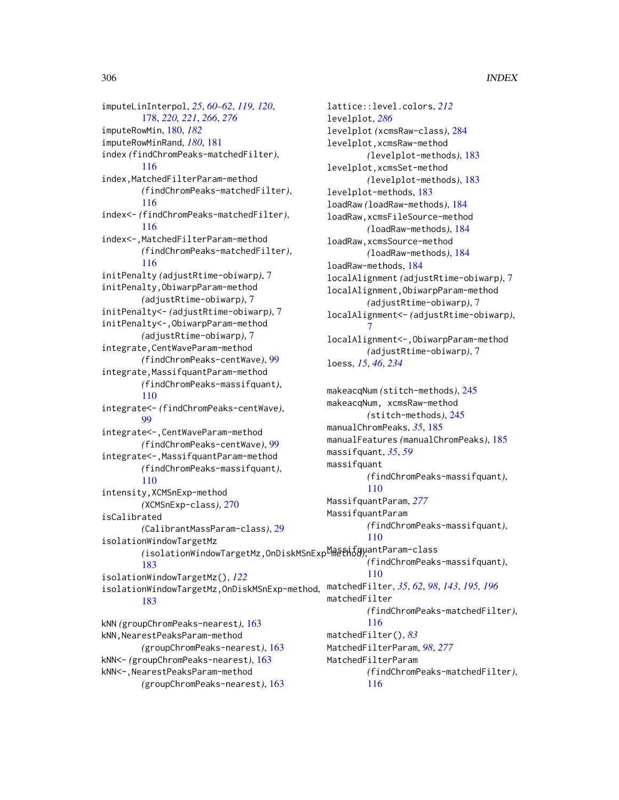imputeLinInterpol, *[25](#page-24-0)*, *[60–](#page-59-0)[62](#page-61-0)*, *[119,](#page-118-0) [120](#page-119-0)*, [178,](#page-177-0) *[220,](#page-219-0) [221](#page-220-0)*, *[266](#page-265-0)*, *[276](#page-275-0)* imputeRowMin, [180,](#page-179-0) *[182](#page-181-0)* imputeRowMinRand, *[180](#page-179-0)*, [181](#page-180-0) index *(*findChromPeaks-matchedFilter*)*, [116](#page-115-0) index,MatchedFilterParam-method *(*findChromPeaks-matchedFilter*)*, [116](#page-115-0) index<- *(*findChromPeaks-matchedFilter*)*, [116](#page-115-0) index<-,MatchedFilterParam-method *(*findChromPeaks-matchedFilter*)*, [116](#page-115-0) initPenalty *(*adjustRtime-obiwarp*)*, [7](#page-6-0) initPenalty,ObiwarpParam-method *(*adjustRtime-obiwarp*)*, [7](#page-6-0) initPenalty<- *(*adjustRtime-obiwarp*)*, [7](#page-6-0) initPenalty<-,ObiwarpParam-method *(*adjustRtime-obiwarp*)*, [7](#page-6-0) integrate,CentWaveParam-method *(*findChromPeaks-centWave*)*, [99](#page-98-0) integrate,MassifquantParam-method *(*findChromPeaks-massifquant*)*, [110](#page-109-0) integrate<- *(*findChromPeaks-centWave*)*, [99](#page-98-0) integrate<-,CentWaveParam-method *(*findChromPeaks-centWave*)*, [99](#page-98-0) integrate<-,MassifquantParam-method *(*findChromPeaks-massifquant*)*, [110](#page-109-0) intensity,XCMSnExp-method *(*XCMSnExp-class*)*, [270](#page-269-0) isCalibrated *(*CalibrantMassParam-class*)*, [29](#page-28-0) isolationWindowTargetMz *(*isolationWindowTargetMz,OnDiskMSnExp-method*)*, MassifquantParam-class [183](#page-182-0) isolationWindowTargetMz(), *[122](#page-121-0)* isolationWindowTargetMz,OnDiskMSnExp-method, [183](#page-182-0) kNN *(*groupChromPeaks-nearest*)*, [163](#page-162-0) kNN,NearestPeaksParam-method *(*groupChromPeaks-nearest*)*, [163](#page-162-0) kNN<- *(*groupChromPeaks-nearest*)*, [163](#page-162-0) kNN<-,NearestPeaksParam-method

*(*groupChromPeaks-nearest*)*, [163](#page-162-0)

lattice::level.colors, *[212](#page-211-0)* levelplot, *[286](#page-285-0)* levelplot *(*xcmsRaw-class*)*, [284](#page-283-1) levelplot,xcmsRaw-method *(*levelplot-methods*)*, [183](#page-182-0) levelplot,xcmsSet-method *(*levelplot-methods*)*, [183](#page-182-0) levelplot-methods, [183](#page-182-0) loadRaw *(*loadRaw-methods*)*, [184](#page-183-1) loadRaw,xcmsFileSource-method *(*loadRaw-methods*)*, [184](#page-183-1) loadRaw,xcmsSource-method *(*loadRaw-methods*)*, [184](#page-183-1) loadRaw-methods, [184](#page-183-1) localAlignment *(*adjustRtime-obiwarp*)*, [7](#page-6-0) localAlignment,ObiwarpParam-method *(*adjustRtime-obiwarp*)*, [7](#page-6-0) localAlignment<- *(*adjustRtime-obiwarp*)*, [7](#page-6-0) localAlignment<-,ObiwarpParam-method *(*adjustRtime-obiwarp*)*, [7](#page-6-0) loess, *[15](#page-14-0)*, *[46](#page-45-0)*, *[234](#page-233-0)* makeacqNum *(*stitch-methods*)*, [245](#page-244-0) makeacqNum, xcmsRaw-method *(*stitch-methods*)*, [245](#page-244-0) manualChromPeaks, *[35](#page-34-0)*, [185](#page-184-0) manualFeatures *(*manualChromPeaks*)*, [185](#page-184-0) massifquant, *[35](#page-34-0)*, *[59](#page-58-0)* massifquant *(*findChromPeaks-massifquant*)*, [110](#page-109-0) MassifquantParam, *[277](#page-276-0)* MassifquantParam *(*findChromPeaks-massifquant*)*, [110](#page-109-0) *(*findChromPeaks-massifquant*)*, [110](#page-109-0) matchedFilter, *[35](#page-34-0)*, *[62](#page-61-0)*, *[98](#page-97-0)*, *[143](#page-142-0)*, *[195,](#page-194-0) [196](#page-195-0)* matchedFilter *(*findChromPeaks-matchedFilter*)*, [116](#page-115-0) matchedFilter(), *[83](#page-82-0)* MatchedFilterParam, *[98](#page-97-0)*, *[277](#page-276-0)*

MatchedFilterParam *(*findChromPeaks-matchedFilter*)*, [116](#page-115-0)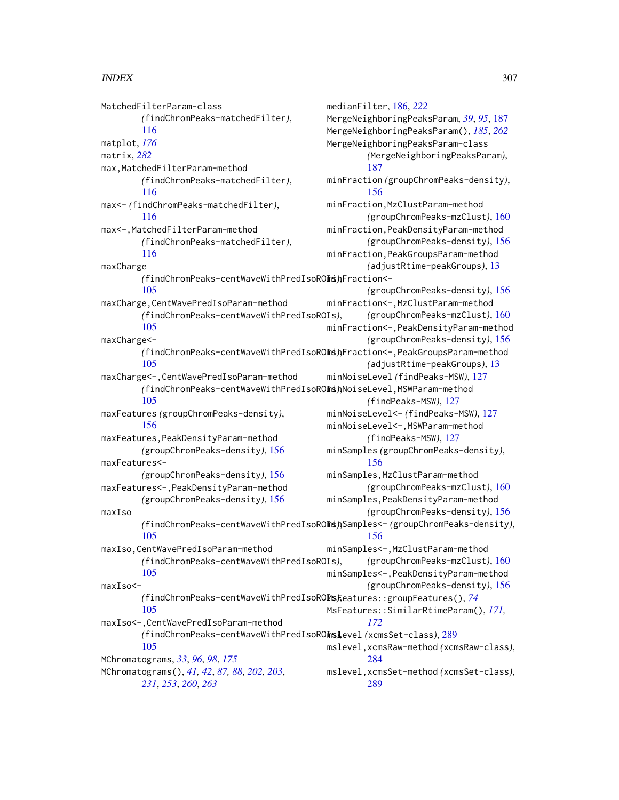MatchedFilterParam-class *(*findChromPeaks-matchedFilter*)*, [116](#page-115-0) matplot, *[176](#page-175-0)* matrix, *[282](#page-281-0)* max,MatchedFilterParam-method *(*findChromPeaks-matchedFilter*)*, [116](#page-115-0) max<- *(*findChromPeaks-matchedFilter*)*, [116](#page-115-0) max<-,MatchedFilterParam-method *(*findChromPeaks-matchedFilter*)*, [116](#page-115-0) maxCharge *(*findChromPeaks-centWaveWithPredIsoROIs*)*, minFraction<- [105](#page-104-0) maxCharge,CentWavePredIsoParam-method *(*findChromPeaks-centWaveWithPredIsoROIs*)*, [105](#page-104-0) maxCharge<- *(*findChromPeaks-centWaveWithPredIsoROIs*)*, minFraction<-,PeakGroupsParam-method [105](#page-104-0) maxCharge<-,CentWavePredIsoParam-method *(*findChromPeaks-centWaveWithPredIsoROIs*)*, minNoiseLevel,MSWParam-method [105](#page-104-0) maxFeatures *(*groupChromPeaks-density*)*, [156](#page-155-0) maxFeatures,PeakDensityParam-method *(*groupChromPeaks-density*)*, [156](#page-155-0) maxFeatures<- *(*groupChromPeaks-density*)*, [156](#page-155-0) maxFeatures<-,PeakDensityParam-method *(*groupChromPeaks-density*)*, [156](#page-155-0) maxIso *(*findChromPeaks-centWaveWithPredIsoROIs*)*, minSamples<- *(*groupChromPeaks-density*)*, [105](#page-104-0) maxIso,CentWavePredIsoParam-method *(*findChromPeaks-centWaveWithPredIsoROIs*)*, [105](#page-104-0) maxIso<- *(*findChromPeaks-centWaveWithPredIsoROIs*)*, MsFeatures::groupFeatures(), *[74](#page-73-0)* [105](#page-104-0) maxIso<-,CentWavePredIsoParam-method *(*findChromPeaks-centWaveWithPredIsoROIs*)*, mslevel *(*xcmsSet-class*)*, [289](#page-288-0) [105](#page-104-0) MChromatograms, *[33](#page-32-0)*, *[96](#page-95-0)*, *[98](#page-97-0)*, *[175](#page-174-1)* MChromatograms(), *[41,](#page-40-0) [42](#page-41-0)*, *[87,](#page-86-0) [88](#page-87-0)*, *[202,](#page-201-0) [203](#page-202-0)*, *[231](#page-230-1)*, *[253](#page-252-0)*, *[260](#page-259-0)*, *[263](#page-262-0)* medianFilter, [186,](#page-185-0) *[222](#page-221-0)* MergeNeighboringPeaksParam, *[39](#page-38-0)*, *[95](#page-94-0)*, [187](#page-186-0) MergeNeighboringPeaksParam(), *[185](#page-184-0)*, *[262](#page-261-0)* MergeNeighboringPeaksParam-class *(*MergeNeighboringPeaksParam*)*, [187](#page-186-0) minFraction *(*groupChromPeaks-density*)*, [156](#page-155-0) minFraction,MzClustParam-method *(*groupChromPeaks-mzClust*)*, [160](#page-159-0) minFraction,PeakDensityParam-method *(*groupChromPeaks-density*)*, [156](#page-155-0) minFraction,PeakGroupsParam-method *(*adjustRtime-peakGroups*)*, [13](#page-12-0) *(*groupChromPeaks-density*)*, [156](#page-155-0) minFraction<-,MzClustParam-method *(*groupChromPeaks-mzClust*)*, [160](#page-159-0) minFraction<-,PeakDensityParam-method *(*groupChromPeaks-density*)*, [156](#page-155-0) *(*adjustRtime-peakGroups*)*, [13](#page-12-0) minNoiseLevel *(*findPeaks-MSW*)*, [127](#page-126-0) *(*findPeaks-MSW*)*, [127](#page-126-0) minNoiseLevel<- *(*findPeaks-MSW*)*, [127](#page-126-0) minNoiseLevel<-,MSWParam-method *(*findPeaks-MSW*)*, [127](#page-126-0) minSamples *(*groupChromPeaks-density*)*, [156](#page-155-0) minSamples,MzClustParam-method *(*groupChromPeaks-mzClust*)*, [160](#page-159-0) minSamples,PeakDensityParam-method *(*groupChromPeaks-density*)*, [156](#page-155-0) [156](#page-155-0) minSamples<-,MzClustParam-method *(*groupChromPeaks-mzClust*)*, [160](#page-159-0) minSamples<-,PeakDensityParam-method *(*groupChromPeaks-density*)*, [156](#page-155-0) MsFeatures::SimilarRtimeParam(), *[171,](#page-170-0) [172](#page-171-0)* mslevel,xcmsRaw-method *(*xcmsRaw-class*)*, [284](#page-283-1) mslevel,xcmsSet-method *(*xcmsSet-class*)*, [289](#page-288-0)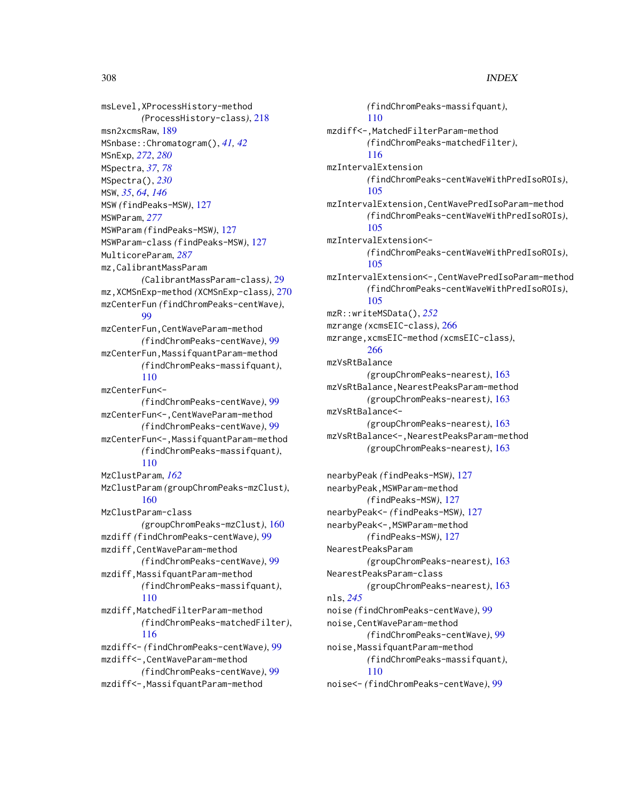msLevel,XProcessHistory-method *(*ProcessHistory-class*)*, [218](#page-217-0) msn2xcmsRaw, [189](#page-188-0) MSnbase::Chromatogram(), *[41,](#page-40-0) [42](#page-41-0)* MSnExp, *[272](#page-271-0)*, *[280](#page-279-0)* MSpectra, *[37](#page-36-0)*, *[78](#page-77-0)* MSpectra(), *[230](#page-229-0)* MSW, *[35](#page-34-0)*, *[64](#page-63-0)*, *[146](#page-145-0)* MSW *(*findPeaks-MSW*)*, [127](#page-126-0) MSWParam, *[277](#page-276-0)* MSWParam *(*findPeaks-MSW*)*, [127](#page-126-0) MSWParam-class *(*findPeaks-MSW*)*, [127](#page-126-0) MulticoreParam, *[287](#page-286-1)* mz,CalibrantMassParam *(*CalibrantMassParam-class*)*, [29](#page-28-0) mz,XCMSnExp-method *(*XCMSnExp-class*)*, [270](#page-269-0) mzCenterFun *(*findChromPeaks-centWave*)*, [99](#page-98-0) mzCenterFun,CentWaveParam-method *(*findChromPeaks-centWave*)*, [99](#page-98-0) mzCenterFun,MassifquantParam-method *(*findChromPeaks-massifquant*)*, [110](#page-109-0) mzCenterFun<- *(*findChromPeaks-centWave*)*, [99](#page-98-0) mzCenterFun<-,CentWaveParam-method *(*findChromPeaks-centWave*)*, [99](#page-98-0) mzCenterFun<-,MassifquantParam-method *(*findChromPeaks-massifquant*)*, [110](#page-109-0) MzClustParam, *[162](#page-161-0)* MzClustParam *(*groupChromPeaks-mzClust*)*, [160](#page-159-0) MzClustParam-class *(*groupChromPeaks-mzClust*)*, [160](#page-159-0) mzdiff *(*findChromPeaks-centWave*)*, [99](#page-98-0) mzdiff,CentWaveParam-method *(*findChromPeaks-centWave*)*, [99](#page-98-0) mzdiff,MassifquantParam-method *(*findChromPeaks-massifquant*)*, [110](#page-109-0) mzdiff,MatchedFilterParam-method *(*findChromPeaks-matchedFilter*)*, [116](#page-115-0) mzdiff<- *(*findChromPeaks-centWave*)*, [99](#page-98-0) mzdiff<-,CentWaveParam-method *(*findChromPeaks-centWave*)*, [99](#page-98-0)

mzdiff<-,MassifquantParam-method

*(*findChromPeaks-massifquant*)*, [110](#page-109-0) mzdiff<-,MatchedFilterParam-method *(*findChromPeaks-matchedFilter*)*, [116](#page-115-0) mzIntervalExtension *(*findChromPeaks-centWaveWithPredIsoROIs*)*, [105](#page-104-0) mzIntervalExtension,CentWavePredIsoParam-method *(*findChromPeaks-centWaveWithPredIsoROIs*)*, [105](#page-104-0) mzIntervalExtension<- *(*findChromPeaks-centWaveWithPredIsoROIs*)*, [105](#page-104-0) mzIntervalExtension<-,CentWavePredIsoParam-method *(*findChromPeaks-centWaveWithPredIsoROIs*)*, [105](#page-104-0) mzR::writeMSData(), *[252](#page-251-0)* mzrange *(*xcmsEIC-class*)*, [266](#page-265-0) mzrange,xcmsEIC-method *(*xcmsEIC-class*)*, [266](#page-265-0) mzVsRtBalance *(*groupChromPeaks-nearest*)*, [163](#page-162-0) mzVsRtBalance,NearestPeaksParam-method *(*groupChromPeaks-nearest*)*, [163](#page-162-0) mzVsRtBalance<- *(*groupChromPeaks-nearest*)*, [163](#page-162-0) mzVsRtBalance<-,NearestPeaksParam-method *(*groupChromPeaks-nearest*)*, [163](#page-162-0)

nearbyPeak *(*findPeaks-MSW*)*, [127](#page-126-0) nearbyPeak,MSWParam-method *(*findPeaks-MSW*)*, [127](#page-126-0) nearbyPeak<- *(*findPeaks-MSW*)*, [127](#page-126-0) nearbyPeak<-,MSWParam-method *(*findPeaks-MSW*)*, [127](#page-126-0) NearestPeaksParam *(*groupChromPeaks-nearest*)*, [163](#page-162-0) NearestPeaksParam-class *(*groupChromPeaks-nearest*)*, [163](#page-162-0) nls, *[245](#page-244-0)* noise *(*findChromPeaks-centWave*)*, [99](#page-98-0) noise,CentWaveParam-method *(*findChromPeaks-centWave*)*, [99](#page-98-0) noise,MassifquantParam-method *(*findChromPeaks-massifquant*)*, [110](#page-109-0) noise<- *(*findChromPeaks-centWave*)*, [99](#page-98-0)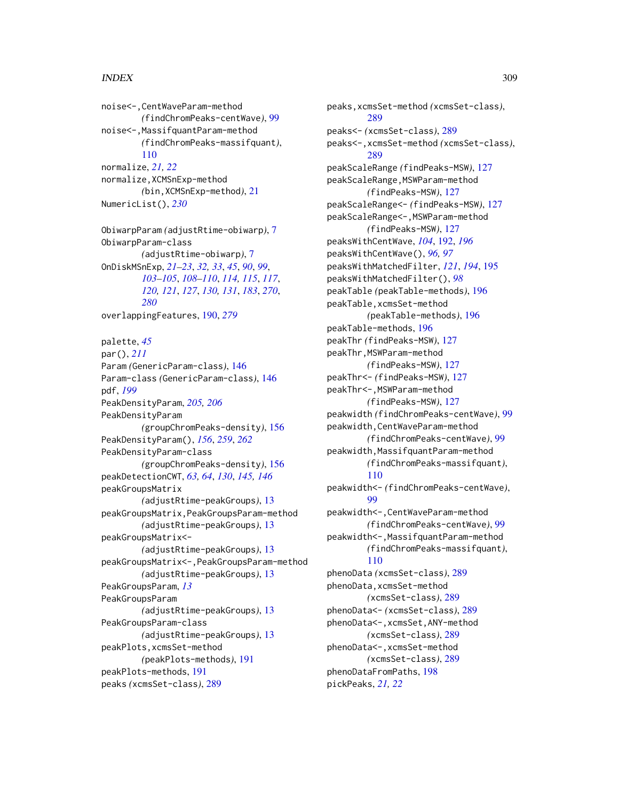noise<-,CentWaveParam-method *(*findChromPeaks-centWave*)*, [99](#page-98-0) noise<-,MassifquantParam-method *(*findChromPeaks-massifquant*)*, [110](#page-109-0) normalize, *[21,](#page-20-0) [22](#page-21-0)* normalize,XCMSnExp-method *(*bin,XCMSnExp-method*)*, [21](#page-20-0) NumericList(), *[230](#page-229-0)*

ObiwarpParam *(*adjustRtime-obiwarp*)*, [7](#page-6-0) ObiwarpParam-class *(*adjustRtime-obiwarp*)*, [7](#page-6-0) OnDiskMSnExp, *[21](#page-20-0)[–23](#page-22-0)*, *[32,](#page-31-0) [33](#page-32-0)*, *[45](#page-44-0)*, *[90](#page-89-0)*, *[99](#page-98-0)*, *[103](#page-102-0)[–105](#page-104-0)*, *[108–](#page-107-0)[110](#page-109-0)*, *[114,](#page-113-0) [115](#page-114-0)*, *[117](#page-116-0)*, *[120,](#page-119-0) [121](#page-120-0)*, *[127](#page-126-0)*, *[130,](#page-129-0) [131](#page-130-0)*, *[183](#page-182-0)*, *[270](#page-269-0)*, *[280](#page-279-0)* overlappingFeatures, [190,](#page-189-0) *[279](#page-278-0)*

palette, *[45](#page-44-0)* par(), *[211](#page-210-0)* Param *(*GenericParam-class*)*, [146](#page-145-0) Param-class *(*GenericParam-class*)*, [146](#page-145-0) pdf, *[199](#page-198-0)* PeakDensityParam, *[205,](#page-204-0) [206](#page-205-0)* PeakDensityParam *(*groupChromPeaks-density*)*, [156](#page-155-0) PeakDensityParam(), *[156](#page-155-0)*, *[259](#page-258-0)*, *[262](#page-261-0)* PeakDensityParam-class *(*groupChromPeaks-density*)*, [156](#page-155-0) peakDetectionCWT, *[63,](#page-62-0) [64](#page-63-0)*, *[130](#page-129-0)*, *[145,](#page-144-0) [146](#page-145-0)* peakGroupsMatrix *(*adjustRtime-peakGroups*)*, [13](#page-12-0) peakGroupsMatrix,PeakGroupsParam-method *(*adjustRtime-peakGroups*)*, [13](#page-12-0) peakGroupsMatrix<- *(*adjustRtime-peakGroups*)*, [13](#page-12-0) peakGroupsMatrix<-,PeakGroupsParam-method *(*adjustRtime-peakGroups*)*, [13](#page-12-0) PeakGroupsParam, *[13](#page-12-0)* PeakGroupsParam *(*adjustRtime-peakGroups*)*, [13](#page-12-0) PeakGroupsParam-class *(*adjustRtime-peakGroups*)*, [13](#page-12-0) peakPlots,xcmsSet-method *(*peakPlots-methods*)*, [191](#page-190-0) peakPlots-methods, [191](#page-190-0) peaks *(*xcmsSet-class*)*, [289](#page-288-0)

peaks,xcmsSet-method *(*xcmsSet-class*)*, [289](#page-288-0) peaks<- *(*xcmsSet-class*)*, [289](#page-288-0) peaks<-,xcmsSet-method *(*xcmsSet-class*)*, [289](#page-288-0) peakScaleRange *(*findPeaks-MSW*)*, [127](#page-126-0) peakScaleRange,MSWParam-method *(*findPeaks-MSW*)*, [127](#page-126-0) peakScaleRange<- *(*findPeaks-MSW*)*, [127](#page-126-0) peakScaleRange<-,MSWParam-method *(*findPeaks-MSW*)*, [127](#page-126-0) peaksWithCentWave, *[104](#page-103-0)*, [192,](#page-191-0) *[196](#page-195-0)* peaksWithCentWave(), *[96,](#page-95-0) [97](#page-96-0)* peaksWithMatchedFilter, *[121](#page-120-0)*, *[194](#page-193-0)*, [195](#page-194-0) peaksWithMatchedFilter(), *[98](#page-97-0)* peakTable *(*peakTable-methods*)*, [196](#page-195-0) peakTable,xcmsSet-method *(*peakTable-methods*)*, [196](#page-195-0) peakTable-methods, [196](#page-195-0) peakThr *(*findPeaks-MSW*)*, [127](#page-126-0) peakThr,MSWParam-method *(*findPeaks-MSW*)*, [127](#page-126-0) peakThr<- *(*findPeaks-MSW*)*, [127](#page-126-0) peakThr<-,MSWParam-method *(*findPeaks-MSW*)*, [127](#page-126-0) peakwidth *(*findChromPeaks-centWave*)*, [99](#page-98-0) peakwidth,CentWaveParam-method *(*findChromPeaks-centWave*)*, [99](#page-98-0) peakwidth,MassifquantParam-method *(*findChromPeaks-massifquant*)*, [110](#page-109-0) peakwidth<- *(*findChromPeaks-centWave*)*, [99](#page-98-0) peakwidth<-,CentWaveParam-method *(*findChromPeaks-centWave*)*, [99](#page-98-0) peakwidth<-,MassifquantParam-method *(*findChromPeaks-massifquant*)*, [110](#page-109-0) phenoData *(*xcmsSet-class*)*, [289](#page-288-0) phenoData,xcmsSet-method *(*xcmsSet-class*)*, [289](#page-288-0) phenoData<- *(*xcmsSet-class*)*, [289](#page-288-0) phenoData<-,xcmsSet,ANY-method *(*xcmsSet-class*)*, [289](#page-288-0) phenoData<-,xcmsSet-method *(*xcmsSet-class*)*, [289](#page-288-0) phenoDataFromPaths, [198](#page-197-0) pickPeaks, *[21,](#page-20-0) [22](#page-21-0)*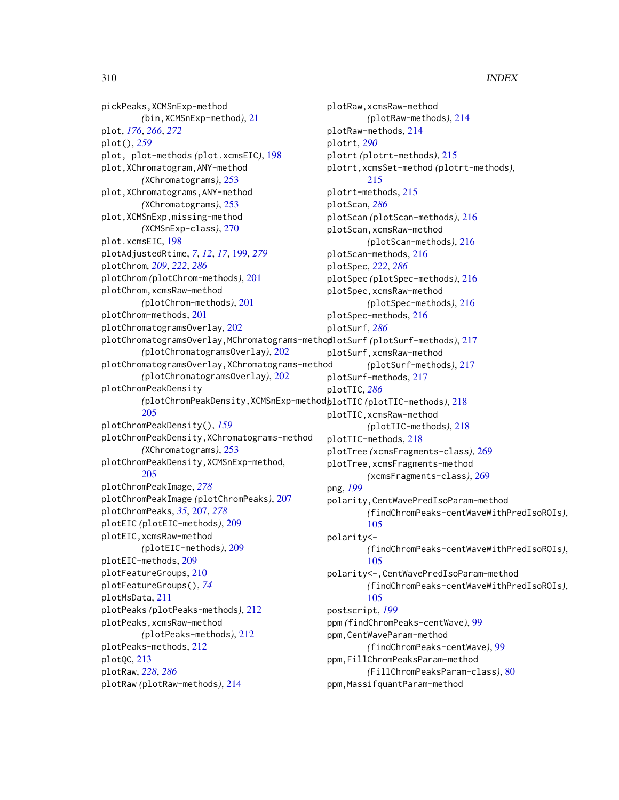pickPeaks,XCMSnExp-method *(*bin,XCMSnExp-method*)*, [21](#page-20-0) plot, *[176](#page-175-0)*, *[266](#page-265-0)*, *[272](#page-271-0)* plot(), *[259](#page-258-0)* plot, plot-methods *(*plot.xcmsEIC*)*, [198](#page-197-0) plot,XChromatogram,ANY-method *(*XChromatograms*)*, [253](#page-252-0) plot,XChromatograms,ANY-method *(*XChromatograms*)*, [253](#page-252-0) plot,XCMSnExp,missing-method *(*XCMSnExp-class*)*, [270](#page-269-0) plot.xcmsEIC, [198](#page-197-0) plotAdjustedRtime, *[7](#page-6-0)*, *[12](#page-11-0)*, *[17](#page-16-0)*, [199,](#page-198-0) *[279](#page-278-0)* plotChrom, *[209](#page-208-0)*, *[222](#page-221-0)*, *[286](#page-285-0)* plotChrom *(*plotChrom-methods*)*, [201](#page-200-0) plotChrom,xcmsRaw-method *(*plotChrom-methods*)*, [201](#page-200-0) plotChrom-methods, [201](#page-200-0) plotChromatogramsOverlay, [202](#page-201-0) plotChromatogramsOverlay,MChromatograms-method plotSurf *(*plotSurf-methods*)*, [217](#page-216-0) *(*plotChromatogramsOverlay*)*, [202](#page-201-0) plotChromatogramsOverlay,XChromatograms-method *(*plotChromatogramsOverlay*)*, [202](#page-201-0) plotChromPeakDensity *(*plotChromPeakDensity,XCMSnExp-method*)*, plotTIC *(*plotTIC-methods*)*, [218](#page-217-0) [205](#page-204-0) plotChromPeakDensity(), *[159](#page-158-0)* plotChromPeakDensity,XChromatograms-method *(*XChromatograms*)*, [253](#page-252-0) plotChromPeakDensity,XCMSnExp-method, [205](#page-204-0) plotChromPeakImage, *[278](#page-277-0)* plotChromPeakImage *(*plotChromPeaks*)*, [207](#page-206-0) plotChromPeaks, *[35](#page-34-0)*, [207,](#page-206-0) *[278](#page-277-0)* plotEIC *(*plotEIC-methods*)*, [209](#page-208-0) plotEIC,xcmsRaw-method *(*plotEIC-methods*)*, [209](#page-208-0) plotEIC-methods, [209](#page-208-0) plotFeatureGroups, [210](#page-209-0) plotFeatureGroups(), *[74](#page-73-0)* plotMsData, [211](#page-210-0) plotPeaks *(*plotPeaks-methods*)*, [212](#page-211-0) plotPeaks,xcmsRaw-method *(*plotPeaks-methods*)*, [212](#page-211-0) plotPeaks-methods, [212](#page-211-0) plotQC, [213](#page-212-0) plotRaw, *[228](#page-227-0)*, *[286](#page-285-0)* plotRaw *(*plotRaw-methods*)*, [214](#page-213-0)

plotRaw,xcmsRaw-method *(*plotRaw-methods*)*, [214](#page-213-0) plotRaw-methods, [214](#page-213-0) plotrt, *[290](#page-289-0)* plotrt *(*plotrt-methods*)*, [215](#page-214-1) plotrt,xcmsSet-method *(*plotrt-methods*)*, [215](#page-214-1) plotrt-methods, [215](#page-214-1) plotScan, *[286](#page-285-0)* plotScan *(*plotScan-methods*)*, [216](#page-215-0) plotScan,xcmsRaw-method *(*plotScan-methods*)*, [216](#page-215-0) plotScan-methods, [216](#page-215-0) plotSpec, *[222](#page-221-0)*, *[286](#page-285-0)* plotSpec *(*plotSpec-methods*)*, [216](#page-215-0) plotSpec,xcmsRaw-method *(*plotSpec-methods*)*, [216](#page-215-0) plotSpec-methods, [216](#page-215-0) plotSurf, *[286](#page-285-0)* plotSurf,xcmsRaw-method *(*plotSurf-methods*)*, [217](#page-216-0) plotSurf-methods, [217](#page-216-0) plotTIC, *[286](#page-285-0)* plotTIC,xcmsRaw-method *(*plotTIC-methods*)*, [218](#page-217-0) plotTIC-methods, [218](#page-217-0) plotTree *(*xcmsFragments-class*)*, [269](#page-268-0) plotTree,xcmsFragments-method *(*xcmsFragments-class*)*, [269](#page-268-0) png, *[199](#page-198-0)* polarity,CentWavePredIsoParam-method *(*findChromPeaks-centWaveWithPredIsoROIs*)*, [105](#page-104-0) polarity<- *(*findChromPeaks-centWaveWithPredIsoROIs*)*, [105](#page-104-0) polarity<-,CentWavePredIsoParam-method *(*findChromPeaks-centWaveWithPredIsoROIs*)*, [105](#page-104-0) postscript, *[199](#page-198-0)* ppm *(*findChromPeaks-centWave*)*, [99](#page-98-0) ppm,CentWaveParam-method *(*findChromPeaks-centWave*)*, [99](#page-98-0) ppm,FillChromPeaksParam-method *(*FillChromPeaksParam-class*)*, [80](#page-79-0) ppm,MassifquantParam-method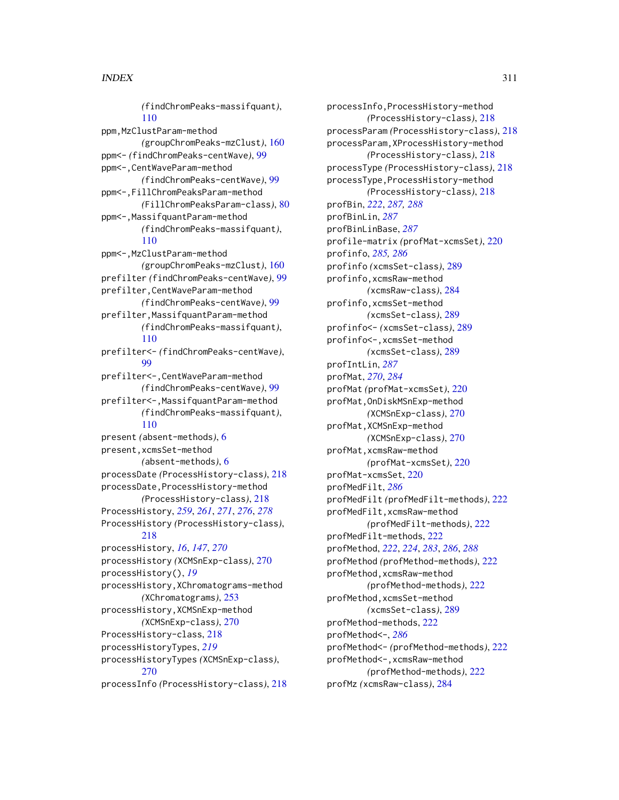*(*findChromPeaks-massifquant*)*, [110](#page-109-0) ppm,MzClustParam-method *(*groupChromPeaks-mzClust*)*, [160](#page-159-0) ppm<- *(*findChromPeaks-centWave*)*, [99](#page-98-0) ppm<-,CentWaveParam-method *(*findChromPeaks-centWave*)*, [99](#page-98-0) ppm<-,FillChromPeaksParam-method *(*FillChromPeaksParam-class*)*, [80](#page-79-0) ppm<-,MassifquantParam-method *(*findChromPeaks-massifquant*)*, [110](#page-109-0) ppm<-,MzClustParam-method *(*groupChromPeaks-mzClust*)*, [160](#page-159-0) prefilter *(*findChromPeaks-centWave*)*, [99](#page-98-0) prefilter,CentWaveParam-method *(*findChromPeaks-centWave*)*, [99](#page-98-0) prefilter,MassifquantParam-method *(*findChromPeaks-massifquant*)*, [110](#page-109-0) prefilter<- *(*findChromPeaks-centWave*)*, [99](#page-98-0) prefilter<-,CentWaveParam-method *(*findChromPeaks-centWave*)*, [99](#page-98-0) prefilter<-,MassifquantParam-method *(*findChromPeaks-massifquant*)*, [110](#page-109-0) present *(*absent-methods*)*, [6](#page-5-0) present,xcmsSet-method *(*absent-methods*)*, [6](#page-5-0) processDate *(*ProcessHistory-class*)*, [218](#page-217-0) processDate,ProcessHistory-method *(*ProcessHistory-class*)*, [218](#page-217-0) ProcessHistory, *[259](#page-258-0)*, *[261](#page-260-0)*, *[271](#page-270-0)*, *[276](#page-275-0)*, *[278](#page-277-0)* ProcessHistory *(*ProcessHistory-class*)*, [218](#page-217-0) processHistory, *[16](#page-15-0)*, *[147](#page-146-1)*, *[270](#page-269-0)* processHistory *(*XCMSnExp-class*)*, [270](#page-269-0) processHistory(), *[19](#page-18-0)* processHistory,XChromatograms-method *(*XChromatograms*)*, [253](#page-252-0) processHistory,XCMSnExp-method *(*XCMSnExp-class*)*, [270](#page-269-0) ProcessHistory-class, [218](#page-217-0) processHistoryTypes, *[219](#page-218-0)* processHistoryTypes *(*XCMSnExp-class*)*, [270](#page-269-0) processInfo *(*ProcessHistory-class*)*, [218](#page-217-0)

processInfo,ProcessHistory-method *(*ProcessHistory-class*)*, [218](#page-217-0) processParam *(*ProcessHistory-class*)*, [218](#page-217-0) processParam,XProcessHistory-method *(*ProcessHistory-class*)*, [218](#page-217-0) processType *(*ProcessHistory-class*)*, [218](#page-217-0) processType,ProcessHistory-method *(*ProcessHistory-class*)*, [218](#page-217-0) profBin, *[222](#page-221-0)*, *[287,](#page-286-1) [288](#page-287-0)* profBinLin, *[287](#page-286-1)* profBinLinBase, *[287](#page-286-1)* profile-matrix *(*profMat-xcmsSet*)*, [220](#page-219-0) profinfo, *[285,](#page-284-0) [286](#page-285-0)* profinfo *(*xcmsSet-class*)*, [289](#page-288-0) profinfo,xcmsRaw-method *(*xcmsRaw-class*)*, [284](#page-283-1) profinfo,xcmsSet-method *(*xcmsSet-class*)*, [289](#page-288-0) profinfo<- *(*xcmsSet-class*)*, [289](#page-288-0) profinfo<-,xcmsSet-method *(*xcmsSet-class*)*, [289](#page-288-0) profIntLin, *[287](#page-286-1)* profMat, *[270](#page-269-0)*, *[284](#page-283-1)* profMat *(*profMat-xcmsSet*)*, [220](#page-219-0) profMat,OnDiskMSnExp-method *(*XCMSnExp-class*)*, [270](#page-269-0) profMat,XCMSnExp-method *(*XCMSnExp-class*)*, [270](#page-269-0) profMat,xcmsRaw-method *(*profMat-xcmsSet*)*, [220](#page-219-0) profMat-xcmsSet, [220](#page-219-0) profMedFilt, *[286](#page-285-0)* profMedFilt *(*profMedFilt-methods*)*, [222](#page-221-0) profMedFilt,xcmsRaw-method *(*profMedFilt-methods*)*, [222](#page-221-0) profMedFilt-methods, [222](#page-221-0) profMethod, *[222](#page-221-0)*, *[224](#page-223-0)*, *[283](#page-282-0)*, *[286](#page-285-0)*, *[288](#page-287-0)* profMethod *(*profMethod-methods*)*, [222](#page-221-0) profMethod,xcmsRaw-method *(*profMethod-methods*)*, [222](#page-221-0) profMethod,xcmsSet-method *(*xcmsSet-class*)*, [289](#page-288-0) profMethod-methods, [222](#page-221-0) profMethod<-, *[286](#page-285-0)* profMethod<- *(*profMethod-methods*)*, [222](#page-221-0) profMethod<-,xcmsRaw-method *(*profMethod-methods*)*, [222](#page-221-0) profMz *(*xcmsRaw-class*)*, [284](#page-283-1)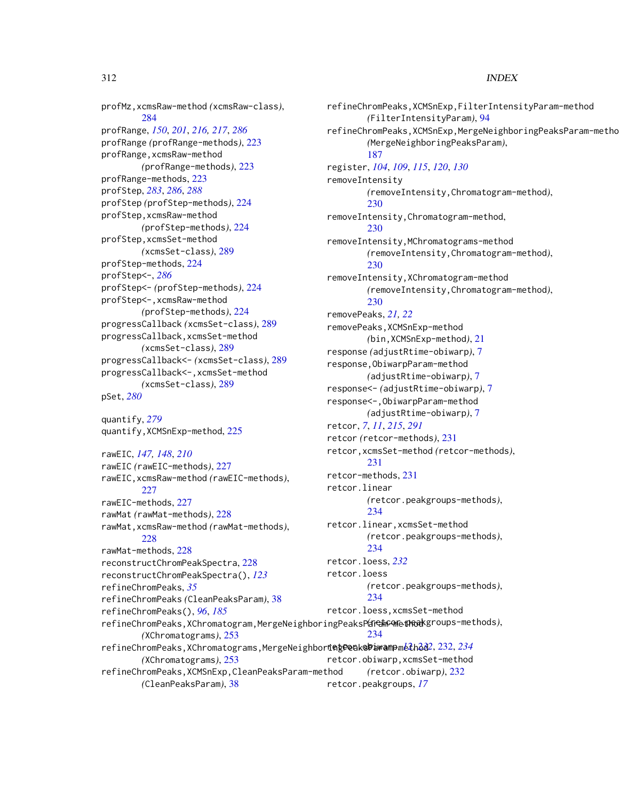profMz,xcmsRaw-method *(*xcmsRaw-class*)*, [284](#page-283-1) profRange, *[150](#page-149-1)*, *[201](#page-200-0)*, *[216,](#page-215-0) [217](#page-216-0)*, *[286](#page-285-0)* profRange *(*profRange-methods*)*, [223](#page-222-0) profRange,xcmsRaw-method *(*profRange-methods*)*, [223](#page-222-0) profRange-methods, [223](#page-222-0) profStep, *[283](#page-282-0)*, *[286](#page-285-0)*, *[288](#page-287-0)* profStep *(*profStep-methods*)*, [224](#page-223-0) profStep,xcmsRaw-method *(*profStep-methods*)*, [224](#page-223-0) profStep,xcmsSet-method *(*xcmsSet-class*)*, [289](#page-288-0) profStep-methods, [224](#page-223-0) profStep<-, *[286](#page-285-0)* profStep<- *(*profStep-methods*)*, [224](#page-223-0) profStep<-,xcmsRaw-method *(*profStep-methods*)*, [224](#page-223-0) progressCallback *(*xcmsSet-class*)*, [289](#page-288-0) progressCallback,xcmsSet-method *(*xcmsSet-class*)*, [289](#page-288-0) progressCallback<- *(*xcmsSet-class*)*, [289](#page-288-0) progressCallback<-,xcmsSet-method *(*xcmsSet-class*)*, [289](#page-288-0) pSet, *[280](#page-279-0)*

quantify, *[279](#page-278-0)* quantify,XCMSnExp-method, [225](#page-224-0)

rawEIC, *[147,](#page-146-1) [148](#page-147-0)*, *[210](#page-209-0)* rawEIC *(*rawEIC-methods*)*, [227](#page-226-0) rawEIC,xcmsRaw-method *(*rawEIC-methods*)*, [227](#page-226-0) rawEIC-methods, [227](#page-226-0) rawMat *(*rawMat-methods*)*, [228](#page-227-0) rawMat,xcmsRaw-method *(*rawMat-methods*)*, [228](#page-227-0) rawMat-methods, [228](#page-227-0) reconstructChromPeakSpectra, [228](#page-227-0) reconstructChromPeakSpectra(), *[123](#page-122-0)* refineChromPeaks, *[35](#page-34-0)* refineChromPeaks *(*CleanPeaksParam*)*, [38](#page-37-0) refineChromPeaks(), *[96](#page-95-0)*, *[185](#page-184-0)* refineChromPeaks,XChromatogram,MergeNeighboringPeaksParam-method *(*retcor.peakgroups-methods*)*, *(*XChromatograms*)*, [253](#page-252-0) refineChromPeaks,XChromatograms,MergeNeighboringPeaksParam-[met](#page-11-0)hod retcor.obiwarp, *12*, *[232](#page-231-0)*, [232,](#page-231-0) *[234](#page-233-0) (*XChromatograms*)*, [253](#page-252-0) refineChromPeaks,XCMSnExp,CleanPeaksParam-method

refineChromPeaks,XCMSnExp,FilterIntensityParam-method *(*FilterIntensityParam*)*, [94](#page-93-0) refineChromPeaks,XCMSnExp,MergeNeighboringPeaksParam-metho *(*MergeNeighboringPeaksParam*)*, [187](#page-186-0) register, *[104](#page-103-0)*, *[109](#page-108-0)*, *[115](#page-114-0)*, *[120](#page-119-0)*, *[130](#page-129-0)* removeIntensity *(*removeIntensity,Chromatogram-method*)*, [230](#page-229-0) removeIntensity,Chromatogram-method, [230](#page-229-0) removeIntensity,MChromatograms-method *(*removeIntensity,Chromatogram-method*)*, [230](#page-229-0) removeIntensity,XChromatogram-method *(*removeIntensity,Chromatogram-method*)*, [230](#page-229-0) removePeaks, *[21,](#page-20-0) [22](#page-21-0)* removePeaks,XCMSnExp-method *(*bin,XCMSnExp-method*)*, [21](#page-20-0) response *(*adjustRtime-obiwarp*)*, [7](#page-6-0) response,ObiwarpParam-method *(*adjustRtime-obiwarp*)*, [7](#page-6-0) response<- *(*adjustRtime-obiwarp*)*, [7](#page-6-0) response<-,ObiwarpParam-method *(*adjustRtime-obiwarp*)*, [7](#page-6-0) retcor, *[7](#page-6-0)*, *[11](#page-10-0)*, *[215](#page-214-1)*, *[291](#page-290-0)* retcor *(*retcor-methods*)*, [231](#page-230-1) retcor,xcmsSet-method *(*retcor-methods*)*, [231](#page-230-1) retcor-methods, [231](#page-230-1) retcor.linear *(*retcor.peakgroups-methods*)*, [234](#page-233-0) retcor.linear,xcmsSet-method *(*retcor.peakgroups-methods*)*, [234](#page-233-0) retcor.loess, *[232](#page-231-0)* retcor.loess *(*retcor.peakgroups-methods*)*, [234](#page-233-0) retcor.loess,xcmsSet-method [234](#page-233-0) retcor.obiwarp,xcmsSet-method

*(*CleanPeaksParam*)*, [38](#page-37-0) *(*retcor.obiwarp*)*, [232](#page-231-0) retcor.peakgroups, *[17](#page-16-0)*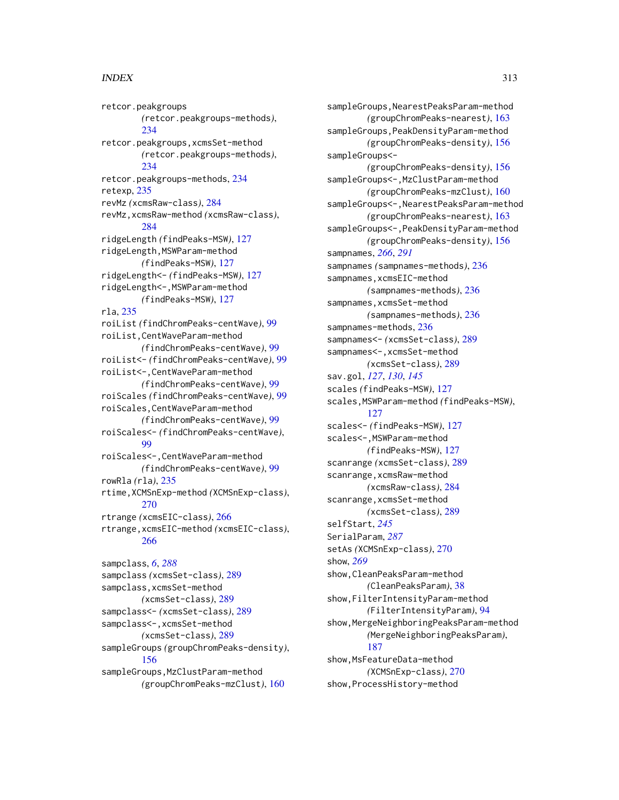retcor.peakgroups *(*retcor.peakgroups-methods*)*, [234](#page-233-0) retcor.peakgroups,xcmsSet-method *(*retcor.peakgroups-methods*)*, [234](#page-233-0) retcor.peakgroups-methods, [234](#page-233-0) retexp, [235](#page-234-0) revMz *(*xcmsRaw-class*)*, [284](#page-283-1) revMz,xcmsRaw-method *(*xcmsRaw-class*)*, [284](#page-283-1) ridgeLength *(*findPeaks-MSW*)*, [127](#page-126-0) ridgeLength,MSWParam-method *(*findPeaks-MSW*)*, [127](#page-126-0) ridgeLength<- *(*findPeaks-MSW*)*, [127](#page-126-0) ridgeLength<-,MSWParam-method *(*findPeaks-MSW*)*, [127](#page-126-0) rla, [235](#page-234-0) roiList *(*findChromPeaks-centWave*)*, [99](#page-98-0) roiList,CentWaveParam-method *(*findChromPeaks-centWave*)*, [99](#page-98-0) roiList<- *(*findChromPeaks-centWave*)*, [99](#page-98-0) roiList<-,CentWaveParam-method *(*findChromPeaks-centWave*)*, [99](#page-98-0) roiScales *(*findChromPeaks-centWave*)*, [99](#page-98-0) roiScales,CentWaveParam-method *(*findChromPeaks-centWave*)*, [99](#page-98-0) roiScales<- *(*findChromPeaks-centWave*)*, [99](#page-98-0) roiScales<-,CentWaveParam-method *(*findChromPeaks-centWave*)*, [99](#page-98-0) rowRla *(*rla*)*, [235](#page-234-0) rtime,XCMSnExp-method *(*XCMSnExp-class*)*, [270](#page-269-0) rtrange *(*xcmsEIC-class*)*, [266](#page-265-0) rtrange,xcmsEIC-method *(*xcmsEIC-class*)*, [266](#page-265-0) sampclass, *[6](#page-5-0)*, *[288](#page-287-0)* sampclass *(*xcmsSet-class*)*, [289](#page-288-0) sampclass,xcmsSet-method *(*xcmsSet-class*)*, [289](#page-288-0) sampclass<- *(*xcmsSet-class*)*, [289](#page-288-0) sampclass<-,xcmsSet-method *(*xcmsSet-class*)*, [289](#page-288-0) sampleGroups *(*groupChromPeaks-density*)*, [156](#page-155-0) sampleGroups,MzClustParam-method

*(*groupChromPeaks-mzClust*)*, [160](#page-159-0)

sampleGroups,NearestPeaksParam-method *(*groupChromPeaks-nearest*)*, [163](#page-162-0) sampleGroups,PeakDensityParam-method *(*groupChromPeaks-density*)*, [156](#page-155-0) sampleGroups<- *(*groupChromPeaks-density*)*, [156](#page-155-0) sampleGroups<-,MzClustParam-method *(*groupChromPeaks-mzClust*)*, [160](#page-159-0) sampleGroups<-,NearestPeaksParam-method *(*groupChromPeaks-nearest*)*, [163](#page-162-0) sampleGroups<-,PeakDensityParam-method *(*groupChromPeaks-density*)*, [156](#page-155-0) sampnames, *[266](#page-265-0)*, *[291](#page-290-0)* sampnames *(*sampnames-methods*)*, [236](#page-235-1) sampnames, xcmsEIC-method *(*sampnames-methods*)*, [236](#page-235-1) sampnames, xcmsSet-method *(*sampnames-methods*)*, [236](#page-235-1) sampnames-methods, [236](#page-235-1) sampnames<- *(*xcmsSet-class*)*, [289](#page-288-0) sampnames<-, xcmsSet-method *(*xcmsSet-class*)*, [289](#page-288-0) sav.gol, *[127](#page-126-0)*, *[130](#page-129-0)*, *[145](#page-144-0)* scales *(*findPeaks-MSW*)*, [127](#page-126-0) scales,MSWParam-method *(*findPeaks-MSW*)*, [127](#page-126-0) scales<- *(*findPeaks-MSW*)*, [127](#page-126-0) scales<-,MSWParam-method *(*findPeaks-MSW*)*, [127](#page-126-0) scanrange *(*xcmsSet-class*)*, [289](#page-288-0) scanrange,xcmsRaw-method *(*xcmsRaw-class*)*, [284](#page-283-1) scanrange,xcmsSet-method *(*xcmsSet-class*)*, [289](#page-288-0) selfStart, *[245](#page-244-0)* SerialParam, *[287](#page-286-1)* setAs *(*XCMSnExp-class*)*, [270](#page-269-0) show, *[269](#page-268-0)* show,CleanPeaksParam-method *(*CleanPeaksParam*)*, [38](#page-37-0) show,FilterIntensityParam-method *(*FilterIntensityParam*)*, [94](#page-93-0) show,MergeNeighboringPeaksParam-method *(*MergeNeighboringPeaksParam*)*, [187](#page-186-0) show, MsFeatureData-method *(*XCMSnExp-class*)*, [270](#page-269-0) show,ProcessHistory-method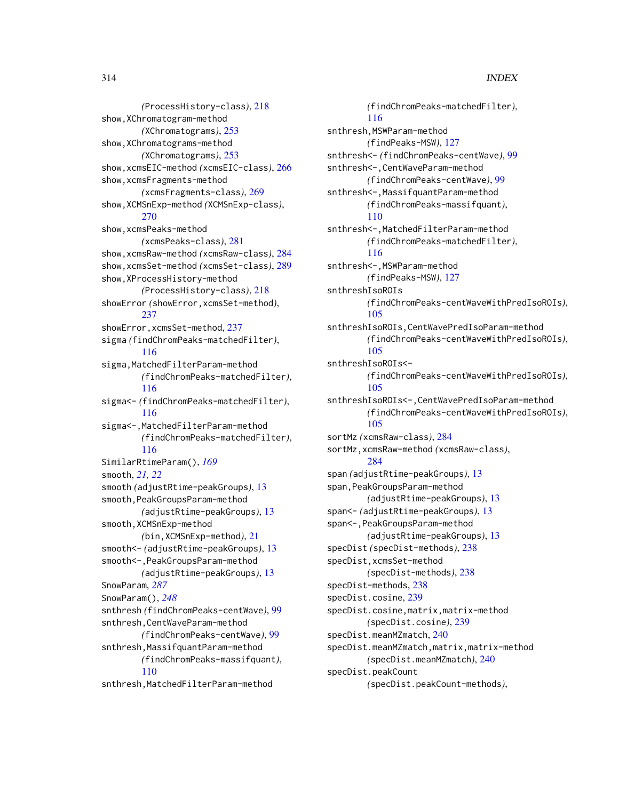*(*ProcessHistory-class*)*, [218](#page-217-0) show,XChromatogram-method *(*XChromatograms*)*, [253](#page-252-0) show,XChromatograms-method *(*XChromatograms*)*, [253](#page-252-0) show,xcmsEIC-method *(*xcmsEIC-class*)*, [266](#page-265-0) show,xcmsFragments-method *(*xcmsFragments-class*)*, [269](#page-268-0) show,XCMSnExp-method *(*XCMSnExp-class*)*, [270](#page-269-0) show,xcmsPeaks-method *(*xcmsPeaks-class*)*, [281](#page-280-0) show,xcmsRaw-method *(*xcmsRaw-class*)*, [284](#page-283-1) show,xcmsSet-method *(*xcmsSet-class*)*, [289](#page-288-0) show,XProcessHistory-method *(*ProcessHistory-class*)*, [218](#page-217-0) showError *(*showError,xcmsSet-method*)*, [237](#page-236-0) showError,xcmsSet-method, [237](#page-236-0) sigma *(*findChromPeaks-matchedFilter*)*, [116](#page-115-0) sigma,MatchedFilterParam-method *(*findChromPeaks-matchedFilter*)*, [116](#page-115-0) sigma<- *(*findChromPeaks-matchedFilter*)*, [116](#page-115-0) sigma<-,MatchedFilterParam-method *(*findChromPeaks-matchedFilter*)*, [116](#page-115-0) SimilarRtimeParam(), *[169](#page-168-0)* smooth, *[21,](#page-20-0) [22](#page-21-0)* smooth *(*adjustRtime-peakGroups*)*, [13](#page-12-0) smooth, PeakGroupsParam-method *(*adjustRtime-peakGroups*)*, [13](#page-12-0) smooth,XCMSnExp-method *(*bin,XCMSnExp-method*)*, [21](#page-20-0) smooth<- *(*adjustRtime-peakGroups*)*, [13](#page-12-0) smooth <-, PeakGroupsParam-method *(*adjustRtime-peakGroups*)*, [13](#page-12-0) SnowParam, *[287](#page-286-1)* SnowParam(), *[248](#page-247-0)* snthresh *(*findChromPeaks-centWave*)*, [99](#page-98-0) snthresh,CentWaveParam-method *(*findChromPeaks-centWave*)*, [99](#page-98-0) snthresh, MassifquantParam-method *(*findChromPeaks-massifquant*)*, [110](#page-109-0) snthresh, MatchedFilterParam-method

*(*findChromPeaks-matchedFilter*)*, [116](#page-115-0) snthresh,MSWParam-method *(*findPeaks-MSW*)*, [127](#page-126-0) snthresh<- *(*findChromPeaks-centWave*)*, [99](#page-98-0) snthresh<-,CentWaveParam-method *(*findChromPeaks-centWave*)*, [99](#page-98-0) snthresh<-,MassifquantParam-method *(*findChromPeaks-massifquant*)*, [110](#page-109-0) snthresh<-,MatchedFilterParam-method *(*findChromPeaks-matchedFilter*)*, [116](#page-115-0) snthresh<-, MSWParam-method *(*findPeaks-MSW*)*, [127](#page-126-0) snthreshIsoROIs *(*findChromPeaks-centWaveWithPredIsoROIs*)*, [105](#page-104-0) snthreshIsoROIs,CentWavePredIsoParam-method *(*findChromPeaks-centWaveWithPredIsoROIs*)*, [105](#page-104-0) snthreshIsoROIs<- *(*findChromPeaks-centWaveWithPredIsoROIs*)*, [105](#page-104-0) snthreshIsoROIs<-,CentWavePredIsoParam-method *(*findChromPeaks-centWaveWithPredIsoROIs*)*, [105](#page-104-0) sortMz *(*xcmsRaw-class*)*, [284](#page-283-1) sortMz,xcmsRaw-method *(*xcmsRaw-class*)*, [284](#page-283-1) span *(*adjustRtime-peakGroups*)*, [13](#page-12-0) span,PeakGroupsParam-method *(*adjustRtime-peakGroups*)*, [13](#page-12-0) span<- *(*adjustRtime-peakGroups*)*, [13](#page-12-0) span<-,PeakGroupsParam-method *(*adjustRtime-peakGroups*)*, [13](#page-12-0) specDist *(*specDist-methods*)*, [238](#page-237-0) specDist,xcmsSet-method *(*specDist-methods*)*, [238](#page-237-0) specDist-methods, [238](#page-237-0) specDist.cosine, [239](#page-238-0) specDist.cosine,matrix,matrix-method *(*specDist.cosine*)*, [239](#page-238-0) specDist.meanMZmatch, [240](#page-239-0) specDist.meanMZmatch,matrix,matrix-method *(*specDist.meanMZmatch*)*, [240](#page-239-0) specDist.peakCount *(*specDist.peakCount-methods*)*,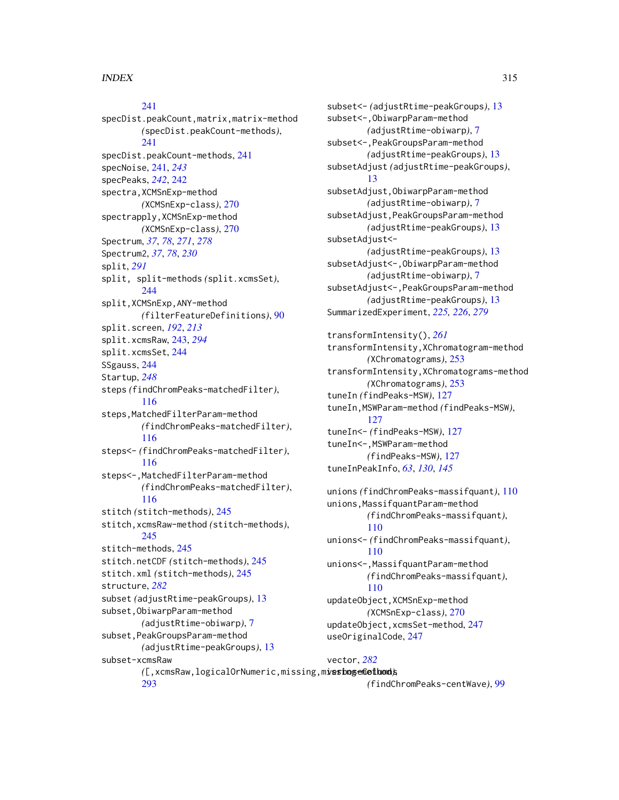# [241](#page-240-0)

specDist.peakCount,matrix,matrix-method *(*specDist.peakCount-methods*)*, [241](#page-240-0) specDist.peakCount-methods, [241](#page-240-0) specNoise, [241,](#page-240-0) *[243](#page-242-1)* specPeaks, *[242](#page-241-0)*, [242](#page-241-0) spectra,XCMSnExp-method *(*XCMSnExp-class*)*, [270](#page-269-0) spectrapply,XCMSnExp-method *(*XCMSnExp-class*)*, [270](#page-269-0) Spectrum, *[37](#page-36-0)*, *[78](#page-77-0)*, *[271](#page-270-0)*, *[278](#page-277-0)* Spectrum2, *[37](#page-36-0)*, *[78](#page-77-0)*, *[230](#page-229-0)* split, *[291](#page-290-0)* split, split-methods *(*split.xcmsSet*)*, [244](#page-243-0) split,XCMSnExp,ANY-method *(*filterFeatureDefinitions*)*, [90](#page-89-0) split.screen, *[192](#page-191-0)*, *[213](#page-212-0)* split.xcmsRaw, [243,](#page-242-1) *[294](#page-293-0)* split.xcmsSet, [244](#page-243-0) SSgauss, [244](#page-243-0) Startup, *[248](#page-247-0)* steps *(*findChromPeaks-matchedFilter*)*, [116](#page-115-0) steps,MatchedFilterParam-method *(*findChromPeaks-matchedFilter*)*, [116](#page-115-0) steps<- *(*findChromPeaks-matchedFilter*)*, [116](#page-115-0) steps<-,MatchedFilterParam-method *(*findChromPeaks-matchedFilter*)*, [116](#page-115-0) stitch *(*stitch-methods*)*, [245](#page-244-0) stitch,xcmsRaw-method *(*stitch-methods*)*, [245](#page-244-0) stitch-methods, [245](#page-244-0) stitch.netCDF *(*stitch-methods*)*, [245](#page-244-0) stitch.xml *(*stitch-methods*)*, [245](#page-244-0) structure, *[282](#page-281-0)* subset *(*adjustRtime-peakGroups*)*, [13](#page-12-0) subset,ObiwarpParam-method *(*adjustRtime-obiwarp*)*, [7](#page-6-0) subset,PeakGroupsParam-method *(*adjustRtime-peakGroups*)*, [13](#page-12-0) subset-xcmsRaw

subset<- *(*adjustRtime-peakGroups*)*, [13](#page-12-0) subset<-,ObiwarpParam-method *(*adjustRtime-obiwarp*)*, [7](#page-6-0) subset<-,PeakGroupsParam-method *(*adjustRtime-peakGroups*)*, [13](#page-12-0) subsetAdjust *(*adjustRtime-peakGroups*)*, [13](#page-12-0) subsetAdjust,ObiwarpParam-method *(*adjustRtime-obiwarp*)*, [7](#page-6-0) subsetAdjust,PeakGroupsParam-method *(*adjustRtime-peakGroups*)*, [13](#page-12-0) subsetAdjust<- *(*adjustRtime-peakGroups*)*, [13](#page-12-0) subsetAdjust<-,ObiwarpParam-method *(*adjustRtime-obiwarp*)*, [7](#page-6-0) subsetAdjust<-,PeakGroupsParam-method *(*adjustRtime-peakGroups*)*, [13](#page-12-0) SummarizedExperiment, *[225,](#page-224-0) [226](#page-225-0)*, *[279](#page-278-0)*

transformIntensity(), *[261](#page-260-0)* transformIntensity,XChromatogram-method *(*XChromatograms*)*, [253](#page-252-0) transformIntensity,XChromatograms-method *(*XChromatograms*)*, [253](#page-252-0) tuneIn *(*findPeaks-MSW*)*, [127](#page-126-0) tuneIn,MSWParam-method *(*findPeaks-MSW*)*, [127](#page-126-0) tuneIn<- *(*findPeaks-MSW*)*, [127](#page-126-0) tuneIn<-,MSWParam-method *(*findPeaks-MSW*)*, [127](#page-126-0) tuneInPeakInfo, *[63](#page-62-0)*, *[130](#page-129-0)*, *[145](#page-144-0)*

unions *(*findChromPeaks-massifquant*)*, [110](#page-109-0) unions,MassifquantParam-method *(*findChromPeaks-massifquant*)*, [110](#page-109-0) unions<- *(*findChromPeaks-massifquant*)*, [110](#page-109-0) unions<-,MassifquantParam-method *(*findChromPeaks-massifquant*)*, [110](#page-109-0) updateObject,XCMSnExp-method *(*XCMSnExp-class*)*, [270](#page-269-0) updateObject,xcmsSet-method, [247](#page-246-0) useOriginalCode, [247](#page-246-0)

```
([,xcmsRaw,logicalOrNumeric,missing,missing-method),
verboseColumns293
                                            vector, 282
                                                      (findChromPeaks-centWave), 99
```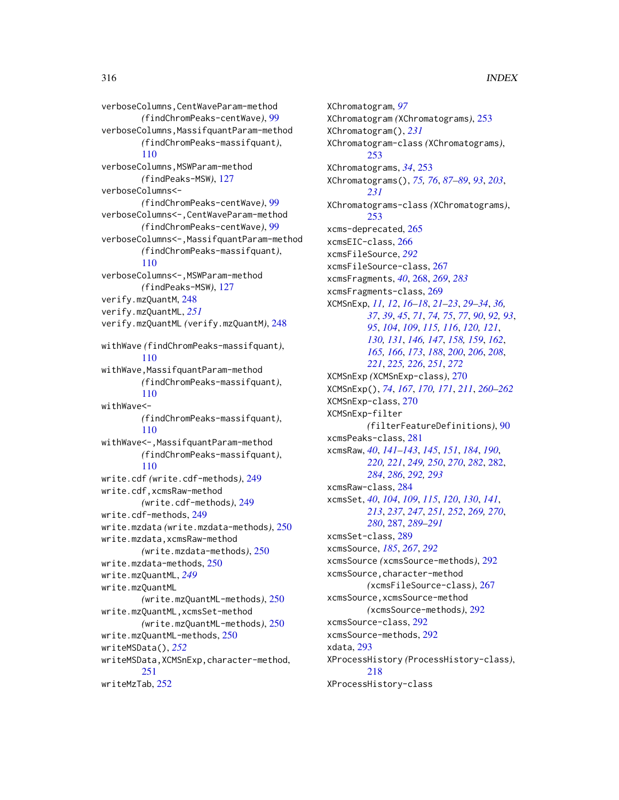verboseColumns,CentWaveParam-method *(*findChromPeaks-centWave*)*, [99](#page-98-0) verboseColumns,MassifquantParam-method *(*findChromPeaks-massifquant*)*, [110](#page-109-0) verboseColumns,MSWParam-method *(*findPeaks-MSW*)*, [127](#page-126-0) verboseColumns<- *(*findChromPeaks-centWave*)*, [99](#page-98-0) verboseColumns<-,CentWaveParam-method *(*findChromPeaks-centWave*)*, [99](#page-98-0) verboseColumns<-,MassifquantParam-method *(*findChromPeaks-massifquant*)*, [110](#page-109-0) verboseColumns<-,MSWParam-method *(*findPeaks-MSW*)*, [127](#page-126-0) verify.mzQuantM, [248](#page-247-0) verify.mzQuantML, *[251](#page-250-0)* verify.mzQuantML *(*verify.mzQuantM*)*, [248](#page-247-0) withWave *(*findChromPeaks-massifquant*)*, [110](#page-109-0) withWave,MassifquantParam-method *(*findChromPeaks-massifquant*)*, [110](#page-109-0) withWave<- *(*findChromPeaks-massifquant*)*, [110](#page-109-0) withWave<-,MassifquantParam-method *(*findChromPeaks-massifquant*)*, [110](#page-109-0) write.cdf *(*write.cdf-methods*)*, [249](#page-248-0) write.cdf,xcmsRaw-method *(*write.cdf-methods*)*, [249](#page-248-0) write.cdf-methods, [249](#page-248-0) write.mzdata *(*write.mzdata-methods*)*, [250](#page-249-0) write.mzdata,xcmsRaw-method *(*write.mzdata-methods*)*, [250](#page-249-0) write.mzdata-methods, [250](#page-249-0) write.mzQuantML, *[249](#page-248-0)* write.mzQuantML *(*write.mzQuantML-methods*)*, [250](#page-249-0) write.mzQuantML,xcmsSet-method *(*write.mzQuantML-methods*)*, [250](#page-249-0) write.mzQuantML-methods, [250](#page-249-0) writeMSData(), *[252](#page-251-0)* writeMSData,XCMSnExp,character-method, [251](#page-250-0) writeMzTab, [252](#page-251-0)

XChromatogram, *[97](#page-96-0)* XChromatogram *(*XChromatograms*)*, [253](#page-252-0) XChromatogram(), *[231](#page-230-1)* XChromatogram-class *(*XChromatograms*)*, [253](#page-252-0) XChromatograms, *[34](#page-33-0)*, [253](#page-252-0) XChromatograms(), *[75,](#page-74-0) [76](#page-75-0)*, *[87](#page-86-0)[–89](#page-88-0)*, *[93](#page-92-0)*, *[203](#page-202-0)*, *[231](#page-230-1)* XChromatograms-class *(*XChromatograms*)*, [253](#page-252-0) xcms-deprecated, [265](#page-264-0) xcmsEIC-class, [266](#page-265-0) xcmsFileSource, *[292](#page-291-2)* xcmsFileSource-class, [267](#page-266-1) xcmsFragments, *[40](#page-39-0)*, [268,](#page-267-0) *[269](#page-268-0)*, *[283](#page-282-0)* xcmsFragments-class, [269](#page-268-0) XCMSnExp, *[11,](#page-10-0) [12](#page-11-0)*, *[16](#page-15-0)[–18](#page-17-0)*, *[21](#page-20-0)[–23](#page-22-0)*, *[29](#page-28-0)[–34](#page-33-0)*, *[36,](#page-35-0) [37](#page-36-0)*, *[39](#page-38-0)*, *[45](#page-44-0)*, *[71](#page-70-0)*, *[74,](#page-73-0) [75](#page-74-0)*, *[77](#page-76-0)*, *[90](#page-89-0)*, *[92,](#page-91-0) [93](#page-92-0)*, *[95](#page-94-0)*, *[104](#page-103-0)*, *[109](#page-108-0)*, *[115,](#page-114-0) [116](#page-115-0)*, *[120,](#page-119-0) [121](#page-120-0)*, *[130,](#page-129-0) [131](#page-130-0)*, *[146,](#page-145-0) [147](#page-146-1)*, *[158,](#page-157-0) [159](#page-158-0)*, *[162](#page-161-0)*, *[165,](#page-164-0) [166](#page-165-0)*, *[173](#page-172-1)*, *[188](#page-187-0)*, *[200](#page-199-0)*, *[206](#page-205-0)*, *[208](#page-207-0)*, *[221](#page-220-0)*, *[225,](#page-224-0) [226](#page-225-0)*, *[251](#page-250-0)*, *[272](#page-271-0)* XCMSnExp *(*XCMSnExp-class*)*, [270](#page-269-0) XCMSnExp(), *[74](#page-73-0)*, *[167](#page-166-0)*, *[170,](#page-169-0) [171](#page-170-0)*, *[211](#page-210-0)*, *[260](#page-259-0)[–262](#page-261-0)* XCMSnExp-class, [270](#page-269-0) XCMSnExp-filter *(*filterFeatureDefinitions*)*, [90](#page-89-0) xcmsPeaks-class, [281](#page-280-0) xcmsRaw, *[40](#page-39-0)*, *[141](#page-140-0)[–143](#page-142-0)*, *[145](#page-144-0)*, *[151](#page-150-1)*, *[184](#page-183-1)*, *[190](#page-189-0)*, *[220,](#page-219-0) [221](#page-220-0)*, *[249,](#page-248-0) [250](#page-249-0)*, *[270](#page-269-0)*, *[282](#page-281-0)*, [282,](#page-281-0) *[284](#page-283-1)*, *[286](#page-285-0)*, *[292,](#page-291-2) [293](#page-292-0)* xcmsRaw-class, [284](#page-283-1) xcmsSet, *[40](#page-39-0)*, *[104](#page-103-0)*, *[109](#page-108-0)*, *[115](#page-114-0)*, *[120](#page-119-0)*, *[130](#page-129-0)*, *[141](#page-140-0)*, *[213](#page-212-0)*, *[237](#page-236-0)*, *[247](#page-246-0)*, *[251,](#page-250-0) [252](#page-251-0)*, *[269,](#page-268-0) [270](#page-269-0)*, *[280](#page-279-0)*, [287,](#page-286-1) *[289](#page-288-0)[–291](#page-290-0)* xcmsSet-class, [289](#page-288-0) xcmsSource, *[185](#page-184-0)*, *[267](#page-266-1)*, *[292](#page-291-2)* xcmsSource *(*xcmsSource-methods*)*, [292](#page-291-2) xcmsSource,character-method *(*xcmsFileSource-class*)*, [267](#page-266-1) xcmsSource,xcmsSource-method *(*xcmsSource-methods*)*, [292](#page-291-2) xcmsSource-class, [292](#page-291-2) xcmsSource-methods, [292](#page-291-2) xdata, [293](#page-292-0) XProcessHistory *(*ProcessHistory-class*)*, [218](#page-217-0) XProcessHistory-class